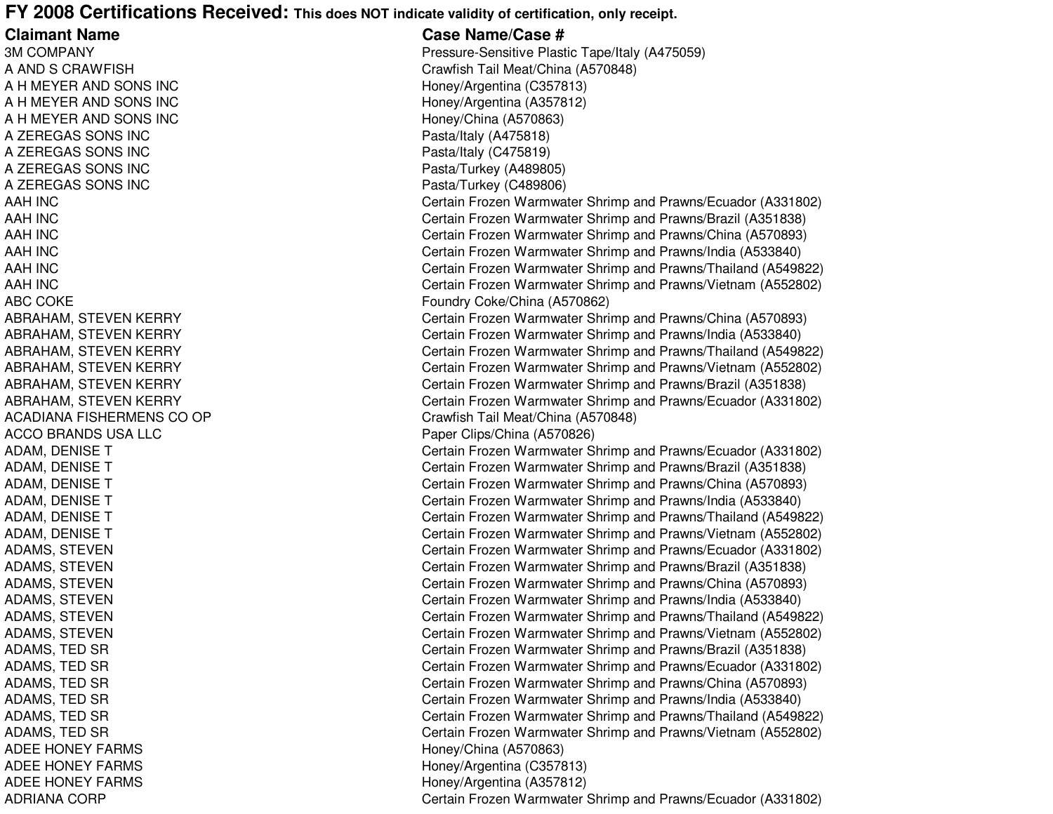## **FY 2008 Certifications Received: This does NOT indicate validity of certification, only receipt.**

**Claimant Name3M COMPANY** A ANDA HA HA ZEREGAS SONS INCA ZEREGAS SONS INCA ZEREGAS SONS INCA ZEREGAS SONS INC**AAH INC** AAH INC AAH**AAH INC** AAH INC AAH**ABC COKE** ACADIANA FISHERMENS CO**ACCO BRANDS USA LLC ADEE HONEY FARMS** ADEE HONEY FARMS

ADEE HONEY FARMS

**ADRIANA CORP** 

 **Case Name/Case #** Pressure-Sensitive Plastic Tape/Italy (A475059) Crawfish Tail Meat/China (A570848) Honey/Argentina (C357813) Honey/Argentina (A357812) A H MEYER AND SONS INC Honey/China (A570863) Pasta/Italy (A475818) Pasta/Italy (C475819) Pasta/Turkey (A489805) Pasta/Turkey (C489806) Certain Frozen Warmwater Shrimp and Prawns/Ecuador (A331802) Certain Frozen Warmwater Shrimp and Prawns/Brazil (A351838) Certain Frozen Warmwater Shrimp and Prawns/China (A570893) Certain Frozen Warmwater Shrimp and Prawns/India (A533840) Certain Frozen Warmwater Shrimp and Prawns/Thailand (A549822) Certain Frozen Warmwater Shrimp and Prawns/Vietnam (A552802) Foundry Coke/China (A570862) ABRAHAM, STEVEN KERRY Certain Frozen Warmwater Shrimp and Prawns/China (A570893) ABRAHAM, STEVEN KERRY Certain Frozen Warmwater Shrimp and Prawns/India (A533840) ABRAHAM, STEVEN KERRY Certain Frozen Warmwater Shrimp and Prawns/Thailand (A549822) ABRAHAM, STEVEN KERRY Certain Frozen Warmwater Shrimp and Prawns/Vietnam (A552802) ABRAHAM, STEVEN KERRY Certain Frozen Warmwater Shrimp and Prawns/Brazil (A351838) ABRAHAM, STEVEN KERRY Certain Frozen Warmwater Shrimp and Prawns/Ecuador (A331802) Crawfish Tail Meat/China (A570848) Paper Clips/China (A570826) ADAM, DENISE T Certain Frozen Warmwater Shrimp and Prawns/Ecuador (A331802) ADAM, DENISE T Certain Frozen Warmwater Shrimp and Prawns/Brazil (A351838) ADAM, DENISE T Certain Frozen Warmwater Shrimp and Prawns/China (A570893) ADAM, DENISE T Certain Frozen Warmwater Shrimp and Prawns/India (A533840) ADAM, DENISE T Certain Frozen Warmwater Shrimp and Prawns/Thailand (A549822) ADAM, DENISE T Certain Frozen Warmwater Shrimp and Prawns/Vietnam (A552802) ADAMS, STEVEN Certain Frozen Warmwater Shrimp and Prawns/Ecuador (A331802) ADAMS, STEVEN Certain Frozen Warmwater Shrimp and Prawns/Brazil (A351838) ADAMS, STEVEN Certain Frozen Warmwater Shrimp and Prawns/China (A570893) ADAMS, STEVEN Certain Frozen Warmwater Shrimp and Prawns/India (A533840) ADAMS, STEVEN Certain Frozen Warmwater Shrimp and Prawns/Thailand (A549822) ADAMS, STEVEN Certain Frozen Warmwater Shrimp and Prawns/Vietnam (A552802) ADAMS, TED SR Certain Frozen Warmwater Shrimp and Prawns/Brazil (A351838) ADAMS, TED SR Certain Frozen Warmwater Shrimp and Prawns/Ecuador (A331802) ADAMS, TED SR Certain Frozen Warmwater Shrimp and Prawns/China (A570893) ADAMS, TED SR Certain Frozen Warmwater Shrimp and Prawns/India (A533840) ADAMS, TED SR Certain Frozen Warmwater Shrimp and Prawns/Thailand (A549822) ADAMS, TED SR Certain Frozen Warmwater Shrimp and Prawns/Vietnam (A552802) Honey/China (A570863) Honey/Argentina (C357813) Honey/Argentina (A357812) Certain Frozen Warmwater Shrimp and Prawns/Ecuador (A331802)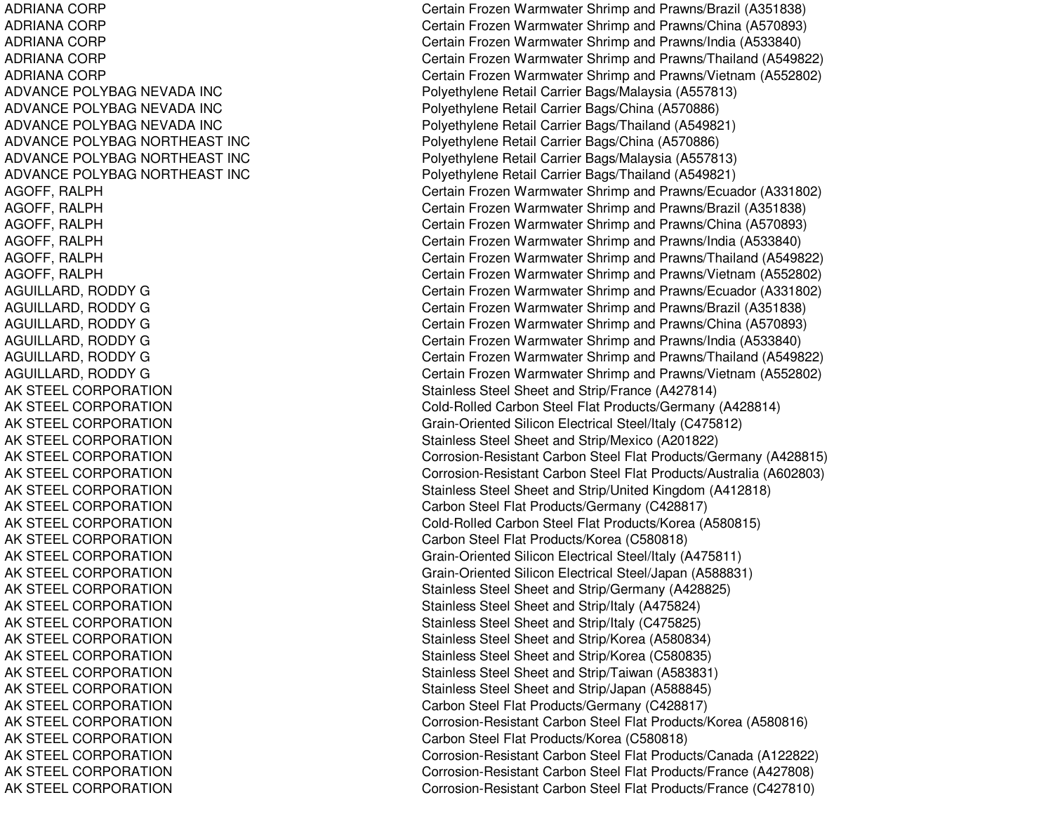ADRIANA CORP ADRIANA CORP ADRIANA CORP ADRIANA CORP ADRIANA CORP ADVANCE POLYBAG NEVADA INC ADVANCE POLYBAG NEVADA INC ADVANCE POLYBAG NEVADA INC ADVANCE POLYBAG NORTHEAST INC ADVANCE POLYBAG NORTHEAST INC ADVANCE POLYBAG NORTHEAST INC AGOFF, R ALPHAGOFF, R ALPHAGOFF, R AL PHAGOFF, RALPH AGOFF, R ALPHAGOF F, R AL PHAGUILLARD, RODDY G AGUILLARD, R ODDYGAGUILLARD, RODDY G AGUILLARD, RODDY G AGUILLARD, R ODDYGAGUILLARD, RODDY G AK STEEL CORPORATION AK STEEL CORPORATION AK STEEL CORPORATION AK STEEL CORPORATION AK STEEL CORPORATION AK STEEL CORPORATION AK STEEL CORPORATION AK STEEL CORPORATION AK STEEL CORPORATION AK STEEL CORPORATION AK STEEL CORPORATION AK STEEL CORPORATION AK STEEL CORPORATION AK STEEL CORPORATION AK STEEL CORPORATION AK STEEL CORPORATION AK STEEL CORPORATION AK STEEL CORPORATION AK STEEL CORPORATION AK STEEL CORPORATION AK STEEL CORPORATION AK STEEL CORPORATION AK STEEL CORPORATION AK STEEL CORPORATION AK STEEL CORPORATION

Certain Frozen Warmwater Shrimp and Prawns/Brazil (A351838) Certain Frozen Warmwater Shrimp and Prawns/China (A570893) Certain Frozen Warmwater Shrimp and Prawns/India (A533840) Certain Frozen Warmwater Shrimp and Prawns/Thailand (A549822) Certain Frozen Warmwater Shrimp and Prawns/Vietnam (A552802) P oly ethylene Retail Carrier B a gs/M ala ysia (A 5 5 7 813) Polyethylene Retail Carrier Bags/China (A570886) Poly ethylene Retail Carrier Bags/Thailand (A 549821) Polyethylene Retail Carrier Bags/China (A570886) Polyethylene Retail Carrier Bags/Malaysia (A557813) Polyethylene Retail Carrier Bags/Thailand (A549821) Certain Frozen Warmwater Shrimp and Prawns/Ecuador (A331802) Certain Frozen Warmwater Shrimp and Prawns/Brazil (A351838) Certain Frozen Warmwater Shrimp and Prawns/China (A570893) Certain Frozen Warmwater Shrimp and Prawns/India (A533840) Certain Frozen Warmwater Shrimp and Prawns/Thailand (A549822) Certain Frozen Warmwater Shrimp and Prawns/Vietnam (A552802) Certain Frozen Warmwater Shrimp and Prawns/Ecuador (A331802) Certain Frozen Warmwater Shrimp and Prawns/Brazil (A351838) Certain Frozen Warmwater Shrimp and Prawns/China (A570893) Certain Frozen Warmwater Shrimp and Prawns/India (A533840) Certain Frozen Warmwater Shrimp and Prawns/Thailand (A549822) Certain Frozen Warmwater Shrimp and Prawns/Vietnam (A552802) Stainless Steel Sheet and Strip/France (A427814) Cold-Rolled Carbon Steel Flat Products/Germany (A428814) Grain-Oriente d Silicon Electrical Ste el/Italy (C 4 7 5 812) Stainless Steel Sheet and Strip/Mexico (A201822) Corrosion-Resistant Carbon Steel Flat Products/Germany (A428815) Corrosion-Resistant Carbon Steel Flat Products/Australia (A602803) Stainless Steel Sheet and Strip/United Kingdom (A412818) Carb on Ste el Flat Pro ducts/Germany (C 4 2 8 817) Cold-Rolled Carbon Steel Flat Products/Korea (A580815) C arb on Ste el Flat Pro ducts/K ore a (C 5 8 0 818) Grain-Oriente d Silicon Electrical Ste el/Italy (A 4 7 5 811) Grain-Oriente d Silicon Electrical Ste el/Ja p an (A 5 8 8 8 31) Stainless Steel Sheet and Strip/Germany (A428825) Stainless Steel Sheet and Strip/Italy (A475824) Stainless Steel Sheet and Strip/Italy (C475825) Stainless Steel Sheet and Strip/Korea (A580834) Stainless Steel Sheet and Strip/Korea (C580835) Stainless Steel Sheet and Strip/Taiwan (A583831) Stainless Steel Sheet and Strip/Japan (A588845) Carbon Ste el Flat Products/Germany (C 428817) Corrosion-Resistant Carbon Ste el Flat Products/Korea (A 580816) Carb on Ste el Flat Pro ducts/K ore a (C 5 8 0 818) Corrosion-Resistant Carbon Ste el Flat Products/Canada (A12 2822) Corrosion-Resistant Carbon Ste el Flat Products/France (A 427808) Corrosion-Resistant Carbon Steel Flat Products/France (C427810)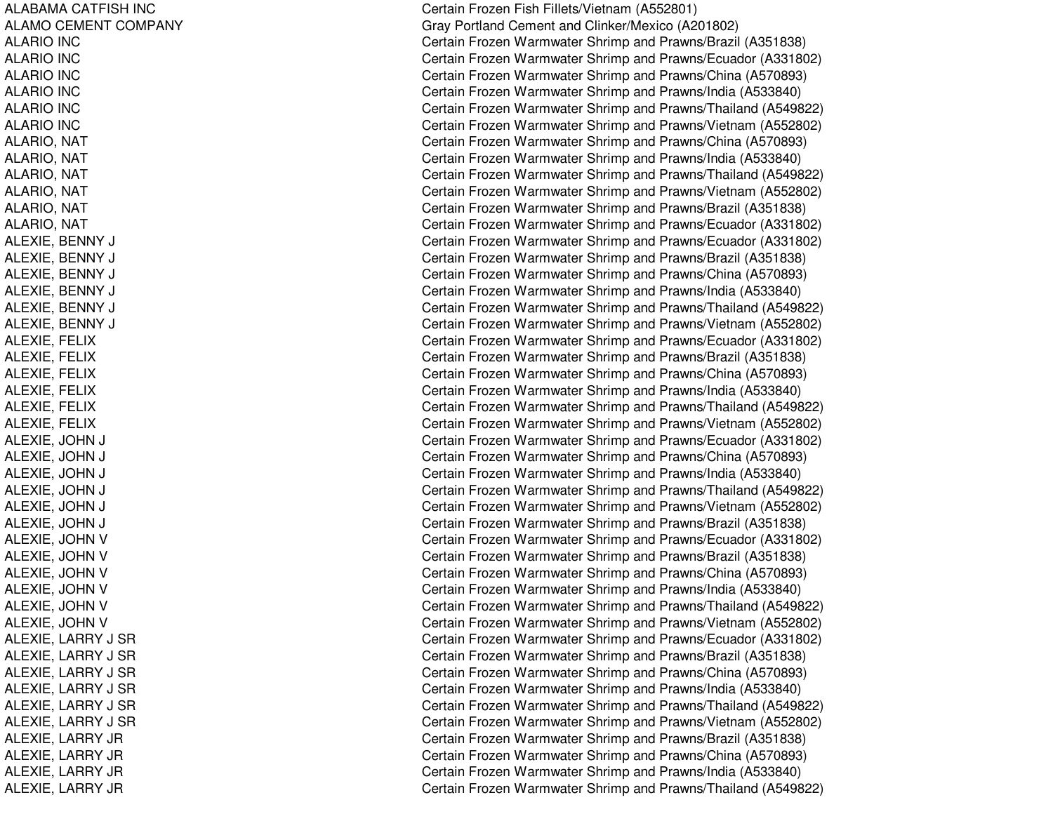ALABAMA CATFISH INC ALAMO CEMENT COMPANY AL ARIO IN CA L A RIO IN C ALARIO IN CA L A RIO IN CALARIO IN CALARIO IN CALARIO, NAT ALARIO, NAT ALARIO, N ATALARIO, NAT ALARIO, N ATAL ARIO, N ATALEXIE, BENNY J CALEXIE, B ENNY J CAL EXIE, B ENNY J CALEXIE, BENNY J CALEXIE, B ENNY J CA L E XIE, B E NNY J CA L E XIE, F E LIX ALEXIE, F ELIXA L E XIE, F E LIX ALEXIE, F ELIXAL EXIE, F ELIXA L E XIE, F E LIX A L E XIE, JO H NNJ C AL EXIE, JO HNNJ C ALEXIE, JOHN NJ C ALEXIE, JO HNNJ C A L E XIE, JO HNNJ C ALEXIE, JOHN NJ C ALEXIE, JOHN V ALEXIE, JOHN V ALEXIE, JOHN V ALEXIE, JOHN V ALEXIE, JOHN V ALEXIE, JOHN V ALEXIE, LARRY J SR ALEXIE, LARRY J SR ALEXIE, L ARRY J S RAL EXIE, L ARRY J S RALEXIE, LARRY J SR ALEXIE, LARRY J SR ALEXIE, LARRY JR ALEXIE, LARRY JR ALEXIE, L ARRY JRALEXIE, LARRY JR

Certain Frozen Fish Fillets/Vietna m (A 552801) Gray Portland Cement and Clinker/Mexico (A201802) Certain Frozen Warmwater Shrimp and Prawns/Brazil (A351838) Certain Frozen Warmwater Shrimp and Prawns/Ecuador (A331802) Certain Frozen Warmwater Shrimp and Prawns/China (A570893) Certain Frozen Warmwater Shrimp and Prawns/India (A533840) Certain Frozen Warmwater Shrimp and Prawns/Thailand (A549822) Certain Frozen Warmwater Shrimp and Prawns/Vietnam (A552802) Certain Frozen Warmwater Shrimp and Prawns/China (A570893) Certain Frozen Warmwater Shrimp and Prawns/India (A533840) Certain Frozen Warmwater Shrimp and Prawns/Thailand (A549822) Certain Frozen Warmwater Shrimp and Prawns/Vietnam (A552802) Certain Frozen Warmwater Shrimp and Prawns/Brazil (A351838) Certain Frozen Warmwater Shrimp and Prawns/Ecuador (A331802) Certain Frozen Warmwater Shrimp and Prawns/Ecuador (A331802) Certain Frozen Warmwater Shrimp and Prawns/Brazil (A351838) ertain Frozen Warmwater Shrimp and Prawns/China (A570893) Certain Frozen Warmwater Shrimp and Prawns/India (A533840) ertain Frozen Warmwater Shrimp and Prawns/Thailand (A549822) ertain Frozen Warmwater Shrimp and Prawns/Vietnam (A552802) Certain Frozen Warmwater Shrimp and Prawns/Ecuador (A331802) Certain Frozen Warmwater Shrimp and Prawns/Brazil (A351838) Certain Frozen Warmwater Shrimp and Prawns/China (A570893) Certain Frozen Warmwater Shrimp and Prawns/India (A533840) Certain Frozen Warmwater Shrimp and Prawns/Thailand (A549822) Certain Frozen Warmwater Shrimp and Prawns/Vietnam (A552802) ertain Frozen Warmwater Shrimp and Prawns/Ecuador (A331802) ertain Frozen Warmwater Shrimp and Prawns/China (A570893) ertain Frozen Warmwater Shrimp and Prawns/India (A533840) ertain Frozen Warmwater Shrimp and Prawns/Thailand (A549822) ertain Frozen Warmwater Shrimp and Prawns/Vietnam (A552802) ertain Frozen Warmwater Shrimp and Prawns/Brazil (A351838) Certain Frozen Warmwater Shrimp and Prawns/Ecuador (A331802) Certain Frozen Warmwater Shrimp and Prawns/Brazil (A351838) Certain Frozen Warmwater Shrimp and Prawns/China (A570893) Certain Frozen Warmwater Shrimp and Prawns/India (A533840) Certain Frozen Warmwater Shrimp and Prawns/Thailand (A549822) Certain Frozen Warmwater Shrimp and Prawns/Vietnam (A552802) Certain Frozen Warmwater Shrimp and Prawns/Ecuador (A331802) Certain Frozen Warmwater Shrimp and Prawns/Brazil (A351838) Certain Frozen Warmwater Shrimp and Prawns/China (A570893) Certain Frozen Warmwater Shrimp and Prawns/India (A533840) Certain Frozen Warmwater Shrimp and Prawns/Thailand (A549822) Certain Frozen Warmwater Shrimp and Prawns/Vietnam (A552802) Certain Frozen Warmwater Shrimp and Prawns/Brazil (A351838) Certain Frozen Warmwater Shrimp and Prawns/China (A570893) Certain Frozen Warmwater Shrimp and Prawns/India (A533840) Certain Frozen Warmwater Shrimp and Prawns/Thailand (A549822)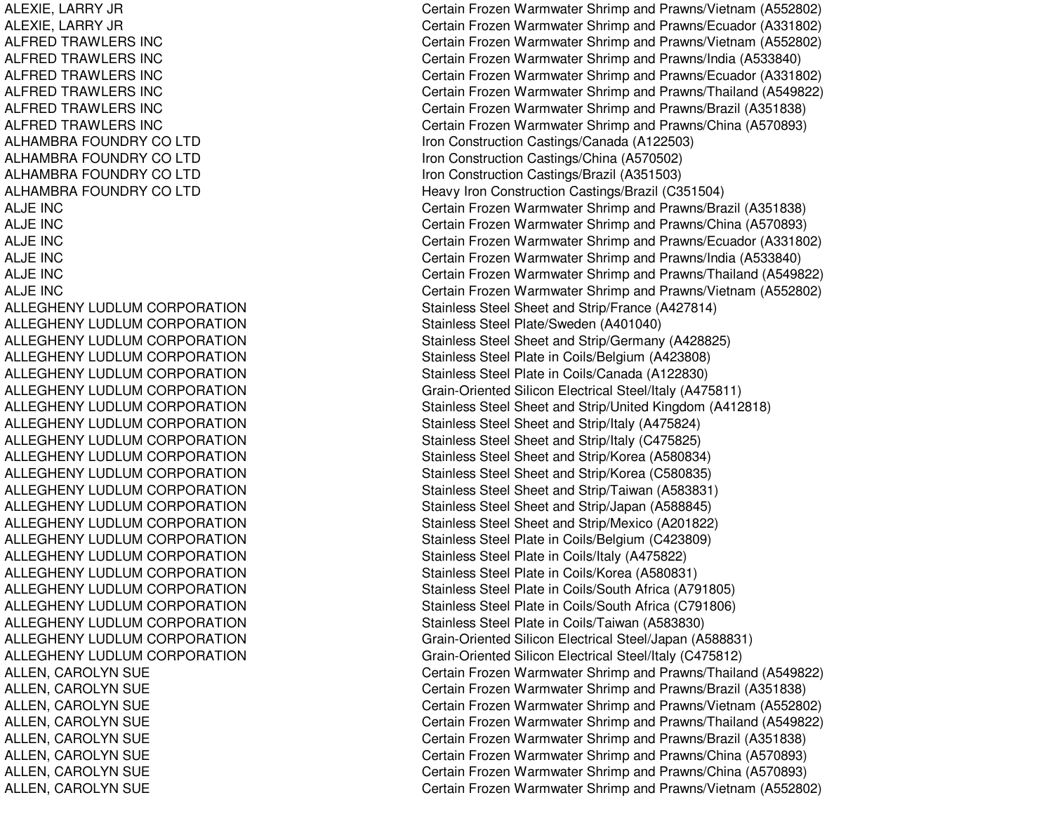ALEXIE, L ARRY JRALEXIE, L ARRY JRAL F REDT RAWL ERS INCALFRED TRAWLERS INC ALFRED TRAWLERS INC ALFREDTRAWLERS INCALFREDTRAWLERS INCALFRED TRAWLERS INC A L H A MB R A F OU N D R Y C OL T DALHAMBRA FOUNDRY CO LTD ALHAMBRA FOUNDRY CO LTD ALHAMBRA FOUNDRY CO LTD ALJE INCALJE INCA LJE IN C ALJE INCALJE INCALJE INCALLEGHENY LUDLUM CORPORATION A L L E GHE NY L UDL UMCORP ORA TIONALLEGHENY LUDLUM CORPORATION ALLEGHENY LUDLUM CORPORATION A L L E GH E N Y L U D L U MC OR P OR A TION ALLEGHENY LUDLUM CORPORATION AL L EGHENYL UDL UMCORPORATIONALLEGHENY LUDLUM CORPORATION ALLEGHENY LUDLUM CORPORATION AL L EGHENYL UDL UMCORPORATIONALLEGHENY LUDLUM CORPORATION ALLEGHENY LUDLUM CORPORATION A L L E GHE NY L UDL UMCORP ORA TIONALLEGHENY LUDLUM CORPORATION ALLEGHENY LUDLUM CORPORATION A L L E GH E N Y L U D L U MC OR P OR A TION ALLEGHENY LUDLUM CORPORATION ALLEGHENY LUDLUM CORPORATION ALLEGHENY LUDLUM CORPORATION ALLEGHENY LUDLUM CORPORATION AL L EGHENYL UDL UMCORPORATIONALLEGHENY LUDLUM CORPORATION ALLEN, C AROLYNSUEALLEN, CAROLYN SUE ALLEN, CAROLYN SUE ALLEN, C AROLYNSUEALLEN, CAROLYN SUE ALLEN, CAROLYN SUE ALLEN, C AROLYNSUEALLEN, CAROLYN SUE

Certain Frozen Warmwater Shrimp and Prawns/Vietnam (A552802) Certain Frozen Warmwater Shrimp and Prawns/Ecuador (A331802) Certain Frozen Warmwater Shrimp and Prawns/Vietnam (A552802) Certain Frozen Warmwater Shrimp and Prawns/India (A533840) Certain Frozen Warmwater Shrimp and Prawns/Ecuador (A331802) Certain Frozen Warmwater Shrimp and Prawns/Thailand (A549822) Certain Frozen Warmwater Shrimp and Prawns/Brazil (A351838) Certain Frozen Warmwater Shrimp and Prawns/China (A570893) Iron C onstruction C astings/C ana d a (A12 2 5 0 3) Iron C onstruction C astings/China (A 5 7 0 5 0 2) Iron C onstruction Castings/Brazil (A 351503) Heavy Iron Construction Castings/Brazil (C351504) Certain Frozen Warmwater Shrimp and Prawns/Brazil (A351838) Certain Frozen Warmwater Shrimp and Prawns/China (A570893) Certain Frozen Warmwater Shrimp and Prawns/Ecuador (A331802) Certain Frozen Warmwater Shrimp and Prawns/India (A533840) Certain Frozen Warmwater Shrimp and Prawns/Thailand (A549822) Certain Frozen Warmwater Shrimp and Prawns/Vietnam (A552802) Stainless Steel Sheet and Strip/France (A427814) Stainless Steel Plate/Sweden (A401040) Stainless Steel Sheet and Strip/Germany (A428825) Stainless Steel Plate in Coils/Belgium (A423808) Stainless Steel Plate in Coils/Canada (A122830) Grain-Oriented Silicon Electrical Steel/Italy (A475811) Stainless Steel Sheet and Strip/United Kingdom (A412818) Stainless Steel Sheet and Strip/Italy (A475824) Stainless Steel Sheet and Strip/Italy (C475825) Stainless Steel Sheet and Strip/Korea (A580834) Stainless Steel Sheet and Strip/Korea (C580835) Stainless Steel Sheet and Strip/Taiwan (A583831) Stainless Steel Sheet and Strip/Japan (A588845) Stainless Steel Sheet and Strip/Mexico (A201822) Stainless Steel Plate in Coils/Belgium (C423809) Stainless Ste el Plate in C oils/Italy (A 4 7 5 8 2 2) Stainless Ste el Plate in C oils/K ore a (A 5 8 0 8 31) Stainless Steel Plate in Coils/South Africa (A 791805) Stainless Steel Plate in Coils/South Africa (C791806) Stainless Ste el Plate in C oils/T aiw an (A 5 8 3 8 3 0) Grain-Oriente d Silicon Electrical Ste el/Ja p an (A 5 8 8 8 31) Grain-Oriente d Silicon Electrical Ste el/Italy (C 4 7 5 812) Certain Frozen Warmwater Shrimp and Prawns/Thailand (A549822) Certain Frozen Warmwater Shrimp and Prawns/Brazil (A351838) Certain Frozen Warmwater Shrimp and Prawns/Vietnam (A552802) Certain Frozen Warmwater Shrimp and Prawns/Thailand (A549822) Certain Frozen Warmwater Shrimp and Prawns/Brazil (A351838) Certain Frozen Warmwater Shrimp and Prawns/China (A570893) Certain Frozen Warmwater Shrimp and Prawns/China (A570893) Certain Frozen Warmwater Shrimp and Prawns/Vietnam (A552802)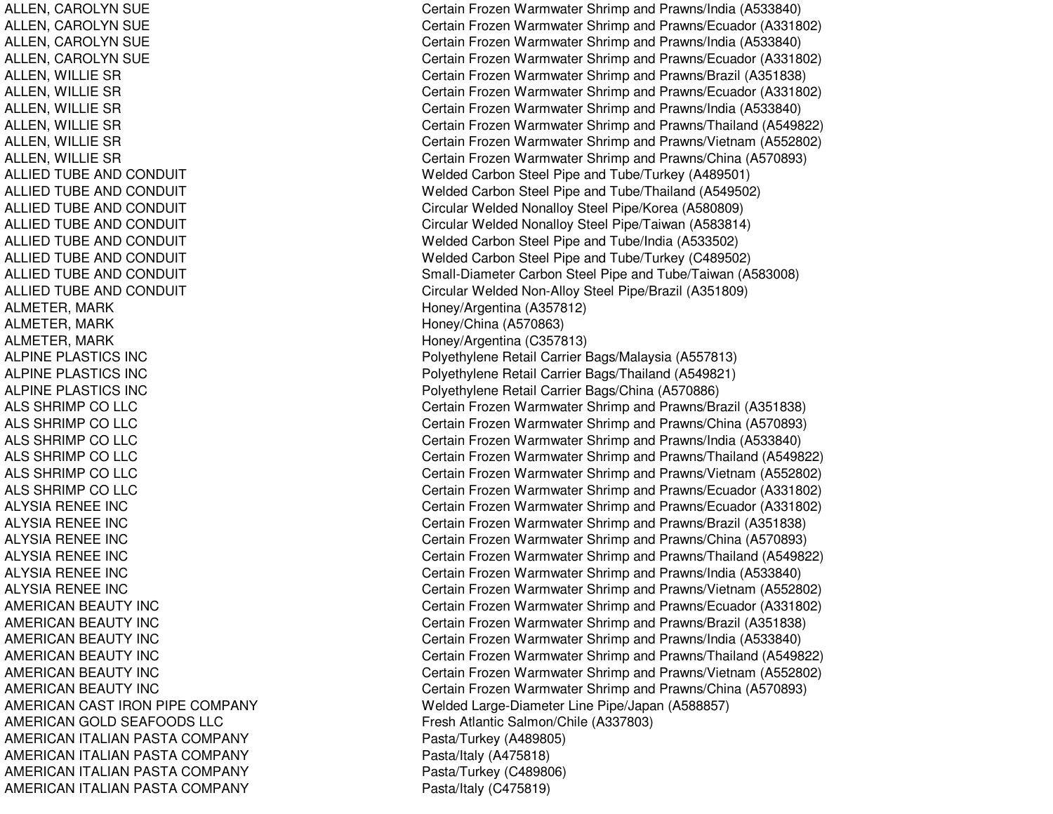ALLIED TUBE AND CONDUIT ALLIED TUBE AND CONDUIT ALLIED TUBE AND CONDUIT **ALLIED TUBE AND CONDUIT** ALLIED TUBE AND CONDUIT **ALLIED TUBE AND CONDUIT ALLIED TUBE AND CONDUIT ALLIED TUBE AND CONDUIT** ALMETER, MARK **Honey** Argentina (A357812) ALMETER, MARK **Honey/China (A570863)** ALMETER, MARK **Honey/Argentina (C357813)** ALPINE PLASTICS INCALPINE PLASTICS INCALPINE PLASTICS INCALS SHRIMP COALS SHRIMP COALS SHRIMP COALS SHRIMP COALS SHRIMP COALS SHRIMP COALYSIA RENEE INCALYSIA RENEE INCALYSIA RENEE INCALYSIA RENEE INCALYSIA RENEE INCALYSIA RENEE INCAMERICAN BEAUTY INC **AMERICAN BEAUTY INC** AMERICAN BEAUTY INC AMERICAN BEAUTY INC **AMERICAN BEAUTY INC** AMERICAN BEAUTY INC AMERICAN CAST IRON PIPE COMPANY AMERICAN GOLD SEAFOODS LLC AMERICAN ITALIAN PASTA COMPANY Pasta/Turkey (A489805) AMERICAN ITALIAN PASTA COMPANY Pasta/Italy (A475818) AMERICAN ITALIAN PASTA COMPANY Pasta/Turkey (C489806) AMERICAN ITALIAN PASTA COMPANY Pasta/Italy (C475819)

ALLEN, CAROLYN SUE Certain Frozen Warmwater Shrimp and Prawns/India (A533840) ALLEN, CAROLYN SUE Certain Frozen Warmwater Shrimp and Prawns/Ecuador (A331802) ALLEN, CAROLYN SUE Certain Frozen Warmwater Shrimp and Prawns/India (A533840) ALLEN, CAROLYN SUE Certain Frozen Warmwater Shrimp and Prawns/Ecuador (A331802) ALLEN, WILLIE SR Certain Frozen Warmwater Shrimp and Prawns/Brazil (A351838) ALLEN, WILLIE SR Certain Frozen Warmwater Shrimp and Prawns/Ecuador (A331802) ALLEN, WILLIE SR Certain Frozen Warmwater Shrimp and Prawns/India (A533840) ALLEN, WILLIE SR Certain Frozen Warmwater Shrimp and Prawns/Thailand (A549822) ALLEN, WILLIE SR Certain Frozen Warmwater Shrimp and Prawns/Vietnam (A552802) ALLEN, WILLIE SR Certain Frozen Warmwater Shrimp and Prawns/China (A570893) Welded Carbon Steel Pipe and Tube/Turkey (A489501) Welded Carbon Steel Pipe and Tube/Thailand (A549502) Circular Welded Nonalloy Steel Pipe/Korea (A580809) Circular Welded Nonalloy Steel Pipe/Taiwan (A583814) Welded Carbon Steel Pipe and Tube/India (A533502) Welded Carbon Steel Pipe and Tube/Turkey (C489502) Small-Diameter Carbon Steel Pipe and Tube/Taiwan (A583008) Circular Welded Non-Alloy Steel Pipe/Brazil (A351809) Polyethylene Retail Carrier Bags/Malaysia (A557813) Polyethylene Retail Carrier Bags/Thailand (A549821) Polyethylene Retail Carrier Bags/China (A570886) Certain Frozen Warmwater Shrimp and Prawns/Brazil (A351838) Certain Frozen Warmwater Shrimp and Prawns/China (A570893) Certain Frozen Warmwater Shrimp and Prawns/India (A533840) Certain Frozen Warmwater Shrimp and Prawns/Thailand (A549822) Certain Frozen Warmwater Shrimp and Prawns/Vietnam (A552802) LLC Certain Frozen Warmwater Shrimp and Prawns/Ecuador (A331802) Certain Frozen Warmwater Shrimp and Prawns/Ecuador (A331802) Certain Frozen Warmwater Shrimp and Prawns/Brazil (A351838) Certain Frozen Warmwater Shrimp and Prawns/China (A570893) Certain Frozen Warmwater Shrimp and Prawns/Thailand (A549822) Certain Frozen Warmwater Shrimp and Prawns/India (A533840) Certain Frozen Warmwater Shrimp and Prawns/Vietnam (A552802) Certain Frozen Warmwater Shrimp and Prawns/Ecuador (A331802) Certain Frozen Warmwater Shrimp and Prawns/Brazil (A351838) Certain Frozen Warmwater Shrimp and Prawns/India (A533840) Certain Frozen Warmwater Shrimp and Prawns/Thailand (A549822) Certain Frozen Warmwater Shrimp and Prawns/Vietnam (A552802) Certain Frozen Warmwater Shrimp and Prawns/China (A570893) Welded Large-Diameter Line Pipe/Japan (A588857) Fresh Atlantic Salmon/Chile (A337803)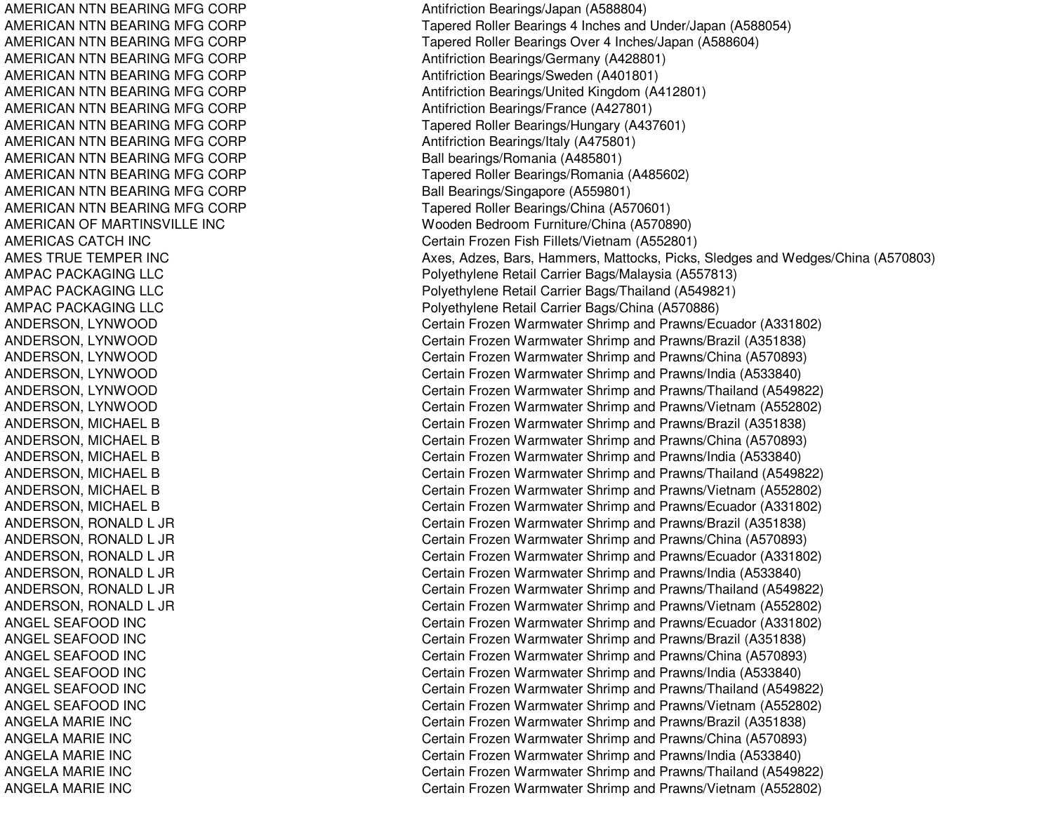AMERICAN NTN BEARING MFG CORP AMERICAN NTN BEARING MFG CORP AMERICAN NTN BEARING MFG CORP AMERICAN NTN BEARING MFG CORP AMERICAN NTN BEARING MFG CORP AMERICAN NTN BEARING MFG CORP AMERICAN NTN BEARING MFG CORP AMERICAN NTN BEARING MFG CORP AMERICAN NTN BEARING MFG CORP AMERICAN NTN BEARING MFG CORP AMERICAN NTN BEARING MFG CORP AMERICAN NTN BEARING MFG CORP AMERICAN NTN BEARING MFG CORP AMERICAN OF MARTINSVILLE INC AMERICAS CATCH INC AMES TRUE TEMPER INC AMPAC PACKAGING LLC AMPAC PACKAGING LLC AMPAC PACKAGING LLC A NDE RS ON, L Y NWOODANDERSON, LYNWOOD ANDERSON, L YNWOODA N D E R S ON, L Y N WOOD ANDERSON, L YNWOODANDERSON, L YNWOODANDERSON, MICHAEL B ANDERSON, MICHAEL B ANDERSON, MIC HAEL BANDERSON, MICHAEL B ANDERSON, MICHAEL B ANDERSON, MICHAEL B ANDERSON, RONALD L JR A N D E R S O N, R O N A L D L JR A N D E R S O N, R O N A L D L JR ANDERSON, RONALD L JR A N D E R S O N, R O N A L D L JR A N D E R S O N, R O N A L D L JR ANGEL SEAFOOD INC ANGEL SEAFOOD IN CANGEL SEAFOOD INC ANGEL SEAFOOD INC ANGEL SEAF OOD IN CANGEL SEAFOOD INC ANGELAMARIE INCA N G E L A M A RIE IN C ANGELAMARIE INCANGELAMARIE INCANGELAMARIE INC

Antifriction Bearings/Japan (A588804) Tapered Roller Bearings 4 Inches and Under/Japan (A588054) Tapered Roller Bearings Over 4 Inches/Japan (A588604) Antifriction Bearings/Germany (A428801) Antifriction Bearings/Sweden (A401801) Antifriction Bearings/United Kingdom (A412801) Antifriction B e arings/France (A 4 2 7 8 01) Tapered Roller Bearings/Hungary (A437601) Antifriction B e arings/Italy (A 4 7 5 8 01) Ball bearings/Romania (A485801) Tapered Roller Bearings/Romania (A485602) Ball Bearings/Singapore (A559801) Tapered Roller Bearings/China (A570601) Wooden Bedroom Furniture/China (A570890) C ertain Frozen Fish Fillets/Vietna m (A 5 5 2 8 01) Axes, Adzes, Bars, Hammers, Mattocks, Picks, Sledges and Wedges/China (A570803) Poly ethylene Retail Carrier Ba gs/M ala ysia (A 5 5 7 813) Polyethylene Retail Carrier Bags/Thailand (A549821) Poly ethylene Retail Carrier Bags/China (A 570886) Certain Frozen Warmwater Shrimp and Prawns/Ecuador (A331802) C ertain Frozen W arm w ater Shrim p and Pra wns/Brazil (A 3 518 3 8) Certain Frozen Warmwater Shrimp and Prawns/China (A570893) Certain Frozen Warmwater Shrimp and Prawns/India (A533840) Certain Frozen Warmwater Shrimp and Prawns/Thailand (A549822) Certain Frozen Warmwater Shrimp and Prawns/Vietnam (A552802) Certain Frozen Warmwater Shrimp and Prawns/Brazil (A351838) Certain Frozen Warmwater Shrimp and Prawns/China (A570893) Certain Frozen Warmwater Shrimp and Prawns/India (A533840) Certain Frozen Warmwater Shrimp and Prawns/Thailand (A549822) Certain Frozen Warmwater Shrimp and Prawns/Vietnam (A552802) Certain Frozen Warmwater Shrimp and Prawns/Ecuador (A331802) Certain Frozen Warmwater Shrimp and Prawns/Brazil (A351838) Certain Frozen Warmwater Shrimp and Prawns/China (A570893) Certain Frozen Warmwater Shrimp and Prawns/Ecuador (A331802) Certain Frozen Warmwater Shrimp and Prawns/India (A533840) Certain Frozen Warmwater Shrimp and Prawns/Thailand (A549822) Certain Frozen Warmwater Shrimp and Prawns/Vietnam (A552802) Certain Frozen Warmwater Shrimp and Prawns/Ecuador (A331802) C ertain Frozen W arm w ater Shrim p and Pra wns/Brazil (A 3 518 3 8) Certain Frozen Warmwater Shrimp and Prawns/China (A570893) Certain Frozen Warmwater Shrimp and Prawns/India (A533840) Certain Frozen Warmwater Shrimp and Prawns/Thailand (A549822) Certain Frozen Warmwater Shrimp and Prawns/Vietnam (A552802) Certain Frozen Warmwater Shrimp and Prawns/Brazil (A351838) Certain Frozen Warmwater Shrimp and Prawns/China (A570893) Certain Frozen Warmwater Shrimp and Prawns/India (A533840) Certain Frozen Warmwater Shrimp and Prawns/Thailand (A549822) Certain Frozen Warmwater Shrimp and Prawns/Vietnam (A552802)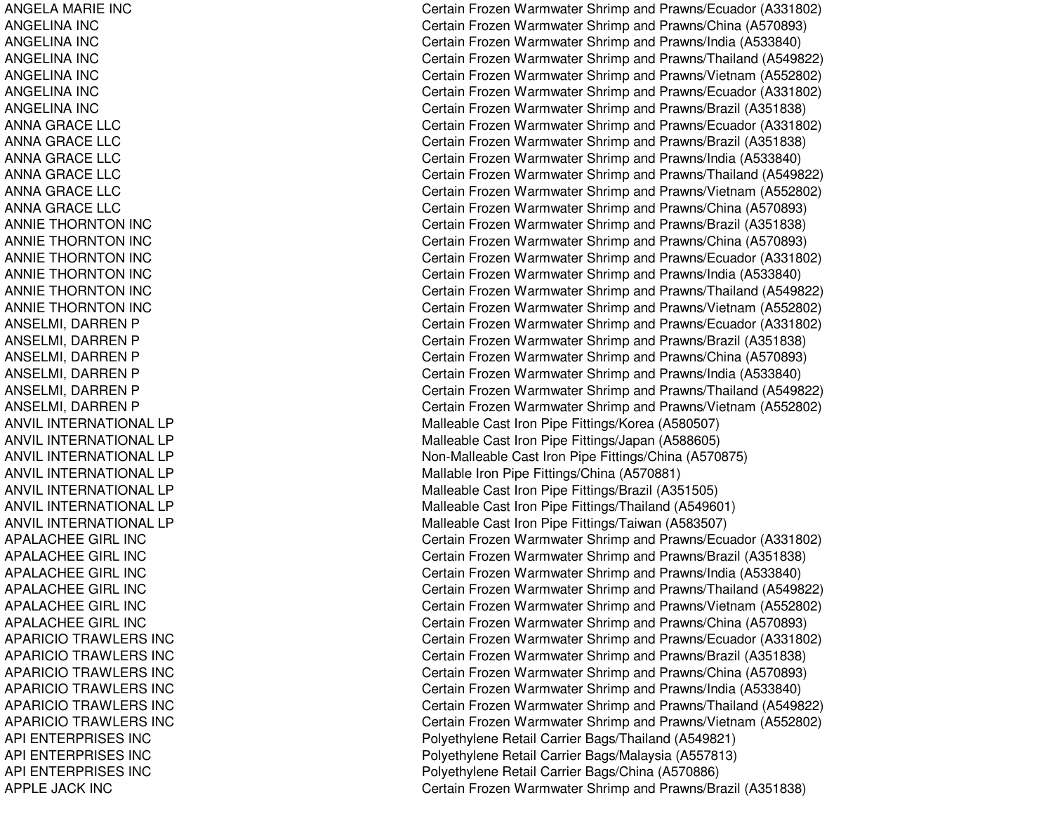ANGELAMARIE INCANGELINA INCANGELINA INCANGELINA INCANGELINA INCANGELINA INCANGELINA INCANNA GRACE LLC ANNA GRACE LLC ANNAGRACELLCANNAGRACELLCANNAGRACELLCANNAGRACELLCANNIE THORNTON INC ANNIE THORNTON INC ANNIE THORNTON INC ANNIE THORNTON INC ANNIE THORNTON INC ANNIE THORNTON INC ANSELMI, DARREN P ANSELMI, DARREN P ANSELMI, DARREN P ANSELMI, DARREN P ANSELMI, DARREN P ANSEL MI, D ARRENPANVIL INTERNATIONAL LP ANVIL INTERNATIONAL LP ANVIL INTERNATIONAL LP ANVIL INTERNATIONAL LP ANVIL INTERNATIONAL LP ANVIL INTERNATIONAL LP ANVIL INTERNATIONAL LP APALACHEEGIRL INCAPALACHEE GIRL INC APALACHEEGIRL INCAPALACHEEGIRL INCAPALACHEE GIRL INC APALACHEEGIRL INCAPARICIO TRAWLERS INC APARICIO TRAWLERS INC APARICIO TRAWLERS INC APARICIO TRAWLERS INC APARICIO TRAWLERS INC APARICIO TRAWLERS INC API ENTERPRISES INCAPI ENTERPRISES INCAPI ENTERPRISES INCAPPLE JA CK INC

Certain Frozen Warmwater Shrimp and Prawns/Ecuador (A331802) Certain Frozen Warmwater Shrimp and Prawns/China (A570893) Certain Frozen Warmwater Shrimp and Prawns/India (A533840) Certain Frozen Warmwater Shrimp and Prawns/Thailand (A549822) Certain Frozen Warmwater Shrimp and Prawns/Vietnam (A552802) Certain Frozen Warmwater Shrimp and Prawns/Ecuador (A331802) Certain Frozen Warmwater Shrimp and Prawns/Brazil (A351838) Certain Frozen Warmwater Shrimp and Prawns/Ecuador (A331802) Certain Frozen Warmwater Shrimp and Prawns/Brazil (A351838) Certain Frozen Warmwater Shrimp and Prawns/India (A533840) Certain Frozen Warmwater Shrimp and Prawns/Thailand (A549822) Certain Frozen Warmwater Shrimp and Prawns/Vietnam (A552802) Certain Frozen Warmwater Shrimp and Prawns/China (A570893) Certain Frozen Warmwater Shrimp and Prawns/Brazil (A351838) Certain Frozen Warmwater Shrimp and Prawns/China (A570893) Certain Frozen Warmwater Shrimp and Prawns/Ecuador (A331802) Certain Frozen Warmwater Shrimp and Prawns/India (A533840) Certain Frozen Warmwater Shrimp and Prawns/Thailand (A549822) Certain Frozen Warmwater Shrimp and Prawns/Vietnam (A552802) Certain Frozen Warmwater Shrimp and Prawns/Ecuador (A331802) C ertain Frozen W arm w ater Shrim p and Pra wns/Brazil (A 3 518 3 8) Certain Frozen Warmwater Shrimp and Prawns/China (A570893) Certain Frozen Warmwater Shrimp and Prawns/India (A533840) Certain Frozen Warmwater Shrimp and Prawns/Thailand (A549822) Certain Frozen Warmwater Shrimp and Prawns/Vietnam (A552802) Malleable Cast Iron Pipe Fittings/Korea (A580507) Malleable Cast Iron Pipe Fittings/Japan (A588605) Non-Malleable Cast Iron Pipe Fittings/China (A570875) M alla ble Iron Pip e Fittings/China (A 5 7 0 8 81) Malleable Cast Iron Pipe Fittings/Brazil (A351505) Malle a ble Cast Iron Pip e Fittings/Thailand (A 5 4 9 6 01) Malleable Cast Iron Pipe Fittings/Taiwan (A583507) Certain Frozen Warmwater Shrimp and Prawns/Ecuador (A331802) Certain Frozen Warmwater Shrimp and Prawns/Brazil (A351838) Certain Frozen Warmwater Shrimp and Prawns/India (A533840) Certain Frozen Warmwater Shrimp and Prawns/Thailand (A549822) Certain Frozen Warmwater Shrimp and Prawns/Vietnam (A552802) Certain Frozen Warmwater Shrimp and Prawns/China (A570893) Certain Frozen Warmwater Shrimp and Prawns/Ecuador (A331802) Certain Frozen Warmwater Shrimp and Prawns/Brazil (A351838) Certain Frozen Warmwater Shrimp and Prawns/China (A570893) Certain Frozen Warmwater Shrimp and Prawns/India (A533840) Certain Frozen Warmwater Shrimp and Prawns/Thailand (A549822) Certain Frozen Warmwater Shrimp and Prawns/Vietnam (A552802) Polyethylene Retail Carrier Bags/Thailand (A549821) Polyethylene Retail Carrier Bags/Malaysia (A557813) Poly ethylene Retail Carrier Bags/China (A 570886) Certain Frozen Warmwater Shrimp and Prawns/Brazil (A351838)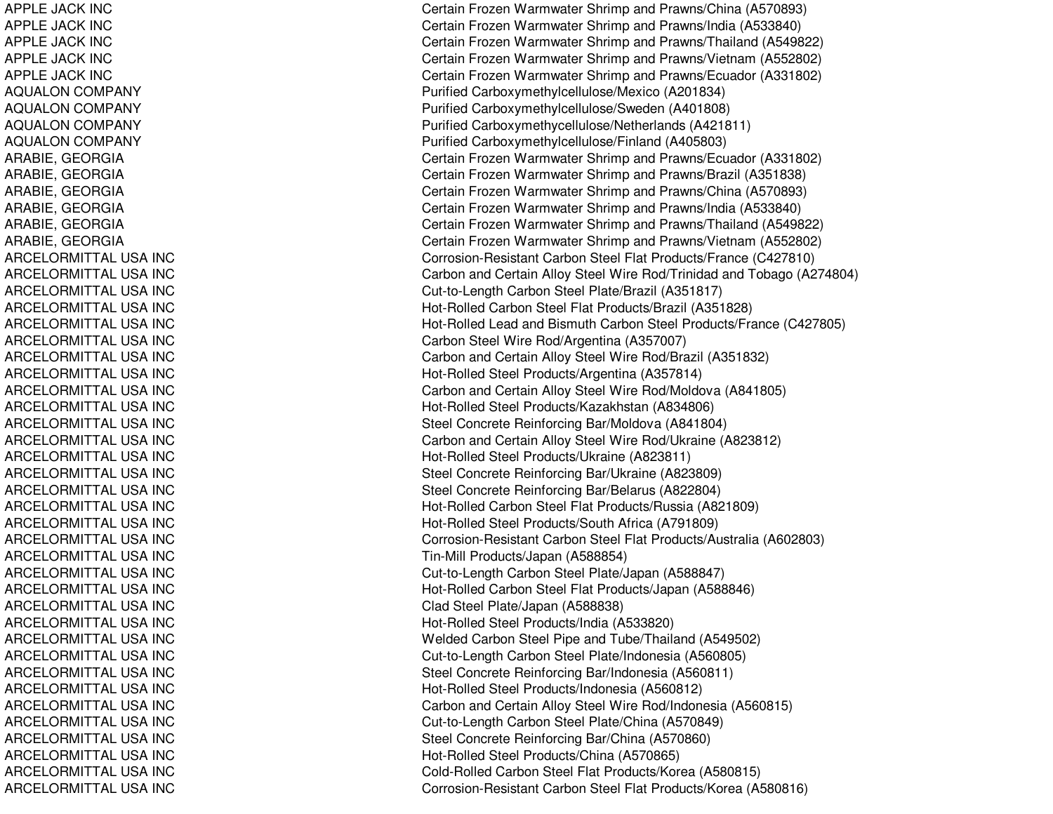APPLE JA CK INCAPPLE JA CK INCAPPL E JA CK INCAPPLE JACK INC APPLE JA CK INCAQUALON COMPANY AQUALON COMPANY AQUALON COMPANY A QU A L ON C OMP A N Y ARABIE, GEORGIA ARABIE, G EORGIAARABIE, GEORGIA ARABIE, G EORGIAARABIE, G EORGIAARABIE, GEORGIA ARCELORMITTAL USA INC ARCEL ORMIT T AL USA INCARCELORMITTAL USA INC ARCELORMITTAL USA INC A RCE L ORMIT T A L US A INCARCELORMITTAL USA INC ARCELORMITTAL USA INC ARCELORMITTAL USA INC ARCELORMITTAL USA INC ARCEL ORMITTAL USA INCARCELORMITTAL USA INC ARCELORMITTAL USA INC ARCEL ORMIT T AL USA INCARCELORMITTAL USA INC ARCELORMITTAL USA INC A RCE L ORMIT T A L US A INCARCELORMITTAL USA INC ARCELORMITTAL USA INC ARCELORMITTAL USA INC ARCELORMITTAL USA INC ARCELORMITTAL USA INC ARCELORMITTAL USA INC ARCELORMITTAL USA INC ARCEL ORMITTAL USA INCARCELORMITTAL USA INC ARCELORMITTAL USA INC ARCEL ORMIT T AL USA INCARCELORMITTAL USA INC ARCELORMITTAL USA INC A RCE L ORMIT T A L US A INCARCELORMITTAL USA INC ARCELORMITTAL USA INC ARCELORMITTAL USA INC Certain Frozen Warmwater Shrimp and Prawns/China (A570893) Certain Frozen Warmwater Shrimp and Prawns/India (A533840) Certain Frozen Warmwater Shrimp and Prawns/Thailand (A549822) Certain Frozen Warmwater Shrimp and Prawns/Vietnam (A552802) Certain Frozen Warmwater Shrimp and Prawns/Ecuador (A331802) Purifie d Carb o x y methylcellulose/M e xico (A 2 018 3 4) Purified Carboxymethylcellulose/Sweden (A401808) Purified Carboxymethycellulose/Netherlands (A421811) Purified Carboxymethylcellulose/Finland (A405803) Certain Frozen Warmwater Shrimp and Prawns/Ecuador (A331802) Certain Frozen Warmwater Shrimp and Prawns/Brazil (A351838) Certain Frozen Warmwater Shrimp and Prawns/China (A570893) Certain Frozen Warmwater Shrimp and Prawns/India (A533840) Certain Frozen Warmwater Shrimp and Prawns/Thailand (A549822) Certain Frozen Warmwater Shrimp and Prawns/Vietnam (A552802) Corrosion-Resistant Carbon Steel Flat Products/France (C427810) Carbon and Certain Alloy Steel Wire Rod/Trinidad and Tobago (A274804) Cut-to-Length Carbon Steel Plate/Brazil (A351817) Hot-Rolled Carbon Steel Flat Products/Brazil (A351828) Hot-Rolled Lead and Bismuth Carbon Steel Products/France (C427805) Carbon Steel Wire Rod/Argentina (A357007) Carbon and Certain Alloy Steel Wire Rod/Brazil (A351832) Hot-Rolled Steel Products/Argentina (A357814) Carbon and Certain Alloy Steel Wire Rod/Moldova (A841805) Hot-Rolled Steel Products/Kazakhstan (A834806) Steel Concrete Reinforcing Bar/Moldova (A841804) Carbon and Certain Alloy Steel Wire Rod/Ukraine (A823812) Hot-Rolle d Ste el Pro ducts/Ukraine (A 8 2 3 811) Steel Concrete Reinforcing Bar/Ukraine (A823809) Steel Concrete Reinforcing Bar/Belarus (A822804) Hot-Rolled Carbon Steel Flat Products/Russia (A821809) H ot-R olle d Ste el Pro ducts/S outh Africa (A 7 918 0 9) Corrosion-Resistant Carbon Steel Flat Products/Australia (A602803) Tin-Mill Pro ducts/Ja p an (A 5 8 8 8 5 4) Cut-to-Length Carbon Steel Plate/Japan (A588847) Hot-Rolled Carbon Steel Flat Products/Japan (A588846) Clad Steel Plate/Japan (A588838) Hot-Rolled Steel Products/India (A533820) Welded Carbon Steel Pipe and Tube/Thailand (A549502) Cut-to-Length Carbon Steel Plate/Indonesia (A560805) Steel Concrete Reinforcing Bar/Indonesia (A560811) Hot-Rolled Steel Products/Indonesia (A560812) Carbon and Certain Alloy Steel Wire Rod/Indonesia (A560815) Cut-to-Length C arbon Ste el Plate/China (A 570849) Steel Concrete Reinforcing Bar/China (A570860) Hot-Rolled Steel Products/China (A570865) Cold-Rolled Carbon Steel Flat Products/Korea (A580815) Corrosion-Resistant Carbon Steel Flat Products/Korea (A580816)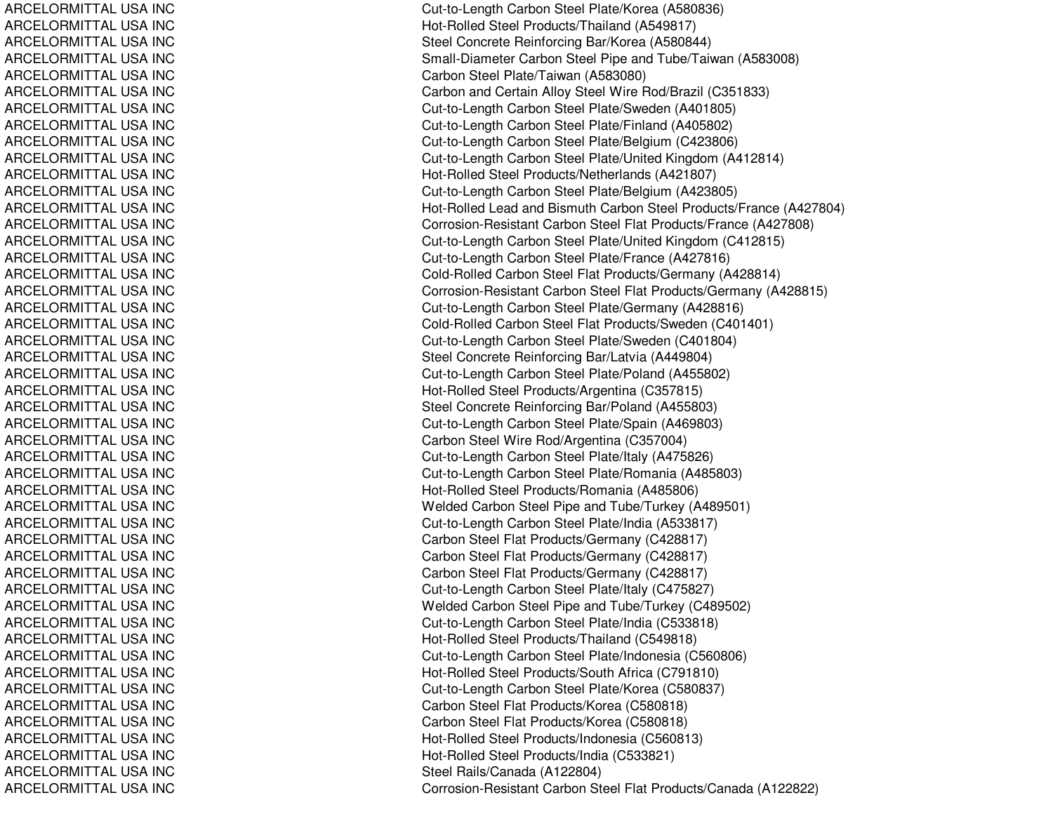ARCELORMITTAL USA INC ARCELORMITTAL USA INC ARCEL ORMIT T AL USA INCARCELORMITTAL USA INC ARCELORMITTAL USA INC ARCELORMITTAL USA INC ARCELORMITTAL USA INC ARCELORMITTAL USA INC ARCELORMITTAL USA INC ARCELORMITTAL USA INC ARCELORMITTAL USA INC ARCELORMITTAL USA INC ARCELORMITTAL USA INC ARCEL ORMITTAL USA INCARCELORMITTAL USA INC ARCELORMITTAL USA INC ARCEL ORMIT T AL USA INCARCELORMITTAL USA INC ARCELORMITTAL USA INC A RCE L ORMIT T A L US A INCARCELORMITTAL USA INC ARCELORMITTAL USA INC ARCELORMITTAL USA INC ARCELORMITTAL USA INC ARCEL ORMITTAL USA INCARCELORMITTAL USA INC ARCELORMITTAL USA INC ARCEL ORMIT T AL USA INCARCELORMITTAL USA INC ARCELORMITTAL USA INC ARCELORMITTAL USA INC ARCELORMITTAL USA INC ARCELORMITTAL USA INC ARCELORMITTAL USA INC ARCELORMITTAL USA INC ARCELORMITTAL USA INC ARCELORMITTAL USA INC ARCELORMITTAL USA INC ARCEL ORMITTAL USA INCARCELORMITTAL USA INC ARCELORMITTAL USA INC ARCELORMITTAL USA INC ARCELORMITTAL USA INC ARCELORMITTAL USA INC A RCE L ORMIT T A L US A INCARCELORMITTAL USA INC ARCELORMITTAL USA INC ARCELORMITTAL USA INC Cut-to-Length Carbon Steel Plate/Korea (A580836) Hot-Rolled Steel Products/Thailand (A549817) Ste el Concrete Reinforcing Bar/Kore a (A 5 8 0 8 4 4) Small-Diameter Carbon Steel Pipe and Tube/Taiwan (A583008) Carbon Steel Plate/Taiwan (A583080) Carbon and Certain Alloy Steel Wire Rod/Brazil (C351833) Cut-to-Length Carbon Steel Plate/Sweden (A401805) Cut-to-Length C arbon Ste el Plate/Finland (A 405802) Cut-to-Length Carbon Steel Plate/Belgium (C423806) Cut-to-Length Carbon Steel Plate/United Kingdom (A412814) Hot-Rolled Steel Products/Netherlands (A421807) Cut-to-Length Carbon Steel Plate/Belgium (A423805) Hot-Rolled Lead and Bismuth Carbon Steel Products/France (A427804) Corrosion-Resistant Carbon Steel Flat Products/France (A427808) Cut-to-Length Carbon Steel Plate/United Kingdom (C412815) Cut-to-Length Carbon Steel Plate/France (A427816) Cold-Rolled Carbon Steel Flat Products/Germany (A428814) Corrosion-Resistant Carbon Steel Flat Products/Germany (A428815) Cut-to-Length C arbon Ste el Plate/Germany (A 428816) Cold-Rolled Carbon Steel Flat Products/Sweden (C401401) Cut-to-Length Carbon Steel Plate/Sweden (C401804) Steel Concrete Reinforcing Bar/Latvia (A449804) Cut-to-Length Carbon Steel Plate/Poland (A455802) Hot-Rolled Steel Products/Argentina (C357815) Steel Concrete Reinforcing Bar/Poland (A455803) Cut-to-Length Carbon Steel Plate/Spain (A469803) Carbon Steel Wire Rod/Argentina (C357004) Cut-to-Length Carbon Steel Plate/Italy (A475826) Cut-to-Length Carbon Steel Plate/Romania (A485803) Hot-Rolled Steel Products/Romania (A485806) Welded Carbon Steel Pipe and Tube/Turkey (A489501) Cut-to-Length Carbon Steel Plate/India (A533817) Carbon Steel Flat Products/Germany (C428817) Carbon Steel Flat Products/Germany (C428817) Carbon Steel Flat Products/Germany (C428817) Cut-to-Length C arbon Ste el Plate/Italy (C 475827) Welded Carbon Steel Pipe and Tube/Turkey (C489502) Cut-to-Length Carbon Steel Plate/India (C533818) H ot-R olle d Ste el Pro ducts/Thailand (C 5 4 9 818) Cut-to-Length Carbon Steel Plate/Indonesia (C560806) H ot-R olle d Ste el Pro ducts/S outh Africa (C 7 91810) Cut-to-Length Carbon Steel Plate/Korea (C580837) C arb on Ste el Flat Pro ducts/K ore a (C 5 8 0 818) Carbon Steel Flat Products/Korea (C580818) Hot-Rolled Steel Products/Indonesia (C560813) H ot-R olle d Ste el Pro ducts/India (C 5 3 3 8 21) Ste el R ails/C ana d a (A12 2 8 0 4) Corrosion-Resistant Carbon Steel Flat Products/Canada (A122822)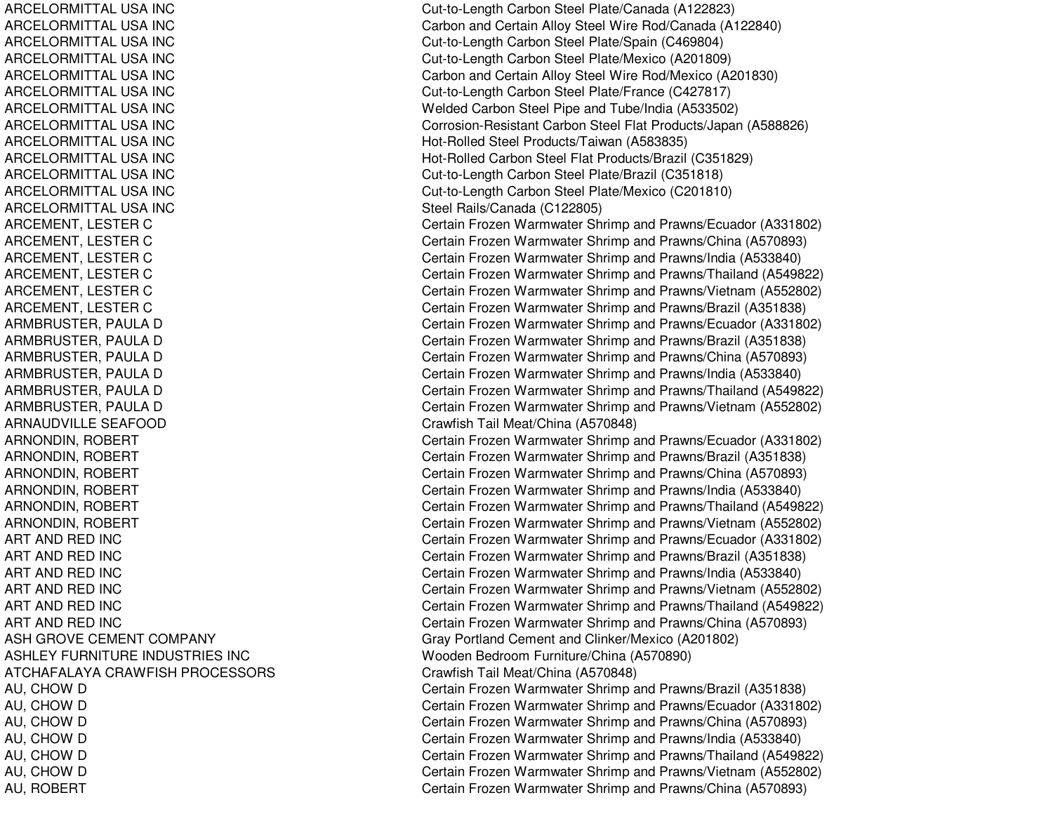ARCELORMITTAL USA INCARCELORMITTAL USA INCARCELORMITTAL USA INCARCELORMITTAL USA INCARCELORMITTAL USA INCARCELORMITTAL USA INCARCELORMITTAL USA INCARCELORMITTAL USA INCARCELORMITTAL USA INCARCELORMITTAL USA INCARCELORMITTAL USA INCARCELORMITTAL USA INCARCELORMITTAL USA INCARNAUDVILLE SEAFOODART ANDART ANDART ANDART ANDART ANDART ANDASH GROVE CEMENT COMPANY ASHLEY FURNITURE INDUSTRIES INCATCHAFALAYA CRAWFISHAU, ROBERT Certain Frozen Warmwater Shrimp and Prawns/China (A570893)

 Cut-to-Length Carbon Steel Plate/Canada (A122823) Carbon and Certain Alloy Steel Wire Rod/Canada (A122840) Cut-to-Length Carbon Steel Plate/Spain (C469804) Cut-to-Length Carbon Steel Plate/Mexico (A201809) Carbon and Certain Alloy Steel Wire Rod/Mexico (A201830) Cut-to-Length Carbon Steel Plate/France (C427817) Welded Carbon Steel Pipe and Tube/India (A533502) Corrosion-Resistant Carbon Steel Flat Products/Japan (A588826) Hot-Rolled Steel Products/Taiwan (A583835) Hot-Rolled Carbon Steel Flat Products/Brazil (C351829) Cut-to-Length Carbon Steel Plate/Brazil (C351818) Cut-to-Length Carbon Steel Plate/Mexico (C201810) Steel Rails/Canada (C122805) ARCEMENT, LESTER C Certain Frozen Warmwater Shrimp and Prawns/Ecuador (A331802) ARCEMENT, LESTER C Certain Frozen Warmwater Shrimp and Prawns/China (A570893) ARCEMENT, LESTER C Certain Frozen Warmwater Shrimp and Prawns/India (A533840) ARCEMENT, LESTER C Certain Frozen Warmwater Shrimp and Prawns/Thailand (A549822) ARCEMENT, LESTER C Certain Frozen Warmwater Shrimp and Prawns/Vietnam (A552802) ARCEMENT, LESTER C Certain Frozen Warmwater Shrimp and Prawns/Brazil (A351838) ARMBRUSTER, PAULA D Certain Frozen Warmwater Shrimp and Prawns/Ecuador (A331802) ARMBRUSTER, PAULA D Certain Frozen Warmwater Shrimp and Prawns/Brazil (A351838) ARMBRUSTER, PAULA D Certain Frozen Warmwater Shrimp and Prawns/China (A570893) ARMBRUSTER, PAULA D Certain Frozen Warmwater Shrimp and Prawns/India (A533840) ARMBRUSTER, PAULA D Certain Frozen Warmwater Shrimp and Prawns/Thailand (A549822) ARMBRUSTER, PAULA D Certain Frozen Warmwater Shrimp and Prawns/Vietnam (A552802) Crawfish Tail Meat/China (A570848) ARNONDIN, ROBERT Certain Frozen Warmwater Shrimp and Prawns/Ecuador (A331802) ARNONDIN, ROBERT Certain Frozen Warmwater Shrimp and Prawns/Brazil (A351838) ARNONDIN, ROBERT Certain Frozen Warmwater Shrimp and Prawns/China (A570893) ARNONDIN, ROBERT Certain Frozen Warmwater Shrimp and Prawns/India (A533840) ARNONDIN, ROBERT Certain Frozen Warmwater Shrimp and Prawns/Thailand (A549822) ARNONDIN, ROBERT Certain Frozen Warmwater Shrimp and Prawns/Vietnam (A552802) Certain Frozen Warmwater Shrimp and Prawns/Ecuador (A331802) Certain Frozen Warmwater Shrimp and Prawns/Brazil (A351838) Certain Frozen Warmwater Shrimp and Prawns/India (A533840) Certain Frozen Warmwater Shrimp and Prawns/Vietnam (A552802) Certain Frozen Warmwater Shrimp and Prawns/Thailand (A549822) Certain Frozen Warmwater Shrimp and Prawns/China (A570893) Gray Portland Cement and Clinker/Mexico (A201802) Wooden Bedroom Furniture/China (A570890) Crawfish Tail Meat/China (A570848) AU, CHOW D Certain Frozen Warmwater Shrimp and Prawns/Brazil (A351838) AU, CHOW D Certain Frozen Warmwater Shrimp and Prawns/Ecuador (A331802) AU, CHOW D Certain Frozen Warmwater Shrimp and Prawns/China (A570893) AU, CHOW D Certain Frozen Warmwater Shrimp and Prawns/India (A533840) AU, CHOW D Certain Frozen Warmwater Shrimp and Prawns/Thailand (A549822) AU, CHOW D Certain Frozen Warmwater Shrimp and Prawns/Vietnam (A552802)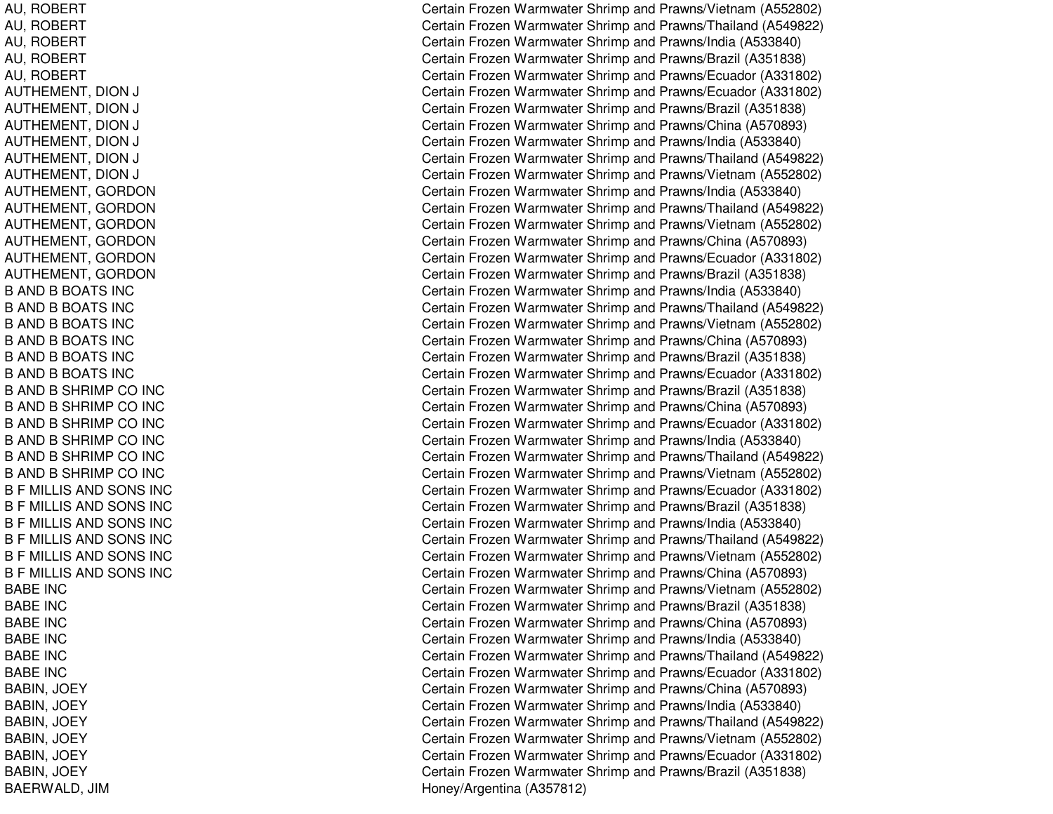AU, R OBERTAU, R OBERTAU, R OBERT AU, ROBERT AU, R OBERTAUTHEMENT, DION NJ COMERCIAL COMMUNISTIC AUTHEMENT, DION NJ C AUTHEMENT, DIO NNJ C AUTHEMENT, DION NJ C AUTHEMENT, DION NJ COMERCIAL COMMUNISTIC AUTHEMENT, DIO NNJ C AUTHEMENT, GORDON AUTHEMENT, G ORDONAUTHEMENT, G ORDONAUTHEMENT, GORDON AUTHEMENT, G ORDONAUT HEMENT, G ORDONB AND B BOATS INC B AND B BOATS INC B AND B BOATS INC B AND B BOATS INC B AND B BOATS INC B AND B BOATS INC B AND B SHRIMP CO INC B AND B SHRIMP CO INC B AND B SHRIMP CO INC B AND B SHRIMP CO INC B AND B SHRIMP CO INC B AND B SHRIMP CO INC B F MILLIS AND SONS INC B F MILLIS AND SONS INC B F MILLIS AND SONS INC B F MILLIS AND SONS INC B F MILLIS AND SONS INC B F MILLIS AND SONS INC BABE INCBABE INCBABE INCBABE INCBABE INCBABE INCBABIN, JO EYB A BIN, JO E Y B A BIN, JO E Y B A BIN, JO E Y B A BIN, JO E Y BABIN, JO EYB A E R WA L D, JIM

Certain Frozen Warmwater Shrimp and Prawns/Vietnam (A552802) Certain Frozen Warmwater Shrimp and Prawns/Thailand (A549822) Certain Frozen Warmwater Shrimp and Prawns/India (A533840) Certain Frozen Warmwater Shrimp and Prawns/Brazil (A351838) Certain Frozen Warmwater Shrimp and Prawns/Ecuador (A331802) ertain Frozen Warmwater Shrimp and Prawns/Ecuador (A331802) ertain Frozen Warmwater Shrimp and Prawns/Brazil (A351838) ertain Frozen Warmwater Shrimp and Prawns/China (A570893) ertain Frozen Warmwater Shrimp and Prawns/India (A533840) ertain Frozen Warmwater Shrimp and Prawns/Thailand (A549822) ertain Frozen Warmwater Shrimp and Prawns/Vietnam (A552802) Certain Frozen Warmwater Shrimp and Prawns/India (A533840) Certain Frozen Warmwater Shrimp and Prawns/Thailand (A549822) Certain Frozen Warmwater Shrimp and Prawns/Vietnam (A552802) Certain Frozen Warmwater Shrimp and Prawns/China (A570893) Certain Frozen Warmwater Shrimp and Prawns/Ecuador (A331802) Certain Frozen Warmwater Shrimp and Prawns/Brazil (A351838) Certain Frozen Warmwater Shrimp and Prawns/India (A533840) Certain Frozen Warmwater Shrimp and Prawns/Thailand (A549822) Certain Frozen Warmwater Shrimp and Prawns/Vietnam (A552802) Certain Frozen Warmwater Shrimp and Prawns/China (A570893) Certain Frozen Warmwater Shrimp and Prawns/Brazil (A351838) Certain Frozen Warmwater Shrimp and Prawns/Ecuador (A331802) Certain Frozen Warmwater Shrimp and Prawns/Brazil (A351838) Certain Frozen Warmwater Shrimp and Prawns/China (A570893) Certain Frozen Warmwater Shrimp and Prawns/Ecuador (A331802) Certain Frozen Warmwater Shrimp and Prawns/India (A533840) Certain Frozen Warmwater Shrimp and Prawns/Thailand (A549822) Certain Frozen Warmwater Shrimp and Prawns/Vietnam (A552802) Certain Frozen Warmwater Shrimp and Prawns/Ecuador (A331802) Certain Frozen Warmwater Shrimp and Prawns/Brazil (A351838) Certain Frozen Warmwater Shrimp and Prawns/India (A533840) Certain Frozen Warmwater Shrimp and Prawns/Thailand (A549822) Certain Frozen Warmwater Shrimp and Prawns/Vietnam (A552802) Certain Frozen Warmwater Shrimp and Prawns/China (A570893) Certain Frozen Warmwater Shrimp and Prawns/Vietnam (A552802) Certain Frozen Warmwater Shrimp and Prawns/Brazil (A351838) Certain Frozen Warmwater Shrimp and Prawns/China (A570893) Certain Frozen Warmwater Shrimp and Prawns/India (A533840) Certain Frozen Warmwater Shrimp and Prawns/Thailand (A549822) Certain Frozen Warmwater Shrimp and Prawns/Ecuador (A331802) Certain Frozen Warmwater Shrimp and Prawns/China (A570893) Certain Frozen Warmwater Shrimp and Prawns/India (A533840) Certain Frozen Warmwater Shrimp and Prawns/Thailand (A549822) Certain Frozen Warmwater Shrimp and Prawns/Vietnam (A552802) Certain Frozen Warmwater Shrimp and Prawns/Ecuador (A331802) Certain Frozen Warmwater Shrimp and Prawns/Brazil (A351838) H one y/Arg entina (A 3 5 7 812)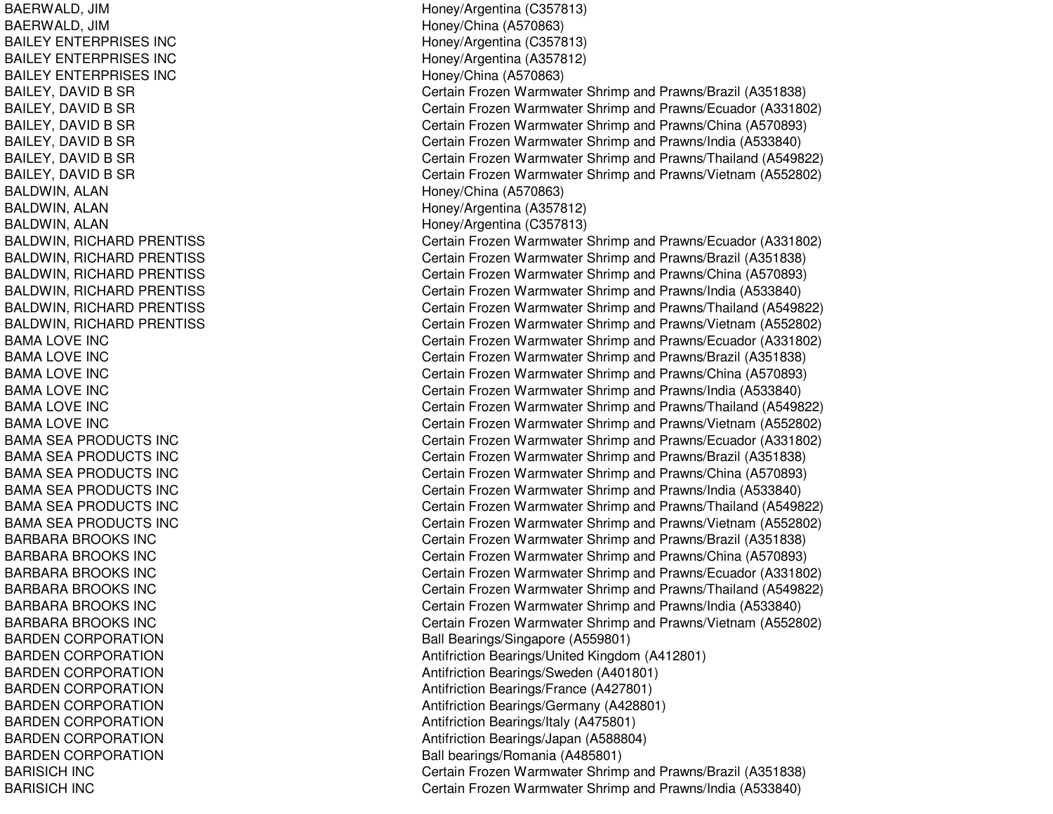BAERWALD, JIM BAERWALD, JIM BAILEY ENTERPRISES INC BAILEY ENTERPRISES INC BAILEY ENTERPRISES INC BAILEY, DAVID B SR BAILEY, DAVID B SR BAILEY, DAVID B SR BAILEY, DAVID B SR BAILEY, DAVID B SR BAILEY, DAVID B SR BALDWIN, ALAN BALDWIN, A LANBAL DWIN, A L ANBALDWIN, RICHARD PRENTISS BALDWIN, RICHARD PRENTISS BALDWIN, RICHARD PRENTISS BALDWIN, RICHARD PRENTISS BALDWIN, RICHARD PRENTISS BALDWIN, RICHARD PRENTISS BAMA LOVE INC BAMA LOVE INC BAMA LOVE INC BAMA LOVE INC BAMA LOVE INC BAMA LOVE INC BAMA SEA PRODUCTS INC BAMA SEA PRODUCTS INC BAMA SEA PRODUCTS INC BAMA SEA PRODUCTS INC B A MA S E A P RODUCT S INCBAMA SEA PRODUCTS INC BARBARA BROOKS INC BARBARA BROOKS INC BARBARA BROOKS INC BARBARA BROOKS INC BARBARA BROOKS INC BARBARA BROOKS INC BARDEN CORPORATION BARDEN CORPORATION BARDEN CORPORATION BARDEN CORPORATION BARDEN CORPORATION BARDEN CORPORATION BARDEN CORPORATION BARDEN CORPORATION BARISICH IN CBARISICH IN C

H one y/Arg entina (C 3 5 7 813) Honey/China (A 570863) Hone y/Arg entina (C 3 5 7 813) H one y/Arg entina (A 3 5 7 812) Honey/China (A 570863) Certain Frozen Warmwater Shrimp and Prawns/Brazil (A351838) Certain Frozen Warmwater Shrimp and Prawns/Ecuador (A331802) Certain Frozen Warmwater Shrimp and Prawns/China (A570893) Certain Frozen Warmwater Shrimp and Prawns/India (A533840) Certain Frozen Warmwater Shrimp and Prawns/Thailand (A549822) Certain Frozen Warmwater Shrimp and Prawns/Vietnam (A552802) Honey/China (A570863) Honey/Arg entina (A 357812) Hone y/Arg entina (C 3 5 7 813) Certain Frozen Warmwater Shrimp and Prawns/Ecuador (A331802) Certain Frozen Warmwater Shrimp and Prawns/Brazil (A351838) Certain Frozen Warmwater Shrimp and Prawns/China (A570893) Certain Frozen Warmwater Shrimp and Prawns/India (A533840) Certain Frozen Warmwater Shrimp and Prawns/Thailand (A549822) Certain Frozen Warmwater Shrimp and Prawns/Vietnam (A552802) Certain Frozen Warmwater Shrimp and Prawns/Ecuador (A331802) Certain Frozen Warmwater Shrimp and Prawns/Brazil (A351838) Certain Frozen Warmwater Shrimp and Prawns/China (A570893) Certain Frozen Warmwater Shrimp and Prawns/India (A533840) Certain Frozen Warmwater Shrimp and Prawns/Thailand (A549822) Certain Frozen Warmwater Shrimp and Prawns/Vietnam (A552802) Certain Frozen Warmwater Shrimp and Prawns/Ecuador (A331802) Certain Frozen Warmwater Shrimp and Prawns/Brazil (A351838) Certain Frozen Warmwater Shrimp and Prawns/China (A570893) Certain Frozen Warmwater Shrimp and Prawns/India (A533840) Certain Frozen Warmwater Shrimp and Prawns/Thailand (A549822) Certain Frozen Warmwater Shrimp and Prawns/Vietnam (A552802) Certain Frozen Warmwater Shrimp and Prawns/Brazil (A351838) Certain Frozen Warmwater Shrimp and Prawns/China (A570893) Certain Frozen Warmwater Shrimp and Prawns/Ecuador (A331802) Certain Frozen Warmwater Shrimp and Prawns/Thailand (A549822) Certain Frozen Warmwater Shrimp and Prawns/India (A533840) Certain Frozen Warmwater Shrimp and Prawns/Vietnam (A552802) Ball Bearings/Singapore (A559801) Antifriction Bearings/United Kingdom (A412801) Antifriction Bearings/Sweden (A401801) Antifriction Be arings/France (A 4 2 7 8 01) Antifriction Bearings/Germany (A428801) Antifriction Bearings/Italy (A 475801) Antifriction Bearings/Japan (A588804) Ball bearings/Romania (A485801) Certain Frozen Warmwater Shrimp and Prawns/Brazil (A351838) Certain Frozen Warmwater Shrimp and Prawns/India (A533840)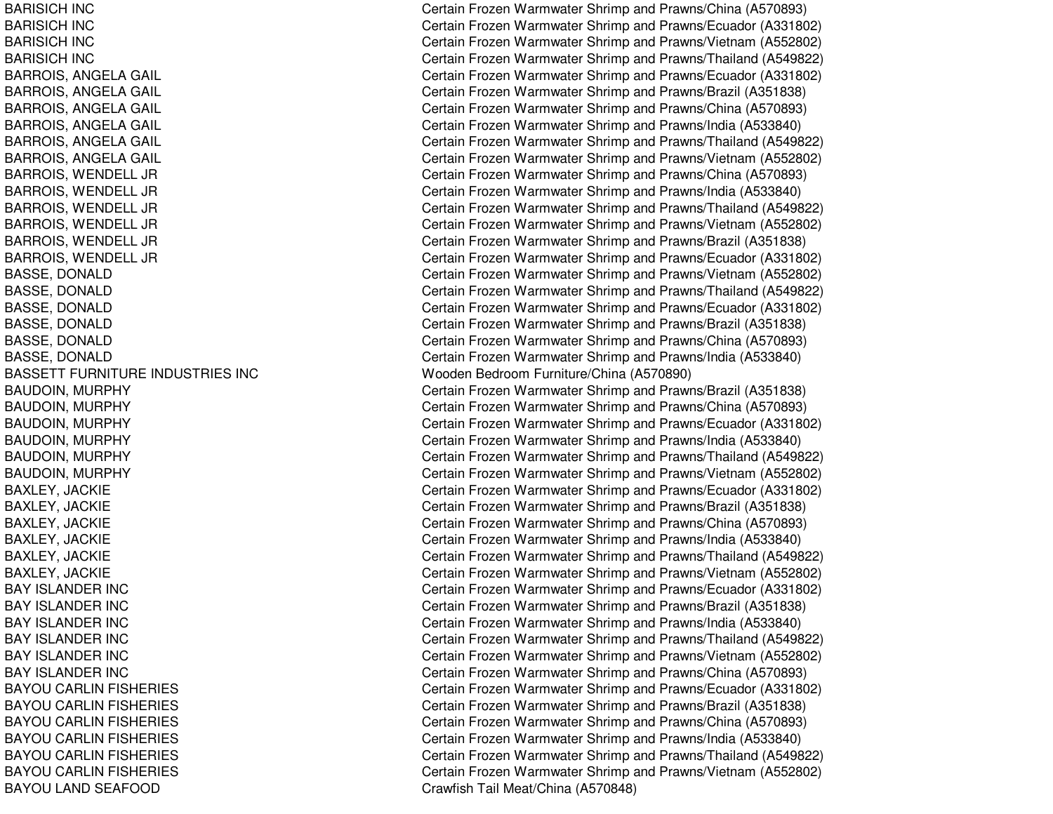BARISICH IN CBARISICH IN CBARISICH IN CBARISICH IN CBARROIS, A NGELAGAILB A RROIS, A NGE L A GAIL BARROIS, ANGELA GAIL BARROIS, A NGELAGAILB A R R OIS, A N GE L A GAIL BARROIS, ANGELA GAIL BARROIS, W ENDELL JRB A R R OIS, W E N D E L L JR BARROIS, W ENDELL JRBARROIS, W ENDEL L JRB A R R OIS, W E N D E L L JR BARROIS, W ENDELL JRBASSE, D ONAL DBASSE, DONALD BASSE, D ONALDB A S S E, D ONA L DBASSE, DONALD BASSE, D ONALDBASSETT FURNITURE INDUSTRIES INC BAUDOIN, M URPHYBAUDOIN, M URPHYB A U D OIN, M U R P H Y BAUDOIN, M URPHYBAUDOIN, M URPHYB A U D OIN, M U R P H Y BAXLEY, JA CKIEB A X L E Y, JA CKIE BAXLEY, JACKIE BAXLEY, JACKIE BAXLEY, JACKIE BAXLEY, JACKIE BAY IS LANDER IN CBAY ISLANDER INC BAY IS LANDER IN CBAY IS LANDER IN CBAY IS LANDER IN CBAY IS LANDER IN CBAYOU CARLIN FISHERIES BAYOU CARLIN FISHERIES BAYOU CARLIN FISHERIES BAYOU CARLIN FISHERIES BAYOU CARLIN FISHERIES BAYOU CARLIN FISHERIES BAYOU LAND SEAFOOD

Certain Frozen Warmwater Shrimp and Prawns/China (A570893) Certain Frozen Warmwater Shrimp and Prawns/Ecuador (A331802) Certain Frozen Warmwater Shrimp and Prawns/Vietnam (A552802) Certain Frozen Warmwater Shrimp and Prawns/Thailand (A549822) Certain Frozen Warmwater Shrimp and Prawns/Ecuador (A331802) Certain Frozen Warmwater Shrimp and Prawns/Brazil (A351838) Certain Frozen Warmwater Shrimp and Prawns/China (A570893) Certain Frozen Warmwater Shrimp and Prawns/India (A533840) Certain Frozen Warmwater Shrimp and Prawns/Thailand (A549822) Certain Frozen Warmwater Shrimp and Prawns/Vietnam (A552802) Certain Frozen Warmwater Shrimp and Prawns/China (A570893) Certain Frozen Warmwater Shrimp and Prawns/India (A533840) Certain Frozen Warmwater Shrimp and Prawns/Thailand (A549822) Certain Frozen Warmwater Shrimp and Prawns/Vietnam (A552802) Certain Frozen Warmwater Shrimp and Prawns/Brazil (A351838) Certain Frozen Warmwater Shrimp and Prawns/Ecuador (A331802) Certain Frozen Warmwater Shrimp and Prawns/Vietnam (A552802) Certain Frozen Warmwater Shrimp and Prawns/Thailand (A549822) Certain Frozen Warmwater Shrimp and Prawns/Ecuador (A331802) Certain Frozen Warmwater Shrimp and Prawns/Brazil (A351838) Certain Frozen Warmwater Shrimp and Prawns/China (A570893) Certain Frozen Warmwater Shrimp and Prawns/India (A533840) Wooden Bedroom Furniture/China (A570890) Certain Frozen Warmwater Shrimp and Prawns/Brazil (A351838) Certain Frozen Warmwater Shrimp and Prawns/China (A570893) Certain Frozen Warmwater Shrimp and Prawns/Ecuador (A331802) Certain Frozen Warmwater Shrimp and Prawns/India (A533840) Certain Frozen Warmwater Shrimp and Prawns/Thailand (A549822) Certain Frozen Warmwater Shrimp and Prawns/Vietnam (A552802) Certain Frozen Warmwater Shrimp and Prawns/Ecuador (A331802) Certain Frozen Warmwater Shrimp and Prawns/Brazil (A351838) Certain Frozen Warmwater Shrimp and Prawns/China (A570893) Certain Frozen Warmwater Shrimp and Prawns/India (A533840) Certain Frozen Warmwater Shrimp and Prawns/Thailand (A549822) Certain Frozen Warmwater Shrimp and Prawns/Vietnam (A552802) Certain Frozen Warmwater Shrimp and Prawns/Ecuador (A331802) Certain Frozen Warmwater Shrimp and Prawns/Brazil (A351838) Certain Frozen Warmwater Shrimp and Prawns/India (A533840) Certain Frozen Warmwater Shrimp and Prawns/Thailand (A549822) Certain Frozen Warmwater Shrimp and Prawns/Vietnam (A552802) Certain Frozen Warmwater Shrimp and Prawns/China (A570893) Certain Frozen Warmwater Shrimp and Prawns/Ecuador (A331802) Certain Frozen Warmwater Shrimp and Prawns/Brazil (A351838) Certain Frozen Warmwater Shrimp and Prawns/China (A570893) Certain Frozen Warmwater Shrimp and Pra wns/India (A 5 3 3 8 4 0) Certain Frozen Warmwater Shrimp and Prawns/Thailand (A549822) Certain Frozen Warmwater Shrimp and Prawns/Vietnam (A552802) Cra wfish T ail Me at/China (A 5 7 0 8 4 8)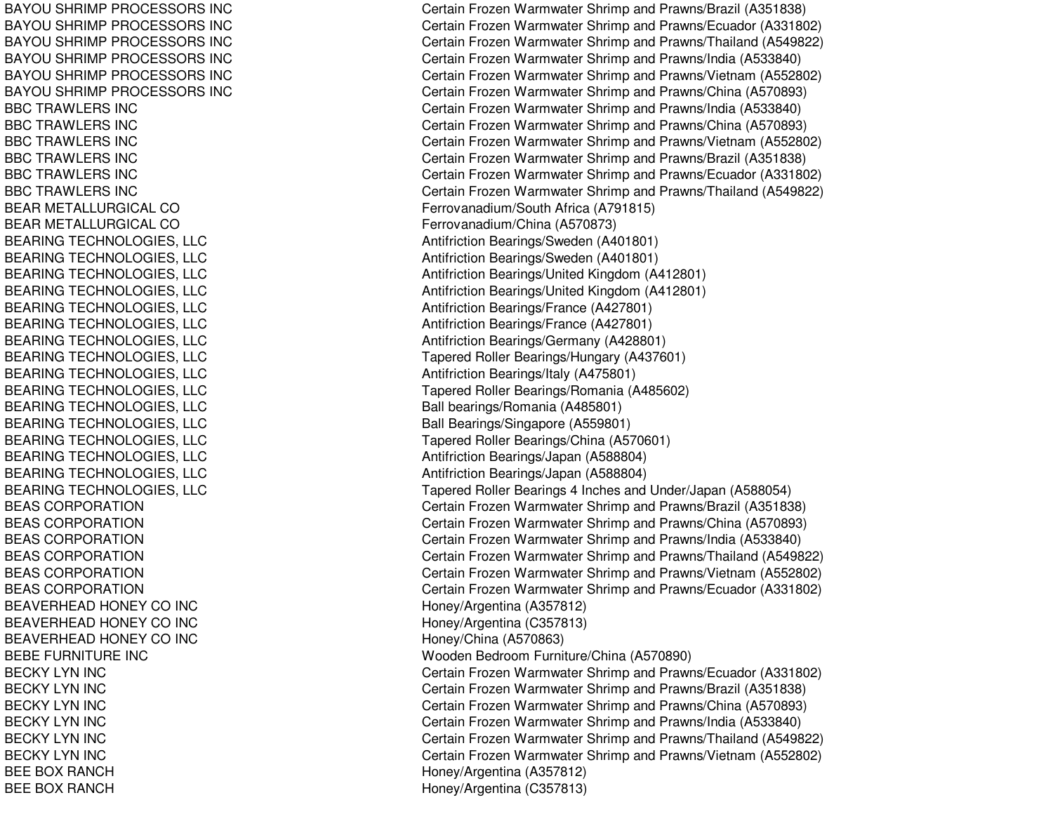BAYOU SHRIMP PROCESSORS INC BAYOU SHRIMP PROCESSORS INC BAYOU SHRIMP PROCESSORS INC BAYOU SHRIMP PROCESSORS INC BAYOU SHRIMP PROCESSORS INC BAYOU SHRIMP PROCESSORS INC BBC TRAWLERS INC BBC TRAWLERS INC BBC TRAWLERS INC BBC TRAWLERS INC BBC TRAWLERS INC BBC TRAWLERS INC BEAR METALLURGICAL CO BEAR METALLURGICAL CO BEARING TECHNOLOGIES, LLC BEARING TECHNOLOGIES, LLC BEARING TECHNOLOGIES, LLC BEARING TECHNOLOGIES, LLC BEARING TECHNOLOGIES, LLC BEARING TECHNOLOGIES, LLC BEARING TECHNOLOGIES, LLC BEARING TECHNOLOGIES, LLC BEARING TECHNOLOGIES, LLC BEARING TECHNOLOGIES, LLC BEARING TECHNOLOGIES, LLC BEARING TECHNOLOGIES, LLC BEARING TECHNOLOGIES, LLC BEARING TECHNOLOGIES, LLC BEARING TECHNOLOGIES, LLC BEARING TECHNOLOGIES, LLC B E A S CORP ORA TIONBEAS CORPORATION BEAS CORPORATION BEAS CORPORATION BEAS CORPORATION BEAS CORPORATION BEAVERHEAD HONEY CO INC BEAVERHEAD HONEY CO INC BEAVERHEAD HONEY CO INC BEBE FURNITURE INC BECKY LYN INC BECKY LYN INC BECKY LYN INC BECKY LYN INC B E CK Y L Y N IN CBECKY LYN INC BEE BOX RANCH BEE BOX RANCH

Certain Frozen Warmwater Shrimp and Prawns/Brazil (A351838) Certain Frozen Warmwater Shrimp and Prawns/Ecuador (A331802) Certain Frozen Warmwater Shrimp and Prawns/Thailand (A549822) Certain Frozen Warmwater Shrimp and Prawns/India (A533840) Certain Frozen Warmwater Shrimp and Prawns/Vietnam (A552802) Certain Frozen Warmwater Shrimp and Prawns/China (A570893) Certain Frozen Warmwater Shrimp and Prawns/India (A533840) Certain Frozen Warmwater Shrimp and Prawns/China (A570893) Certain Frozen Warmwater Shrimp and Prawns/Vietnam (A552802) C ertain Frozen W arm w ater Shrim p and Pra wns/Brazil (A 3 518 3 8) Certain Frozen Warmwater Shrimp and Prawns/Ecuador (A331802) Certain Frozen Warmwater Shrimp and Prawns/Thailand (A549822) Ferrovanadium/South Africa (A 791815) Ferro v ana dium/China (A 5 7 0 8 7 3) Antifriction Bearings/Sweden (A401801) Antifriction Bearings/Sweden (A401801) Antifriction Bearings/United Kingdom (A412801) Antifriction Bearings/United Kingdom (A412801) Antifriction Bearings/France (A 427801) Antifriction B e arings/France (A 4 2 7 8 01) Antifriction B e arings/G erm any (A 4 2 8 8 01) Tapered Roller Bearings/Hungary (A437601) Antifriction B e arings/Italy (A 4 7 5 8 01) Tapered Roller Bearings/Romania (A485602) Ball bearings/Romania (A485801) Ball Bearings/Singapore (A559801) Tapered Roller Bearings/China (A570601) Antifriction Be arings/Ja p an (A 5 8 8 8 0 4) Antifriction Bearings/Japan (A588804) Tapered Roller Bearings 4 Inches and Under/Japan (A588054) Certain Frozen Warmwater Shrimp and Prawns/Brazil (A351838) Certain Frozen Warmwater Shrimp and Prawns/China (A570893) Certain Frozen Warmwater Shrimp and Prawns/India (A533840) Certain Frozen Warmwater Shrimp and Prawns/Thailand (A549822) Certain Frozen Warmwater Shrimp and Prawns/Vietnam (A552802) Certain Frozen Warmwater Shrimp and Prawns/Ecuador (A331802) H one y/Arg entina (A 3 5 7 812) H one y/Arg entina (C 3 5 7 813) H one y/China (A 5 7 0 8 6 3) Wooden Bedroom Furniture/China (A570890) Certain Frozen Warmwater Shrimp and Prawns/Ecuador (A331802) Certain Frozen Warmwater Shrimp and Prawns/Brazil (A351838) Certain Frozen Warmwater Shrimp and Prawns/China (A570893) Certain Frozen Warmwater Shrimp and Prawns/India (A533840) Certain Frozen Warmwater Shrimp and Prawns/Thailand (A549822) Certain Frozen Warmwater Shrimp and Prawns/Vietnam (A552802) Honey/Arg entina (A 357812) H one y/Arg entina (C 3 5 7 813)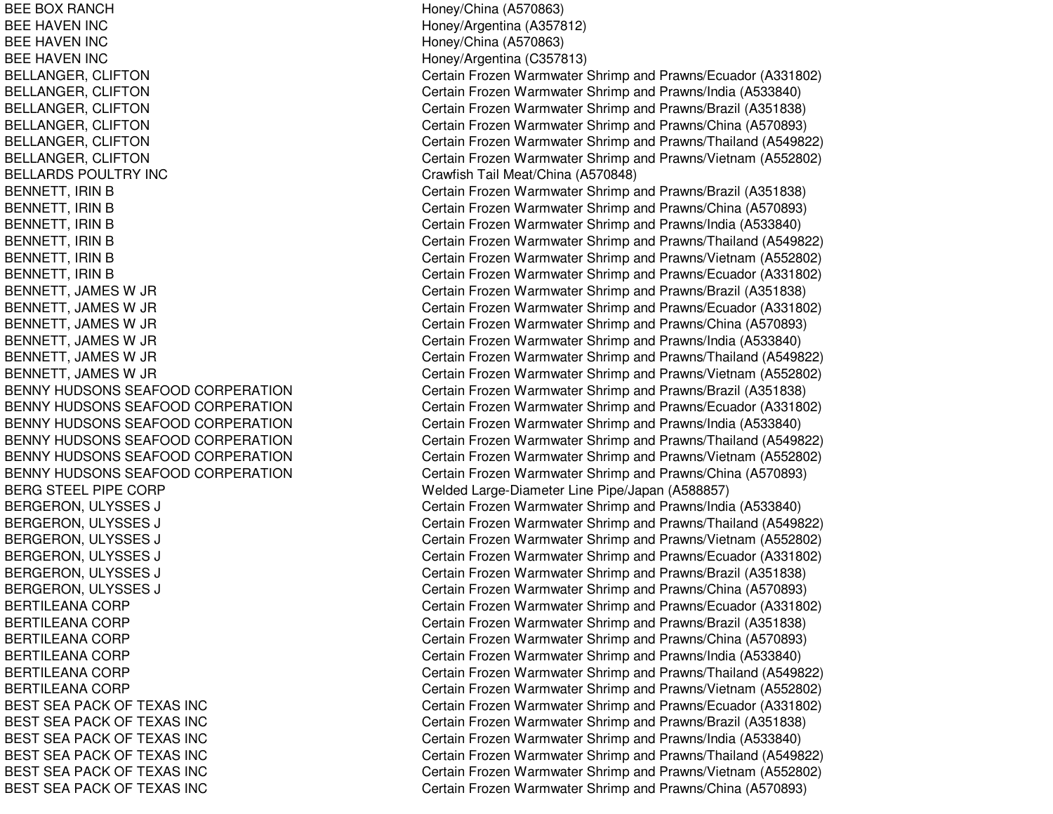BEE BOX RANCHBEE HAVENBEE HAVENBEE HAVENBELLARDS POULTRY INCBENNY HUDSONS SEAFOODBENNY HUDSONS SEAFOODBENNY HUDSONS SEAFOODBENNY HUDSONS SEAFOODBENNY HUDSONS SEAFOODBENNY HUDSONS SEAFOOD**BERG STEEL PIPE CORP** BERTILEANA CORP BERTILEANA CORP BERTILEANA CORP BERTILEANA**BERTILEANA CORP** BERTILEANA CORP BEST SEA PACK OF TEXAS INCBEST SEA PACK OF TEXAS INCBEST SEA PACK OF TEXAS INCBEST SEA PACK OF TEXAS INCBEST SEA PACK OF TEXAS INCBEST SEA PACK OF TEXAS INC

 Honey/China (A570863) Honey/Argentina (A357812) Honey/China (A570863) Honey/Argentina (C357813) BELLANGER, CLIFTON Certain Frozen Warmwater Shrimp and Prawns/Ecuador (A331802) BELLANGER, CLIFTON Certain Frozen Warmwater Shrimp and Prawns/India (A533840) BELLANGER, CLIFTON **Certain Frozen Warmwater Shrimp and Prawns/Brazil (A351838)** BELLANGER, CLIFTON Certain Frozen Warmwater Shrimp and Prawns/China (A570893) BELLANGER, CLIFTON Certain Frozen Warmwater Shrimp and Prawns/Thailand (A549822) BELLANGER, CLIFTON Certain Frozen Warmwater Shrimp and Prawns/Vietnam (A552802) Crawfish Tail Meat/China (A570848) BENNETT, IRIN B **BENNETT, IRIN B** 251838) BENNETT, IRIN B Certain Frozen Warmwater Shrimp and Prawns/China (A570893) BENNETT, IRIN B Certain Frozen Warmwater Shrimp and Prawns/India (A533840) BENNETT, IRIN B Certain Frozen Warmwater Shrimp and Prawns/Thailand (A549822) BENNETT, IRIN B Certain Frozen Warmwater Shrimp and Prawns/Vietnam (A552802) BENNETT, IRIN B Certain Frozen Warmwater Shrimp and Prawns/Ecuador (A331802) BENNETT, JAMES W JR Certain Frozen Warmwater Shrimp and Prawns/Brazil (A351838) BENNETT, JAMES W JR Certain Frozen Warmwater Shrimp and Prawns/Ecuador (A331802) BENNETT, JAMES W JR Certain Frozen Warmwater Shrimp and Prawns/China (A570893) BENNETT, JAMES W JR Certain Frozen Warmwater Shrimp and Prawns/India (A533840) BENNETT, JAMES W JR Certain Frozen Warmwater Shrimp and Prawns/Thailand (A549822) BENNETT, JAMES W JR Certain Frozen Warmwater Shrimp and Prawns/Vietnam (A552802) Certain Frozen Warmwater Shrimp and Prawns/Brazil (A351838) Certain Frozen Warmwater Shrimp and Prawns/Ecuador (A331802) Certain Frozen Warmwater Shrimp and Prawns/India (A533840) Certain Frozen Warmwater Shrimp and Prawns/Thailand (A549822) Certain Frozen Warmwater Shrimp and Prawns/Vietnam (A552802) Certain Frozen Warmwater Shrimp and Prawns/China (A570893) Welded Large-Diameter Line Pipe/Japan (A588857) BERGERON, ULYSSES J Certain Frozen Warmwater Shrimp and Prawns/India (A533840) BERGERON, ULYSSES J Certain Frozen Warmwater Shrimp and Prawns/Thailand (A549822) BERGERON, ULYSSES J Certain Frozen Warmwater Shrimp and Prawns/Vietnam (A552802) BERGERON, ULYSSES J Certain Frozen Warmwater Shrimp and Prawns/Ecuador (A331802) BERGERON, ULYSSES J **EXECUTE:** Certain Frozen Warmwater Shrimp and Prawns/Brazil (A351838) BERGERON, ULYSSES J Certain Frozen Warmwater Shrimp and Prawns/China (A570893) Certain Frozen Warmwater Shrimp and Prawns/Ecuador (A331802) Certain Frozen Warmwater Shrimp and Prawns/Brazil (A351838) Certain Frozen Warmwater Shrimp and Prawns/China (A570893) Certain Frozen Warmwater Shrimp and Prawns/India (A533840) Certain Frozen Warmwater Shrimp and Prawns/Thailand (A549822) Certain Frozen Warmwater Shrimp and Prawns/Vietnam (A552802) Certain Frozen Warmwater Shrimp and Prawns/Ecuador (A331802) Certain Frozen Warmwater Shrimp and Prawns/Brazil (A351838) Certain Frozen Warmwater Shrimp and Prawns/India (A533840) Certain Frozen Warmwater Shrimp and Prawns/Thailand (A549822) Certain Frozen Warmwater Shrimp and Prawns/Vietnam (A552802) Certain Frozen Warmwater Shrimp and Prawns/China (A570893)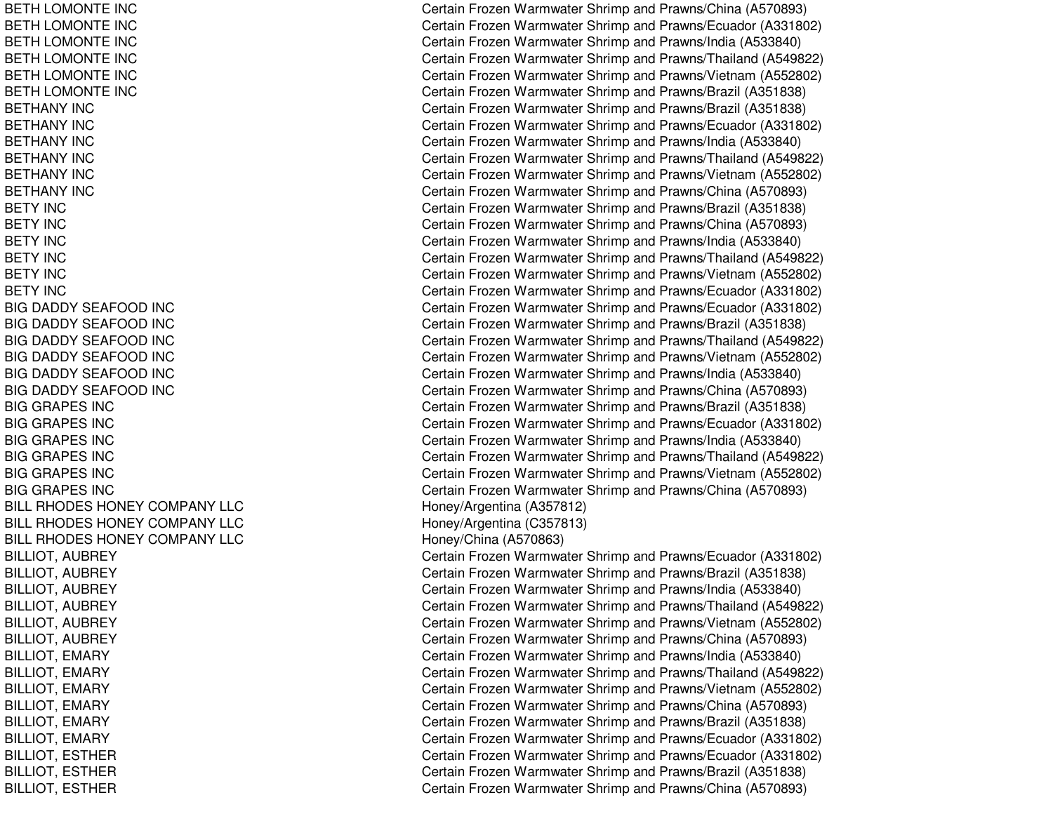BETH LOMONTE INC BETH LOMONTE INC BETH LOMONTE INC BETH LOMONTE INC BETH LOMONTE INC BETH LOMONTE INC BETHANY INCBETHANY INCBETHANY INCBETHANY INCBETHANY INCBETHANY INCBETY INCBETY INCBETY INCBETY INCBETY INCBETY INCBIG DADDY SEAFOOD INC BIG DADDY SEAFOOD INC BIG DADDY SEAFOOD INC BIG DADDY SEAFOOD INC BIG DADDY SEAFOOD INC BIG DADDY SEAFOOD INC BIG GRAPES INC BIG GRAPES INC BIG GRAPES INC BIG GRAPES INC BIG GRAPES INC BIG GRAPES INC BILL RHODES HONEY COMPANY LLC BILL RHODES HONEY COMPANY LLC BILL RHODES HONEY COMPANY LLC BILLIOT, AUBREY BILLIOT, AUBREY BILLIOT, A UBREYBILLIOT, AUBREY BILLIOT, AUBREY BIL LIOT, A UBREYBILLIOT, EMARY BILLIOT, E MARYBIL LIOT, E MARYBILLIOT, EMARY BILLIOT, EMARY BILLIOT, EMARY BILLIOT, ESTHER BILLIOT, E STHERBILLIOT, ESTHER

Certain Frozen Warmwater Shrimp and Prawns/China (A570893) Certain Frozen Warmwater Shrimp and Prawns/Ecuador (A331802) Certain Frozen Warmwater Shrimp and Prawns/India (A533840) Certain Frozen Warmwater Shrimp and Prawns/Thailand (A549822) Certain Frozen Warmwater Shrimp and Prawns/Vietnam (A552802) Certain Frozen Warmwater Shrimp and Prawns/Brazil (A351838) Certain Frozen Warmwater Shrimp and Prawns/Brazil (A351838) Certain Frozen Warmwater Shrimp and Prawns/Ecuador (A331802) Certain Frozen Warmwater Shrimp and Prawns/India (A533840) Certain Frozen Warmwater Shrimp and Prawns/Thailand (A549822) Certain Frozen Warmwater Shrimp and Prawns/Vietnam (A552802) Certain Frozen Warmwater Shrimp and Prawns/China (A570893) Certain Frozen Warmwater Shrimp and Prawns/Brazil (A351838) Certain Frozen Warmwater Shrimp and Prawns/China (A570893) Certain Frozen Warmwater Shrimp and Prawns/India (A533840) Certain Frozen Warmwater Shrimp and Prawns/Thailand (A549822) Certain Frozen Warmwater Shrimp and Prawns/Vietnam (A552802) Certain Frozen Warmwater Shrimp and Prawns/Ecuador (A331802) Certain Frozen Warmwater Shrimp and Prawns/Ecuador (A331802) Certain Frozen Warmwater Shrimp and Prawns/Brazil (A351838) Certain Frozen Warmwater Shrimp and Prawns/Thailand (A549822) Certain Frozen Warmwater Shrimp and Prawns/Vietnam (A552802) Certain Frozen Warmwater Shrimp and Prawns/India (A533840) Certain Frozen Warmwater Shrimp and Prawns/China (A570893) Certain Frozen Warmwater Shrimp and Prawns/Brazil (A351838) Certain Frozen Warmwater Shrimp and Prawns/Ecuador (A331802) Certain Frozen Warmwater Shrimp and Prawns/India (A533840) Certain Frozen Warmwater Shrimp and Prawns/Thailand (A549822) Certain Frozen Warmwater Shrimp and Prawns/Vietnam (A552802) Certain Frozen Warmwater Shrimp and Prawns/China (A570893) Hone y/Arg entina (A 3 5 7 812) H one y/Arg entina (C 3 5 7 813) H one y/China (A 5 7 0 8 6 3) Certain Frozen Warmwater Shrimp and Prawns/Ecuador (A331802) C ertain Frozen W arm w ater Shrim p and Pra wns/Brazil (A 3 518 3 8) Certain Frozen Warmwater Shrimp and Prawns/India (A533840) Certain Frozen Warmwater Shrimp and Prawns/Thailand (A549822) Certain Frozen Warmwater Shrimp and Prawns/Vietnam (A552802) Certain Frozen Warmwater Shrimp and Prawns/China (A570893) Certain Frozen Warmwater Shrimp and Prawns/India (A533840) Certain Frozen Warmwater Shrimp and Prawns/Thailand (A549822) Certain Frozen Warmwater Shrimp and Prawns/Vietnam (A552802) Certain Frozen Warmwater Shrimp and Prawns/China (A570893) Certain Frozen Warmwater Shrimp and Prawns/Brazil (A351838) Certain Frozen Warmwater Shrimp and Prawns/Ecuador (A331802) Certain Frozen Warmwater Shrimp and Prawns/Ecuador (A331802) Certain Frozen Warmwater Shrimp and Prawns/Brazil (A351838) Certain Frozen Warmwater Shrimp and Prawns/China (A570893)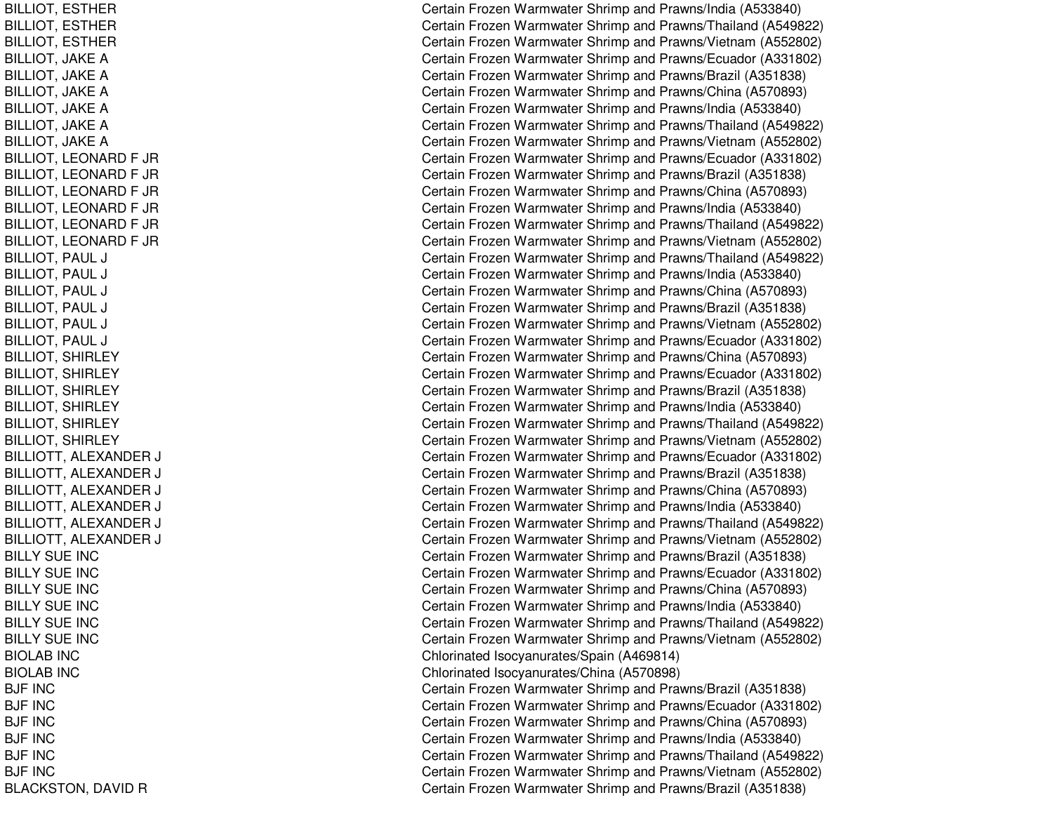BILLIOT, ESTHER BILLIOT, E STHERBIL LIOT, E ST HERBILLIOT, JAKE A BILLIOT, JAKE A BIL LIOT, JA K E A BILLIOT, JAKE A BILLIOT, JA KEABIL LIOT, JA K E A BILLIOT, LEONARD F JR BILLIOT, L EONARDF JRBILLIOT, LEONARD F JR BILLIOT, L EONARDF JRBIL LIOT, L EONARDF JRBILLIOT, LEONARD F JR BILLIOT, PAUL LJ C BILLIOT, PAUL LJ C BILLIOT, PAUL LJ C BILLIOT, PAUL LJ C BILLIOT, PAUL LJ C BILLIOT, PAUL LJ C BILLIOT, SHIRLEY BILLIOT, SHIRLEY BILLIOT, S HIRLEYBILLIOT, SHIRLEY BILLIOT, SHIRLEY BILLIOT, S HIRLEYBILLIOTT, ALEXANDER RJ C BILLIOTT, ALEXANDER RJ C BILLIOTT, A LEXANDERR J CONTROL CONTROL CONTROL CONTROL CONTROL CONTROL CONTROL CONTROL CONTROL CONTROL CONTROL CONTROL CONTROL CO BILLIOTT, ALEXANDER R J CONTROL CONTROL CONTROL CONTROL CONTROL CONTROL CONTROL CONTROL CONTROL CONTROL CONTROL CONTROL CONTROL CO BILLIOTT, ALEXANDER RJ C BILLIOTT, ALEXANDER RJ C BILLY SUE INC BILLY SUE INC BILLY SUE INC BILLY SUE INC BILLY SUE INC BILLY SUE INC BIOLAB INCBIOLAB INCBJF INCBJF IN C BJF INCBJF INCBJF INCBJF INCBLACKSTON, DAVID R

Certain Frozen Warmwater Shrimp and Prawns/India (A533840) Certain Frozen Warmwater Shrimp and Prawns/Thailand (A549822) Certain Frozen Warmwater Shrimp and Prawns/Vietnam (A552802) Certain Frozen Warmwater Shrimp and Prawns/Ecuador (A331802) Certain Frozen Warmwater Shrimp and Prawns/Brazil (A351838) Certain Frozen Warmwater Shrimp and Prawns/China (A570893) Certain Frozen Warmwater Shrimp and Prawns/India (A533840) Certain Frozen Warmwater Shrimp and Prawns/Thailand (A549822) Certain Frozen Warmwater Shrimp and Prawns/Vietnam (A552802) Certain Frozen Warmwater Shrimp and Prawns/Ecuador (A331802) Certain Frozen Warmwater Shrimp and Prawns/Brazil (A351838) Certain Frozen Warmwater Shrimp and Prawns/China (A570893) Certain Frozen Warmwater Shrimp and Prawns/India (A533840) Certain Frozen Warmwater Shrimp and Prawns/Thailand (A549822) Certain Frozen Warmwater Shrimp and Prawns/Vietnam (A552802) Certain Frozen Warmwater Shrimp and Prawns/Thailand (A549822) ertain Frozen Warmwater Shrimp and Prawns/India (A533840) Certain Frozen Warmwater Shrimp and Prawns/China (A570893) ertain Frozen Warmwater Shrimp and Prawns/Brazil (A351838) ertain Frozen Warmwater Shrimp and Prawns/Vietnam (A552802) Certain Frozen Warmwater Shrimp and Prawns/Ecuador (A331802) Certain Frozen Warmwater Shrimp and Prawns/China (A570893) Certain Frozen Warmwater Shrimp and Prawns/Ecuador (A331802) Certain Frozen Warmwater Shrimp and Prawns/Brazil (A351838) Certain Frozen Warmwater Shrimp and Pra wns/India (A 5 3 3 8 4 0) Certain Frozen Warmwater Shrimp and Prawns/Thailand (A549822) Certain Frozen Warmwater Shrimp and Prawns/Vietnam (A552802) ertain Frozen Warmwater Shrimp and Prawns/Ecuador (A331802) ertain Frozen Warmwater Shrimp and Prawns/Brazil (A351838) ertain Frozen Warmwater Shrimp and Prawns/China (A570893) ertain Frozen Warmwater Shrimp and Prawns/India (A533840) ertain Frozen Warmwater Shrimp and Prawns/Thailand (A549822) ertain Frozen Warmwater Shrimp and Prawns/Vietnam (A552802) Certain Frozen Warmwater Shrimp and Prawns/Brazil (A351838) Certain Frozen Warmwater Shrimp and Prawns/Ecuador (A331802) Certain Frozen Warmwater Shrimp and Prawns/China (A570893) Certain Frozen Warmwater Shrimp and Prawns/India (A533840) Certain Frozen Warmwater Shrimp and Prawns/Thailand (A549822) Certain Frozen Warmwater Shrimp and Prawns/Vietnam (A552802) Chlorinate d Isocy anurates/S p ain (A 4 6 9 814) Chlorinated Isocy anurates/China (A 570898) Certain Frozen Warmwater Shrimp and Prawns/Brazil (A351838) Certain Frozen Warmwater Shrimp and Prawns/Ecuador (A331802) Certain Frozen Warmwater Shrimp and Prawns/China (A570893) Certain Frozen Warmwater Shrimp and Pra wns/India (A 5 3 3 8 4 0) Certain Frozen Warmwater Shrimp and Prawns/Thailand (A549822) Certain Frozen Warmwater Shrimp and Prawns/Vietnam (A552802) Certain Frozen Warmwater Shrimp and Prawns/Brazil (A351838)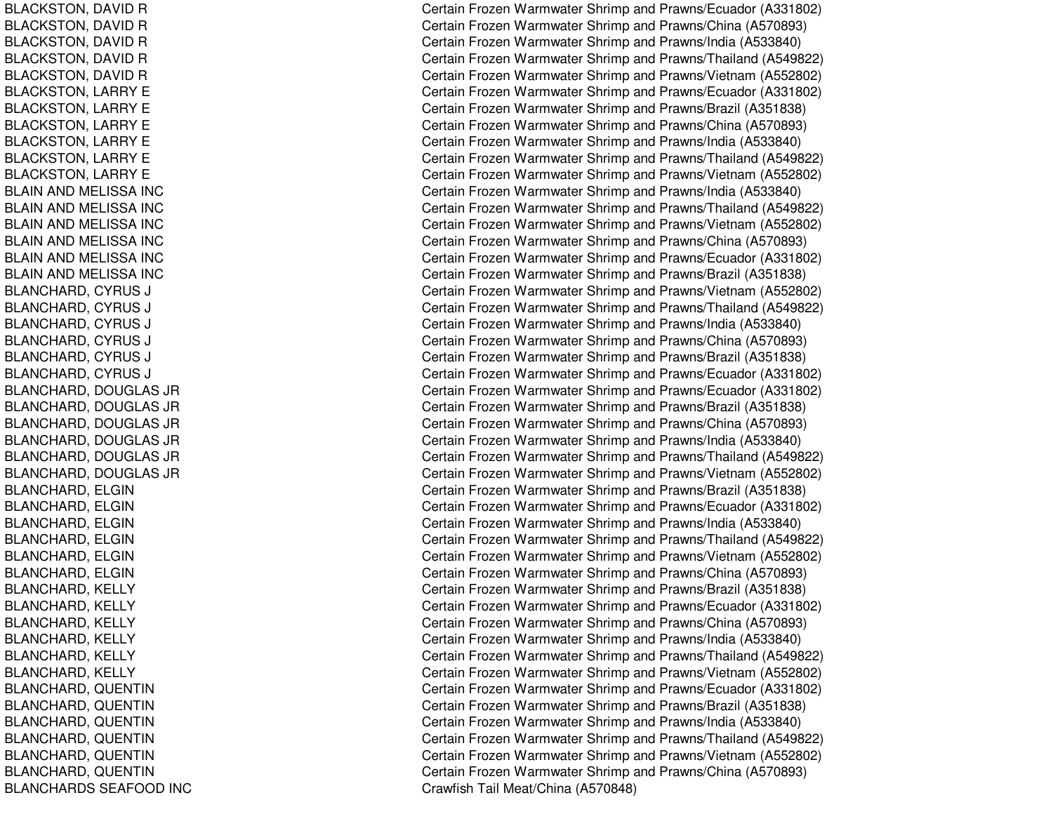BLACKSTON, D AVIDRBLACKSTON, D AVIDRBLACKSTON, DAVID R BLACKSTON, DAVID R BLACKSTON, DAVID R BLACKSTON, LARRY E BLACKSTON, LARRY E BLACKSTON, L ARRYEBLACKSTON, LARRY E BLACKSTON, LARRY E BLACKSTON, L ARRYEBLAIN AND MELISSA INC BLAIN AND MELISSA INC BL AINANDMELISSA INCBLAIN AND MELISSA INC BLAIN AND MELISSA INC BL AINANDMELISSA INCBLANCHARD, CYRUS SJ C BLANCHARD, C YRUSSJ C B L A NCHA RD, C Y RUSSJ C BLANCHARD, CYRUS SJ COMMERCIAL COMMERCIAL COMMERCIAL COMMERCIAL COMMERCIAL COMMERCIAL COMMERCIAL COMMERCIAL COMMERCIAL COMMERCIAL COMMERCIAL COMMERCIAL COMMERCIAL COMMERCIAL COMMERCIAL COMMERCIAL COMMERCIAL COMMERCIAL COMMERCIAL COMMERCIAL BLANCHARD, CYRUS SJ C BLANCHARD, CYRUS SJ C BLANCHARD, D OUGLAS JRBL ANCHARD, D OUGL AS JRBLANCHARD, DOUGLAS JR BLANCHARD, DOUGLAS JR BL ANCHARD, D OUGL AS JRBLANCHARD, DOUGLAS JR BLANCHARD, E LGINBLANCHARD, ELGIN BLANCHARD, ELGIN BLANCHARD, ELGIN BLANCHARD, ELGIN BLANCHARD, ELGIN BLANCHARD, K ELLYBLANCHARD, KELLY BLANCHARD, KELLY BLANCHARD, KELLY BLANCHARD, KELLY BLANCHARD, K ELLYBL ANCHARD, Q UENTINBLANCHARD, QUENTIN BLANCHARD, QUENTIN B L A NCHA RD, Q UE NTINBLANCHARD, QUENTIN BLANCHARD, Q UENTINBLANCHARDS SEAFOOD INC

Certain Frozen Warmwater Shrimp and Prawns/Ecuador (A331802) Certain Frozen Warmwater Shrimp and Prawns/China (A570893) Certain Frozen Warmwater Shrimp and Prawns/India (A533840) Certain Frozen Warmwater Shrimp and Prawns/Thailand (A549822) Certain Frozen Warmwater Shrimp and Prawns/Vietnam (A552802) Certain Frozen Warmwater Shrimp and Prawns/Ecuador (A331802) Certain Frozen Warmwater Shrimp and Prawns/Brazil (A351838) Certain Frozen Warmwater Shrimp and Prawns/China (A570893) Certain Frozen Warmwater Shrimp and Prawns/India (A533840) Certain Frozen Warmwater Shrimp and Prawns/Thailand (A549822) Certain Frozen Warmwater Shrimp and Prawns/Vietnam (A552802) Certain Frozen Warmwater Shrimp and Prawns/India (A533840) Certain Frozen Warmwater Shrimp and Prawns/Thailand (A549822) Certain Frozen Warmwater Shrimp and Prawns/Vietnam (A552802) Certain Frozen Warmwater Shrimp and Prawns/China (A570893) Certain Frozen Warmwater Shrimp and Prawns/Ecuador (A331802) Certain Frozen Warmwater Shrimp and Prawns/Brazil (A351838) Certain Frozen Warmwater Shrimp and Prawns/Vietnam (A552802) ertain Frozen Warmwater Shrimp and Prawns/Thailand (A549822) ertain Frozen Warmwater Shrimp and Prawns/India (A533840) Certain Frozen Warmwater Shrimp and Prawns/China (A570893) Certain Frozen Warmwater Shrimp and Prawns/Brazil (A351838) Certain Frozen Warmwater Shrimp and Prawns/Ecuador (A331802) Certain Frozen Warmwater Shrimp and Prawns/Ecuador (A331802) Certain Frozen Warmwater Shrimp and Prawns/Brazil (A351838) Certain Frozen Warmwater Shrimp and Prawns/China (A570893) Certain Frozen Warmwater Shrimp and Prawns/India (A533840) Certain Frozen Warmwater Shrimp and Prawns/Thailand (A549822) Certain Frozen Warmwater Shrimp and Prawns/Vietnam (A552802) Certain Frozen Warmwater Shrimp and Prawns/Brazil (A351838) Certain Frozen Warmwater Shrimp and Prawns/Ecuador (A331802) Certain Frozen Warmwater Shrimp and Prawns/India (A533840) Certain Frozen Warmwater Shrimp and Prawns/Thailand (A549822) Certain Frozen Warmwater Shrimp and Prawns/Vietnam (A552802) Certain Frozen Warmwater Shrimp and Prawns/China (A570893) Certain Frozen Warmwater Shrimp and Prawns/Brazil (A351838) Certain Frozen Warmwater Shrimp and Prawns/Ecuador (A331802) Certain Frozen Warmwater Shrimp and Prawns/China (A570893) Certain Frozen Warmwater Shrimp and Prawns/India (A533840) Certain Frozen Warmwater Shrimp and Prawns/Thailand (A549822) Certain Frozen Warmwater Shrimp and Prawns/Vietnam (A552802) Certain Frozen Warmwater Shrimp and Prawns/Ecuador (A331802) Certain Frozen Warmwater Shrimp and Prawns/Brazil (A351838) Certain Frozen Warmwater Shrimp and Prawns/India (A533840) Certain Frozen Warmwater Shrimp and Prawns/Thailand (A549822) Certain Frozen Warmwater Shrimp and Prawns/Vietnam (A552802) Certain Frozen Warmwater Shrimp and Prawns/China (A570893) Cra wfish T ail Me at/China (A 5 7 0 8 4 8)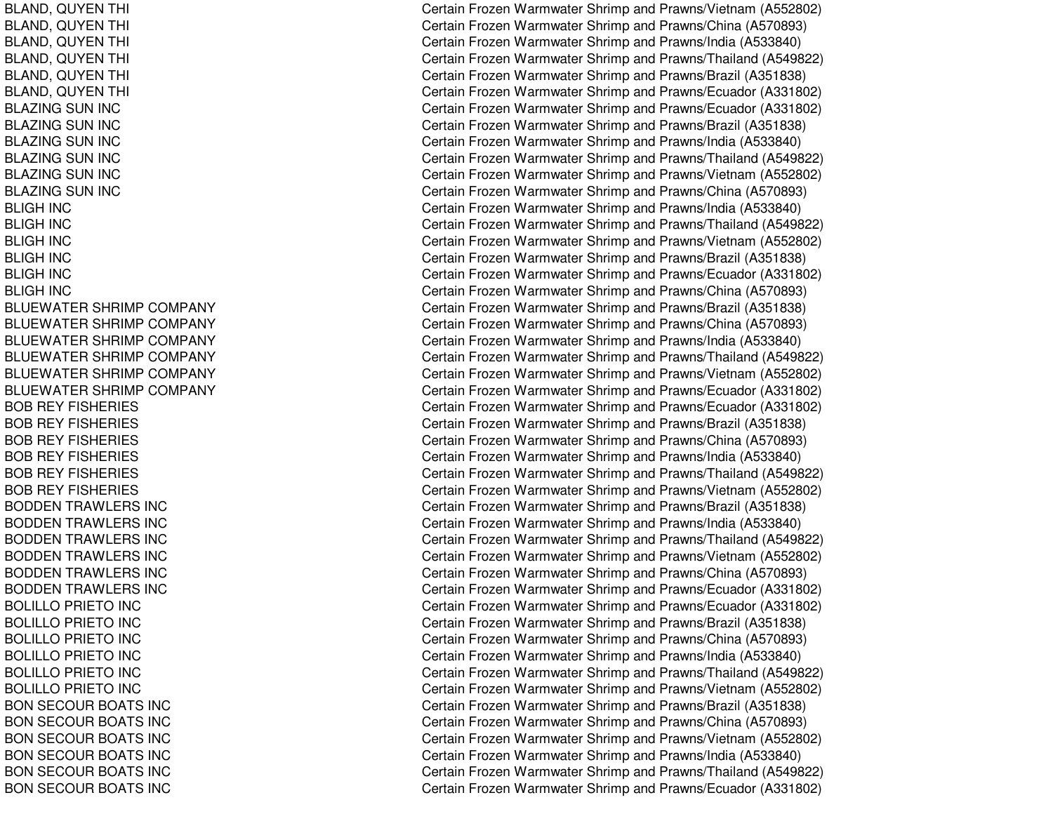BLAND, Q UYENTHIing the contract of the contract of the contract of the contract of the contract of the contract of the contract of the contract of the contract of the contract of the contract of the contract of the contract of the contra BLAND, Q UYENTHIing the contract of the contract of the contract of the contract of the contract of the contract of the contract of the contract of the contract of the contract of the contract of the contract of the contract of the contra BL AND, Q UYENT HIl Constantinople of the constant of the constant of the constant of the constant of the constant of the constant of the constant of the constant of the constant of the constant of the constant of the constant of the consta BLAND, QUYEN THI ing the contract of the contract of the contract of the contract of the contract of the contract of the contract of the contract of the contract of the contract of the contract of the contract of the contract of the contra BLAND, Q UYENTHIing the contract of the contract of the contract of the contract of the contract of the contract of the contract of the contract of the contract of the contract of the contract of the contract of the contract of the contra BLAND, QUYEN THI l Constantinople of the constant of the constant of the constant of the constant of the constant of the constant of the constant of the constant of the constant of the constant of the constant of the constant of the consta BLAZING SUN INC BLAZING SUN INC BLAZING SUN INC BLAZING SUN INC BLAZING SUN INC BLAZING SUN INC BLIGH IN CBLIGH IN CB LIG H IN C BLIGH IN CBLIGH IN CBLIGH IN CBLUEWATER SHRIMP COMPANY BLUEWATER SHRIMP COMPANY BLUEWATER SHRIMP COMPANY BLUEWATER SHRIMP COMPANY BLUEWATER SHRIMP COMPANY BLUEWATER SHRIMP COMPANY BOB REY FISHERIES BOB REY FISHERIES BOB REY FISHERIES BOB REY FISHERIES BOB REY FISHERIES BOB REY FISHERIES BODDEN TRAWLERS INC BODDEN TRAWLERS INC BODDEN TRAWLERS INC B OD D E N T R A WL E R S IN C BODDEN TRAWLERS INC BODDEN TRAWLERS INC B O LIL L O P RIE T O IN C BOLILLO PRIETO INC BOLILLO PRIETO INC BOLILLO PRIETO INC BOLILLO PRIETO INC BOLILLO PRIETO INC BON SECOUR BOATS INC BON SECOUR BOATS INC BON SECOUR BOATS INC BON SECOUR BOATS INC BON SECOUR BOATS INC BON SECOUR BOATS INC

Certain Frozen Warmwater Shrimp and Prawns/Vietnam (A552802) ertain Frozen Warmwater Shrimp and Prawns/China (A570893) ertain Frozen Warmwater Shrimp and Prawns/India (A533840) Certain Frozen Warmwater Shrimp and Prawns/Thailand (A549822) Certain Frozen Warmwater Shrimp and Prawns/Brazil (A351838) ertain Frozen Warmwater Shrimp and Prawns/Ecuador (A331802) Certain Frozen Warmwater Shrimp and Prawns/Ecuador (A331802) Certain Frozen Warmwater Shrimp and Prawns/Brazil (A351838) Certain Frozen Warmwater Shrimp and Prawns/India (A533840) Certain Frozen Warmwater Shrimp and Prawns/Thailand (A549822) Certain Frozen Warmwater Shrimp and Prawns/Vietnam (A552802) Certain Frozen Warmwater Shrimp and Prawns/China (A570893) Certain Frozen Warmwater Shrimp and Prawns/India (A533840) Certain Frozen Warmwater Shrimp and Prawns/Thailand (A549822) Certain Frozen Warmwater Shrimp and Prawns/Vietnam (A552802) Certain Frozen Warmwater Shrimp and Prawns/Brazil (A351838) Certain Frozen Warmwater Shrimp and Prawns/Ecuador (A331802) Certain Frozen Warmwater Shrimp and Prawns/China (A570893) Certain Frozen Warmwater Shrimp and Prawns/Brazil (A351838) Certain Frozen Warmwater Shrimp and Prawns/China (A570893) Certain Frozen Warmwater Shrimp and Prawns/India (A533840) Certain Frozen Warmwater Shrimp and Prawns/Thailand (A549822) Certain Frozen Warmwater Shrimp and Prawns/Vietnam (A552802) Certain Frozen Warmwater Shrimp and Prawns/Ecuador (A331802) Certain Frozen Warmwater Shrimp and Prawns/Ecuador (A331802) Certain Frozen Warmwater Shrimp and Prawns/Brazil (A351838) Certain Frozen Warmwater Shrimp and Prawns/China (A570893) Certain Frozen Warmwater Shrimp and Prawns/India (A533840) Certain Frozen Warmwater Shrimp and Prawns/Thailand (A549822) Certain Frozen Warmwater Shrimp and Prawns/Vietnam (A552802) Certain Frozen Warmwater Shrimp and Prawns/Brazil (A351838) Certain Frozen Warmwater Shrimp and Prawns/India (A533840) Certain Frozen Warmwater Shrimp and Prawns/Thailand (A549822) Certain Frozen Warmwater Shrimp and Prawns/Vietnam (A552802) Certain Frozen Warmwater Shrimp and Prawns/China (A570893) Certain Frozen Warmwater Shrimp and Prawns/Ecuador (A331802) Certain Frozen Warmwater Shrimp and Prawns/Ecuador (A331802) Certain Frozen Warmwater Shrimp and Prawns/Brazil (A351838) Certain Frozen Warmwater Shrimp and Prawns/China (A570893) Certain Frozen Warmwater Shrimp and Prawns/India (A533840) Certain Frozen Warmwater Shrimp and Prawns/Thailand (A549822) Certain Frozen Warmwater Shrimp and Prawns/Vietnam (A552802) Certain Frozen Warmwater Shrimp and Prawns/Brazil (A351838) Certain Frozen Warmwater Shrimp and Prawns/China (A570893) Certain Frozen Warmwater Shrimp and Prawns/Vietnam (A552802) Certain Frozen Warmwater Shrimp and Prawns/India (A533840) Certain Frozen Warmwater Shrimp and Prawns/Thailand (A549822) Certain Frozen Warmwater Shrimp and Prawns/Ecuador (A331802)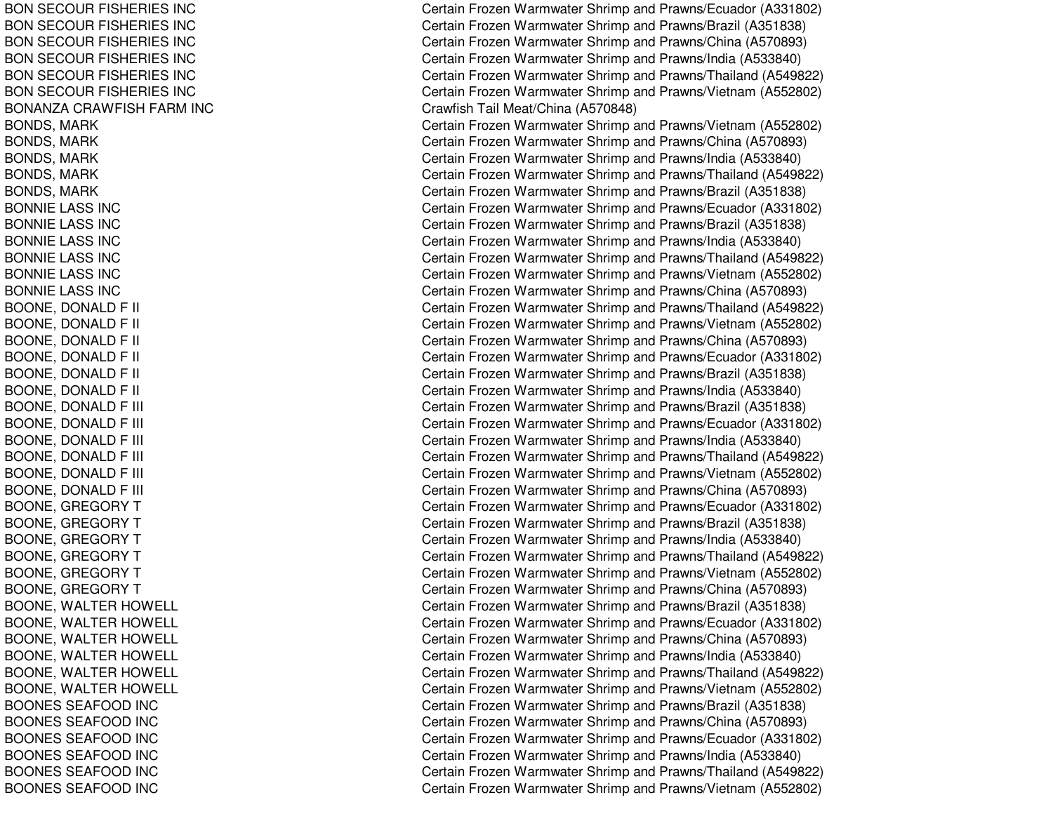BON SECOUR FISHERIES INC BON SECOUR FISHERIES INC BON SECOUR FISHERIES INC BON SECOUR FISHERIES INC BON SECOUR FISHERIES INC BON SECOUR FISHERIES INC BONANZA CRAWFISH FARM INC BONDS, M ARKB ON D S, M A R K BONDS, MARK BONDS, M ARKBONDS, M ARKBONNIELASS INCBONNIE LASS INC B O N NIE L A S S IN C BONNIELASS INCBONNIE LASS INC BONNIELASS INCBOONE, DONALD F FII C BOONE, DONALD F FII C BOONE, DONALD F FII COMMUNICATION COMMUNICATION COMMUNICATION BOONE, DONALD F FII C BOONE, DONALD F FII C BOONE, DONALD F FII COMMUNICATION COMMUNICATION COMMUNICATION BOONE, DONALD F FIII COMMUNISTICTURE COMMUNISTICTURE BOONE, DONALD F FIII C BOONE, DONALD F FIII C BOONE, DONALD F FIII COMMUNISTICTURE COMMUNISTICTURE BOONE, DONALD F FIII COMMUNISTICTURE COMMUNISTICTURE BOONE, DONALD F FIII C B OONE, G RE GORY T BOONE, GREGORY T BOONE, GREGORY T B OON E, G R E GOR Y T BOONE, GREGORY T BOONE, GREGORY T BOONE, WALTER HOWELL BOONE, W ALTERHOWELLBOONE, WALTER HOWELL BOONE, WALTER HOWELL BOONE, W ALTERHOWELLBOONE, WALTER HOWELL BOONES SEAFOOD INC BOONES SEAFOOD INC B OONE S S E A F OOD IN CBOONES SEAFOOD INC BOONES SEAFOOD INC BOONES SEAFOOD INC

Certain Frozen Warmwater Shrimp and Prawns/Ecuador (A331802) Certain Frozen Warmwater Shrimp and Prawns/Brazil (A351838) Certain Frozen Warmwater Shrimp and Prawns/China (A570893) Certain Frozen Warmwater Shrimp and Prawns/India (A533840) Certain Frozen Warmwater Shrimp and Prawns/Thailand (A549822) Certain Frozen Warmwater Shrimp and Prawns/Vietnam (A552802) Crawfish Tail Meat/China (A570848) Certain Frozen Warmwater Shrimp and Prawns/Vietnam (A552802) Certain Frozen Warmwater Shrimp and Prawns/China (A570893) Certain Frozen Warmwater Shrimp and Prawns/India (A533840) Certain Frozen Warmwater Shrimp and Prawns/Thailand (A549822) Certain Frozen Warmwater Shrimp and Prawns/Brazil (A351838) Certain Frozen Warmwater Shrimp and Prawns/Ecuador (A331802) Certain Frozen Warmwater Shrimp and Prawns/Brazil (A351838) Certain Frozen Warmwater Shrimp and Prawns/India (A533840) Certain Frozen Warmwater Shrimp and Prawns/Thailand (A549822) Certain Frozen Warmwater Shrimp and Prawns/Vietnam (A552802) Certain Frozen Warmwater Shrimp and Prawns/China (A570893) ertain Frozen Warmwater Shrimp and Prawns/Thailand (A549822) ertain Frozen Warmwater Shrimp and Prawns/Vietnam (A552802) Certain Frozen Warmwater Shrimp and Prawns/China (A570893) Certain Frozen Warmwater Shrimp and Prawns/Ecuador (A331802) Certain Frozen Warmwater Shrimp and Prawns/Brazil (A351838) ertain Frozen Warmwater Shrimp and Prawns/India (A533840) ertain Frozen Warmwater Shrimp and Prawns/Brazil (A351838) Certain Frozen Warmwater Shrimp and Prawns/Ecuador (A331802) Certain Frozen Warmwater Shrimp and Prawns/India (A533840) ertain Frozen Warmwater Shrimp and Prawns/Thailand (A549822) Certain Frozen Warmwater Shrimp and Prawns/Vietnam (A552802) ertain Frozen Warmwater Shrimp and Prawns/China (A570893) Certain Frozen Warmwater Shrimp and Prawns/Ecuador (A331802) Certain Frozen Warmwater Shrimp and Prawns/Brazil (A351838) Certain Frozen Warmwater Shrimp and Prawns/India (A533840) Certain Frozen Warmwater Shrimp and Prawns/Thailand (A549822) Certain Frozen Warmwater Shrimp and Prawns/Vietnam (A552802) Certain Frozen Warmwater Shrimp and Prawns/China (A570893) Certain Frozen Warmwater Shrimp and Prawns/Brazil (A351838) Certain Frozen Warmwater Shrimp and Prawns/Ecuador (A331802) Certain Frozen Warmwater Shrimp and Prawns/China (A570893) Certain Frozen Warmwater Shrimp and Prawns/India (A533840) Certain Frozen Warmwater Shrimp and Prawns/Thailand (A549822) Certain Frozen Warmwater Shrimp and Prawns/Vietnam (A552802) Certain Frozen Warmwater Shrimp and Prawns/Brazil (A351838) Certain Frozen Warmwater Shrimp and Prawns/China (A570893) Certain Frozen Warmwater Shrimp and Prawns/Ecuador (A331802) Certain Frozen Warmwater Shrimp and Prawns/India (A533840) Certain Frozen Warmwater Shrimp and Prawns/Thailand (A549822) Certain Frozen Warmwater Shrimp and Prawns/Vietnam (A552802)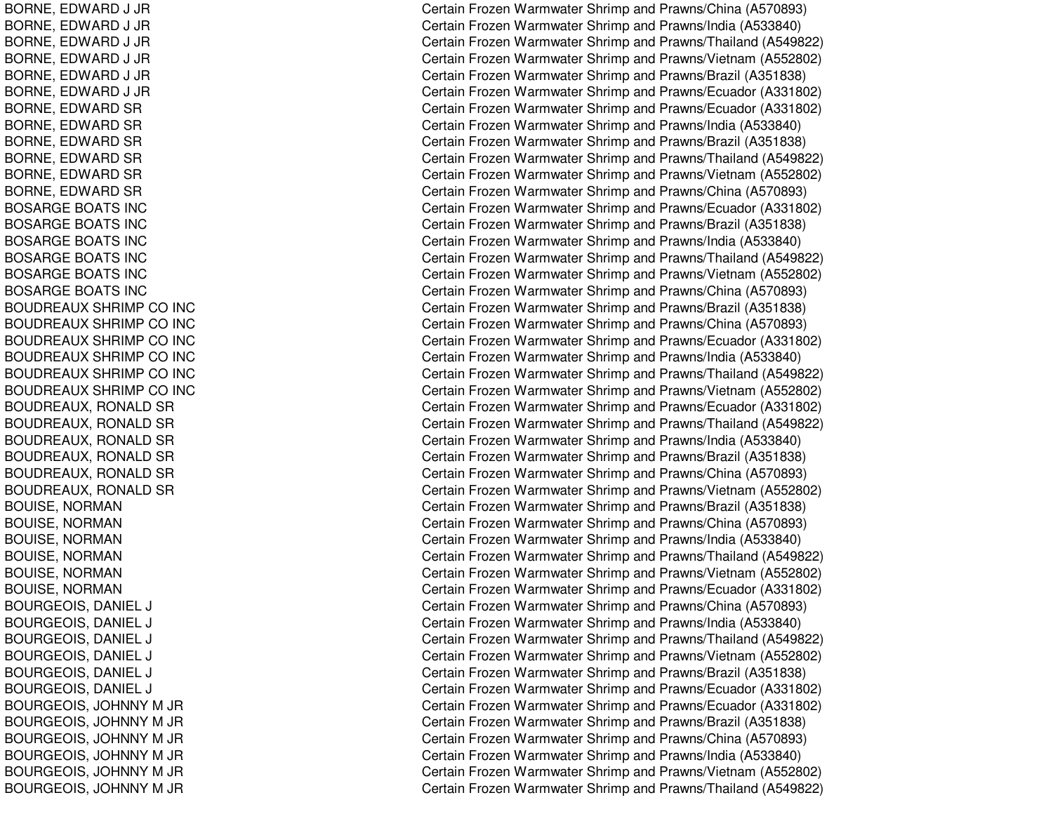BORNE, E DWARD J JR BORNE, E DWARD J JR BORNE, E DWARD J JR B O R N E, E D WA R D J JR BORNE, E DWARD J JR B ORNE, E DWA RD J JR BORNE, EDWARD SR BORNE, EDWARD SR B OR N E, E D WA R D S R BORNE, EDWARD SR BORNE, EDWARD SR B O R N E, E D WA R D S R BOSARGE BOATS INC BOSARGE BOATS INC BOSARGE BOATS INC BOSARGE BOATS INC BOSARGE BOATS INC BOSARGE BOATS INC BOUDREAUX SHRIMP CO INC BOUDREAUX SHRIMP CO INC BOUDREAUX SHRIMP CO INC BOUDREAUX SHRIMP CO INC BOUDREAUX SHRIMP CO INC BOUDREAUX SHRIMP CO INC BOUDREAUX, RONALD SR BOUDREAUX, RONALD SR BOUDREAUX, RONALD SR BOUDREAUX, RONALD SR BOUDREAUX, RONALD SR BOUDREAUX, RONALD SR B OUIS E, N ORMA NBOUISE, NORMAN BOUISE, NORMAN B O UIS E, N O R M A N BOUISE, NORMAN BOUISE, N ORMANB O U R G E OIS, D A NIE LLJ C B O U R G E OIS, D A NIE LLJ C BOURGEOIS, DANIEL LJ C BOURGEOIS, DANIEL LJ C BOURGEOIS, D ANIELLJ C BOURGEOIS, D ANIELLJ C BOURGEOIS, JOHNNY M JR BOURGEOIS, JOHNNY M JR B OURGE OIS, JO HNNY M JR BOURGEOIS, JOHNNY M JR BOURGEOIS, JOHNNY M JR B OU R GE OIS, JO H N N Y M JR

Certain Frozen Warmwater Shrimp and Prawns/China (A570893) Certain Frozen Warmwater Shrimp and Prawns/India (A533840) Certain Frozen Warmwater Shrimp and Prawns/Thailand (A549822) Certain Frozen Warmwater Shrimp and Prawns/Vietnam (A552802) Certain Frozen Warmwater Shrimp and Prawns/Brazil (A351838) Certain Frozen Warmwater Shrimp and Prawns/Ecuador (A331802) Certain Frozen Warmwater Shrimp and Prawns/Ecuador (A331802) Certain Frozen Warmwater Shrimp and Prawns/India (A533840) Certain Frozen Warmwater Shrimp and Prawns/Brazil (A351838) Certain Frozen Warmwater Shrimp and Prawns/Thailand (A549822) Certain Frozen Warmwater Shrimp and Prawns/Vietnam (A552802) Certain Frozen Warmwater Shrimp and Prawns/China (A570893) Certain Frozen Warmwater Shrimp and Prawns/Ecuador (A331802) Certain Frozen Warmwater Shrimp and Prawns/Brazil (A351838) Certain Frozen Warmwater Shrimp and Prawns/India (A533840) Certain Frozen Warmwater Shrimp and Prawns/Thailand (A549822) Certain Frozen Warmwater Shrimp and Prawns/Vietnam (A552802) Certain Frozen Warmwater Shrimp and Prawns/China (A570893) Certain Frozen Warmwater Shrimp and Prawns/Brazil (A351838) Certain Frozen Warmwater Shrimp and Prawns/China (A570893) Certain Frozen Warmwater Shrimp and Prawns/Ecuador (A331802) Certain Frozen Warmwater Shrimp and Prawns/India (A533840) Certain Frozen Warmwater Shrimp and Prawns/Thailand (A549822) Certain Frozen Warmwater Shrimp and Prawns/Vietnam (A552802) Certain Frozen Warmwater Shrimp and Prawns/Ecuador (A331802) Certain Frozen Warmwater Shrimp and Prawns/Thailand (A549822) Certain Frozen Warmwater Shrimp and Prawns/India (A533840) Certain Frozen Warmwater Shrimp and Prawns/Brazil (A351838) Certain Frozen Warmwater Shrimp and Prawns/China (A570893) Certain Frozen Warmwater Shrimp and Prawns/Vietnam (A552802) Certain Frozen Warmwater Shrimp and Prawns/Brazil (A351838) Certain Frozen Warmwater Shrimp and Prawns/China (A570893) Certain Frozen Warmwater Shrimp and Prawns/India (A533840) Certain Frozen Warmwater Shrimp and Prawns/Thailand (A549822) Certain Frozen Warmwater Shrimp and Prawns/Vietnam (A552802) Certain Frozen Warmwater Shrimp and Prawns/Ecuador (A331802) Certain Frozen Warmwater Shrimp and Prawns/China (A570893) Certain Frozen Warmwater Shrimp and Prawns/India (A533840) Certain Frozen Warmwater Shrimp and Prawns/Thailand (A549822) Certain Frozen Warmwater Shrimp and Prawns/Vietnam (A552802) Certain Frozen Warmwater Shrimp and Prawns/Brazil (A351838) ertain Frozen Warmwater Shrimp and Prawns/Ecuador (A331802) C ertain Frozen Warm w ater Shrim p and Pra wns/Ecua d or (A 3 318 0 2) Certain Frozen Warmwater Shrimp and Prawns/Brazil (A351838) Certain Frozen Warmwater Shrimp and Prawns/China (A570893) Certain Frozen Warmwater Shrimp and Prawns/India (A533840) Certain Frozen Warmwater Shrimp and Prawns/Vietnam (A552802) Certain Frozen Warmwater Shrimp and Prawns/Thailand (A549822)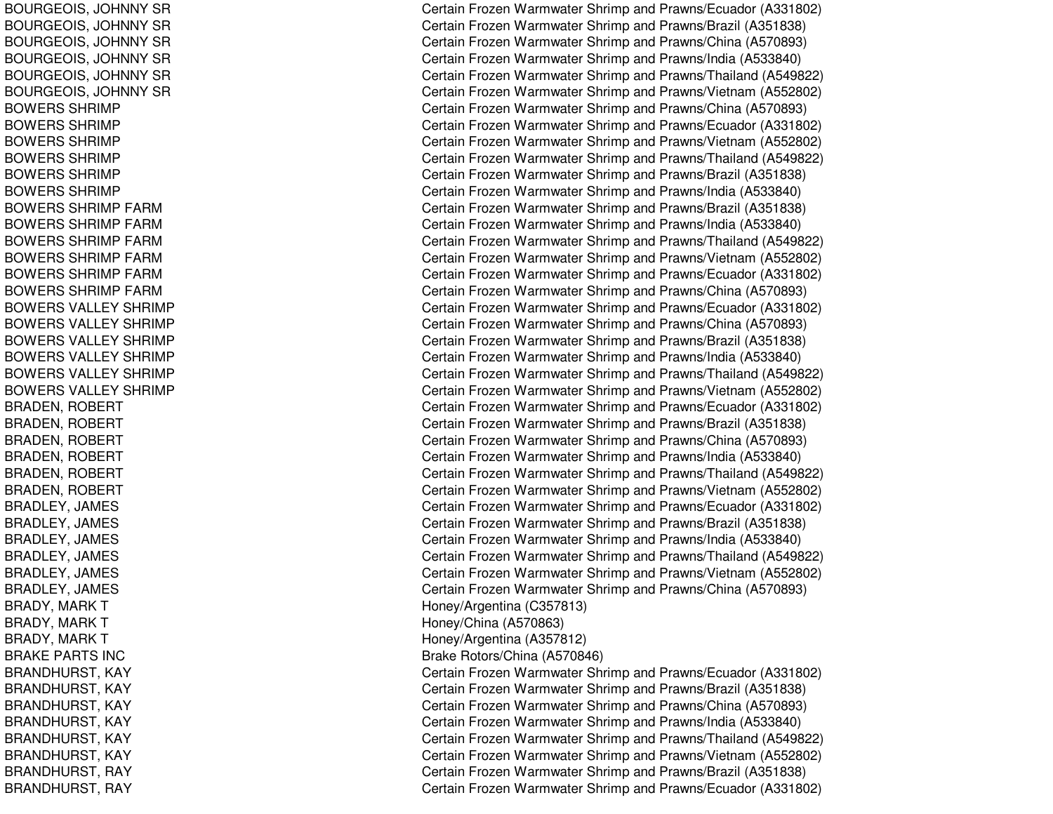BOURGEOIS, JOHNNY SR BOURGEOIS, JOHNNY SR BOURGEOIS, JOHNNY SR BOURGEOIS, JOHNNY SR BOURGEOIS, JOHNNY SR B OURGE OIS, JO HNNY S RBOWERS SHRIMP BOWERS SHRIMP B OWE R S S H RIMP BOWERS SHRIMP BOWERS SHRIMP BOWERS SHRIMP BOWERS SHRIMP FARM BOWERS SHRIMP FARM BOWERS SHRIMP FARM BOWERS SHRIMP FARM BOWERS SHRIMP FARM BOWERS SHRIMP FARM BOWERS VALLEY SHRIMP B OWE RS V A L L E Y S HRIMP BOWERS VALLEY SHRIMP BOWERS VALLEY SHRIMP BOWERS VALLEY SHRIMP BOWERS VALLEY SHRIMP BRADEN, R OBERTBRADEN, ROBERT BRADEN, R OBERTBRADEN, R OBERT BRADEN, ROBERT BRADEN, R OBERTBRADLEY, JAMES BRADLEY, JAMES BRADLEY, JAMES B R A D L E Y, JA ME S BRADLEY, JAMES BRADLEY, JA MESBRADY, MARK T BRADY, MARK T BRADY, MARK T BRAKE PARTS INC BRANDHURST, K AYBRANDHURST, K AYBRANDHURST, KAY BRANDHURST, K AYBRANDHURST, KAY BRANDHURST, KAY BRANDHURST, R AYBRANDHURST, RAY

Certain Frozen Warmwater Shrimp and Prawns/Ecuador (A331802) Certain Frozen Warmwater Shrimp and Prawns/Brazil (A351838) Certain Frozen Warmwater Shrimp and Prawns/China (A570893) Certain Frozen Warmwater Shrimp and Prawns/India (A533840) Certain Frozen Warmwater Shrimp and Prawns/Thailand (A549822) Certain Frozen Warmwater Shrimp and Prawns/Vietnam (A552802) Certain Frozen Warmwater Shrimp and Prawns/China (A570893) Certain Frozen Warmwater Shrimp and Prawns/Ecuador (A331802) Certain Frozen Warmwater Shrimp and Prawns/Vietnam (A552802) Certain Frozen Warmwater Shrimp and Prawns/Thailand (A549822) Certain Frozen Warmwater Shrimp and Prawns/Brazil (A351838) Certain Frozen Warmwater Shrimp and Prawns/India (A533840) Certain Frozen Warmwater Shrimp and Prawns/Brazil (A351838) Certain Frozen Warmwater Shrimp and Prawns/India (A533840) Certain Frozen Warmwater Shrimp and Prawns/Thailand (A549822) Certain Frozen Warmwater Shrimp and Prawns/Vietnam (A552802) Certain Frozen Warmwater Shrimp and Prawns/Ecuador (A331802) Certain Frozen Warmwater Shrimp and Prawns/China (A570893) Certain Frozen Warmwater Shrimp and Prawns/Ecuador (A331802) Certain Frozen Warmwater Shrimp and Prawns/China (A570893) C ertain Frozen W arm w ater Shrim p and Pra wns/Brazil (A 3 518 3 8) Certain Frozen Warmwater Shrimp and Prawns/India (A533840) Certain Frozen Warmwater Shrimp and Prawns/Thailand (A549822) Certain Frozen Warmwater Shrimp and Prawns/Vietnam (A552802) Certain Frozen Warmwater Shrimp and Prawns/Ecuador (A331802) Certain Frozen Warmwater Shrimp and Prawns/Brazil (A351838) Certain Frozen Warmwater Shrimp and Prawns/China (A570893) Certain Frozen Warmwater Shrimp and Prawns/India (A533840) Certain Frozen Warmwater Shrimp and Prawns/Thailand (A549822) Certain Frozen Warmwater Shrimp and Prawns/Vietnam (A552802) Certain Frozen Warmwater Shrimp and Prawns/Ecuador (A331802) Certain Frozen Warmwater Shrimp and Prawns/Brazil (A351838) Certain Frozen Warmwater Shrimp and Prawns/India (A533840) Certain Frozen Warmwater Shrimp and Prawns/Thailand (A549822) Certain Frozen Warmwater Shrimp and Prawns/Vietnam (A552802) Certain Frozen Warmwater Shrimp and Prawns/China (A570893) H one y/Arg entina (C 3 5 7 813) Honey/China (A570863) H one y/Arg entina (A 3 5 7 812) Brake Rotors/China (A570846) Certain Frozen Warmwater Shrimp and Prawns/Ecuador (A331802) Certain Frozen Warmwater Shrimp and Prawns/Brazil (A351838) Certain Frozen Warmwater Shrimp and Prawns/China (A570893) Certain Frozen Warmwater Shrimp and Prawns/India (A533840) Certain Frozen Warmwater Shrimp and Prawns/Thailand (A549822) Certain Frozen Warmwater Shrimp and Prawns/Vietnam (A552802) Certain Frozen Warmwater Shrimp and Prawns/Brazil (A351838) Certain Frozen Warmwater Shrimp and Prawns/Ecuador (A331802)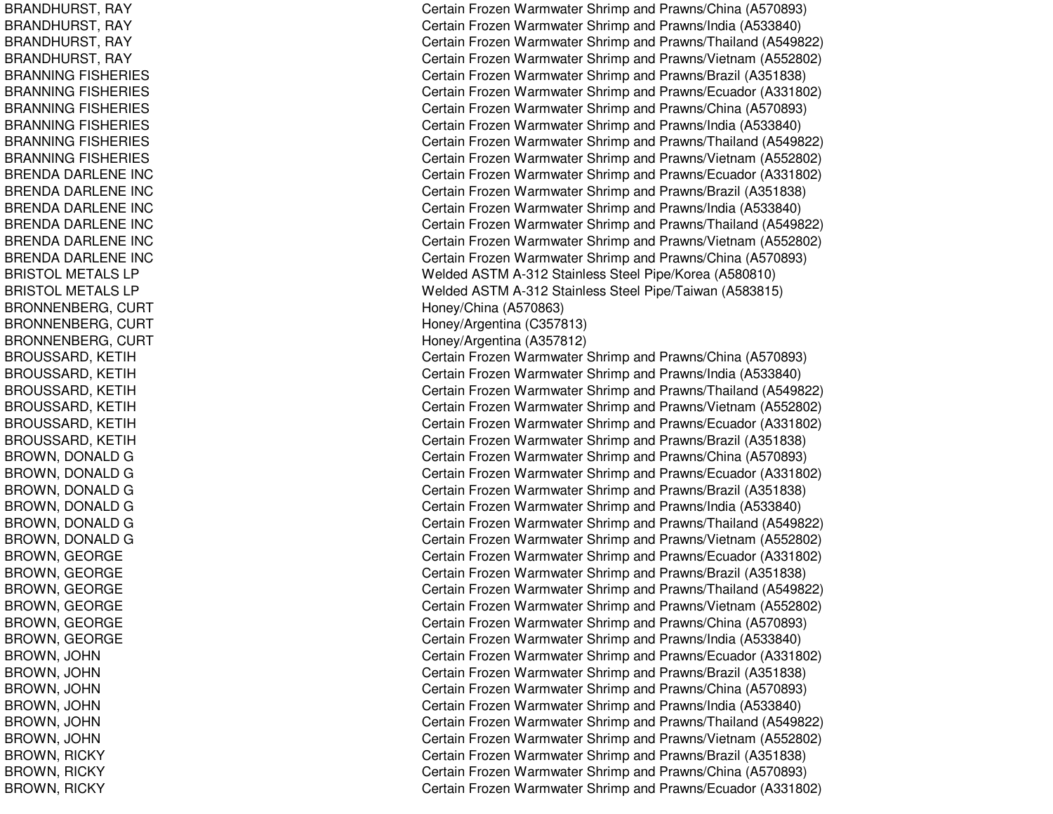BRANDHURST, R AYBRANDHURST, R AYBRANDHURST, R AYBRANDHURST, RAY BRANNING FISHERIES BRANNING FISHERIES BRANNING FISHERIES BRANNING FISHERIES BRANNING FISHERIES BRANNING FISHERIES BRENDA DARLENE INC BRENDA DARLENE INC BRENDA DARLENE INC BRENDA DARLENE INC BRENDA DARLENE INC BRENDA DARLENE INC BRISTOL METALS LP BRISTOL METALS LP BRONNENBERG, C URTB RONNE NB E RG, C URT BRONNENBERG, CURT BROUSSARD, K ETIHBROUSSARD, KETIH BROUSSARD, K ETIHBROUSSARD, K ETIHBROUSSARD, KETIH BROUSSARD, K ETIHBROWN, D ONAL DGBROWN, DONALD G BROWN, DONALD G BROWN, DONALD G BROWN, DONALD G BROWN, DONALD G B R OWN, G E OR GE BROWN, GEORGE BROWN, G EORGEBROWN, GEORGE BROWN, GEORGE BROWN, G EORGEB R O WN, JO H N BROWN, JO HNBROWN, JO HNB R O WN, JO H N B R O W N, JO H N B R O W N, JO H N B R O W N, RIC K Y BROWN, RIC KYB R OWN, RIC K Y

Certain Frozen Warmwater Shrimp and Prawns/China (A570893) Certain Frozen Warmwater Shrimp and Prawns/India (A533840) Certain Frozen Warmwater Shrimp and Prawns/Thailand (A549822) Certain Frozen Warmwater Shrimp and Prawns/Vietnam (A552802) Certain Frozen Warmwater Shrimp and Prawns/Brazil (A351838) Certain Frozen Warmwater Shrimp and Prawns/Ecuador (A331802) Certain Frozen Warmwater Shrimp and Prawns/China (A570893) Certain Frozen Warmwater Shrimp and Prawns/India (A533840) Certain Frozen Warmwater Shrimp and Prawns/Thailand (A549822) Certain Frozen Warmwater Shrimp and Prawns/Vietnam (A552802) Certain Frozen Warmwater Shrimp and Prawns/Ecuador (A331802) Certain Frozen Warmwater Shrimp and Prawns/Brazil (A351838) Certain Frozen Warmwater Shrimp and Prawns/India (A533840) Certain Frozen Warmwater Shrimp and Prawns/Thailand (A549822) Certain Frozen Warmwater Shrimp and Prawns/Vietnam (A552802) Certain Frozen Warmwater Shrimp and Prawns/China (A570893) Welded ASTM A-312 Stainless Steel Pipe/Korea (A580810) Welded ASTM A-312 Stainless Steel Pipe/Taiwan (A583815) Honey/China (A 570863) Hone y/Arg entina (C 3 5 7 813) H one y/Arg entina (A 3 5 7 812) Certain Frozen Warmwater Shrimp and Prawns/China (A570893) Certain Frozen Warmwater Shrimp and Prawns/India (A533840) Certain Frozen Warmwater Shrimp and Prawns/Thailand (A549822) Certain Frozen Warmwater Shrimp and Prawns/Vietnam (A552802) Certain Frozen Warmwater Shrimp and Prawns/Ecuador (A331802) Certain Frozen Warmwater Shrimp and Prawns/Brazil (A351838) Certain Frozen Warmwater Shrimp and Prawns/China (A570893) Certain Frozen Warmwater Shrimp and Prawns/Ecuador (A331802) Certain Frozen Warmwater Shrimp and Prawns/Brazil (A351838) Certain Frozen Warmwater Shrimp and Prawns/India (A533840) Certain Frozen Warmwater Shrimp and Prawns/Thailand (A549822) Certain Frozen Warmwater Shrimp and Prawns/Vietnam (A552802) Certain Frozen Warmwater Shrimp and Prawns/Ecuador (A331802) C ertain Frozen W arm w ater Shrim p and Pra wns/Brazil (A 3 518 3 8) Certain Frozen Warmwater Shrimp and Prawns/Thailand (A549822) Certain Frozen Warmwater Shrimp and Prawns/Vietnam (A552802) Certain Frozen Warmwater Shrimp and Prawns/China (A570893) Certain Frozen Warmwater Shrimp and Prawns/India (A533840) C ertain Frozen Warm w ater Shrim p and Pra wns/Ecua d or (A 3 318 0 2) Certain Frozen Warmwater Shrimp and Prawns/Brazil (A351838) Certain Frozen Warmwater Shrimp and Prawns/China (A570893) Certain Frozen Warmwater Shrimp and Prawns/India (A533840) Certain Frozen Warmwater Shrimp and Prawns/Thailand (A549822) Certain Frozen Warmwater Shrimp and Prawns/Vietnam (A552802) C ertain Frozen W arm w ater Shrim p and Pra wns/Brazil (A 3 518 3 8) Certain Frozen Warmwater Shrimp and Prawns/China (A570893) Certain Frozen Warmwater Shrimp and Prawns/Ecuador (A331802)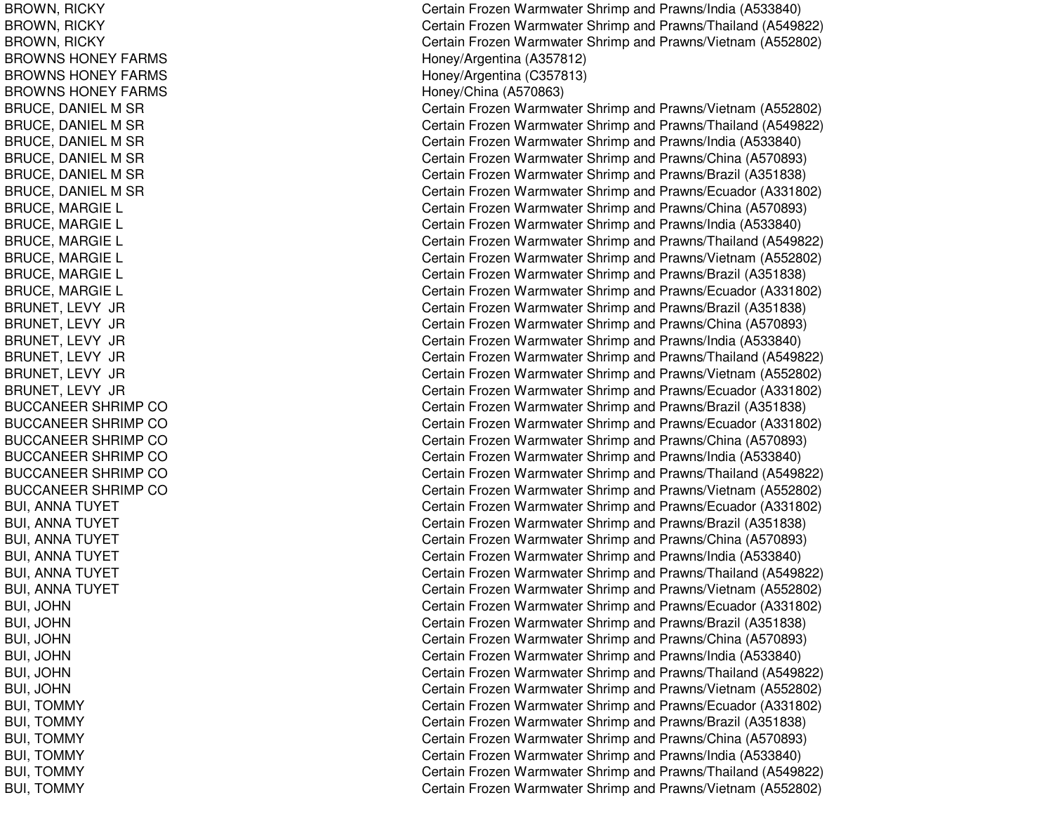BROWN, RIC KYBROWN, RIC KYBROWN, RIC KYBROWNS HONEY FARMS BROWNS HONEY FARMS BROWNS HONEY FARMS BRUCE, DANIEL M SR BRUCE, D ANIELMSRBRUCE, DANIEL M SR BRUCE, DANIEL M SR BRUCE, D ANIELMSRBRUCE, DANIEL M SR BRUCE, M ARGIELBRUCE, M ARGIEL BRUCE, MARGIE L BRUCE, M ARGIELBRUCE, M ARGIEL BRUCE, MARGIE L BRUNET, LEVY JR B RUNE T, L E V Y JRBRUNET, LEVY JR BRUNET, LEVY JR BRUNET, LEVY JR BRUNET, L EVY JRBUCCANEER SHRIMP CO BUCCANEER SHRIMP CO BUCCANEER SHRIMP CO BUCCANEER SHRIMP CO BUCCANEER SHRIMP CO BUCCANEER SHRIMP CO BUI, ANNA TUYET BUI, ANNA TUYET BUI, ANNA TUYET BUI, ANNA TUYET BUI, ANNA TUYET BUI, A NNATUYETB UI, JO H N B UI, JO H N BUI, JO HNB UI, JO H N BUI, JO HNBUI, JO HNB UI, T O M M Y BUI, T OMMYB UI, T OMMY BUI, T OMMYBUI, T OMMYB UI, T OMMY

Certain Frozen Warmwater Shrimp and Prawns/India (A533840) Certain Frozen Warmwater Shrimp and Prawns/Thailand (A549822) Certain Frozen Warmwater Shrimp and Prawns/Vietnam (A552802) H one y/Arg entina (A 3 5 7 812) H one y/Arg entina (C 3 5 7 813) Hone y/China (A 5 7 0 8 6 3) Certain Frozen Warmwater Shrimp and Prawns/Vietnam (A552802) Certain Frozen Warmwater Shrimp and Prawns/Thailand (A549822) Certain Frozen Warmwater Shrimp and Prawns/India (A533840) Certain Frozen Warmwater Shrimp and Prawns/China (A570893) Certain Frozen Warmwater Shrimp and Prawns/Brazil (A351838) Certain Frozen Warmwater Shrimp and Prawns/Ecuador (A331802) Certain Frozen Warmwater Shrimp and Prawns/China (A570893) Certain Frozen Warmwater Shrimp and Prawns/India (A533840) Certain Frozen Warmwater Shrimp and Prawns/Thailand (A549822) Certain Frozen Warmwater Shrimp and Prawns/Vietnam (A552802) Certain Frozen Warmwater Shrimp and Prawns/Brazil (A351838) Certain Frozen Warmwater Shrimp and Prawns/Ecuador (A331802) Certain Frozen Warmwater Shrimp and Prawns/Brazil (A351838) Certain Frozen Warmwater Shrimp and Prawns/China (A570893) Certain Frozen Warmwater Shrimp and Prawns/India (A533840) Certain Frozen Warmwater Shrimp and Prawns/Thailand (A549822) Certain Frozen Warmwater Shrimp and Prawns/Vietnam (A552802) Certain Frozen Warmwater Shrimp and Prawns/Ecuador (A331802) Certain Frozen Warmwater Shrimp and Prawns/Brazil (A351838) Certain Frozen Warmwater Shrimp and Prawns/Ecuador (A331802) Certain Frozen Warmwater Shrimp and Prawns/China (A570893) Certain Frozen Warmwater Shrimp and Prawns/India (A533840) Certain Frozen Warmwater Shrimp and Prawns/Thailand (A549822) Certain Frozen Warmwater Shrimp and Prawns/Vietnam (A552802) Certain Frozen Warmwater Shrimp and Prawns/Ecuador (A331802) Certain Frozen Warmwater Shrimp and Prawns/Brazil (A351838) Certain Frozen Warmwater Shrimp and Prawns/China (A570893) Certain Frozen Warmwater Shrimp and Prawns/India (A533840) Certain Frozen Warmwater Shrimp and Prawns/Thailand (A549822) Certain Frozen Warmwater Shrimp and Prawns/Vietnam (A552802) Certain Frozen Warmwater Shrimp and Prawns/Ecuador (A331802) Certain Frozen Warmwater Shrimp and Prawns/Brazil (A351838) Certain Frozen Warmwater Shrimp and Prawns/China (A570893) Certain Frozen Warmwater Shrimp and Prawns/India (A533840) Certain Frozen Warmwater Shrimp and Prawns/Thailand (A549822) Certain Frozen Warmwater Shrimp and Prawns/Vietnam (A552802) C ertain Frozen Warm w ater Shrim p and Pra wns/Ecua d or (A 3 318 0 2) Certain Frozen Warmwater Shrimp and Prawns/Brazil (A351838) Certain Frozen Warmwater Shrimp and Prawns/China (A570893) Certain Frozen Warmwater Shrimp and Prawns/India (A533840) Certain Frozen Warmwater Shrimp and Prawns/Thailand (A549822) Certain Frozen Warmwater Shrimp and Prawns/Vietnam (A552802)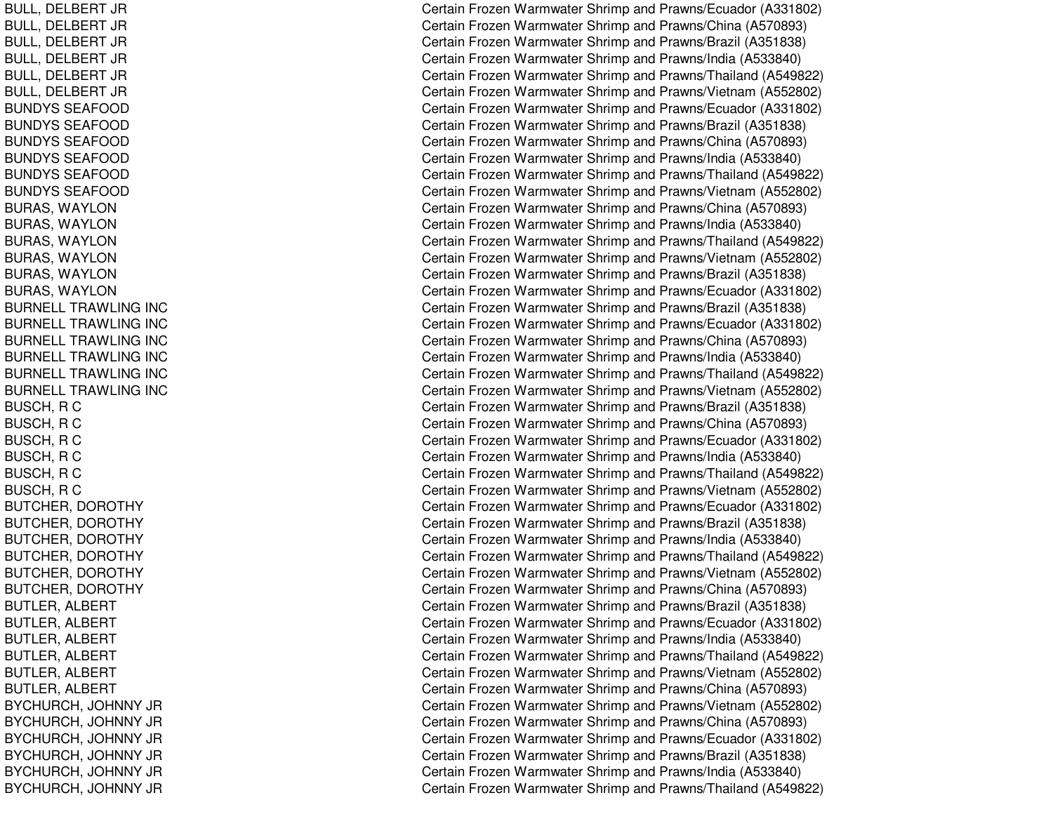BULL, D ELBERT JRBULL, D ELBERT JRBUL L, D EL BERT JRBULL, DELBERT JR BULL, D ELBERT JRBULL, DELBERT JR BUNDYS SEAFOOD BUNDYS SEAFOOD B U N D Y S S E A F OOD BUNDYS SEAFOOD BUNDYS SEAFOOD BUNDYS SEAFOOD BURAS, W AYLONBURAS, W AYL ONBURAS, WAYLON BURAS, WAYLON BURAS, W AYL ONBURAS, W AYLONBURNELL TRAWLING INC BURNELL TRAWLING INC BURNELL TRAWLING INC BURNELL TRAWLING INC BURNELL TRAWLING INC BURNELL TRAWLING INC B U S C H, R C BUSCH, R C BUSCH, R CBUSCH, R CB U S C H, R C BUSCH, R CBUTCHER, DOROTHY BUTCHER, DOROTHY BUTCHER, DOROTHY BUTCHER, DOROTHY BUTCHER, DOROTHY BUTCHER, D OROTHYBUTLER, ALBERT BUTLER, ALBERT BUTL ER, A L BERTBUTLER, ALBERT BUTLER, A LBERTBUT L ER, A L BERT BYCHURCH, JOHNNY JR BYCHURCH, JOHNNY JR B Y CHURCH, JO HNNY JRBYCHURCH, JOHNNY JR BYCHURCH, JOHNNY JR BYCHURCH, JOHNNY JR

Certain Frozen Warmwater Shrimp and Prawns/Ecuador (A331802) Certain Frozen Warmwater Shrimp and Prawns/China (A570893) Certain Frozen Warmwater Shrimp and Prawns/Brazil (A351838) Certain Frozen Warmwater Shrimp and Prawns/India (A533840) Certain Frozen Warmwater Shrimp and Prawns/Thailand (A549822) Certain Frozen Warmwater Shrimp and Prawns/Vietnam (A552802) Certain Frozen Warmwater Shrimp and Prawns/Ecuador (A331802) Certain Frozen Warmwater Shrimp and Prawns/Brazil (A351838) Certain Frozen Warmwater Shrimp and Prawns/China (A570893) Certain Frozen Warmwater Shrimp and Prawns/India (A533840) Certain Frozen Warmwater Shrimp and Prawns/Thailand (A549822) Certain Frozen Warmwater Shrimp and Prawns/Vietnam (A552802) Certain Frozen Warmwater Shrimp and Prawns/China (A570893) Certain Frozen Warmwater Shrimp and Prawns/India (A533840) Certain Frozen Warmwater Shrimp and Prawns/Thailand (A549822) Certain Frozen Warmwater Shrimp and Prawns/Vietnam (A552802) Certain Frozen Warmwater Shrimp and Prawns/Brazil (A351838) Certain Frozen Warmwater Shrimp and Prawns/Ecuador (A331802) Certain Frozen Warmwater Shrimp and Prawns/Brazil (A351838) Certain Frozen Warmwater Shrimp and Prawns/Ecuador (A331802) Certain Frozen Warmwater Shrimp and Prawns/China (A570893) Certain Frozen Warmwater Shrimp and Prawns/India (A533840) Certain Frozen Warmwater Shrimp and Prawns/Thailand (A549822) Certain Frozen Warmwater Shrimp and Prawns/Vietnam (A552802) Certain Frozen Warmwater Shrimp and Prawns/Brazil (A351838) Certain Frozen Warmwater Shrimp and Prawns/China (A570893) Certain Frozen Warmwater Shrimp and Prawns/Ecuador (A331802) Certain Frozen Warmwater Shrimp and Prawns/India (A533840) Certain Frozen Warmwater Shrimp and Prawns/Thailand (A549822) Certain Frozen Warmwater Shrimp and Prawns/Vietnam (A552802) Certain Frozen Warmwater Shrimp and Prawns/Ecuador (A331802) Certain Frozen Warmwater Shrimp and Prawns/Brazil (A351838) Certain Frozen Warmwater Shrimp and Prawns/India (A533840) Certain Frozen Warmwater Shrimp and Prawns/Thailand (A549822) Certain Frozen Warmwater Shrimp and Prawns/Vietnam (A552802) Certain Frozen Warmwater Shrimp and Prawns/China (A570893) Certain Frozen Warmwater Shrimp and Prawns/Brazil (A351838) Certain Frozen Warmwater Shrimp and Prawns/Ecuador (A331802) Certain Frozen Warmwater Shrimp and Prawns/India (A533840) Certain Frozen Warmwater Shrimp and Prawns/Thailand (A549822) Certain Frozen Warmwater Shrimp and Prawns/Vietnam (A552802) Certain Frozen Warmwater Shrimp and Prawns/China (A570893) Certain Frozen Warmwater Shrimp and Prawns/Vietnam (A552802) Certain Frozen Warmwater Shrimp and Prawns/China (A570893) Certain Frozen Warmwater Shrimp and Prawns/Ecuador (A331802) C ertain Frozen W arm w ater Shrim p and Pra wns/Brazil (A 3 518 3 8) Certain Frozen Warmwater Shrimp and Prawns/India (A533840) Certain Frozen Warmwater Shrimp and Prawns/Thailand (A549822)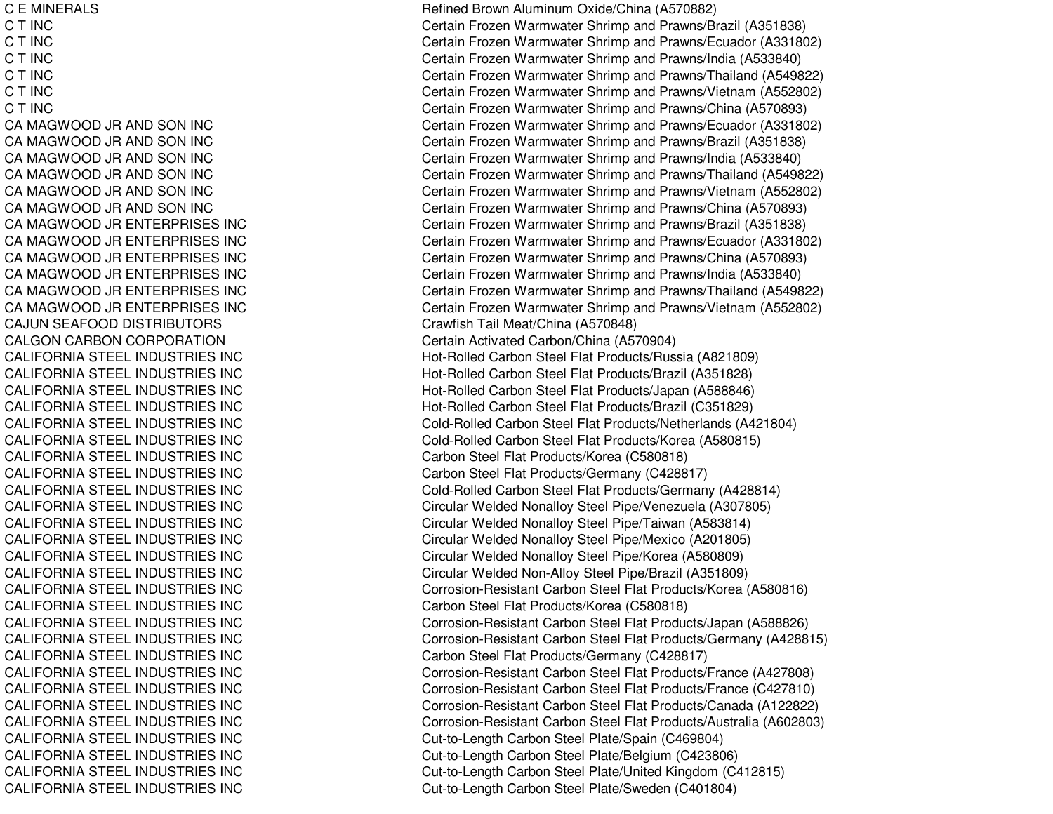**C E MINERALS** C T INC C T INC C T INC C T INC C T INC C T INC CA MAGWOODCA MAGWOODCA MAGWOODCA MAGWOODCA MAGWOODCA MAGWOODCA MAGWOODCA MAGWOODCA MAGWOODCA MAGWOODCA MAGWOODCA MAGWOOD**CAJUN SEAFOOD DISTRIBUTORS CALGON CARBON CORPORATION** CALIFORNIA STEEL INDUSTRIES INCCALIFORNIA STEEL INDUSTRIES INCCALIFORNIA STEEL INDUSTRIES INCCALIFORNIA STEEL INDUSTRIES INCCALIFORNIA STEEL INDUSTRIES INCCALIFORNIA STEEL INDUSTRIES INCCALIFORNIA STEEL INDUSTRIES INCCALIFORNIA STEEL INDUSTRIES INCCALIFORNIA STEEL INDUSTRIES INCCALIFORNIA STEEL INDUSTRIES INCCALIFORNIA STEEL INDUSTRIES INCCALIFORNIA STEEL INDUSTRIES INCCALIFORNIA STEEL INDUSTRIES INCCALIFORNIA STEEL INDUSTRIES INCCALIFORNIA STEEL INDUSTRIES INCCALIFORNIA STEEL INDUSTRIES INCCALIFORNIA STEEL INDUSTRIES INCCALIFORNIA STEEL INDUSTRIES INCCALIFORNIA STEEL INDUSTRIES INCCALIFORNIA STEEL INDUSTRIES INCCALIFORNIA STEEL INDUSTRIES INCCALIFORNIA STEEL INDUSTRIES INCCALIFORNIA STEEL INDUSTRIES INCCALIFORNIA STEEL INDUSTRIES INCCALIFORNIA STEEL INDUSTRIES INCCALIFORNIA STEEL INDUSTRIES INCCALIFORNIA STEEL INDUSTRIES INC

 E MINERALS Refined Brown Aluminum Oxide/China (A570882) Certain Frozen Warmwater Shrimp and Prawns/Brazil (A351838) Certain Frozen Warmwater Shrimp and Prawns/Ecuador (A331802) Certain Frozen Warmwater Shrimp and Prawns/India (A533840) Certain Frozen Warmwater Shrimp and Prawns/Thailand (A549822) Certain Frozen Warmwater Shrimp and Prawns/Vietnam (A552802) Certain Frozen Warmwater Shrimp and Prawns/China (A570893) Certain Frozen Warmwater Shrimp and Prawns/Ecuador (A331802) Certain Frozen Warmwater Shrimp and Prawns/Brazil (A351838) Certain Frozen Warmwater Shrimp and Prawns/India (A533840) Certain Frozen Warmwater Shrimp and Prawns/Thailand (A549822) Certain Frozen Warmwater Shrimp and Prawns/Vietnam (A552802) Certain Frozen Warmwater Shrimp and Prawns/China (A570893) Certain Frozen Warmwater Shrimp and Prawns/Brazil (A351838) Certain Frozen Warmwater Shrimp and Prawns/Ecuador (A331802) Certain Frozen Warmwater Shrimp and Prawns/China (A570893) Certain Frozen Warmwater Shrimp and Prawns/India (A533840) Certain Frozen Warmwater Shrimp and Prawns/Thailand (A549822) Certain Frozen Warmwater Shrimp and Prawns/Vietnam (A552802) Crawfish Tail Meat/China (A570848) Certain Activated Carbon/China (A570904) Hot-Rolled Carbon Steel Flat Products/Russia (A821809) Hot-Rolled Carbon Steel Flat Products/Brazil (A351828) Hot-Rolled Carbon Steel Flat Products/Japan (A588846) Hot-Rolled Carbon Steel Flat Products/Brazil (C351829) Cold-Rolled Carbon Steel Flat Products/Netherlands (A421804) Cold-Rolled Carbon Steel Flat Products/Korea (A580815) Carbon Steel Flat Products/Korea (C580818) Carbon Steel Flat Products/Germany (C428817) Cold-Rolled Carbon Steel Flat Products/Germany (A428814) Circular Welded Nonalloy Steel Pipe/Venezuela (A307805) Circular Welded Nonalloy Steel Pipe/Taiwan (A583814) Circular Welded Nonalloy Steel Pipe/Mexico (A201805) Circular Welded Nonalloy Steel Pipe/Korea (A580809) Circular Welded Non-Alloy Steel Pipe/Brazil (A351809) Corrosion-Resistant Carbon Steel Flat Products/Korea (A580816) Carbon Steel Flat Products/Korea (C580818) Corrosion-Resistant Carbon Steel Flat Products/Japan (A588826) Corrosion-Resistant Carbon Steel Flat Products/Germany (A428815) Carbon Steel Flat Products/Germany (C428817) Corrosion-Resistant Carbon Steel Flat Products/France (A427808) Corrosion-Resistant Carbon Steel Flat Products/France (C427810) Corrosion-Resistant Carbon Steel Flat Products/Canada (A122822) Corrosion-Resistant Carbon Steel Flat Products/Australia (A602803) Cut-to-Length Carbon Steel Plate/Spain (C469804) Cut-to-Length Carbon Steel Plate/Belgium (C423806) Cut-to-Length Carbon Steel Plate/United Kingdom (C412815) Cut-to-Length Carbon Steel Plate/Sweden (C401804)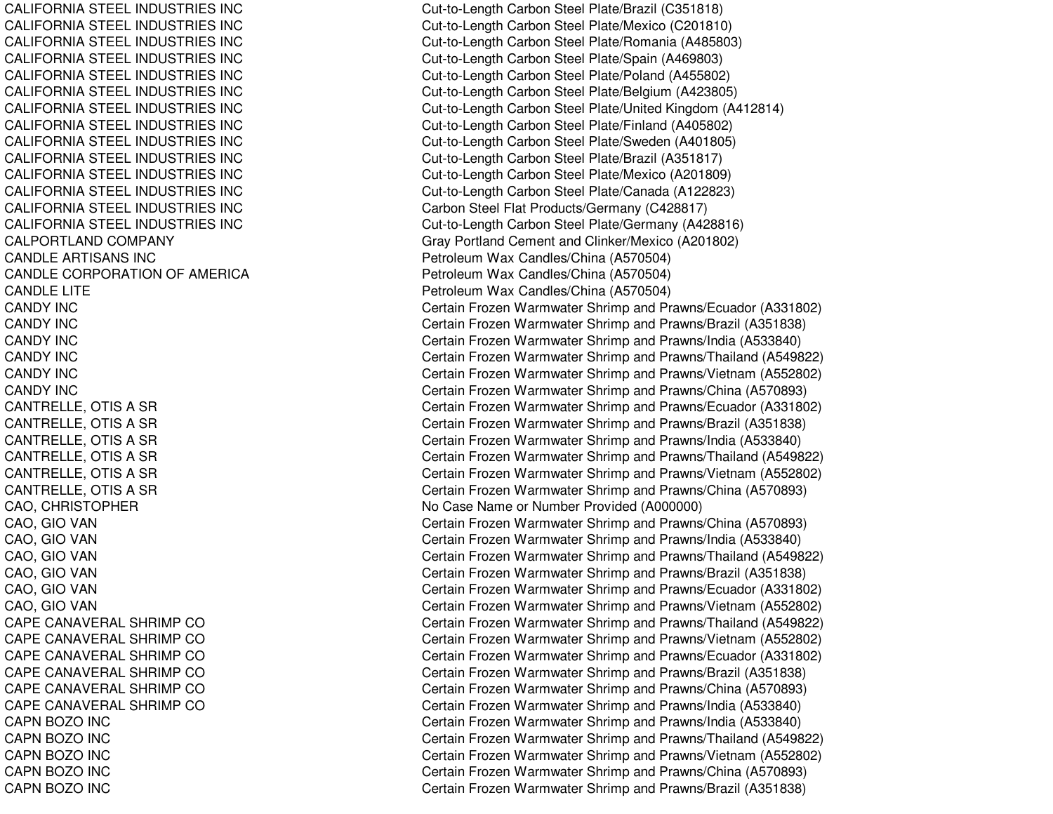CALIFORNIA STEEL INDUSTRIES INCCALIFORNIA STEEL INDUSTRIES INCCALIFORNIA STEEL INDUSTRIES INCCALIFORNIA STEEL INDUSTRIES INCCALIFORNIA STEEL INDUSTRIES INCCALIFORNIA STEEL INDUSTRIES INCCALIFORNIA STEEL INDUSTRIES INCCALIFORNIA STEEL INDUSTRIES INCCALIFORNIA STEEL INDUSTRIES INCCALIFORNIA STEEL INDUSTRIES INCCALIFORNIA STEEL INDUSTRIES INCCALIFORNIA STEEL INDUSTRIES INCCALIFORNIA STEEL INDUSTRIES INCCALIFORNIA STEEL INDUSTRIES INCCALPORTLANDCANDLE ARTISANS INCCANDLE CORPORATION OF AMERICA PERSON RETORDER PETROLEUM **CANDLE LITE** CANDY INCCANDY INCCANDY INCCANDY INCCANDY INCCANDY INCCAPE CANAVERAL SHRIMP COCAPE CANAVERAL SHRIMP COCAPE CANAVERAL SHRIMP COCAPE CANAVERAL SHRIMP COCAPE CANAVERAL SHRIMP COCAPE CANAVERAL SHRIMP COCAPN BOZOCAPN BOZOCAPN BOZOCAPN BOZOCAPN BOZO

 Cut-to-Length Carbon Steel Plate/Brazil (C351818) Cut-to-Length Carbon Steel Plate/Mexico (C201810) Cut-to-Length Carbon Steel Plate/Romania (A485803) Cut-to-Length Carbon Steel Plate/Spain (A469803) Cut-to-Length Carbon Steel Plate/Poland (A455802) Cut-to-Length Carbon Steel Plate/Belgium (A423805) Cut-to-Length Carbon Steel Plate/United Kingdom (A412814) Cut-to-Length Carbon Steel Plate/Finland (A405802) Cut-to-Length Carbon Steel Plate/Sweden (A401805) Cut-to-Length Carbon Steel Plate/Brazil (A351817) Cut-to-Length Carbon Steel Plate/Mexico (A201809) Cut-to-Length Carbon Steel Plate/Canada (A122823) Carbon Steel Flat Products/Germany (C428817) Cut-to-Length Carbon Steel Plate/Germany (A428816) Gray Portland Cement and Clinker/Mexico (A201802) Petroleum Wax Candles/China (A570504) Petroleum Wax Candles/China (A570504) LITE Petroleum Wax Candles/China (A570504) Certain Frozen Warmwater Shrimp and Prawns/Ecuador (A331802) Certain Frozen Warmwater Shrimp and Prawns/Brazil (A351838) Certain Frozen Warmwater Shrimp and Prawns/India (A533840) Certain Frozen Warmwater Shrimp and Prawns/Thailand (A549822) Certain Frozen Warmwater Shrimp and Prawns/Vietnam (A552802) Certain Frozen Warmwater Shrimp and Prawns/China (A570893) CANTRELLE, OTIS A SR Certain Frozen Warmwater Shrimp and Prawns/Ecuador (A331802) CANTRELLE, OTIS A SR Certain Frozen Warmwater Shrimp and Prawns/Brazil (A351838) CANTRELLE, OTIS A SR Certain Frozen Warmwater Shrimp and Prawns/India (A533840) CANTRELLE, OTIS A SR Certain Frozen Warmwater Shrimp and Prawns/Thailand (A549822) CANTRELLE, OTIS A SR Certain Frozen Warmwater Shrimp and Prawns/Vietnam (A552802) CANTRELLE, OTIS A SR Certain Frozen Warmwater Shrimp and Prawns/China (A570893) CAO, CHRISTOPHER **No Case Name or Number Provided (A000000)** CAO, GIO VAN Certain Frozen Warmwater Shrimp and Prawns/China (A570893) CAO, GIO VAN Certain Frozen Warmwater Shrimp and Prawns/India (A533840) CAO, GIO VAN Certain Frozen Warmwater Shrimp and Prawns/Thailand (A549822) CAO, GIO VAN Certain Frozen Warmwater Shrimp and Prawns/Brazil (A351838) CAO, GIO VAN Certain Frozen Warmwater Shrimp and Prawns/Ecuador (A331802) CAO, GIO VAN Certain Frozen Warmwater Shrimp and Prawns/Vietnam (A552802) Certain Frozen Warmwater Shrimp and Prawns/Thailand (A549822) Certain Frozen Warmwater Shrimp and Prawns/Vietnam (A552802) Certain Frozen Warmwater Shrimp and Prawns/Ecuador (A331802) Certain Frozen Warmwater Shrimp and Prawns/Brazil (A351838) Certain Frozen Warmwater Shrimp and Prawns/China (A570893) Certain Frozen Warmwater Shrimp and Prawns/India (A533840) Certain Frozen Warmwater Shrimp and Prawns/India (A533840) Certain Frozen Warmwater Shrimp and Prawns/Thailand (A549822) Certain Frozen Warmwater Shrimp and Prawns/Vietnam (A552802) Certain Frozen Warmwater Shrimp and Prawns/China (A570893) Certain Frozen Warmwater Shrimp and Prawns/Brazil (A351838)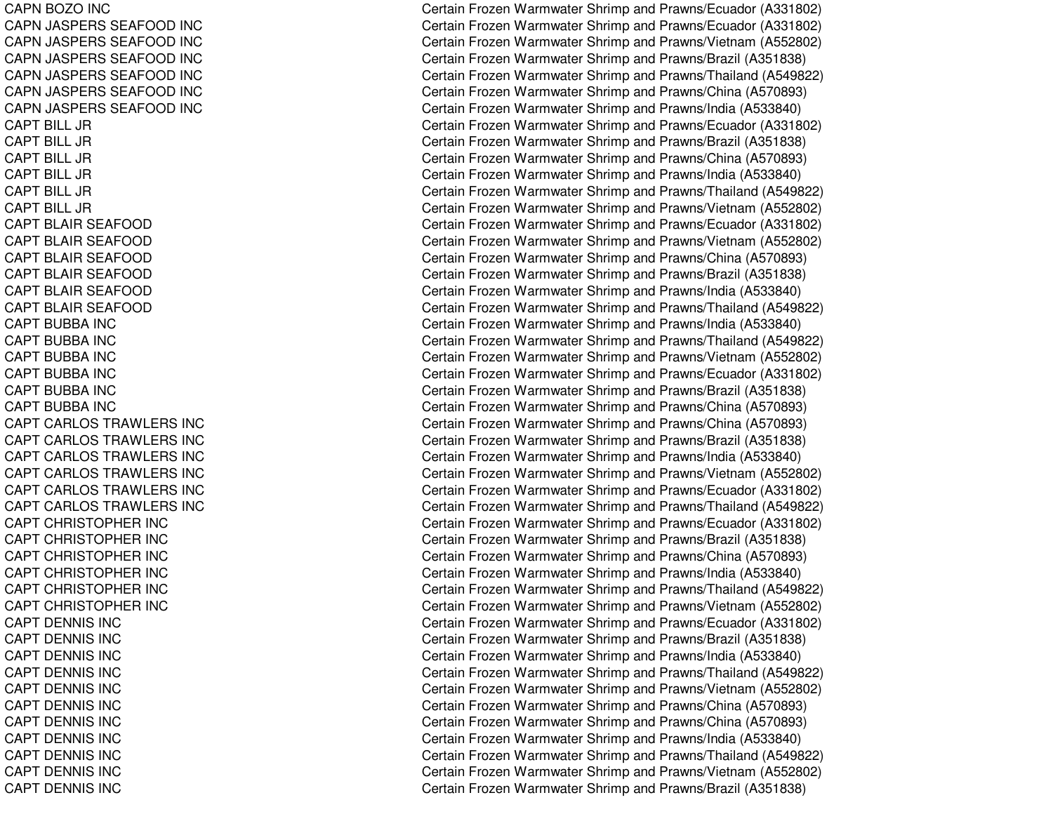CAPN BOZO INC CAPN JASPERS SEAFOOD INC CAPN JASPERS SEAFOOD INC CAPN JASPERS SEAFOOD INC CAPN JASPERS SEAFOOD INC CAPN JASPERS SEAFOOD INC CAPN JASPERS SEAFOOD INC CAPT BILL JR CAPT BILL JR CAPT BILL JR CAPT BILL JR CAPT BILL JR CAPT BILL JR CAPT BLAIR SEAFOOD CAPT BLAIR SEAFOOD CAPT BLAIR SEAFOOD CAPT BLAIR SEAFOOD CAPT BLAIR SEAFOOD CAPT BLAIR SEAFOOD CAPT BUBBA INC CAPT BUBBA INC CAPT BUBBA INC CAPT BUBBA INC CAPT BUBBA INC CAPT BUBBA INC CAPT CARLOS TRAWLERS INC CAPT CARLOS TRAWLERS INC CAPT CARLOS TRAWLERS INC CAPT CARLOS TRAWLERS INC CAPT CARLOS TRAWLERS INC CAPT CARLOS TRAWLERS INC CAPT CHRISTOPHER INC CAPT CHRISTOPHER INC CAPT CHRISTOPHER INC CAPT CHRISTOPHER INC CAPT CHRISTOPHER INC CAPT CHRISTOPHER INC CAPT DENNIS INC CAPT DENNIS INC CAPT DENNIS INC CAPT DENNIS INC CAPT DENNIS INCCAPT DENNIS INC CAPT DENNIS INC CAPT DENNIS INC CAPT DENNIS INC CAPT DENNIS INC CAPT DENNIS INC

Certain Frozen Warmwater Shrimp and Prawns/Ecuador (A331802) Certain Frozen Warmwater Shrimp and Prawns/Ecuador (A331802) Certain Frozen Warmwater Shrimp and Prawns/Vietnam (A552802) Certain Frozen Warmwater Shrimp and Prawns/Brazil (A351838) Certain Frozen Warmwater Shrimp and Prawns/Thailand (A549822) Certain Frozen Warmwater Shrimp and Prawns/China (A570893) Certain Frozen Warmwater Shrimp and Prawns/India (A533840) Certain Frozen Warmwater Shrimp and Prawns/Ecuador (A331802) Certain Frozen Warmwater Shrimp and Prawns/Brazil (A351838) Certain Frozen Warmwater Shrimp and Prawns/China (A570893) Certain Frozen Warmwater Shrimp and Prawns/India (A533840) Certain Frozen Warmwater Shrimp and Prawns/Thailand (A549822) Certain Frozen Warmwater Shrimp and Prawns/Vietnam (A552802) Certain Frozen Warmwater Shrimp and Prawns/Ecuador (A331802) Certain Frozen Warmwater Shrimp and Prawns/Vietnam (A552802) Certain Frozen Warmwater Shrimp and Prawns/China (A570893) Certain Frozen Warmwater Shrimp and Prawns/Brazil (A351838) Certain Frozen Warmwater Shrimp and Prawns/India (A533840) Certain Frozen Warmwater Shrimp and Prawns/Thailand (A549822) Certain Frozen Warmwater Shrimp and Pra wns/India (A 5 3 3 8 4 0) Certain Frozen Warmwater Shrimp and Prawns/Thailand (A549822) Certain Frozen Warmwater Shrimp and Prawns/Vietnam (A552802) Certain Frozen Warmwater Shrimp and Prawns/Ecuador (A331802) Certain Frozen Warmwater Shrimp and Prawns/Brazil (A351838) Certain Frozen Warmwater Shrimp and Prawns/China (A570893) Certain Frozen Warmwater Shrimp and Prawns/China (A570893) Certain Frozen Warmwater Shrimp and Prawns/Brazil (A351838) Certain Frozen Warmwater Shrimp and Prawns/India (A533840) Certain Frozen Warmwater Shrimp and Prawns/Vietnam (A552802) Certain Frozen Warmwater Shrimp and Prawns/Ecuador (A331802) Certain Frozen Warmwater Shrimp and Prawns/Thailand (A549822) Certain Frozen Warmwater Shrimp and Prawns/Ecuador (A331802) Certain Frozen Warmwater Shrimp and Prawns/Brazil (A351838) Certain Frozen Warmwater Shrimp and Prawns/China (A570893) Certain Frozen Warmwater Shrimp and Prawns/India (A533840) Certain Frozen Warmwater Shrimp and Prawns/Thailand (A549822) Certain Frozen Warmwater Shrimp and Prawns/Vietnam (A552802) Certain Frozen Warmwater Shrimp and Prawns/Ecuador (A331802) C ertain Frozen W arm w ater Shrim p and Pra wns/Brazil (A 3 518 3 8) Certain Frozen Warmwater Shrimp and Prawns/India (A533840) Certain Frozen Warmwater Shrimp and Prawns/Thailand (A549822) Certain Frozen Warmwater Shrimp and Prawns/Vietnam (A552802) Certain Frozen Warmwater Shrimp and Prawns/China (A570893) Certain Frozen Warmwater Shrimp and Prawns/China (A570893) Certain Frozen Warmwater Shrimp and Pra wns/India (A 5 3 3 8 4 0) Certain Frozen Warmwater Shrimp and Prawns/Thailand (A549822) Certain Frozen Warmwater Shrimp and Prawns/Vietnam (A552802) Certain Frozen Warmwater Shrimp and Prawns/Brazil (A351838)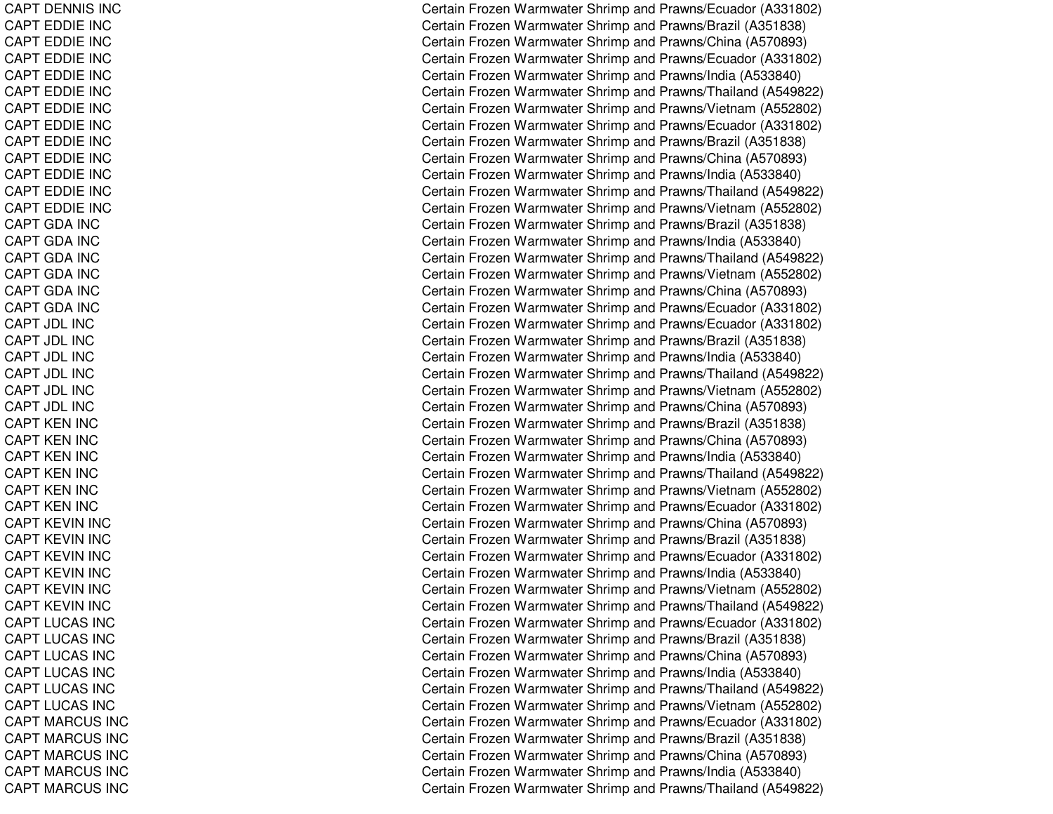CAPT DENNIS INC CAPT EDDIE INC CAPT EDDIE INC CAPT EDDIE INC CAPT EDDIE INC CAPT EDDIE INC CAPT EDDIE INC CAPT EDDIE INC CAPT EDDIE INC CAPT EDDIE INC CAPT EDDIE INC CAPT EDDIE INC CAPT EDDIE INC CAPTGDA INCCAPT GDA INC CAPTGDA INCCAPTGDA INCCAPT GDA INC CAPTGDA INCCA P T JDL INCCAPT JDL INC CAPT JDL INCCAPT JDL INCCAPT JDL INCCAPT JDL INCCAPT KEN INC CAPT KEN INC CAPT KEN INC CAPT KEN INC CAPT KEN INC CAPT KEN INC CAPT KEVIN INC CAPT KEVIN INC CAPT KEVIN INC CAPT KEVIN INC CAPT KEVIN INC CAPT KEVIN INC CAPT LUCAS INC CAPT LUCAS INC CAPT LUCAS INC CAPT LUCAS INC CAPT L UCAS INCCAPT LUCAS INC CAPT MARCUS INC CAPT MARCUS INC CAPT MARCUS INC CAPT MARCUS INC CAPT MARCUS INC

Certain Frozen Warmwater Shrimp and Prawns/Ecuador (A331802) Certain Frozen Warmwater Shrimp and Prawns/Brazil (A351838) Certain Frozen Warmwater Shrimp and Prawns/China (A570893) Certain Frozen Warmwater Shrimp and Prawns/Ecuador (A331802) Certain Frozen Warmwater Shrimp and Prawns/India (A533840) Certain Frozen Warmwater Shrimp and Prawns/Thailand (A549822) Certain Frozen Warmwater Shrimp and Prawns/Vietnam (A552802) Certain Frozen Warmwater Shrimp and Prawns/Ecuador (A331802) Certain Frozen Warmwater Shrimp and Prawns/Brazil (A351838) Certain Frozen Warmwater Shrimp and Prawns/China (A570893) Certain Frozen Warmwater Shrimp and Prawns/India (A533840) Certain Frozen Warmwater Shrimp and Prawns/Thailand (A549822) Certain Frozen Warmwater Shrimp and Prawns/Vietnam (A552802) Certain Frozen Warmwater Shrimp and Prawns/Brazil (A351838) Certain Frozen Warmwater Shrimp and Prawns/India (A533840) Certain Frozen Warmwater Shrimp and Prawns/Thailand (A549822) Certain Frozen Warmwater Shrimp and Prawns/Vietnam (A552802) Certain Frozen Warmwater Shrimp and Prawns/China (A570893) Certain Frozen Warmwater Shrimp and Prawns/Ecuador (A331802) Certain Frozen Warmwater Shrimp and Prawns/Ecuador (A331802) C ertain Frozen W arm w ater Shrim p and Pra wns/Brazil (A 3 518 3 8) Certain Frozen Warmwater Shrimp and Prawns/India (A533840) Certain Frozen Warmwater Shrimp and Prawns/Thailand (A549822) Certain Frozen Warmwater Shrimp and Prawns/Vietnam (A552802) Certain Frozen Warmwater Shrimp and Prawns/China (A570893) Certain Frozen Warmwater Shrimp and Prawns/Brazil (A351838) Certain Frozen Warmwater Shrimp and Prawns/China (A570893) Certain Frozen Warmwater Shrimp and Prawns/India (A533840) Certain Frozen Warmwater Shrimp and Prawns/Thailand (A549822) Certain Frozen Warmwater Shrimp and Prawns/Vietnam (A552802) Certain Frozen Warmwater Shrimp and Prawns/Ecuador (A331802) Certain Frozen Warmwater Shrimp and Prawns/China (A570893) Certain Frozen Warmwater Shrimp and Prawns/Brazil (A351838) Certain Frozen Warmwater Shrimp and Prawns/Ecuador (A331802) Certain Frozen Warmwater Shrimp and Prawns/India (A533840) Certain Frozen Warmwater Shrimp and Prawns/Vietnam (A552802) Certain Frozen Warmwater Shrimp and Prawns/Thailand (A549822) Certain Frozen Warmwater Shrimp and Prawns/Ecuador (A331802) Certain Frozen Warmwater Shrimp and Prawns/Brazil (A351838) Certain Frozen Warmwater Shrimp and Prawns/China (A570893) Certain Frozen Warmwater Shrimp and Prawns/India (A533840) Certain Frozen Warmwater Shrimp and Prawns/Thailand (A549822) Certain Frozen Warmwater Shrimp and Prawns/Vietnam (A552802) Certain Frozen Warmwater Shrimp and Prawns/Ecuador (A331802) Certain Frozen Warmwater Shrimp and Prawns/Brazil (A351838) Certain Frozen Warmwater Shrimp and Prawns/China (A570893) Certain Frozen Warmwater Shrimp and Prawns/India (A533840) Certain Frozen Warmwater Shrimp and Prawns/Thailand (A549822)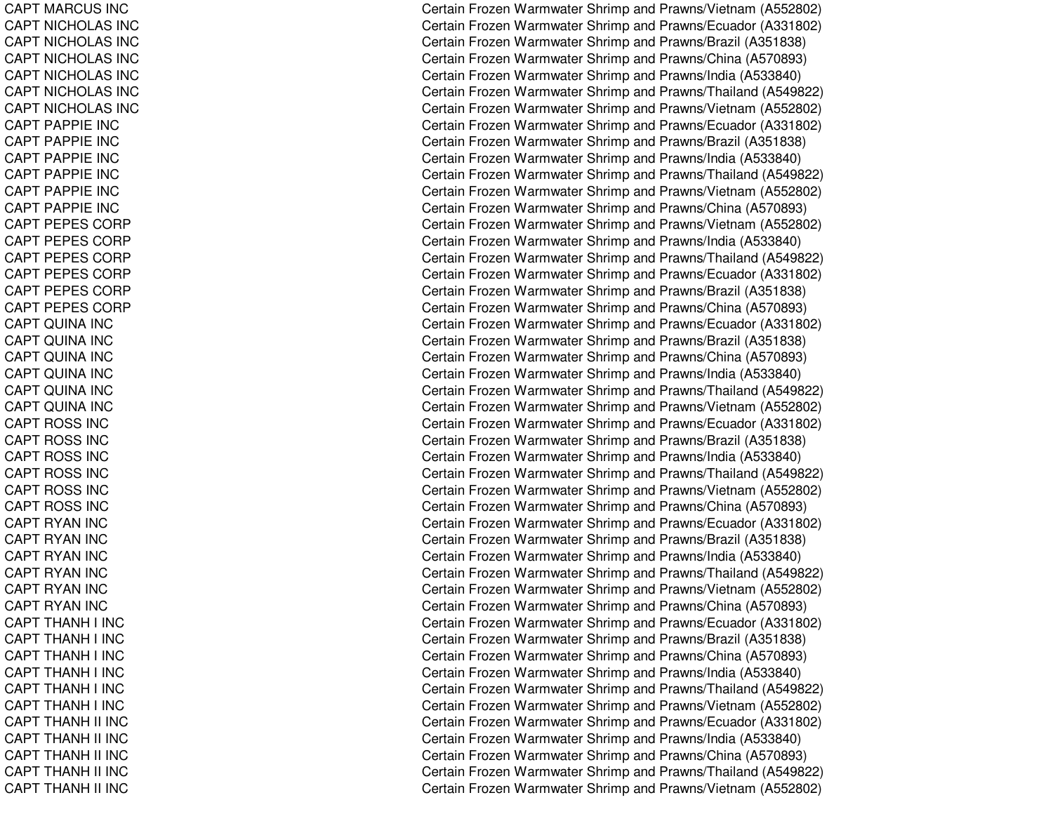CAPT MARCUS INC CAPT NICHOLAS INC CAPT NICHOL AS INCCAPT NICHOLAS INC CAPT NICHOLAS INC CAPT NICHOLAS INC CAPT NICHOLAS INC CAPT PAPPIE INC CAPT PAPPIE INC CAPT PAPPIE INC CAPT PAPPIE INC CAPT PAPPIE INC CAPT PAPPIE INC CAPT PEPES CORP CAPT PEPES CORP CAPT PEPES CORP CAPT PEPES CORP CAPT PEPES CORP CAPT PEPES CORP CA P T QUINA INCCAPT QUINA INC CAPT QUINA INC CAPT QUINA INC CAPT QUINA INC CAPT QUINA INC CAPT ROSS INC CAPT ROSS INC CAPT ROSS INC CAPT ROSS INC CAPT ROSS INC CAPT ROSS INC CAPT RYAN INC CAPT RYAN INC CAPT RYAN INC CAPT RYAN INC CAPT RYAN INC CAPT RYAN INC CAPT THANH I INC CAPT THANH I INC CAPT THANH I INC CAPT THANH I INC CAPT T HANH I IN CCAPT THANH I INC CAPT THANH II INC CAPT THANH II INC CAPT THANH II INC CAPT THANH II INC CAPT THANH II INC

Certain Frozen Warmwater Shrimp and Prawns/Vietnam (A552802) Certain Frozen Warmwater Shrimp and Prawns/Ecuador (A331802) Certain Frozen Warmwater Shrimp and Prawns/Brazil (A351838) Certain Frozen Warmwater Shrimp and Prawns/China (A570893) Certain Frozen Warmwater Shrimp and Prawns/India (A533840) Certain Frozen Warmwater Shrimp and Prawns/Thailand (A549822) Certain Frozen Warmwater Shrimp and Prawns/Vietnam (A552802) Certain Frozen Warmwater Shrimp and Prawns/Ecuador (A331802) Certain Frozen Warmwater Shrimp and Prawns/Brazil (A351838) Certain Frozen Warmwater Shrimp and Prawns/India (A533840) Certain Frozen Warmwater Shrimp and Prawns/Thailand (A549822) Certain Frozen Warmwater Shrimp and Prawns/Vietnam (A552802) Certain Frozen Warmwater Shrimp and Prawns/China (A570893) Certain Frozen Warmwater Shrimp and Prawns/Vietnam (A552802) Certain Frozen Warmwater Shrimp and Prawns/India (A533840) Certain Frozen Warmwater Shrimp and Prawns/Thailand (A549822) Certain Frozen Warmwater Shrimp and Prawns/Ecuador (A331802) Certain Frozen Warmwater Shrimp and Prawns/Brazil (A351838) Certain Frozen Warmwater Shrimp and Prawns/China (A570893) Certain Frozen Warmwater Shrimp and Prawns/Ecuador (A331802) C ertain Frozen W arm w ater Shrim p and Pra wns/Brazil (A 3 518 3 8) Certain Frozen Warmwater Shrimp and Prawns/China (A570893) Certain Frozen Warmwater Shrimp and Prawns/India (A533840) Certain Frozen Warmwater Shrimp and Prawns/Thailand (A549822) Certain Frozen Warmwater Shrimp and Prawns/Vietnam (A552802) Certain Frozen Warmwater Shrimp and Prawns/Ecuador (A331802) Certain Frozen Warmwater Shrimp and Prawns/Brazil (A351838) Certain Frozen Warmwater Shrimp and Prawns/India (A533840) Certain Frozen Warmwater Shrimp and Prawns/Thailand (A549822) Certain Frozen Warmwater Shrimp and Prawns/Vietnam (A552802) Certain Frozen Warmwater Shrimp and Prawns/China (A570893) Certain Frozen Warmwater Shrimp and Prawns/Ecuador (A331802) Certain Frozen Warmwater Shrimp and Prawns/Brazil (A351838) Certain Frozen Warmwater Shrimp and Prawns/India (A533840) Certain Frozen Warmwater Shrimp and Prawns/Thailand (A549822) Certain Frozen Warmwater Shrimp and Prawns/Vietnam (A552802) Certain Frozen Warmwater Shrimp and Prawns/China (A570893) Certain Frozen Warmwater Shrimp and Prawns/Ecuador (A331802) C ertain Frozen W arm w ater Shrim p and Pra wns/Brazil (A 3 518 3 8) Certain Frozen Warmwater Shrimp and Prawns/China (A570893) Certain Frozen Warmwater Shrimp and Prawns/India (A533840) Certain Frozen Warmwater Shrimp and Prawns/Thailand (A549822) Certain Frozen Warmwater Shrimp and Prawns/Vietnam (A552802) Certain Frozen Warmwater Shrimp and Prawns/Ecuador (A331802) Certain Frozen Warmwater Shrimp and Pra wns/India (A 5 3 3 8 4 0) Certain Frozen Warmwater Shrimp and Prawns/China (A570893) Certain Frozen Warmwater Shrimp and Prawns/Thailand (A549822) Certain Frozen Warmwater Shrimp and Prawns/Vietnam (A552802)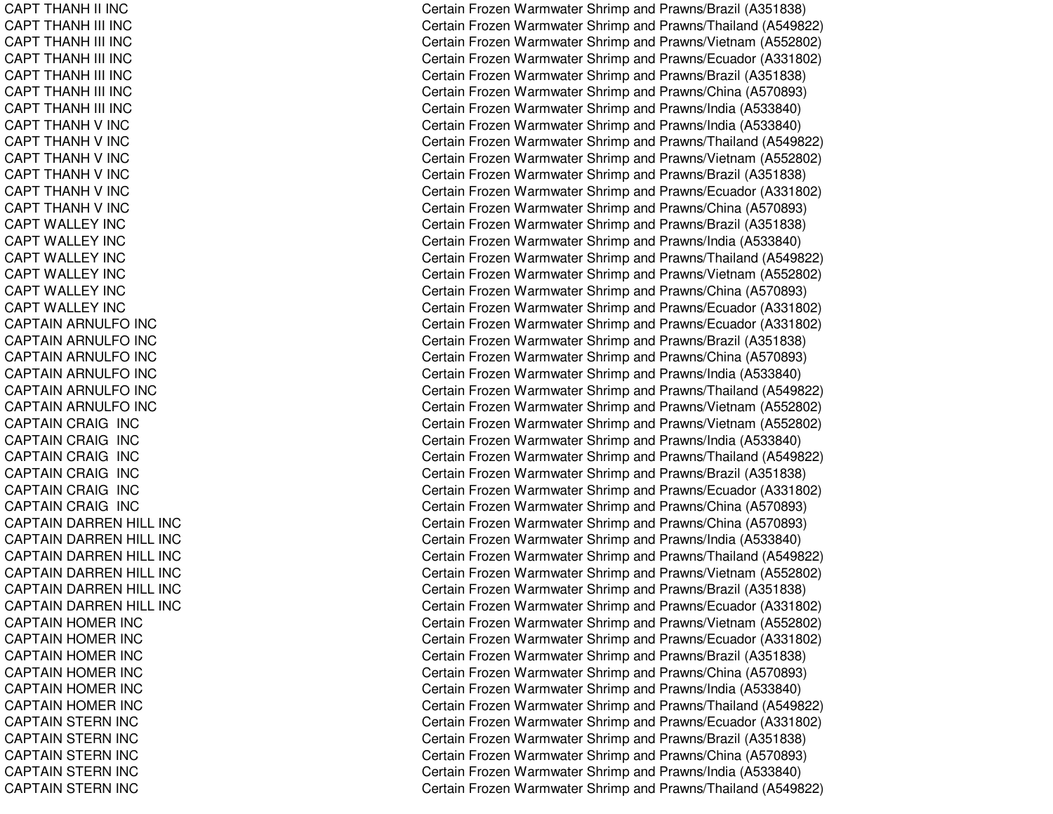CAPT THANH II INC CAPT THANH III INC CAPT THANH III INC CAPT THANH III INC CAPT THANH III INC CAPT THANH III INC CAPT THANH III INC CAPT THANH V INC CAPT THANH V INC CAPT THANH V INC CAPT THANH V INC CAPT THANH V INC CAPT THANH V INC CAPT WALLEY INC CAPT WALLEY INC CAPT WALLEY INC CAPT WALLEY INC CAPT WALLEY INC CAPT WALLEY INC CAPTAIN ARNULFO INC CAPTAIN ARNULFO INC CAPTAIN ARNULFO INC CAPTAIN ARNULFO INC CAPTAIN ARNULFO INC CAPTAIN ARNULFO INC CAPTAIN CRAIG INC CAPTAIN CRAIG INC CAPTAIN CRAIG INC CAPTAIN CRAIG INC CAPTAIN CRAIG INC CAPTAIN CRAIG INC CAPTAIN DARREN HILL INC CAPTAIN DARREN HILL INC CAPTAIN DARREN HILL INC CAPTAIN DARREN HILL INC CAPTAIN DARREN HILL INC CAPTAIN DARREN HILL INC CAPTAIN HOMER INC CAPTAIN HOMER INC CAPTAIN HOMER INC CAPTAIN HOMER INC CAPTAIN HOMER INC CAPTAIN HOMER INC CAPTAIN STERN INC CAPTAIN STERN INC CAPTAIN STERN INC CAPTAIN STERN INC CAPTAIN STERN INC

Certain Frozen Warmwater Shrimp and Prawns/Brazil (A351838) Certain Frozen Warmwater Shrimp and Prawns/Thailand (A549822) Certain Frozen Warmwater Shrimp and Prawns/Vietnam (A552802) Certain Frozen Warmwater Shrimp and Prawns/Ecuador (A331802) Certain Frozen Warmwater Shrimp and Prawns/Brazil (A351838) Certain Frozen Warmwater Shrimp and Prawns/China (A570893) Certain Frozen Warmwater Shrimp and Prawns/India (A533840) Certain Frozen Warmwater Shrimp and Prawns/India (A533840) Certain Frozen Warmwater Shrimp and Prawns/Thailand (A549822) Certain Frozen Warmwater Shrimp and Prawns/Vietnam (A552802) Certain Frozen Warmwater Shrimp and Prawns/Brazil (A351838) Certain Frozen Warmwater Shrimp and Prawns/Ecuador (A331802) Certain Frozen Warmwater Shrimp and Prawns/China (A570893) Certain Frozen Warmwater Shrimp and Prawns/Brazil (A351838) Certain Frozen Warmwater Shrimp and Prawns/India (A533840) Certain Frozen Warmwater Shrimp and Prawns/Thailand (A549822) Certain Frozen Warmwater Shrimp and Prawns/Vietnam (A552802) Certain Frozen Warmwater Shrimp and Prawns/China (A570893) Certain Frozen Warmwater Shrimp and Prawns/Ecuador (A331802) Certain Frozen Warmwater Shrimp and Prawns/Ecuador (A331802) C ertain Frozen W arm w ater Shrim p and Pra wns/Brazil (A 3 518 3 8) Certain Frozen Warmwater Shrimp and Prawns/China (A570893) Certain Frozen Warmwater Shrimp and Prawns/India (A533840) Certain Frozen Warmwater Shrimp and Prawns/Thailand (A549822) Certain Frozen Warmwater Shrimp and Prawns/Vietnam (A552802) Certain Frozen Warmwater Shrimp and Prawns/Vietnam (A552802) Certain Frozen Warmwater Shrimp and Prawns/India (A533840) Certain Frozen Warmwater Shrimp and Prawns/Thailand (A549822) Certain Frozen Warmwater Shrimp and Prawns/Brazil (A351838) Certain Frozen Warmwater Shrimp and Prawns/Ecuador (A331802) Certain Frozen Warmwater Shrimp and Prawns/China (A570893) Certain Frozen Warmwater Shrimp and Prawns/China (A570893) Certain Frozen Warmwater Shrimp and Prawns/India (A533840) Certain Frozen Warmwater Shrimp and Prawns/Thailand (A549822) Certain Frozen Warmwater Shrimp and Prawns/Vietnam (A552802) Certain Frozen Warmwater Shrimp and Prawns/Brazil (A351838) Certain Frozen Warmwater Shrimp and Prawns/Ecuador (A331802) Certain Frozen Warmwater Shrimp and Prawns/Vietnam (A552802) Certain Frozen Warmwater Shrimp and Prawns/Ecuador (A331802) Certain Frozen Warmwater Shrimp and Prawns/Brazil (A351838) Certain Frozen Warmwater Shrimp and Prawns/China (A570893) Certain Frozen Warmwater Shrimp and Prawns/India (A533840) Certain Frozen Warmwater Shrimp and Prawns/Thailand (A549822) Certain Frozen Warmwater Shrimp and Prawns/Ecuador (A331802) Certain Frozen Warmwater Shrimp and Prawns/Brazil (A351838) Certain Frozen Warmwater Shrimp and Prawns/China (A570893) Certain Frozen Warmwater Shrimp and Prawns/India (A533840) Certain Frozen Warmwater Shrimp and Prawns/Thailand (A549822)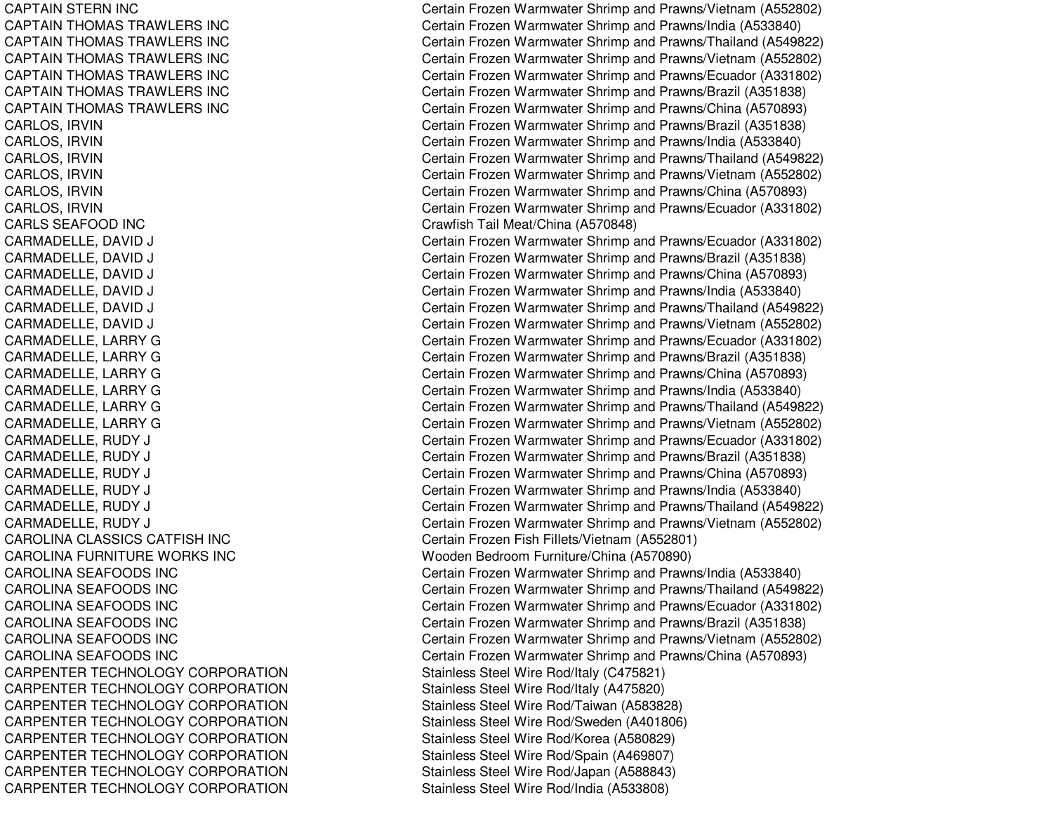**CAPTAIN STERN INC CAPTAIN THOMAS TRAWLERS INC CAPTAIN THOMAS TRAWLERS INC CAPTAIN THOMAS TRAWLERS INC CAPTAIN THOMAS TRAWLERS INC** CAPTAIN THOMAS TRAWLERS INC CAPTAIN THOMAS TRAWLERS INC CARLS SEAFOODCAROLINA CLASSICS CATFISHCAROLINA FURNITURE WORKS INCCAROLINA SEAFOODS INCCAROLINA SEAFOODS INCCAROLINA SEAFOODS INCCAROLINA SEAFOODS INCCAROLINA SEAFOODS INCCAROLINA SEAFOODS INC**CARPENTER TECHNOLOGY CORPORATION** CARPENTER TECHNOLOGY CORPORATION CARPENTER TECHNOLOGY CORPORATION **CARPENTER TECHNOLOGY CORPORATION** CARPENTER TECHNOLOGY CORPORATION CARPENTER TECHNOLOGY CORPORATION CARPENTER TECHNOLOGY CORPORATION CARPENTER TECHNOLOGY CORPORATION

Certain Frozen Warmwater Shrimp and Prawns/Vietnam (A552802) Certain Frozen Warmwater Shrimp and Prawns/India (A533840) Certain Frozen Warmwater Shrimp and Prawns/Thailand (A549822) Certain Frozen Warmwater Shrimp and Prawns/Vietnam (A552802) Certain Frozen Warmwater Shrimp and Prawns/Ecuador (A331802) Certain Frozen Warmwater Shrimp and Prawns/Brazil (A351838) Certain Frozen Warmwater Shrimp and Prawns/China (A570893) CARLOS, IRVIN Certain Frozen Warmwater Shrimp and Prawns/Brazil (A351838) CARLOS, IRVIN Certain Frozen Warmwater Shrimp and Prawns/India (A533840) CARLOS, IRVIN Certain Frozen Warmwater Shrimp and Prawns/Thailand (A549822) CARLOS, IRVIN Certain Frozen Warmwater Shrimp and Prawns/Vietnam (A552802) CARLOS, IRVIN Certain Frozen Warmwater Shrimp and Prawns/China (A570893) CARLOS, IRVIN Certain Frozen Warmwater Shrimp and Prawns/Ecuador (A331802) Crawfish Tail Meat/China (A570848) CARMADELLE, DAVID J Certain Frozen Warmwater Shrimp and Prawns/Ecuador (A331802) CARMADELLE, DAVID J Certain Frozen Warmwater Shrimp and Prawns/Brazil (A351838) CARMADELLE, DAVID J Certain Frozen Warmwater Shrimp and Prawns/China (A570893) CARMADELLE, DAVID J Certain Frozen Warmwater Shrimp and Prawns/India (A533840) CARMADELLE, DAVID J Certain Frozen Warmwater Shrimp and Prawns/Thailand (A549822) CARMADELLE, DAVID J Certain Frozen Warmwater Shrimp and Prawns/Vietnam (A552802) CARMADELLE, LARRY G Certain Frozen Warmwater Shrimp and Prawns/Ecuador (A331802) CARMADELLE, LARRY G CAR CHARGE CHARGE CERTAIN Frozen Warmwater Shrimp and Prawns/Brazil (A351838) CARMADELLE, LARRY G Certain Frozen Warmwater Shrimp and Prawns/China (A570893) CARMADELLE, LARRY G Certain Frozen Warmwater Shrimp and Prawns/India (A533840) CARMADELLE, LARRY G Certain Frozen Warmwater Shrimp and Prawns/Thailand (A549822) CARMADELLE, LARRY G Certain Frozen Warmwater Shrimp and Prawns/Vietnam (A552802) CARMADELLE, RUDY J Certain Frozen Warmwater Shrimp and Prawns/Ecuador (A331802) CARMADELLE, RUDY J Certain Frozen Warmwater Shrimp and Prawns/Brazil (A351838) CARMADELLE, RUDY J Certain Frozen Warmwater Shrimp and Prawns/China (A570893) CARMADELLE, RUDY J Certain Frozen Warmwater Shrimp and Prawns/India (A533840) CARMADELLE, RUDY J Certain Frozen Warmwater Shrimp and Prawns/Thailand (A549822) CARMADELLE, RUDY J Certain Frozen Warmwater Shrimp and Prawns/Vietnam (A552802) INC Certain Frozen Fish Fillets/Vietnam (A552801) Wooden Bedroom Furniture/China (A570890) Certain Frozen Warmwater Shrimp and Prawns/India (A533840) Certain Frozen Warmwater Shrimp and Prawns/Thailand (A549822) Certain Frozen Warmwater Shrimp and Prawns/Ecuador (A331802) Certain Frozen Warmwater Shrimp and Prawns/Brazil (A351838) Certain Frozen Warmwater Shrimp and Prawns/Vietnam (A552802) Certain Frozen Warmwater Shrimp and Prawns/China (A570893) Stainless Steel Wire Rod/Italy (C475821) Stainless Steel Wire Rod/Italy (A475820) Stainless Steel Wire Rod/Taiwan (A583828) Stainless Steel Wire Rod/Sweden (A401806) Stainless Steel Wire Rod/Korea (A580829) Stainless Steel Wire Rod/Spain (A469807) Stainless Steel Wire Rod/Japan (A588843) Stainless Steel Wire Rod/India (A533808)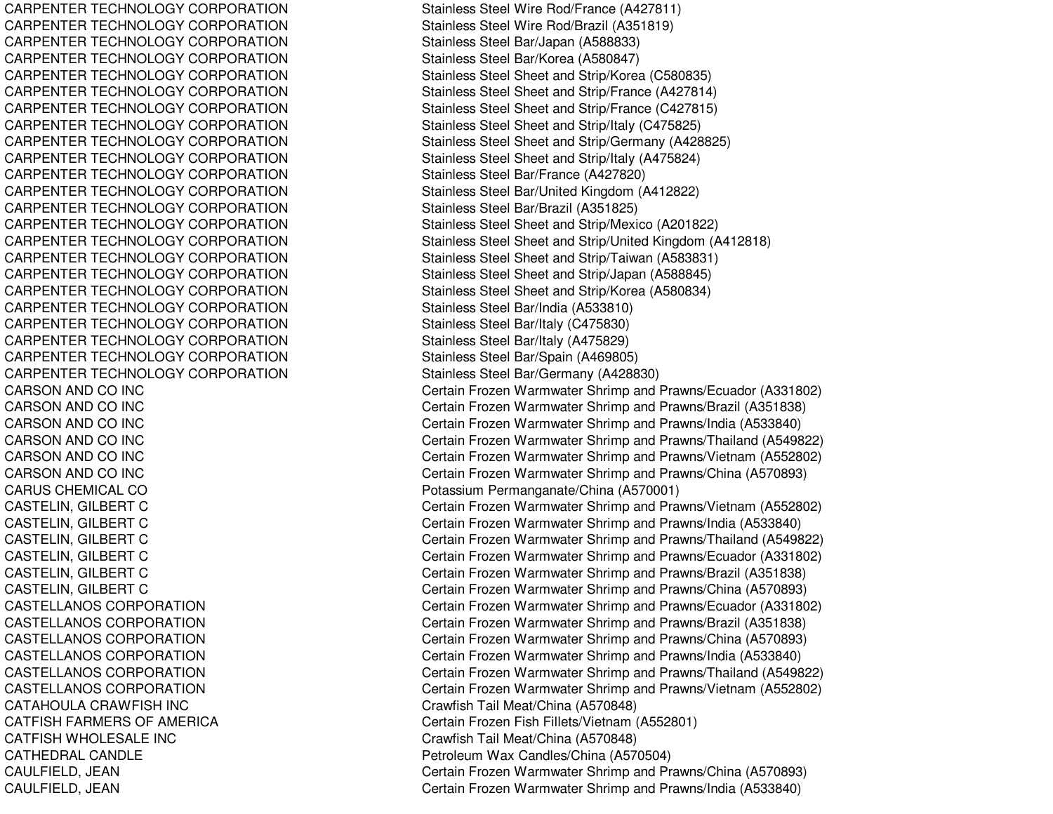CARPENTER TECHNOLOGY CORPORATION **CARPENTER TECHNOLOGY CORPORATION** CARPENTER TECHNOLOGY CORPORATION CARPENTER TECHNOLOGY CORPORATION CARPENTER TECHNOLOGY CORPORATION CARPENTER TECHNOLOGY CORPORATION CARPENTER TECHNOLOGY CORPORATION CARPENTER TECHNOLOGY CORPORATION CARPENTER TECHNOLOGY CORPORATION CARPENTER TECHNOLOGY CORPORATION CARPENTER TECHNOLOGY CORPORATION CARPENTER TECHNOLOGY CORPORATION **CARPENTER TECHNOLOGY CORPORATION** CARPENTER TECHNOLOGY CORPORATION CARPENTER TECHNOLOGY CORPORATION **CARPENTER TECHNOLOGY CORPORATION** CARPENTER TECHNOLOGY CORPORATION **CARPENTER TECHNOLOGY CORPORATION CARPENTER TECHNOLOGY CORPORATION** CARPENTER TECHNOLOGY CORPORATION Stainless Steel Bar/Italy (C475830) **CARPENTER TECHNOLOGY CORPORATION CARPENTER TECHNOLOGY CORPORATION CARPENTER TECHNOLOGY CORPORATION** CARSON AND COCARSON AND COCARSON AND COCARSON AND COCARSON AND COCARSON AND COCARUS CHEMICAL COCASTELLANOS CORPORATIONCASTELLANOS CORPORATIONCASTELLANOS CORPORATIONCASTELLANOS CORPORATIONCASTELLANOS CORPORATIONCASTELLANOS CORPORATIONCATAHOULA CRAWFISH**CATFISH FARMERS OF AMERICA CATFISH WHOLESALE INC** CATHEDRAL CANDLE

Stainless Steel Wire Rod/France (A427811) Stainless Steel Wire Rod/Brazil (A351819) Stainless Steel Bar/Japan (A588833) Stainless Steel Bar/Korea (A580847) Stainless Steel Sheet and Strip/Korea (C580835) Stainless Steel Sheet and Strip/France (A427814) Stainless Steel Sheet and Strip/France (C427815) Stainless Steel Sheet and Strip/Italy (C475825) Stainless Steel Sheet and Strip/Germany (A428825) Stainless Steel Sheet and Strip/Italy (A475824) Stainless Steel Bar/France (A427820) Stainless Steel Bar/United Kingdom (A412822) Stainless Steel Bar/Brazil (A351825) Stainless Steel Sheet and Strip/Mexico (A201822) Stainless Steel Sheet and Strip/United Kingdom (A412818) Stainless Steel Sheet and Strip/Taiwan (A583831) Stainless Steel Sheet and Strip/Japan (A588845) Stainless Steel Sheet and Strip/Korea (A580834) Stainless Steel Bar/India (A533810) Stainless Steel Bar/Italy (A475829) Stainless Steel Bar/Spain (A469805) Stainless Steel Bar/Germany (A428830) Certain Frozen Warmwater Shrimp and Prawns/Ecuador (A331802) Certain Frozen Warmwater Shrimp and Prawns/Brazil (A351838) Certain Frozen Warmwater Shrimp and Prawns/India (A533840) Certain Frozen Warmwater Shrimp and Prawns/Thailand (A549822) Certain Frozen Warmwater Shrimp and Prawns/Vietnam (A552802) Certain Frozen Warmwater Shrimp and Prawns/China (A570893) Potassium Permanganate/China (A570001) CASTELIN, GILBERT C Certain Frozen Warmwater Shrimp and Prawns/Vietnam (A552802) CASTELIN, GILBERT C Certain Frozen Warmwater Shrimp and Prawns/India (A533840) CASTELIN, GILBERT C Certain Frozen Warmwater Shrimp and Prawns/Thailand (A549822) CASTELIN, GILBERT C Certain Frozen Warmwater Shrimp and Prawns/Ecuador (A331802) CASTELIN, GILBERT C Certain Frozen Warmwater Shrimp and Prawns/Brazil (A351838) CASTELIN, GILBERT C Certain Frozen Warmwater Shrimp and Prawns/China (A570893) Certain Frozen Warmwater Shrimp and Prawns/Ecuador (A331802) Certain Frozen Warmwater Shrimp and Prawns/Brazil (A351838) Certain Frozen Warmwater Shrimp and Prawns/China (A570893) Certain Frozen Warmwater Shrimp and Prawns/India (A533840) Certain Frozen Warmwater Shrimp and Prawns/Thailand (A549822) Certain Frozen Warmwater Shrimp and Prawns/Vietnam (A552802) Crawfish Tail Meat/China (A570848) FARMERS OF AMERICA Certain Frozen Fish Fillets/Vietnam (A552801) Crawfish Tail Meat/China (A570848) Petroleum Wax Candles/China (A570504) CAULFIELD, JEAN Certain Frozen Warmwater Shrimp and Prawns/China (A570893) CAULFIELD, JEAN Certain Frozen Warmwater Shrimp and Prawns/India (A533840)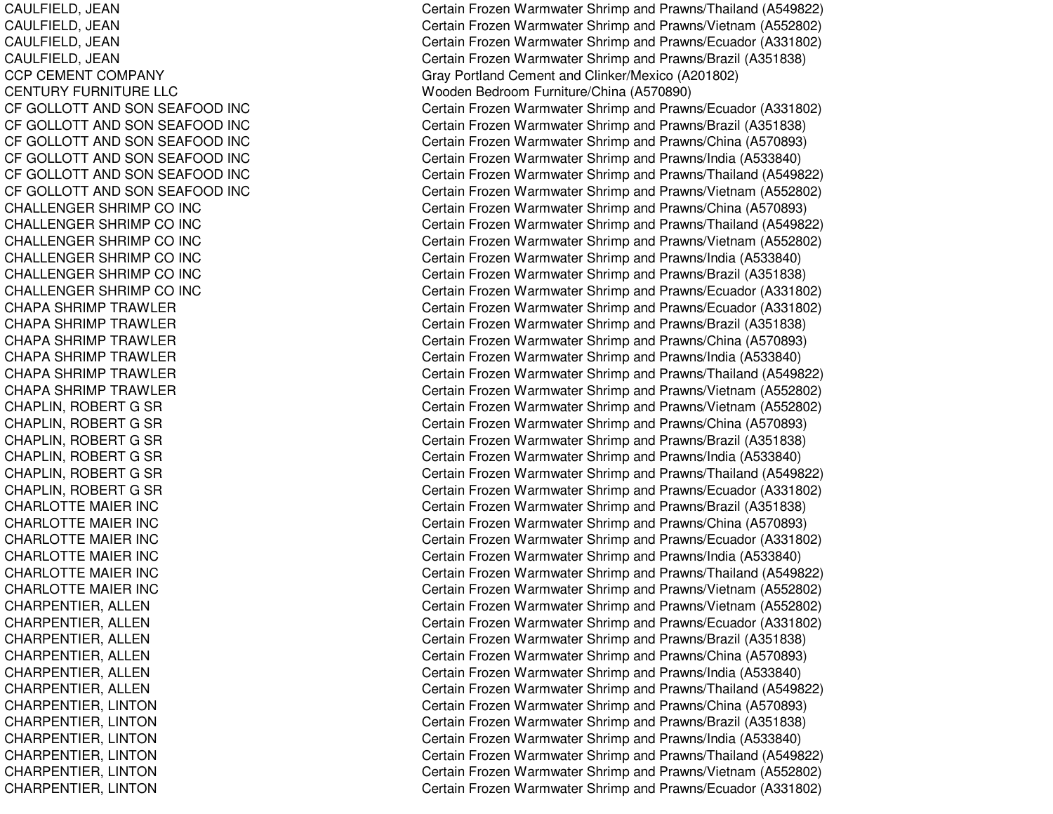CAULFIELD, JE ANCAULFIELD, JE ANCAUL FIEL D, JE ANCAULFIELD, JEAN CCP CEMENT COMPANY CENTURY FURNITURE LLC CF GOLLOTT AND SON SEAFOOD INC CF GOLLOTT AND SON SEAFOOD INC CF GOLLOTT AND SON SEAFOOD INC CF GOLLOTT AND SON SEAFOOD INC CF GOLLOTT AND SON SEAFOOD INC CF GOLLOTT AND SON SEAFOOD INC CHALLENGER SHRIMP CO INC CHALLENGER SHRIMP CO INC CHALLENGER SHRIMP CO INC CHALLENGER SHRIMP CO INC CHALLENGER SHRIMP CO INC CHALLENGER SHRIMP CO INC CHAPA SHRIMP TRAWLER CHAPA SHRIMP TRAWLER CHAPA SHRIMP TRAWLER CHAPA SHRIMP TRAWLER CHAPA SHRIMP TRAWLER CHAPA SHRIMP TRAWLER CHAPLIN, ROBERT G SR CHAPLIN, ROBERT G SR CHAPLIN, ROBERT G SR CHAPLIN, ROBERT G SR CHAPLIN, ROBERT G SR CHAPLIN, ROBERT G SR CHARLOTTE MAIER INC CHARLOTTE MAIER INC CHARLOTTE MAIER INC CHARLOTTE MAIER INC CHARLOTTE MAIER INC CHARLOTTE MAIER INC CHARPENTIER, ALLEN CHARPENTIER, ALLEN CHARPENTIER, ALLEN CHARPENTIER, ALLEN CHARPENTIER, A LLENCHARPENTIER, ALLEN CHARPENTIER, LINTON CHARPENTIER, LIN TONCHARPENTIER, LINTON CHARPENTIER, LINTON CHARPENTIER, LIN TONCHARPENTIER, LINTON

Certain Frozen Warmwater Shrimp and Prawns/Thailand (A549822) Certain Frozen Warmwater Shrimp and Prawns/Vietnam (A552802) Certain Frozen Warmwater Shrimp and Prawns/Ecuador (A331802) Certain Frozen Warmwater Shrimp and Prawns/Brazil (A351838) Gray Portland Cement and Clinker/Mexico (A201802) Wooden Bedroom Furniture/China (A570890) Certain Frozen Warmwater Shrimp and Prawns/Ecuador (A331802) Certain Frozen Warmwater Shrimp and Prawns/Brazil (A351838) Certain Frozen Warmwater Shrimp and Prawns/China (A570893) Certain Frozen Warmwater Shrimp and Prawns/India (A533840) Certain Frozen Warmwater Shrimp and Prawns/Thailand (A549822) Certain Frozen Warmwater Shrimp and Prawns/Vietnam (A552802) Certain Frozen Warmwater Shrimp and Prawns/China (A570893) Certain Frozen Warmwater Shrimp and Prawns/Thailand (A549822) Certain Frozen Warmwater Shrimp and Prawns/Vietnam (A552802) Certain Frozen Warmwater Shrimp and Prawns/India (A533840) Certain Frozen Warmwater Shrimp and Prawns/Brazil (A351838) Certain Frozen Warmwater Shrimp and Prawns/Ecuador (A331802) Certain Frozen Warmwater Shrimp and Prawns/Ecuador (A331802) Certain Frozen Warmwater Shrimp and Prawns/Brazil (A351838) Certain Frozen Warmwater Shrimp and Prawns/China (A570893) Certain Frozen Warmwater Shrimp and Prawns/India (A533840) Certain Frozen Warmwater Shrimp and Prawns/Thailand (A549822) Certain Frozen Warmwater Shrimp and Prawns/Vietnam (A552802) Certain Frozen Warmwater Shrimp and Prawns/Vietnam (A552802) Certain Frozen Warmwater Shrimp and Prawns/China (A570893) Certain Frozen Warmwater Shrimp and Prawns/Brazil (A351838) Certain Frozen Warmwater Shrimp and Prawns/India (A533840) Certain Frozen Warmwater Shrimp and Prawns/Thailand (A549822) Certain Frozen Warmwater Shrimp and Prawns/Ecuador (A331802) Certain Frozen Warmwater Shrimp and Prawns/Brazil (A351838) Certain Frozen Warmwater Shrimp and Prawns/China (A570893) Certain Frozen Warmwater Shrimp and Prawns/Ecuador (A331802) Certain Frozen Warmwater Shrimp and Prawns/India (A533840) Certain Frozen Warmwater Shrimp and Prawns/Thailand (A549822) Certain Frozen Warmwater Shrimp and Prawns/Vietnam (A552802) Certain Frozen Warmwater Shrimp and Prawns/Vietnam (A552802) Certain Frozen Warmwater Shrimp and Prawns/Ecuador (A331802) C ertain Frozen W arm w ater Shrim p and Pra wns/Brazil (A 3 518 3 8) Certain Frozen Warmwater Shrimp and Prawns/China (A570893) Certain Frozen Warmwater Shrimp and Prawns/India (A533840) Certain Frozen Warmwater Shrimp and Prawns/Thailand (A549822) Certain Frozen Warmwater Shrimp and Prawns/China (A570893) Certain Frozen Warmwater Shrimp and Prawns/Brazil (A351838) Certain Frozen Warmwater Shrimp and Pra wns/India (A 5 3 3 8 4 0) Certain Frozen Warmwater Shrimp and Prawns/Thailand (A549822) Certain Frozen Warmwater Shrimp and Prawns/Vietnam (A552802) Certain Frozen Warmwater Shrimp and Prawns/Ecuador (A331802)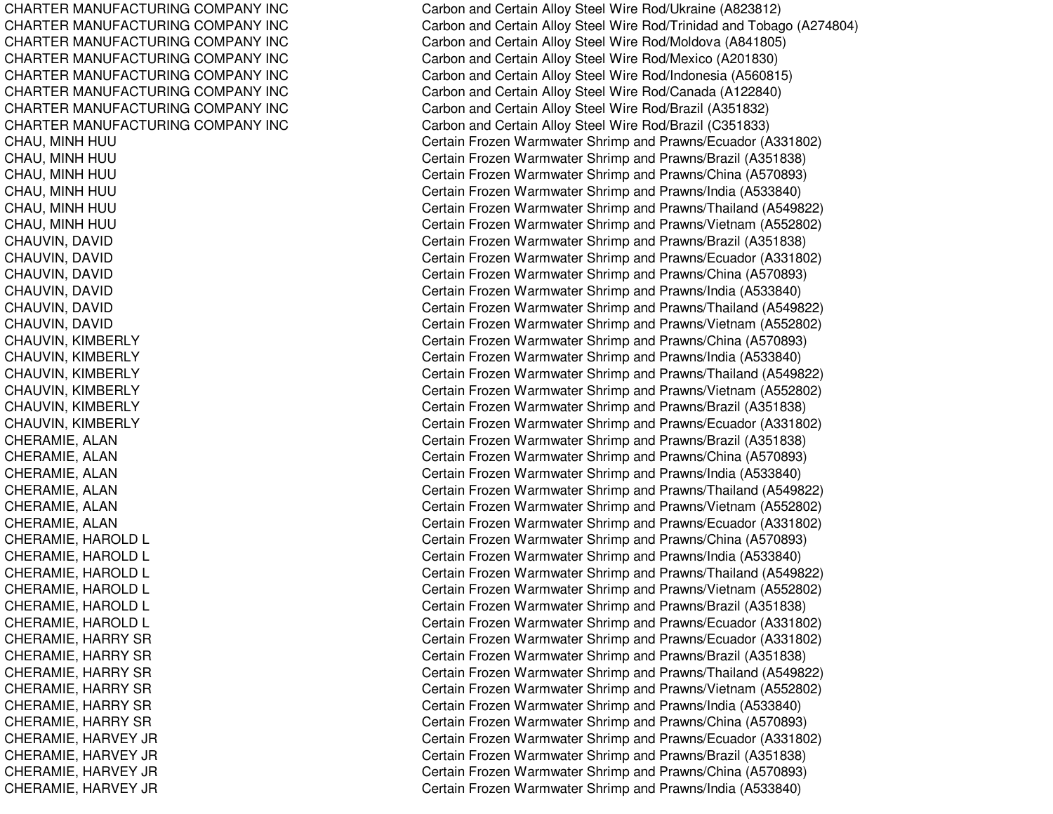CHARTER MANUFACTURING COMPANY INC CHARTER MANUFACTURING COMPANY INC CHARTER MANUFACTURING COMPANY INC CHARTER MANUFACTURING COMPANY INC CHARTER MANUFACTURING COMPANY INC CHARTER MANUFACTURING COMPANY INC CHARTER MANUFACTURING COMPANY INC CHARTER MANUFACTURING COMPANY INC CHAU, MINH HUU CHAU, MINH HUU CHAU, MINH HUU CHAU, MINH HUU CHAU, MINH HUU CHAU, MINH HUU CHAUVIN, DAVID C H A U VIN, D A VID CHAUVIN, DAVID CHAUVIN, DAVID CHAUVIN, D AVIDCHAUVIN, DAVID CHAUVIN, KIMBERLY CHAUVIN, KIM BERLYCHAUVIN, KIMBERLY CHAUVIN, KIM BERLYCHAUVIN, KIM BERL YCHAUVIN, KIMBERLY CHERAMIE, A LANCHERAMIE, ALAN CHERAMIE, ALAN CHERAMIE, A LANCHERAMIE, ALAN CHERAMIE, ALAN CHERAMIE, HAROLD L CHERAMIE, HAROLD L CHERAMIE, HAROLD L CHERAMIE, HAROLD L CHERAMIE, HAROLD L CHERAMIE, HAROLD L CHERAMIE, HARRY SR CHERAMIE, HARRY SR CHERAMIE, HARRY SR CHERAMIE, HARRY SR CHERAMIE, HARRY SR CHERAMIE, HARRY SR CHERAMIE, HARVEY JR CHERAMIE, HARVEY JR CHERAMIE, H ARVEY JRCHERAMIE, HARVEY JR

Carbon and Certain Alloy Steel Wire Rod/Ukraine (A823812) Carbon and Certain Alloy Steel Wire Rod/Trinidad and Tobago (A274804) Carbon and Certain Alloy Steel Wire Rod/Moldova (A841805) Carbon and Certain Alloy Steel Wire Rod/Mexico (A201830) Carbon and Certain Alloy Steel Wire Rod/Indonesia (A560815) Carbon and Certain Alloy Steel Wire Rod/Canada (A122840) Carbon and Certain Alloy Steel Wire Rod/Brazil (A351832) Carbon and Certain Alloy Steel Wire Rod/Brazil (C351833) Certain Frozen Warmwater Shrimp and Prawns/Ecuador (A331802) C ertain Frozen W arm w ater Shrim p and Pra wns/Brazil (A 3 518 3 8) Certain Frozen Warmwater Shrimp and Prawns/China (A570893) Certain Frozen Warmwater Shrimp and Prawns/India (A533840) Certain Frozen Warmwater Shrimp and Prawns/Thailand (A549822) Certain Frozen Warmwater Shrimp and Prawns/Vietnam (A552802) Certain Frozen Warmwater Shrimp and Prawns/Brazil (A351838) Certain Frozen Warmwater Shrimp and Prawns/Ecuador (A331802) Certain Frozen Warmwater Shrimp and Prawns/China (A570893) Certain Frozen Warmwater Shrimp and Prawns/India (A533840) Certain Frozen Warmwater Shrimp and Prawns/Thailand (A549822) Certain Frozen Warmwater Shrimp and Prawns/Vietnam (A552802) Certain Frozen Warmwater Shrimp and Prawns/China (A570893) Certain Frozen Warmwater Shrimp and Prawns/India (A533840) Certain Frozen Warmwater Shrimp and Prawns/Thailand (A549822) Certain Frozen Warmwater Shrimp and Prawns/Vietnam (A552802) Certain Frozen Warmwater Shrimp and Prawns/Brazil (A351838) Certain Frozen Warmwater Shrimp and Prawns/Ecuador (A331802) Certain Frozen Warmwater Shrimp and Prawns/Brazil (A351838) Certain Frozen Warmwater Shrimp and Prawns/China (A570893) Certain Frozen Warmwater Shrimp and Prawns/India (A533840) Certain Frozen Warmwater Shrimp and Prawns/Thailand (A549822) Certain Frozen Warmwater Shrimp and Prawns/Vietnam (A552802) Certain Frozen Warmwater Shrimp and Prawns/Ecuador (A331802) Certain Frozen Warmwater Shrimp and Prawns/China (A570893) Certain Frozen Warmwater Shrimp and Prawns/India (A533840) Certain Frozen Warmwater Shrimp and Prawns/Thailand (A549822) Certain Frozen Warmwater Shrimp and Prawns/Vietnam (A552802) Certain Frozen Warmwater Shrimp and Prawns/Brazil (A351838) Certain Frozen Warmwater Shrimp and Prawns/Ecuador (A331802) Certain Frozen Warmwater Shrimp and Prawns/Ecuador (A331802) Certain Frozen Warmwater Shrimp and Prawns/Brazil (A351838) Certain Frozen Warmwater Shrimp and Prawns/Thailand (A549822) Certain Frozen Warmwater Shrimp and Prawns/Vietnam (A552802) Certain Frozen Warmwater Shrimp and Prawns/India (A533840) Certain Frozen Warmwater Shrimp and Prawns/China (A570893) Certain Frozen Warmwater Shrimp and Prawns/Ecuador (A331802) C ertain Frozen W arm w ater Shrim p and Pra wns/Brazil (A 3 518 3 8) Certain Frozen Warmwater Shrimp and Prawns/China (A570893) Certain Frozen Warmwater Shrimp and Prawns/India (A533840)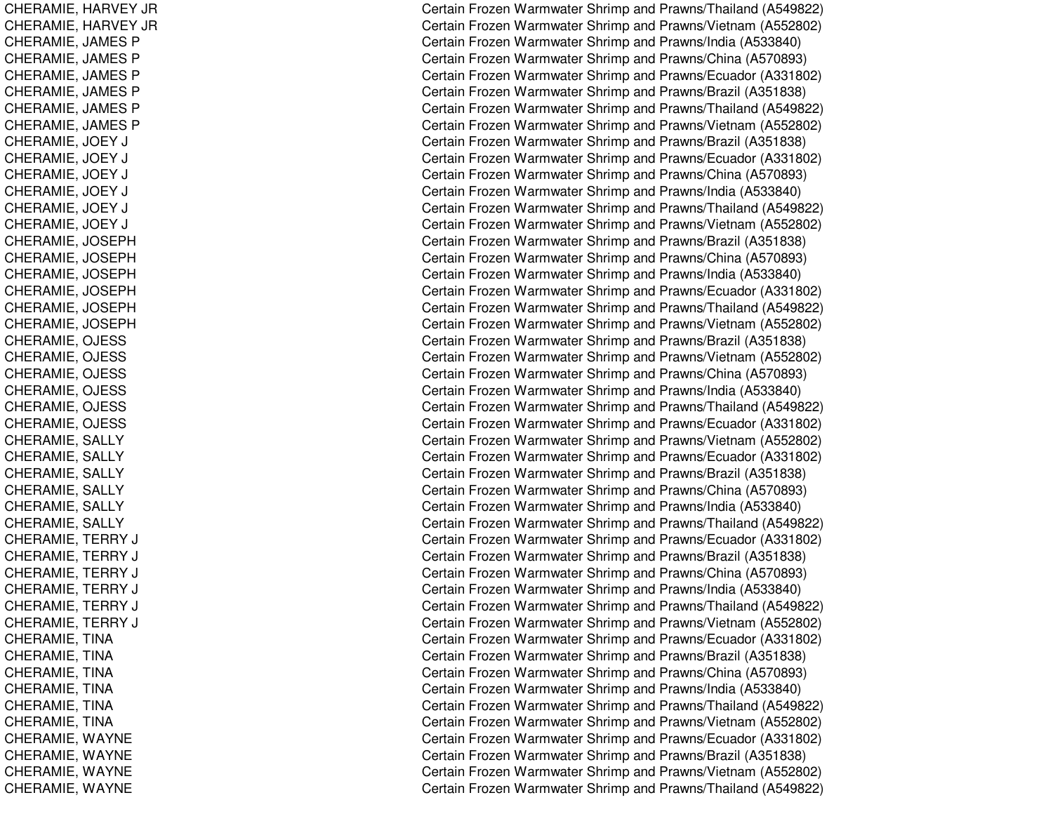CHERAMIE, H ARVEY JRCHERAMIE, H ARVEY JRCHERAMIE, JAMES P CHERAMIE, JAMES P CHERAMIE, JAMES P CHE RA MIE, JA ME S P CHERAMIE, JAMES P CHERAMIE, JAMES P C H E R A MIE, JO E Y J CCHERAMIE, JOEY J CCHERAMIE, JO EY J CC H E R A MIE, JO E Y J CCHERAMIE, JO EY J CCHERAMIE, JOEY J CCHERAMIE, JOSEPH CHERAMIE, JO SEPHCHERAMIE, JO SEPHCHERAMIE, JOSEPH CHERAMIE, JO SEPHCHERAMIE, JOSEPH C H E R A MIE, OJE S S CHERAMIE, OJE SSC H E R A MIE, OJE S S CHERAMIE, OJE SSCHERAMIE, OJE SSC H E R A MIE, OJE S S CHERAMIE, S ALLYCHERAMIE, SALLY CHERAMIE, SALLY CHERAMIE, S ALLYCHERAMIE, SALLY CHERAMIE, SALLY CHERAMIE, TERRY J CCHERAMIE, TERRY J CCHERAMIE, TERRY J CCHERAMIE, T ERRY J CCHERAMIE, TERRY J CCHERAMIE, TERRY J CCHERAMIE, TIN ACHERAMIE, TINA CHERAMIE, TIN ACHERAMIE, TIN ACHERAMIE, TINA CHERAMIE, TINA CHE RA MIE, W A Y NE CHERAMIE, WAYNE CHERAMIE, W AYNECHERAMIE, WAYNE

Certain Frozen Warmwater Shrimp and Prawns/Thailand (A549822) Certain Frozen Warmwater Shrimp and Prawns/Vietnam (A552802) Certain Frozen Warmwater Shrimp and Prawns/India (A533840) Certain Frozen Warmwater Shrimp and Prawns/China (A570893) Certain Frozen Warmwater Shrimp and Prawns/Ecuador (A331802) Certain Frozen Warmwater Shrimp and Prawns/Brazil (A351838) Certain Frozen Warmwater Shrimp and Prawns/Thailand (A549822) Certain Frozen Warmwater Shrimp and Prawns/Vietnam (A552802) Certain Frozen Warmwater Shrimp and Prawns/Brazil (A351838) Certain Frozen Warmwater Shrimp and Prawns/Ecuador (A331802) ertain Frozen Warmwater Shrimp and Prawns/China (A570893) Certain Frozen Warmwater Shrimp and Prawns/India (A533840) ertain Frozen Warmwater Shrimp and Prawns/Thailand (A549822) ertain Frozen Warmwater Shrimp and Prawns/Vietnam (A552802) Certain Frozen Warmwater Shrimp and Prawns/Brazil (A351838) Certain Frozen Warmwater Shrimp and Prawns/China (A570893) Certain Frozen Warmwater Shrimp and Prawns/India (A533840) Certain Frozen Warmwater Shrimp and Prawns/Ecuador (A331802) Certain Frozen Warmwater Shrimp and Prawns/Thailand (A549822) Certain Frozen Warmwater Shrimp and Prawns/Vietnam (A552802) C ertain Frozen W arm w ater Shrim p and Pra wns/Brazil (A 3 518 3 8) Certain Frozen Warmwater Shrimp and Prawns/Vietnam (A552802) Certain Frozen Warmwater Shrimp and Prawns/China (A570893) Certain Frozen Warmwater Shrimp and Prawns/India (A533840) Certain Frozen Warmwater Shrimp and Prawns/Thailand (A549822) Certain Frozen Warmwater Shrimp and Prawns/Ecuador (A331802) Certain Frozen Warmwater Shrimp and Prawns/Vietnam (A552802) Certain Frozen Warmwater Shrimp and Prawns/Ecuador (A331802) Certain Frozen Warmwater Shrimp and Prawns/Brazil (A351838) Certain Frozen Warmwater Shrimp and Prawns/China (A570893) Certain Frozen Warmwater Shrimp and Prawns/India (A533840) Certain Frozen Warmwater Shrimp and Prawns/Thailand (A549822) Certain Frozen Warmwater Shrimp and Prawns/Ecuador (A331802) Certain Frozen Warmwater Shrimp and Prawns/Brazil (A351838) Certain Frozen Warmwater Shrimp and Prawns/China (A570893) ertain Frozen Warmwater Shrimp and Prawns/India (A533840) Certain Frozen Warmwater Shrimp and Prawns/Thailand (A549822) Certain Frozen Warmwater Shrimp and Prawns/Vietnam (A552802) Certain Frozen Warmwater Shrimp and Prawns/Ecuador (A331802) Certain Frozen Warmwater Shrimp and Prawns/Brazil (A351838) Certain Frozen Warmwater Shrimp and Prawns/China (A570893) Certain Frozen Warmwater Shrimp and Prawns/India (A533840) Certain Frozen Warmwater Shrimp and Prawns/Thailand (A549822) Certain Frozen Warmwater Shrimp and Prawns/Vietnam (A552802) Certain Frozen Warmwater Shrimp and Prawns/Ecuador (A331802) C ertain Frozen W arm w ater Shrim p and Pra wns/Brazil (A 3 518 3 8) Certain Frozen Warmwater Shrimp and Prawns/Vietnam (A552802) Certain Frozen Warmwater Shrimp and Prawns/Thailand (A549822)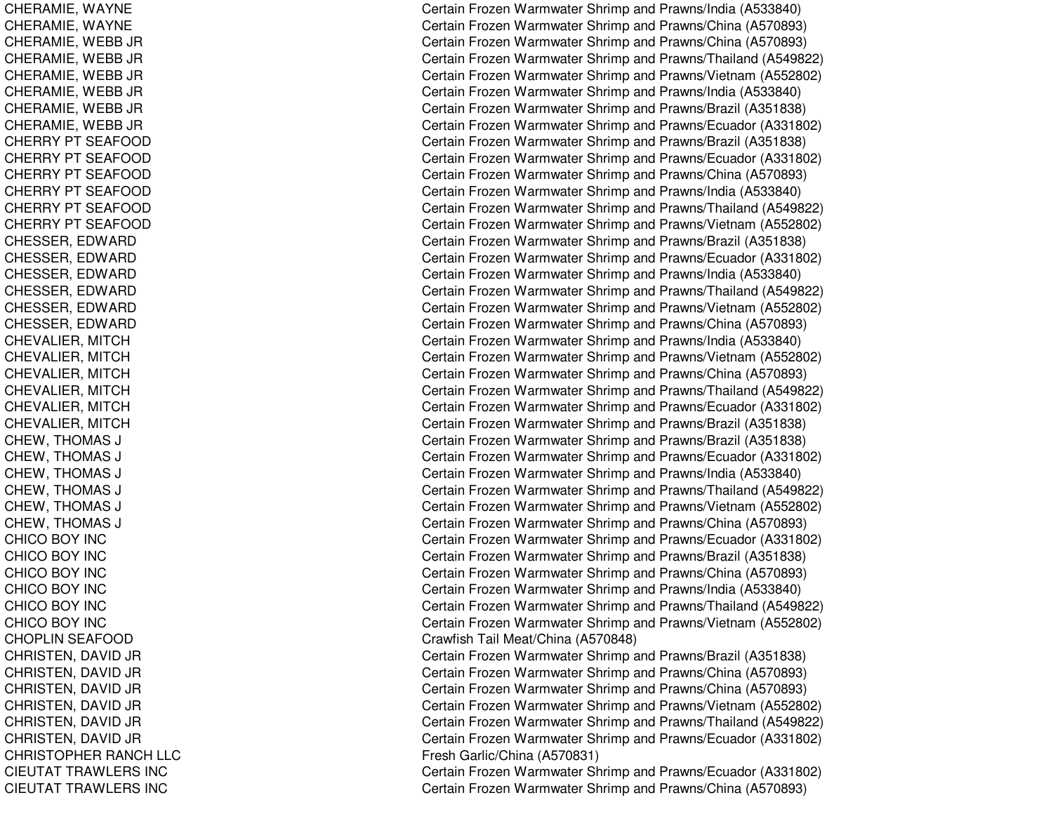CHERAMIE, W AYNECHERAMIE, WAYNE CHERAMIE, W EBB JRC H E R A MIE, W E B B JR CHERAMIE, W EBB JRCHE RA MIE, W E B B JRC H E R A MIE, W E B B JR CHERAMIE, W EBB JRCHERRY PT SEAFOOD CHERRY PT SEAFOOD CHERRY PT SEAFOOD CHERRY PT SEAFOOD CHERRY PT SEAFOOD CHERRY PT SEAFOOD CHESSER, EDWARD CHESSER, E DWARDCHESSER, E DWARDCHESSER, EDWARD CHESSER, E DWARDCHESSER, EDWARD CHEVALIER, MITCH CHEVALIER, MIT CHCHEVALIER, MITCH CHEVALIER, MIT CHCHEVALIER, MIT CHCHEVALIER, MITCH CHEW, THOMAS SJ COMMENT COMMENT COMMENT COMMENT COMMENT COMMENT COMMENT COMMENT COMMENT COMMENT COMMENT COMMENT COMMENT COM CHEW, T HOMASSJ C CHEW, THOMAS SJ COMMUNICATION CONTINUES. CHEW, T HOMASSJ COMMENT COMMENT COMMENT COMMENT COMMENT COMMENT COMMENT COMMENT COMMENT COMMENT COMMENT COMMENT COMMENT COM CHE W, T HOMA SSJ C CHEW, THOMAS SJ C CHICOBOY INCC HIC OB OY IN C CHICOBOY INCCHICOBOY INCC HIC O B O Y IN C CHICOBOY INCCHOPLIN SEAFOOD CHRISTEN, DAVID JR CHRISTEN, D AVID JR CHRIST EN, D AVID JR CHRISTEN, DAVID JR C H RIS T E N, D A VID JR CHRISTEN, DAVID JR CHRISTOPHER RANCH LLC CIEUTAT TRAWLERS INC CIEUTAT TRAWLERS INC

Certain Frozen Warmwater Shrimp and Prawns/India (A533840) Certain Frozen Warmwater Shrimp and Prawns/China (A570893) Certain Frozen Warmwater Shrimp and Prawns/China (A570893) Certain Frozen Warmwater Shrimp and Prawns/Thailand (A549822) Certain Frozen Warmwater Shrimp and Prawns/Vietnam (A552802) Certain Frozen Warmwater Shrimp and Prawns/India (A533840) Certain Frozen Warmwater Shrimp and Prawns/Brazil (A351838) Certain Frozen Warmwater Shrimp and Prawns/Ecuador (A331802) Certain Frozen Warmwater Shrimp and Prawns/Brazil (A351838) Certain Frozen Warmwater Shrimp and Prawns/Ecuador (A331802) Certain Frozen Warmwater Shrimp and Prawns/China (A570893) Certain Frozen Warmwater Shrimp and Prawns/India (A533840) Certain Frozen Warmwater Shrimp and Prawns/Thailand (A549822) Certain Frozen Warmwater Shrimp and Prawns/Vietnam (A552802) Certain Frozen Warmwater Shrimp and Prawns/Brazil (A351838) Certain Frozen Warmwater Shrimp and Prawns/Ecuador (A331802) Certain Frozen Warmwater Shrimp and Prawns/India (A533840) Certain Frozen Warmwater Shrimp and Prawns/Thailand (A549822) Certain Frozen Warmwater Shrimp and Prawns/Vietnam (A552802) Certain Frozen Warmwater Shrimp and Prawns/China (A570893) Certain Frozen Warmwater Shrimp and Prawns/India (A533840) Certain Frozen Warmwater Shrimp and Prawns/Vietnam (A552802) Certain Frozen Warmwater Shrimp and Prawns/China (A570893) Certain Frozen Warmwater Shrimp and Prawns/Thailand (A549822) Certain Frozen Warmwater Shrimp and Prawns/Ecuador (A331802) Certain Frozen Warmwater Shrimp and Prawns/Brazil (A351838) ertain Frozen Warmwater Shrimp and Prawns/Brazil (A351838) ertain Frozen Warmwater Shrimp and Prawns/Ecuador (A331802) Certain Frozen Warmwater Shrimp and Prawns/India (A533840) ertain Frozen Warmwater Shrimp and Prawns/Thailand (A549822) ertain Frozen Warmwater Shrimp and Prawns/Vietnam (A552802) Certain Frozen Warmwater Shrimp and Prawns/China (A570893) Certain Frozen Warmwater Shrimp and Prawns/Ecuador (A331802) Certain Frozen Warmwater Shrimp and Prawns/Brazil (A351838) Certain Frozen Warmwater Shrimp and Prawns/China (A570893) Certain Frozen Warmwater Shrimp and Prawns/India (A533840) Certain Frozen Warmwater Shrimp and Prawns/Thailand (A549822) Certain Frozen Warmwater Shrimp and Prawns/Vietnam (A552802) Cra wfish Tail Me at/China (A 5 7 0 8 4 8) Certain Frozen Warmwater Shrimp and Prawns/Brazil (A351838) Certain Frozen Warmwater Shrimp and Prawns/China (A570893) Certain Frozen Warmwater Shrimp and Prawns/China (A570893) Certain Frozen Warmwater Shrimp and Prawns/Vietnam (A552802) Certain Frozen Warmwater Shrimp and Prawns/Thailand (A549822) Certain Frozen Warmwater Shrimp and Prawns/Ecuador (A331802) Fresh G arlic/China (A 5 7 0 8 31) Certain Frozen Warmwater Shrimp and Prawns/Ecuador (A331802) Certain Frozen Warmwater Shrimp and Prawns/China (A570893)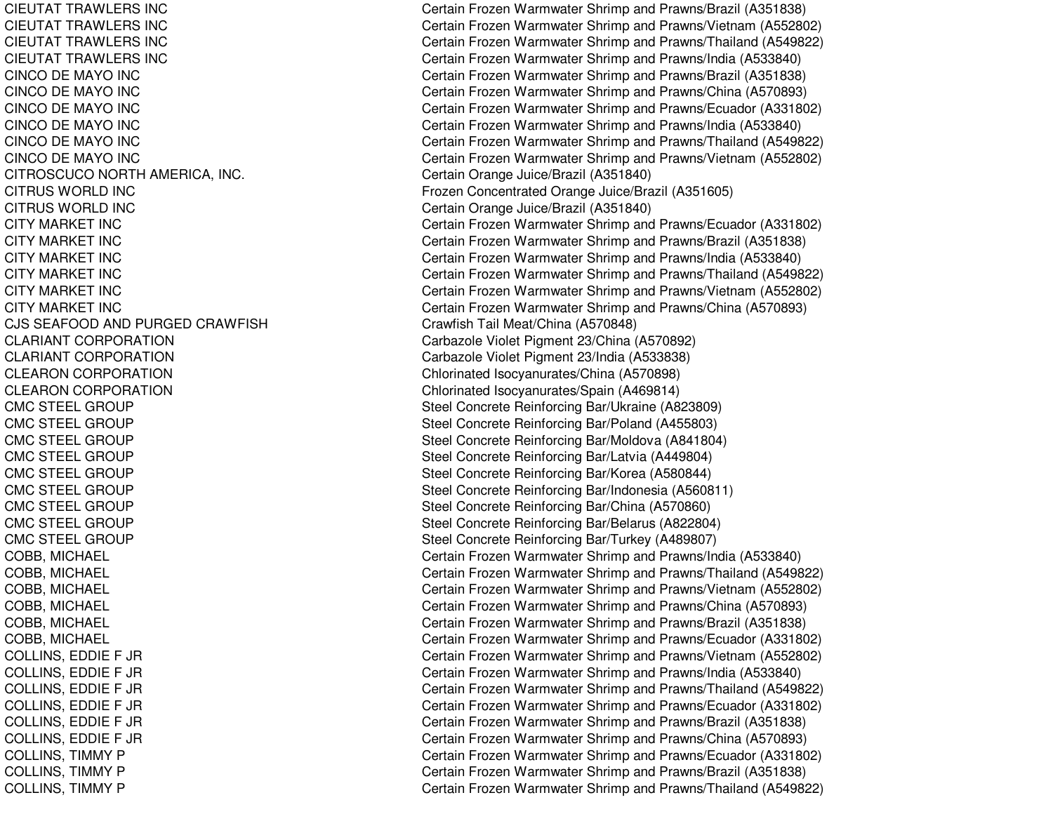CIEUTAT TRAWLERS INCCIEUTAT TRAWLERS INCCIEUTAT TRAWLERS INCCIEUTAT TRAWLERS INC**CINCO DE MAYO INC** CINCO DE MAYO INC CINCO DE MAYO INC CINCO DE MAYO INC **CINCO DE MAYO INC** CINCO DE MAYO INC CITROSCUCO NORTH AMERICA, INC. CITRUS WORLDCITRUS WORLDCITY MARKET INCCITY MARKET INCCITY MARKET INCCITY MARKET INCCITY MARKET INCCITY MARKET INCCJS SEAFOODCLARIANT CORPORATIONCLARIANT CORPORATIONCLEARON CORPORATION **CLEARON CORPORATION CMC STEEL GROUP CMC STEEL GROUP CMC STEEL GROUP CMC STEEL GROUP CMC STEEL GROUP CMC STEEL GROUP CMC STEEL GROUP** CMC STEEL GROUP **CMC STEEL GROUP** 

 Certain Frozen Warmwater Shrimp and Prawns/Brazil (A351838) Certain Frozen Warmwater Shrimp and Prawns/Vietnam (A552802) Certain Frozen Warmwater Shrimp and Prawns/Thailand (A549822) Certain Frozen Warmwater Shrimp and Prawns/India (A533840) Certain Frozen Warmwater Shrimp and Prawns/Brazil (A351838) Certain Frozen Warmwater Shrimp and Prawns/China (A570893) Certain Frozen Warmwater Shrimp and Prawns/Ecuador (A331802) Certain Frozen Warmwater Shrimp and Prawns/India (A533840) Certain Frozen Warmwater Shrimp and Prawns/Thailand (A549822) Certain Frozen Warmwater Shrimp and Prawns/Vietnam (A552802) Certain Orange Juice/Brazil (A351840) Frozen Concentrated Orange Juice/Brazil (A351605) Certain Orange Juice/Brazil (A351840) Certain Frozen Warmwater Shrimp and Prawns/Ecuador (A331802) Certain Frozen Warmwater Shrimp and Prawns/Brazil (A351838) Certain Frozen Warmwater Shrimp and Prawns/India (A533840) Certain Frozen Warmwater Shrimp and Prawns/Thailand (A549822) Certain Frozen Warmwater Shrimp and Prawns/Vietnam (A552802) Certain Frozen Warmwater Shrimp and Prawns/China (A570893) Crawfish Tail Meat/China (A570848) Carbazole Violet Pigment 23/China (A570892) Carbazole Violet Pigment 23/India (A533838) Chlorinated Isocyanurates/China (A570898) Chlorinated Isocyanurates/Spain (A469814) Steel Concrete Reinforcing Bar/Ukraine (A823809) Steel Concrete Reinforcing Bar/Poland (A455803) Steel Concrete Reinforcing Bar/Moldova (A841804) Steel Concrete Reinforcing Bar/Latvia (A449804) Steel Concrete Reinforcing Bar/Korea (A580844) Steel Concrete Reinforcing Bar/Indonesia (A560811) Steel Concrete Reinforcing Bar/China (A570860) Steel Concrete Reinforcing Bar/Belarus (A822804) Steel Concrete Reinforcing Bar/Turkey (A489807) COBB, MICHAEL Certain Frozen Warmwater Shrimp and Prawns/India (A533840) COBB, MICHAEL Certain Frozen Warmwater Shrimp and Prawns/Thailand (A549822) COBB, MICHAEL Certain Frozen Warmwater Shrimp and Prawns/Vietnam (A552802) COBB, MICHAEL Certain Frozen Warmwater Shrimp and Prawns/China (A570893) COBB, MICHAEL Certain Frozen Warmwater Shrimp and Prawns/Brazil (A351838) COBB, MICHAEL Certain Frozen Warmwater Shrimp and Prawns/Ecuador (A331802) COLLINS, EDDIE F JR Certain Frozen Warmwater Shrimp and Prawns/Vietnam (A552802) COLLINS, EDDIE F JR Certain Frozen Warmwater Shrimp and Prawns/India (A533840) COLLINS, EDDIE F JR Certain Frozen Warmwater Shrimp and Prawns/Thailand (A549822) COLLINS, EDDIE F JR Certain Frozen Warmwater Shrimp and Prawns/Ecuador (A331802) COLLINS, EDDIE F JR Certain Frozen Warmwater Shrimp and Prawns/Brazil (A351838) COLLINS, EDDIE F JR Certain Frozen Warmwater Shrimp and Prawns/China (A570893) COLLINS, TIMMY P Certain Frozen Warmwater Shrimp and Prawns/Ecuador (A331802) COLLINS, TIMMY P Certain Frozen Warmwater Shrimp and Prawns/Brazil (A351838) COLLINS, TIMMY P Certain Frozen Warmwater Shrimp and Prawns/Thailand (A549822)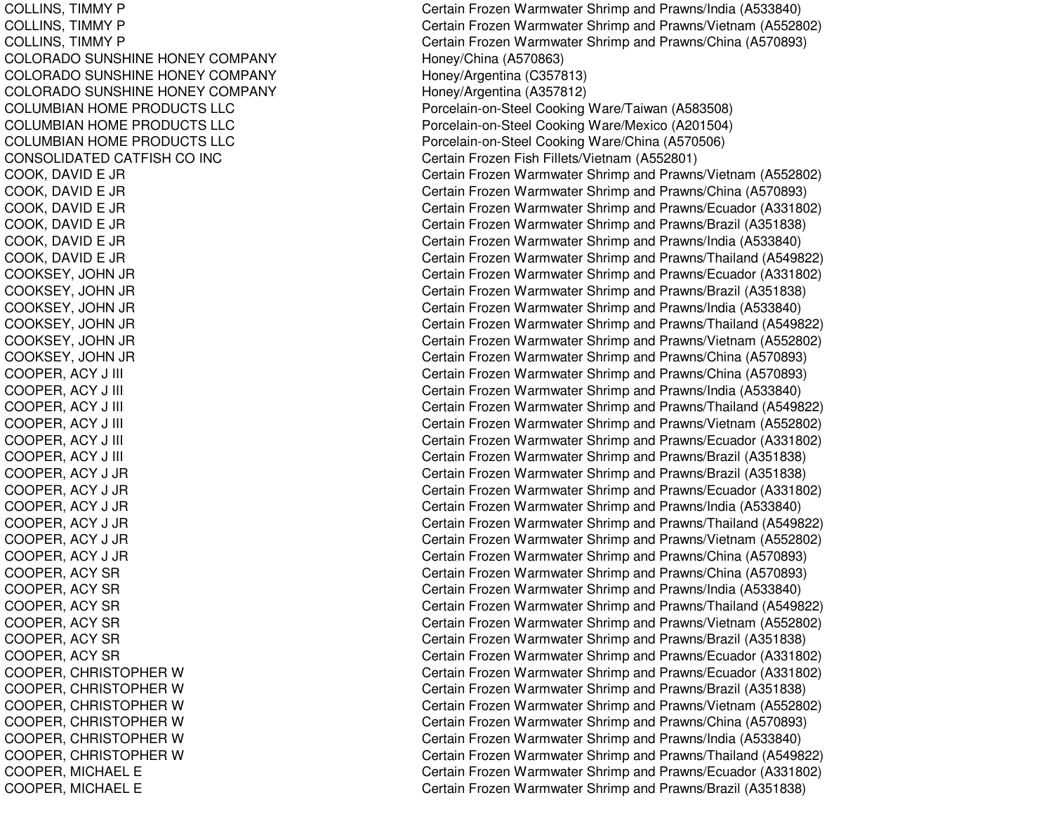COLORADO SUNSHINE HONEY COMPANY Honey/China (A570863) COLORADO SUNSHINE HONEY COMPANY https://www.material.com/Argentina (C357813) COLORADO SUNSHINE HONEY COMPANY https://www.mateur.com/Argentina (A357812) COLUMBIAN HOME PRODUCTS LLC COLUMBIAN HOME PRODUCTS LLC COLUMBIAN HOME PRODUCTS LLC CONSOLIDATED CATFISH CO

COLLINS, TIMMY P Certain Frozen Warmwater Shrimp and Prawns/India (A533840) COLLINS, TIMMY P Certain Frozen Warmwater Shrimp and Prawns/Vietnam (A552802) COLLINS, TIMMY P Certain Frozen Warmwater Shrimp and Prawns/China (A570893) Porcelain-on-Steel Cooking Ware/Taiwan (A583508) Porcelain-on-Steel Cooking Ware/Mexico (A201504) Porcelain-on-Steel Cooking Ware/China (A570506) INC Certain Frozen Fish Fillets/Vietnam (A552801) COOK, DAVID E JR Certain Frozen Warmwater Shrimp and Prawns/Vietnam (A552802) COOK, DAVID E JR Certain Frozen Warmwater Shrimp and Prawns/China (A570893) COOK, DAVID E JR Certain Frozen Warmwater Shrimp and Prawns/Ecuador (A331802) COOK, DAVID E JR Certain Frozen Warmwater Shrimp and Prawns/Brazil (A351838) COOK, DAVID E JR Certain Frozen Warmwater Shrimp and Prawns/India (A533840) COOK, DAVID E JR Certain Frozen Warmwater Shrimp and Prawns/Thailand (A549822) COOKSEY, JOHN JR Certain Frozen Warmwater Shrimp and Prawns/Ecuador (A331802) COOKSEY, JOHN JR Certain Frozen Warmwater Shrimp and Prawns/Brazil (A351838) COOKSEY, JOHN JR Certain Frozen Warmwater Shrimp and Prawns/India (A533840) COOKSEY, JOHN JR Certain Frozen Warmwater Shrimp and Prawns/Thailand (A549822) COOKSEY, JOHN JR Certain Frozen Warmwater Shrimp and Prawns/Vietnam (A552802) COOKSEY, JOHN JR Certain Frozen Warmwater Shrimp and Prawns/China (A570893) COOPER, ACY J III Certain Frozen Warmwater Shrimp and Prawns/China (A570893) COOPER, ACY J III Certain Frozen Warmwater Shrimp and Prawns/India (A533840) COOPER, ACY J III Certain Frozen Warmwater Shrimp and Prawns/Thailand (A549822) COOPER, ACY J III Certain Frozen Warmwater Shrimp and Prawns/Vietnam (A552802) COOPER, ACY J III Certain Frozen Warmwater Shrimp and Prawns/Ecuador (A331802) COOPER, ACY J III Certain Frozen Warmwater Shrimp and Prawns/Brazil (A351838) COOPER, ACY J JR Certain Frozen Warmwater Shrimp and Prawns/Brazil (A351838) COOPER, ACY J JR Certain Frozen Warmwater Shrimp and Prawns/Ecuador (A331802) COOPER, ACY J JR Certain Frozen Warmwater Shrimp and Prawns/India (A533840) COOPER, ACY J JR Certain Frozen Warmwater Shrimp and Prawns/Thailand (A549822) COOPER, ACY J JR Certain Frozen Warmwater Shrimp and Prawns/Vietnam (A552802) COOPER, ACY J JR Certain Frozen Warmwater Shrimp and Prawns/China (A570893) COOPER, ACY SR Certain Frozen Warmwater Shrimp and Prawns/China (A570893) COOPER, ACY SR Certain Frozen Warmwater Shrimp and Prawns/India (A533840) COOPER, ACY SR Certain Frozen Warmwater Shrimp and Prawns/Thailand (A549822) COOPER, ACY SR Certain Frozen Warmwater Shrimp and Prawns/Vietnam (A552802) COOPER, ACY SR COOPER, ACY SR CERTAIN THE CERTAIN CERTAIN Frozen Warmwater Shrimp and Prawns/Brazil (A351838) COOPER, ACY SR Certain Frozen Warmwater Shrimp and Prawns/Ecuador (A331802) COOPER, CHRISTOPHER W Certain Frozen Warmwater Shrimp and Prawns/Ecuador (A331802) COOPER, CHRISTOPHER W Certain Frozen Warmwater Shrimp and Prawns/Brazil (A351838) COOPER, CHRISTOPHER W Certain Frozen Warmwater Shrimp and Prawns/Vietnam (A552802) COOPER, CHRISTOPHER W Certain Frozen Warmwater Shrimp and Prawns/China (A570893) COOPER, CHRISTOPHER W Certain Frozen Warmwater Shrimp and Prawns/India (A533840) COOPER, CHRISTOPHER W Certain Frozen Warmwater Shrimp and Prawns/Thailand (A549822) COOPER, MICHAEL E Certain Frozen Warmwater Shrimp and Prawns/Ecuador (A331802) COOPER, MICHAEL E Certain Frozen Warmwater Shrimp and Prawns/Brazil (A351838)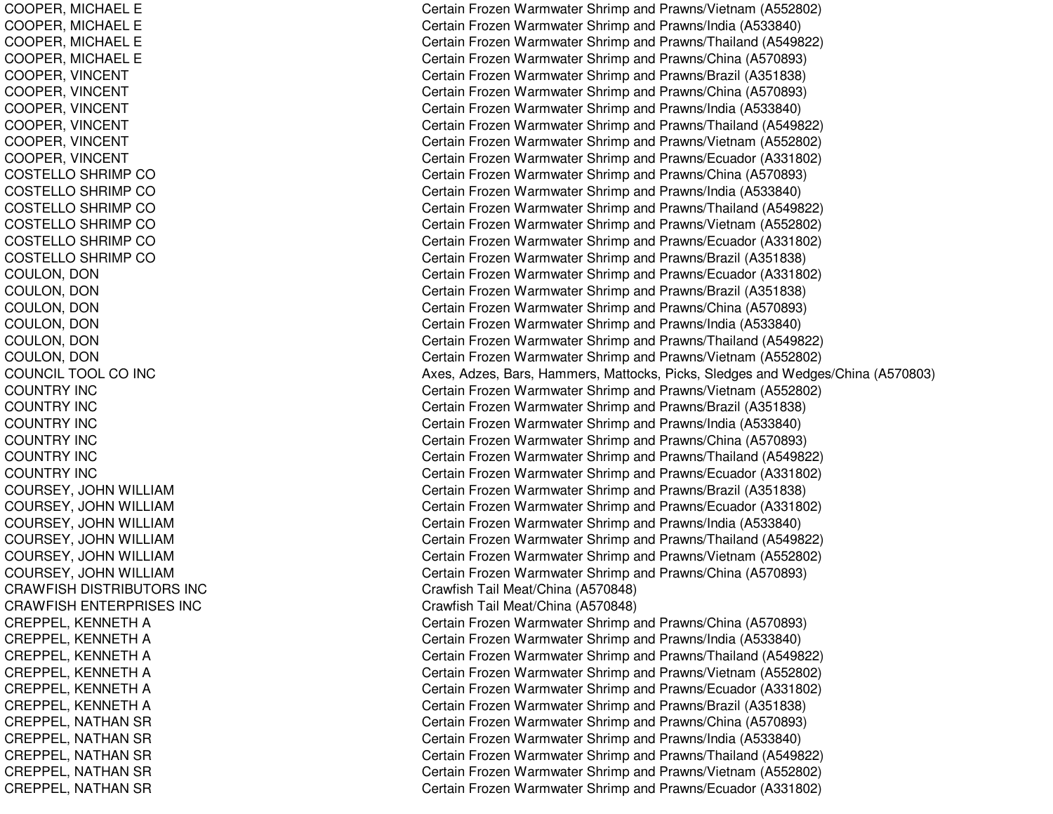COOPER, MIC HAELECOOPER, MIC HAELECOOPER, MICHAEL E COOPER, MICHAEL E COOPER, VIN CENTCOOPER, VINCENT COOPER, VINCENT COOPER, VIN CENTCOOPER, VINCENT COOPER, VINCENT COSTELLO SHRIMP CO COSTELLO SHRIMP CO C O S T E L L O S H RIM P C O COSTELLO SHRIMP CO COSTELLO SHRIMP CO COSTELLO SHRIMP CO COUL ON, D ONCOULON, D ONCOULON, D ONCOULON, DON COULON, DON COULON, D ONCOUNCIL TOOL CO INC COUNTRY INCCOUNTRY INCCOUNTRY INC COUNTRY INCCOUNTRY INCCOUNTRY INCCOURSEY, JO HNWILLIAMCOURSEY, JOHN WILLIAM COURSEY, JOHN WILLIAM COURSEY, JOHN WILLIAM COURSEY, JOHN WILLIAM COURSEY, JOHN WILLIAM CRAWFISH DISTRIBUTORS INC CRAWFISH ENTERPRISES INC CREPPEL, KENNETH A CREPPEL, K ENNETHACREPPEL, KENNETH A CREPPEL, K ENNETHACREPPEL, KENNETH A CREPPEL, KENNETH A CREPPEL, NATHAN SR CREPPEL, NATHAN SR CREPPEL, NATHAN SR CREPPEL, NATHAN SR CREPPEL, NATHAN SR

Certain Frozen Warmwater Shrimp and Prawns/Vietnam (A552802) Certain Frozen Warmwater Shrimp and Prawns/India (A533840) Certain Frozen Warmwater Shrimp and Prawns/Thailand (A549822) Certain Frozen Warmwater Shrimp and Prawns/China (A570893) Certain Frozen Warmwater Shrimp and Prawns/Brazil (A351838) Certain Frozen Warmwater Shrimp and Prawns/China (A570893) Certain Frozen Warmwater Shrimp and Prawns/India (A533840) Certain Frozen Warmwater Shrimp and Prawns/Thailand (A549822) Certain Frozen Warmwater Shrimp and Prawns/Vietnam (A552802) Certain Frozen Warmwater Shrimp and Prawns/Ecuador (A331802) Certain Frozen Warmwater Shrimp and Prawns/China (A570893) Certain Frozen Warmwater Shrimp and Prawns/India (A533840) Certain Frozen Warmwater Shrimp and Prawns/Thailand (A549822) Certain Frozen Warmwater Shrimp and Prawns/Vietnam (A552802) Certain Frozen Warmwater Shrimp and Prawns/Ecuador (A331802) Certain Frozen Warmwater Shrimp and Prawns/Brazil (A351838) Certain Frozen Warmwater Shrimp and Prawns/Ecuador (A331802) Certain Frozen Warmwater Shrimp and Prawns/Brazil (A351838) Certain Frozen Warmwater Shrimp and Prawns/China (A570893) Certain Frozen Warmwater Shrimp and Pra wns/India (A 5 3 3 8 4 0) Certain Frozen Warmwater Shrimp and Prawns/Thailand (A549822) Certain Frozen Warmwater Shrimp and Prawns/Vietnam (A552802) Axes, Adzes, Bars, Hammers, Mattocks, Picks, Sledges and Wedges/China (A570803) Certain Frozen Warmwater Shrimp and Prawns/Vietnam (A552802) Certain Frozen Warmwater Shrimp and Prawns/Brazil (A351838) Certain Frozen Warmwater Shrimp and Prawns/India (A533840) Certain Frozen Warmwater Shrimp and Prawns/China (A570893) Certain Frozen Warmwater Shrimp and Prawns/Thailand (A549822) Certain Frozen Warmwater Shrimp and Prawns/Ecuador (A331802) Certain Frozen Warmwater Shrimp and Prawns/Brazil (A351838) Certain Frozen Warmwater Shrimp and Prawns/Ecuador (A331802) Certain Frozen Warmwater Shrimp and Prawns/India (A533840) Certain Frozen Warmwater Shrimp and Prawns/Thailand (A549822) Certain Frozen Warmwater Shrimp and Prawns/Vietnam (A552802) Certain Frozen Warmwater Shrimp and Prawns/China (A570893) Crawfish Tail Meat/China (A 570848) Cra wfish T ail Me at/China (A 5 7 0 8 4 8) Certain Frozen Warmwater Shrimp and Prawns/China (A570893) Certain Frozen Warmwater Shrimp and Prawns/India (A533840) Certain Frozen Warmwater Shrimp and Prawns/Thailand (A549822) Certain Frozen Warmwater Shrimp and Prawns/Vietnam (A552802) Certain Frozen Warmwater Shrimp and Prawns/Ecuador (A331802) Certain Frozen Warmwater Shrimp and Prawns/Brazil (A351838) Certain Frozen Warmwater Shrimp and Prawns/China (A570893) Certain Frozen Warmwater Shrimp and Pra wns/India (A 5 3 3 8 4 0) Certain Frozen Warmwater Shrimp and Prawns/Thailand (A549822) Certain Frozen Warmwater Shrimp and Prawns/Vietnam (A552802) Certain Frozen Warmwater Shrimp and Prawns/Ecuador (A331802)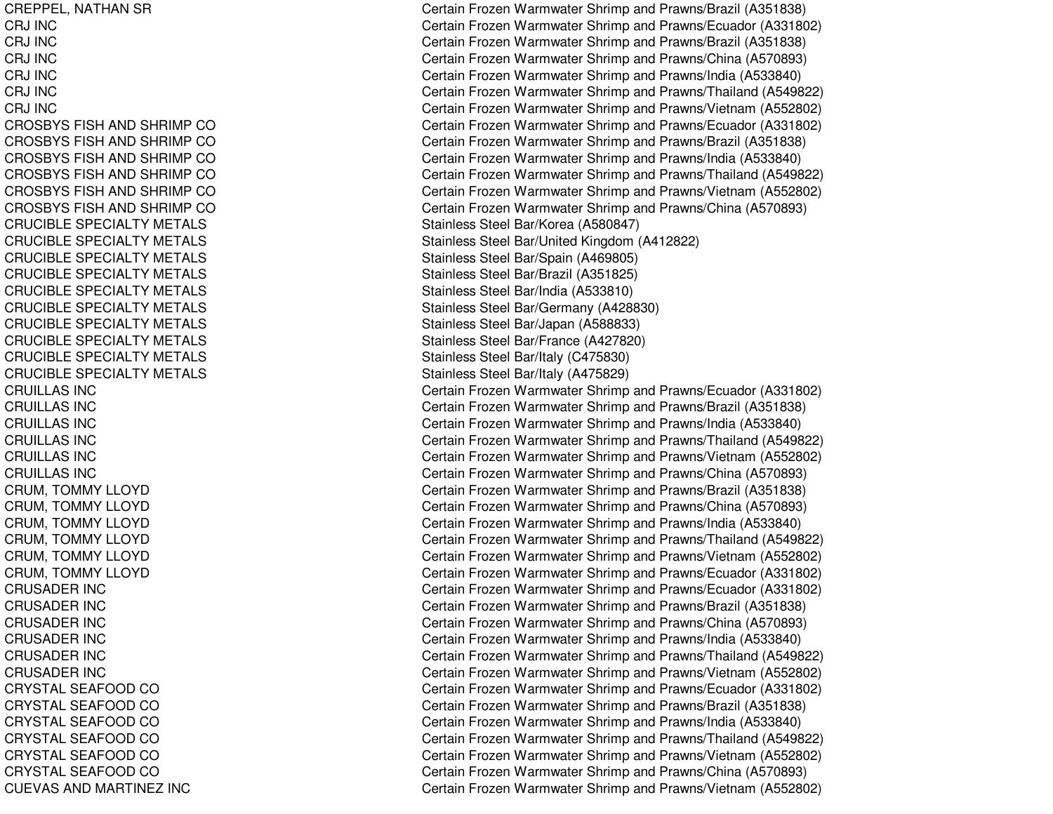CREPPEL, NATHAN SR CRJ INCCRJ INCCRJ INCCRJ INCCRJ INCCRJ INCCROSBYS FISH AND SHRIMP CO C R OS B Y S FIS H A N D S H RIMP C OCROSBYS FISH AND SHRIMP CO CROSBYS FISH AND SHRIMP CO CROSBYS FISH AND SHRIMP CO CROSBYS FISH AND SHRIMP CO CRUCIBLE SPECIALTY METALS CRUCIBLE SPECIALTY METALS CRUCIBLE SPECIALTY METALS CRUCIBLE SPECIALTY METALS CRUCIBLE SPECIALTY METALS CRUCIBLE SPECIALTY METALS CRUCIBLE SPECIALTY METALS CRUCIBLE SPECIALTY METALS CRUCIBLE SPECIALTY METALS CRUCIBLE SPECIALTY METALS CRUILLAS INCCRUIL L AS INCC R UIL L A S IN C CRUILLAS INCCRUILLAS INCCRUILLAS INCCRUM, T OMMYLLOYDCRUM, T OMMY L L OY DCRUM, TOMMY LLOYD CRUM, T OMMYLLOYDC R U M, T OMMY L L OY D CRUM, TOMMY LLOYD CRUSADER IN CC R U S A D E R IN C CRUSADER IN CCRUSADER IN CCRUSADER IN CCRUSADER IN CCRYST AL SEAF OODCOCRYSTAL SEAFOOD CO CRYSTAL SEAFOOD CO CRYSTAL SEAFOOD CO CRYSTAL SEAFOOD CO CRYSTAL SEAFOOD CO CUEVAS AND MARTINEZ INC

Certain Frozen Warmwater Shrimp and Prawns/Brazil (A351838) Certain Frozen Warmwater Shrimp and Prawns/Ecuador (A331802) Certain Frozen Warmwater Shrimp and Prawns/Brazil (A351838) Certain Frozen Warmwater Shrimp and Prawns/China (A570893) Certain Frozen Warmwater Shrimp and Prawns/India (A533840) Certain Frozen Warmwater Shrimp and Prawns/Thailand (A549822) Certain Frozen Warmwater Shrimp and Prawns/Vietnam (A552802) Certain Frozen Warmwater Shrimp and Prawns/Ecuador (A331802) Certain Frozen Warmwater Shrimp and Prawns/Brazil (A351838) Certain Frozen Warmwater Shrimp and Prawns/India (A533840) Certain Frozen Warmwater Shrimp and Prawns/Thailand (A549822) Certain Frozen Warmwater Shrimp and Prawns/Vietnam (A552802) Certain Frozen Warmwater Shrimp and Prawns/China (A570893) Stainless Steel Bar/Korea (A580847) Stainless Steel Bar/United Kingdom (A412822) Stainless Steel Bar/Spain (A469805) Stainless Ste el Bar/Brazil (A 3 518 2 5) Stainless Ste el B ar/India (A 5 3 3 810) Stainless Steel Bar/Germany (A 428830) Stainless Steel Bar/Japan (A588833) Stainless Ste el B ar/France (A 4 2 7 8 2 0) Stainless Ste el B ar/Italy (C 4 7 5 8 3 0) Stainless Ste el B ar/Italy (A 4 7 5 8 2 9) Certain Frozen Warmwater Shrimp and Prawns/Ecuador (A331802) Certain Frozen Warmwater Shrimp and Prawns/Brazil (A351838) Certain Frozen Warmwater Shrimp and Prawns/India (A533840) Certain Frozen Warmwater Shrimp and Prawns/Thailand (A549822) Certain Frozen Warmwater Shrimp and Prawns/Vietnam (A552802) Certain Frozen Warmwater Shrimp and Prawns/China (A570893) Certain Frozen Warmwater Shrimp and Prawns/Brazil (A351838) Certain Frozen Warmwater Shrimp and Prawns/China (A570893) Certain Frozen Warmwater Shrimp and Prawns/India (A533840) Certain Frozen Warmwater Shrimp and Prawns/Thailand (A549822) Certain Frozen Warmwater Shrimp and Prawns/Vietnam (A552802) Certain Frozen Warmwater Shrimp and Prawns/Ecuador (A331802) Certain Frozen Warmwater Shrimp and Prawns/Ecuador (A331802) Certain Frozen Warmwater Shrimp and Prawns/Brazil (A351838) Certain Frozen Warmwater Shrimp and Prawns/China (A570893) Certain Frozen Warmwater Shrimp and Prawns/India (A533840) Certain Frozen Warmwater Shrimp and Prawns/Thailand (A549822) Certain Frozen Warmwater Shrimp and Prawns/Vietnam (A552802) Certain Frozen Warmwater Shrimp and Prawns/Ecuador (A331802) Certain Frozen Warmwater Shrimp and Prawns/Brazil (A351838) Certain Frozen Warmwater Shrimp and Prawns/India (A533840) Certain Frozen Warmwater Shrimp and Prawns/Thailand (A549822) Certain Frozen Warmwater Shrimp and Prawns/Vietnam (A552802) Certain Frozen Warmwater Shrimp and Prawns/China (A570893) Certain Frozen Warmwater Shrimp and Prawns/Vietnam (A552802)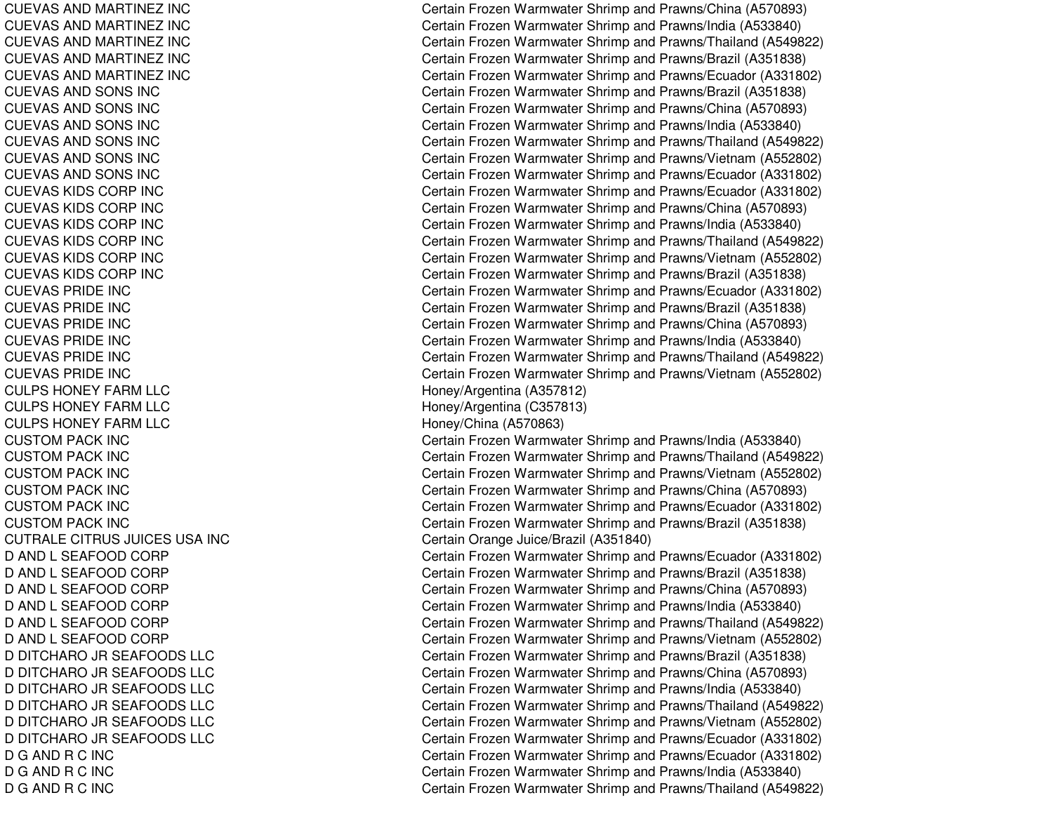CUEVAS AND MARTINEZ INC CUEVAS AND MARTINEZ INC CUEVAS AND MARTINEZ INC CUEVAS AND MARTINEZ INC CUEVAS AND MARTINEZ INC CUEVAS AND SONS INC CUEVAS AND SONS INC CUEVAS AND SONS INC C U E V A S A N D S ON S IN C CUEVAS AND SONS INC CUEVAS AND SONS INC CUEVAS KIDS CORP INC CUEVAS KIDS CORP INC CUEVAS KIDS CORP INC CUEVAS KIDS CORP INC CUEVAS KIDS CORP INC CUEVAS KIDS CORP INC CUEVAS PRIDE INC CUEVAS PRIDE INC CUE V A S P RIDE INCC U E V A S P RID E IN C CUEVAS PRIDE INC CUEVAS PRIDE INC CULPS HONEY FARM LLC CULPS HONEY FARM LLC CULPS HONEY FARM LLC CUSTOMPACK INCCUSTOMPACK INCCUSTOMPACK INCCUSTOMPACK INCCUSTOM PACK INC CUSTOM PACK INC CUTRALE CITRUS JUICES USA INC D A N D L S E A F OOD C OR P D AND L SEAFOOD CORP D AND L SEAFOOD CORP D AND L SEAFOOD CORP D AND L SEAFOOD CORP D AND L SEAFOOD CORP D DITCHARO JR SEAFOODS LLC D DITCHARO JR SEAFOODS LLC D DITCHARO JR SEAFOODS LLC D DITCHARO JR SEAFOODS LLC D DITCHARO JR SEAFOODS LLC D DITCHARO JR SEAFOODS LLC D G AND R C INC D G AND R C INC DGANDRC IN C

Certain Frozen Warmwater Shrimp and Prawns/China (A570893) Certain Frozen Warmwater Shrimp and Prawns/India (A533840) Certain Frozen Warmwater Shrimp and Prawns/Thailand (A549822) Certain Frozen Warmwater Shrimp and Prawns/Brazil (A351838) Certain Frozen Warmwater Shrimp and Prawns/Ecuador (A331802) Certain Frozen Warmwater Shrimp and Prawns/Brazil (A351838) Certain Frozen Warmwater Shrimp and Prawns/China (A570893) Certain Frozen Warmwater Shrimp and Prawns/India (A533840) Certain Frozen Warmwater Shrimp and Prawns/Thailand (A549822) Certain Frozen Warmwater Shrimp and Prawns/Vietnam (A552802) Certain Frozen Warmwater Shrimp and Prawns/Ecuador (A331802) Certain Frozen Warmwater Shrimp and Prawns/Ecuador (A331802) Certain Frozen Warmwater Shrimp and Prawns/China (A570893) Certain Frozen Warmwater Shrimp and Prawns/India (A533840) Certain Frozen Warmwater Shrimp and Prawns/Thailand (A549822) Certain Frozen Warmwater Shrimp and Prawns/Vietnam (A552802) Certain Frozen Warmwater Shrimp and Prawns/Brazil (A351838) Certain Frozen Warmwater Shrimp and Prawns/Ecuador (A331802) Certain Frozen Warmwater Shrimp and Prawns/Brazil (A351838) Certain Frozen Warmwater Shrimp and Prawns/China (A570893) Certain Frozen Warmwater Shrimp and Prawns/India (A533840) Certain Frozen Warmwater Shrimp and Prawns/Thailand (A549822) Certain Frozen Warmwater Shrimp and Prawns/Vietnam (A552802) Honey/Arg entina (A 357812) Hone y/Arg entina (C 3 5 7 813) Honey/China (A570863) Certain Frozen Warmwater Shrimp and Prawns/India (A533840) Certain Frozen Warmwater Shrimp and Prawns/Thailand (A549822) Certain Frozen Warmwater Shrimp and Prawns/Vietnam (A552802) Certain Frozen Warmwater Shrimp and Prawns/China (A570893) Certain Frozen Warmwater Shrimp and Prawns/Ecuador (A331802) Certain Frozen Warmwater Shrimp and Prawns/Brazil (A351838) C ertain Orang e Juice/Brazil (A 3 518 4 0) Certain Frozen Warmwater Shrimp and Prawns/Ecuador (A331802) C ertain Frozen W arm w ater Shrim p and Pra wns/Brazil (A 3 518 3 8) Certain Frozen Warmwater Shrimp and Prawns/China (A570893) Certain Frozen Warmwater Shrimp and Prawns/India (A533840) Certain Frozen Warmwater Shrimp and Prawns/Thailand (A549822) Certain Frozen Warmwater Shrimp and Prawns/Vietnam (A552802) Certain Frozen Warmwater Shrimp and Prawns/Brazil (A351838) Certain Frozen Warmwater Shrimp and Prawns/China (A570893) Certain Frozen Warmwater Shrimp and Prawns/India (A533840) Certain Frozen Warmwater Shrimp and Prawns/Thailand (A549822) Certain Frozen Warmwater Shrimp and Prawns/Vietnam (A552802) Certain Frozen Warmwater Shrimp and Prawns/Ecuador (A331802) Certain Frozen Warmwater Shrimp and Prawns/Ecuador (A331802) Certain Frozen Warmwater Shrimp and Prawns/India (A533840) Certain Frozen Warmwater Shrimp and Prawns/Thailand (A549822)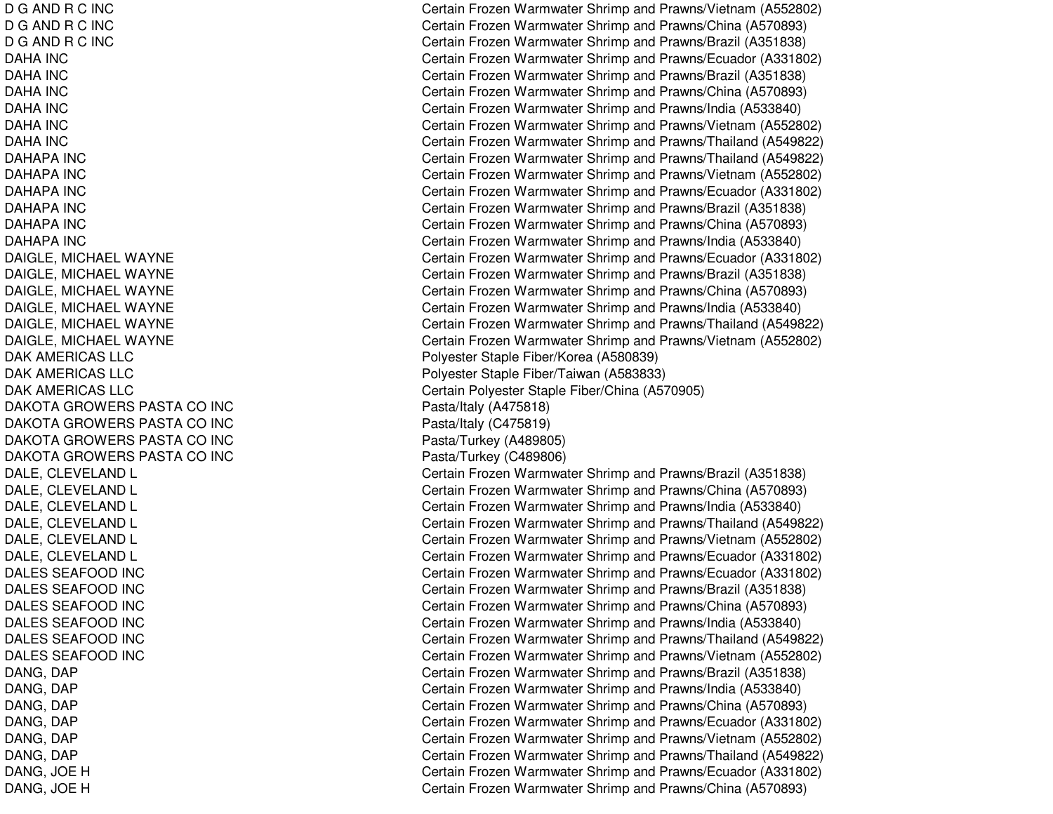DGANDRC IN CDGANDRC IN CD G AND R C INC DAHA INCDAHA INCDAHA INCDAHA INCDAHA INCDAHA INC DAHAPA INCDAHAPA INCDAHAPA INCDAHAPA INCDAHAPA INCDAHAPA INC DAIGLE, MICHAEL WAYNE DAIGLE, MICHAEL WAYNE DAIGLE, MICHAEL WAYNE DAIGLE, MICHAEL WAYNE DAIGLE, MICHAEL WAYNE DAIGLE, MICHAEL WAYNE DAK AMERICAS LLC DAK AMERICAS LLC DAK AMERICAS LLC DAKOTA GROWERS PASTA CO INC DAKOTA GROWERS PASTA CO INC DAKOTA GROWERS PASTA CO INC DAKOTA GROWERS PASTA CO INC DALE, CLEVELAND L DALE, C LEVELANDLDALE, CLEVELAND L DALE, CLEVELAND L DALE, C LEVELANDLDALE, CLEVELAND L DALES SEAFOOD INC DALES SEAFOOD INC DALES SEAFOOD INC DALES SEAFOOD INC DALES SEAFOOD INC DALES SEAFOOD INC DANG, D APDANG, D APD A N G, D A P D A N G, D A P D A N G, D A P D A N G, D A P DANG, JO EHD A N G, JO E H

Certain Frozen Warmwater Shrimp and Prawns/Vietnam (A552802) Certain Frozen Warmwater Shrimp and Prawns/China (A570893) Certain Frozen Warmwater Shrimp and Prawns/Brazil (A351838) C ertain Frozen Warm w ater Shrim p and Pra wns/Ecua d or (A 3 318 0 2) Certain Frozen Warmwater Shrimp and Prawns/Brazil (A351838) Certain Frozen Warmwater Shrimp and Prawns/China (A570893) Certain Frozen Warmwater Shrimp and Prawns/India (A533840) Certain Frozen Warmwater Shrimp and Prawns/Vietnam (A552802) Certain Frozen Warmwater Shrimp and Prawns/Thailand (A549822) Certain Frozen Warmwater Shrimp and Prawns/Thailand (A549822) Certain Frozen Warmwater Shrimp and Prawns/Vietnam (A552802) Certain Frozen Warmwater Shrimp and Prawns/Ecuador (A331802) Certain Frozen Warmwater Shrimp and Prawns/Brazil (A351838) Certain Frozen Warmwater Shrimp and Prawns/China (A570893) Certain Frozen Warmwater Shrimp and Prawns/India (A533840) Certain Frozen Warmwater Shrimp and Prawns/Ecuador (A331802) Certain Frozen Warmwater Shrimp and Prawns/Brazil (A351838) Certain Frozen Warmwater Shrimp and Prawns/China (A570893) Certain Frozen Warmwater Shrimp and Prawns/India (A533840) Certain Frozen Warmwater Shrimp and Prawns/Thailand (A549822) Certain Frozen Warmwater Shrimp and Prawns/Vietnam (A552802) Poly ester Staple Fiber/Korea (A 580839) Polyester Staple Fiber/Taiwan (A583833) Certain Poly ester Staple Fiber/China (A 570905) Pasta/Italy (A 4 7 5 818) P asta/Italy (C 4 7 5 819) Pasta/Turkey (A 489805) Pasta/Turke y (C 4 8 9 8 0 6) Certain Frozen Warmwater Shrimp and Prawns/Brazil (A351838) Certain Frozen Warmwater Shrimp and Prawns/China (A570893) Certain Frozen Warmwater Shrimp and Prawns/India (A533840) Certain Frozen Warmwater Shrimp and Prawns/Thailand (A549822) Certain Frozen Warmwater Shrimp and Prawns/Vietnam (A552802) Certain Frozen Warmwater Shrimp and Prawns/Ecuador (A331802) Certain Frozen Warmwater Shrimp and Prawns/Ecuador (A331802) Certain Frozen Warmwater Shrimp and Prawns/Brazil (A351838) Certain Frozen Warmwater Shrimp and Prawns/China (A570893) Certain Frozen Warmwater Shrimp and Prawns/India (A533840) Certain Frozen Warmwater Shrimp and Prawns/Thailand (A549822) Certain Frozen Warmwater Shrimp and Prawns/Vietnam (A552802) Certain Frozen Warmwater Shrimp and Prawns/Brazil (A351838) Certain Frozen Warmwater Shrimp and Prawns/India (A533840) Certain Frozen Warmwater Shrimp and Prawns/China (A570893) Certain Frozen Warmwater Shrimp and Prawns/Ecuador (A331802) Certain Frozen Warmwater Shrimp and Prawns/Vietnam (A552802) Certain Frozen Warmwater Shrimp and Prawns/Thailand (A549822) Certain Frozen Warmwater Shrimp and Prawns/Ecuador (A331802) Certain Frozen Warmwater Shrimp and Prawns/China (A570893)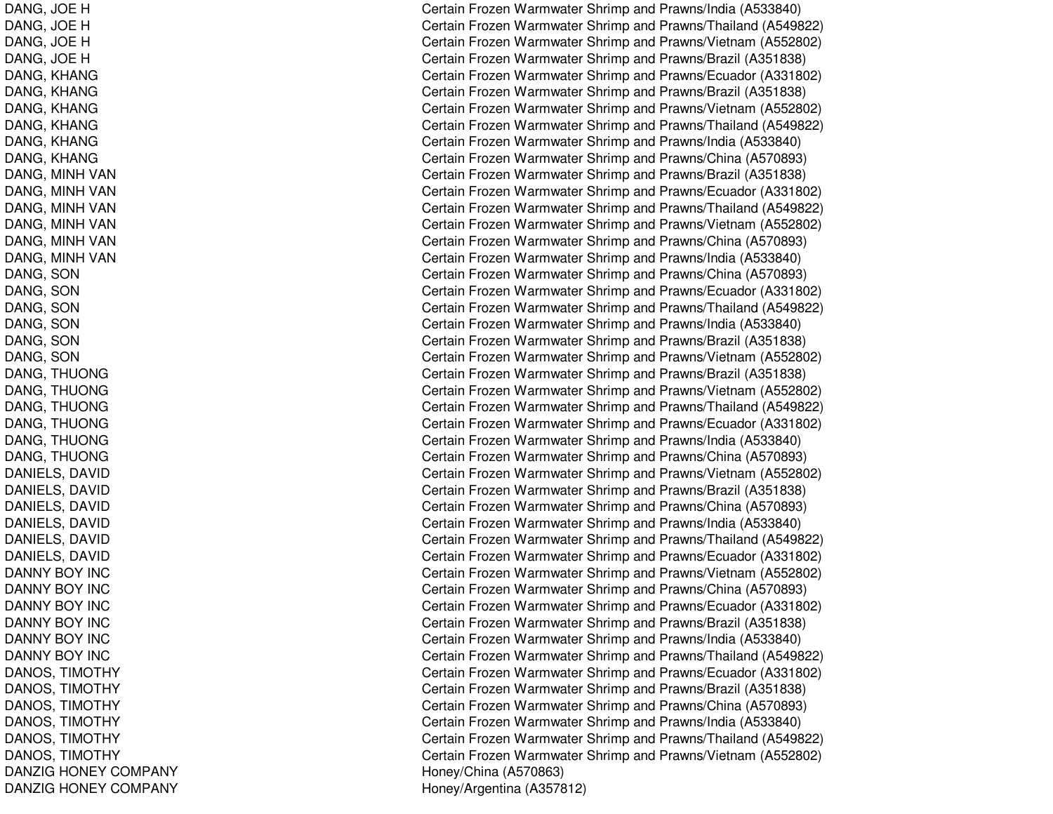DANG, JO EHDANG, JO EHDANG, JO EHD A N G, JO E H DANG, K HANGDA NG, K HA NGDANG, KHANG DANG, K HANGDANG, KHANG DANG, KHANG DANG, MINH VAN DANG, MINH VAN DANG, MINH VAN DANG, MINH VAN DANG, MINH VAN DANG, MINH VAN DANG, SON D A N G, S O N DANG, S ONDA NG, S ONDANG, SON D A N G, S O N DANG, THUONG DANG, T HUONGDANG, T HUONGDANG, THUONG DANG, T HUONGDANG, T HUONGD A NIE L S, D A VID DANIELS, D AVIDDANIELS, DAVID D A NIE L S, D A VID D A NIE L S, D A VID D A NIE L S, D A VID DANNY BOY INC DANNY BOY INC DANNY BOY INC DANNY BOY INC DANNY BOY INC DANNY BOY INC DANOS, TIM OTHYDANOS, TIM OT HYDANOS, TIM OTHYDANOS, TIMOTHY DA NOS, TIM OT HY DANOS, TIMOTHY DANZIG HONEY COMPANY DANZIG HONEY COMPANY

Certain Frozen Warmwater Shrimp and Prawns/India (A533840) Certain Frozen Warmwater Shrimp and Prawns/Thailand (A549822) Certain Frozen Warmwater Shrimp and Prawns/Vietnam (A552802) Certain Frozen Warmwater Shrimp and Prawns/Brazil (A351838) Certain Frozen Warmwater Shrimp and Prawns/Ecuador (A331802) Certain Frozen Warmwater Shrimp and Prawns/Brazil (A351838) Certain Frozen Warmwater Shrimp and Prawns/Vietnam (A552802) Certain Frozen Warmwater Shrimp and Prawns/Thailand (A549822) Certain Frozen Warmwater Shrimp and Prawns/India (A533840) Certain Frozen Warmwater Shrimp and Prawns/China (A570893) Certain Frozen Warmwater Shrimp and Prawns/Brazil (A351838) Certain Frozen Warmwater Shrimp and Prawns/Ecuador (A331802) Certain Frozen Warmwater Shrimp and Prawns/Thailand (A549822) Certain Frozen Warmwater Shrimp and Prawns/Vietnam (A552802) Certain Frozen Warmwater Shrimp and Prawns/China (A570893) Certain Frozen Warmwater Shrimp and Prawns/India (A533840) Certain Frozen Warmwater Shrimp and Prawns/China (A570893) Certain Frozen Warmwater Shrimp and Prawns/Ecuador (A331802) Certain Frozen Warmwater Shrimp and Prawns/Thailand (A549822) Certain Frozen Warmwater Shrimp and Pra wns/India (A 5 3 3 8 4 0) C ertain Frozen W arm w ater Shrim p and Pra wns/Brazil (A 3 518 3 8) Certain Frozen Warmwater Shrimp and Prawns/Vietnam (A552802) Certain Frozen Warmwater Shrimp and Prawns/Brazil (A351838) Certain Frozen Warmwater Shrimp and Prawns/Vietnam (A552802) Certain Frozen Warmwater Shrimp and Prawns/Thailand (A549822) Certain Frozen Warmwater Shrimp and Prawns/Ecuador (A331802) Certain Frozen Warmwater Shrimp and Prawns/India (A533840) Certain Frozen Warmwater Shrimp and Prawns/China (A570893) Certain Frozen Warmwater Shrimp and Prawns/Vietnam (A552802) Certain Frozen Warmwater Shrimp and Prawns/Brazil (A351838) Certain Frozen Warmwater Shrimp and Prawns/China (A570893) Certain Frozen Warmwater Shrimp and Prawns/India (A533840) Certain Frozen Warmwater Shrimp and Prawns/Thailand (A549822) Certain Frozen Warmwater Shrimp and Prawns/Ecuador (A331802) Certain Frozen Warmwater Shrimp and Prawns/Vietnam (A552802) Certain Frozen Warmwater Shrimp and Prawns/China (A570893) Certain Frozen Warmwater Shrimp and Prawns/Ecuador (A331802) Certain Frozen Warmwater Shrimp and Prawns/Brazil (A351838) Certain Frozen Warmwater Shrimp and Prawns/India (A533840) Certain Frozen Warmwater Shrimp and Prawns/Thailand (A549822) Certain Frozen Warmwater Shrimp and Prawns/Ecuador (A331802) Certain Frozen Warmwater Shrimp and Prawns/Brazil (A351838) Certain Frozen Warmwater Shrimp and Prawns/China (A570893) Certain Frozen Warmwater Shrimp and Prawns/India (A533840) Certain Frozen Warmwater Shrimp and Prawns/Thailand (A549822) Certain Frozen Warmwater Shrimp and Prawns/Vietnam (A552802) Honey/China (A 570863) H one y/Arg entina (A 3 5 7 812)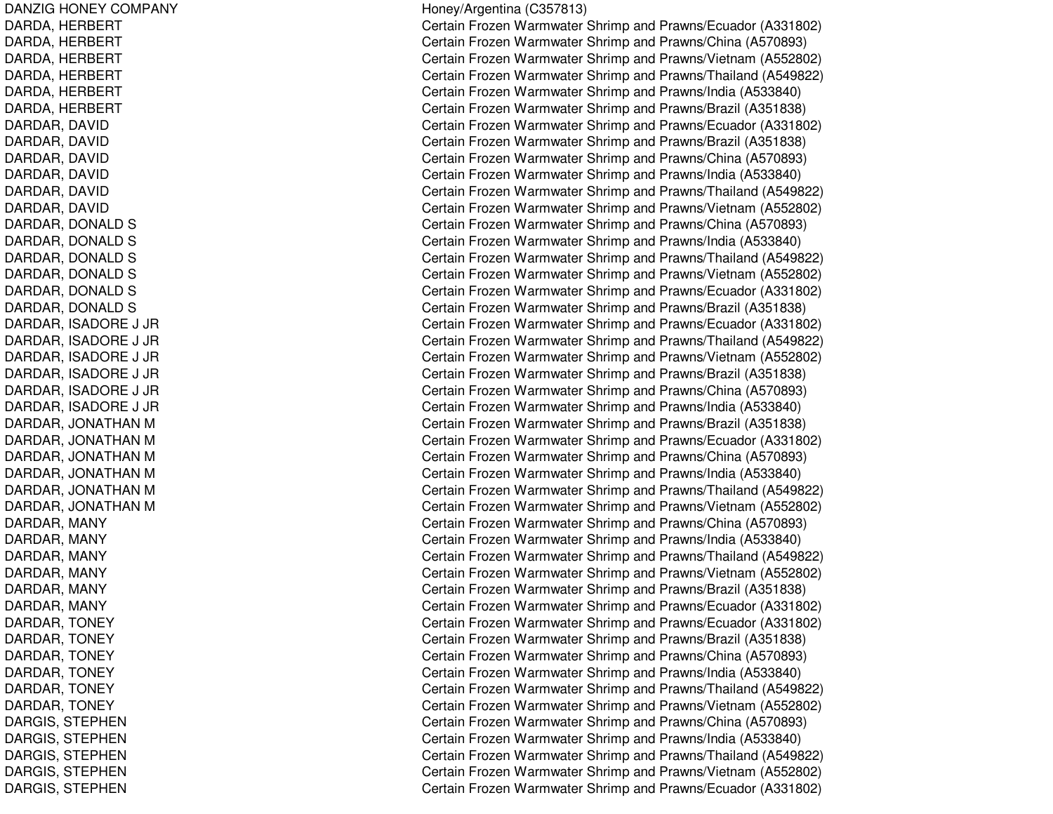DANZIG HONEY COMPANY DARDA, H ERBERTDARDA, H ERBERT DARDA, HERBERT DARDA, H ERBERTDARDA, HERBERT DARDA, H ERBERTDARDAR, D AVIDDARDAR, DAVID DARDAR, DAVID DARDAR, D AVIDDARDAR, DAVID DARDAR, D AVIDDARDAR, DONALD S DARDAR, DONALD S DARDAR, DONALD S DARDAR, D ONAL DSDARDAR, DONALD S DARDAR, DONALD S DARDAR, ISADORE J JR DARDAR, ISADORE J JR DARDAR, ISADORE J JR DARDAR, ISADORE J JR DARDAR, IS ADORE J JRDARDAR, IS ADORE J JRDARDAR, JONATHAN M DARDAR, JONATHAN M DARDAR, JONATHAN M DARDAR, JONATHAN M DARDAR, JONATHAN M DARDAR, JONATHAN M DARDAR, MANY DARDAR, MANY DARDAR, MANY DARDAR, MANY DARDAR, M ANYDARDAR, MANY DARDAR, TONEY DARDAR, T ONEYDARDAR, TONEY DARDAR, T ONEYDARDAR, T ONEYDARDAR, TONEY DARGIS, S TEPHENDARGIS, STEPHEN DARGIS, STEPHEN DARGIS, S TEPHENDARGIS, STEPHEN

H one y/Arg entina (C 3 5 7 813) Certain Frozen Warmwater Shrimp and Prawns/Ecuador (A331802) Certain Frozen Warmwater Shrimp and Prawns/China (A570893) Certain Frozen Warmwater Shrimp and Prawns/Vietnam (A552802) Certain Frozen Warmwater Shrimp and Prawns/Thailand (A549822) Certain Frozen Warmwater Shrimp and Prawns/India (A533840) Certain Frozen Warmwater Shrimp and Prawns/Brazil (A351838) Certain Frozen Warmwater Shrimp and Prawns/Ecuador (A331802) Certain Frozen Warmwater Shrimp and Prawns/Brazil (A351838) Certain Frozen Warmwater Shrimp and Prawns/China (A570893) Certain Frozen Warmwater Shrimp and Prawns/India (A533840) Certain Frozen Warmwater Shrimp and Prawns/Thailand (A549822) Certain Frozen Warmwater Shrimp and Prawns/Vietnam (A552802) Certain Frozen Warmwater Shrimp and Prawns/China (A570893) Certain Frozen Warmwater Shrimp and Prawns/India (A533840) Certain Frozen Warmwater Shrimp and Prawns/Thailand (A549822) Certain Frozen Warmwater Shrimp and Prawns/Vietnam (A552802) Certain Frozen Warmwater Shrimp and Prawns/Ecuador (A331802) Certain Frozen Warmwater Shrimp and Prawns/Brazil (A351838) Certain Frozen Warmwater Shrimp and Prawns/Ecuador (A331802) Certain Frozen Warmwater Shrimp and Prawns/Thailand (A549822) Certain Frozen Warmwater Shrimp and Prawns/Vietnam (A552802) Certain Frozen Warmwater Shrimp and Prawns/Brazil (A351838) Certain Frozen Warmwater Shrimp and Prawns/China (A570893) Certain Frozen Warmwater Shrimp and Pra wns/India (A 5 3 3 8 4 0) Certain Frozen Warmwater Shrimp and Prawns/Brazil (A351838) Certain Frozen Warmwater Shrimp and Prawns/Ecuador (A331802) Certain Frozen Warmwater Shrimp and Prawns/China (A570893) Certain Frozen Warmwater Shrimp and Prawns/India (A533840) Certain Frozen Warmwater Shrimp and Prawns/Thailand (A549822) Certain Frozen Warmwater Shrimp and Prawns/Vietnam (A552802) Certain Frozen Warmwater Shrimp and Prawns/China (A570893) Certain Frozen Warmwater Shrimp and Prawns/India (A533840) Certain Frozen Warmwater Shrimp and Prawns/Thailand (A549822) Certain Frozen Warmwater Shrimp and Prawns/Vietnam (A552802) Certain Frozen Warmwater Shrimp and Prawns/Brazil (A351838) Certain Frozen Warmwater Shrimp and Prawns/Ecuador (A331802) Certain Frozen Warmwater Shrimp and Prawns/Ecuador (A331802) C ertain Frozen W arm w ater Shrim p and Pra wns/Brazil (A 3 518 3 8) Certain Frozen Warmwater Shrimp and Prawns/China (A570893) Certain Frozen Warmwater Shrimp and Prawns/India (A533840) Certain Frozen Warmwater Shrimp and Prawns/Thailand (A549822) Certain Frozen Warmwater Shrimp and Prawns/Vietnam (A552802) Certain Frozen Warmwater Shrimp and Prawns/China (A570893) Certain Frozen Warmwater Shrimp and Pra wns/India (A 5 3 3 8 4 0) Certain Frozen Warmwater Shrimp and Prawns/Thailand (A549822) Certain Frozen Warmwater Shrimp and Prawns/Vietnam (A552802) Certain Frozen Warmwater Shrimp and Prawns/Ecuador (A331802)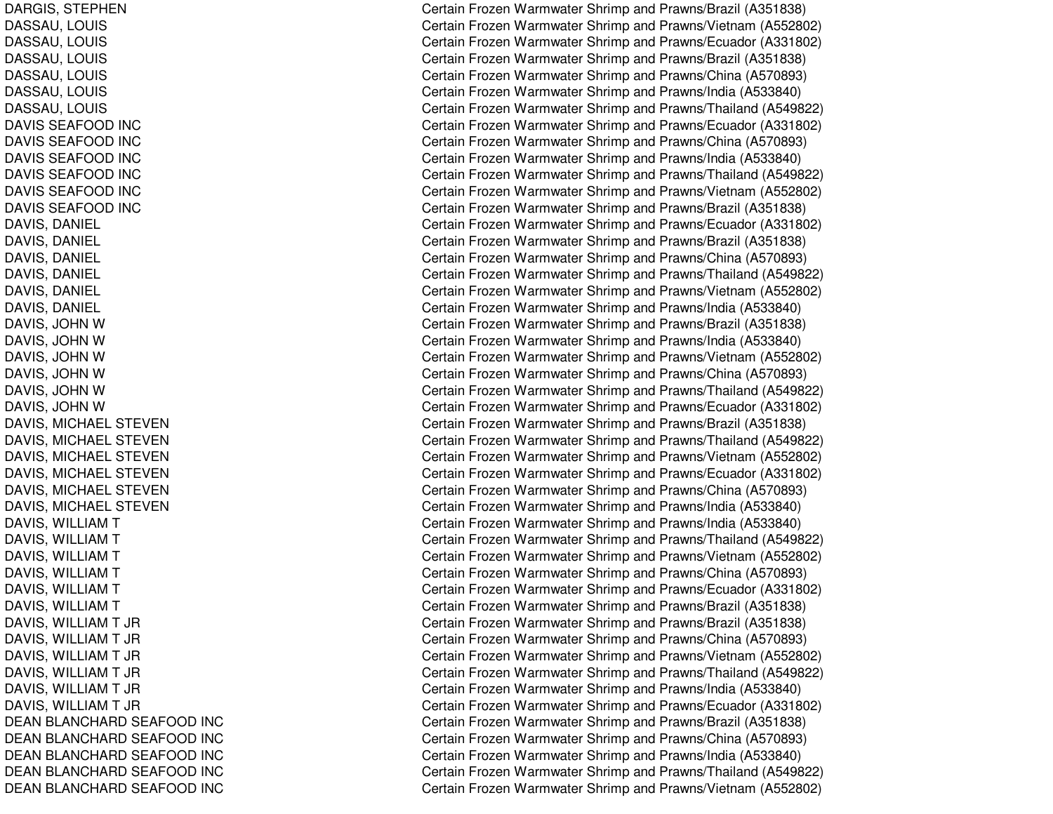DARGIS, S TEPHENDASSAU, L OUISDASSAU, L OUISDASSAU, LOUIS DASSAU, LOUIS DASSAU, LOUIS DASSAU, LOUIS DAVIS SEAFOOD INC D A VIS S E A F OOD IN C DAVIS SEAFOOD INC DAVIS SEAFOOD INC DAVIS SEAFOOD INC DAVIS SEAFOOD INC DAVIS, D ANIEL D A VIS, D A NIE L D A VIS, D A NIE L D A VIS, D A NIE L D A VIS, D A NIE L DAVIS, D ANIELDAVIS, JOHN W D A VIS, JO H N W D A VIS, JO H N W D A VIS, JO H N WDAVIS, JOHN W DAVIS, JOHN W DAVIS, MICHAEL STEVEN DAVIS, MIC HAELSTEVENDAVIS, MICHAEL STEVEN DAVIS, MICHAEL STEVEN DAVIS, MIC HAELSTEVENDAVIS, MICHAEL STEVEN D A VIS, WIL LIA M T D A VIS, WIL LIA M T DAVIS, WILLIAM T D A VIS, WIL LIA M T DAVIS, WIL LIAMTDAVIS, WILLIAM T D A VIS, WIL LIA M T JR D A VIS, WIL LIA M T JR D A VIS, WIL LIA M T JR DAVIS, WIL LIAMT JRDAVIS, WIL LIAMT JRD A VIS, WIL LIA M T JR DEAN BLANCHARD SEAFOOD INC DEAN BLANCHARD SEAFOOD INC DEAN BLANCHARD SEAFOOD INC DEAN BLANCHARD SEAFOOD INC DEAN BLANCHARD SEAFOOD INC Certain Frozen Warmwater Shrimp and Prawns/Brazil (A351838) Certain Frozen Warmwater Shrimp and Prawns/Vietnam (A552802) Certain Frozen Warmwater Shrimp and Prawns/Ecuador (A331802) Certain Frozen Warmwater Shrimp and Prawns/Brazil (A351838) Certain Frozen Warmwater Shrimp and Prawns/China (A570893) Certain Frozen Warmwater Shrimp and Prawns/India (A533840) Certain Frozen Warmwater Shrimp and Prawns/Thailand (A549822) Certain Frozen Warmwater Shrimp and Prawns/Ecuador (A331802) Certain Frozen Warmwater Shrimp and Prawns/China (A570893) Certain Frozen Warmwater Shrimp and Prawns/India (A533840) Certain Frozen Warmwater Shrimp and Prawns/Thailand (A549822) Certain Frozen Warmwater Shrimp and Prawns/Vietnam (A552802) Certain Frozen Warmwater Shrimp and Prawns/Brazil (A351838) Certain Frozen Warmwater Shrimp and Prawns/Ecuador (A331802) Certain Frozen Warmwater Shrimp and Prawns/Brazil (A351838) Certain Frozen Warmwater Shrimp and Prawns/China (A570893) Certain Frozen Warmwater Shrimp and Prawns/Thailand (A549822) Certain Frozen Warmwater Shrimp and Prawns/Vietnam (A552802) Certain Frozen Warmwater Shrimp and Prawns/India (A533840) Certain Frozen Warmwater Shrimp and Prawns/Brazil (A351838) Certain Frozen Warmwater Shrimp and Prawns/India (A533840) Certain Frozen Warmwater Shrimp and Prawns/Vietnam (A552802) Certain Frozen Warmwater Shrimp and Prawns/China (A570893) Certain Frozen Warmwater Shrimp and Prawns/Thailand (A549822) Certain Frozen Warmwater Shrimp and Prawns/Ecuador (A331802) Certain Frozen Warmwater Shrimp and Prawns/Brazil (A351838) Certain Frozen Warmwater Shrimp and Prawns/Thailand (A549822) Certain Frozen Warmwater Shrimp and Prawns/Vietnam (A552802) Certain Frozen Warmwater Shrimp and Prawns/Ecuador (A331802) Certain Frozen Warmwater Shrimp and Prawns/China (A570893) Certain Frozen Warmwater Shrimp and Prawns/India (A533840) Certain Frozen Warmwater Shrimp and Prawns/India (A533840) Certain Frozen Warmwater Shrimp and Prawns/Thailand (A549822) Certain Frozen Warmwater Shrimp and Prawns/Vietnam (A552802) Certain Frozen Warmwater Shrimp and Prawns/China (A570893) Certain Frozen Warmwater Shrimp and Prawns/Ecuador (A331802) Certain Frozen Warmwater Shrimp and Prawns/Brazil (A351838) Certain Frozen Warmwater Shrimp and Prawns/Brazil (A351838) Certain Frozen Warmwater Shrimp and Prawns/China (A570893) Certain Frozen Warmwater Shrimp and Prawns/Vietnam (A552802) Certain Frozen Warmwater Shrimp and Prawns/Thailand (A549822) Certain Frozen Warmwater Shrimp and Prawns/India (A533840) C ertain Frozen Warm w ater Shrim p and Pra wns/Ecua d or (A 3 318 0 2) Certain Frozen Warmwater Shrimp and Prawns/Brazil (A351838) Certain Frozen Warmwater Shrimp and Prawns/China (A570893) Certain Frozen Warmwater Shrimp and Prawns/India (A533840) Certain Frozen Warmwater Shrimp and Prawns/Thailand (A549822) Certain Frozen Warmwater Shrimp and Prawns/Vietnam (A552802)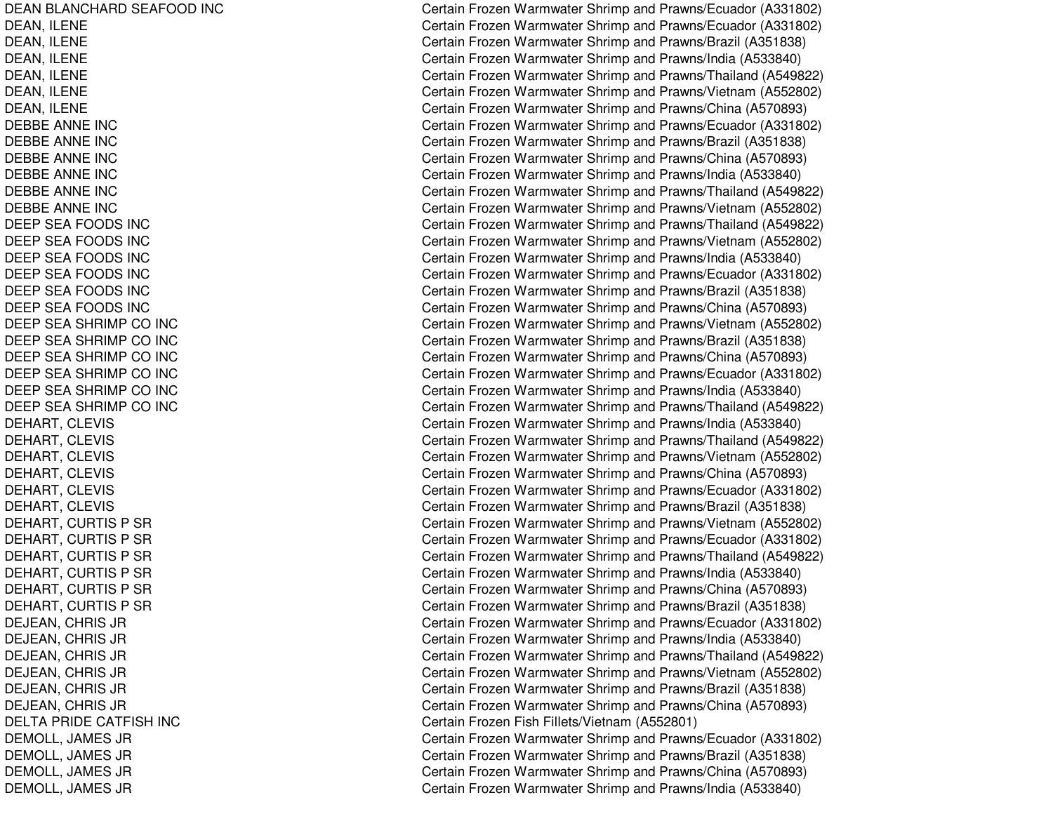DEAN BLANCHARD SEAFOOD INC DEAN, IL ENEDEAN, IL ENEDEAN, ILENE DEAN, IL ENEDEAN, ILENE DEAN, ILENE DEBBEANNE INCDEBBE ANNE INC DEBBEANNE INCDEBBEANNE INCDEBBEANNE INCDEBBEANNE INCDEEP SEA FOODS INC DEEP SEA FOODS INC DEEP SEA FOODS INC DEEP SEA FOODS INC DEEP SEA FOODS INC DEEP SEA FOODS INC DEEP SEA SHRIMP CO INC DEEP SEA SHRIMP CO INC DEEP SEA SHRIMP CO INC DEEP SEA SHRIMP CO INC DEEP SEA SHRIMP CO INC DEEP SEA SHRIMP CO INC DEHART, CLEVIS DEHART, C LEVISDEHART, CLEVIS DEHART, CLEVIS DEHART, C LEVISDEHART, CLEVIS DEHART, CURTIS P SR DEHART, CURTIS P SR DEHART, CURTIS P SR DEHART, CURTIS P SR DEHART, CURTIS P SR DEHART, CURTIS P SR D EJE A N, C H RIS JR DEJEAN, C HRIS JRD EJE A N, C H RIS JR DEJEAN, C HRIS JRDEJEAN, C HRIS JRD EJE A N, C H RIS JR DELTA PRIDE CATFISH INC DE MOL L, JA ME S JRD E M O L L, JA M E S JR DEMOLL, JA MES JRD E MOL L, JA ME S JR

Certain Frozen Warmwater Shrimp and Prawns/Ecuador (A331802) Certain Frozen Warmwater Shrimp and Prawns/Ecuador (A331802) Certain Frozen Warmwater Shrimp and Prawns/Brazil (A351838) Certain Frozen Warmwater Shrimp and Prawns/India (A533840) Certain Frozen Warmwater Shrimp and Prawns/Thailand (A549822) Certain Frozen Warmwater Shrimp and Prawns/Vietnam (A552802) Certain Frozen Warmwater Shrimp and Prawns/China (A570893) Certain Frozen Warmwater Shrimp and Prawns/Ecuador (A331802) Certain Frozen Warmwater Shrimp and Prawns/Brazil (A351838) Certain Frozen Warmwater Shrimp and Prawns/China (A570893) Certain Frozen Warmwater Shrimp and Prawns/India (A533840) Certain Frozen Warmwater Shrimp and Prawns/Thailand (A549822) Certain Frozen Warmwater Shrimp and Prawns/Vietnam (A552802) Certain Frozen Warmwater Shrimp and Prawns/Thailand (A549822) Certain Frozen Warmwater Shrimp and Prawns/Vietnam (A552802) Certain Frozen Warmwater Shrimp and Prawns/India (A533840) Certain Frozen Warmwater Shrimp and Prawns/Ecuador (A331802) Certain Frozen Warmwater Shrimp and Prawns/Brazil (A351838) Certain Frozen Warmwater Shrimp and Prawns/China (A570893) Certain Frozen Warmwater Shrimp and Prawns/Vietnam (A552802) C ertain Frozen W arm w ater Shrim p and Pra wns/Brazil (A 3 518 3 8) Certain Frozen Warmwater Shrimp and Prawns/China (A570893) Certain Frozen Warmwater Shrimp and Prawns/Ecuador (A331802) Certain Frozen Warmwater Shrimp and Prawns/India (A533840) Certain Frozen Warmwater Shrimp and Prawns/Thailand (A549822) Certain Frozen Warmwater Shrimp and Prawns/India (A533840) Certain Frozen Warmwater Shrimp and Prawns/Thailand (A549822) Certain Frozen Warmwater Shrimp and Prawns/Vietnam (A552802) Certain Frozen Warmwater Shrimp and Prawns/China (A570893) Certain Frozen Warmwater Shrimp and Prawns/Ecuador (A331802) Certain Frozen Warmwater Shrimp and Prawns/Brazil (A351838) Certain Frozen Warmwater Shrimp and Prawns/Vietnam (A552802) Certain Frozen Warmwater Shrimp and Prawns/Ecuador (A331802) Certain Frozen Warmwater Shrimp and Prawns/Thailand (A549822) Certain Frozen Warmwater Shrimp and Prawns/India (A533840) Certain Frozen Warmwater Shrimp and Prawns/China (A570893) Certain Frozen Warmwater Shrimp and Prawns/Brazil (A351838) Certain Frozen Warmwater Shrimp and Prawns/Ecuador (A331802) Certain Frozen Warmwater Shrimp and Prawns/India (A533840) Certain Frozen Warmwater Shrimp and Prawns/Thailand (A549822) Certain Frozen Warmwater Shrimp and Prawns/Vietnam (A552802) Certain Frozen Warmwater Shrimp and Prawns/Brazil (A351838) Certain Frozen Warmwater Shrimp and Prawns/China (A570893) Certain Frozen Fish Fillets/Vietna m (A 552801) Certain Frozen Warmwater Shrimp and Prawns/Ecuador (A331802) C ertain Frozen W arm w ater Shrim p and Pra wns/Brazil (A 3 518 3 8) Certain Frozen Warmwater Shrimp and Prawns/China (A570893) Certain Frozen Warmwater Shrimp and Prawns/India (A533840)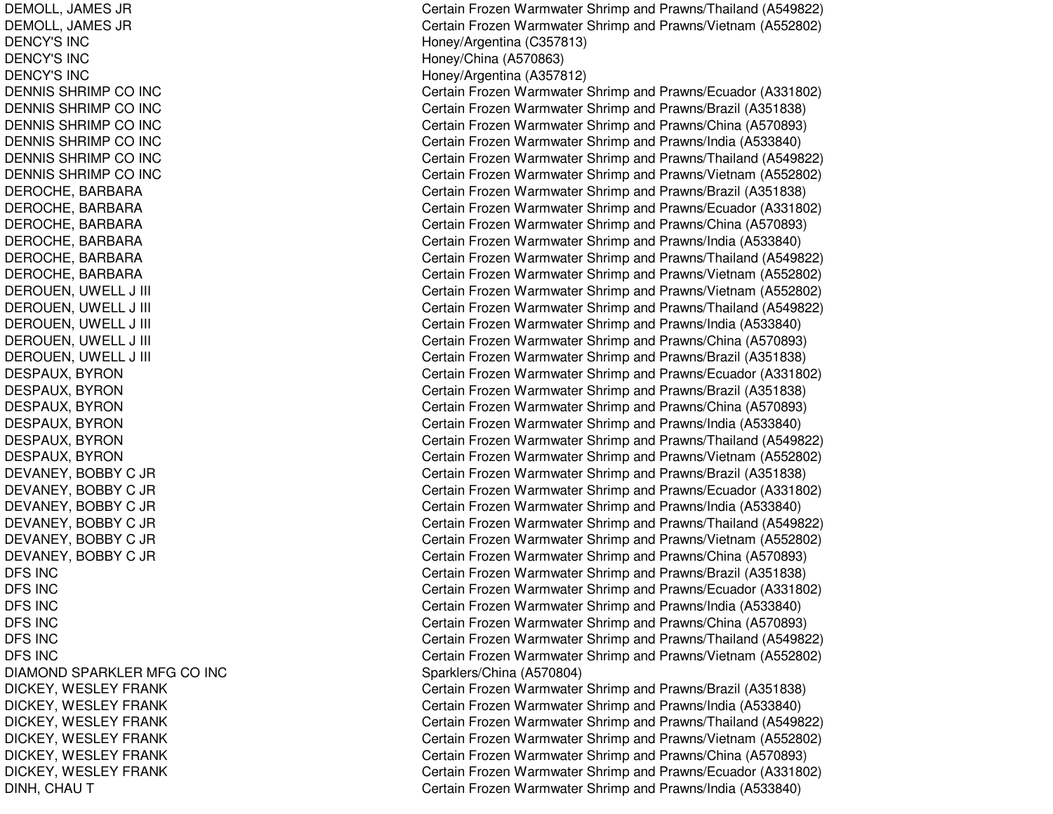DEMOLL, JA MES JRDEMOLL, JA MES JRDENCY'S INCDENCY'S INCDENCY'S INCDENNIS SHRIMP CO INC DENNIS SHRIMP CO INC DENNIS SHRIMP CO INC DENNIS SHRIMP CO INC DENNIS SHRIMP CO INC DENNIS SHRIMP CO INC DEROCHE, BARBARA DEROCHE, B ARBARADEROCHE, B ARBARADEROCHE, BARBARA DEROCHE, B ARBARADEROCHE, B ARBARADEROUEN, UWELL J III CHARGE AND THE CONTROL OF THE CONTROL OF THE CONTROL OF THE CONTROL OF THE CONTROL OF THE CONTROL OF THE CONTROL OF THE CONTROL OF THE CONTROL OF THE CONTROL OF THE CONTROL OF THE CONTROL OF THE CONTRO DEROUEN, U WELL J III CDE ROUE N, U WE L L J III CDEROUEN, UWELL J III CHARGE AND THE CONTROL OF THE CONTROL OF THE CONTROL OF THE CONTROL OF THE CONTROL OF THE CONTROL OF THE CONTROL OF THE CONTROL OF THE CONTROL OF THE CONTROL OF THE CONTROL OF THE CONTROL OF THE CONTRO DEROUEN, UWELL J III CHARGE AND THE CONTROL OF THE CONTROL OF THE CONTROL OF THE CONTROL OF THE CONTROL OF THE CONTROL OF THE CONTROL OF THE CONTROL OF THE CONTROL OF THE CONTROL OF THE CONTROL OF THE CONTROL OF THE CONTRO DESPAUX, BYRON DESPAUX, B YRONDESPAUX, B YRONDESPAUX, BYRON DESPAUX, B YRONDESPAUX, B YRONDEVANEY, BOBBY C JR DEVANEY, B OBBYC JR DEVANEY, BOBBY C JR DEVANEY, BOBBY C JR DEVANEY, BOBBY C JR DEVANEY, BOBBY C JR DFS INCDFS INCDFS INCDFS INCDFS INCDFS INCDIAMOND SPARKLER MFG CO INC DICKEY, WESLEY FRANK DICKEY, W ESLEYFRANKDICKEY, W ESLEYFRANKDICKEY, WESLEY FRANK DICKEY, WESLEY FRANK DICKEY, W ESLEYFRANKDINH, CHAU T

Certain Frozen Warmwater Shrimp and Prawns/Thailand (A549822) Certain Frozen Warmwater Shrimp and Prawns/Vietnam (A552802) Hone y/Arg entina (C 3 5 7 813) H one y/China (A 5 7 0 8 6 3) H one y/Arg entina (A 3 5 7 812) Certain Frozen Warmwater Shrimp and Prawns/Ecuador (A331802) Certain Frozen Warmwater Shrimp and Prawns/Brazil (A351838) Certain Frozen Warmwater Shrimp and Prawns/China (A570893) Certain Frozen Warmwater Shrimp and Prawns/India (A533840) Certain Frozen Warmwater Shrimp and Prawns/Thailand (A549822) Certain Frozen Warmwater Shrimp and Prawns/Vietnam (A552802) Certain Frozen Warmwater Shrimp and Prawns/Brazil (A351838) Certain Frozen Warmwater Shrimp and Prawns/Ecuador (A331802) Certain Frozen Warmwater Shrimp and Prawns/China (A570893) Certain Frozen Warmwater Shrimp and Prawns/India (A533840) Certain Frozen Warmwater Shrimp and Prawns/Thailand (A549822) Certain Frozen Warmwater Shrimp and Prawns/Vietnam (A552802) Certain Frozen Warmwater Shrimp and Prawns/Vietnam (A552802) ertain Frozen Warmwater Shrimp and Prawns/Thailand (A549822) ertain Frozen Warmwater Shrimp and Prawns/India (A533840) Certain Frozen Warmwater Shrimp and Prawns/China (A570893) Certain Frozen Warmwater Shrimp and Prawns/Brazil (A351838) Certain Frozen Warmwater Shrimp and Prawns/Ecuador (A331802) Certain Frozen Warmwater Shrimp and Prawns/Brazil (A351838) Certain Frozen Warmwater Shrimp and Prawns/China (A570893) Certain Frozen Warmwater Shrimp and Prawns/India (A533840) Certain Frozen Warmwater Shrimp and Prawns/Thailand (A549822) Certain Frozen Warmwater Shrimp and Prawns/Vietnam (A552802) Certain Frozen Warmwater Shrimp and Prawns/Brazil (A351838) Certain Frozen Warmwater Shrimp and Prawns/Ecuador (A331802) Certain Frozen Warmwater Shrimp and Prawns/India (A533840) Certain Frozen Warmwater Shrimp and Prawns/Thailand (A549822) Certain Frozen Warmwater Shrimp and Prawns/Vietnam (A552802) Certain Frozen Warmwater Shrimp and Prawns/China (A570893) C ertain Frozen W arm w ater Shrim p and Pra wns/Brazil (A 3 518 3 8) Certain Frozen Warmwater Shrimp and Prawns/Ecuador (A331802) Certain Frozen Warmwater Shrimp and Prawns/India (A533840) Certain Frozen Warmwater Shrimp and Prawns/China (A570893) Certain Frozen Warmwater Shrimp and Prawns/Thailand (A549822) Certain Frozen Warmwater Shrimp and Prawns/Vietnam (A552802) Sp arklers/China (A 570804) Certain Frozen Warmwater Shrimp and Prawns/Brazil (A351838) Certain Frozen Warmwater Shrimp and Prawns/India (A533840) Certain Frozen Warmwater Shrimp and Prawns/Thailand (A549822) Certain Frozen Warmwater Shrimp and Prawns/Vietnam (A552802) Certain Frozen Warmwater Shrimp and Prawns/China (A570893) Certain Frozen Warmwater Shrimp and Prawns/Ecuador (A331802) Certain Frozen Warmwater Shrimp and Prawns/India (A533840)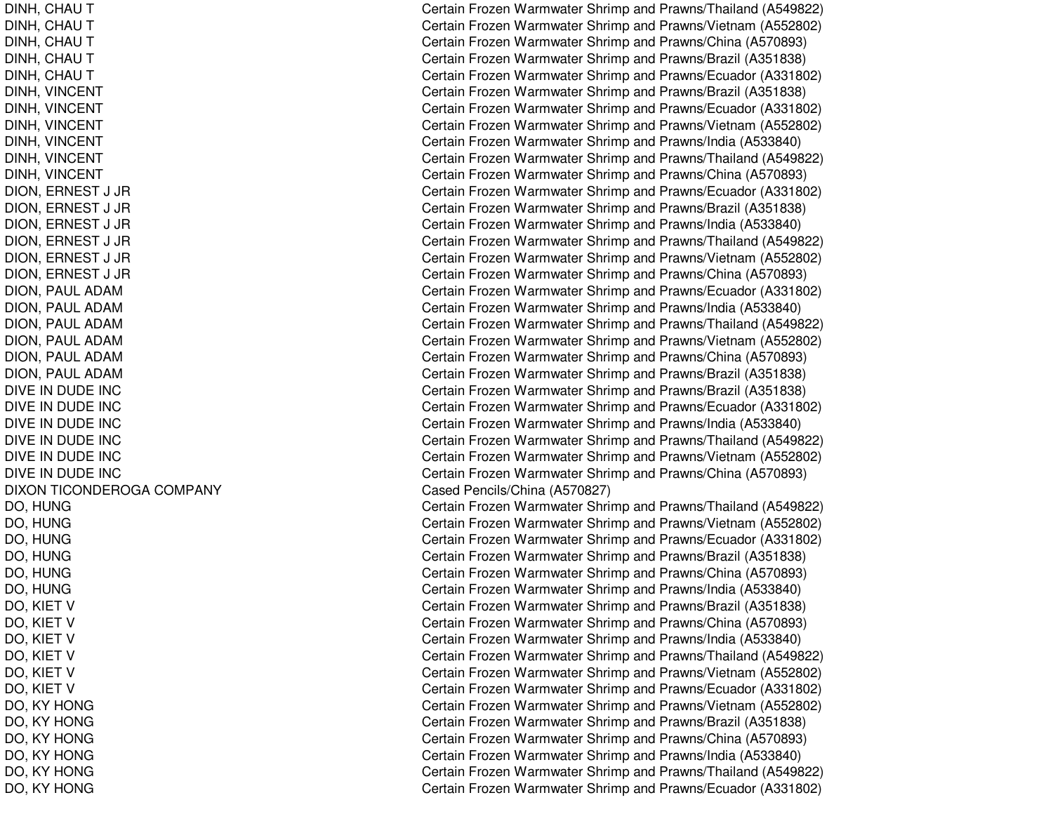DINH, CHAU T DINH, CHAU T DINH, CHAU T DINH, CHAU T DINH, CHAU T DINH, VINCENT DINH, VIN CENTDINH, VIN CENTDINH, VINCENT DINH, VINCENT DINH, VIN CENTDION, ERNEST J JR DION, E RNEST J JRDION, E RNEST J JRDION, ERNEST J JR DION, E RNEST J JRDION, E RNEST J JRDION, PAUL ADAM DION, P AULADAMDION, PAUL ADAM DION, PAUL ADAM DION, PAUL ADAM DION, PAUL ADAM DIVE IN DUDE INC DIVE IN DUDE INC DIVE IN DUDE INC DIVE IN DUDE INC DIVE IN DUDE INC DIVE IN DUDE INC DIXON TICONDEROGA COMPANY DO, H UNGD O, H U N G DO, H UNGD O, H U N GDO, H UNGDO, H UNGD O, KIE T V D O, KIE T V DO, KIET V D O, KIE T V DO, KIET V DO, KIE T VDO, KY HONG DO, K YHONGDO, K Y HONGDO, KY HONG DO, K YHONGD O, K Y H ON G

Certain Frozen Warmwater Shrimp and Prawns/Thailand (A549822) Certain Frozen Warmwater Shrimp and Prawns/Vietnam (A552802) Certain Frozen Warmwater Shrimp and Prawns/China (A570893) Certain Frozen Warmwater Shrimp and Prawns/Brazil (A351838) Certain Frozen Warmwater Shrimp and Prawns/Ecuador (A331802) Certain Frozen Warmwater Shrimp and Prawns/Brazil (A351838) Certain Frozen Warmwater Shrimp and Prawns/Ecuador (A331802) Certain Frozen Warmwater Shrimp and Prawns/Vietnam (A552802) Certain Frozen Warmwater Shrimp and Prawns/India (A533840) Certain Frozen Warmwater Shrimp and Prawns/Thailand (A549822) Certain Frozen Warmwater Shrimp and Prawns/China (A570893) Certain Frozen Warmwater Shrimp and Prawns/Ecuador (A331802) Certain Frozen Warmwater Shrimp and Prawns/Brazil (A351838) Certain Frozen Warmwater Shrimp and Prawns/India (A533840) Certain Frozen Warmwater Shrimp and Prawns/Thailand (A549822) Certain Frozen Warmwater Shrimp and Prawns/Vietnam (A552802) Certain Frozen Warmwater Shrimp and Prawns/China (A570893) Certain Frozen Warmwater Shrimp and Prawns/Ecuador (A331802) Certain Frozen Warmwater Shrimp and Prawns/India (A533840) Certain Frozen Warmwater Shrimp and Prawns/Thailand (A549822) Certain Frozen Warmwater Shrimp and Prawns/Vietnam (A552802) Certain Frozen Warmwater Shrimp and Prawns/China (A570893) Certain Frozen Warmwater Shrimp and Prawns/Brazil (A351838) C ertain Frozen W arm w ater Shrim p and Pra wns/Brazil (A 3 518 3 8) Certain Frozen Warmwater Shrimp and Prawns/Ecuador (A331802) Certain Frozen Warmwater Shrimp and Prawns/India (A533840) Certain Frozen Warmwater Shrimp and Prawns/Thailand (A549822) Certain Frozen Warmwater Shrimp and Prawns/Vietnam (A552802) Certain Frozen Warmwater Shrimp and Prawns/China (A570893) Cased Pencils/China (A570827) Certain Frozen Warmwater Shrimp and Prawns/Thailand (A549822) Certain Frozen Warmwater Shrimp and Prawns/Vietnam (A552802) Certain Frozen Warmwater Shrimp and Prawns/Ecuador (A331802) Certain Frozen Warmwater Shrimp and Prawns/Brazil (A351838) Certain Frozen Warmwater Shrimp and Prawns/China (A570893) Certain Frozen Warmwater Shrimp and Prawns/India (A533840) Certain Frozen Warmwater Shrimp and Prawns/Brazil (A351838) Certain Frozen Warmwater Shrimp and Prawns/China (A570893) Certain Frozen Warmwater Shrimp and Prawns/India (A533840) Certain Frozen Warmwater Shrimp and Prawns/Thailand (A549822) Certain Frozen Warmwater Shrimp and Prawns/Vietnam (A552802) Certain Frozen Warmwater Shrimp and Prawns/Ecuador (A331802) Certain Frozen Warmwater Shrimp and Prawns/Vietnam (A552802) Certain Frozen Warmwater Shrimp and Prawns/Brazil (A351838) Certain Frozen Warmwater Shrimp and Prawns/China (A570893) Certain Frozen Warmwater Shrimp and Prawns/India (A533840) Certain Frozen Warmwater Shrimp and Prawns/Thailand (A549822) Certain Frozen Warmwater Shrimp and Prawns/Ecuador (A331802)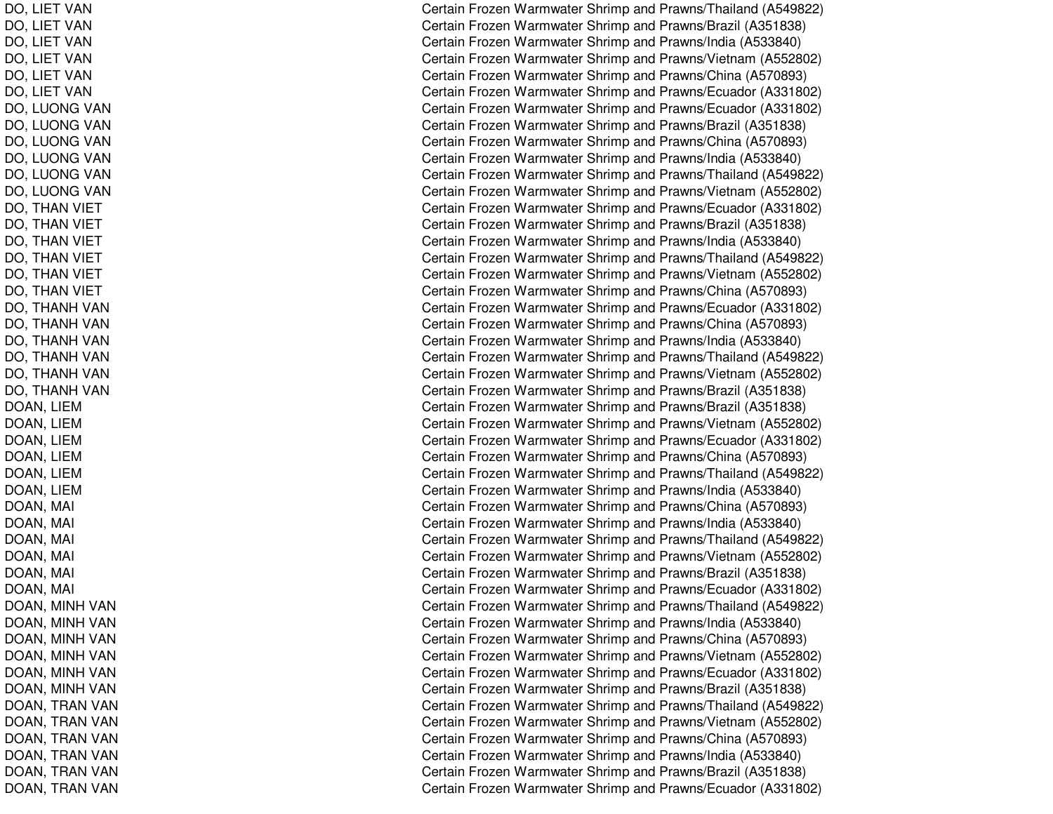DO, LIE TVANDO, LIE TVANDO, LIE T VANDO, LIET VAN DO, LIE TVANDO, LIET VAN DO, LUONG VAN DO, LUONG VAN DO, LUONG VAN DO, LUONG VAN DO, LUONG VAN DO, LUONG VAN DO, THAN VIET DO, THAN VIET DO, THAN VIET DO, THAN VIET DO, THAN VIET DO, THAN VIET DO, THANH VAN DO, THANH VAN DO, THANH VAN DO, THANH VAN DO, THANH VAN DO, THANH VAN DOAN, LIE MD O A N, LIE MD O A N, LIE M DOAN, LIE MD O A N, LIE M D O A N, LIE M DOA N, M AIl Constantinople of the constant of the constant of the constant of the constant of the constant of the constant of the constant of the constant of the constant of the constant of the constant of the constant of the consta D O A N, M AIl Constantinople of the constant of the constant of the constant of the constant of the constant of the constant of the constant of the constant of the constant of the constant of the constant of the constant of the consta D O A N, M AI $\overline{C}$ D OA N, M AI $\overline{C}$ D O A N, M AIl Constantinople of the constant of the constant of the constant of the constant of the constant of the constant of the constant of the constant of the constant of the constant of the constant of the constant of the consta DOAN, M AI $\overline{C}$ DOAN, MINH VAN DOAN, MINH VAN DOAN, MINH VAN DOAN, MINH VAN DOAN, MINH VAN DOAN, MINH VAN DOAN, TRAN VAN DOAN, TRAN VAN DOAN, TRAN VAN DOAN, TRAN VAN DOAN, TRAN VAN DOAN, TRAN VAN

Certain Frozen Warmwater Shrimp and Prawns/Thailand (A549822) Certain Frozen Warmwater Shrimp and Prawns/Brazil (A351838) Certain Frozen Warmwater Shrimp and Prawns/India (A533840) Certain Frozen Warmwater Shrimp and Prawns/Vietnam (A552802) Certain Frozen Warmwater Shrimp and Prawns/China (A570893) Certain Frozen Warmwater Shrimp and Prawns/Ecuador (A331802) Certain Frozen Warmwater Shrimp and Prawns/Ecuador (A331802) Certain Frozen Warmwater Shrimp and Prawns/Brazil (A351838) Certain Frozen Warmwater Shrimp and Prawns/China (A570893) Certain Frozen Warmwater Shrimp and Prawns/India (A533840) Certain Frozen Warmwater Shrimp and Prawns/Thailand (A549822) Certain Frozen Warmwater Shrimp and Prawns/Vietnam (A552802) Certain Frozen Warmwater Shrimp and Prawns/Ecuador (A331802) Certain Frozen Warmwater Shrimp and Prawns/Brazil (A351838) Certain Frozen Warmwater Shrimp and Prawns/India (A533840) Certain Frozen Warmwater Shrimp and Prawns/Thailand (A549822) Certain Frozen Warmwater Shrimp and Prawns/Vietnam (A552802) Certain Frozen Warmwater Shrimp and Prawns/China (A570893) Certain Frozen Warmwater Shrimp and Prawns/Ecuador (A331802) Certain Frozen Warmwater Shrimp and Prawns/China (A570893) Certain Frozen Warmwater Shrimp and Prawns/India (A533840) Certain Frozen Warmwater Shrimp and Prawns/Thailand (A549822) Certain Frozen Warmwater Shrimp and Prawns/Vietnam (A552802) Certain Frozen Warmwater Shrimp and Prawns/Brazil (A351838) Certain Frozen Warmwater Shrimp and Prawns/Brazil (A351838) Certain Frozen Warmwater Shrimp and Prawns/Vietnam (A552802) Certain Frozen Warmwater Shrimp and Prawns/Ecuador (A331802) Certain Frozen Warmwater Shrimp and Prawns/China (A570893) Certain Frozen Warmwater Shrimp and Prawns/Thailand (A549822) Certain Frozen Warmwater Shrimp and Prawns/India (A533840) ertain Frozen Warmwater Shrimp and Prawns/China (A570893) Certain Frozen Warmwater Shrimp and Prawns/India (A533840) Certain Frozen Warmwater Shrimp and Prawns/Thailand (A549822) Certain Frozen Warmwater Shrimp and Prawns/Vietnam (A552802) Certain Frozen Warmwater Shrimp and Prawns/Brazil (A351838) ertain Frozen Warmwater Shrimp and Prawns/Ecuador (A331802) Certain Frozen Warmwater Shrimp and Prawns/Thailand (A549822) Certain Frozen Warmwater Shrimp and Prawns/India (A533840) Certain Frozen Warmwater Shrimp and Prawns/China (A570893) Certain Frozen Warmwater Shrimp and Prawns/Vietnam (A552802) Certain Frozen Warmwater Shrimp and Prawns/Ecuador (A331802) Certain Frozen Warmwater Shrimp and Prawns/Brazil (A351838) Certain Frozen Warmwater Shrimp and Prawns/Thailand (A549822) Certain Frozen Warmwater Shrimp and Prawns/Vietnam (A552802) Certain Frozen Warmwater Shrimp and Prawns/China (A570893) Certain Frozen Warmwater Shrimp and Prawns/India (A533840) Certain Frozen Warmwater Shrimp and Prawns/Brazil (A351838) Certain Frozen Warmwater Shrimp and Prawns/Ecuador (A331802)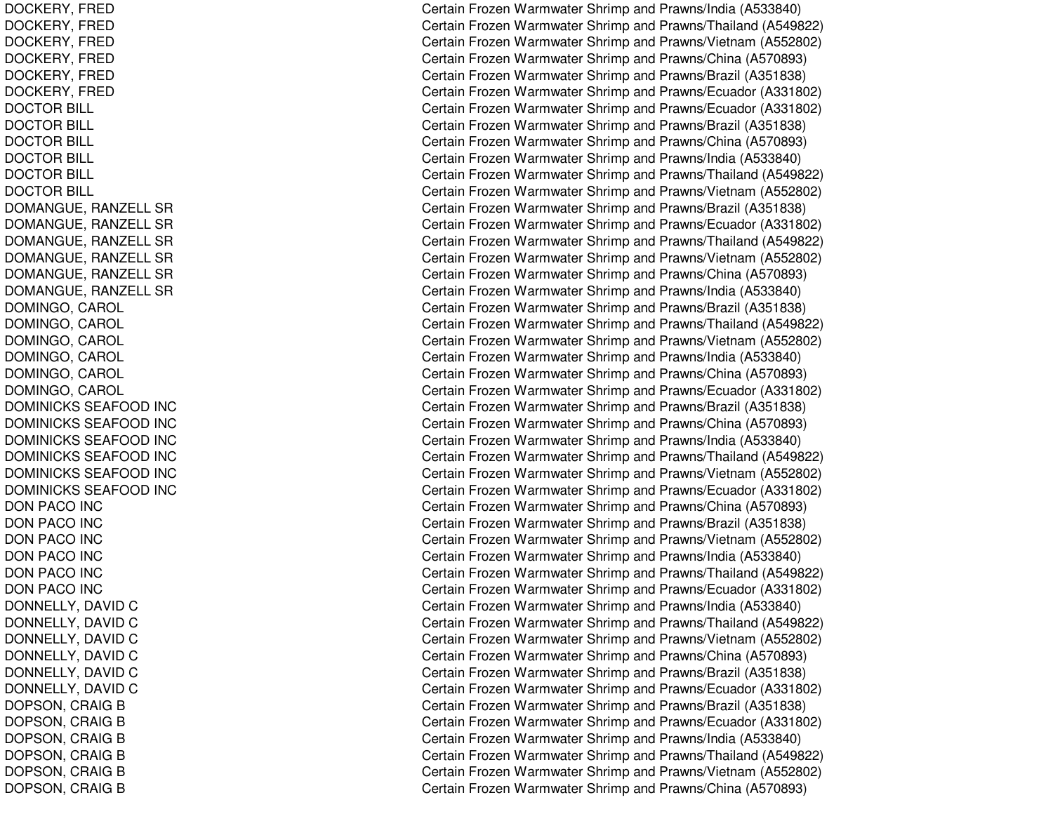DOCKERY, FRED DOCKERY, F REDDOCKERY, F REDDOCKERY, FRED DOCKERY, FRED DOCK E RY, F RE DDOCTOR BILL DOCTOR BILL DOCTOR BILL DOCTOR BILL DOCTOR BILL DOCTOR BILL DOMANGUE, R ANZELLSRDOMANGUE, RANZELL SR DOMANGUE, RANZELL SR DOMANGUE, R ANZELLSRDOMANGUE, RANZELL SR DOMANGUE, R ANZELLSRDOMINGO, C AROLDOMINGO, CAROL DOMINGO, CAROL DOMINGO, CAROL DOMINGO, CAROL DOMINGO, C AROLDOMINICKS SEAFOOD INC DOMINICKS SEAFOOD INC DOMINICKS SEAFOOD INC DOMINICKS SEAFOOD INC DOMINICKS SEAFOOD INC DOMINICKS SEAFOOD INC DON PACO INC DON PACO INC DONPACO IN CDON PACO INC DONPACO IN CDONPACO IN CDONNELLY, DAVID C DONNELLY, D AVIDCDONNELLY, DAVID C D O N N E L L Y, D A VID C DONNELLY, D AVIDCDONNELLY, DAVID C DOPSON, CRAIG B DOPSON, CRAIG B DOPSON, CRAIG B DOPSON, CRAIG B DOPSON, CRAIG B DOPSON, CRAIG B

Certain Frozen Warmwater Shrimp and Prawns/India (A533840) Certain Frozen Warmwater Shrimp and Prawns/Thailand (A549822) Certain Frozen Warmwater Shrimp and Prawns/Vietnam (A552802) Certain Frozen Warmwater Shrimp and Prawns/China (A570893) Certain Frozen Warmwater Shrimp and Prawns/Brazil (A351838) Certain Frozen Warmwater Shrimp and Prawns/Ecuador (A331802) Certain Frozen Warmwater Shrimp and Prawns/Ecuador (A331802) Certain Frozen Warmwater Shrimp and Prawns/Brazil (A351838) Certain Frozen Warmwater Shrimp and Prawns/China (A570893) Certain Frozen Warmwater Shrimp and Prawns/India (A533840) Certain Frozen Warmwater Shrimp and Prawns/Thailand (A549822) Certain Frozen Warmwater Shrimp and Prawns/Vietnam (A552802) Certain Frozen Warmwater Shrimp and Prawns/Brazil (A351838) Certain Frozen Warmwater Shrimp and Prawns/Ecuador (A331802) Certain Frozen Warmwater Shrimp and Prawns/Thailand (A549822) Certain Frozen Warmwater Shrimp and Prawns/Vietnam (A552802) Certain Frozen Warmwater Shrimp and Prawns/China (A570893) Certain Frozen Warmwater Shrimp and Prawns/India (A533840) Certain Frozen Warmwater Shrimp and Prawns/Brazil (A351838) Certain Frozen Warmwater Shrimp and Prawns/Thailand (A549822) Certain Frozen Warmwater Shrimp and Prawns/Vietnam (A552802) Certain Frozen Warmwater Shrimp and Prawns/India (A533840) Certain Frozen Warmwater Shrimp and Prawns/China (A570893) Certain Frozen Warmwater Shrimp and Prawns/Ecuador (A331802) Certain Frozen Warmwater Shrimp and Prawns/Brazil (A351838) Certain Frozen Warmwater Shrimp and Prawns/China (A570893) Certain Frozen Warmwater Shrimp and Prawns/India (A533840) Certain Frozen Warmwater Shrimp and Prawns/Thailand (A549822) Certain Frozen Warmwater Shrimp and Prawns/Vietnam (A552802) Certain Frozen Warmwater Shrimp and Prawns/Ecuador (A331802) Certain Frozen Warmwater Shrimp and Prawns/China (A570893) Certain Frozen Warmwater Shrimp and Prawns/Brazil (A351838) Certain Frozen Warmwater Shrimp and Prawns/Vietnam (A552802) Certain Frozen Warmwater Shrimp and Prawns/India (A533840) Certain Frozen Warmwater Shrimp and Prawns/Thailand (A549822) Certain Frozen Warmwater Shrimp and Prawns/Ecuador (A331802) Certain Frozen Warmwater Shrimp and Prawns/India (A533840) Certain Frozen Warmwater Shrimp and Prawns/Thailand (A549822) Certain Frozen Warmwater Shrimp and Prawns/Vietnam (A552802) Certain Frozen Warmwater Shrimp and Prawns/China (A570893) Certain Frozen Warmwater Shrimp and Prawns/Brazil (A351838) Certain Frozen Warmwater Shrimp and Prawns/Ecuador (A331802) Certain Frozen Warmwater Shrimp and Prawns/Brazil (A351838) Certain Frozen Warmwater Shrimp and Prawns/Ecuador (A331802) Certain Frozen Warmwater Shrimp and Pra wns/India (A 5 3 3 8 4 0) Certain Frozen Warmwater Shrimp and Prawns/Thailand (A549822) Certain Frozen Warmwater Shrimp and Prawns/Vietnam (A552802) Certain Frozen Warmwater Shrimp and Prawns/China (A570893)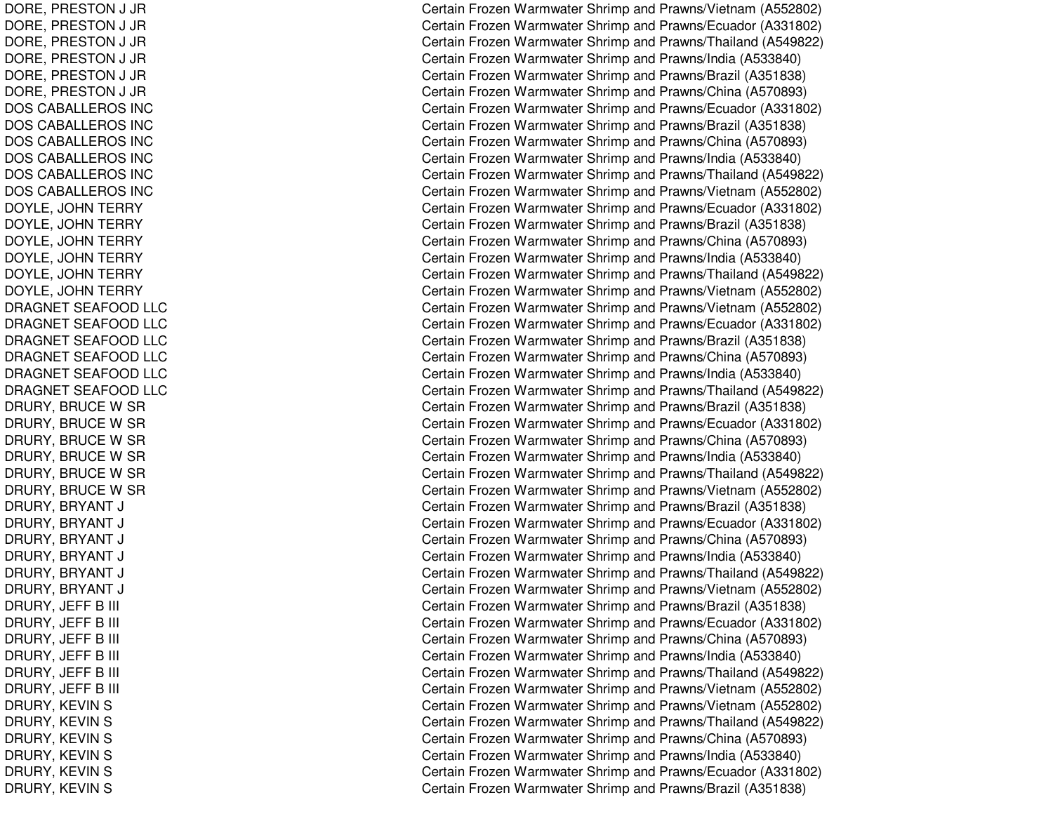DORE, P RESTON J JR D O R E, P R E S T O N J JR DORE, P REST ON J JR D O R E, P R E S T O N J JR DORE, P RESTON J JR DORE, PRESTON J JR DOSCABALLEROS INCDOSCABALLEROS INCDOS CABALLEROS INC DOSCABALLEROS INCDOSCABALLEROS INCDOSCABALLEROS INCDOYLE, JOHN TERRY DOYLE, JOHN TERRY DOYLE, JOHN TERRY DOYLE, JOHN TERRY DOYLE, JOHN TERRY DOYLE, JOHN TERRY DRAGNET SEAFOOD LLC DRAGNET SEAFOOD LLC DRAGNET SEAFOOD LLC DRAGNET SEAFOOD LLC DRAGNET SEAFOOD LLC DRAGNET SEAFOOD LLC DRURY, BRUCE W SR DRURY, BRUCE W SR DRURY, BRUCE W SR DRURY, BRUCE W SR DRURY, BRUCE W SR DRURY, BRUCE W SR DRURY, BRYANT J CDRURY, BRYANT J CDRURY, BRYANT J CDRURY, BRYANT J CDRURY, BRYANT J CDRURY, B RYANT J CDRURY, JEFF B Bill Contract to the contract of the contract of the contract of the contract of the contract of the contract of the contract of the contract of the contract of the contract of the contract of the contract of the contract DRURY, JEFF B Bill Contract to the contract of the contract of the contract of the contract of the contract of the contract of the contract of the contract of the contract of the contract of the contract of the contract of the contract DRURY, JEFF B Bill C DRURY, JEFF B Bill C DRURY, JE FFBBill Contract to the contract of the contract of the contract of the contract of the contract of the contract of the contract of the contract of the contract of the contract of the contract of the contract of the contract DRURY, JEFF B Bill C DRURY, KEVIN S DRURY, K EVINSDRURY, KEVIN S DRURY, KEVIN S DRURY, K EVINSDRURY, KEVIN S

Certain Frozen Warmwater Shrimp and Prawns/Vietnam (A552802) Certain Frozen Warmwater Shrimp and Prawns/Ecuador (A331802) Certain Frozen Warmwater Shrimp and Prawns/Thailand (A549822) Certain Frozen Warmwater Shrimp and Prawns/India (A533840) Certain Frozen Warmwater Shrimp and Prawns/Brazil (A351838) Certain Frozen Warmwater Shrimp and Prawns/China (A570893) Certain Frozen Warmwater Shrimp and Prawns/Ecuador (A331802) Certain Frozen Warmwater Shrimp and Prawns/Brazil (A351838) Certain Frozen Warmwater Shrimp and Prawns/China (A570893) Certain Frozen Warmwater Shrimp and Prawns/India (A533840) Certain Frozen Warmwater Shrimp and Prawns/Thailand (A549822) Certain Frozen Warmwater Shrimp and Prawns/Vietnam (A552802) Certain Frozen Warmwater Shrimp and Prawns/Ecuador (A331802) Certain Frozen Warmwater Shrimp and Prawns/Brazil (A351838) Certain Frozen Warmwater Shrimp and Prawns/China (A570893) Certain Frozen Warmwater Shrimp and Prawns/India (A533840) Certain Frozen Warmwater Shrimp and Prawns/Thailand (A549822) Certain Frozen Warmwater Shrimp and Prawns/Vietnam (A552802) Certain Frozen Warmwater Shrimp and Prawns/Vietnam (A552802) Certain Frozen Warmwater Shrimp and Prawns/Ecuador (A331802) C ertain Frozen W arm w ater Shrim p and Pra wns/Brazil (A 3 518 3 8) Certain Frozen Warmwater Shrimp and Prawns/China (A570893) Certain Frozen Warmwater Shrimp and Prawns/India (A533840) Certain Frozen Warmwater Shrimp and Prawns/Thailand (A549822) Certain Frozen Warmwater Shrimp and Prawns/Brazil (A351838) Certain Frozen Warmwater Shrimp and Prawns/Ecuador (A331802) Certain Frozen Warmwater Shrimp and Prawns/China (A570893) Certain Frozen Warmwater Shrimp and Prawns/India (A533840) Certain Frozen Warmwater Shrimp and Prawns/Thailand (A549822) Certain Frozen Warmwater Shrimp and Prawns/Vietnam (A552802) ertain Frozen Warmwater Shrimp and Prawns/Brazil (A351838) Certain Frozen Warmwater Shrimp and Prawns/Ecuador (A331802) Certain Frozen Warmwater Shrimp and Prawns/China (A570893) Certain Frozen Warmwater Shrimp and Prawns/India (A533840) Certain Frozen Warmwater Shrimp and Prawns/Thailand (A549822) ertain Frozen Warmwater Shrimp and Prawns/Vietnam (A552802) Certain Frozen Warmwater Shrimp and Prawns/Brazil (A351838) Certain Frozen Warmwater Shrimp and Prawns/Ecuador (A331802) Certain Frozen Warmwater Shrimp and Prawns/China (A570893) Certain Frozen Warmwater Shrimp and Prawns/India (A533840) ertain Frozen Warmwater Shrimp and Prawns/Thailand (A549822) ertain Frozen Warmwater Shrimp and Prawns/Vietnam (A552802) Certain Frozen Warmwater Shrimp and Prawns/Vietnam (A552802) Certain Frozen Warmwater Shrimp and Prawns/Thailand (A549822) Certain Frozen Warmwater Shrimp and Prawns/China (A570893) Certain Frozen Warmwater Shrimp and Prawns/India (A533840) Certain Frozen Warmwater Shrimp and Prawns/Ecuador (A331802) Certain Frozen Warmwater Shrimp and Prawns/Brazil (A351838)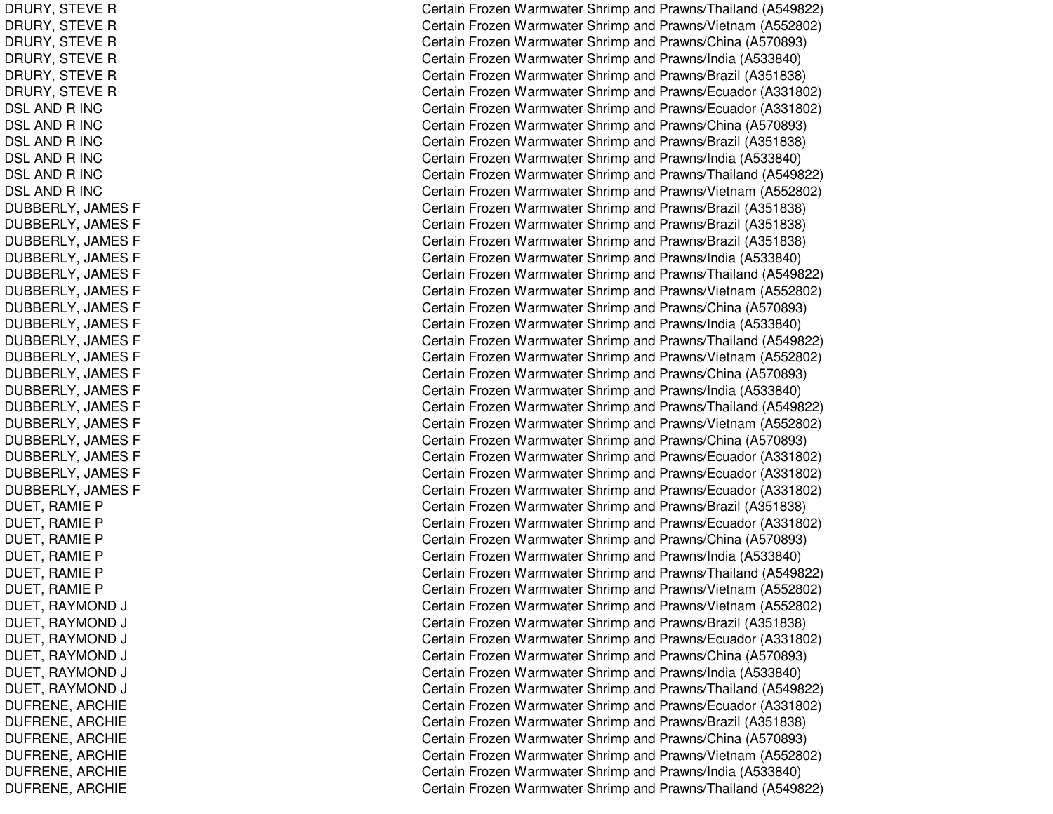DRURY, STEVE R DRURY, S TEVERDRURY, STEVE R DRURY, STEVE R DRURY, STEVE R DRURY, STEVE R DSL AND R INC DSL AND R INC DSL AND R INC DSL AND R INC DSL AND R INC DSL AND R INC DUBBERLY, JA MESFDUBBERLY, JAMES F DUBBERLY, JAMES F DUBBERLY, JAMES F DUBBERLY, JAMES F DUBBERLY, JAMES F DUBBERLY, JA MESFDUBBERLY, JAMES F DUBBERLY, JAMES F DUBBERLY, JAMES F DUBBERLY, JAMES F DUBBERLY, JA MESFDUBBERLY, JAMES F DUBBERLY, JAMES F DUBBERLY, JA MESFDUBBERLY, JAMES F DUBBERLY, JAMES F DUBBERLY, JA MESFDUE T, R A MIE P DUET, RAMIE P DUET, RAMIE P DUET, RAMIE P DUET, RAMIE P DUET, R AMIEPDUET, RAYMOND DJ COMERCIAL COMMUNICATIONS COMMUNICATIONS CONTINUES. DUET, RAYMOND DJ COMERCIAL COMMUNICATIONS COMMUNICATIONS CONTINUES. DUET, R AYMONDDJ COMERCIAL COMMUNICATION COMMUNICATION COMMUNICATION COMMUNICATION COMMUNICATION COMMUNICATION COMMUNICATION DUET, RAYMOND DJ COMPOSITION COMPONENT COMPOSITION COMPONENT COMPONENT COMPONENT COMPONENT COMPONENT COMPONENT COMPONENT COM DUET, R AYMONDDJ COMERCIAL COMMUNICATIONS COMMUNICATIONS CONTINUES. DUET, R AYMONDDJ C DUFRENE, A RCHIEDUFRENE, A RCHIEDUF RE NE, A RCHIE DUFRENE, ARCHIE DUFRENE, A RCHIEDUFRENE, ARCHIE

Certain Frozen Warmwater Shrimp and Prawns/Thailand (A549822) Certain Frozen Warmwater Shrimp and Prawns/Vietnam (A552802) Certain Frozen Warmwater Shrimp and Prawns/China (A570893) Certain Frozen Warmwater Shrimp and Prawns/India (A533840) Certain Frozen Warmwater Shrimp and Prawns/Brazil (A351838) Certain Frozen Warmwater Shrimp and Prawns/Ecuador (A331802) Certain Frozen Warmwater Shrimp and Prawns/Ecuador (A331802) Certain Frozen Warmwater Shrimp and Prawns/China (A570893) Certain Frozen Warmwater Shrimp and Prawns/Brazil (A351838) Certain Frozen Warmwater Shrimp and Prawns/India (A533840) Certain Frozen Warmwater Shrimp and Prawns/Thailand (A549822) Certain Frozen Warmwater Shrimp and Prawns/Vietnam (A552802) Certain Frozen Warmwater Shrimp and Prawns/Brazil (A351838) Certain Frozen Warmwater Shrimp and Prawns/Brazil (A351838) Certain Frozen Warmwater Shrimp and Prawns/Brazil (A351838) Certain Frozen Warmwater Shrimp and Prawns/India (A533840) Certain Frozen Warmwater Shrimp and Prawns/Thailand (A549822) Certain Frozen Warmwater Shrimp and Prawns/Vietnam (A552802) Certain Frozen Warmwater Shrimp and Prawns/China (A570893) Certain Frozen Warmwater Shrimp and Pra wns/India (A 5 3 3 8 4 0) Certain Frozen Warmwater Shrimp and Prawns/Thailand (A549822) Certain Frozen Warmwater Shrimp and Prawns/Vietnam (A552802) Certain Frozen Warmwater Shrimp and Prawns/China (A570893) Certain Frozen Warmwater Shrimp and Prawns/India (A533840) Certain Frozen Warmwater Shrimp and Prawns/Thailand (A549822) Certain Frozen Warmwater Shrimp and Prawns/Vietnam (A552802) Certain Frozen Warmwater Shrimp and Prawns/China (A570893) Certain Frozen Warmwater Shrimp and Prawns/Ecuador (A331802) C ertain Frozen Warm w ater Shrim p and Pra wns/Ecua d or (A 3 318 0 2) Certain Frozen Warmwater Shrimp and Prawns/Ecuador (A331802) Certain Frozen Warmwater Shrimp and Prawns/Brazil (A351838) Certain Frozen Warmwater Shrimp and Prawns/Ecuador (A331802) Certain Frozen Warmwater Shrimp and Prawns/China (A570893) Certain Frozen Warmwater Shrimp and Prawns/India (A533840) Certain Frozen Warmwater Shrimp and Prawns/Thailand (A549822) Certain Frozen Warmwater Shrimp and Prawns/Vietnam (A552802) ertain Frozen Warmwater Shrimp and Prawns/Vietnam (A552802) ertain Frozen Warmwater Shrimp and Prawns/Brazil (A351838) ertain Frozen Warmwater Shrimp and Prawns/Ecuador (A331802) ertain Frozen Warmwater Shrimp and Prawns/China (A570893) ertain Frozen Warmwater Shrimp and Prawns/India (A533840) ertain Frozen Warmwater Shrimp and Prawns/Thailand (A549822) C ertain Frozen Warm w ater Shrim p and Pra wns/Ecua d or (A 3 318 0 2) Certain Frozen Warmwater Shrimp and Prawns/Brazil (A351838) Certain Frozen Warmwater Shrimp and Prawns/China (A570893) Certain Frozen Warmwater Shrimp and Prawns/Vietnam (A552802) Certain Frozen Warmwater Shrimp and Prawns/India (A533840) Certain Frozen Warmwater Shrimp and Prawns/Thailand (A549822)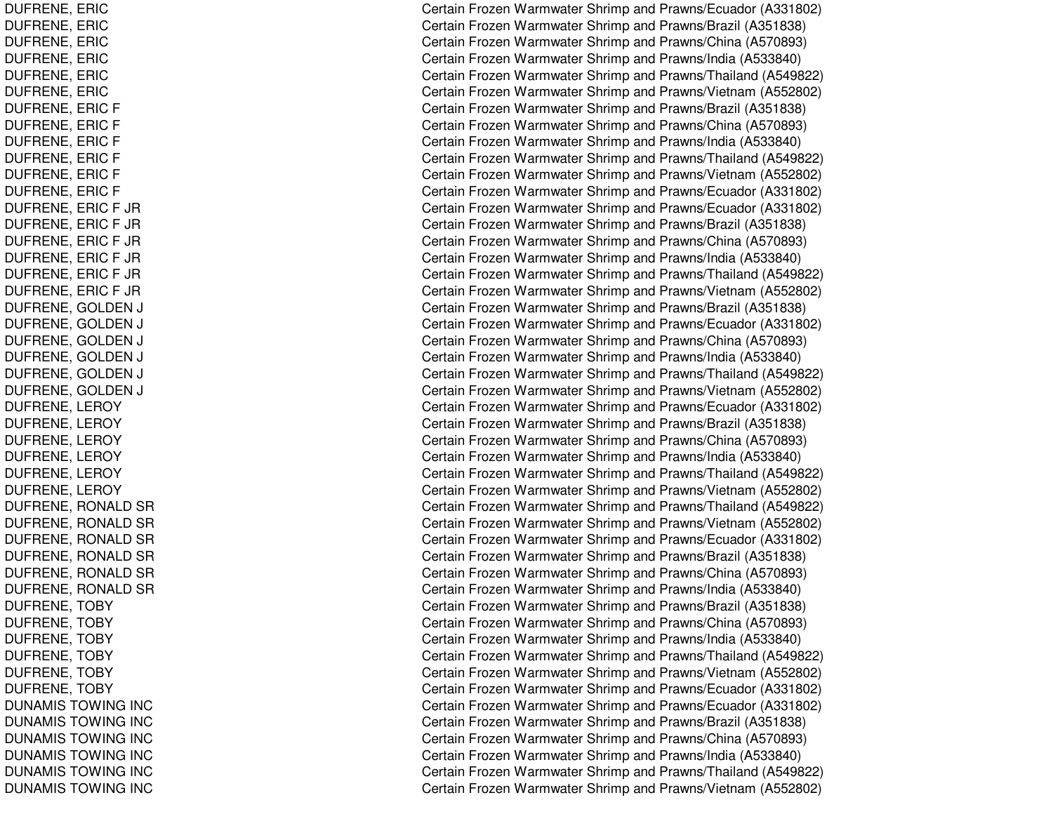DUFRENE, E RICD U F R E N E, E RIC DUF RENE, E RICD U F R E N E, E RIC DUFRENE, E RICDUF RE NE, E RICDUFRENE, ERIC F DUFRENE, E RICFDUFRENE, ERIC F DUFRENE, ERIC F DUFRENE, E RICFDUFRENE, ERIC F DUFRENE, E RICF JRDUFRENE, E RICF JRD U F R E N E, E RIC F JR DUFRENE, E RICF JRDUF RENE, E RICF JRD U F R E N E, E RIC F JR DUFRENE, G OLDENNJ C DUFRENE, GOLDEN NJ C DUFRENE, GOLDEN NJ C DUFRENE, GOLDEN NJ C DUFRENE, GOLDEN NJ C DUFRENE, G OLDENNJ COMERCIAL COMMUNISTIC DUFRENE, L EROYDUFRENE, LEROY DUFRENE, L EROYDUF RENE, L EROYDUFRENE, LEROY DUFRENE, L EROYDUFRENE, RONALD SR DUFRENE, RONALD SR DUFRENE, RONALD SR DUFRENE, RONALD SR DUFRENE, RONALD SR DUFRENE, RONALD SR DUFRENE, TOBY DUFRENE, TOBY DUFRENE, TOBY DUFRENE, TOBY DUFRENE, T OBYDUF RENE, T OBYDUNAMIS TOWING INC DUNAMIS TOWING INC DUNA MIS T OWING IN CDUNAMIS TOWING INC DUNAMIS TOWING INC DUNAMIS TOWING INC

Certain Frozen Warmwater Shrimp and Prawns/Ecuador (A331802) Certain Frozen Warmwater Shrimp and Prawns/Brazil (A351838) Certain Frozen Warmwater Shrimp and Prawns/China (A570893) Certain Frozen Warmwater Shrimp and Prawns/India (A533840) Certain Frozen Warmwater Shrimp and Prawns/Thailand (A549822) Certain Frozen Warmwater Shrimp and Prawns/Vietnam (A552802) Certain Frozen Warmwater Shrimp and Prawns/Brazil (A351838) Certain Frozen Warmwater Shrimp and Prawns/China (A570893) Certain Frozen Warmwater Shrimp and Prawns/India (A533840) Certain Frozen Warmwater Shrimp and Prawns/Thailand (A549822) Certain Frozen Warmwater Shrimp and Prawns/Vietnam (A552802) Certain Frozen Warmwater Shrimp and Prawns/Ecuador (A331802) Certain Frozen Warmwater Shrimp and Prawns/Ecuador (A331802) Certain Frozen Warmwater Shrimp and Prawns/Brazil (A351838) Certain Frozen Warmwater Shrimp and Prawns/China (A570893) Certain Frozen Warmwater Shrimp and Prawns/India (A533840) Certain Frozen Warmwater Shrimp and Prawns/Thailand (A549822) Certain Frozen Warmwater Shrimp and Prawns/Vietnam (A552802) ertain Frozen Warmwater Shrimp and Prawns/Brazil (A351838) ertain Frozen Warmwater Shrimp and Prawns/Ecuador (A331802) ertain Frozen Warmwater Shrimp and Prawns/China (A570893) ertain Frozen Warmwater Shrimp and Prawns/India (A533840) ertain Frozen Warmwater Shrimp and Prawns/Thailand (A549822) ertain Frozen Warmwater Shrimp and Prawns/Vietnam (A552802) Certain Frozen Warmwater Shrimp and Prawns/Ecuador (A331802) Certain Frozen Warmwater Shrimp and Prawns/Brazil (A351838) Certain Frozen Warmwater Shrimp and Prawns/China (A570893) Certain Frozen Warmwater Shrimp and Prawns/India (A533840) Certain Frozen Warmwater Shrimp and Prawns/Thailand (A549822) Certain Frozen Warmwater Shrimp and Prawns/Vietnam (A552802) Certain Frozen Warmwater Shrimp and Prawns/Thailand (A549822) Certain Frozen Warmwater Shrimp and Prawns/Vietnam (A552802) Certain Frozen Warmwater Shrimp and Prawns/Ecuador (A331802) Certain Frozen Warmwater Shrimp and Prawns/Brazil (A351838) Certain Frozen Warmwater Shrimp and Prawns/China (A570893) Certain Frozen Warmwater Shrimp and Prawns/India (A533840) Certain Frozen Warmwater Shrimp and Prawns/Brazil (A351838) Certain Frozen Warmwater Shrimp and Prawns/China (A570893) Certain Frozen Warmwater Shrimp and Prawns/India (A533840) Certain Frozen Warmwater Shrimp and Prawns/Thailand (A549822) Certain Frozen Warmwater Shrimp and Prawns/Vietnam (A552802) Certain Frozen Warmwater Shrimp and Prawns/Ecuador (A331802) C ertain Frozen Warm w ater Shrim p and Pra wns/Ecua d or (A 3 318 0 2) Certain Frozen Warmwater Shrimp and Prawns/Brazil (A351838) Certain Frozen Warmwater Shrimp and Prawns/China (A570893) Certain Frozen Warmwater Shrimp and Prawns/India (A533840) Certain Frozen Warmwater Shrimp and Prawns/Thailand (A549822) Certain Frozen Warmwater Shrimp and Prawns/Vietnam (A552802)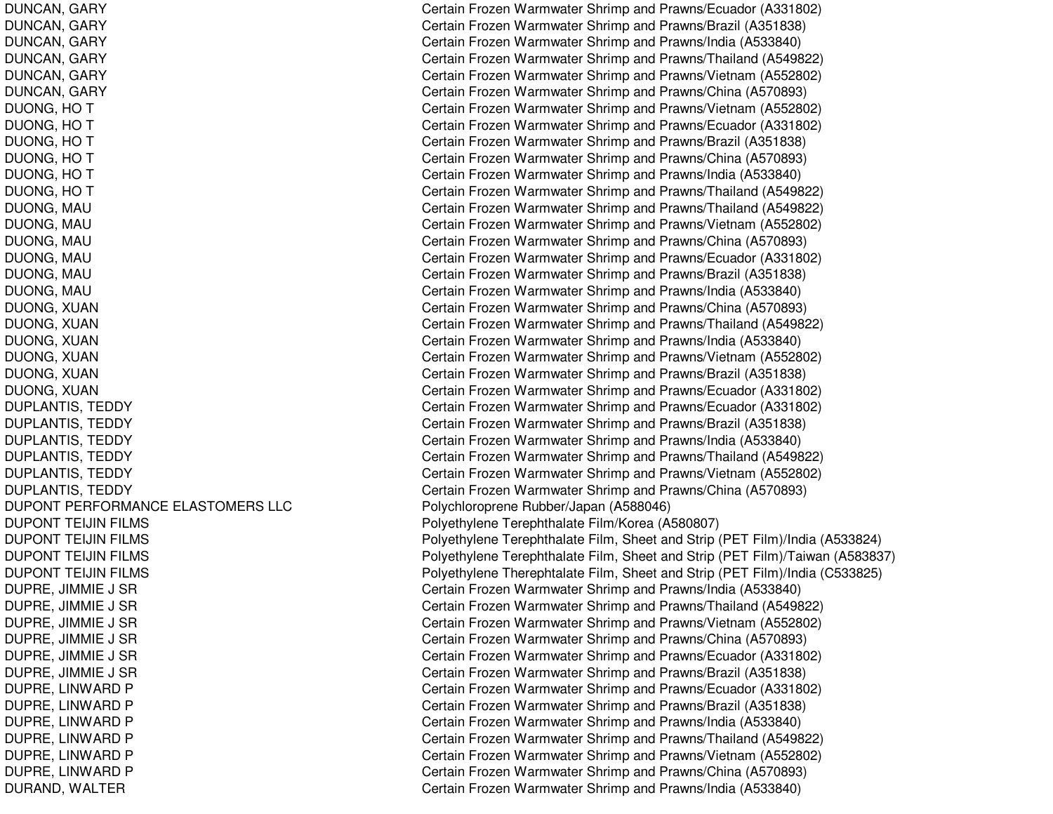DUPONT PERFORMANCE ELASTOMERS LLCDUPONT TEIJINDUPONT TEIJINDUPONT TEIJINDUPONT TEIJIN

DUNCAN, GARY Certain Frozen Warmwater Shrimp and Prawns/Ecuador (A331802) DUNCAN, GARY Certain Frozen Warmwater Shrimp and Prawns/Brazil (A351838) DUNCAN, GARY Certain Frozen Warmwater Shrimp and Prawns/India (A533840) DUNCAN, GARY Certain Frozen Warmwater Shrimp and Prawns/Thailand (A549822) DUNCAN, GARY Certain Frozen Warmwater Shrimp and Prawns/Vietnam (A552802) DUNCAN, GARY Certain Frozen Warmwater Shrimp and Prawns/China (A570893) DUONG, HO T Certain Frozen Warmwater Shrimp and Prawns/Vietnam (A552802) DUONG, HO T Certain Frozen Warmwater Shrimp and Prawns/Ecuador (A331802) DUONG, HO T Certain Frozen Warmwater Shrimp and Prawns/Brazil (A351838) DUONG, HO T Certain Frozen Warmwater Shrimp and Prawns/China (A570893) DUONG, HO T Certain Frozen Warmwater Shrimp and Prawns/India (A533840) DUONG, HO T Certain Frozen Warmwater Shrimp and Prawns/Thailand (A549822) DUONG, MAU Certain Frozen Warmwater Shrimp and Prawns/Thailand (A549822) DUONG, MAU Certain Frozen Warmwater Shrimp and Prawns/Vietnam (A552802) DUONG, MAU Certain Frozen Warmwater Shrimp and Prawns/China (A570893) DUONG, MAU Certain Frozen Warmwater Shrimp and Prawns/Ecuador (A331802) DUONG, MAU Certain Frozen Warmwater Shrimp and Prawns/Brazil (A351838) DUONG, MAU Certain Frozen Warmwater Shrimp and Prawns/India (A533840) DUONG, XUAN Certain Frozen Warmwater Shrimp and Prawns/China (A570893) DUONG, XUAN Certain Frozen Warmwater Shrimp and Prawns/Thailand (A549822) DUONG, XUAN Certain Frozen Warmwater Shrimp and Prawns/India (A533840) DUONG, XUAN Certain Frozen Warmwater Shrimp and Prawns/Vietnam (A552802) DUONG, XUAN Certain Frozen Warmwater Shrimp and Prawns/Brazil (A351838) DUONG, XUAN Certain Frozen Warmwater Shrimp and Prawns/Ecuador (A331802) DUPLANTIS, TEDDY Certain Frozen Warmwater Shrimp and Prawns/Ecuador (A331802) DUPLANTIS, TEDDY Certain Frozen Warmwater Shrimp and Prawns/Brazil (A351838) DUPLANTIS, TEDDY Certain Frozen Warmwater Shrimp and Prawns/India (A533840) DUPLANTIS, TEDDY Certain Frozen Warmwater Shrimp and Prawns/Thailand (A549822) DUPLANTIS, TEDDY Certain Frozen Warmwater Shrimp and Prawns/Vietnam (A552802) DUPLANTIS, TEDDY Certain Frozen Warmwater Shrimp and Prawns/China (A570893) Polychloroprene Rubber/Japan (A588046) Polyethylene Terephthalate Film/Korea (A580807) Polyethylene Terephthalate Film, Sheet and Strip (PET Film)/India (A533824) Polyethylene Terephthalate Film, Sheet and Strip (PET Film)/Taiwan (A583837) Polyethylene Therephtalate Film, Sheet and Strip (PET Film)/India (C533825) DUPRE, JIMMIE J SR Certain Frozen Warmwater Shrimp and Prawns/India (A533840) DUPRE, JIMMIE J SR Certain Frozen Warmwater Shrimp and Prawns/Thailand (A549822) DUPRE, JIMMIE J SR Certain Frozen Warmwater Shrimp and Prawns/Vietnam (A552802) DUPRE, JIMMIE J SR Certain Frozen Warmwater Shrimp and Prawns/China (A570893) DUPRE, JIMMIE J SR Certain Frozen Warmwater Shrimp and Prawns/Ecuador (A331802) DUPRE, JIMMIE J SR Certain Frozen Warmwater Shrimp and Prawns/Brazil (A351838) DUPRE, LINWARD P Certain Frozen Warmwater Shrimp and Prawns/Ecuador (A331802) DUPRE, LINWARD P Certain Frozen Warmwater Shrimp and Prawns/Brazil (A351838) DUPRE, LINWARD P Certain Frozen Warmwater Shrimp and Prawns/India (A533840) DUPRE, LINWARD P Certain Frozen Warmwater Shrimp and Prawns/Thailand (A549822) DUPRE, LINWARD P Certain Frozen Warmwater Shrimp and Prawns/Vietnam (A552802) DUPRE, LINWARD P Certain Frozen Warmwater Shrimp and Prawns/China (A570893) DURAND, WALTER Certain Frozen Warmwater Shrimp and Prawns/India (A533840)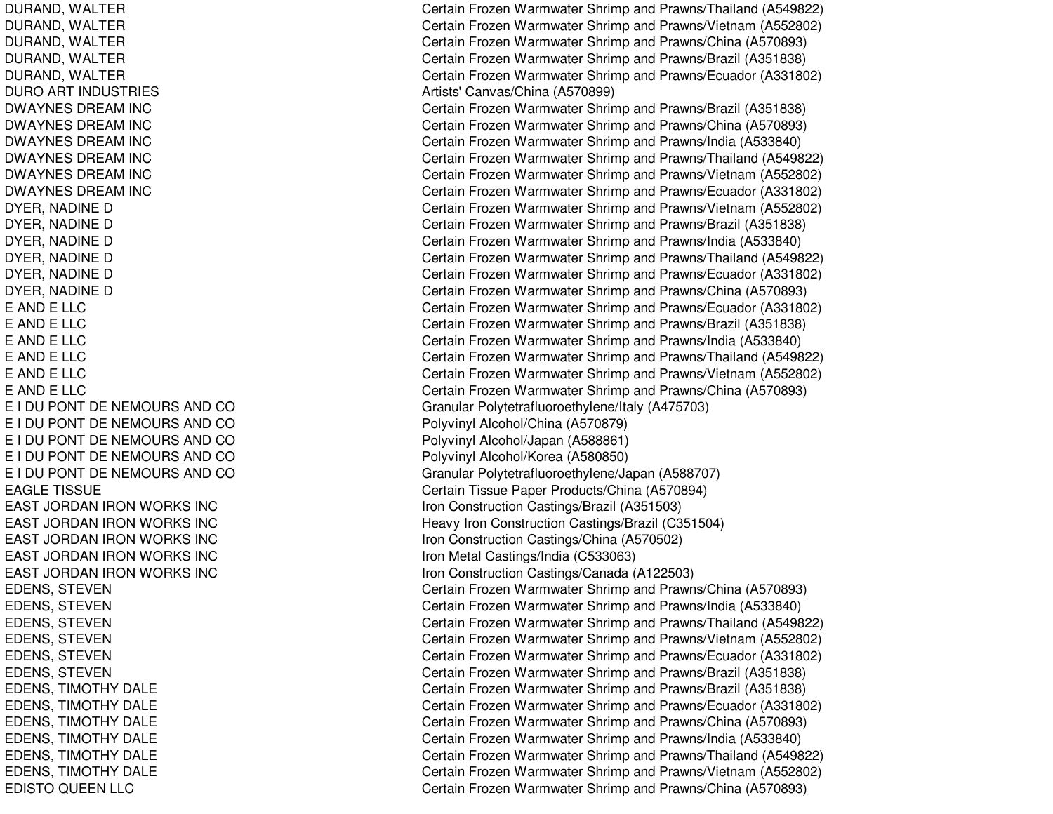DURAND, W ALTERDURAND, W ALTERDURAND, WALTER DURAND, WALTER DURAND, W ALTERDUROART INDUSTRIESDWAYNES DREAM INC DWAYNES DREAM INC DWAYNES DREAM INC DWAYNES DREAM INC DWAYNES DREAM INC DWAYNES DREAM INC DYER, NADINE D DYER, N ADINEDDYER, NADINE D DYER, N ADINEDDYER, N ADINEDDYER, NADINE D EANDELLCE A NDE L L CE A N D E L L C EANDELLCEANDELLCEANDELLCE I DU PONT DE NEMOURS AND CO E I DU PONT DE NEMOURS AND CO E I DU PONT DE NEMOURS AND CO E I DU PONT DE NEMOURS AND CO E I DU PONT DE NEMOURS AND CO EAGLE TISSUE EAST JORDAN IRON WORKS INC EAST JORDAN IRON WORKS INC EAST JORDAN IRON WORKS INC EAST JORDAN IRON WORKS INC EAST JORDAN IRON WORKS INC EDENS, STEVEN EDENS, STEVEN EDENS, STEVEN EDENS, S TEVENEDENS, STEVEN EDENS, S TEVENEDENS, TIMOTHY DALE EDENS, TIMOTHY DALE EDENS, TIMOTHY DALE EDENS, TIMOTHY DALE EDENS, TIMOTHY DALE EDENS, TIMOTHY DALE EDISTO QUEEN LLC

Certain Frozen Warmwater Shrimp and Prawns/Thailand (A549822) Certain Frozen Warmwater Shrimp and Prawns/Vietnam (A552802) Certain Frozen Warmwater Shrimp and Prawns/China (A570893) Certain Frozen Warmwater Shrimp and Prawns/Brazil (A351838) Certain Frozen Warmwater Shrimp and Prawns/Ecuador (A331802) Artists' Canv as/China (A 5 7 0 8 9 9) Certain Frozen Warmwater Shrimp and Prawns/Brazil (A351838) Certain Frozen Warmwater Shrimp and Prawns/China (A570893) Certain Frozen Warmwater Shrimp and Prawns/India (A533840) Certain Frozen Warmwater Shrimp and Prawns/Thailand (A549822) Certain Frozen Warmwater Shrimp and Prawns/Vietnam (A552802) Certain Frozen Warmwater Shrimp and Prawns/Ecuador (A331802) Certain Frozen Warmwater Shrimp and Prawns/Vietnam (A552802) Certain Frozen Warmwater Shrimp and Prawns/Brazil (A351838) Certain Frozen Warmwater Shrimp and Prawns/India (A533840) Certain Frozen Warmwater Shrimp and Prawns/Thailand (A549822) Certain Frozen Warmwater Shrimp and Prawns/Ecuador (A331802) Certain Frozen Warmwater Shrimp and Prawns/China (A570893) Certain Frozen Warmwater Shrimp and Prawns/Ecuador (A331802) Certain Frozen Warmwater Shrimp and Prawns/Brazil (A351838) Certain Frozen Warmwater Shrimp and Prawns/India (A533840) Certain Frozen Warmwater Shrimp and Prawns/Thailand (A549822) Certain Frozen Warmwater Shrimp and Prawns/Vietnam (A552802) Certain Frozen Warmwater Shrimp and Prawns/China (A570893) Granular Polytetrafluoro ethylene/Italy (A 4 7 5 7 0 3) Polyvinyl Alcohol/China (A570879) Polyvinyl Alcohol/Japan (A588861) Poly vinyl Alcohol/K ore a (A 5 8 0 8 5 0) Granular P olytetrafluoro ethylene/Ja p an (A 5 8 8 7 0 7) Certain Tissue Pap er Products/China (A 570894) Iron C onstruction Castings/Brazil (A 3 515 0 3) H e a v y Iron C onstruction C astings/Brazil (C 3 515 0 4) Iron C onstruction C astings/China (A 5 7 0 5 0 2) C intervals of the United States of the United States (Castings/India (C533063) C industruction Castings/Canada (A122503) loop and the Construction Castings/Canada (A122503) Certain Frozen Warmwater Shrimp and Prawns/China (A570893) Certain Frozen Warmwater Shrimp and Prawns/India (A533840) Certain Frozen Warmwater Shrimp and Prawns/Thailand (A549822) Certain Frozen Warmwater Shrimp and Prawns/Vietnam (A552802) Certain Frozen Warmwater Shrimp and Prawns/Ecuador (A331802) Certain Frozen Warmwater Shrimp and Prawns/Brazil (A351838) Certain Frozen Warmwater Shrimp and Prawns/Brazil (A351838) Certain Frozen Warmwater Shrimp and Prawns/Ecuador (A331802) Certain Frozen Warmwater Shrimp and Prawns/China (A570893) Certain Frozen Warmwater Shrimp and Pra wns/India (A 5 3 3 8 4 0) Certain Frozen Warmwater Shrimp and Prawns/Thailand (A549822) Certain Frozen Warmwater Shrimp and Prawns/Vietnam (A552802) Certain Frozen Warmwater Shrimp and Prawns/China (A570893)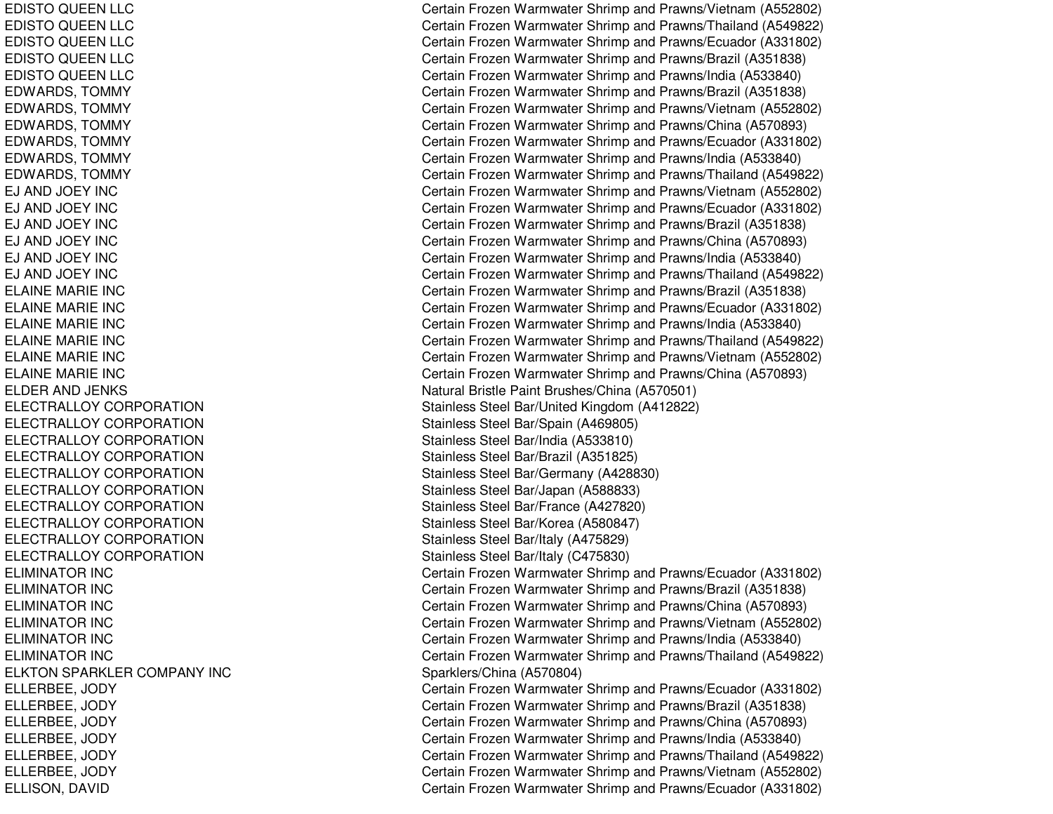EDISTO QUEEN LLC EDISTO QUEEN LLC EDISTO QUEEN LLC EDISTO QUEEN LLC EDISTO QUEEN LLC E DWA RDS, T OMMY EDWARDS, TOMMY EDWARDS, T OMMYE D WA R D S, T OMMY EDWARDS, TOMMY EDWARDS, T OMMYEJ AND JOEY INCEJ AND JOEY INCEJ AND JOEY INCEJ AND JOEY INC EJ AND JOEY INCEJ AND JOEY INCELAINE MARIE INC ELAINEMARIE INCE L AINE MA RIE INCE L AIN E M A RIE IN C ELAINE MARIE INC ELAINEMARIE INCELDER AND JENKS EL ECTRAL L OYCORPORATIONELECTRALLOYCORPORATIONELECTRALLOYCORPORATIONELECTRALLOYCORPORATIONELECTRALLOYCORPORATIONELECTRALLOYCORPORATIONELECTRALLOY CORPORATION ELECTRALLOY CORPORATION ELECTRALLOY CORPORATION ELECTRALLOY CORPORATION ELIMINATOR IN CELIMINATOR IN CELIMINATOR INC ELIMINATOR IN CELIMINATOR IN CELIMINATOR IN CELKTON SPARKLER COMPANY INC EL L ERBEE, JO DYELLERBEE, JODY ELLERBEE, JODY ELLERBEE, JODY ELLERBEE, JODY ELLERBEE, JO DYE L LIS ON, D A VID

Certain Frozen Warmwater Shrimp and Prawns/Vietnam (A552802) Certain Frozen Warmwater Shrimp and Prawns/Thailand (A549822) Certain Frozen Warmwater Shrimp and Prawns/Ecuador (A331802) Certain Frozen Warmwater Shrimp and Prawns/Brazil (A351838) Certain Frozen Warmwater Shrimp and Prawns/India (A533840) Certain Frozen Warmwater Shrimp and Prawns/Brazil (A351838) Certain Frozen Warmwater Shrimp and Prawns/Vietnam (A552802) Certain Frozen Warmwater Shrimp and Prawns/China (A570893) Certain Frozen Warmwater Shrimp and Prawns/Ecuador (A331802) Certain Frozen Warmwater Shrimp and Prawns/India (A533840) Certain Frozen Warmwater Shrimp and Prawns/Thailand (A549822) Certain Frozen Warmwater Shrimp and Prawns/Vietnam (A552802) Certain Frozen Warmwater Shrimp and Prawns/Ecuador (A331802) Certain Frozen Warmwater Shrimp and Prawns/Brazil (A351838) Certain Frozen Warmwater Shrimp and Prawns/China (A570893) Certain Frozen Warmwater Shrimp and Prawns/India (A533840) Certain Frozen Warmwater Shrimp and Prawns/Thailand (A549822) Certain Frozen Warmwater Shrimp and Prawns/Brazil (A351838) Certain Frozen Warmwater Shrimp and Prawns/Ecuador (A331802) Certain Frozen Warmwater Shrimp and Pra wns/India (A 5 3 3 8 4 0) Certain Frozen Warmwater Shrimp and Prawns/Thailand (A549822) Certain Frozen Warmwater Shrimp and Prawns/Vietnam (A552802) Certain Frozen Warmwater Shrimp and Prawns/China (A570893) Natural Bristle Paint Brushes/China (A570501) Stainless Steel Bar/United Kingdom (A412822) Stainless Steel Bar/Spain (A469805) Stainless Ste el B ar/India (A 5 3 3 810) Stainless Ste el Bar/Brazil (A 3 518 2 5) Stainless Steel Bar/Germany (A428830) Stainless Steel Bar/Jap an (A 588833) Stainless Ste el B ar/France (A 4 2 7 8 2 0) Stainless Steel Bar/Korea (A580847) Stainless Ste el B ar/Italy (A 4 7 5 8 2 9) Stainless Ste el B ar/Italy (C 4 7 5 8 3 0) Certain Frozen Warmwater Shrimp and Prawns/Ecuador (A331802) Certain Frozen Warmwater Shrimp and Prawns/Brazil (A351838) Certain Frozen Warmwater Shrimp and Prawns/China (A570893) Certain Frozen Warmwater Shrimp and Prawns/Vietnam (A552802) Certain Frozen Warmwater Shrimp and Prawns/India (A533840) Certain Frozen Warmwater Shrimp and Prawns/Thailand (A549822) Sp arklers/China (A 570804) Certain Frozen Warmwater Shrimp and Prawns/Ecuador (A331802) Certain Frozen Warmwater Shrimp and Prawns/Brazil (A351838) Certain Frozen Warmwater Shrimp and Prawns/China (A570893) Certain Frozen Warmwater Shrimp and Pra wns/India (A 5 3 3 8 4 0) Certain Frozen Warmwater Shrimp and Prawns/Thailand (A549822) Certain Frozen Warmwater Shrimp and Prawns/Vietnam (A552802) Certain Frozen Warmwater Shrimp and Prawns/Ecuador (A331802)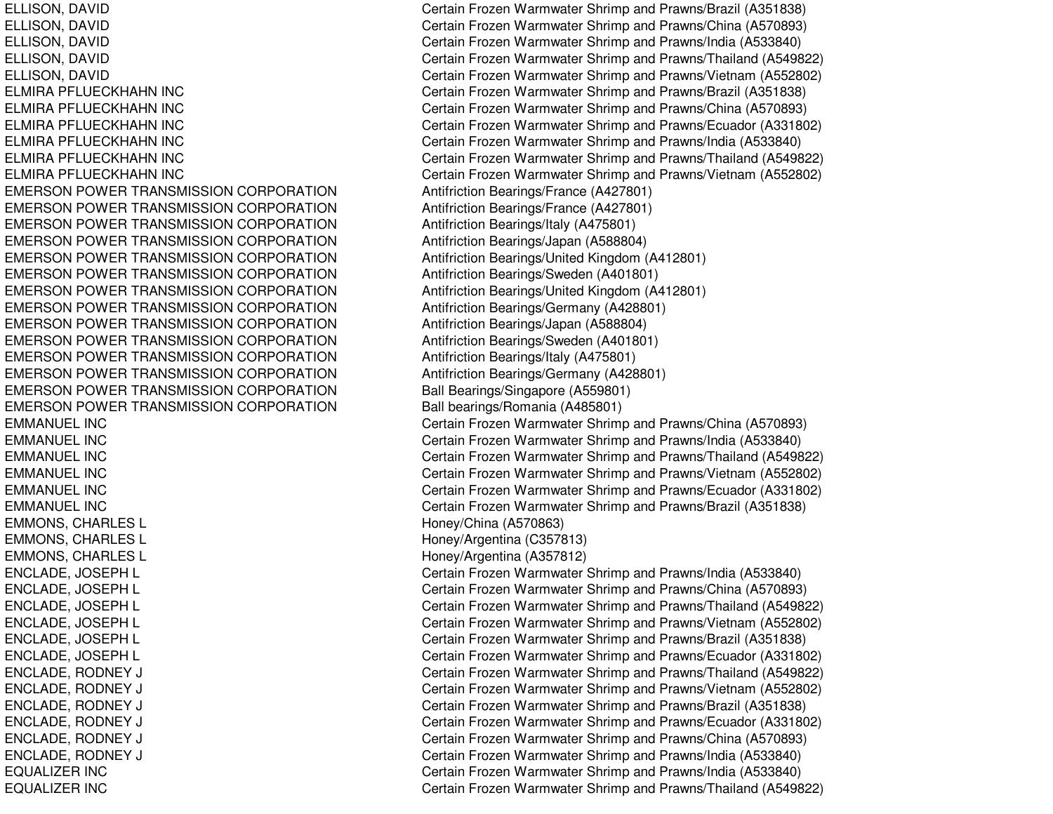ELMIRA PFLUECKHAHNELMIRA PFLUECKHAHNELMIRA PFLUECKHAHNELMIRA PFLUECKHAHNELMIRA PFLUECKHAHNELMIRA PFLUECKHAHNEMERSON POWER TRANSMISSION CORPORATION Antifriction Bearings/France (A427801) EMERSON POWER TRANSMISSION CORPORATION Antifriction Bearings/France (A427801) EMERSON POWER TRANSMISSION CORPORATION Antifriction Bearings/Italy (A475801) EMERSON POWER TRANSMISSION CORPORATION Antifriction Bearings/Japan (A588804) EMERSON POWER TRANSMISSION CORPORATION EMERSON POWER TRANSMISSION CORPORATION Antifriction Bearings/Sweden (A401801) EMERSON POWER TRANSMISSION CORPORATION EMERSON POWER TRANSMISSION CORPORATION Antifriction Bearings/Germany (A428801) EMERSON POWER TRANSMISSION CORPORATION Antifriction Bearings/Japan (A588804) EMERSON POWER TRANSMISSION CORPORATION Antifriction Bearings/Sweden (A401801) EMERSON POWER TRANSMISSION CORPORATION Antifriction Bearings/Italy (A475801) EMERSON POWER TRANSMISSION CORPORATION Antifriction Bearings/Germany (A428801) EMERSON POWER TRANSMISSION CORPORATION Ball Bearings/Singapore (A559801) EMERSON POWER TRANSMISSION CORPORATION Ball bearings/Romania (A485801) EMMANUEL INCEMMANUEL INCEMMANUEL INCEMMANUEL INCEMMANUEL INCEMMANUEL INCEMMONS, CHARLES L
Honey/China (A570863) EMMONS, CHARLES L **Honey/Argentina (C357813**) EMMONS, CHARLES L **Honey/Argentina (A357812)** Honey/Argentina (A357812) EQUALIZEREQUALIZER

ELLISON, DAVID Certain Frozen Warmwater Shrimp and Prawns/Brazil (A351838) ELLISON, DAVID Certain Frozen Warmwater Shrimp and Prawns/China (A570893) ELLISON, DAVID Certain Frozen Warmwater Shrimp and Prawns/India (A533840) ELLISON, DAVID Certain Frozen Warmwater Shrimp and Prawns/Thailand (A549822) ELLISON, DAVID Certain Frozen Warmwater Shrimp and Prawns/Vietnam (A552802) Certain Frozen Warmwater Shrimp and Prawns/Brazil (A351838) Certain Frozen Warmwater Shrimp and Prawns/China (A570893) Certain Frozen Warmwater Shrimp and Prawns/Ecuador (A331802) Certain Frozen Warmwater Shrimp and Prawns/India (A533840) Certain Frozen Warmwater Shrimp and Prawns/Thailand (A549822) Certain Frozen Warmwater Shrimp and Prawns/Vietnam (A552802) Antifriction Bearings/United Kingdom (A412801) Antifriction Bearings/United Kingdom (A412801) Certain Frozen Warmwater Shrimp and Prawns/China (A570893) Certain Frozen Warmwater Shrimp and Prawns/India (A533840) Certain Frozen Warmwater Shrimp and Prawns/Thailand (A549822) Certain Frozen Warmwater Shrimp and Prawns/Vietnam (A552802) Certain Frozen Warmwater Shrimp and Prawns/Ecuador (A331802) Certain Frozen Warmwater Shrimp and Prawns/Brazil (A351838) ENCLADE, JOSEPH L Certain Frozen Warmwater Shrimp and Prawns/India (A533840) ENCLADE, JOSEPH L Certain Frozen Warmwater Shrimp and Prawns/China (A570893) ENCLADE, JOSEPH L Certain Frozen Warmwater Shrimp and Prawns/Thailand (A549822) ENCLADE, JOSEPH L Certain Frozen Warmwater Shrimp and Prawns/Vietnam (A552802) ENCLADE, JOSEPH L Certain Frozen Warmwater Shrimp and Prawns/Brazil (A351838) ENCLADE, JOSEPH L Certain Frozen Warmwater Shrimp and Prawns/Ecuador (A331802) ENCLADE, RODNEY J Certain Frozen Warmwater Shrimp and Prawns/Thailand (A549822) ENCLADE, RODNEY J Certain Frozen Warmwater Shrimp and Prawns/Vietnam (A552802) ENCLADE, RODNEY J Certain Frozen Warmwater Shrimp and Prawns/Brazil (A351838) ENCLADE, RODNEY J Certain Frozen Warmwater Shrimp and Prawns/Ecuador (A331802) ENCLADE, RODNEY J Certain Frozen Warmwater Shrimp and Prawns/China (A570893) ENCLADE, RODNEY J Certain Frozen Warmwater Shrimp and Prawns/India (A533840) Certain Frozen Warmwater Shrimp and Prawns/India (A533840) Certain Frozen Warmwater Shrimp and Prawns/Thailand (A549822)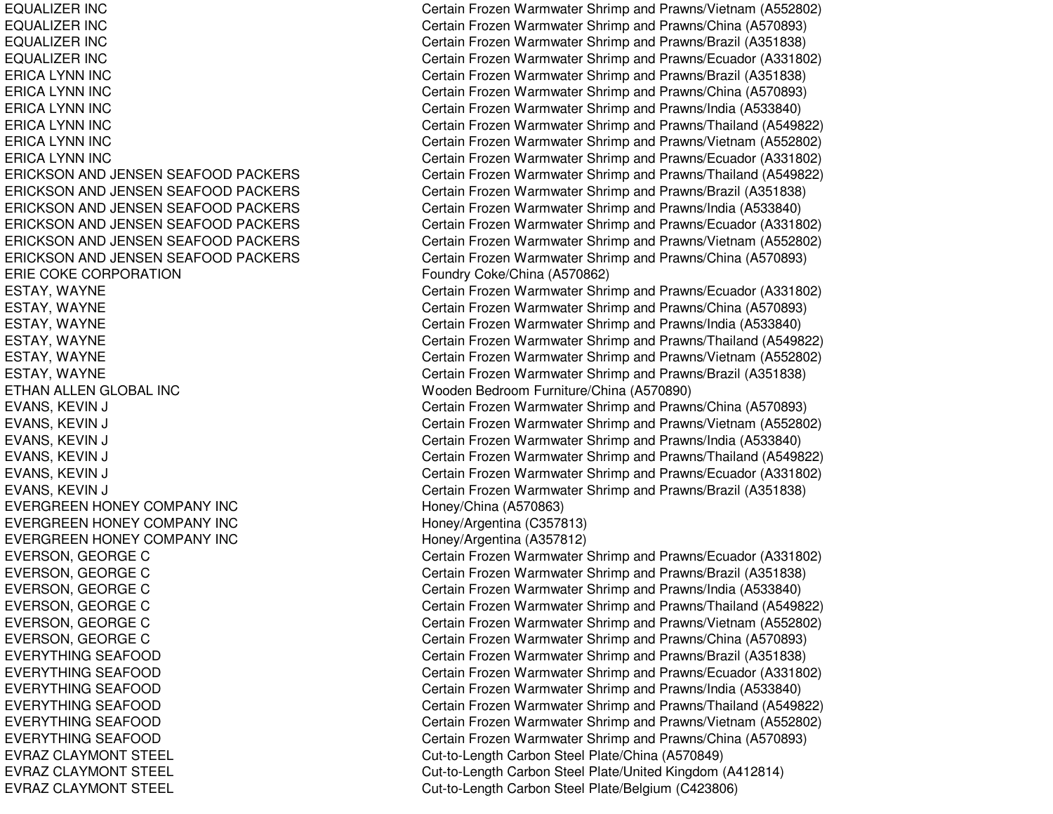EQUALIZEREQUALIZEREQUALIZEREQUALIZERERICA LYNNERICA LYNNERICA LYNNERICA LYNNERICA LYNNERICA LYNNERICKSON AND JENSEN SEAFOOD PACKERS ERICKSON AND JENSEN SEAFOOD PACKERS ERICKSON AND JENSEN SEAFOOD PACKERS ERICKSON AND JENSEN SEAFOOD PACKERS ERICKSON AND JENSEN SEAFOOD PACKERS ERICKSON AND JENSEN SEAFOOD PACKERS ERIE COKE CORPORATIONETHAN ALLEN GLOBAL INC Wooden BedroomEVERGREEN HONEY COMPANY INC Honey/China (A570863) EVERGREEN HONEY COMPANY INC EVERGREEN HONEY COMPANY INC EVERYTHING SEAFOOD EVERYTHING SEAFOOD EVERYTHING SEAFOOD EVERYTHING SEAFOOD EVERYTHING SEAFOOD EVERYTHING SEAFOOD EVRAZ CLAYMONT STEEL EVRAZ CLAYMONT STEEL EVRAZ CLAYMONT STEEL

Certain Frozen Warmwater Shrimp and Prawns/Vietnam (A552802) Certain Frozen Warmwater Shrimp and Prawns/China (A570893) Certain Frozen Warmwater Shrimp and Prawns/Brazil (A351838) Certain Frozen Warmwater Shrimp and Prawns/Ecuador (A331802) Certain Frozen Warmwater Shrimp and Prawns/Brazil (A351838) Certain Frozen Warmwater Shrimp and Prawns/China (A570893) Certain Frozen Warmwater Shrimp and Prawns/India (A533840) Certain Frozen Warmwater Shrimp and Prawns/Thailand (A549822) Certain Frozen Warmwater Shrimp and Prawns/Vietnam (A552802) Certain Frozen Warmwater Shrimp and Prawns/Ecuador (A331802) Certain Frozen Warmwater Shrimp and Prawns/Thailand (A549822) Certain Frozen Warmwater Shrimp and Prawns/Brazil (A351838) Certain Frozen Warmwater Shrimp and Prawns/India (A533840) Certain Frozen Warmwater Shrimp and Prawns/Ecuador (A331802) Certain Frozen Warmwater Shrimp and Prawns/Vietnam (A552802) Certain Frozen Warmwater Shrimp and Prawns/China (A570893) Foundry Coke/China (A570862) ESTAY, WAYNE Certain Frozen Warmwater Shrimp and Prawns/Ecuador (A331802) ESTAY, WAYNE Certain Frozen Warmwater Shrimp and Prawns/China (A570893) ESTAY, WAYNE Certain Frozen Warmwater Shrimp and Prawns/India (A533840) ESTAY, WAYNE Certain Frozen Warmwater Shrimp and Prawns/Thailand (A549822) ESTAY, WAYNE Certain Frozen Warmwater Shrimp and Prawns/Vietnam (A552802) ESTAY, WAYNE Certain Frozen Warmwater Shrimp and Prawns/Brazil (A351838) Wooden Bedroom Furniture/China (A570890) EVANS, KEVIN J Certain Frozen Warmwater Shrimp and Prawns/China (A570893) EVANS, KEVIN J Certain Frozen Warmwater Shrimp and Prawns/Vietnam (A552802) EVANS, KEVIN J Certain Frozen Warmwater Shrimp and Prawns/India (A533840) EVANS, KEVIN J Certain Frozen Warmwater Shrimp and Prawns/Thailand (A549822) EVANS, KEVIN J Certain Frozen Warmwater Shrimp and Prawns/Ecuador (A331802) EVANS, KEVIN J Certain Frozen Warmwater Shrimp and Prawns/Brazil (A351838) Honey/Argentina (C357813) Honey/Argentina (A357812) EVERSON, GEORGE C Certain Frozen Warmwater Shrimp and Prawns/Ecuador (A331802) EVERSON, GEORGE C Certain Frozen Warmwater Shrimp and Prawns/Brazil (A351838) EVERSON, GEORGE C Certain Frozen Warmwater Shrimp and Prawns/India (A533840) EVERSON, GEORGE C Certain Frozen Warmwater Shrimp and Prawns/Thailand (A549822) EVERSON, GEORGE C Certain Frozen Warmwater Shrimp and Prawns/Vietnam (A552802) EVERSON, GEORGE C Certain Frozen Warmwater Shrimp and Prawns/China (A570893) Certain Frozen Warmwater Shrimp and Prawns/Brazil (A351838) Certain Frozen Warmwater Shrimp and Prawns/Ecuador (A331802) Certain Frozen Warmwater Shrimp and Prawns/India (A533840) Certain Frozen Warmwater Shrimp and Prawns/Thailand (A549822) Certain Frozen Warmwater Shrimp and Prawns/Vietnam (A552802) Certain Frozen Warmwater Shrimp and Prawns/China (A570893) Cut-to-Length Carbon Steel Plate/China (A570849) Cut-to-Length Carbon Steel Plate/United Kingdom (A412814) Cut-to-Length Carbon Steel Plate/Belgium (C423806)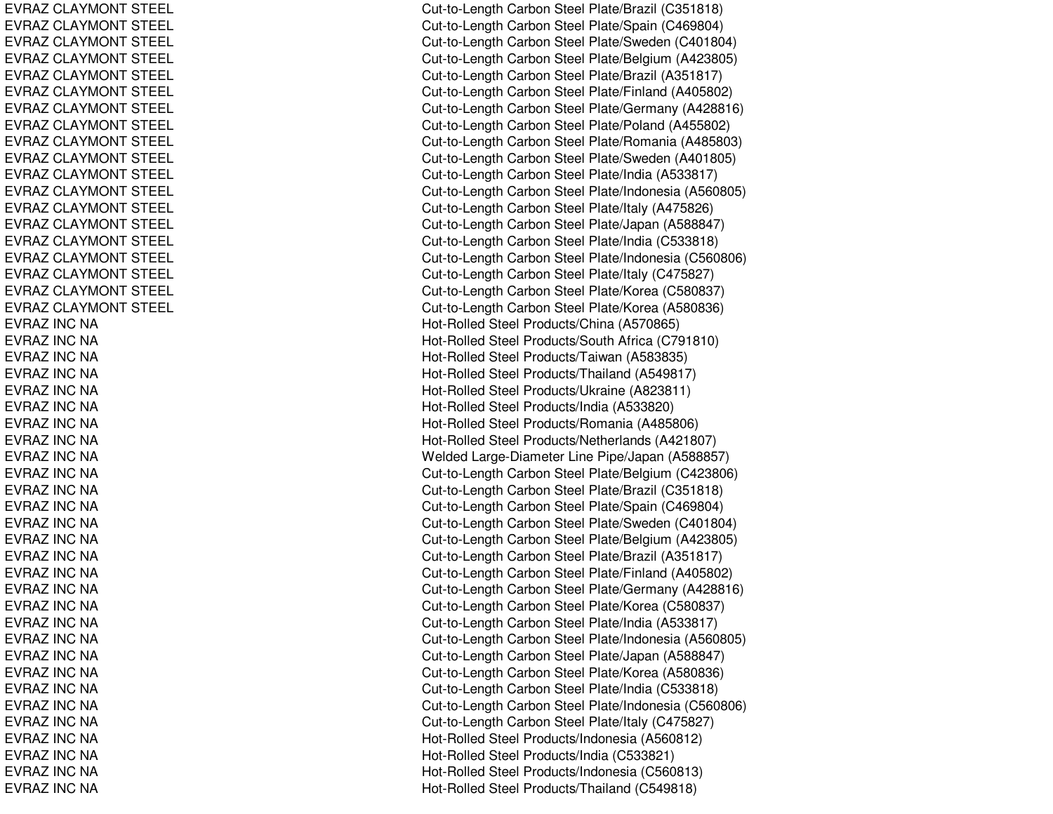EVRAZ CLAYMONT STEEL EVRAZ CLAYMONT STEEL EVRAZ CLAYMONT STEEL EVRAZ CLAYMONT STEEL EVRAZ CLAYMONT STEEL EVRAZ CLAYMONT STEEL EVRAZ CLAYMONT STEEL EVRAZ CLAYMONT STEEL EVRAZ CLAYMONT STEEL EVRAZ CLAYMONT STEEL EVRAZ CLAYMONT STEEL EVRAZ CLAYMONT STEEL EVRAZ CLAYMONT STEEL EVRAZ CLAYMONT STEEL EVRAZ CLAYMONT STEEL EVRAZ CLAYMONT STEEL EVRAZ CLAYMONT STEEL EVRAZ CLAYMONT STEEL EVRAZ CLAYMONT STEEL E V RA Z INCNA EVRAZ INC NA EVRAZ INC NA EVRAZ INC NA EVRAZ INC NA EVRAZ INC NA EVRAZ INC NA EVRAZ INC NA EVRAZ INC NA EVRAZ INC NA EVRAZ INC NA E V RA Z INCNA EVRAZ INC NA EVRAZ INC NA EVRAZ INC NA EVRAZ INC NA EVRAZ INC NA EVRAZ INC NA EVRAZ INC NA EVRAZ INC NA EVRAZ INC NA EVRAZ INC NA EVRAZ INC NA EVRAZ INC NA EVRAZ INC NA E V RA Z INCNA EVRAZ INC NA EVRAZ INC NA EVRAZ INC NA

Cut-to-Length Carbon Steel Plate/Brazil (C351818) Cut-to-Length C arbon Ste el Plate/Sp ain (C 469804) Cut-to-Length Carbon Steel Plate/Sweden (C401804) Cut-to-Length Carbon Steel Plate/Belgium (A423805) Cut-to-Length Carbon Steel Plate/Brazil (A351817) Cut-to-Length Carbon Steel Plate/Finland (A405802) Cut-to-Length Carbon Steel Plate/Germany (A428816) Cut-to-Length C arbon Ste el Plate/Poland (A 455802) Cut-to-Length Carbon Steel Plate/Romania (A485803) Cut-to-Length Carbon Steel Plate/Sweden (A401805) Cut-to-Length C arbon Ste el Plate/India (A 533817) Cut-to-Length Carbon Steel Plate/Indonesia (A560805) Cut-to-Length C arbon Ste el Plate/Italy (A 475826) Cut-to-Length Carbon Steel Plate/Japan (A588847) Cut-to-Length Carbon Steel Plate/India (C533818) Cut-to-Length Carbon Steel Plate/Indonesia (C560806) Cut-to-Length Carbon Steel Plate/Italy (C475827) Cut-to-Length Carbon Steel Plate/Korea (C580837) Cut-to-Length C arbon Ste el Plate/Korea (A 580836) Hot-Rolled Steel Products/China (A570865) H ot-R olle d Ste el Pro ducts/S outh Africa (C 7 91810) Hot-Rolled Steel Products/Taiwan (A583835) Hot-Rolled Steel Products/Thailand (A549817) Hot-Rolled Steel Products/Ukraine (A823811) Hot-Rolled Steel Products/India (A533820) Hot-Rolled Steel Products/Romania (A485806) Hot-Rolled Steel Products/Netherlands (A421807) Welded Large-Diameter Line Pipe/Japan (A588857) Cut-to-Length Carbon Steel Plate/Belgium (C423806) Cut-to-Length C arbon Ste el Plate/Brazil (C 351818) Cut-to-Length Carbon Steel Plate/Spain (C469804) Cut-to-Length Carbon Steel Plate/Sweden (C401804) Cut-to-Length Carbon Steel Plate/Belgium (A423805) Cut-to-Length Carbon Steel Plate/Brazil (A351817) Cut-to-Length Carbon Steel Plate/Finland (A405802) Cut-to-Length C arbon Ste el Plate/Germany (A 428816) Cut-to-Length Carbon Steel Plate/Korea (C580837) Cut-to-Length Carbon Steel Plate/India (A533817) Cut-to-Length Carbon Steel Plate/Indonesia (A560805) Cut-to-Length Carbon Steel Plate/Japan (A588847) Cut-to-Length Carbon Steel Plate/Korea (A580836) Cut-to-Length Carbon Steel Plate/India (C533818) Cut-to-Length Carbon Steel Plate/Indonesia (C560806) Cut-to-Length Carbon Steel Plate/Italy (C475827) Hot-Rolle d Ste el Pro ducts/Ind onesia (A 5 6 0 812) H ot-R olle d Ste el Pro ducts/India (C 5 3 3 8 21) Hot-Rolled Steel Products/Indonesia (C560813) Hot-Rolled Steel Products/Thailand (C549818)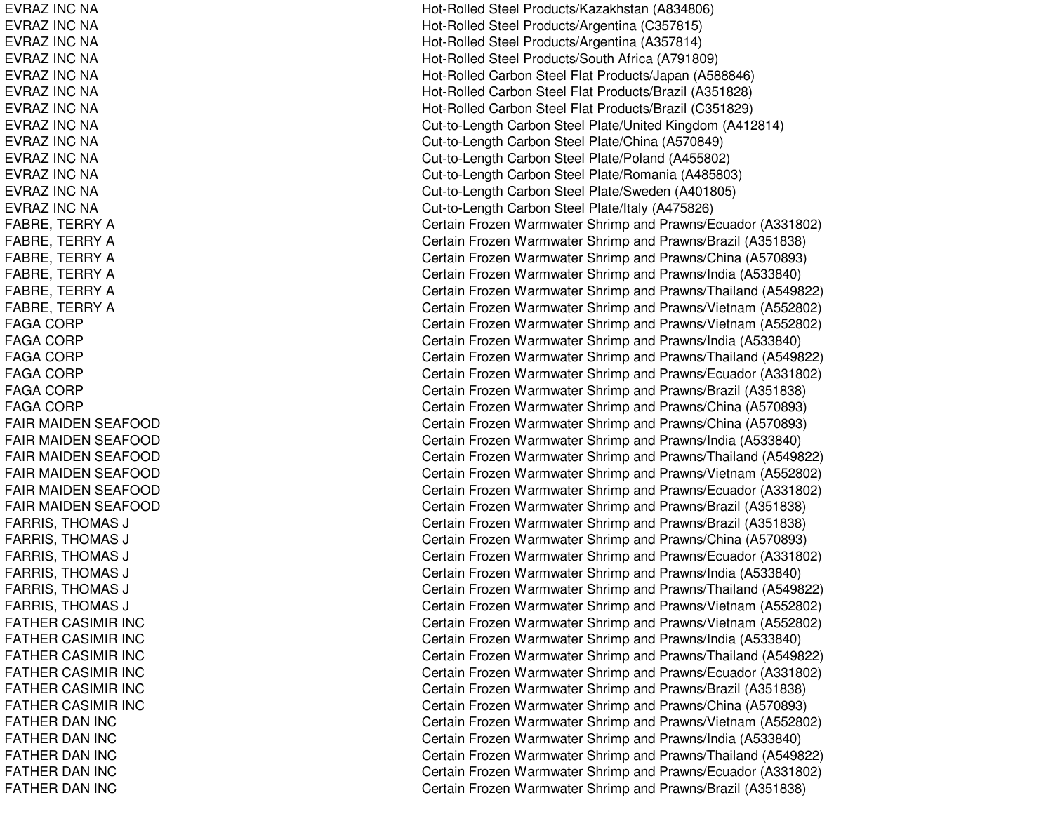EVRAZ INC NA EVRAZ INC NA EVRAZ INC NA EVRAZ INC NA EVRAZ INC NA EVRAZ INC NA EVRAZ INC NA EVRAZ INC NA EVRAZ INC NA EVRAZ INC NA EVRAZ INC NA EVRAZ INC NA EVRAZ INC NA FABRE, T ERRYAFABRE, TERRY A FABRE, T ERRYAF ABRE, T ERRYAFABRE, T ERRYAFABRE, T ERRYAF A GA CORP F A G A C O R P FAGA CORP FAGA CORP FAGA CORP FAGA CORP F AIR MAID E N S E A F O O D FAIR MAIDEN SEAFOOD FAIR MAIDEN SEAFOOD FAIR MAIDEN SEAFOOD FAIR MAIDEN SEAFOOD FAIR MAIDEN SEAFOOD FARRIS, THOMAS SJ C FARRIS, THOMAS SJ COMMUNICATION COMMUNICATION COMMUNICATION COMMUNICATION COMMUNICATION COMMUNICATION COMMUNICATION COMMUNICATION FARRIS, THOMAS SJ COMMENT COMMENT COMMENT COMMENT COMMENT COMMENT COMMENT COMMENT COMMENT COMMENT COMMENT COMMENT COMMENT COM FARRIS, THOMAS SJ C FARRIS, T HOMASSJ COMMUNICATION COMMUNICATION COMMUNICATION COMMUNICATION COMMUNICATION COMMUNICATION COMMUNICATION COMMUNICATION FARRIS, THOMAS SJ COMMENT COMMENT COMMENT COMMENT COMMENT COMMENT COMMENT COMMENT COMMENT COMMENT COMMENT COMMENT COMMENT COM FATHER CASIMIR INC FATHER CASIMIR INC FATHER CASIMIR INC FATHER CASIMIR INC F AT HERCASIMIR IN CFATHER CASIMIR INC FATHER DAN INC FATHER DAN INC FATHER DAN INC FATHER DAN INC FATHER DAN INC

Hot-Rolled Steel Products/Kazakhstan (A834806) Hot-Rolled Steel Products/Argentina (C357815) Hot-Rolle d Ste el Pro ducts/Arg entina (A 3 5 7 814) H ot-R olle d Ste el Pro ducts/S outh Africa (A 7 918 0 9) Hot-Rolled Carbon Steel Flat Products/Japan (A588846) Hot-Rolled Carbon Steel Flat Products/Brazil (A351828) Hot-Rolled Carbon Steel Flat Products/Brazil (C351829) Cut-to-Length Carbon Steel Plate/United Kingdom (A412814) Cut-to-Length Carbon Steel Plate/China (A570849) Cut-to-Length Carbon Steel Plate/Poland (A455802) Cut-to-Length C arbon Ste el Plate/Romania (A 485803) Cut-to-Length Carbon Steel Plate/Sweden (A401805) Cut-to-Length Carbon Steel Plate/Italy (A475826) Certain Frozen Warmwater Shrimp and Prawns/Ecuador (A331802) Certain Frozen Warmwater Shrimp and Prawns/Brazil (A351838) Certain Frozen Warmwater Shrimp and Prawns/China (A570893) Certain Frozen Warmwater Shrimp and Prawns/India (A533840) Certain Frozen Warmwater Shrimp and Prawns/Thailand (A549822) Certain Frozen Warmwater Shrimp and Prawns/Vietnam (A552802) Certain Frozen Warmwater Shrimp and Prawns/Vietnam (A552802) Certain Frozen Warmwater Shrimp and Prawns/India (A533840) Certain Frozen Warmwater Shrimp and Prawns/Thailand (A549822) Certain Frozen Warmwater Shrimp and Prawns/Ecuador (A331802) Certain Frozen Warmwater Shrimp and Prawns/Brazil (A351838) Certain Frozen Warmwater Shrimp and Prawns/China (A570893) Certain Frozen Warmwater Shrimp and Prawns/China (A570893) Certain Frozen Warmwater Shrimp and Prawns/India (A533840) Certain Frozen Warmwater Shrimp and Prawns/Thailand (A549822) Certain Frozen Warmwater Shrimp and Prawns/Vietnam (A552802) Certain Frozen Warmwater Shrimp and Prawns/Ecuador (A331802) Certain Frozen Warmwater Shrimp and Prawns/Brazil (A351838) Certain Frozen Warmwater Shrimp and Prawns/Brazil (A351838) Certain Frozen Warmwater Shrimp and Prawns/China (A570893) Certain Frozen Warmwater Shrimp and Prawns/Ecuador (A331802) Certain Frozen Warmwater Shrimp and Prawns/India (A533840) ertain Frozen Warmwater Shrimp and Prawns/Thailand (A549822) Certain Frozen Warmwater Shrimp and Prawns/Vietnam (A552802) Certain Frozen Warmwater Shrimp and Prawns/Vietnam (A552802) Certain Frozen Warmwater Shrimp and Prawns/India (A533840) Certain Frozen Warmwater Shrimp and Prawns/Thailand (A549822) Certain Frozen Warmwater Shrimp and Prawns/Ecuador (A331802) Certain Frozen Warmwater Shrimp and Prawns/Brazil (A351838) Certain Frozen Warmwater Shrimp and Prawns/China (A570893) Certain Frozen Warmwater Shrimp and Prawns/Vietnam (A552802) Certain Frozen Warmwater Shrimp and Pra wns/India (A 5 3 3 8 4 0) Certain Frozen Warmwater Shrimp and Prawns/Thailand (A549822) Certain Frozen Warmwater Shrimp and Prawns/Ecuador (A331802) Certain Frozen Warmwater Shrimp and Prawns/Brazil (A351838)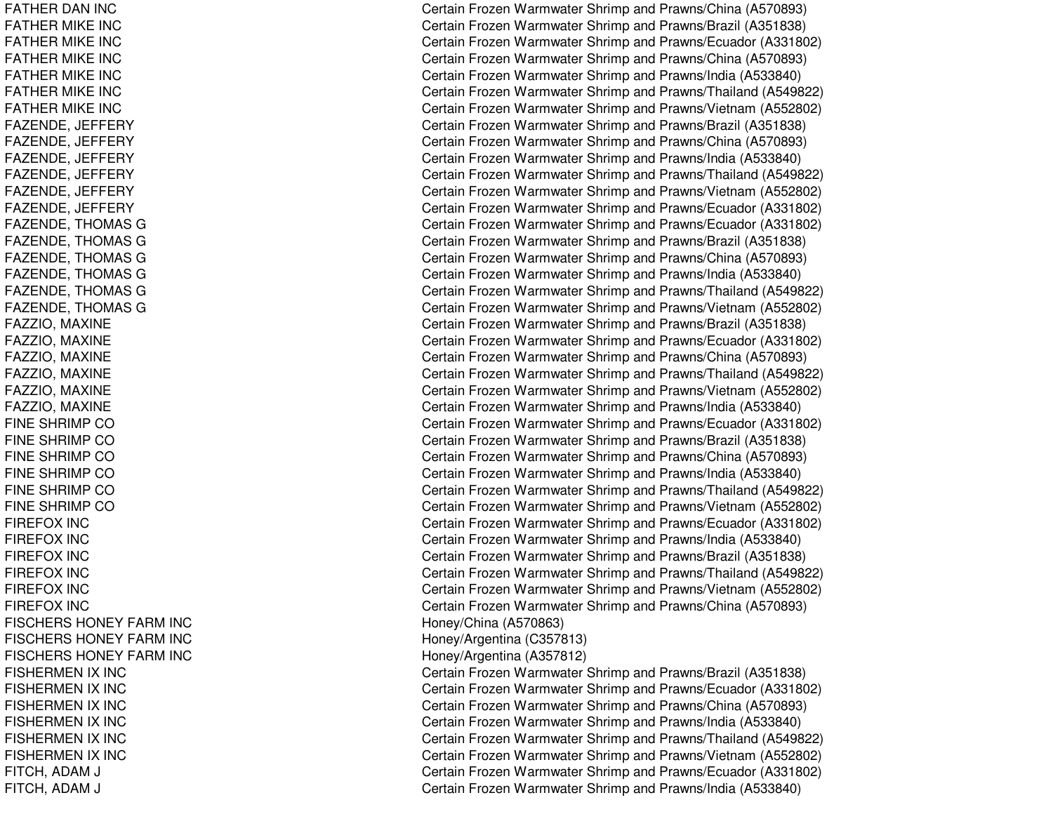FATHER DAN INC FATHER MIKE INC FATHER MIKE INC FATHER MIKE INC FATHER MIKE INC FATHER MIKE INC FATHER MIKE INC FAZENDE, JE FFERYF A Z E N D E, JE F F E R Y F A Z E N D E, JE F F E R Y FAZENDE, JE FFERYF A Z E N D E, JE F F E R Y FAZENDE, JE FFERYFAZENDE, T HOMASGF A Z E N D E, T H O M A S G FAZENDE, T HOMASGF AZ ENDE, T HOMASGF A Z E N D E, T H O M A S G FAZENDE, T HOMASGF A Z ZIO, M A XINE FAZZIO, MAXINE FAZZIO, M AXINEF A Z ZIO, M A XIN E FAZZIO, M AXINEFAZZIO, M AXINEFINE SHRIMP CO FINE SHRIMP CO FINE SHRIMP CO FINE SHRIMP CO FINE SHRIMP CO FINE SHRIMP CO FIR E F O X IN C FIREFOX INCFIR E F OX IN C FIREFOX INCFIREFOX INCFIR E F O X IN C FISCHERS HONEY FARM INC FISCHERS HONEY FARM INC FISCHERS HONEY FARM INC FISHERMEN IX IN CFISHERMEN IX IN CFISHERMEN IX INC FISHERMEN IX IN CFISHERMEN IX IN CFISHERMEN IX IN CFITCH, A DAM J C FITCH, ADAM J C

Certain Frozen Warmwater Shrimp and Prawns/China (A570893) Certain Frozen Warmwater Shrimp and Prawns/Brazil (A351838) Certain Frozen Warmwater Shrimp and Prawns/Ecuador (A331802) Certain Frozen Warmwater Shrimp and Prawns/China (A570893) Certain Frozen Warmwater Shrimp and Prawns/India (A533840) Certain Frozen Warmwater Shrimp and Prawns/Thailand (A549822) Certain Frozen Warmwater Shrimp and Prawns/Vietnam (A552802) Certain Frozen Warmwater Shrimp and Prawns/Brazil (A351838) Certain Frozen Warmwater Shrimp and Prawns/China (A570893) Certain Frozen Warmwater Shrimp and Prawns/India (A533840) Certain Frozen Warmwater Shrimp and Prawns/Thailand (A549822) Certain Frozen Warmwater Shrimp and Prawns/Vietnam (A552802) Certain Frozen Warmwater Shrimp and Prawns/Ecuador (A331802) Certain Frozen Warmwater Shrimp and Prawns/Ecuador (A331802) Certain Frozen Warmwater Shrimp and Prawns/Brazil (A351838) Certain Frozen Warmwater Shrimp and Prawns/China (A570893) Certain Frozen Warmwater Shrimp and Prawns/India (A533840) Certain Frozen Warmwater Shrimp and Prawns/Thailand (A549822) Certain Frozen Warmwater Shrimp and Prawns/Vietnam (A552802) Certain Frozen Warmwater Shrimp and Prawns/Brazil (A351838) Certain Frozen Warmwater Shrimp and Prawns/Ecuador (A331802) Certain Frozen Warmwater Shrimp and Prawns/China (A570893) Certain Frozen Warmwater Shrimp and Prawns/Thailand (A549822) Certain Frozen Warmwater Shrimp and Prawns/Vietnam (A552802) Certain Frozen Warmwater Shrimp and Pra wns/India (A 5 3 3 8 4 0) Certain Frozen Warmwater Shrimp and Prawns/Ecuador (A331802) Certain Frozen Warmwater Shrimp and Prawns/Brazil (A351838) Certain Frozen Warmwater Shrimp and Prawns/China (A570893) Certain Frozen Warmwater Shrimp and Prawns/India (A533840) Certain Frozen Warmwater Shrimp and Prawns/Thailand (A549822) Certain Frozen Warmwater Shrimp and Prawns/Vietnam (A552802) Certain Frozen Warmwater Shrimp and Prawns/Ecuador (A331802) Certain Frozen Warmwater Shrimp and Prawns/India (A533840) Certain Frozen Warmwater Shrimp and Prawns/Brazil (A351838) Certain Frozen Warmwater Shrimp and Prawns/Thailand (A549822) Certain Frozen Warmwater Shrimp and Prawns/Vietnam (A552802) Certain Frozen Warmwater Shrimp and Prawns/China (A570893) Honey/China (A570863) H one y/Arg entina (C 3 5 7 813) H one y/Arg entina (A 3 5 7 812) Certain Frozen Warmwater Shrimp and Prawns/Brazil (A351838) Certain Frozen Warmwater Shrimp and Prawns/Ecuador (A331802) Certain Frozen Warmwater Shrimp and Prawns/China (A570893) Certain Frozen Warmwater Shrimp and Prawns/India (A533840) Certain Frozen Warmwater Shrimp and Prawns/Thailand (A549822) Certain Frozen Warmwater Shrimp and Prawns/Vietnam (A552802) ertain Frozen Warmwater Shrimp and Prawns/Ecuador (A331802) ertain Frozen Warmwater Shrimp and Prawns/India (A533840)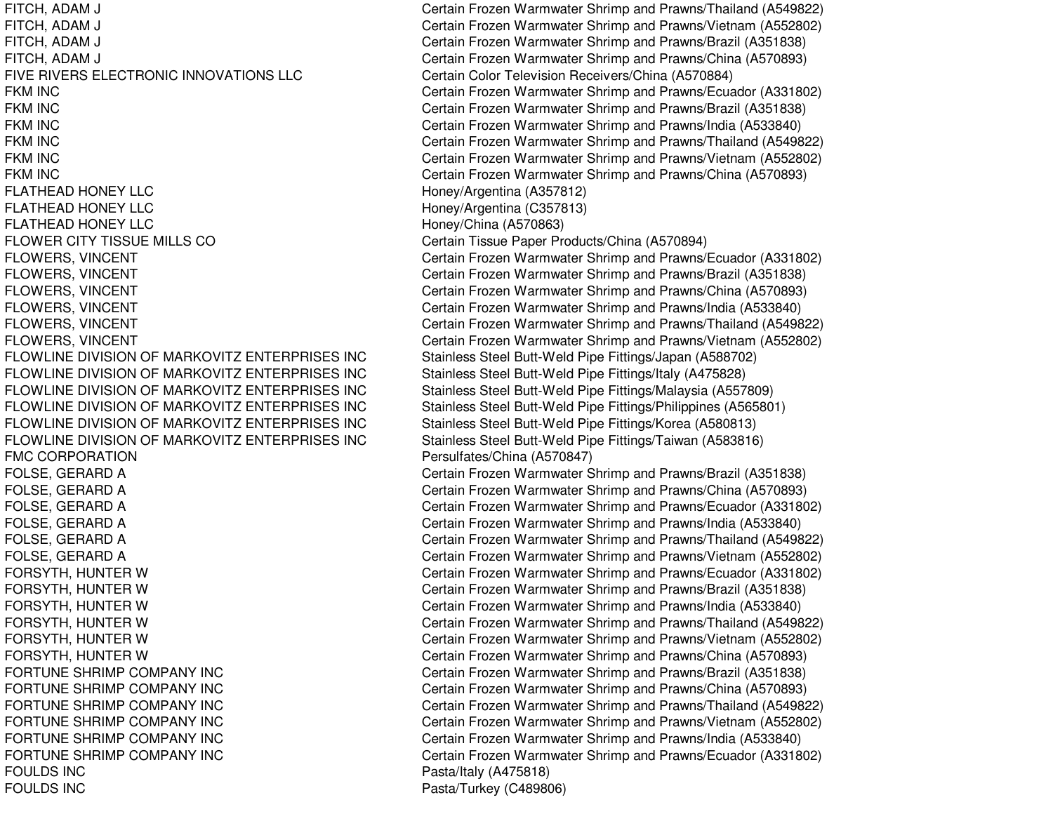FITCH, ADAM J Certain Frozen Warmwater Shrimp and Prawns/Thailand (A549822) FIVE RIVERS ELECTRONIC**FKM INC** FKM INC **FKM INC FKM INC FKM INC FKM INC** FLATHEAD HONEY LLC FLATHEAD HONEY LLC FLATHEAD HONEY LLC FLOWER CITY TISSUE MILLS COFLOWLINE DIVISIONFLOWLINE DIVISIONFLOWLINE DIVISIONFLOWLINE DIVISIONFLOWLINE DIVISIONFLOWLINE DIVISION**FMC CORPORATION** FORTUNE SHRIMP COMPANY INCFORTUNE SHRIMP COMPANY INCFORTUNE SHRIMP COMPANY INCFORTUNE SHRIMP COMPANY INCFORTUNE SHRIMP COMPANY INCFORTUNE SHRIMP COMPANY INCFOULDS INCFOULDS INC

FITCH, ADAM J Certain Frozen Warmwater Shrimp and Prawns/Vietnam (A552802) FITCH, ADAM J **EXAM ADAM J** Certain Frozen Warmwater Shrimp and Prawns/Brazil (A351838) FITCH, ADAM J Certain Frozen Warmwater Shrimp and Prawns/China (A570893) Certain Color Television Receivers/China (A570884) Certain Frozen Warmwater Shrimp and Prawns/Ecuador (A331802) Certain Frozen Warmwater Shrimp and Prawns/Brazil (A351838) Certain Frozen Warmwater Shrimp and Prawns/India (A533840) Certain Frozen Warmwater Shrimp and Prawns/Thailand (A549822) Certain Frozen Warmwater Shrimp and Prawns/Vietnam (A552802) Certain Frozen Warmwater Shrimp and Prawns/China (A570893) Honey/Argentina (A357812) Honey/Argentina (C357813) Honey/China (A570863) Certain Tissue Paper Products/China (A570894) FLOWERS, VINCENT Certain Frozen Warmwater Shrimp and Prawns/Ecuador (A331802) FLOWERS, VINCENT Certain Frozen Warmwater Shrimp and Prawns/Brazil (A351838) FLOWERS, VINCENT Certain Frozen Warmwater Shrimp and Prawns/China (A570893) FLOWERS, VINCENT Certain Frozen Warmwater Shrimp and Prawns/India (A533840) FLOWERS, VINCENT Certain Frozen Warmwater Shrimp and Prawns/Thailand (A549822) FLOWERS, VINCENT Certain Frozen Warmwater Shrimp and Prawns/Vietnam (A552802) Stainless Steel Butt-Weld Pipe Fittings/Japan (A588702) Stainless Steel Butt-Weld Pipe Fittings/Italy (A475828) Stainless Steel Butt-Weld Pipe Fittings/Malaysia (A557809) Stainless Steel Butt-Weld Pipe Fittings/Philippines (A565801) Stainless Steel Butt-Weld Pipe Fittings/Korea (A580813) Stainless Steel Butt-Weld Pipe Fittings/Taiwan (A583816) Persulfates/China (A570847) FOLSE, GERARD A Certain Frozen Warmwater Shrimp and Prawns/Brazil (A351838) FOLSE, GERARD A Certain Frozen Warmwater Shrimp and Prawns/China (A570893) FOLSE, GERARD A Certain Frozen Warmwater Shrimp and Prawns/Ecuador (A331802) FOLSE, GERARD A Certain Frozen Warmwater Shrimp and Prawns/India (A533840) FOLSE, GERARD A Certain Frozen Warmwater Shrimp and Prawns/Thailand (A549822) FOLSE, GERARD A Certain Frozen Warmwater Shrimp and Prawns/Vietnam (A552802) FORSYTH, HUNTER W Certain Frozen Warmwater Shrimp and Prawns/Ecuador (A331802) FORSYTH, HUNTER W Certain Frozen Warmwater Shrimp and Prawns/Brazil (A351838) FORSYTH, HUNTER W Certain Frozen Warmwater Shrimp and Prawns/India (A533840) FORSYTH, HUNTER W Certain Frozen Warmwater Shrimp and Prawns/Thailand (A549822) FORSYTH, HUNTER W Certain Frozen Warmwater Shrimp and Prawns/Vietnam (A552802) FORSYTH, HUNTER W Certain Frozen Warmwater Shrimp and Prawns/China (A570893) Certain Frozen Warmwater Shrimp and Prawns/Brazil (A351838) Certain Frozen Warmwater Shrimp and Prawns/China (A570893) Certain Frozen Warmwater Shrimp and Prawns/Thailand (A549822) Certain Frozen Warmwater Shrimp and Prawns/Vietnam (A552802) Certain Frozen Warmwater Shrimp and Prawns/India (A533840) Certain Frozen Warmwater Shrimp and Prawns/Ecuador (A331802) Pasta/Italy (A475818) Pasta/Turkey (C489806)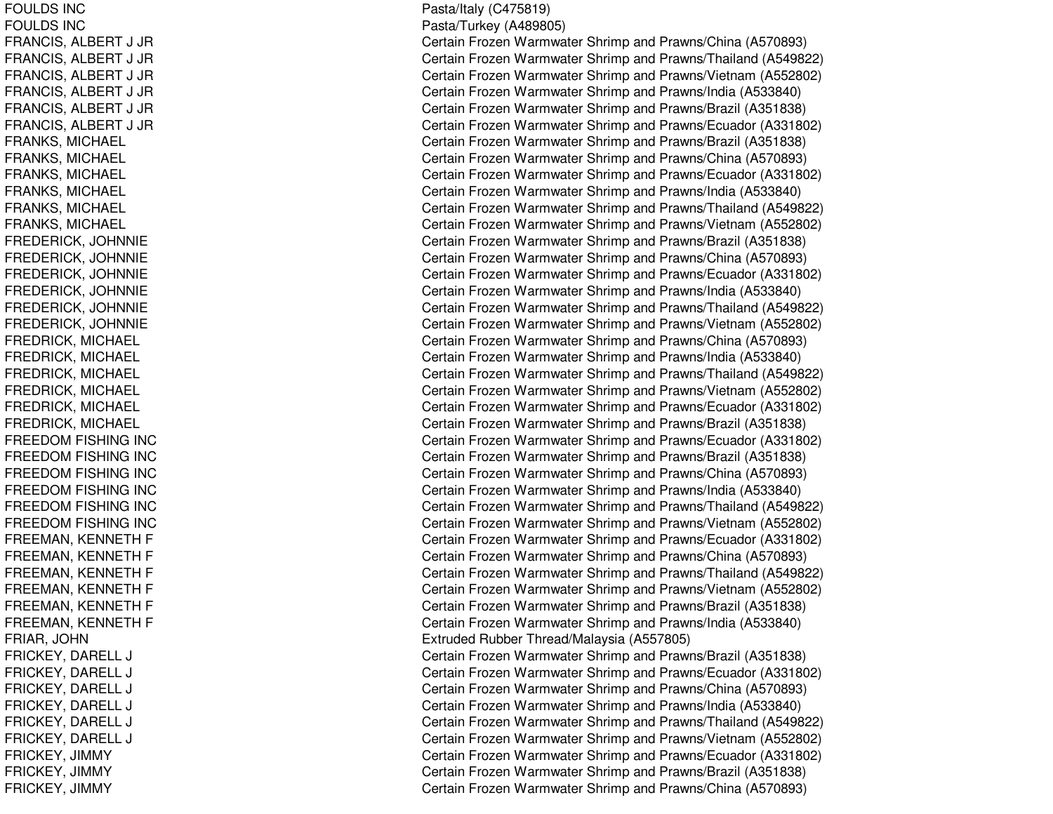FOULDS INCFOULDS INCF RANCIS, A L BERT J JRF R A N CIS, A L B E R T J JR FRANCIS, A LBERT J JRFRANCIS, ALBERT J JR F R A N CIS, A L B E R T J JR FRANCIS, A LBERT J JRFRANKS, MICHAEL FRANKS, MICHAEL FRANKS, MIC HAELFRANKS, MICHAEL FRANKS, MIC HAELFRANKS, MIC HAEL F R E D E RIC K, JO H N NIE F R E D E RIC K, JO H N NIE F REDERICK, JO HNNIEF R E D E RIC K, JO H N NIE FREDERICK, JO HNNIEF RE DE RICK, JO HNNIE FREDRICK, MICHAEL FREDRICK, MICHAEL FREDRICK, MICHAEL FREDRICK, MIC HAELFREDRICK, MIC HAEL FREDRICK, MICHAEL FREEDOM FISHING INC FREEDOM FISHING INC FREEDOM FISHING INC FREEDOM FISHING INC FREEDOM FISHING INC F R E E D O M FIS HIN G IN C FREEMAN, KENNETH F FREEMAN, KENNETH F FREEMAN, KENNETH F FREEMAN, K ENNETHFFREEMAN, KENNETH F FREEMAN, KENNETH F F RIA R, JO H N FRICKEY, DARELL LJ COMERCIAL COMMUNICATION COMMUNICATION COMMUNICATION COMMUNICATION COMMUNICATION COMMUNICATION COMMUNICATION FRICKEY, D ARELLLJ COMERCIAL COMMUNICATION COMMUNICATION COMMUNICATION COMMUNICATION COMMUNICATION COMMUNICATION COMMUNICATION F RICKEY, D AREL LLJ COMERCIAL COMMUNICATION COMMUNICATION COMMUNICATION COMMUNICATION COMMUNICATION COMMUNICATION COMMUNICATION FRICKEY, DARELL LJ COMERCIAL COMMUNICATION COMMUNICATION COMMUNICATION COMMUNICATION COMMUNICATION COMMUNICATION COMMUNICATION FRICKEY, DARELL LJ COMERCIAL COMMUNICATION COMMUNICATION COMMUNICATION COMMUNICATION COMMUNICATION COMMUNICATION COMMUNICATION FRICKEY, DARELL LJ COMERCIAL COMMUNICATION COMMUNICATION COMMUNICATION COMMUNICATION COMMUNICATION COMMUNICATION COMMUNICATION FRICKEY, JIMMY FRICKEY, JIM MYF RIC K E Y, JIM MY

P asta/Italy (C 4 7 5 819) Pasta/Turkey (A 489805) Certain Frozen Warmwater Shrimp and Prawns/China (A570893) Certain Frozen Warmwater Shrimp and Prawns/Thailand (A549822) Certain Frozen Warmwater Shrimp and Prawns/Vietnam (A552802) Certain Frozen Warmwater Shrimp and Prawns/India (A533840) Certain Frozen Warmwater Shrimp and Prawns/Brazil (A351838) Certain Frozen Warmwater Shrimp and Prawns/Ecuador (A331802) Certain Frozen Warmwater Shrimp and Prawns/Brazil (A351838) Certain Frozen Warmwater Shrimp and Prawns/China (A570893) Certain Frozen Warmwater Shrimp and Prawns/Ecuador (A331802) Certain Frozen Warmwater Shrimp and Prawns/India (A533840) Certain Frozen Warmwater Shrimp and Prawns/Thailand (A549822) Certain Frozen Warmwater Shrimp and Prawns/Vietnam (A552802) Certain Frozen Warmwater Shrimp and Prawns/Brazil (A351838) Certain Frozen Warmwater Shrimp and Prawns/China (A570893) Certain Frozen Warmwater Shrimp and Prawns/Ecuador (A331802) Certain Frozen Warmwater Shrimp and Prawns/India (A533840) Certain Frozen Warmwater Shrimp and Prawns/Thailand (A549822) Certain Frozen Warmwater Shrimp and Prawns/Vietnam (A552802) Certain Frozen Warmwater Shrimp and Prawns/China (A570893) Certain Frozen Warmwater Shrimp and Prawns/India (A533840) Certain Frozen Warmwater Shrimp and Prawns/Thailand (A549822) Certain Frozen Warmwater Shrimp and Prawns/Vietnam (A552802) Certain Frozen Warmwater Shrimp and Prawns/Ecuador (A331802) Certain Frozen Warmwater Shrimp and Prawns/Brazil (A351838) Certain Frozen Warmwater Shrimp and Prawns/Ecuador (A331802) Certain Frozen Warmwater Shrimp and Prawns/Brazil (A351838) Certain Frozen Warmwater Shrimp and Prawns/China (A570893) Certain Frozen Warmwater Shrimp and Prawns/India (A533840) Certain Frozen Warmwater Shrimp and Prawns/Thailand (A549822) Certain Frozen Warmwater Shrimp and Prawns/Vietnam (A552802) Certain Frozen Warmwater Shrimp and Prawns/Ecuador (A331802) Certain Frozen Warmwater Shrimp and Prawns/China (A570893) Certain Frozen Warmwater Shrimp and Prawns/Thailand (A549822) Certain Frozen Warmwater Shrimp and Prawns/Vietnam (A552802) Certain Frozen Warmwater Shrimp and Prawns/Brazil (A351838) Certain Frozen Warmwater Shrimp and Prawns/India (A533840) Extruded Rubber Thread/Malaysia (A557805) Certain Frozen Warmwater Shrimp and Prawns/Brazil (A351838) Certain Frozen Warmwater Shrimp and Prawns/Ecuador (A331802) ertain Frozen Warmwater Shrimp and Prawns/China (A570893) Certain Frozen Warmwater Shrimp and Prawns/India (A533840) ertain Frozen Warmwater Shrimp and Prawns/Thailand (A549822) ertain Frozen Warmwater Shrimp and Prawns/Vietnam (A552802) Certain Frozen Warmwater Shrimp and Prawns/Ecuador (A331802) Certain Frozen Warmwater Shrimp and Prawns/Brazil (A351838) Certain Frozen Warmwater Shrimp and Prawns/China (A570893)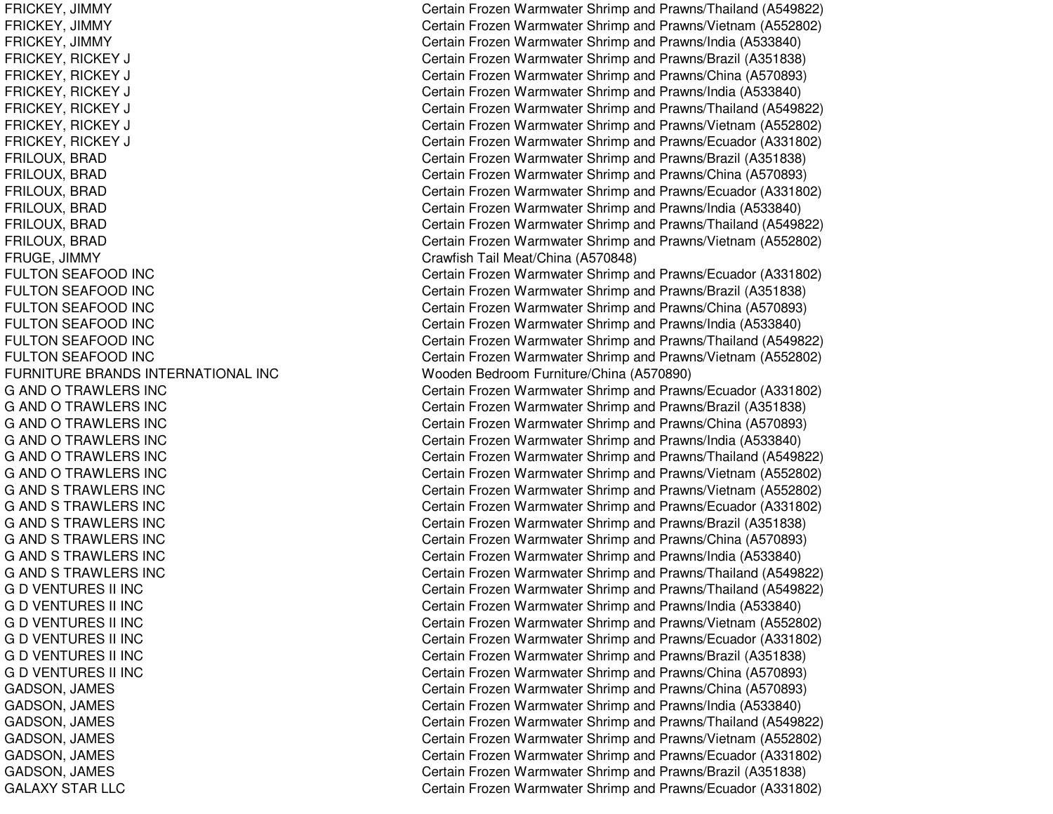FRUGE, JIMMY Crawfish Tail Meat/China (A570848) **FULTON SEAFOOD INC FULTON SEAFOOD INC FULTON SEAFOOD INC FULTON SEAFOOD INC FULTON SEAFOOD INC FULTON SEAFOOD INC** FURNITURE BRANDS INTERNATIONAL INC**G AND O TRAWLERS INC G AND O TRAWLERS INC G AND O TRAWLERS INC G AND O TRAWLERS INC G AND O TRAWLERS INC G AND O TRAWLERS INC G AND S TRAWLERS INC G AND S TRAWLERS INC G AND S TRAWLERS INC** G AND S TRAWLERS INC **G AND S TRAWLERS INC G AND S TRAWLERS INC G D VENTURES II INC G D VENTURES II INC G D VENTURES II INC G D VENTURES II INC G D VENTURES II INC G D VENTURES II INC** GALAXY STAR

FRICKEY, JIMMY Certain Frozen Warmwater Shrimp and Prawns/Thailand (A549822) FRICKEY, JIMMY Certain Frozen Warmwater Shrimp and Prawns/Vietnam (A552802) FRICKEY, JIMMY Certain Frozen Warmwater Shrimp and Prawns/India (A533840) FRICKEY, RICKEY J Certain Frozen Warmwater Shrimp and Prawns/Brazil (A351838) FRICKEY, RICKEY J Certain Frozen Warmwater Shrimp and Prawns/China (A570893) FRICKEY, RICKEY J Certain Frozen Warmwater Shrimp and Prawns/India (A533840) FRICKEY, RICKEY J Certain Frozen Warmwater Shrimp and Prawns/Thailand (A549822) FRICKEY, RICKEY J Certain Frozen Warmwater Shrimp and Prawns/Vietnam (A552802) FRICKEY, RICKEY J Certain Frozen Warmwater Shrimp and Prawns/Ecuador (A331802) FRILOUX, BRAD Certain Frozen Warmwater Shrimp and Prawns/Brazil (A351838) FRILOUX, BRAD Certain Frozen Warmwater Shrimp and Prawns/China (A570893) FRILOUX, BRAD Certain Frozen Warmwater Shrimp and Prawns/Ecuador (A331802) FRILOUX, BRAD Certain Frozen Warmwater Shrimp and Prawns/India (A533840) FRILOUX, BRAD Certain Frozen Warmwater Shrimp and Prawns/Thailand (A549822) FRILOUX, BRAD Certain Frozen Warmwater Shrimp and Prawns/Vietnam (A552802) Certain Frozen Warmwater Shrimp and Prawns/Ecuador (A331802) Certain Frozen Warmwater Shrimp and Prawns/Brazil (A351838) Certain Frozen Warmwater Shrimp and Prawns/China (A570893) Certain Frozen Warmwater Shrimp and Prawns/India (A533840) Certain Frozen Warmwater Shrimp and Prawns/Thailand (A549822) Certain Frozen Warmwater Shrimp and Prawns/Vietnam (A552802) Wooden Bedroom Furniture/China (A570890) Certain Frozen Warmwater Shrimp and Prawns/Ecuador (A331802) Certain Frozen Warmwater Shrimp and Prawns/Brazil (A351838) Certain Frozen Warmwater Shrimp and Prawns/China (A570893) Certain Frozen Warmwater Shrimp and Prawns/India (A533840) Certain Frozen Warmwater Shrimp and Prawns/Thailand (A549822) Certain Frozen Warmwater Shrimp and Prawns/Vietnam (A552802) Certain Frozen Warmwater Shrimp and Prawns/Vietnam (A552802) Certain Frozen Warmwater Shrimp and Prawns/Ecuador (A331802) Certain Frozen Warmwater Shrimp and Prawns/Brazil (A351838) Certain Frozen Warmwater Shrimp and Prawns/China (A570893) Certain Frozen Warmwater Shrimp and Prawns/India (A533840) Certain Frozen Warmwater Shrimp and Prawns/Thailand (A549822) Certain Frozen Warmwater Shrimp and Prawns/Thailand (A549822) Certain Frozen Warmwater Shrimp and Prawns/India (A533840) Certain Frozen Warmwater Shrimp and Prawns/Vietnam (A552802) Certain Frozen Warmwater Shrimp and Prawns/Ecuador (A331802) Certain Frozen Warmwater Shrimp and Prawns/Brazil (A351838) Certain Frozen Warmwater Shrimp and Prawns/China (A570893) GADSON, JAMES Certain Frozen Warmwater Shrimp and Prawns/China (A570893) GADSON, JAMES Certain Frozen Warmwater Shrimp and Prawns/India (A533840) GADSON, JAMES **Certain Frozen Warmwater Shrimp and Prawns/Thailand (A549822)** GADSON, JAMES Certain Frozen Warmwater Shrimp and Prawns/Vietnam (A552802) GADSON, JAMES **Certain Frozen Warmwater Shrimp and Prawns/Ecuador (A331802)** Certain Frozen Warmwater Shrimp and Prawns/Ecuador (A331802) GADSON, JAMES Certain Frozen Warmwater Shrimp and Prawns/Brazil (A351838) Certain Frozen Warmwater Shrimp and Prawns/Ecuador (A331802)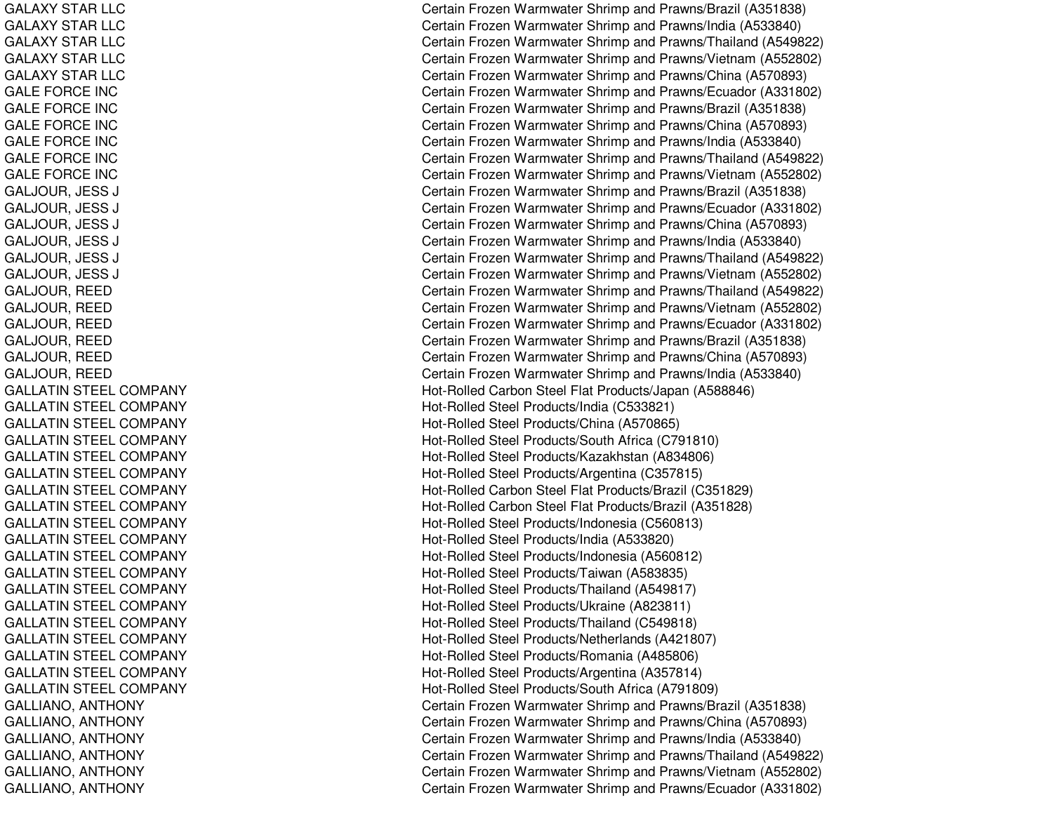GALAXY STAR LLC GALAXY STAR LLC GALAXY STAR LLC GALAXY STAR LLC GALAXY STAR LLC GALE FORCE INC GALE FORCE INC GALE FORCE INC GA L E F OR C E IN C GALE FORCE INC GALE FORCE INC G A LJO U R, JE S SSJ COMMENT COMMENT COMMENT COMMENT COMMENT COMMENT COMMENT COMMENT COMMENT COMMENT COMMENT COMMENT COMMENT COM GALJOUR, JE SSSJ COMMENT COMMENT COMMENT COMMENT COMMENT COMMENT COMMENT COMMENT COMMENT COMMENT COMMENT COMMENT COMMENT COM GALJOUR, JE SSSJ C G A LJO U R, JE S SSJ COMMENT COMMENT COMMENT COMMENT COMMENT COMMENT COMMENT COMMENT COMMENT COMMENT COMMENT COMMENT COMMENT COM G A LJO U R, JE S SSJ COMMENT COMMENT COMMENT COMMENT COMMENT COMMENT COMMENT COMMENT COMMENT COMMENT COMMENT COMMENT COMMENT COM GALJOUR, JE SSSJ C G A LJO U R, R E E D GALJOUR, R EEDGA LJOUR, R E E DG A LJO U R, R E E D GALJOUR, R EEDGA LJOU R, R E E D GALLATIN STEEL COMPANY GAL L ATINSTEEL COMPANYGALLATIN STEEL COMPANY GALLATIN STEEL COMPANY GAL L ATINST EEL COMPANYGALLATIN STEEL COMPANY GALLATIN STEEL COMPANY GALLATIN STEEL COMPANY GALLATIN STEEL COMPANY GALLATIN STEEL COMPANY GALLATIN STEEL COMPANY GALLATIN STEEL COMPANY GALLATIN STEEL COMPANY GALLATIN STEEL COMPANY GALLATIN STEEL COMPANY GAL L ATINSTEEL COMPANYGALLATIN STEEL COMPANY GALLATIN STEEL COMPANY GAL L ATINST EEL COMPANYG A L LIA N O, A N T H O N Y GALLIANO, ANTHONY GA L LIA NO, A NT HONY GALLIANO, ANTHONY G A L LIA N O, A N T H O N Y GALLIANO, ANTHONY

Certain Frozen Warmwater Shrimp and Prawns/Brazil (A351838) Certain Frozen Warmwater Shrimp and Prawns/India (A533840) Certain Frozen Warmwater Shrimp and Prawns/Thailand (A549822) Certain Frozen Warmwater Shrimp and Prawns/Vietnam (A552802) Certain Frozen Warmwater Shrimp and Prawns/China (A570893) Certain Frozen Warmwater Shrimp and Prawns/Ecuador (A331802) Certain Frozen Warmwater Shrimp and Prawns/Brazil (A351838) Certain Frozen Warmwater Shrimp and Prawns/China (A570893) Certain Frozen Warmwater Shrimp and Prawns/India (A533840) Certain Frozen Warmwater Shrimp and Prawns/Thailand (A549822) Certain Frozen Warmwater Shrimp and Prawns/Vietnam (A552802) Certain Frozen Warmwater Shrimp and Prawns/Brazil (A351838) ertain Frozen Warmwater Shrimp and Prawns/Ecuador (A331802) ertain Frozen Warmwater Shrimp and Prawns/China (A570893) Certain Frozen Warmwater Shrimp and Prawns/India (A533840) Certain Frozen Warmwater Shrimp and Prawns/Thailand (A549822) ertain Frozen Warmwater Shrimp and Prawns/Vietnam (A552802) Certain Frozen Warmwater Shrimp and Prawns/Thailand (A549822) Certain Frozen Warmwater Shrimp and Prawns/Vietnam (A552802) Certain Frozen Warmwater Shrimp and Prawns/Ecuador (A331802) C ertain Frozen W arm w ater Shrim p and Pra wns/Brazil (A 3 518 3 8) Certain Frozen Warmwater Shrimp and Prawns/China (A570893) Certain Frozen Warmwater Shrimp and Prawns/India (A533840) Hot-Rolled Carbon Steel Flat Products/Japan (A588846) Hot-Rolle d Ste el Pro ducts/India (C 5 3 3 8 21) Hot-Rolled Steel Products/China (A570865) H ot-R olle d Ste el Pro ducts/S outh Africa (C 7 91810) Hot-Rolled Steel Products/Kazakhstan (A834806) H ot-R olle d Ste el Pro ducts/Arg entina (C 3 5 7 815) Hot-Rolled Carbon Steel Flat Products/Brazil (C351829) Hot-Rolled Carbon Steel Flat Products/Brazil (A351828) Hot-Rolled Steel Products/Indonesia (C560813) Hot-Rolled Steel Products/India (A533820) Hot-Rolled Steel Products/Indonesia (A560812) Hot-Rolled Steel Products/Taiwan (A583835) Hot-Rolled Steel Products/Thailand (A549817) Hot-Rolled Steel Products/Ukraine (A823811) Hot-Rolled Steel Products/Thailand (C549818) Hot-Rolle d Ste el Pro ducts/Netherlands (A 4 218 0 7) Hot-Rolled Steel Products/Romania (A485806) Hot-Rolled Steel Products/Argentina (A357814) Hot-Rolle d Ste el Pro ducts/South Africa (A 7 918 0 9) Certain Frozen Warmwater Shrimp and Prawns/Brazil (A351838) Certain Frozen Warmwater Shrimp and Prawns/China (A570893) Certain Frozen Warmwater Shrimp and Pra wns/India (A 5 3 3 8 4 0) Certain Frozen Warmwater Shrimp and Prawns/Thailand (A549822) Certain Frozen Warmwater Shrimp and Prawns/Vietnam (A552802) Certain Frozen Warmwater Shrimp and Prawns/Ecuador (A331802)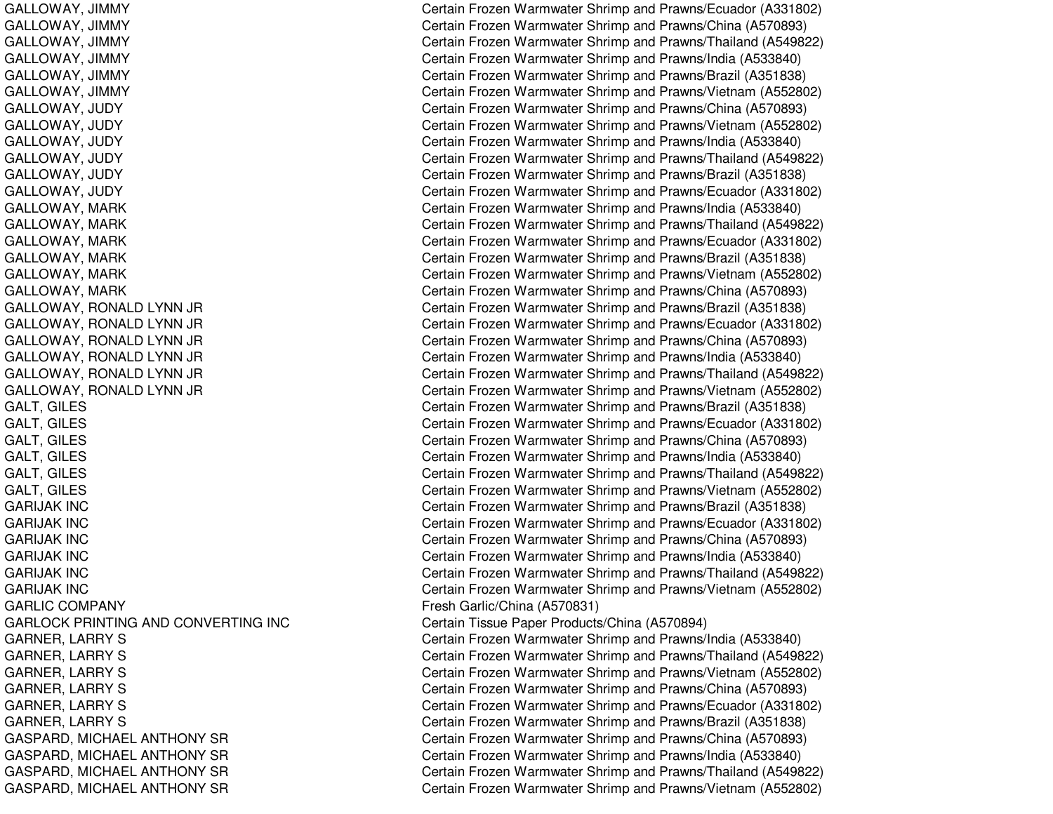GARIJAK INCGARIJAK INCGARIJAK INCGARIJAK INCGARIJAK INCGARIJAK INC**GARLIC COMPANY** GARLOCK PRINTING

GALLOWAY, JIMMY Certain Frozen Warmwater Shrimp and Prawns/Ecuador (A331802) GALLOWAY, JIMMY Certain Frozen Warmwater Shrimp and Prawns/China (A570893) GALLOWAY, JIMMY Certain Frozen Warmwater Shrimp and Prawns/Thailand (A549822) GALLOWAY, JIMMY Certain Frozen Warmwater Shrimp and Prawns/India (A533840) GALLOWAY, JIMMY **Certain Frozen Warmwater Shrimp and Prawns/Brazil (A351838)** GALLOWAY, JIMMY Certain Frozen Warmwater Shrimp and Prawns/Vietnam (A552802) GALLOWAY, JUDY Certain Frozen Warmwater Shrimp and Prawns/China (A570893) GALLOWAY, JUDY Certain Frozen Warmwater Shrimp and Prawns/Vietnam (A552802) GALLOWAY, JUDY Certain Frozen Warmwater Shrimp and Prawns/India (A533840) GALLOWAY, JUDY Certain Frozen Warmwater Shrimp and Prawns/Thailand (A549822) GALLOWAY, JUDY Certain Frozen Warmwater Shrimp and Prawns/Brazil (A351838) GALLOWAY, JUDY Certain Frozen Warmwater Shrimp and Prawns/Ecuador (A331802) GALLOWAY, MARK Certain Frozen Warmwater Shrimp and Prawns/India (A533840) GALLOWAY, MARK CHARG Certain Frozen Warmwater Shrimp and Prawns/Thailand (A549822) GALLOWAY, MARK CHARG Certain Frozen Warmwater Shrimp and Prawns/Ecuador (A331802) GALLOWAY, MARK CHARG Certain Frozen Warmwater Shrimp and Prawns/Brazil (A351838) GALLOWAY, MARK CHARG Certain Frozen Warmwater Shrimp and Prawns/Vietnam (A552802) GALLOWAY, MARK CHINA Certain Frozen Warmwater Shrimp and Prawns/China (A570893) GALLOWAY, RONALD LYNN JR Certain Frozen Warmwater Shrimp and Prawns/Brazil (A351838) GALLOWAY, RONALD LYNN JR Certain Frozen Warmwater Shrimp and Prawns/Ecuador (A331802) GALLOWAY, RONALD LYNN JR Certain Frozen Warmwater Shrimp and Prawns/China (A570893) GALLOWAY, RONALD LYNN JR Certain Frozen Warmwater Shrimp and Prawns/India (A533840) GALLOWAY, RONALD LYNN JR Certain Frozen Warmwater Shrimp and Prawns/Thailand (A549822) GALLOWAY, RONALD LYNN JR Certain Frozen Warmwater Shrimp and Prawns/Vietnam (A552802) GALT, GILES CHATT, GILES Certain Frozen Warmwater Shrimp and Prawns/Brazil (A351838) GALT, GILES CHALT, GILES Certain Frozen Warmwater Shrimp and Prawns/Ecuador (A331802) GALT, GILES CHATTER CHATTER CERTAIN FROZEN Warmwater Shrimp and Prawns/China (A570893) GALT, GILES Certain Frozen Warmwater Shrimp and Prawns/India (A533840) GALT, GILES CHATTER CERTAIN THE Certain Frozen Warmwater Shrimp and Prawns/Thailand (A549822) GALT, GILES CHALT, GILES Certain Frozen Warmwater Shrimp and Prawns/Vietnam (A552802) Certain Frozen Warmwater Shrimp and Prawns/Brazil (A351838) Certain Frozen Warmwater Shrimp and Prawns/Ecuador (A331802) Certain Frozen Warmwater Shrimp and Prawns/China (A570893) Certain Frozen Warmwater Shrimp and Prawns/India (A533840) Certain Frozen Warmwater Shrimp and Prawns/Thailand (A549822) Certain Frozen Warmwater Shrimp and Prawns/Vietnam (A552802) Fresh Garlic/China (A570831) Certain Tissue Paper Products/China (A570894) GARNER, LARRY S **Certain Frozen Warmwater Shrimp and Prawns/India (A533840)** GARNER, LARRY S Certain Frozen Warmwater Shrimp and Prawns/Thailand (A549822) GARNER, LARRY S Certain Frozen Warmwater Shrimp and Prawns/Vietnam (A552802) GARNER, LARRY S Certain Frozen Warmwater Shrimp and Prawns/China (A570893) GARNER, LARRY S Certain Frozen Warmwater Shrimp and Prawns/Ecuador (A331802) GARNER, LARRY S **Certain Frozen Warmwater Shrimp and Prawns/Brazil (A351838)** Certain Frozen Warmwater Shrimp and Prawns/Brazil (A351838) GASPARD, MICHAEL ANTHONY SR Certain Frozen Warmwater Shrimp and Prawns/China (A570893) GASPARD, MICHAEL ANTHONY SR Certain Frozen Warmwater Shrimp and Prawns/India (A533840) GASPARD, MICHAEL ANTHONY SR Certain Frozen Warmwater Shrimp and Prawns/Thailand (A549822) GASPARD, MICHAEL ANTHONY SR Certain Frozen Warmwater Shrimp and Prawns/Vietnam (A552802)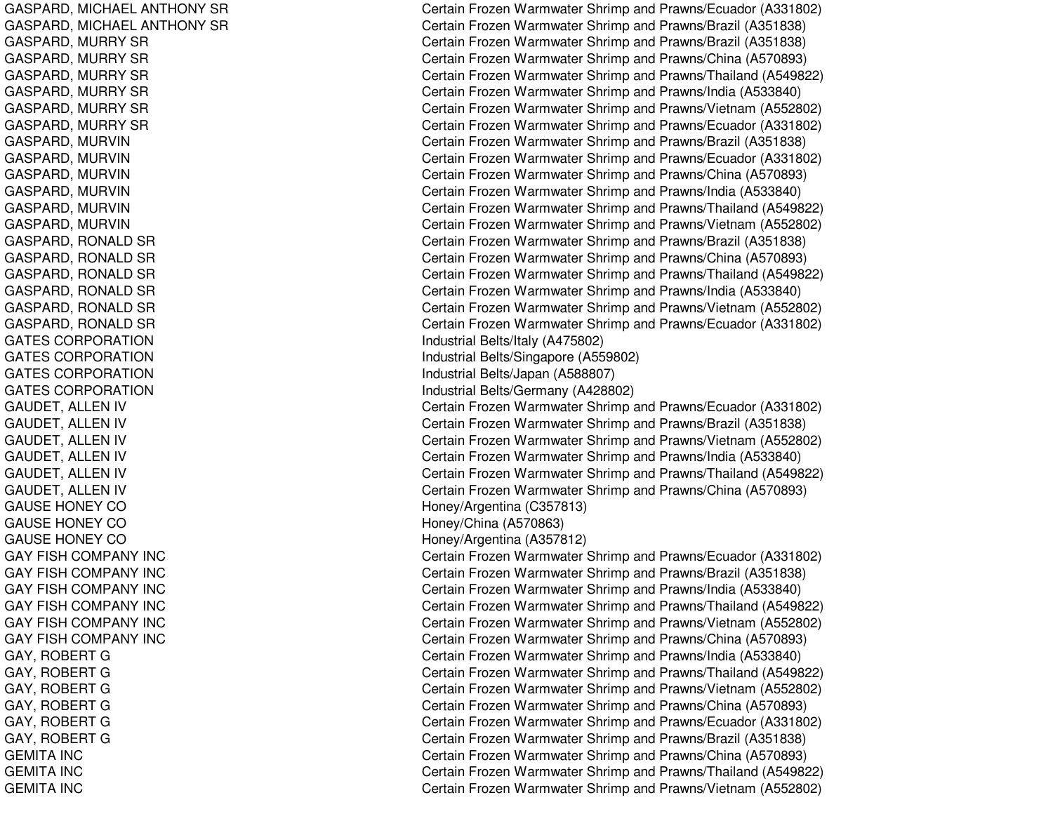GASPARD, MICHAEL ANTHONY SR GASPARD, MIC HAELANTHONYSRGASPARD, M URRYSRGASPARD, MURRY SR GASPARD, M URRYSRGASPARD, MURRY SR GASPARD, M URRYSRGASPARD, M URRYSRGASPARD, MURVIN GASPARD, MURVIN GASPARD, M URVINGASPARD, MURVIN GASPARD, M URVINGASPARD, MURVIN GASPARD, RONALD SR GASPARD, RONALD SR GASPARD, RONALD SR GASPARD, RONALD SR GASPARD, RONALD SR GASPARD, RONALD SR GATES CORPORATION GATES CORPORATION GATES CORPORATION GATES CORPORATION GAUDET, ALLEN IV G A U D E T, A L L E N IV GAUDET, A LLEN IV GAUDET, ALLEN IV GAUDET, ALLEN IV GAUDET, A LLEN IV GA US E HONE Y COG A U S E H O N E Y C O GAUSE HONEY CO GAY FISH COMPANY INC GAY FISH COMPANY INC GAY FISH COMPANY INC G A Y FIS H C O MP A N Y IN C GAY FISH COMPANY INC GAY FISH COMPANY INC GAY, ROBERT G GAY, R OBERTGGAY, R OBERT GGAY, ROBERT G GAY, R OBERTGGA Y, R OB E RT GGEMITA INCGEMITA INCG E MIT A IN C

Certain Frozen Warmwater Shrimp and Prawns/Ecuador (A331802) Certain Frozen Warmwater Shrimp and Prawns/Brazil (A351838) Certain Frozen Warmwater Shrimp and Prawns/Brazil (A351838) Certain Frozen Warmwater Shrimp and Prawns/China (A570893) Certain Frozen Warmwater Shrimp and Prawns/Thailand (A549822) Certain Frozen Warmwater Shrimp and Prawns/India (A533840) Certain Frozen Warmwater Shrimp and Prawns/Vietnam (A552802) Certain Frozen Warmwater Shrimp and Prawns/Ecuador (A331802) Certain Frozen Warmwater Shrimp and Prawns/Brazil (A351838) Certain Frozen Warmwater Shrimp and Prawns/Ecuador (A331802) Certain Frozen Warmwater Shrimp and Prawns/China (A570893) Certain Frozen Warmwater Shrimp and Prawns/India (A533840) Certain Frozen Warmwater Shrimp and Prawns/Thailand (A549822) Certain Frozen Warmwater Shrimp and Prawns/Vietnam (A552802) Certain Frozen Warmwater Shrimp and Prawns/Brazil (A351838) Certain Frozen Warmwater Shrimp and Prawns/China (A570893) Certain Frozen Warmwater Shrimp and Prawns/Thailand (A549822) Certain Frozen Warmwater Shrimp and Prawns/India (A533840) Certain Frozen Warmwater Shrimp and Prawns/Vietnam (A552802) Certain Frozen Warmwater Shrimp and Prawns/Ecuador (A331802) Industrial B elts/Italy (A 4 7 5 8 0 2) Industrial B elts/Sing a p ore (A 5 5 9 8 0 2) Industrial B elts/Ja p an (A 5 8 8 8 0 7) Industrial B elts/Germany (A 428802) Certain Frozen Warmwater Shrimp and Prawns/Ecuador (A331802) Certain Frozen Warmwater Shrimp and Prawns/Brazil (A351838) Certain Frozen Warmwater Shrimp and Prawns/Vietnam (A552802) Certain Frozen Warmwater Shrimp and Prawns/India (A533840) Certain Frozen Warmwater Shrimp and Prawns/Thailand (A549822) Certain Frozen Warmwater Shrimp and Prawns/China (A570893) Hone y/Arg entina (C 3 5 7 813) H one y/China (A 5 7 0 8 6 3) H one y/Arg entina (A 3 5 7 812) Certain Frozen Warmwater Shrimp and Prawns/Ecuador (A331802) C ertain Frozen W arm w ater Shrim p and Pra wns/Brazil (A 3 518 3 8) Certain Frozen Warmwater Shrimp and Prawns/India (A533840) Certain Frozen Warmwater Shrimp and Prawns/Thailand (A549822) Certain Frozen Warmwater Shrimp and Prawns/Vietnam (A552802) Certain Frozen Warmwater Shrimp and Prawns/China (A570893) Certain Frozen Warmwater Shrimp and Prawns/India (A533840) Certain Frozen Warmwater Shrimp and Prawns/Thailand (A549822) Certain Frozen Warmwater Shrimp and Prawns/Vietnam (A552802) Certain Frozen Warmwater Shrimp and Prawns/China (A570893) Certain Frozen Warmwater Shrimp and Prawns/Ecuador (A331802) Certain Frozen Warmwater Shrimp and Prawns/Brazil (A351838) Certain Frozen Warmwater Shrimp and Prawns/China (A570893) Certain Frozen Warmwater Shrimp and Prawns/Thailand (A549822) Certain Frozen Warmwater Shrimp and Prawns/Vietnam (A552802)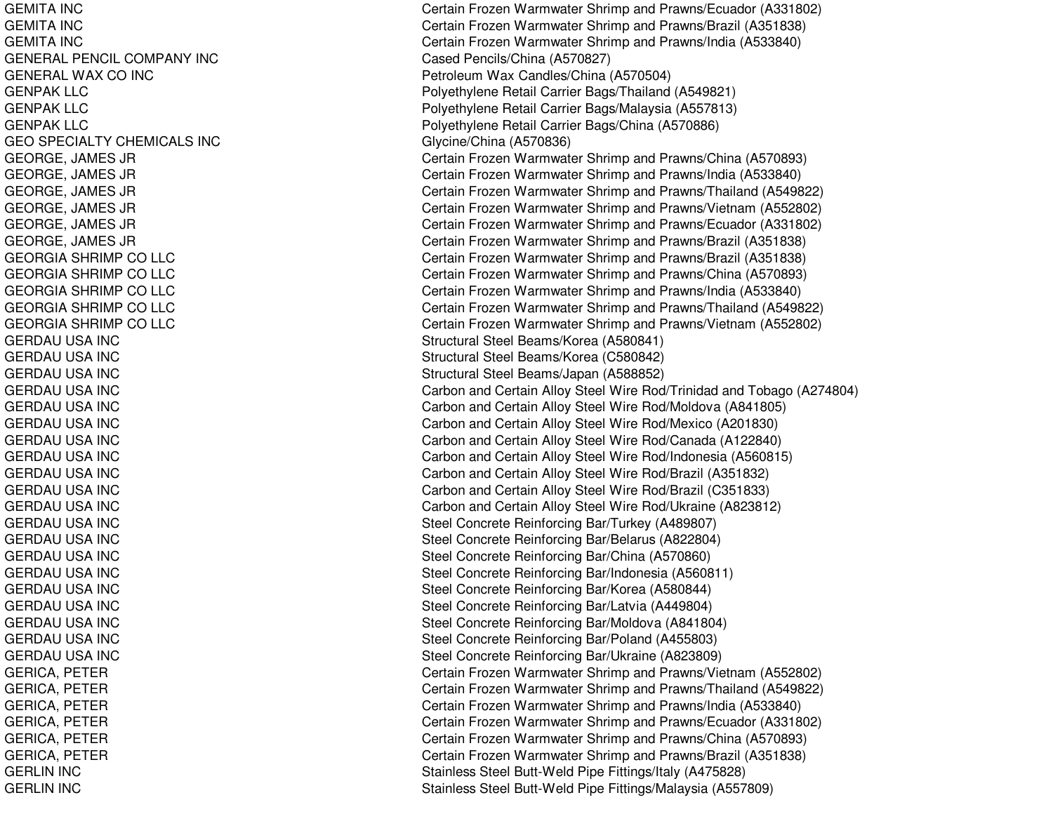GEMITA INCGEMITA INCGEMIT A INCGENERAL PENCIL COMPANY INC GENERAL WAX CO INC GENPAKLLCGENPAKLLCGENPAKLLCGEO SPECIALTY CHEMICALS INC GEORGE, JAMES JR GEORGE, JA MES JRGEORGE, JAMES JR GEORGE, JA MES JRGEORGE, JA MES JRGEORGE, JAMES JR GEORGIA SHRIMP CO LLC GEORGIA SHRIMP CO LLC GEORGIA SHRIMP CO LLC GEORGIA SHRIMP CO LLC GE ORGIA S HRIMP COL L CGERDAU USA INC GERDAU USA INC GERDAU USA INC GERDAU USA INC GERDAU USA INC G E R D A U U S A IN C GERDAU USA INC GERDAU USA INC GERDAU USA INC G E R D A U U S A IN C GERDAU USA INC GERDAU USA INC GERDAU USA INC GERDAU USA INC GERDAU USA INC GERDAU USA INC G E R D A U U S A IN C G E R D A U U S A IN C GERDAU USA INC GERDAU USA INC GERICA, P ETERGERICA, P ET ERGERICA, P ETERGERICA, P ETERGERICA, PETER GERICA, PETER GERLIN IN CGERLIN IN C

Certain Frozen Warmwater Shrimp and Prawns/Ecuador (A331802) Certain Frozen Warmwater Shrimp and Prawns/Brazil (A351838) Certain Frozen Warmwater Shrimp and Prawns/India (A533840) Cased Pencils/China (A570827) Petroleum Wax Candles/China (A570504) P oly ethylene Retail Carrier B a gs/Thailand (A 5 4 9 8 21) Polyethylene Retail Carrier Bags/Malaysia (A557813) Poly ethylene Retail Carrier Bags/China (A 570886) Glycine/China (A570836) Certain Frozen Warmwater Shrimp and Prawns/China (A570893) Certain Frozen Warmwater Shrimp and Prawns/India (A533840) Certain Frozen Warmwater Shrimp and Prawns/Thailand (A549822) Certain Frozen Warmwater Shrimp and Prawns/Vietnam (A552802) Certain Frozen Warmwater Shrimp and Prawns/Ecuador (A331802) Certain Frozen Warmwater Shrimp and Prawns/Brazil (A351838) Certain Frozen Warmwater Shrimp and Prawns/Brazil (A351838) Certain Frozen Warmwater Shrimp and Prawns/China (A570893) Certain Frozen Warmwater Shrimp and Prawns/India (A533840) Certain Frozen Warmwater Shrimp and Prawns/Thailand (A549822) Certain Frozen Warmwater Shrimp and Prawns/Vietnam (A552802) Structural Steel Beams/Korea (A580841) Structural Steel Beams/Korea (C 580842) Structural Steel Beams/Japan (A588852) Carbon and Certain Alloy Steel Wire Rod/Trinidad and Tobago (A274804) Carbon and Certain Alloy Steel Wire Rod/Moldova (A841805) Carbon and Certain Alloy Steel Wire Rod/Mexico (A201830) Carbon and Certain Alloy Steel Wire Rod/Canada (A122840) Carb on and Certain Allo y Ste el Wire Ro d/Ind onesia (A 5 6 0 815) Carbon and Certain Alloy Steel Wire Rod/Brazil (A351832) Carbon and Certain Alloy Steel Wire Rod/Brazil (C351833) Carb on and Certain Allo y Ste el Wire Ro d/Ukraine (A 8 2 3 812) Steel Concrete Reinforcing Bar/Turkey (A489807) Steel Concrete Reinforcing Bar/Belarus (A822804) Steel Concrete Reinforcing Bar/China (A570860) Steel Concrete Reinforcing Bar/Indonesia (A560811) Steel Concrete Reinforcing Bar/Korea (A580844) Steel Concrete Reinforcing Bar/Latvia (A449804) Steel Concrete Reinforcing Bar/Moldova (A841804) Steel Concrete Reinforcing Bar/Poland (A455803) Steel Concrete Reinforcing Bar/Ukraine (A823809) Certain Frozen Warmwater Shrimp and Prawns/Vietnam (A552802) Certain Frozen Warmwater Shrimp and Prawns/Thailand (A549822) Certain Frozen Warmwater Shrimp and Prawns/India (A533840) Certain Frozen Warmwater Shrimp and Prawns/Ecuador (A331802) Certain Frozen Warmwater Shrimp and Prawns/China (A570893) C ertain Frozen W arm w ater Shrim p and Pra wns/Brazil (A 3 518 3 8) Stainless Steel Butt-Weld Pipe Fittings/Italy (A475828) Stainless Steel Butt-Weld Pipe Fittings/Malaysia (A557809)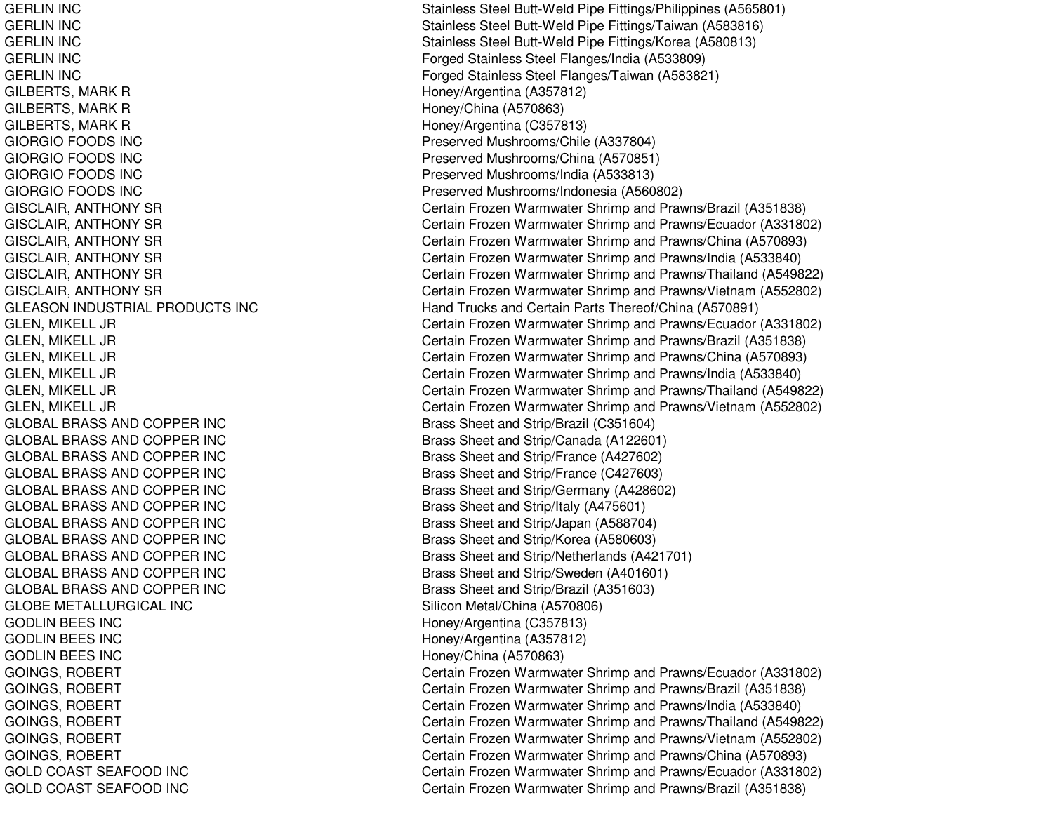**GERLIN INC GERLIN INC GERLIN INC GERLIN INC GERLIN INC** GILBERTS, MARK R **Honey/Argentina (A357812)** GILBERTS, MARK R **Honey/China (A570863) Honey/China (A570863)** GILBERTS, MARK R HONEY ARE HONEY ARE HONEY HONEY HONEY Argentina (C357813) GIORGIO FOODS INC GIORGIO FOODS INC GIORGIO FOODS INC GIORGIO FOODS INC **GLEASON INDUSTRIAL PRODUCTS INC** GLOBAL BRASS ANDGLOBAL BRASS ANDGLOBAL BRASS ANDGLOBAL BRASS ANDGLOBAL BRASS ANDGLOBAL BRASS ANDGLOBAL BRASS ANDGLOBAL BRASS ANDGLOBAL BRASS ANDGLOBAL BRASS ANDGLOBAL BRASS ANDGLOBE METALLURGICAL INC**GODLIN BEES INC GODLIN BEES INC GODLIN BEES INC GOLD COAST SEAFOOD INC GOLD COAST SEAFOOD INC** 

Stainless Steel Butt-Weld Pipe Fittings/Philippines (A565801) Stainless Steel Butt-Weld Pipe Fittings/Taiwan (A583816) Stainless Steel Butt-Weld Pipe Fittings/Korea (A580813) Forged Stainless Steel Flanges/India (A533809) Forged Stainless Steel Flanges/Taiwan (A583821) Preserved Mushrooms/Chile (A337804) Preserved Mushrooms/China (A570851) Preserved Mushrooms/India (A533813) Preserved Mushrooms/Indonesia (A560802) GISCLAIR, ANTHONY SR Certain Frozen Warmwater Shrimp and Prawns/Brazil (A351838) GISCLAIR, ANTHONY SR Certain Frozen Warmwater Shrimp and Prawns/Ecuador (A331802) GISCLAIR, ANTHONY SR Certain Frozen Warmwater Shrimp and Prawns/China (A570893) GISCLAIR, ANTHONY SR Certain Frozen Warmwater Shrimp and Prawns/India (A533840) GISCLAIR, ANTHONY SR Certain Frozen Warmwater Shrimp and Prawns/Thailand (A549822) GISCLAIR, ANTHONY SR Certain Frozen Warmwater Shrimp and Prawns/Vietnam (A552802) Hand Trucks and Certain Parts Thereof/China (A570891) GLEN, MIKELL JR Certain Frozen Warmwater Shrimp and Prawns/Ecuador (A331802) GLEN, MIKELL JR Certain Frozen Warmwater Shrimp and Prawns/Brazil (A351838) GLEN, MIKELL JR Certain Frozen Warmwater Shrimp and Prawns/China (A570893) GLEN, MIKELL JR Certain Frozen Warmwater Shrimp and Prawns/India (A533840) GLEN, MIKELL JR Certain Frozen Warmwater Shrimp and Prawns/Thailand (A549822) GLEN, MIKELL JR Certain Frozen Warmwater Shrimp and Prawns/Vietnam (A552802) Brass Sheet and Strip/Brazil (C351604) Brass Sheet and Strip/Canada (A122601) Brass Sheet and Strip/France (A427602) Brass Sheet and Strip/France (C427603) Brass Sheet and Strip/Germany (A428602) Brass Sheet and Strip/Italy (A475601) Brass Sheet and Strip/Japan (A588704) Brass Sheet and Strip/Korea (A580603) Brass Sheet and Strip/Netherlands (A421701) Brass Sheet and Strip/Sweden (A401601) Brass Sheet and Strip/Brazil (A351603) Silicon Metal/China (A570806) Honey/Argentina (C357813) Honey/Argentina (A357812) Honey/China (A570863) GOINGS, ROBERT **CERT** Certain Frozen Warmwater Shrimp and Prawns/Ecuador (A331802) GOINGS, ROBERT **CERT** Certain Frozen Warmwater Shrimp and Prawns/Brazil (A351838) GOINGS, ROBERT **CERT** Certain Frozen Warmwater Shrimp and Prawns/India (A533840) GOINGS, ROBERT **CERT** Certain Frozen Warmwater Shrimp and Prawns/Thailand (A549822) GOINGS, ROBERT **CERT CERT** Certain Frozen Warmwater Shrimp and Prawns/Vietnam (A552802) GOINGS, ROBERT **CERT** Certain Frozen Warmwater Shrimp and Prawns/China (A570893) Certain Frozen Warmwater Shrimp and Prawns/Ecuador (A331802) Certain Frozen Warmwater Shrimp and Prawns/Brazil (A351838)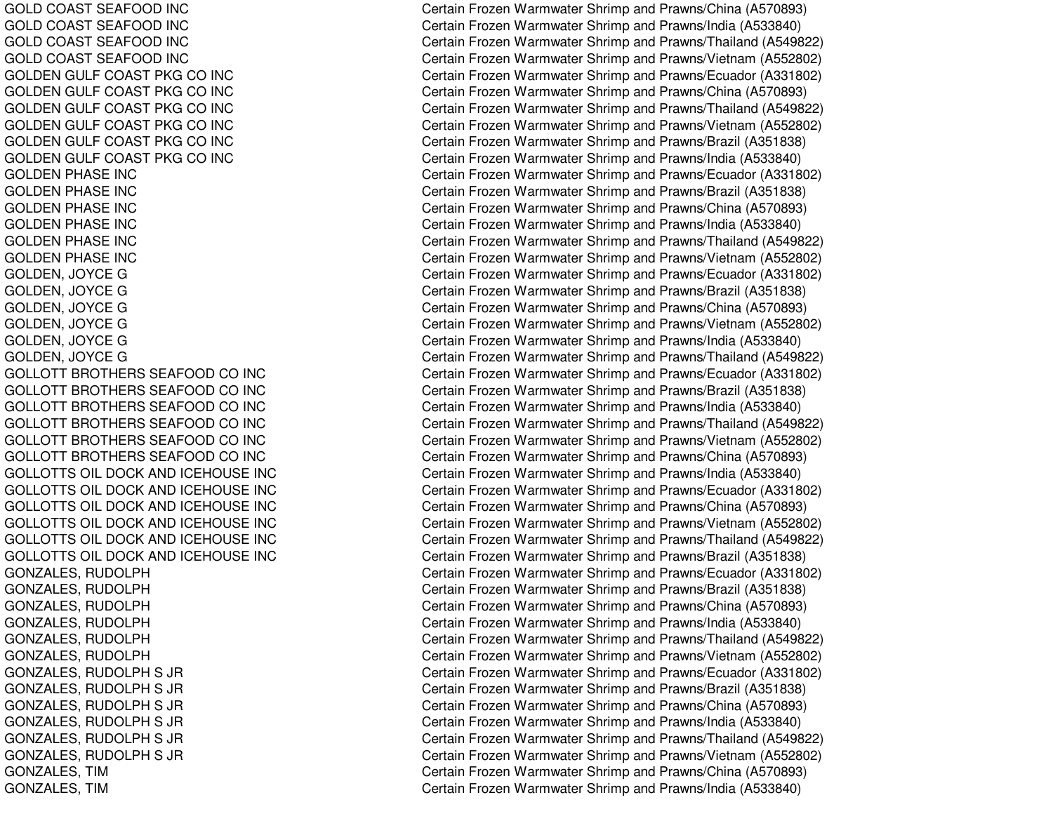GOLD COAST SEAFOOD INC GOLD COAST SEAFOOD INC GOLD COAST SEAFOOD INC GOLD COAST SEAFOOD INC GOLDEN GULF COAST PKG CO INC GOLDEN GULF COAST PKG CO INC GOLDEN GULF COAST PKG CO INC GOLDEN GULF COAST PKG CO INC GOLDEN GULF COAST PKG CO INC GOLDEN GULF COAST PKG CO INC GOLDEN PHASE INC GOLDEN PHASE INC GOLDEN PHASE INC GOL DENPHASE INCG O L D E N P H A S E IN C GOLDEN PHASE INC GOL DEN, JO YCEGGOLDEN, JO YCEGGOLDEN, JO YCEGGOL DE N, JO Y CE GGOLDEN, JOYCE G GOLDEN, JO YCEGGOLLOTT BROTHERS SEAFOOD CO INC GOLLOTT BROTHERS SEAFOOD CO INC GOLLOTT BROTHERS SEAFOOD CO INC GOLLOTT BROTHERS SEAFOOD CO INC GOLLOTT BROTHERS SEAFOOD CO INC GOL L OT T BROT HERSSEAF OODCO IN CGOLLOTTS OIL DOCK AND ICEHOUSE INC GOLLOTTS OIL DOCK AND ICEHOUSE INC GOL L OT T S OIL DOCK A ND IC E HOUS E INCGOLLOTTS OIL DOCK AND ICEHOUSE INC GOLLOTTS OIL DOCK AND ICEHOUSE INC GOLLOTTS OIL DOCK AND ICEHOUSE INC G O N Z A L E S, R U D O L P H GONZALES, R UDOLPHG O N Z A L E S, R U D O L P H G O N Z A L E S, R U D O L P H GONZAL ES, R UDOL PHG O N Z A L E S, R U D O L P H GONZALES, R UDOLPHS JRGONZ AL ES, R UDOL PHS JRG O N Z A L E S, R U D O L P H S JR GONZALES, R UDOLPHS JRGONZALES, RUDOLPH S JR G O N Z A L E S, R U D O L P H S JR G O N Z A L E S, TIM GON Z A L E S, TIM

Certain Frozen Warmwater Shrimp and Prawns/China (A570893) Certain Frozen Warmwater Shrimp and Prawns/India (A533840) Certain Frozen Warmwater Shrimp and Prawns/Thailand (A549822) Certain Frozen Warmwater Shrimp and Prawns/Vietnam (A552802) Certain Frozen Warmwater Shrimp and Prawns/Ecuador (A331802) Certain Frozen Warmwater Shrimp and Prawns/China (A570893) Certain Frozen Warmwater Shrimp and Prawns/Thailand (A549822) Certain Frozen Warmwater Shrimp and Prawns/Vietnam (A552802) Certain Frozen Warmwater Shrimp and Prawns/Brazil (A351838) Certain Frozen Warmwater Shrimp and Prawns/India (A533840) Certain Frozen Warmwater Shrimp and Prawns/Ecuador (A331802) Certain Frozen Warmwater Shrimp and Prawns/Brazil (A351838) Certain Frozen Warmwater Shrimp and Prawns/China (A570893) Certain Frozen Warmwater Shrimp and Prawns/India (A533840) Certain Frozen Warmwater Shrimp and Prawns/Thailand (A549822) Certain Frozen Warmwater Shrimp and Prawns/Vietnam (A552802) Certain Frozen Warmwater Shrimp and Prawns/Ecuador (A331802) Certain Frozen Warmwater Shrimp and Prawns/Brazil (A351838) Certain Frozen Warmwater Shrimp and Prawns/China (A570893) Certain Frozen Warmwater Shrimp and Prawns/Vietnam (A552802) Certain Frozen Warmwater Shrimp and Prawns/India (A533840) Certain Frozen Warmwater Shrimp and Prawns/Thailand (A549822) Certain Frozen Warmwater Shrimp and Prawns/Ecuador (A331802) Certain Frozen Warmwater Shrimp and Prawns/Brazil (A351838) Certain Frozen Warmwater Shrimp and Pra wns/India (A 5 3 3 8 4 0) Certain Frozen Warmwater Shrimp and Prawns/Thailand (A549822) Certain Frozen Warmwater Shrimp and Prawns/Vietnam (A552802) Certain Frozen Warmwater Shrimp and Prawns/China (A570893) Certain Frozen Warmwater Shrimp and Prawns/India (A533840) Certain Frozen Warmwater Shrimp and Prawns/Ecuador (A331802) Certain Frozen Warmwater Shrimp and Prawns/China (A570893) Certain Frozen Warmwater Shrimp and Prawns/Vietnam (A552802) Certain Frozen Warmwater Shrimp and Prawns/Thailand (A549822) Certain Frozen Warmwater Shrimp and Prawns/Brazil (A351838) Certain Frozen Warmwater Shrimp and Prawns/Ecuador (A331802) Certain Frozen Warmwater Shrimp and Prawns/Brazil (A351838) Certain Frozen Warmwater Shrimp and Prawns/China (A570893) Certain Frozen Warmwater Shrimp and Prawns/India (A533840) Certain Frozen Warmwater Shrimp and Prawns/Thailand (A549822) Certain Frozen Warmwater Shrimp and Prawns/Vietnam (A552802) Certain Frozen Warmwater Shrimp and Prawns/Ecuador (A331802) Certain Frozen Warmwater Shrimp and Prawns/Brazil (A351838) Certain Frozen Warmwater Shrimp and Prawns/China (A570893) Certain Frozen Warmwater Shrimp and Prawns/India (A533840) Certain Frozen Warmwater Shrimp and Prawns/Thailand (A549822) Certain Frozen Warmwater Shrimp and Prawns/Vietnam (A552802) Certain Frozen Warmwater Shrimp and Prawns/China (A570893) Certain Frozen Warmwater Shrimp and Prawns/India (A533840)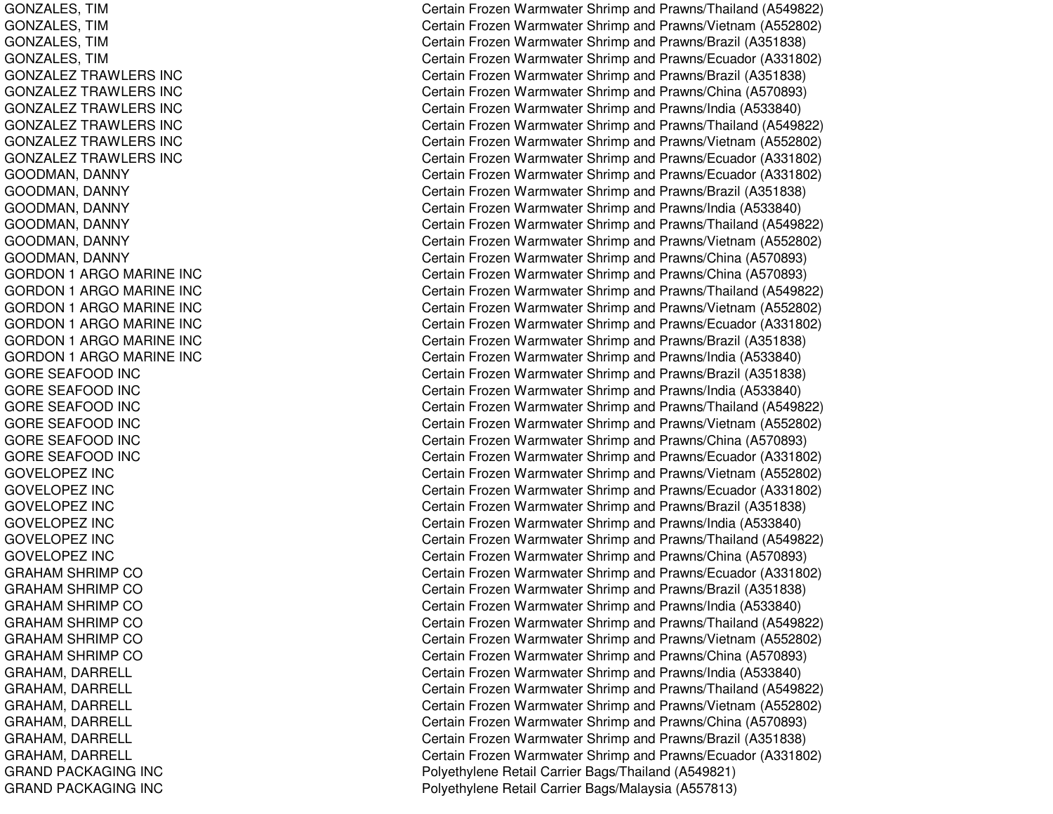GONZALES, TIM GONZALES, TIM GONZ AL ES, TIM G O N Z A L E S, TIM GONZALEZTRAWLERS INCGONZALEZTRAWLERS INCGONZALEZTRAWLERS INCGONZALEZTRAWLERS INCGONZALEZ TRAWLERS INC GONZALEZTRAWLERS INCGOODMAN, D ANNYGOODMAN, D ANNYGOODMAN, D ANNYGOODMAN, DANNY GOODMAN, DANNY GOODMAN, DANNY GORDON 1 A RGOMARINE INCGORDON 1 A RGOMARINE INCGORDON 1 A RGOMARINE INCGORDON 1 A RGOMA RINE INCG O R D O N 1 A R G O M A RIN E IN C GORDON 1 A RGOMARINE INCGORE SEAFOOD INC GORE SEAFOOD INC GORE SEAFOOD INC G O R E S E A F O O D IN C GORE SEAFOOD INC GORE SEAFOOD INC GOVELOPEZ INCGOVELOPEZ INCGOVELOPEZ INC G O V E L O P E Z IN C GOVELOPEZ INCGOVELOPEZ INCGRAHAM SHRIMP CO GRAHAM SHRIMP CO GRAHAM SHRIMP CO GRAHAM SHRIMP CO GRAHAM SHRIMP CO GRAHAM SHRIMP CO GRAHAM, D ARRELLGRAHAM, D ARREL L GRAHAM, D ARRELLGRAHAM, D ARRELLGRAHAM, DARRELL GRAHAM, DARRELL GRAND PACKAGING INC GRAND PACKAGING INC

Certain Frozen Warmwater Shrimp and Prawns/Thailand (A549822) Certain Frozen Warmwater Shrimp and Prawns/Vietnam (A552802) Certain Frozen Warmwater Shrimp and Prawns/Brazil (A351838) Certain Frozen Warmwater Shrimp and Prawns/Ecuador (A331802) Certain Frozen Warmwater Shrimp and Prawns/Brazil (A351838) Certain Frozen Warmwater Shrimp and Prawns/China (A570893) Certain Frozen Warmwater Shrimp and Prawns/India (A533840) Certain Frozen Warmwater Shrimp and Prawns/Thailand (A549822) Certain Frozen Warmwater Shrimp and Prawns/Vietnam (A552802) Certain Frozen Warmwater Shrimp and Prawns/Ecuador (A331802) Certain Frozen Warmwater Shrimp and Prawns/Ecuador (A331802) Certain Frozen Warmwater Shrimp and Prawns/Brazil (A351838) Certain Frozen Warmwater Shrimp and Prawns/India (A533840) Certain Frozen Warmwater Shrimp and Prawns/Thailand (A549822) Certain Frozen Warmwater Shrimp and Prawns/Vietnam (A552802) Certain Frozen Warmwater Shrimp and Prawns/China (A570893) Certain Frozen Warmwater Shrimp and Prawns/China (A570893) Certain Frozen Warmwater Shrimp and Prawns/Thailand (A549822) Certain Frozen Warmwater Shrimp and Prawns/Vietnam (A552802) Certain Frozen Warmwater Shrimp and Prawns/Ecuador (A331802) C ertain Frozen W arm w ater Shrim p and Pra wns/Brazil (A 3 518 3 8) Certain Frozen Warmwater Shrimp and Prawns/India (A533840) Certain Frozen Warmwater Shrimp and Prawns/Brazil (A351838) Certain Frozen Warmwater Shrimp and Prawns/India (A533840) Certain Frozen Warmwater Shrimp and Prawns/Thailand (A549822) Certain Frozen Warmwater Shrimp and Prawns/Vietnam (A552802) Certain Frozen Warmwater Shrimp and Prawns/China (A570893) Certain Frozen Warmwater Shrimp and Prawns/Ecuador (A331802) Certain Frozen Warmwater Shrimp and Prawns/Vietnam (A552802) Certain Frozen Warmwater Shrimp and Prawns/Ecuador (A331802) Certain Frozen Warmwater Shrimp and Prawns/Brazil (A351838) Certain Frozen Warmwater Shrimp and Prawns/India (A533840) Certain Frozen Warmwater Shrimp and Prawns/Thailand (A549822) Certain Frozen Warmwater Shrimp and Prawns/China (A570893) Certain Frozen Warmwater Shrimp and Prawns/Ecuador (A331802) Certain Frozen Warmwater Shrimp and Prawns/Brazil (A351838) Certain Frozen Warmwater Shrimp and Prawns/India (A533840) Certain Frozen Warmwater Shrimp and Prawns/Thailand (A549822) Certain Frozen Warmwater Shrimp and Prawns/Vietnam (A552802) Certain Frozen Warmwater Shrimp and Prawns/China (A570893) Certain Frozen Warmwater Shrimp and Prawns/India (A533840) Certain Frozen Warmwater Shrimp and Prawns/Thailand (A549822) Certain Frozen Warmwater Shrimp and Prawns/Vietnam (A552802) Certain Frozen Warmwater Shrimp and Prawns/China (A570893) Certain Frozen Warmwater Shrimp and Prawns/Brazil (A351838) Certain Frozen Warmwater Shrimp and Prawns/Ecuador (A331802) Poly ethylene Retail Carrier Bags/Thailand (A 549821) Polyethylene Retail Carrier Bags/Malaysia (A557813)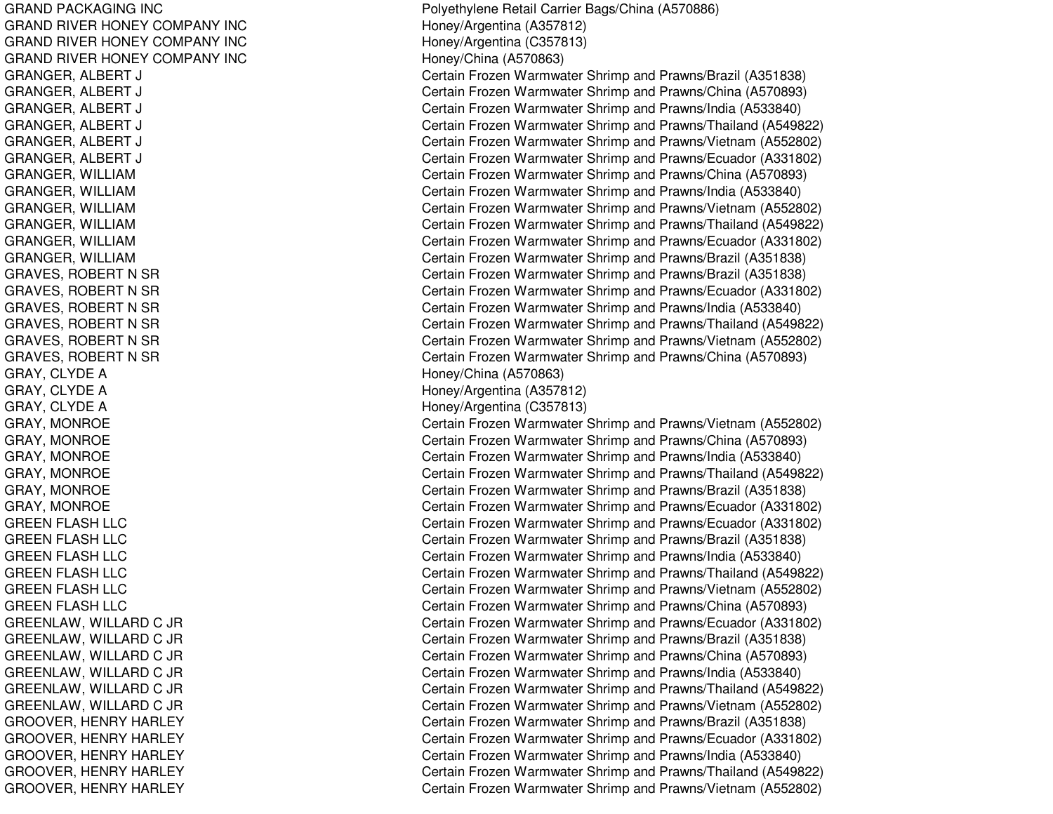GRAND PACKAGING INC GRAND RIVER HONEY COMPANY INC GRAND RIVER HONEY COMPANY INC GRAND RIVER HONEY COMPANY INC GRANGER, A LBERT J CGRANGER, ALBERT J CGRANGER, ALBERT J CGRANGER, A LBERT J CGRANGER, ALBERT J CGRANGER, ALBERT J CGRANGER, WIL LIAMG R A N G E R, WIL LIA MGRANGER, WIL LIAMGRANGER, WIL LIAMGRANGER, WILLIAM GRANGER, WIL LIAMGRAVES, R OBERT NSRGRAVES, ROBERT N SR GRAVES, ROBERT N SR GRAVES, ROBERT N SR GRAVES, ROBERT N SR GRAVES, ROBERT N SR GRAY, CLYDE A GRAY, C LYDEAGRAY, C L YDEAGRAY, MONROE GRAY, M ONROEGRAY, M ONROEGRAY, MONROE GRAY, M ONROEGRA Y, M ONROE GREEN FLASH LLC GREEN FLASH LLC GREEN FLASH LLC GREEN FLASH LLC GREEN FLASH LLC GREEN FLASH LLC G R E E N L A W, WIL L A R D C JR G R E E N L A W, WIL L A R D C JR G R E E N L A W, WIL L A R D C JR GREENLAW, WIL LARDC JR GREENL AW, WIL L ARDC JR GREENLAW, WIL LARDC JR GROOVER, HENRY HARLEY GROOVER, HENRY HARLEY GROOVER, HENRY HARLEY GROOVER, H ENRYHARLEYGROOVER, HENRY HARLEY

Polyethylene Retail Carrier Bags/China (A570886) Honey/Arg entina (A 357812) Hone y/Arg entina (C 3 5 7 813) H one y/China (A 5 7 0 8 6 3) ertain Frozen Warmwater Shrimp and Prawns/Brazil (A351838) ertain Frozen Warmwater Shrimp and Prawns/China (A570893) Certain Frozen Warmwater Shrimp and Prawns/India (A533840) ertain Frozen Warmwater Shrimp and Prawns/Thailand (A549822) Certain Frozen Warmwater Shrimp and Prawns/Vietnam (A552802) Certain Frozen Warmwater Shrimp and Prawns/Ecuador (A331802) Certain Frozen Warmwater Shrimp and Prawns/China (A570893) Certain Frozen Warmwater Shrimp and Prawns/India (A533840) Certain Frozen Warmwater Shrimp and Prawns/Vietnam (A552802) Certain Frozen Warmwater Shrimp and Prawns/Thailand (A549822) Certain Frozen Warmwater Shrimp and Prawns/Ecuador (A331802) Certain Frozen Warmwater Shrimp and Prawns/Brazil (A351838) Certain Frozen Warmwater Shrimp and Prawns/Brazil (A351838) Certain Frozen Warmwater Shrimp and Prawns/Ecuador (A331802) Certain Frozen Warmwater Shrimp and Prawns/India (A533840) Certain Frozen Warmwater Shrimp and Prawns/Thailand (A549822) Certain Frozen Warmwater Shrimp and Prawns/Vietnam (A552802) Certain Frozen Warmwater Shrimp and Prawns/China (A570893) Honey/China (A570863) Honey/Arg entina (A 357812) Hone y/Arg entina (C 3 5 7 813) Certain Frozen Warmwater Shrimp and Prawns/Vietnam (A552802) Certain Frozen Warmwater Shrimp and Prawns/China (A570893) Certain Frozen Warmwater Shrimp and Prawns/India (A533840) Certain Frozen Warmwater Shrimp and Prawns/Thailand (A549822) Certain Frozen Warmwater Shrimp and Prawns/Brazil (A351838) Certain Frozen Warmwater Shrimp and Prawns/Ecuador (A331802) Certain Frozen Warmwater Shrimp and Prawns/Ecuador (A331802) Certain Frozen Warmwater Shrimp and Prawns/Brazil (A351838) Certain Frozen Warmwater Shrimp and Prawns/India (A533840) Certain Frozen Warmwater Shrimp and Prawns/Thailand (A549822) Certain Frozen Warmwater Shrimp and Prawns/Vietnam (A552802) Certain Frozen Warmwater Shrimp and Prawns/China (A570893) Certain Frozen Warmwater Shrimp and Prawns/Ecuador (A331802) Certain Frozen Warmwater Shrimp and Prawns/Brazil (A351838) Certain Frozen Warmwater Shrimp and Prawns/China (A570893) Certain Frozen Warmwater Shrimp and Prawns/India (A533840) Certain Frozen Warmwater Shrimp and Prawns/Thailand (A549822) Certain Frozen Warmwater Shrimp and Prawns/Vietnam (A552802) Certain Frozen Warmwater Shrimp and Prawns/Brazil (A351838) Certain Frozen Warmwater Shrimp and Prawns/Ecuador (A331802) Certain Frozen Warmwater Shrimp and Prawns/India (A533840) Certain Frozen Warmwater Shrimp and Prawns/Thailand (A549822) Certain Frozen Warmwater Shrimp and Prawns/Vietnam (A552802)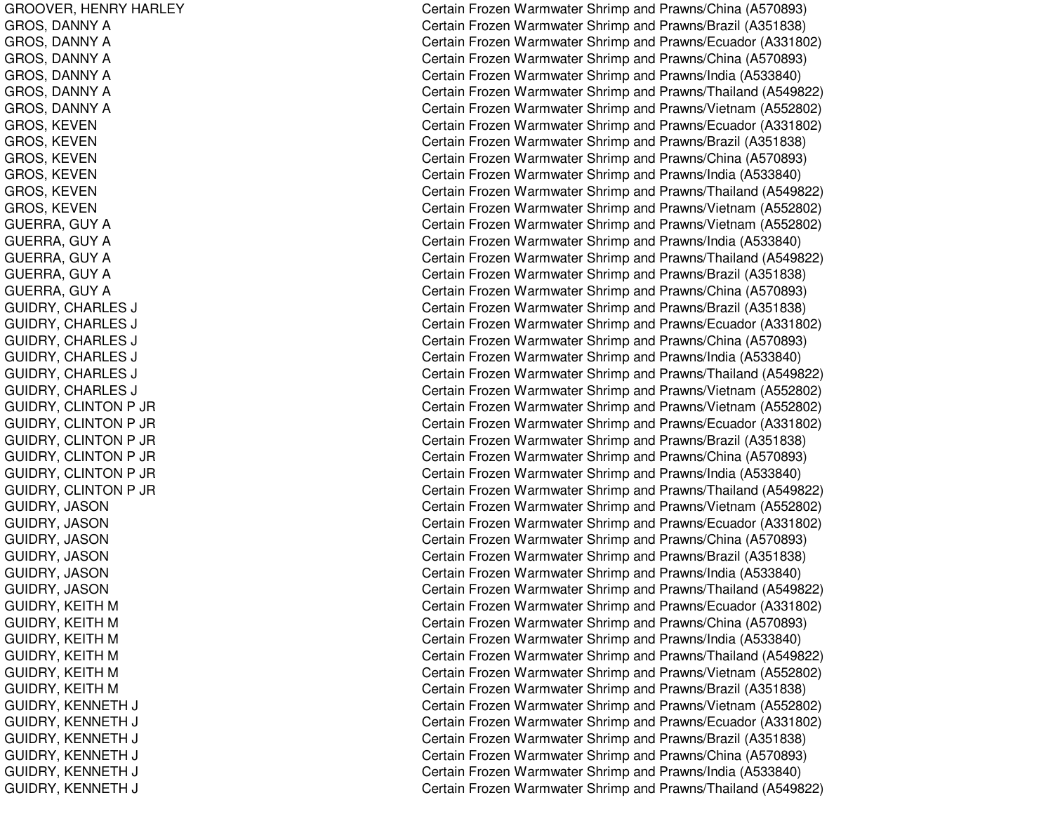GROOVER, H ENRYHARLEYGROS, D ANNYAGROS, D ANNYAG R O S, D A N N Y A GROS, D ANNYAGROS, D A NNY A GROS, D ANNYAGROS, K EVENGROS, KEVEN G R O S, K E V E N GROS, K EVENG R O S, K E V E N GROS, K EVENGUERRA, GUY A GUERRA, GUY A GUERRA, GUY A GUERRA, GUY A GUERRA, GUY A GUIDRY, C HARLESSJ COMMENT COMMENT COMMENT COMMENT COMMENT COMMENT COMMENT COMMENT COMMENT COMMENT COMMENT COMMENT COMMENT COM G UID R Y, C H A R L E SSJ COMMENT COMMENT COMMENT COMMENT COMMENT COMMENT COMMENT COMMENT COMMENT COMMENT COMMENT COMMENT COMMENT COM GUIDRY, CHARLES SJ COMMENT COMMENT COMMENT COMMENT COMMENT COMMENT COMMENT COMMENT COMMENT COMMENT COMMENT COMMENT COMMENT COM GUIDRY, CHARLES SJ COMMUNICATION COMMUNICATION COMMUNICATION GUIDRY, CHARLES SJ COMMENT COMMENT COMMENT COMMENT COMMENT COMMENT COMMENT COMMENT COMMENT COMMENT COMMENT COMMENT COMMENT COM GUIDRY, C HARLESSJ COMMENT COMMENT COMMENT COMMENT COMMENT COMMENT COMMENT COMMENT COMMENT COMMENT COMMENT COMMENT COMMENT COM GUIDRY, C LINTONP JRG UID R Y, C LIN T O N P JR G UID R Y, C LIN T O N P JR GUIDRY, C LINT ONP JRG UID R Y, C LIN T O N P JR GUIDRY, C LINTONP JRGUIDRY, JASON G UID R Y, JA S O N G UID R Y, JA S O N GUID R Y, JA S ON G UID R Y, JA S O N GUIDRY, JA SONG UID R Y, K EIT H MG UID R Y, K EIT H M G UID R Y, K EIT H M G UID R Y, K EIT H M GUIDRY, KEITH M GUIDRY, KEITH M GUIDRY, KENNETH J C GUIDRY, KENNETH J C GUIDRY, KENNETH J C GUIDRY, KENNETH J C GUIDRY, K ENNETH J C GUIDRY, KENNETH J C

Certain Frozen Warmwater Shrimp and Prawns/China (A570893) Certain Frozen Warmwater Shrimp and Prawns/Brazil (A351838) Certain Frozen Warmwater Shrimp and Prawns/Ecuador (A331802) Certain Frozen Warmwater Shrimp and Prawns/China (A570893) Certain Frozen Warmwater Shrimp and Prawns/India (A533840) Certain Frozen Warmwater Shrimp and Prawns/Thailand (A549822) Certain Frozen Warmwater Shrimp and Prawns/Vietnam (A552802) Certain Frozen Warmwater Shrimp and Prawns/Ecuador (A331802) Certain Frozen Warmwater Shrimp and Prawns/Brazil (A351838) Certain Frozen Warmwater Shrimp and Prawns/China (A570893) Certain Frozen Warmwater Shrimp and Prawns/India (A533840) Certain Frozen Warmwater Shrimp and Prawns/Thailand (A549822) Certain Frozen Warmwater Shrimp and Prawns/Vietnam (A552802) Certain Frozen Warmwater Shrimp and Prawns/Vietnam (A552802) Certain Frozen Warmwater Shrimp and Prawns/India (A533840) Certain Frozen Warmwater Shrimp and Prawns/Thailand (A549822) Certain Frozen Warmwater Shrimp and Prawns/Brazil (A351838) Certain Frozen Warmwater Shrimp and Prawns/China (A570893) ertain Frozen Warmwater Shrimp and Prawns/Brazil (A351838) ertain Frozen Warmwater Shrimp and Prawns/Ecuador (A331802) Certain Frozen Warmwater Shrimp and Prawns/China (A570893) Certain Frozen Warmwater Shrimp and Prawns/India (A533840) Certain Frozen Warmwater Shrimp and Prawns/Thailand (A549822) ertain Frozen Warmwater Shrimp and Prawns/Vietnam (A552802) Certain Frozen Warmwater Shrimp and Prawns/Vietnam (A552802) Certain Frozen Warmwater Shrimp and Prawns/Ecuador (A331802) Certain Frozen Warmwater Shrimp and Prawns/Brazil (A351838) Certain Frozen Warmwater Shrimp and Prawns/China (A570893) Certain Frozen Warmwater Shrimp and Prawns/India (A533840) Certain Frozen Warmwater Shrimp and Prawns/Thailand (A549822) Certain Frozen Warmwater Shrimp and Prawns/Vietnam (A552802) Certain Frozen Warmwater Shrimp and Prawns/Ecuador (A331802) Certain Frozen Warmwater Shrimp and Prawns/China (A570893) Certain Frozen Warmwater Shrimp and Prawns/Brazil (A351838) Certain Frozen Warmwater Shrimp and Prawns/India (A533840) Certain Frozen Warmwater Shrimp and Prawns/Thailand (A549822) Certain Frozen Warmwater Shrimp and Prawns/Ecuador (A331802) Certain Frozen Warmwater Shrimp and Prawns/China (A570893) Certain Frozen Warmwater Shrimp and Prawns/India (A533840) Certain Frozen Warmwater Shrimp and Prawns/Thailand (A549822) Certain Frozen Warmwater Shrimp and Prawns/Vietnam (A552802) C ertain Frozen W arm w ater Shrim p and Pra wns/Brazil (A 3 518 3 8) ertain Frozen Warmwater Shrimp and Prawns/Vietnam (A552802) ertain Frozen Warmwater Shrimp and Prawns/Ecuador (A331802) ertain Frozen Warmwater Shrimp and Prawns/Brazil (A351838) ertain Frozen Warmwater Shrimp and Prawns/China (A570893) ertain Frozen Warmwater Shrimp and Prawns/India (A533840) ertain Frozen Warmwater Shrimp and Prawns/Thailand (A549822)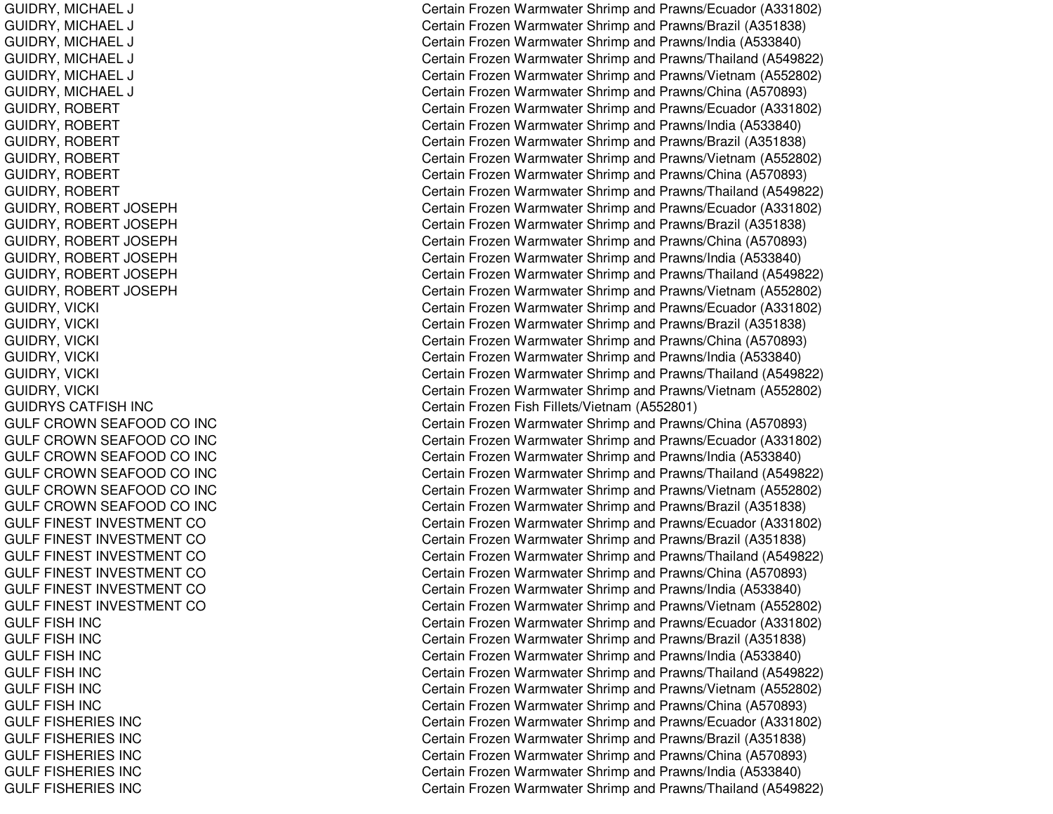GUIDRY, MIC HAELLJ COMERCIAL COMMUNICATIONS COMMUNICATIONS GUIDRY, MIC HAELLJ COMERCIAL COMMUNICATIONS COMMUNICATIONS GUIDRY, MIC HAELLJ COMERCIAL COMMUNICATION COMMUNICATION COMMUNICATION COMMUNICATION COMMUNICATION COMMUNICATION COMMUNICATION G UID R Y, MIC H A E LLJ COMERCIAL COMMUNICATION COMMUNICATION COMMUNICATION COMMUNICATION COMMUNICATION COMMUNICATION COMMUNICATION GUIDRY, MIC HAELLJ COMERCIAL COMMUNICATIONS COMMUNICATIONS GUIDRY, MICHAEL LJ COMERCIAL COMMUNICATION COMMUNICATION COMMUNICATION COMMUNICATION COMMUNICATION COMMUNICATION COMMUNICATION GUIDRY, ROBERT GUIDRY, R OBERTGUIDRY, ROBERT GUIDRY, ROBERT GUIDRY, R OBERTGUIDRY, ROBERT GUIDRY, R OBERT JOSEPHGUIDRY, R OBERT JOSEPHGUIDRY, ROBERT JOSEPH GUIDRY, R OBERT JOSEPHGUIDRY, R OBERT JOSEPHGUIDRY, R OBERT JOSEPHGUIDRY, VIC KI $\overline{C}$ GUIDRY, VIC KI $\overline{C}$ G UID R Y, VIC KIl contract of the contract of the contract of the contract of the contract of the contract of the contract of the contract of the contract of the contract of the contract of the contract of the contract of the contract of G UID R Y, VIC KIl Constantinople of the constant of the constant of the constant of the constant of the constant of the constant of the constant of the constant of the constant of the constant of the constant of the constant of the consta GUID R Y, VIC KI $\overline{C}$ GUIDRY, VIC KIl contract of the contract of the contract of the contract of the contract of the contract of the contract of the contract of the contract of the contract of the contract of the contract of the contract of the contract of GUIDRYS CATFISH INC G U L F C R O WN S E A F O O D C O IN C GULF CROWN SEAFOOD CO INC GULF CROWN SEAFOOD CO INC GULF CROWN SEAFOOD CO INC GULF CROWN SEAFOOD CO INC GUL F CROWNS E A F OODCO IN CGULF FINEST INVESTMENT CO GULF FINEST INVESTMENT CO GULF FINEST INVESTMENT CO GULF FINEST INVESTMENT CO GULF FINEST INVESTMENT CO GULF FINEST INVESTMENT CO GULF FISH INC GULF FISH INC GULF FISH INC GULF FISH INC GUL F FISH IN CGULF FISH INC GULF FISHERIES INC GULF FISHERIES INC GULF FISHERIES INC GULF FISHERIES INC GULF FISHERIES INC

Certain Frozen Warmwater Shrimp and Prawns/Ecuador (A331802) ertain Frozen Warmwater Shrimp and Prawns/Brazil (A351838) ertain Frozen Warmwater Shrimp and Prawns/India (A533840) Certain Frozen Warmwater Shrimp and Prawns/Thailand (A549822) Certain Frozen Warmwater Shrimp and Prawns/Vietnam (A552802) ertain Frozen Warmwater Shrimp and Prawns/China (A570893) Certain Frozen Warmwater Shrimp and Prawns/Ecuador (A331802) Certain Frozen Warmwater Shrimp and Prawns/India (A533840) Certain Frozen Warmwater Shrimp and Prawns/Brazil (A351838) Certain Frozen Warmwater Shrimp and Prawns/Vietnam (A552802) Certain Frozen Warmwater Shrimp and Prawns/China (A570893) Certain Frozen Warmwater Shrimp and Prawns/Thailand (A549822) Certain Frozen Warmwater Shrimp and Prawns/Ecuador (A331802) Certain Frozen Warmwater Shrimp and Prawns/Brazil (A351838) Certain Frozen Warmwater Shrimp and Prawns/China (A570893) Certain Frozen Warmwater Shrimp and Prawns/India (A533840) Certain Frozen Warmwater Shrimp and Prawns/Thailand (A549822) Certain Frozen Warmwater Shrimp and Prawns/Vietnam (A552802) ertain Frozen Warmwater Shrimp and Prawns/Ecuador (A331802) ertain Frozen Warmwater Shrimp and Prawns/Brazil (A351838) Certain Frozen Warmwater Shrimp and Prawns/China (A570893) Certain Frozen Warmwater Shrimp and Prawns/India (A533840) Certain Frozen Warmwater Shrimp and Prawns/Thailand (A549822) ertain Frozen Warmwater Shrimp and Prawns/Vietnam (A552802) Certain Frozen Fish Fillets/Vietnam (A552801) Certain Frozen Warmwater Shrimp and Prawns/China (A570893) Certain Frozen Warmwater Shrimp and Prawns/Ecuador (A331802) Certain Frozen Warmwater Shrimp and Prawns/India (A533840) Certain Frozen Warmwater Shrimp and Prawns/Thailand (A549822) Certain Frozen Warmwater Shrimp and Prawns/Vietnam (A552802) Certain Frozen Warmwater Shrimp and Prawns/Brazil (A351838) Certain Frozen Warmwater Shrimp and Prawns/Ecuador (A331802) Certain Frozen Warmwater Shrimp and Prawns/Brazil (A351838) Certain Frozen Warmwater Shrimp and Prawns/Thailand (A549822) Certain Frozen Warmwater Shrimp and Prawns/China (A570893) Certain Frozen Warmwater Shrimp and Prawns/India (A533840) Certain Frozen Warmwater Shrimp and Prawns/Vietnam (A552802) Certain Frozen Warmwater Shrimp and Prawns/Ecuador (A331802) C ertain Frozen W arm w ater Shrim p and Pra wns/Brazil (A 3 518 3 8) Certain Frozen Warmwater Shrimp and Prawns/India (A533840) Certain Frozen Warmwater Shrimp and Prawns/Thailand (A549822) Certain Frozen Warmwater Shrimp and Prawns/Vietnam (A552802) Certain Frozen Warmwater Shrimp and Prawns/China (A570893) Certain Frozen Warmwater Shrimp and Prawns/Ecuador (A331802) Certain Frozen Warmwater Shrimp and Prawns/Brazil (A351838) Certain Frozen Warmwater Shrimp and Prawns/China (A570893) Certain Frozen Warmwater Shrimp and Prawns/India (A533840) Certain Frozen Warmwater Shrimp and Prawns/Thailand (A549822)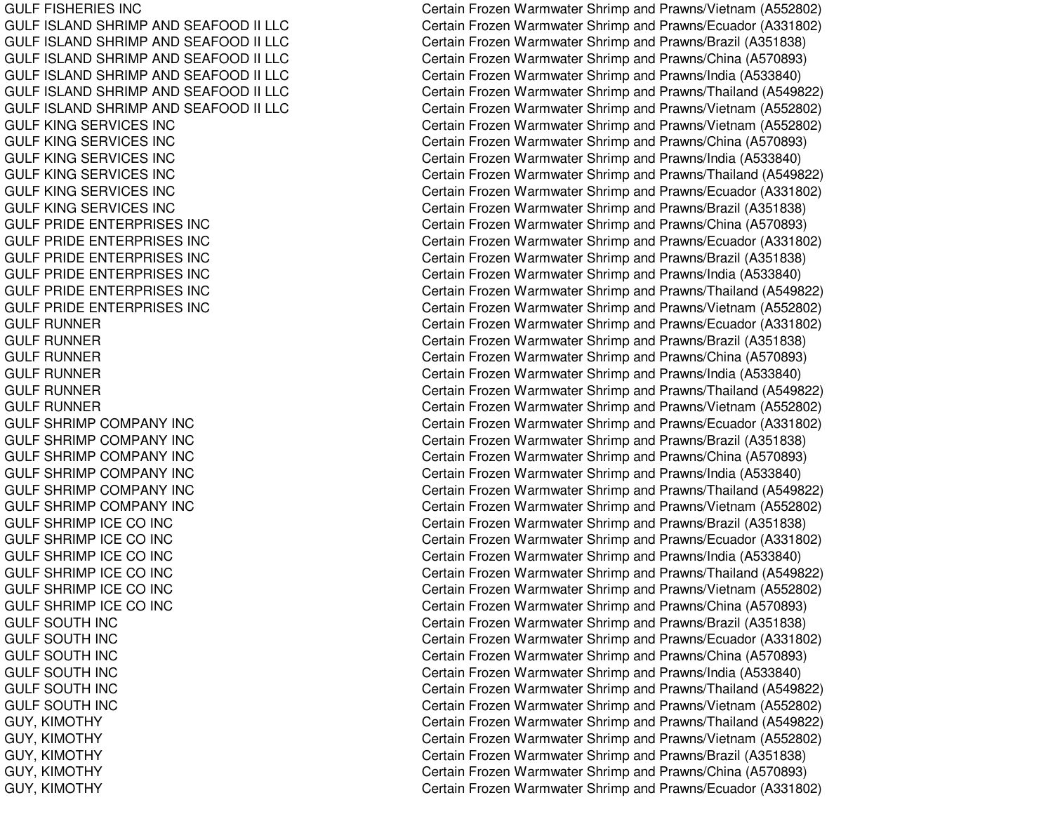GULF FISHERIES INC GULF ISLAND SHRIMP AND SEAFOOD II LLC GUL F ISL ANDSHRIMPANDSEAF OOD II L L CGULF ISLAND SHRIMP AND SEAFOOD II LLC GULF ISLAND SHRIMP AND SEAFOOD II LLC GULF ISLAND SHRIMP AND SEAFOOD II LLC GULF ISLAND SHRIMP AND SEAFOOD II LLC GULF KING SERVICES INC GULF KING SERVICES INC GULF KING SERVICES INC GULF KING SERVICES INC GULF KING SERVICES INC GULF KING SERVICES INC GULF PRIDE ENTERPRISES INC GULF PRIDE ENTERPRISES INC GULF PRIDE ENTERPRISES INC GULF PRIDE ENTERPRISES INC GULF PRIDE ENTERPRISES INC GULF PRIDE ENTERPRISES INC GULF RUNNER G U L F R U N N E R GULF RUNNER GULF RUNNER GULF RUNNER GUL FRUNNERGULF SHRIMP COMPANY INC GULF SHRIMP COMPANY INC GULF SHRIMP COMPANY INC GULF SHRIMP COMPANY INC GULF SHRIMP COMPANY INC GUL F S HRIMP COMP A NY INCG U L F S H RIM P IC E C O IN C GULF SHRIMP ICE CO INC GU L F S H RIMP IC E C O IN C GULF SHRIMP ICE CO INC GULF SHRIMP ICE CO INC G U L F S H RIMP IC E C O IN C GULF SOUTH INC GUL FSOUTH IN CGULF SOUTH INC GULF SOUTH INC GUL F SOUT H IN CG U L F S O U T H IN C GUY, KIM OTHYGUY, KIM OT HY GUY, KIMOTHY GUY, KIM OTHYGUY, KIMOTHY

Certain Frozen Warmwater Shrimp and Prawns/Vietnam (A552802) Certain Frozen Warmwater Shrimp and Prawns/Ecuador (A331802) Certain Frozen Warmwater Shrimp and Prawns/Brazil (A351838) Certain Frozen Warmwater Shrimp and Prawns/China (A570893) Certain Frozen Warmwater Shrimp and Prawns/India (A533840) Certain Frozen Warmwater Shrimp and Prawns/Thailand (A549822) Certain Frozen Warmwater Shrimp and Prawns/Vietnam (A552802) Certain Frozen Warmwater Shrimp and Prawns/Vietnam (A552802) Certain Frozen Warmwater Shrimp and Prawns/China (A570893) Certain Frozen Warmwater Shrimp and Prawns/India (A533840) Certain Frozen Warmwater Shrimp and Prawns/Thailand (A549822) Certain Frozen Warmwater Shrimp and Prawns/Ecuador (A331802) Certain Frozen Warmwater Shrimp and Prawns/Brazil (A351838) Certain Frozen Warmwater Shrimp and Prawns/China (A570893) Certain Frozen Warmwater Shrimp and Prawns/Ecuador (A331802) Certain Frozen Warmwater Shrimp and Prawns/Brazil (A351838) Certain Frozen Warmwater Shrimp and Prawns/India (A533840) Certain Frozen Warmwater Shrimp and Prawns/Thailand (A549822) Certain Frozen Warmwater Shrimp and Prawns/Vietnam (A552802) Certain Frozen Warmwater Shrimp and Prawns/Ecuador (A331802) C ertain Frozen W arm w ater Shrim p and Pra wns/Brazil (A 3 518 3 8) Certain Frozen Warmwater Shrimp and Prawns/China (A570893) Certain Frozen Warmwater Shrimp and Prawns/India (A533840) Certain Frozen Warmwater Shrimp and Prawns/Thailand (A549822) Certain Frozen Warmwater Shrimp and Prawns/Vietnam (A552802) Certain Frozen Warmwater Shrimp and Prawns/Ecuador (A331802) Certain Frozen Warmwater Shrimp and Prawns/Brazil (A351838) Certain Frozen Warmwater Shrimp and Prawns/China (A570893) Certain Frozen Warmwater Shrimp and Prawns/India (A533840) Certain Frozen Warmwater Shrimp and Prawns/Thailand (A549822) Certain Frozen Warmwater Shrimp and Prawns/Vietnam (A552802) Certain Frozen Warmwater Shrimp and Prawns/Brazil (A351838) Certain Frozen Warmwater Shrimp and Prawns/Ecuador (A331802) Certain Frozen Warmwater Shrimp and Prawns/India (A533840) Certain Frozen Warmwater Shrimp and Prawns/Thailand (A549822) Certain Frozen Warmwater Shrimp and Prawns/Vietnam (A552802) Certain Frozen Warmwater Shrimp and Prawns/China (A570893) Certain Frozen Warmwater Shrimp and Prawns/Brazil (A351838) Certain Frozen Warmwater Shrimp and Prawns/Ecuador (A331802) Certain Frozen Warmwater Shrimp and Prawns/China (A570893) Certain Frozen Warmwater Shrimp and Prawns/India (A533840) Certain Frozen Warmwater Shrimp and Prawns/Thailand (A549822) Certain Frozen Warmwater Shrimp and Prawns/Vietnam (A552802) Certain Frozen Warmwater Shrimp and Prawns/Thailand (A549822) Certain Frozen Warmwater Shrimp and Prawns/Vietnam (A552802) C ertain Frozen W arm w ater Shrim p and Pra wns/Brazil (A 3 518 3 8) Certain Frozen Warmwater Shrimp and Prawns/China (A570893) Certain Frozen Warmwater Shrimp and Prawns/Ecuador (A331802)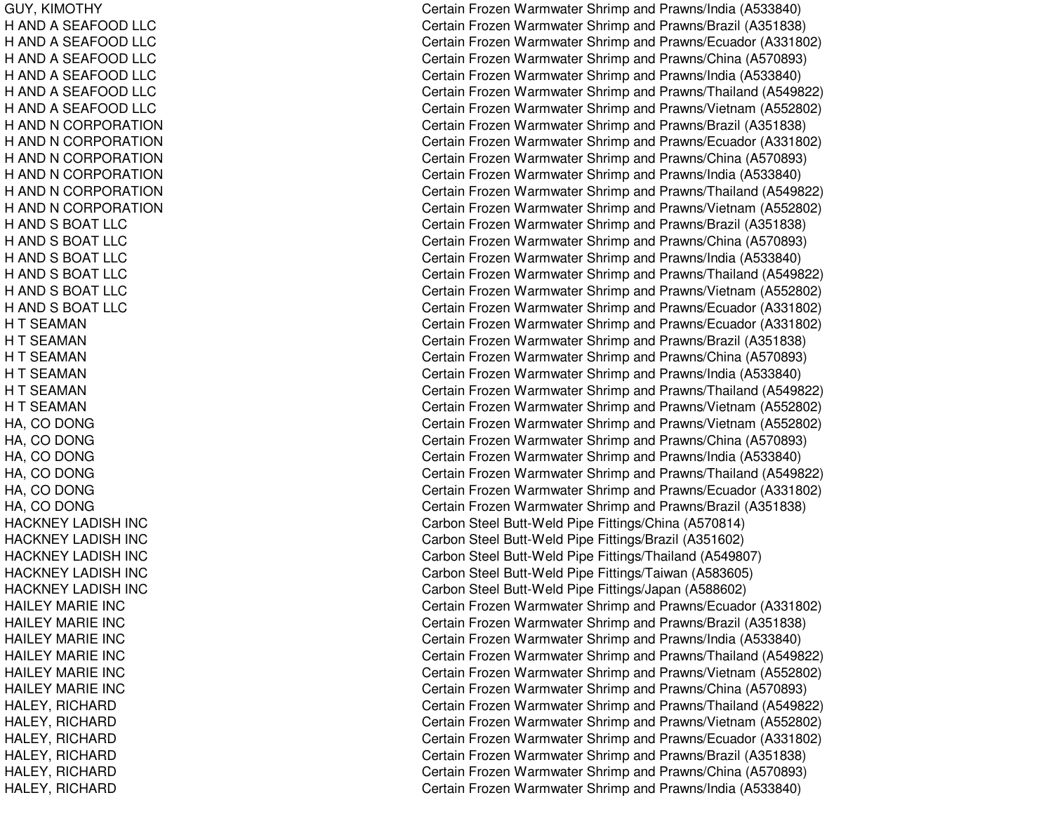GUY, KIM OTHYH AND A SEAFOOD LLC H AND A SEAFOOD LLC H AND A SEAFOOD LLC H AND A SEAFOOD LLC H AND A SEAFOOD LLC H AND A SEAFOOD LLC H AND N CORPORATION H AND N CORPORATION H AND N CORPORATION H AND N CORPORATION H AND N CORPORATION H AND N CORPORATION H AND S BOAT LLC H AND S BOAT LLC H AND S BOAT LLC H AND S BOAT LLC H AND S BOAT LLC H AND S BOAT LLC H T SEAMAN H T SEAMAN H T SEAMAN H T SEAMAN H T SEAMAN H T SEAMAN H A, C O D O N G HA, C ODONGHA, C ODONGHA, C ODONGHA, C ODONGHA, C ODONGHACKNEY LADISH INC HACKNEY LADISH INC H A C K N E Y L A DIS H IN C HACKNEY LADISH INC HACKNEY LADISH INC H AIL E Y MA RIE IN C HAILEY MARIE INC HAILEY MARIE INC HAILEY MARIE INC HAILEY MARIE INC HAIL EYMARIE INCHALEY, RICHARD HALEY, RIC HARDHALEY, RICHARD HALEY, RICHARD HALEY, RIC HARDHALEY, RICHARD

Certain Frozen Warmwater Shrimp and Prawns/India (A533840) Certain Frozen Warmwater Shrimp and Prawns/Brazil (A351838) Certain Frozen Warmwater Shrimp and Prawns/Ecuador (A331802) Certain Frozen Warmwater Shrimp and Prawns/China (A570893) Certain Frozen Warmwater Shrimp and Prawns/India (A533840) Certain Frozen Warmwater Shrimp and Prawns/Thailand (A549822) Certain Frozen Warmwater Shrimp and Prawns/Vietnam (A552802) Certain Frozen Warmwater Shrimp and Prawns/Brazil (A351838) Certain Frozen Warmwater Shrimp and Prawns/Ecuador (A331802) Certain Frozen Warmwater Shrimp and Prawns/China (A570893) Certain Frozen Warmwater Shrimp and Prawns/India (A533840) Certain Frozen Warmwater Shrimp and Prawns/Thailand (A549822) Certain Frozen Warmwater Shrimp and Prawns/Vietnam (A552802) Certain Frozen Warmwater Shrimp and Prawns/Brazil (A351838) Certain Frozen Warmwater Shrimp and Prawns/China (A570893) Certain Frozen Warmwater Shrimp and Prawns/India (A533840) Certain Frozen Warmwater Shrimp and Prawns/Thailand (A549822) Certain Frozen Warmwater Shrimp and Prawns/Vietnam (A552802) Certain Frozen Warmwater Shrimp and Prawns/Ecuador (A331802) Certain Frozen Warmwater Shrimp and Prawns/Ecuador (A331802) C ertain Frozen W arm w ater Shrim p and Pra wns/Brazil (A 3 518 3 8) Certain Frozen Warmwater Shrimp and Prawns/China (A570893) Certain Frozen Warmwater Shrimp and Prawns/India (A533840) Certain Frozen Warmwater Shrimp and Prawns/Thailand (A549822) Certain Frozen Warmwater Shrimp and Prawns/Vietnam (A552802) Certain Frozen Warmwater Shrimp and Prawns/Vietnam (A552802) Certain Frozen Warmwater Shrimp and Prawns/China (A570893) Certain Frozen Warmwater Shrimp and Prawns/India (A533840) Certain Frozen Warmwater Shrimp and Prawns/Thailand (A549822) Certain Frozen Warmwater Shrimp and Prawns/Ecuador (A331802) Certain Frozen Warmwater Shrimp and Prawns/Brazil (A351838) Carbon Steel Butt-Weld Pipe Fittings/China (A570814) Carbon Steel Butt-Weld Pipe Fittings/Brazil (A351602) Carbon Steel Butt-Weld Pipe Fittings/Thailand (A549807) Carbon Steel Butt-Weld Pipe Fittings/Taiwan (A583605) Carbon Steel Butt-Weld Pipe Fittings/Japan (A588602) Certain Frozen Warmwater Shrimp and Prawns/Ecuador (A331802) Certain Frozen Warmwater Shrimp and Prawns/Brazil (A351838) Certain Frozen Warmwater Shrimp and Prawns/India (A533840) Certain Frozen Warmwater Shrimp and Prawns/Thailand (A549822) Certain Frozen Warmwater Shrimp and Prawns/Vietnam (A552802) Certain Frozen Warmwater Shrimp and Prawns/China (A570893) Certain Frozen Warmwater Shrimp and Prawns/Thailand (A549822) Certain Frozen Warmwater Shrimp and Prawns/Vietnam (A552802) Certain Frozen Warmwater Shrimp and Prawns/Ecuador (A331802) C ertain Frozen W arm w ater Shrim p and Pra wns/Brazil (A 3 518 3 8) Certain Frozen Warmwater Shrimp and Prawns/China (A570893) Certain Frozen Warmwater Shrimp and Prawns/India (A533840)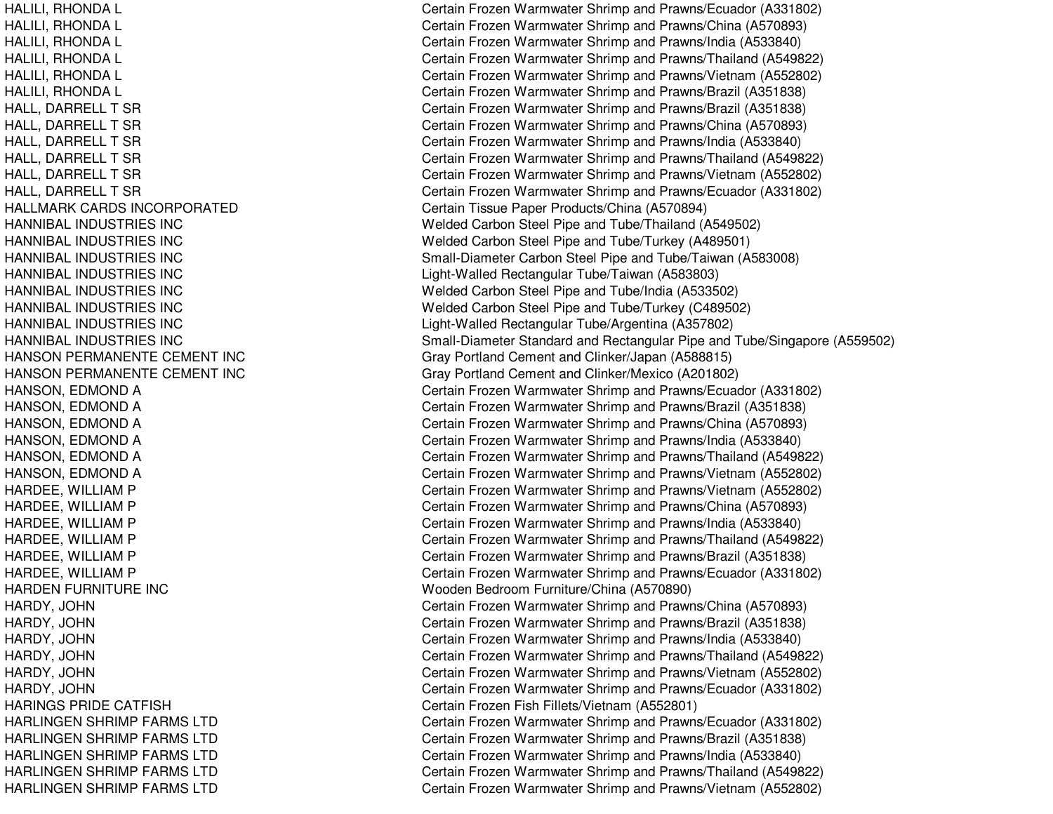HALLMARK CARDS INCORPORATEDHANNIBAL INDUSTRIES INCHANNIBAL INDUSTRIES INCHANNIBAL INDUSTRIES INCHANNIBAL INDUSTRIES INCHANNIBAL INDUSTRIES INCHANNIBAL INDUSTRIES INCHANNIBAL INDUSTRIES INCHANNIBAL INDUSTRIES INCHANSON PERMANENTE CEMENT INC HANSON PERMANENTE CEMENT INC HARDEN FURNITURE INC Wooden BedroomHARINGS PRIDE CATFISH**HARLINGEN SHRIMP FARMS LTD** HARLINGEN SHRIMP FARMS LTD HARLINGEN SHRIMP FARMS LTD HARLINGEN SHRIMP FARMS LTD HARLINGEN SHRIMP FARMS LTD

HALILI, RHONDA L Certain Frozen Warmwater Shrimp and Prawns/Ecuador (A331802) HALILI, RHONDA L Certain Frozen Warmwater Shrimp and Prawns/China (A570893) HALILI, RHONDA L Certain Frozen Warmwater Shrimp and Prawns/India (A533840) HALILI, RHONDA L Certain Frozen Warmwater Shrimp and Prawns/Thailand (A549822) HALILI, RHONDA L Certain Frozen Warmwater Shrimp and Prawns/Vietnam (A552802) HALILI, RHONDA L Certain Frozen Warmwater Shrimp and Prawns/Brazil (A351838) HALL, DARRELL T SR Certain Frozen Warmwater Shrimp and Prawns/Brazil (A351838) HALL, DARRELL T SR Certain Frozen Warmwater Shrimp and Prawns/China (A570893) HALL, DARRELL T SR Certain Frozen Warmwater Shrimp and Prawns/India (A533840) HALL, DARRELL T SR Certain Frozen Warmwater Shrimp and Prawns/Thailand (A549822) HALL, DARRELL T SR Certain Frozen Warmwater Shrimp and Prawns/Vietnam (A552802) HALL, DARRELL T SR Certain Frozen Warmwater Shrimp and Prawns/Ecuador (A331802) Certain Tissue Paper Products/China (A570894) Welded Carbon Steel Pipe and Tube/Thailand (A549502) Welded Carbon Steel Pipe and Tube/Turkey (A489501) Small-Diameter Carbon Steel Pipe and Tube/Taiwan (A583008) Light-Walled Rectangular Tube/Taiwan (A583803) Welded Carbon Steel Pipe and Tube/India (A533502) Welded Carbon Steel Pipe and Tube/Turkey (C489502) Light-Walled Rectangular Tube/Argentina (A357802) Small-Diameter Standard and Rectangular Pipe and Tube/Singapore (A559502) Gray Portland Cement and Clinker/Japan (A588815) Gray Portland Cement and Clinker/Mexico (A201802) HANSON, EDMOND A Certain Frozen Warmwater Shrimp and Prawns/Ecuador (A331802) HANSON, EDMOND A Certain Frozen Warmwater Shrimp and Prawns/Brazil (A351838) HANSON, EDMOND A Certain Frozen Warmwater Shrimp and Prawns/China (A570893) HANSON, EDMOND A Certain Frozen Warmwater Shrimp and Prawns/India (A533840) HANSON, EDMOND A Certain Frozen Warmwater Shrimp and Prawns/Thailand (A549822) HANSON, EDMOND A Certain Frozen Warmwater Shrimp and Prawns/Vietnam (A552802) HARDEE, WILLIAM P Certain Frozen Warmwater Shrimp and Prawns/Vietnam (A552802) HARDEE, WILLIAM P Certain Frozen Warmwater Shrimp and Prawns/China (A570893) HARDEE, WILLIAM P Certain Frozen Warmwater Shrimp and Prawns/India (A533840) HARDEE, WILLIAM P Certain Frozen Warmwater Shrimp and Prawns/Thailand (A549822) HARDEE, WILLIAM P Certain Frozen Warmwater Shrimp and Prawns/Brazil (A351838) HARDEE, WILLIAM P Certain Frozen Warmwater Shrimp and Prawns/Ecuador (A331802) Wooden Bedroom Furniture/China (A570890) HARDY, JOHN Certain Frozen Warmwater Shrimp and Prawns/China (A570893) HARDY, JOHN Certain Frozen Warmwater Shrimp and Prawns/Brazil (A351838) HARDY, JOHN Certain Frozen Warmwater Shrimp and Prawns/India (A533840) HARDY, JOHN Certain Frozen Warmwater Shrimp and Prawns/Thailand (A549822) HARDY, JOHN Certain Frozen Warmwater Shrimp and Prawns/Vietnam (A552802) HARDY, JOHN Certain Frozen Warmwater Shrimp and Prawns/Ecuador (A331802) Certain Frozen Fish Fillets/Vietnam (A552801) Certain Frozen Warmwater Shrimp and Prawns/Ecuador (A331802) Certain Frozen Warmwater Shrimp and Prawns/Brazil (A351838) Certain Frozen Warmwater Shrimp and Prawns/India (A533840) Certain Frozen Warmwater Shrimp and Prawns/Thailand (A549822) Certain Frozen Warmwater Shrimp and Prawns/Vietnam (A552802)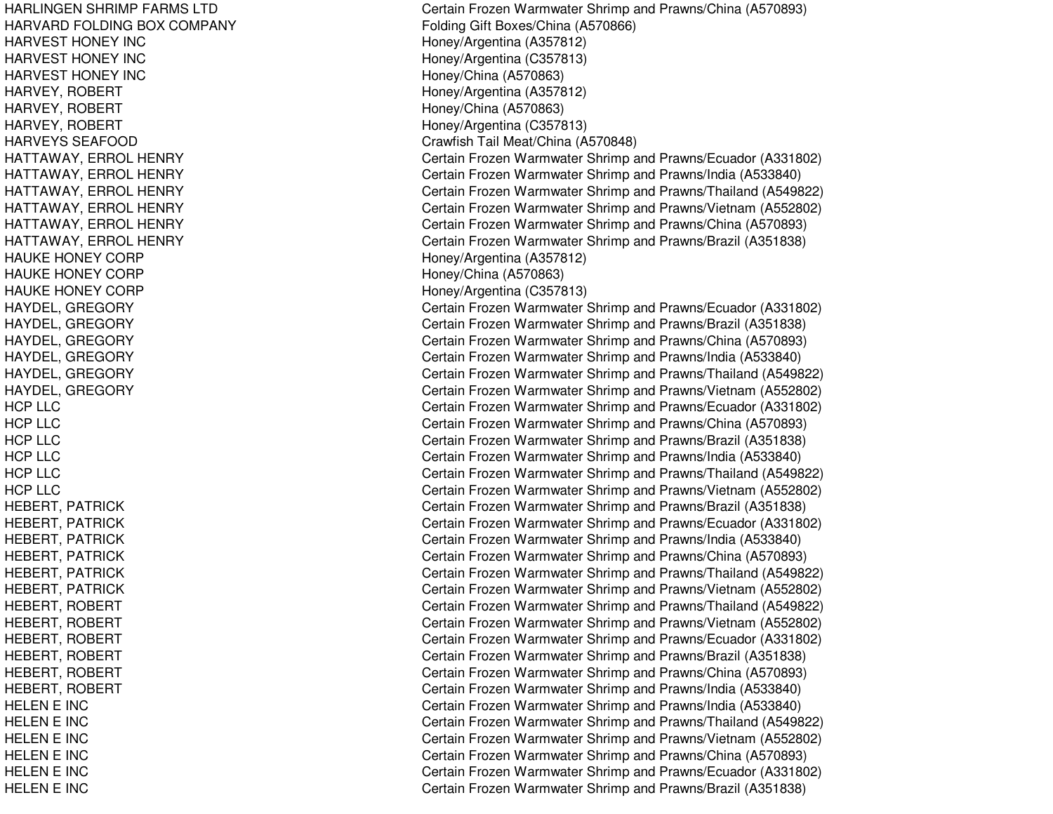HARLINGEN SHRIMP FARMS LTD HARVARD FOLDING BOX COMPANY HARVEST HONEY INC HARVEST HONEY INC HARVEST HONEY INC HARVEY, ROBERT HARVEY, ROBERT HARVEY, R OBERTH A R V E Y S S E A F OOD HATTAWAY, ERROL HENRY HATTAWAY, ERROL HENRY HATTAWAY, ERROL HENRY HATTAWAY, ERROL HENRY HATTAWAY, E RROL HENRYHATTAWAY, ERROL HENRY HAUKE HONEY CORP HAUKE HONEY CORP HAUKE HONEY CORP HAYDEL, G REGORYHA Y DE L, G RE GORY HAYDEL, GREGORY HAYDEL, GREGORY H A Y D E L, G R E GOR Y HAYDEL, G REGORYHCP LLC HCPLLCHCPLLCHCPLLCHCPLLCHCPLLCHEBERT, PATRICK HEBERT, PATRICK HEBERT, PATRICK HEBERT, PATRICK HEBERT, PATRICK HEBERT, P ATRICKHEBERT, ROBERT HEBERT, ROBERT HEBERT, ROBERT HEBERT, ROBERT HEBERT, R OBERTHEBERT, R OBERT H E L E N E IN C HELENE INCHE L E NE INCHELENE INCHELENE INCHELENE INC

Certain Frozen Warmwater Shrimp and Prawns/China (A570893) Folding Gift Boxes/China (A 570866) Hone y/Arg entina (A 3 5 7 812) H one y/Arg entina (C 3 5 7 813) Honey/China (A570863) Hone y/Arg entina (A 3 5 7 812) H one y/China (A 5 7 0 8 6 3) Honey/Arg entina (C 357813) Cra wfish T ail Me at/China (A 5 7 0 8 4 8) Certain Frozen Warmwater Shrimp and Prawns/Ecuador (A331802) Certain Frozen Warmwater Shrimp and Prawns/India (A533840) Certain Frozen Warmwater Shrimp and Prawns/Thailand (A549822) Certain Frozen Warmwater Shrimp and Prawns/Vietnam (A552802) Certain Frozen Warmwater Shrimp and Prawns/China (A570893) Certain Frozen Warmwater Shrimp and Prawns/Brazil (A351838) H one y/Arg entina (A 3 5 7 812) Hone y/China (A 5 7 0 8 6 3) H one y/Arg entina (C 3 5 7 813) Certain Frozen Warmwater Shrimp and Prawns/Ecuador (A331802) Certain Frozen Warmwater Shrimp and Prawns/Brazil (A351838) Certain Frozen Warmwater Shrimp and Prawns/China (A570893) Certain Frozen Warmwater Shrimp and Prawns/India (A533840) Certain Frozen Warmwater Shrimp and Prawns/Thailand (A549822) Certain Frozen Warmwater Shrimp and Prawns/Vietnam (A552802) Certain Frozen Warmwater Shrimp and Prawns/Ecuador (A331802) Certain Frozen Warmwater Shrimp and Prawns/China (A570893) Certain Frozen Warmwater Shrimp and Prawns/Brazil (A351838) Certain Frozen Warmwater Shrimp and Prawns/India (A533840) Certain Frozen Warmwater Shrimp and Prawns/Thailand (A549822) Certain Frozen Warmwater Shrimp and Prawns/Vietnam (A552802) Certain Frozen Warmwater Shrimp and Prawns/Brazil (A351838) Certain Frozen Warmwater Shrimp and Prawns/Ecuador (A331802) Certain Frozen Warmwater Shrimp and Prawns/India (A533840) Certain Frozen Warmwater Shrimp and Prawns/China (A570893) Certain Frozen Warmwater Shrimp and Prawns/Thailand (A549822) Certain Frozen Warmwater Shrimp and Prawns/Vietnam (A552802) Certain Frozen Warmwater Shrimp and Prawns/Thailand (A549822) Certain Frozen Warmwater Shrimp and Prawns/Vietnam (A552802) Certain Frozen Warmwater Shrimp and Prawns/Ecuador (A331802) Certain Frozen Warmwater Shrimp and Prawns/Brazil (A351838) Certain Frozen Warmwater Shrimp and Prawns/China (A570893) Certain Frozen Warmwater Shrimp and Prawns/India (A533840) Certain Frozen Warmwater Shrimp and Prawns/India (A533840) Certain Frozen Warmwater Shrimp and Prawns/Thailand (A549822) Certain Frozen Warmwater Shrimp and Prawns/Vietnam (A552802) Certain Frozen Warmwater Shrimp and Prawns/China (A570893) Certain Frozen Warmwater Shrimp and Prawns/Ecuador (A331802) Certain Frozen Warmwater Shrimp and Prawns/Brazil (A351838)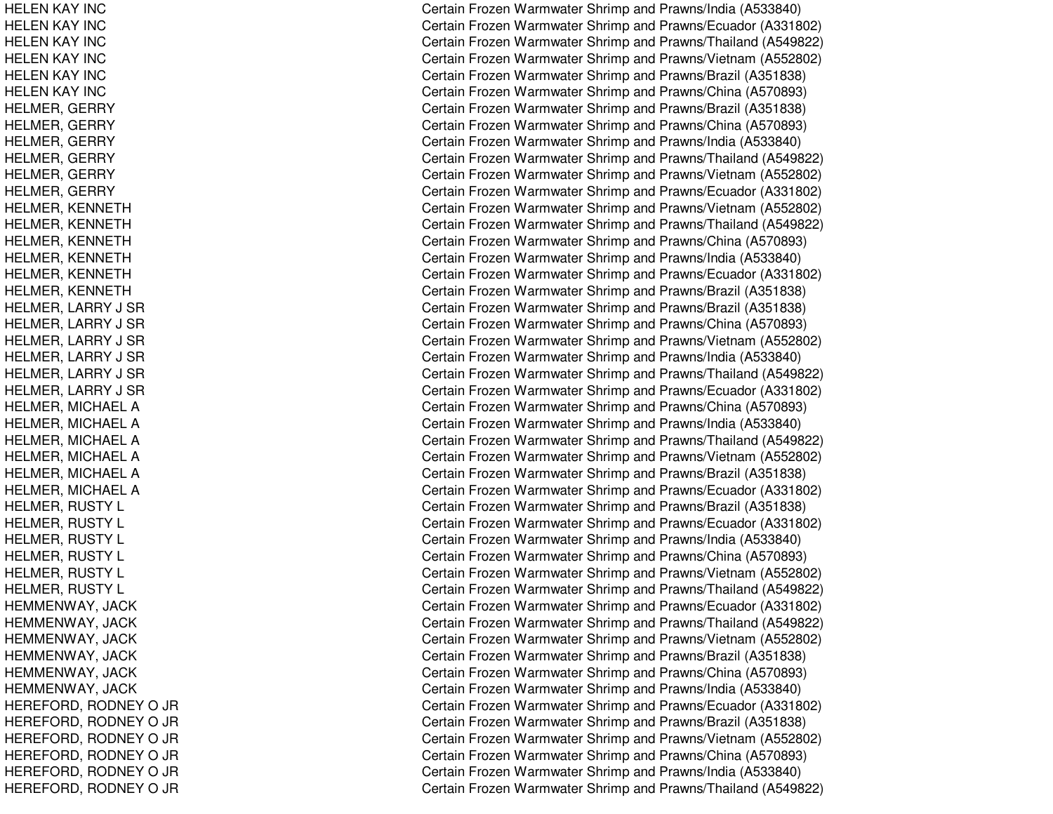HELEN KAY INC HELEN KAY INC HEL ENKAY INCHELEN KAY INC HELEN KAY INC HELEN KAY INC HELMER, GERRY HELMER, G ERRYHELMER, GERRY HELMER, GERRY HELMER, G ERRYHELMER, GERRY HELMER, K ENNETHHELMER, KENNETH HELMER, KENNETH HELMER, K ENNETHHEL MER, K ENNET HHELMER, KENNETH HELMER, L ARRY J S RHELMER, LARRY J SR HELMER, LARRY J SR HELMER, L ARRY J S RHELMER, LARRY J SR HELMER, L ARRY J S RHEL MER, MIC HAEL AHELMER, MICHAEL A HELMER, MIC HAELAHEL MER, MIC HAEL AHELMER, MICHAEL A HELMER, MIC HAELAHELMER, RUSTY L HELMER, RUSTY L HELMER, RUSTY L HELMER, RUSTY L HELMER, RUSTY L HELMER, R USTYLH E MME N WA Y, JA C K H E M M E N W A Y, JA C K HEMMENWAY, JACK HEMMENWAY, JACK HEMMENWAY, JA CKHEMMENWAY, JA CKHEREFORD, RODNEY O JR HEREFORD, RODNEY O JR HE RE F ORD, R ODNE Y O JR HEREFORD, RODNEY O JR HEREFORD, RODNEY O JR H E R E F OR D, R OD N E Y O JR Certain Frozen Warmwater Shrimp and Prawns/India (A533840) Certain Frozen Warmwater Shrimp and Prawns/Ecuador (A331802) Certain Frozen Warmwater Shrimp and Prawns/Thailand (A549822) Certain Frozen Warmwater Shrimp and Prawns/Vietnam (A552802) Certain Frozen Warmwater Shrimp and Prawns/Brazil (A351838) Certain Frozen Warmwater Shrimp and Prawns/China (A570893) Certain Frozen Warmwater Shrimp and Prawns/Brazil (A351838) Certain Frozen Warmwater Shrimp and Prawns/China (A570893) Certain Frozen Warmwater Shrimp and Prawns/India (A533840) Certain Frozen Warmwater Shrimp and Prawns/Thailand (A549822) Certain Frozen Warmwater Shrimp and Prawns/Vietnam (A552802) Certain Frozen Warmwater Shrimp and Prawns/Ecuador (A331802) Certain Frozen Warmwater Shrimp and Prawns/Vietnam (A552802) Certain Frozen Warmwater Shrimp and Prawns/Thailand (A549822) Certain Frozen Warmwater Shrimp and Prawns/China (A570893) Certain Frozen Warmwater Shrimp and Prawns/India (A533840) Certain Frozen Warmwater Shrimp and Prawns/Ecuador (A331802) Certain Frozen Warmwater Shrimp and Prawns/Brazil (A351838) Certain Frozen Warmwater Shrimp and Prawns/Brazil (A351838) Certain Frozen Warmwater Shrimp and Prawns/China (A570893) Certain Frozen Warmwater Shrimp and Prawns/Vietnam (A552802) Certain Frozen Warmwater Shrimp and Prawns/India (A533840) Certain Frozen Warmwater Shrimp and Prawns/Thailand (A549822) Certain Frozen Warmwater Shrimp and Prawns/Ecuador (A331802) Certain Frozen Warmwater Shrimp and Prawns/China (A570893) Certain Frozen Warmwater Shrimp and Prawns/India (A533840) Certain Frozen Warmwater Shrimp and Prawns/Thailand (A549822) Certain Frozen Warmwater Shrimp and Prawns/Vietnam (A552802) Certain Frozen Warmwater Shrimp and Prawns/Brazil (A351838) Certain Frozen Warmwater Shrimp and Prawns/Ecuador (A331802) Certain Frozen Warmwater Shrimp and Prawns/Brazil (A351838) Certain Frozen Warmwater Shrimp and Prawns/Ecuador (A331802) Certain Frozen Warmwater Shrimp and Prawns/India (A533840) Certain Frozen Warmwater Shrimp and Prawns/China (A570893) Certain Frozen Warmwater Shrimp and Prawns/Vietnam (A552802) Certain Frozen Warmwater Shrimp and Prawns/Thailand (A549822) Certain Frozen Warmwater Shrimp and Prawns/Ecuador (A331802) Certain Frozen Warmwater Shrimp and Prawns/Thailand (A549822) Certain Frozen Warmwater Shrimp and Prawns/Vietnam (A552802) Certain Frozen Warmwater Shrimp and Prawns/Brazil (A351838) Certain Frozen Warmwater Shrimp and Prawns/China (A570893) Certain Frozen Warmwater Shrimp and Prawns/India (A533840) Certain Frozen Warmwater Shrimp and Prawns/Ecuador (A331802) Certain Frozen Warmwater Shrimp and Prawns/Brazil (A351838) Certain Frozen Warmwater Shrimp and Prawns/Vietnam (A552802) Certain Frozen Warmwater Shrimp and Prawns/China (A570893) Certain Frozen Warmwater Shrimp and Prawns/India (A533840) Certain Frozen Warmwater Shrimp and Prawns/Thailand (A549822)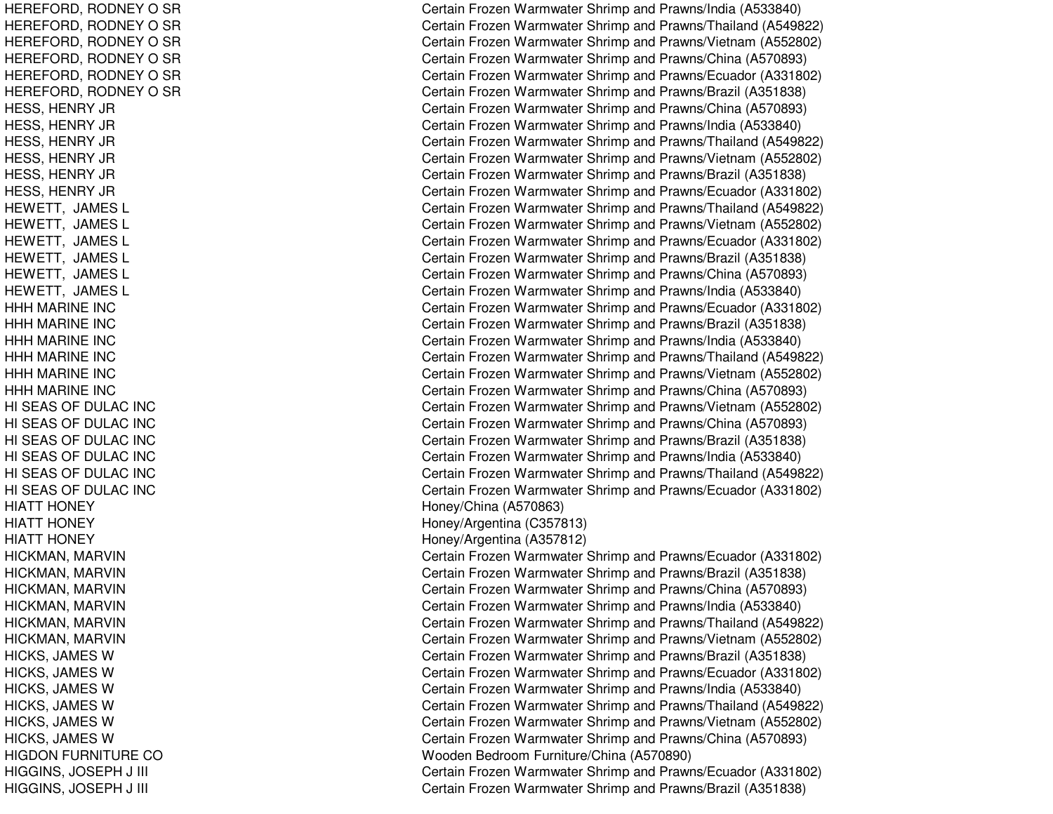HEREFORD, RODNEY O SR HEREFORD, RODNEY O SR HEREFORD, RODNEY O SR HEREFORD, RODNEY O SR HEREFORD, RODNEY O SR HEREFORD, RODNEY O SR HESS, HENRY JR HESS, H ENRY JRH E S S, H E N R Y JR HESS, HENRY JR HESS, H ENRY JRH E S S, H E N R Y JR HEWETT, JA MESLHEWETT, JA MESL HEWETT, JAMES L HEWETT, JAMES L HEWETT, JAMES L HEWETT, JAMES L HHHMARINE INCHHH MARINE INC H H H M A RIN E IN C HHHMARINE INCHHHMARINE INCHHHMARINE INCHI SEAS OF DULAC INC HI SEAS OF DULAC INC HI SEAS OF DULAC INC HI SEAS OF DULAC INC HI SEAS OF DULAC INC HI SEAS OF DULAC INC HIATT HONEY HIATT HONEY HIATT HONEY HICKMAN, MARVIN HICKMAN, MARVIN HICKMAN, M ARVINHICKMAN, MARVIN HICKMAN, MARVIN HICKMAN, M ARVINHICKS, JAMES W HICKS, JAMES W HICKS, JAMES W HICKS, JAMES W HICKS, JAMES W HICK S, JA ME S WHIGDON FURNITURE CO HIGGINS, JO SEPH J III C HIGGINS, JOSEPH J III CHARGION AND THE CONTROL OF THE CONTROL OF THE CONTROL OF THE CONTROL OF THE CONTROL OF THE CONTROL OF THE CONTROL OF THE CONTROL OF THE CONTROL OF THE CONTROL OF THE CONTROL OF THE CONTROL OF THE CON

Certain Frozen Warmwater Shrimp and Prawns/India (A533840) Certain Frozen Warmwater Shrimp and Prawns/Thailand (A549822) Certain Frozen Warmwater Shrimp and Prawns/Vietnam (A552802) Certain Frozen Warmwater Shrimp and Prawns/China (A570893) Certain Frozen Warmwater Shrimp and Prawns/Ecuador (A331802) Certain Frozen Warmwater Shrimp and Prawns/Brazil (A351838) Certain Frozen Warmwater Shrimp and Prawns/China (A570893) Certain Frozen Warmwater Shrimp and Prawns/India (A533840) Certain Frozen Warmwater Shrimp and Prawns/Thailand (A549822) Certain Frozen Warmwater Shrimp and Prawns/Vietnam (A552802) Certain Frozen Warmwater Shrimp and Prawns/Brazil (A351838) Certain Frozen Warmwater Shrimp and Prawns/Ecuador (A331802) Certain Frozen Warmwater Shrimp and Prawns/Thailand (A549822) Certain Frozen Warmwater Shrimp and Prawns/Vietnam (A552802) Certain Frozen Warmwater Shrimp and Prawns/Ecuador (A331802) Certain Frozen Warmwater Shrimp and Prawns/Brazil (A351838) Certain Frozen Warmwater Shrimp and Prawns/China (A570893) Certain Frozen Warmwater Shrimp and Prawns/India (A533840) Certain Frozen Warmwater Shrimp and Prawns/Ecuador (A331802) Certain Frozen Warmwater Shrimp and Prawns/Brazil (A351838) Certain Frozen Warmwater Shrimp and Prawns/India (A533840) Certain Frozen Warmwater Shrimp and Prawns/Thailand (A549822) Certain Frozen Warmwater Shrimp and Prawns/Vietnam (A552802) Certain Frozen Warmwater Shrimp and Prawns/China (A570893) Certain Frozen Warmwater Shrimp and Prawns/Vietnam (A552802) Certain Frozen Warmwater Shrimp and Prawns/China (A570893) Certain Frozen Warmwater Shrimp and Prawns/Brazil (A351838) Certain Frozen Warmwater Shrimp and Prawns/India (A533840) Certain Frozen Warmwater Shrimp and Prawns/Thailand (A549822) Certain Frozen Warmwater Shrimp and Prawns/Ecuador (A331802) Hone y/China (A 5 7 0 8 6 3) H one y/Arg entina (C 3 5 7 813) H one y/Arg entina (A 3 5 7 812) Certain Frozen Warmwater Shrimp and Prawns/Ecuador (A331802) C ertain Frozen W arm w ater Shrim p and Pra wns/Brazil (A 3 518 3 8) Certain Frozen Warmwater Shrimp and Prawns/China (A570893) Certain Frozen Warmwater Shrimp and Prawns/India (A533840) Certain Frozen Warmwater Shrimp and Prawns/Thailand (A549822) Certain Frozen Warmwater Shrimp and Prawns/Vietnam (A552802) Certain Frozen Warmwater Shrimp and Prawns/Brazil (A351838) Certain Frozen Warmwater Shrimp and Prawns/Ecuador (A331802) Certain Frozen Warmwater Shrimp and Prawns/India (A533840) Certain Frozen Warmwater Shrimp and Prawns/Thailand (A549822) Certain Frozen Warmwater Shrimp and Prawns/Vietnam (A552802) Certain Frozen Warmwater Shrimp and Prawns/China (A570893) Wooden Bedroom Furniture/China (A570890) ertain Frozen Warmwater Shrimp and Prawns/Ecuador (A331802) ertain Frozen Warmwater Shrimp and Prawns/Brazil (A351838)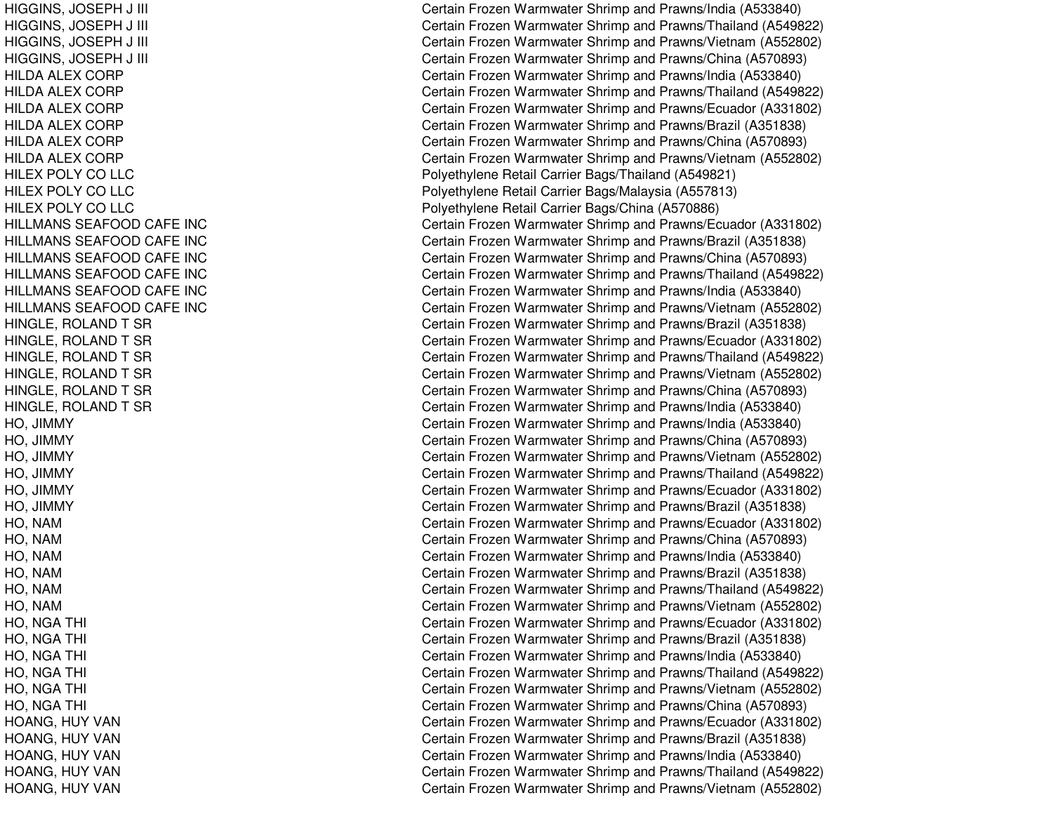HIGGINS, JO SEPH J III C HIGGINS, JOSEPH J III CHARGE AND THE STATE OF THE STATE OF THE STATE OF THE STATE OF THE STATE OF THE STATE OF HIGGINS, JO SEPH J III C HIGGINS, JOSEPH J III CHARGE AND THE STATE OF THE STATE OF THE STATE OF THE STATE OF THE STATE OF THE STATE OF HILDA ALEX CORP HIL DA A L E X CORP HILDA ALEX CORP HILDA ALEX CORP HILDA ALEX CORP HILDA ALEX CORP HILEX POLY CO LLC HILEX POLY CO LLC HILEX POLY CO LLC HIL L MANSSEAFOODCAFE INCHILLMANS SEAFOOD CAFE INC HILLMANS SEAFOOD CAFE INC HILLMANS SEAFOOD CAFE INC HILLMANS SEAFOOD CAFE INC HILLMANS SEAFOOD CAFE INC HINGLE, ROLAND T SR HINGLE, ROLAND T SR HINGLE, ROLAND T SR HINGLE, ROLAND T SR HINGLE, ROLAND T SR HINGLE, ROLAND T SR H O, JIM MY HO, JIM MYHO, JIM MYH O, JIM M Y HO, JIM MYHO, JIM MY H O, N A M HO, N AMH O, N A MHO, N AMHO, N AMH O, N A MHO, N GATHI $\overline{C}$ HO, N GATHIl contract to the contract of the contract of the contract of the contract of the contract of the contract of the contract of the contract of the contract of the contract of the contract of the contract of the contract of HO, NGA THI  $\overline{C}$ HO, N GATHI $\overline{C}$ HO, N GAT HIl contract to the contract of the contract of the contract of the contract of the contract of the contract of the contract of the contract of the contract of the contract of the contract of the contract of the contract of HO, NGA THI  $\overline{C}$ HOANG, HUY VAN HOANG, HUY VAN HOANG, HUY VAN HOANG, HUY VAN HOANG, HUY VAN

ertain Frozen Warmwater Shrimp and Prawns/India (A533840) ertain Frozen Warmwater Shrimp and Prawns/Thailand (A549822) ertain Frozen Warmwater Shrimp and Prawns/Vietnam (A552802) ertain Frozen Warmwater Shrimp and Prawns/China (A570893) Certain Frozen Warmwater Shrimp and Prawns/India (A533840) Certain Frozen Warmwater Shrimp and Prawns/Thailand (A549822) Certain Frozen Warmwater Shrimp and Prawns/Ecuador (A331802) Certain Frozen Warmwater Shrimp and Prawns/Brazil (A351838) Certain Frozen Warmwater Shrimp and Prawns/China (A570893) Certain Frozen Warmwater Shrimp and Prawns/Vietnam (A552802) Poly ethylene Retail Carrier Bags/Thailand (A 549821) Polyethylene Retail Carrier Bags/Malaysia (A557813) Polyethylene Retail Carrier Bags/China (A570886) Certain Frozen Warmwater Shrimp and Prawns/Ecuador (A331802) Certain Frozen Warmwater Shrimp and Prawns/Brazil (A351838) Certain Frozen Warmwater Shrimp and Prawns/China (A570893) Certain Frozen Warmwater Shrimp and Prawns/Thailand (A549822) Certain Frozen Warmwater Shrimp and Prawns/India (A533840) Certain Frozen Warmwater Shrimp and Prawns/Vietnam (A552802) Certain Frozen Warmwater Shrimp and Prawns/Brazil (A351838) Certain Frozen Warmwater Shrimp and Prawns/Ecuador (A331802) Certain Frozen Warmwater Shrimp and Prawns/Thailand (A549822) Certain Frozen Warmwater Shrimp and Prawns/Vietnam (A552802) Certain Frozen Warmwater Shrimp and Prawns/China (A570893) Certain Frozen Warmwater Shrimp and Pra wns/India (A 5 3 3 8 4 0) Certain Frozen Warmwater Shrimp and Prawns/India (A533840) Certain Frozen Warmwater Shrimp and Prawns/China (A570893) Certain Frozen Warmwater Shrimp and Prawns/Vietnam (A552802) Certain Frozen Warmwater Shrimp and Prawns/Thailand (A549822) Certain Frozen Warmwater Shrimp and Prawns/Ecuador (A331802) Certain Frozen Warmwater Shrimp and Prawns/Brazil (A351838) Certain Frozen Warmwater Shrimp and Prawns/Ecuador (A331802) Certain Frozen Warmwater Shrimp and Prawns/China (A570893) Certain Frozen Warmwater Shrimp and Prawns/India (A533840) C ertain Frozen W arm w ater Shrim p and Pra wns/Brazil (A 3 518 3 8) Certain Frozen Warmwater Shrimp and Prawns/Thailand (A549822) Certain Frozen Warmwater Shrimp and Prawns/Vietnam (A552802) Certain Frozen Warmwater Shrimp and Prawns/Ecuador (A331802) Certain Frozen Warmwater Shrimp and Prawns/Brazil (A351838) Certain Frozen Warmwater Shrimp and Prawns/India (A533840) Certain Frozen Warmwater Shrimp and Prawns/Thailand (A549822) ertain Frozen Warmwater Shrimp and Prawns/Vietnam (A552802) Certain Frozen Warmwater Shrimp and Prawns/China (A570893) Certain Frozen Warmwater Shrimp and Prawns/Ecuador (A331802) Certain Frozen Warmwater Shrimp and Prawns/Brazil (A351838) Certain Frozen Warmwater Shrimp and Prawns/India (A533840) Certain Frozen Warmwater Shrimp and Prawns/Thailand (A549822) Certain Frozen Warmwater Shrimp and Prawns/Vietnam (A552802)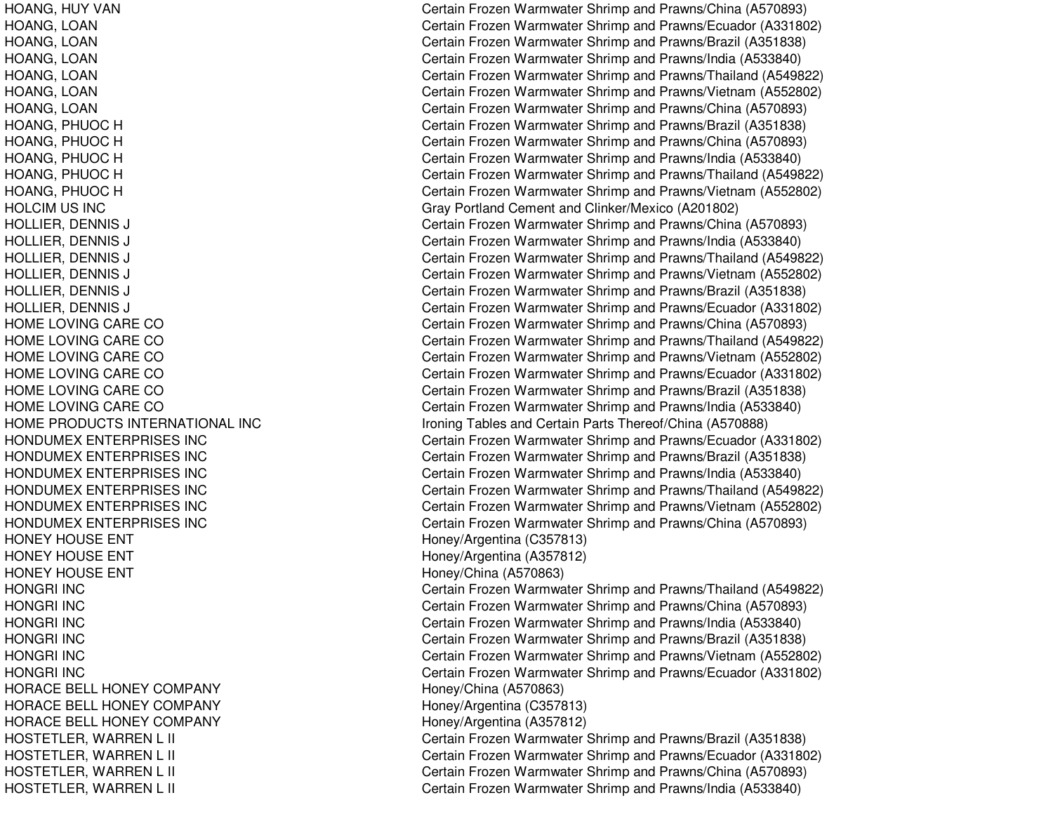HOLCIM US INC HOME LOVINGHOME LOVINGHOME LOVINGHOME LOVINGHOME LOVINGHOME LOVINGHOME PRODUCTS INTERNATIONAL INCHONDUMEX ENTERPRISES INCHONDUMEX ENTERPRISES INCHONDUMEX ENTERPRISES INCHONDUMEX ENTERPRISES INCHONDUMEX ENTERPRISES INCHONDUMEX ENTERPRISES INCHONEY HOUSE ENT **HONEY HOUSE ENT** HONEY HOUSE ENT HONGRI INCHONGRI INCHONGRI INCHONGRI INCHONGRI INCHONGRI INCHORACE BELL HONEY COMPANY Honey/China (A570863) HORACE BELL HONEY COMPANY Honey/Argentina (C357813) HORACE BELL HONEY COMPANY

HOANG, HUY VAN Certain Frozen Warmwater Shrimp and Prawns/China (A570893) HOANG, LOAN Certain Frozen Warmwater Shrimp and Prawns/Ecuador (A331802) HOANG, LOAN Certain Frozen Warmwater Shrimp and Prawns/Brazil (A351838) HOANG, LOAN Certain Frozen Warmwater Shrimp and Prawns/India (A533840) HOANG, LOAN Certain Frozen Warmwater Shrimp and Prawns/Thailand (A549822) HOANG, LOAN Certain Frozen Warmwater Shrimp and Prawns/Vietnam (A552802) HOANG, LOAN Certain Frozen Warmwater Shrimp and Prawns/China (A570893) HOANG, PHUOC H Certain Frozen Warmwater Shrimp and Prawns/Brazil (A351838) HOANG, PHUOC H Certain Frozen Warmwater Shrimp and Prawns/China (A570893) HOANG, PHUOC H Certain Frozen Warmwater Shrimp and Prawns/India (A533840) HOANG, PHUOC H Certain Frozen Warmwater Shrimp and Prawns/Thailand (A549822) HOANG, PHUOC H Certain Frozen Warmwater Shrimp and Prawns/Vietnam (A552802) Gray Portland Cement and Clinker/Mexico (A201802) HOLLIER, DENNIS J Certain Frozen Warmwater Shrimp and Prawns/China (A570893) HOLLIER, DENNIS J Certain Frozen Warmwater Shrimp and Prawns/India (A533840) HOLLIER, DENNIS J Certain Frozen Warmwater Shrimp and Prawns/Thailand (A549822) HOLLIER, DENNIS J Certain Frozen Warmwater Shrimp and Prawns/Vietnam (A552802) HOLLIER, DENNIS J Certain Frozen Warmwater Shrimp and Prawns/Brazil (A351838) HOLLIER, DENNIS J Certain Frozen Warmwater Shrimp and Prawns/Ecuador (A331802) Certain Frozen Warmwater Shrimp and Prawns/China (A570893) Certain Frozen Warmwater Shrimp and Prawns/Thailand (A549822) Certain Frozen Warmwater Shrimp and Prawns/Vietnam (A552802) Certain Frozen Warmwater Shrimp and Prawns/Ecuador (A331802) Certain Frozen Warmwater Shrimp and Prawns/Brazil (A351838) Certain Frozen Warmwater Shrimp and Prawns/India (A533840) Ironing Tables and Certain Parts Thereof/China (A570888) Certain Frozen Warmwater Shrimp and Prawns/Ecuador (A331802) Certain Frozen Warmwater Shrimp and Prawns/Brazil (A351838) Certain Frozen Warmwater Shrimp and Prawns/India (A533840) Certain Frozen Warmwater Shrimp and Prawns/Thailand (A549822) Certain Frozen Warmwater Shrimp and Prawns/Vietnam (A552802) Certain Frozen Warmwater Shrimp and Prawns/China (A570893) Honey/Argentina (C357813) Honey/Argentina (A357812) Honey/China (A570863) Certain Frozen Warmwater Shrimp and Prawns/Thailand (A549822) Certain Frozen Warmwater Shrimp and Prawns/China (A570893) Certain Frozen Warmwater Shrimp and Prawns/India (A533840) Certain Frozen Warmwater Shrimp and Prawns/Brazil (A351838) Certain Frozen Warmwater Shrimp and Prawns/Vietnam (A552802) Certain Frozen Warmwater Shrimp and Prawns/Ecuador (A331802) Honey/Argentina (A357812) HOSTETLER, WARREN L II CHARREN AND Certain Frozen Warmwater Shrimp and Prawns/Brazil (A351838) HOSTETLER, WARREN L II Certain Frozen Warmwater Shrimp and Prawns/Ecuador (A331802) HOSTETLER, WARREN L II Certain Frozen Warmwater Shrimp and Prawns/China (A570893) HOSTETLER, WARREN L II Certain Frozen Warmwater Shrimp and Prawns/India (A533840)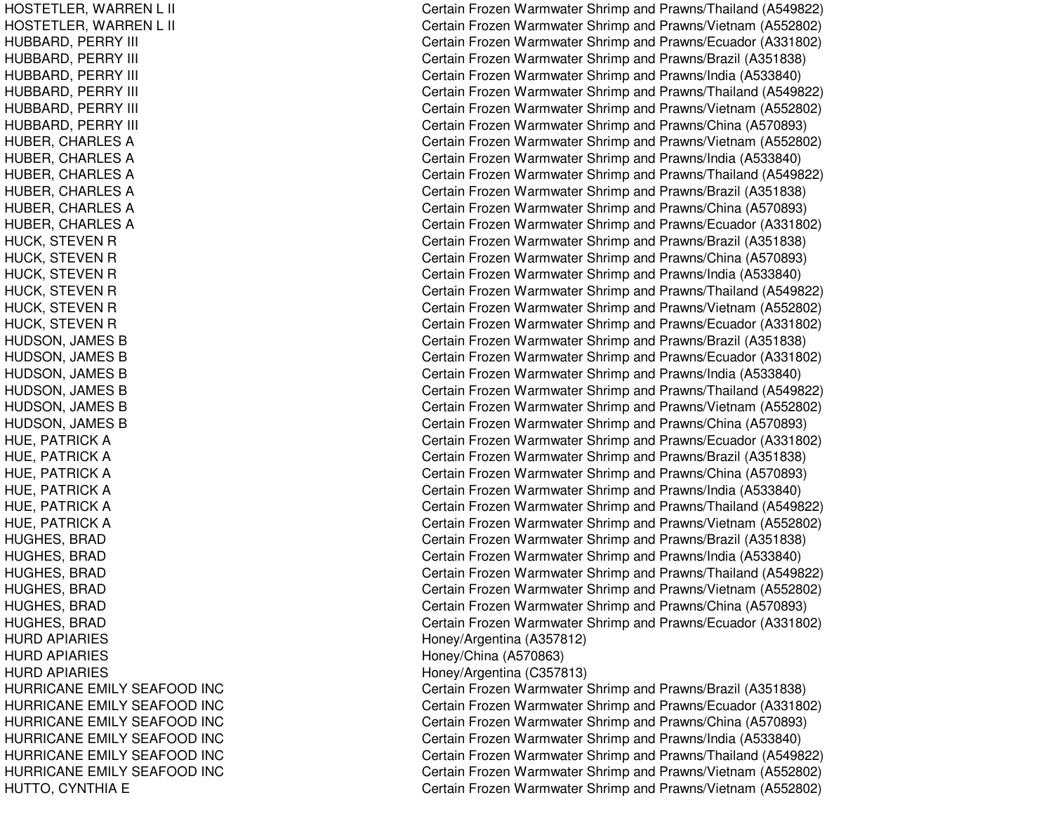HOSTETLER, WARREN L LII C HOSTETLER, W ARRENLLII C HUBBARD, P ERRYYIII C HUBBARD, PERRY YIII C HUBBARD, P ERRYYIII C HUBBARD, PERRY YIII C HUBBARD, P ERRYYIII C HUBBARD, P ERRYYIII C HUBER, CHARLES A HUBER, CHARLES A HUBER, C HARLESAHUBER, CHARLES A HUBER, C HARLESAHUBER, C HARL ESAHUCK, STEVEN R HUCK, STEVEN R HUCK, STEVEN R HUCK, STEVEN R HUCK, STEVEN R HUCK, STEVEN R HUDSON, JAMES B HUDSON, JAMES B H U D S ON, JA ME S B HUDSON, JAMES B HUDSON, JAMES B H U D S O N, JA ME S B HUE, P ATRICKAHUE, P AT RICKAHUE, PATRICK A HUE, P ATRICKAHUE, PATRICK A HUE, PATRICK A H U G H E S, B R A D H U GH E S, B R A D H U G H E S, B R A D HUGHES, B RADH U G H E S, B R A D H U G H E S, B R A D HURD APIARIES HURD APIARIES HURD APIARIES HURRICANE EMILY SEAFOOD INC HURRICANE EMILY SEAFOOD INC HURRICANE EMILY SEAFOOD INC HURRICANE EMILY SEAFOOD INC HURRICANE EMILY SEAFOOD INC HURRICANE EMILY SEAFOOD INC HUTTO, CYNTHIA E

Certain Frozen Warmwater Shrimp and Prawns/Thailand (A549822) ertain Frozen Warmwater Shrimp and Prawns/Vietnam (A552802) ertain Frozen Warmwater Shrimp and Prawns/Ecuador (A331802) Certain Frozen Warmwater Shrimp and Prawns/Brazil (A351838) Certain Frozen Warmwater Shrimp and Prawns/India (A533840) ertain Frozen Warmwater Shrimp and Prawns/Thailand (A549822) Certain Frozen Warmwater Shrimp and Prawns/Vietnam (A552802) ertain Frozen Warmwater Shrimp and Prawns/China (A570893) Certain Frozen Warmwater Shrimp and Prawns/Vietnam (A552802) Certain Frozen Warmwater Shrimp and Prawns/India (A533840) Certain Frozen Warmwater Shrimp and Prawns/Thailand (A549822) Certain Frozen Warmwater Shrimp and Prawns/Brazil (A351838) Certain Frozen Warmwater Shrimp and Prawns/China (A570893) Certain Frozen Warmwater Shrimp and Prawns/Ecuador (A331802) Certain Frozen Warmwater Shrimp and Prawns/Brazil (A351838) Certain Frozen Warmwater Shrimp and Prawns/China (A570893) Certain Frozen Warmwater Shrimp and Prawns/India (A533840) Certain Frozen Warmwater Shrimp and Prawns/Thailand (A549822) Certain Frozen Warmwater Shrimp and Prawns/Vietnam (A552802) Certain Frozen Warmwater Shrimp and Prawns/Ecuador (A331802) C ertain Frozen W arm w ater Shrim p and Pra wns/Brazil (A 3 518 3 8) Certain Frozen Warmwater Shrimp and Prawns/Ecuador (A331802) Certain Frozen Warmwater Shrimp and Prawns/India (A533840) Certain Frozen Warmwater Shrimp and Prawns/Thailand (A549822) Certain Frozen Warmwater Shrimp and Prawns/Vietnam (A552802) Certain Frozen Warmwater Shrimp and Prawns/China (A570893) Certain Frozen Warmwater Shrimp and Prawns/Ecuador (A331802) Certain Frozen Warmwater Shrimp and Prawns/Brazil (A351838) Certain Frozen Warmwater Shrimp and Prawns/China (A570893) Certain Frozen Warmwater Shrimp and Prawns/India (A533840) Certain Frozen Warmwater Shrimp and Prawns/Thailand (A549822) Certain Frozen Warmwater Shrimp and Prawns/Vietnam (A552802) Certain Frozen Warmwater Shrimp and Prawns/Brazil (A351838) Certain Frozen Warmwater Shrimp and Prawns/India (A533840) Certain Frozen Warmwater Shrimp and Prawns/Thailand (A549822) Certain Frozen Warmwater Shrimp and Prawns/Vietnam (A552802) Certain Frozen Warmwater Shrimp and Prawns/China (A570893) Certain Frozen Warmwater Shrimp and Prawns/Ecuador (A331802) Hone y/Arg entina (A 3 5 7 812) H one y/China (A 5 7 0 8 6 3) Honey/Arg entina (C 357813) Certain Frozen Warmwater Shrimp and Prawns/Brazil (A351838) C ertain Frozen Warm w ater Shrim p and Pra wns/Ecua d or (A 3 318 0 2) Certain Frozen Warmwater Shrimp and Prawns/China (A570893) Certain Frozen Warmwater Shrimp and Pra wns/India (A 5 3 3 8 4 0) Certain Frozen Warmwater Shrimp and Prawns/Thailand (A549822) Certain Frozen Warmwater Shrimp and Prawns/Vietnam (A552802) Certain Frozen Warmwater Shrimp and Prawns/Vietnam (A552802)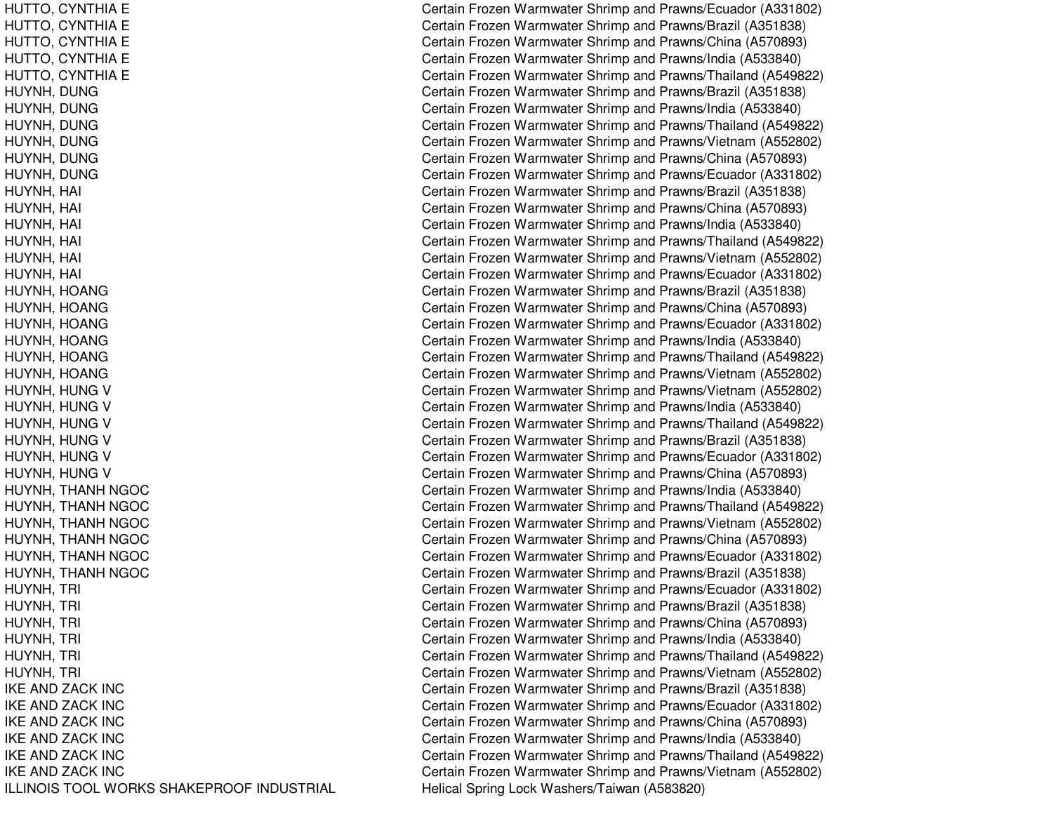IKE ANDIKE ANDIKE ANDIKE ANDIKE ANDIKE AND**ILLINOIS TOOL WORKS SHAKEPROOF INDUSTRIAL** 

HUTTO, CYNTHIA E Certain Frozen Warmwater Shrimp and Prawns/Ecuador (A331802) HUTTO, CYNTHIA E Certain Frozen Warmwater Shrimp and Prawns/Brazil (A351838) HUTTO, CYNTHIA E Certain Frozen Warmwater Shrimp and Prawns/China (A570893) HUTTO, CYNTHIA E Certain Frozen Warmwater Shrimp and Prawns/India (A533840) HUTTO, CYNTHIA E Certain Frozen Warmwater Shrimp and Prawns/Thailand (A549822) HUYNH, DUNG Certain Frozen Warmwater Shrimp and Prawns/Brazil (A351838) HUYNH, DUNG Certain Frozen Warmwater Shrimp and Prawns/India (A533840) HUYNH, DUNG Certain Frozen Warmwater Shrimp and Prawns/Thailand (A549822) HUYNH, DUNG Certain Frozen Warmwater Shrimp and Prawns/Vietnam (A552802) HUYNH, DUNG Certain Frozen Warmwater Shrimp and Prawns/China (A570893) HUYNH, DUNG Certain Frozen Warmwater Shrimp and Prawns/Ecuador (A331802) HUYNH, HAI Certain Frozen Warmwater Shrimp and Prawns/Brazil (A351838) HUYNH, HAI Certain Frozen Warmwater Shrimp and Prawns/China (A570893) HUYNH, HAI Certain Frozen Warmwater Shrimp and Prawns/India (A533840) HUYNH, HAI Certain Frozen Warmwater Shrimp and Prawns/Thailand (A549822) HUYNH, HAI Certain Frozen Warmwater Shrimp and Prawns/Vietnam (A552802) HUYNH, HAI Certain Frozen Warmwater Shrimp and Prawns/Ecuador (A331802) HUYNH, HOANG Certain Frozen Warmwater Shrimp and Prawns/Brazil (A351838) HUYNH, HOANG Certain Frozen Warmwater Shrimp and Prawns/China (A570893) HUYNH, HOANG Certain Frozen Warmwater Shrimp and Prawns/Ecuador (A331802) HUYNH, HOANG Certain Frozen Warmwater Shrimp and Prawns/India (A533840) HUYNH, HOANG Certain Frozen Warmwater Shrimp and Prawns/Thailand (A549822) HUYNH, HOANG Certain Frozen Warmwater Shrimp and Prawns/Vietnam (A552802) HUYNH, HUNG V **Certain Frozen Warmwater Shrimp and Prawns/Vietnam (A552802)** HUYNH, HUNG V Certain Frozen Warmwater Shrimp and Prawns/India (A533840) HUYNH, HUNG V Certain Frozen Warmwater Shrimp and Prawns/Thailand (A549822) HUYNH, HUNG V Certain Frozen Warmwater Shrimp and Prawns/Brazil (A351838) HUYNH, HUNG V Certain Frozen Warmwater Shrimp and Prawns/Ecuador (A331802) HUYNH, HUNG V Certain Frozen Warmwater Shrimp and Prawns/China (A570893) HUYNH, THANH NGOC Certain Frozen Warmwater Shrimp and Prawns/India (A533840) HUYNH, THANH NGOC Certain Frozen Warmwater Shrimp and Prawns/Thailand (A549822) HUYNH, THANH NGOC Certain Frozen Warmwater Shrimp and Prawns/Vietnam (A552802) HUYNH, THANH NGOC Certain Frozen Warmwater Shrimp and Prawns/China (A570893) HUYNH, THANH NGOC Certain Frozen Warmwater Shrimp and Prawns/Ecuador (A331802) HUYNH, THANH NGOC Certain Frozen Warmwater Shrimp and Prawns/Brazil (A351838) HUYNH, TRI Certain Frozen Warmwater Shrimp and Prawns/Ecuador (A331802) HUYNH, TRI Certain Frozen Warmwater Shrimp and Prawns/Brazil (A351838) HUYNH, TRI Certain Frozen Warmwater Shrimp and Prawns/China (A570893) HUYNH, TRI **EXAMPED ANGLE 2018 Certain Frozen Warmwater Shrimp and Prawns/India (A533840)** HUYNH, TRI Certain Frozen Warmwater Shrimp and Prawns/Thailand (A549822) HUYNH, TRI **ERI CHI CERTA CERTA CERTA CERTA CERTA CERTA CERTA CERTA CERTA CERTA CERTA CERTA CERTA CERTA CERTA CE** Certain Frozen Warmwater Shrimp and Prawns/Brazil (A351838) Certain Frozen Warmwater Shrimp and Prawns/Ecuador (A331802) Certain Frozen Warmwater Shrimp and Prawns/China (A570893) Certain Frozen Warmwater Shrimp and Prawns/India (A533840) Certain Frozen Warmwater Shrimp and Prawns/Thailand (A549822) Certain Frozen Warmwater Shrimp and Prawns/Vietnam (A552802) Helical Spring Lock Washers/Taiwan (A583820)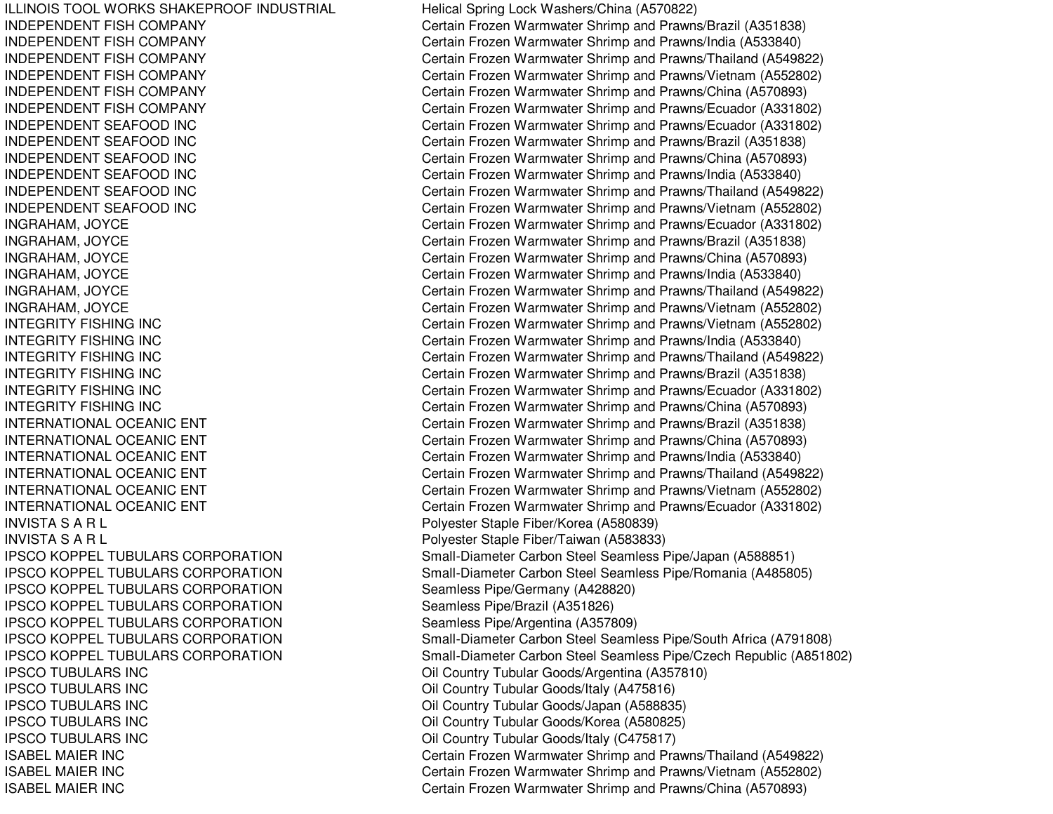ILLINOIS TOOL WORKS SHAKEPROOF INDUSTRIAL INDEPENDENT FISHINDEPENDENT FISHINDEPENDENT FISHINDEPENDENT FISHINDEPENDENT FISHINDEPENDENT FISHINDEPENDENT SEAFOODINDEPENDENT SEAFOODINDEPENDENT SEAFOODINDEPENDENT SEAFOODINDEPENDENT SEAFOODINDEPENDENT SEAFOODINTEGRITY FISHINGINTEGRITY FISHINGINTEGRITY FISHINGINTEGRITY FISHINGINTEGRITY FISHINGINTEGRITY FISHINGINTERNATIONAL OCEANICINTERNATIONAL OCEANICINTERNATIONAL OCEANICINTERNATIONAL OCEANICINTERNATIONAL OCEANICINTERNATIONAL OCEANICINVISTA S A RINVISTA S A R**IPSCO KOPPEL TUBULARS CORPORATION IPSCO KOPPEL TUBULARS CORPORATION** IPSCO KOPPEL TUBULARS CORPORATION Seamless Pipe/Germany (A428820) IPSCO KOPPEL TUBULARS CORPORATION Seamless Pipe/Brazil (A351826) IPSCO KOPPEL TUBULARS CORPORATION Seamless Pipe/Argentina (A357809) **IPSCO KOPPEL TUBULARS CORPORATION IPSCO KOPPEL TUBULARS CORPORATION IPSCO TUBULARS INC IPSCO TUBULARS INC IPSCO TUBULARS INC IPSCO TUBULARS INC IPSCO TUBULARS INC** ISABEL MAIERISABEL MAIERISABEL MAIER

Helical Spring Lock Washers/China (A570822) Certain Frozen Warmwater Shrimp and Prawns/Brazil (A351838) Certain Frozen Warmwater Shrimp and Prawns/India (A533840) Certain Frozen Warmwater Shrimp and Prawns/Thailand (A549822) Certain Frozen Warmwater Shrimp and Prawns/Vietnam (A552802) Certain Frozen Warmwater Shrimp and Prawns/China (A570893) Certain Frozen Warmwater Shrimp and Prawns/Ecuador (A331802) Certain Frozen Warmwater Shrimp and Prawns/Ecuador (A331802) Certain Frozen Warmwater Shrimp and Prawns/Brazil (A351838) Certain Frozen Warmwater Shrimp and Prawns/China (A570893) Certain Frozen Warmwater Shrimp and Prawns/India (A533840) Certain Frozen Warmwater Shrimp and Prawns/Thailand (A549822) Certain Frozen Warmwater Shrimp and Prawns/Vietnam (A552802) INGRAHAM, JOYCE Certain Frozen Warmwater Shrimp and Prawns/Ecuador (A331802) INGRAHAM, JOYCE Certain Frozen Warmwater Shrimp and Prawns/Brazil (A351838) INGRAHAM, JOYCE Certain Frozen Warmwater Shrimp and Prawns/China (A570893) INGRAHAM, JOYCE Certain Frozen Warmwater Shrimp and Prawns/India (A533840) INGRAHAM, JOYCE Certain Frozen Warmwater Shrimp and Prawns/Thailand (A549822) INGRAHAM, JOYCE Certain Frozen Warmwater Shrimp and Prawns/Vietnam (A552802) Certain Frozen Warmwater Shrimp and Prawns/Vietnam (A552802) Certain Frozen Warmwater Shrimp and Prawns/India (A533840) Certain Frozen Warmwater Shrimp and Prawns/Thailand (A549822) Certain Frozen Warmwater Shrimp and Prawns/Brazil (A351838) Certain Frozen Warmwater Shrimp and Prawns/Ecuador (A331802) Certain Frozen Warmwater Shrimp and Prawns/China (A570893) Certain Frozen Warmwater Shrimp and Prawns/Brazil (A351838) Certain Frozen Warmwater Shrimp and Prawns/China (A570893) Certain Frozen Warmwater Shrimp and Prawns/India (A533840) Certain Frozen Warmwater Shrimp and Prawns/Thailand (A549822) Certain Frozen Warmwater Shrimp and Prawns/Vietnam (A552802) Certain Frozen Warmwater Shrimp and Prawns/Ecuador (A331802) L Polyester Staple Fiber/Korea (A580839) L Polyester Staple Fiber/Taiwan (A583833) **Small-Diameter Carbon Steel Seamless Pipe/Japan (A588851)** Small-Diameter Carbon Steel Seamless Pipe/Romania (A485805) Small-Diameter Carbon Steel Seamless Pipe/South Africa (A791808) Small-Diameter Carbon Steel Seamless Pipe/Czech Republic (A851802) Oil Country Tubular Goods/Argentina (A357810) Oil Country Tubular Goods/Italy (A475816) Oil Country Tubular Goods/Japan (A588835) Oil Country Tubular Goods/Korea (A580825) Oil Country Tubular Goods/Italy (C475817) Certain Frozen Warmwater Shrimp and Prawns/Thailand (A549822) Certain Frozen Warmwater Shrimp and Prawns/Vietnam (A552802) Certain Frozen Warmwater Shrimp and Prawns/China (A570893)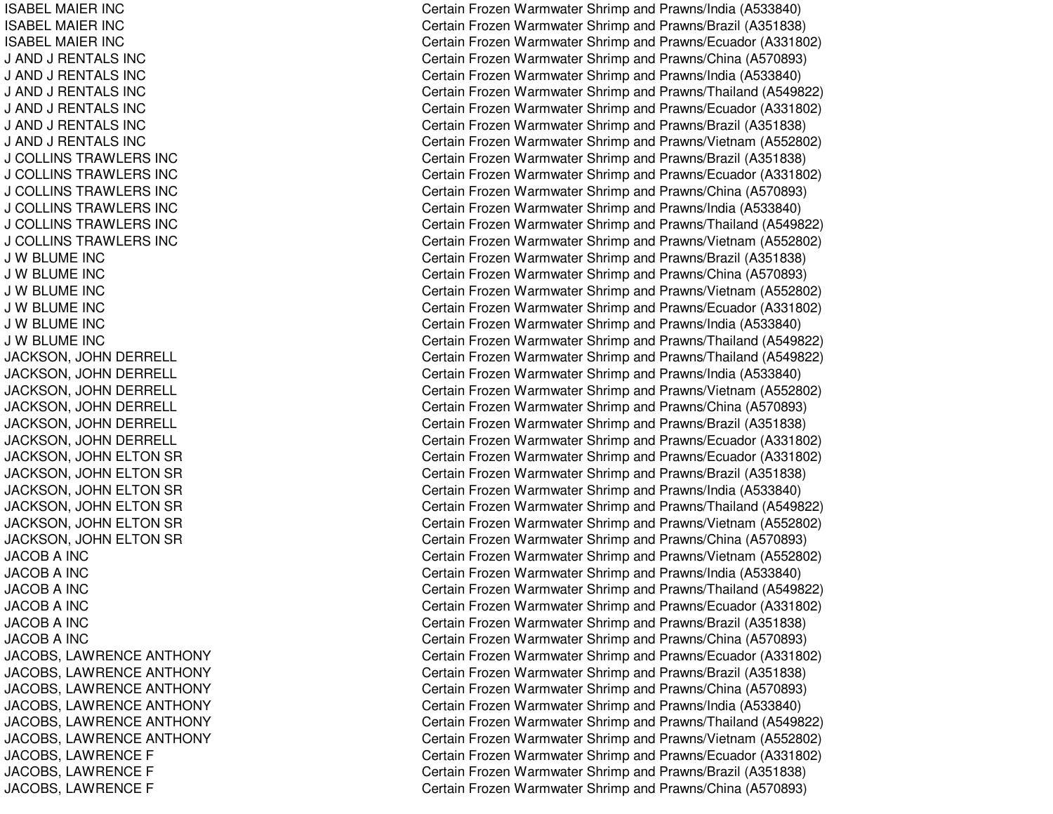ISABEL MAIER INC ISABEL MAIER INC ISABEL MAIER INC J AND J R ENTALS INCJ AND J R ENTALS INCJ AND J R ENTALS INCJ AND J R ENTALS INCJ AND J R ENTALS INCJ AND J RENTALS INC J COLLINSTRAWLERS INCJ COLLINSTRAWLERS INCJ COLLINSTRAWLERS INCJ COLLINSTRAWLERS INCJ COL LINSTRAWL ERS INCJ COLLINS TRAWLERS INC J WBLUME INCJ WBLUME INCJ WBLUME INCJ WBLUME INCJ W BLUME INC J W BLUME INC JACKSON, JOHN DERRELL JACKSON, JOHN DERRELL JACKSON, JO HNDERRELLJACKSON, JOHN DERRELL JACKSON, JOHN DERRELL JACKSON, JO HNDERRELLJACKSON, JOHN ELTON SR JACKSON, JOHN ELTON SR JACKSON, JOHN ELTON SR JACKSON, JOHN ELTON SR JACKSON, JOHN ELTON SR JACKSON, JOHN ELTON SR JA C OB A IN C JACOBA INCJACOBA INCJA C O B A IN C JACOBA INCJACOBA INCJACOBS, LAWRENCE ANTHONY JACOBS, L AWRENCEANTHONYJACOBS, L AWRENCEANT HONYJACOBS, LAWRENCE ANTHONY JACOBS, L AWRENCEANTHONYJACOBS, LAWRENCE ANTHONY JACOBS, LAWRENCE F JACOBS, L AWRENCEFJACOBS, LAWRENCE F

Certain Frozen Warmwater Shrimp and Prawns/India (A533840) Certain Frozen Warmwater Shrimp and Prawns/Brazil (A351838) Certain Frozen Warmwater Shrimp and Prawns/Ecuador (A331802) Certain Frozen Warmwater Shrimp and Prawns/China (A570893) Certain Frozen Warmwater Shrimp and Prawns/India (A533840) Certain Frozen Warmwater Shrimp and Prawns/Thailand (A549822) Certain Frozen Warmwater Shrimp and Prawns/Ecuador (A331802) Certain Frozen Warmwater Shrimp and Prawns/Brazil (A351838) Certain Frozen Warmwater Shrimp and Prawns/Vietnam (A552802) C ertain Frozen W arm w ater Shrim p and Pra wns/Brazil (A 3 518 3 8) Certain Frozen Warmwater Shrimp and Prawns/Ecuador (A331802) Certain Frozen Warmwater Shrimp and Prawns/China (A570893) Certain Frozen Warmwater Shrimp and Prawns/India (A533840) Certain Frozen Warmwater Shrimp and Prawns/Thailand (A549822) Certain Frozen Warmwater Shrimp and Prawns/Vietnam (A552802) Certain Frozen Warmwater Shrimp and Prawns/Brazil (A351838) Certain Frozen Warmwater Shrimp and Prawns/China (A570893) Certain Frozen Warmwater Shrimp and Prawns/Vietnam (A552802) Certain Frozen Warmwater Shrimp and Prawns/Ecuador (A331802) Certain Frozen Warmwater Shrimp and Pra wns/India (A 5 3 3 8 4 0) Certain Frozen Warmwater Shrimp and Prawns/Thailand (A549822) Certain Frozen Warmwater Shrimp and Prawns/Thailand (A549822) Certain Frozen Warmwater Shrimp and Prawns/India (A533840) Certain Frozen Warmwater Shrimp and Prawns/Vietnam (A552802) Certain Frozen Warmwater Shrimp and Prawns/China (A570893) Certain Frozen Warmwater Shrimp and Prawns/Brazil (A351838) Certain Frozen Warmwater Shrimp and Prawns/Ecuador (A331802) Certain Frozen Warmwater Shrimp and Prawns/Ecuador (A331802) Certain Frozen Warmwater Shrimp and Prawns/Brazil (A351838) Certain Frozen Warmwater Shrimp and Prawns/India (A533840) Certain Frozen Warmwater Shrimp and Prawns/Thailand (A549822) Certain Frozen Warmwater Shrimp and Prawns/Vietnam (A552802) Certain Frozen Warmwater Shrimp and Prawns/China (A570893) Certain Frozen Warmwater Shrimp and Prawns/Vietnam (A552802) Certain Frozen Warmwater Shrimp and Prawns/India (A533840) Certain Frozen Warmwater Shrimp and Prawns/Thailand (A549822) Certain Frozen Warmwater Shrimp and Prawns/Ecuador (A331802) Certain Frozen Warmwater Shrimp and Prawns/Brazil (A351838) Certain Frozen Warmwater Shrimp and Prawns/China (A570893) C ertain Frozen Warm w ater Shrim p and Pra wns/Ecua d or (A 3 318 0 2) Certain Frozen Warmwater Shrimp and Prawns/Brazil (A351838) Certain Frozen Warmwater Shrimp and Prawns/China (A570893) Certain Frozen Warmwater Shrimp and Prawns/India (A533840) Certain Frozen Warmwater Shrimp and Prawns/Thailand (A549822) Certain Frozen Warmwater Shrimp and Prawns/Vietnam (A552802) Certain Frozen Warmwater Shrimp and Prawns/Ecuador (A331802) Certain Frozen Warmwater Shrimp and Prawns/Brazil (A351838) Certain Frozen Warmwater Shrimp and Prawns/China (A570893)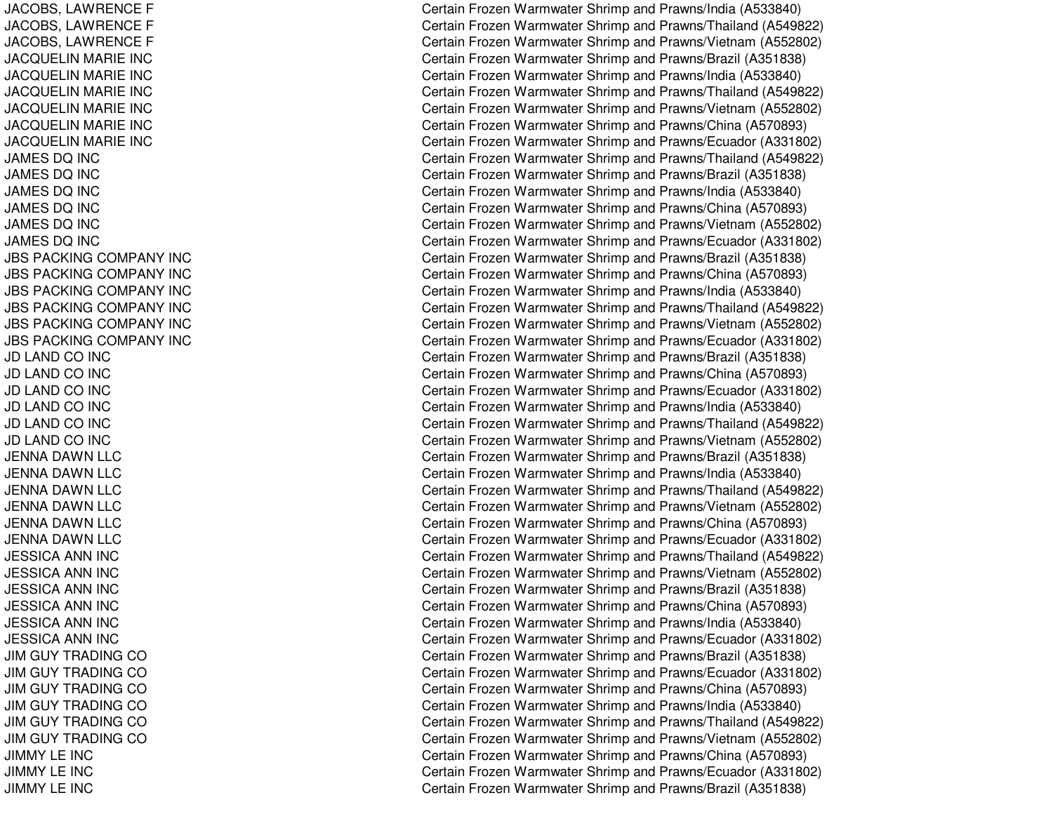JACOBS, L AWRENCEFJACOBS, L AWRENCEFJACOBS, L AWRENCEF JACQUELIN MARIE INC JACQUELIN MARIE INC JACQUELIN MARIE INC JACQUELIN MARIE INC JACQUELIN MARIE INC JA C QU E LIN MA RIE IN C JAMES DQ INC JAMES DQ INC JAMES DQ INC JAMES DQ INC JAMES DQ INC JA M E S D Q IN C JBS PACKING COMPANY INC JBS PACKING COMPANY INC JBS PACKING COMPANY INC JBS PACKING COMPANY INC JBS PACKING COMPANY INC JBS PACKING COMPANY INC JD LAND CO INC JD LAND CO INC JD LAND CO INC JD LAND CO INC JD LAND CO INC JD LAND CO INC JENNA DAWN LLC JENNA DAWN LLC JENNA DAWN LLC JENNA DAWN LLC JENNA DAWN LLC JENNA DAWN LLC JESSICA ANN INC JESSICA ANN INC JESSICA ANN INC JESSICA ANN INC JESSICA ANN INC JESSICA ANN INC JIM GUY TRADING CO JIM GUY TRADING CO JIM GUY TRADING CO JIM GUY TRADING CO JIM GUY TRADING CO JIM GUY TRADING CO JIMMYLE INCJIMMYLE INCJIMMYLE INC

Certain Frozen Warmwater Shrimp and Prawns/India (A533840) Certain Frozen Warmwater Shrimp and Prawns/Thailand (A549822) Certain Frozen Warmwater Shrimp and Prawns/Vietnam (A552802) Certain Frozen Warmwater Shrimp and Prawns/Brazil (A351838) Certain Frozen Warmwater Shrimp and Prawns/India (A533840) Certain Frozen Warmwater Shrimp and Prawns/Thailand (A549822) Certain Frozen Warmwater Shrimp and Prawns/Vietnam (A552802) Certain Frozen Warmwater Shrimp and Prawns/China (A570893) Certain Frozen Warmwater Shrimp and Prawns/Ecuador (A331802) Certain Frozen Warmwater Shrimp and Prawns/Thailand (A549822) Certain Frozen Warmwater Shrimp and Prawns/Brazil (A351838) Certain Frozen Warmwater Shrimp and Prawns/India (A533840) Certain Frozen Warmwater Shrimp and Prawns/China (A570893) Certain Frozen Warmwater Shrimp and Prawns/Vietnam (A552802) Certain Frozen Warmwater Shrimp and Prawns/Ecuador (A331802) Certain Frozen Warmwater Shrimp and Prawns/Brazil (A351838) Certain Frozen Warmwater Shrimp and Prawns/China (A570893) Certain Frozen Warmwater Shrimp and Prawns/India (A533840) Certain Frozen Warmwater Shrimp and Prawns/Thailand (A549822) Certain Frozen Warmwater Shrimp and Prawns/Vietnam (A552802) Certain Frozen Warmwater Shrimp and Prawns/Ecuador (A331802) Certain Frozen Warmwater Shrimp and Prawns/Brazil (A351838) Certain Frozen Warmwater Shrimp and Prawns/China (A570893) Certain Frozen Warmwater Shrimp and Prawns/Ecuador (A331802) Certain Frozen Warmwater Shrimp and Pra wns/India (A 5 3 3 8 4 0) Certain Frozen Warmwater Shrimp and Prawns/Thailand (A549822) Certain Frozen Warmwater Shrimp and Prawns/Vietnam (A552802) Certain Frozen Warmwater Shrimp and Prawns/Brazil (A351838) Certain Frozen Warmwater Shrimp and Prawns/India (A533840) Certain Frozen Warmwater Shrimp and Prawns/Thailand (A549822) Certain Frozen Warmwater Shrimp and Prawns/Vietnam (A552802) Certain Frozen Warmwater Shrimp and Prawns/China (A570893) Certain Frozen Warmwater Shrimp and Prawns/Ecuador (A331802) Certain Frozen Warmwater Shrimp and Prawns/Thailand (A549822) Certain Frozen Warmwater Shrimp and Prawns/Vietnam (A552802) Certain Frozen Warmwater Shrimp and Prawns/Brazil (A351838) Certain Frozen Warmwater Shrimp and Prawns/China (A570893) Certain Frozen Warmwater Shrimp and Prawns/India (A533840) Certain Frozen Warmwater Shrimp and Prawns/Ecuador (A331802) Certain Frozen Warmwater Shrimp and Prawns/Brazil (A351838) Certain Frozen Warmwater Shrimp and Prawns/Ecuador (A331802) Certain Frozen Warmwater Shrimp and Prawns/China (A570893) Certain Frozen Warmwater Shrimp and Prawns/India (A533840) Certain Frozen Warmwater Shrimp and Prawns/Thailand (A549822) Certain Frozen Warmwater Shrimp and Prawns/Vietnam (A552802) Certain Frozen Warmwater Shrimp and Prawns/China (A570893) Certain Frozen Warmwater Shrimp and Prawns/Ecuador (A331802) Certain Frozen Warmwater Shrimp and Prawns/Brazil (A351838)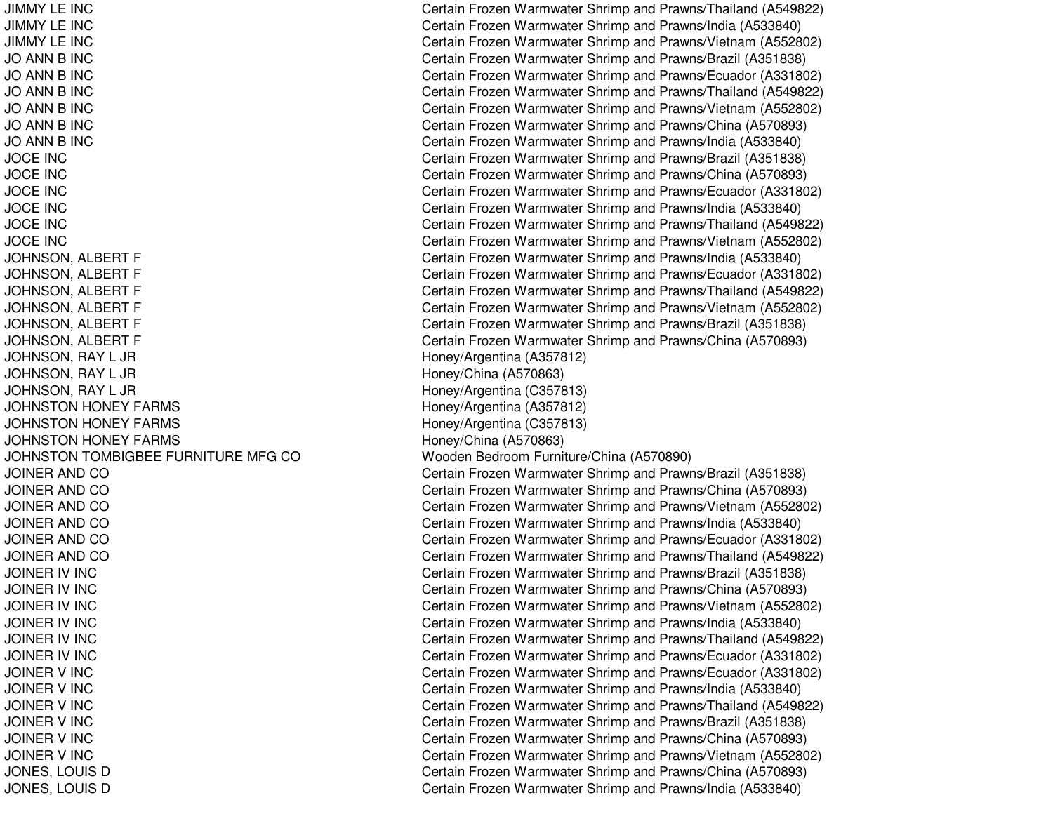JIMMY LE INCJIMMY LE INCJIMMY LE INC**JO ANN B INC JO ANN B INC JO ANN B INC JO ANN B INC JO ANN B INC JO ANN B INC** JOCE INCJOCE INCJOCE INCJOCE INCJOCE INCJOCE INCJOHNSON, RAY L JR Honey/Argentina (A357812) JOHNSON, RAY L JR Honey/China (A570863) JOHNSON, RAY L JR Honey/Argentina (C357813) JOHNSTON HONEY FARMS **JOHNSTON HONEY FARMS JOHNSTON HONEY FARMS** JOHNSTON TOMBIGBEE FURNITURE MFGJOINER AND COJOINER AND COJOINER AND COJOINER AND COJOINER AND COJOINER AND CO**JOINER IV INC** JOINER IV INC JOINER IV INC **JOINER IV INC** JOINER IV INC JOINER IV INC **JOINER V INC** JOINER V INC JOINER V INC **JOINER V INC** JOINER V INC JOINER V INC

 Certain Frozen Warmwater Shrimp and Prawns/Thailand (A549822) Certain Frozen Warmwater Shrimp and Prawns/India (A533840) Certain Frozen Warmwater Shrimp and Prawns/Vietnam (A552802) Certain Frozen Warmwater Shrimp and Prawns/Brazil (A351838) Certain Frozen Warmwater Shrimp and Prawns/Ecuador (A331802) Certain Frozen Warmwater Shrimp and Prawns/Thailand (A549822) Certain Frozen Warmwater Shrimp and Prawns/Vietnam (A552802) Certain Frozen Warmwater Shrimp and Prawns/China (A570893) Certain Frozen Warmwater Shrimp and Prawns/India (A533840) Certain Frozen Warmwater Shrimp and Prawns/Brazil (A351838) Certain Frozen Warmwater Shrimp and Prawns/China (A570893) Certain Frozen Warmwater Shrimp and Prawns/Ecuador (A331802) Certain Frozen Warmwater Shrimp and Prawns/India (A533840) Certain Frozen Warmwater Shrimp and Prawns/Thailand (A549822) Certain Frozen Warmwater Shrimp and Prawns/Vietnam (A552802) JOHNSON, ALBERT F Certain Frozen Warmwater Shrimp and Prawns/India (A533840) JOHNSON, ALBERT F Certain Frozen Warmwater Shrimp and Prawns/Ecuador (A331802) JOHNSON, ALBERT F Certain Frozen Warmwater Shrimp and Prawns/Thailand (A549822) JOHNSON, ALBERT F Certain Frozen Warmwater Shrimp and Prawns/Vietnam (A552802) JOHNSON, ALBERT F Certain Frozen Warmwater Shrimp and Prawns/Brazil (A351838) JOHNSON, ALBERT F Certain Frozen Warmwater Shrimp and Prawns/China (A570893) Honey/Argentina (A357812) Honey/Argentina (C357813) Honey/China (A570863) CO Wooden Bedroom Furniture/China (A570890) Certain Frozen Warmwater Shrimp and Prawns/Brazil (A351838) Certain Frozen Warmwater Shrimp and Prawns/China (A570893) Certain Frozen Warmwater Shrimp and Prawns/Vietnam (A552802) Certain Frozen Warmwater Shrimp and Prawns/India (A533840) Certain Frozen Warmwater Shrimp and Prawns/Ecuador (A331802) Certain Frozen Warmwater Shrimp and Prawns/Thailand (A549822) Certain Frozen Warmwater Shrimp and Prawns/Brazil (A351838) Certain Frozen Warmwater Shrimp and Prawns/China (A570893) Certain Frozen Warmwater Shrimp and Prawns/Vietnam (A552802) Certain Frozen Warmwater Shrimp and Prawns/India (A533840) Certain Frozen Warmwater Shrimp and Prawns/Thailand (A549822) Certain Frozen Warmwater Shrimp and Prawns/Ecuador (A331802) Certain Frozen Warmwater Shrimp and Prawns/Ecuador (A331802) Certain Frozen Warmwater Shrimp and Prawns/India (A533840) Certain Frozen Warmwater Shrimp and Prawns/Thailand (A549822) Certain Frozen Warmwater Shrimp and Prawns/Brazil (A351838) Certain Frozen Warmwater Shrimp and Prawns/China (A570893) Certain Frozen Warmwater Shrimp and Prawns/Vietnam (A552802) JONES, LOUIS D Certain Frozen Warmwater Shrimp and Prawns/China (A570893) JONES, LOUIS D Certain Frozen Warmwater Shrimp and Prawns/India (A533840)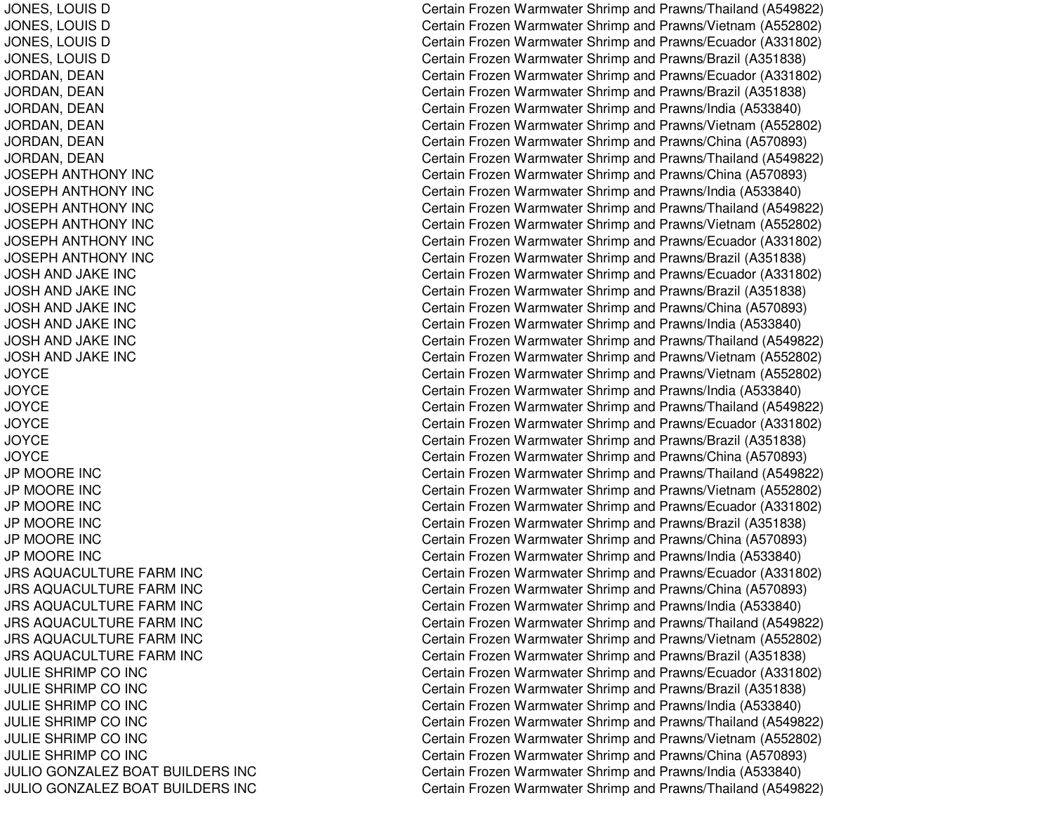JONES, LOUIS D JONES, LOUIS D JONES, LOUIS D JONES, LOUIS D JORDAN, D EANJORDAN, DEAN JORDAN, D EANJORDAN, D EANJORDAN, DEAN JORDAN, DEAN JOSEPH ANTHONY INC JOSEPH ANTHONY INC JOSEPH ANTHONY INC JOSEPH ANTHONY INC JOSEPH ANTHONY INC JOSEPH ANTHONY INC JOSHAND JA KE INCJOSH AND JAKE INC JOSH AND JAKE INC JOS HA ND JA K E INCJOSH AND JAKE INC JOSH AND JAKE INC JOYCEJOYCEJOYCEJO Y C E JOYCEJOYCEJP MOORE INC JP MOORE INC JP MOORE INCJP MOORE INC JP MOORE INC JP MOORE INC JRS AQUACULTURE FARM INC JRS AQUACULTURE FARM INC JRS AQUACULTURE FARM INC JRS AQUACULTURE FARM INC JRS AQUACULTURE FARM INC JRS AQUACULTURE FARM INC JULIE SHRIMP CO INC JULIE SHRIMP CO INC JULIE SHRIMP CO INC JULIE SHRIMP CO INC JULIE SHRIMP CO INC JULIE SHRIMP CO INC JULIO GONZALEZ BOAT BUILDERS INC JULIO GONZALEZ BOAT BUILDERS INC Certain Frozen Warmwater Shrimp and Prawns/Thailand (A549822) Certain Frozen Warmwater Shrimp and Prawns/Vietnam (A552802) Certain Frozen Warmwater Shrimp and Prawns/Ecuador (A331802) Certain Frozen Warmwater Shrimp and Prawns/Brazil (A351838) Certain Frozen Warmwater Shrimp and Prawns/Ecuador (A331802) Certain Frozen Warmwater Shrimp and Prawns/Brazil (A351838) Certain Frozen Warmwater Shrimp and Prawns/India (A533840) Certain Frozen Warmwater Shrimp and Prawns/Vietnam (A552802) Certain Frozen Warmwater Shrimp and Prawns/China (A570893) Certain Frozen Warmwater Shrimp and Prawns/Thailand (A549822) Certain Frozen Warmwater Shrimp and Prawns/China (A570893) Certain Frozen Warmwater Shrimp and Prawns/India (A533840) Certain Frozen Warmwater Shrimp and Prawns/Thailand (A549822) Certain Frozen Warmwater Shrimp and Prawns/Vietnam (A552802) Certain Frozen Warmwater Shrimp and Prawns/Ecuador (A331802) Certain Frozen Warmwater Shrimp and Prawns/Brazil (A351838) Certain Frozen Warmwater Shrimp and Prawns/Ecuador (A331802) Certain Frozen Warmwater Shrimp and Prawns/Brazil (A351838) Certain Frozen Warmwater Shrimp and Prawns/China (A570893) Certain Frozen Warmwater Shrimp and Pra wns/India (A 5 3 3 8 4 0) Certain Frozen Warmwater Shrimp and Prawns/Thailand (A549822) Certain Frozen Warmwater Shrimp and Prawns/Vietnam (A552802) Certain Frozen Warmwater Shrimp and Prawns/Vietnam (A552802) Certain Frozen Warmwater Shrimp and Prawns/India (A533840) Certain Frozen Warmwater Shrimp and Prawns/Thailand (A549822) Certain Frozen Warmwater Shrimp and Prawns/Ecuador (A331802) Certain Frozen Warmwater Shrimp and Prawns/Brazil (A351838) Certain Frozen Warmwater Shrimp and Prawns/China (A570893) Certain Frozen Warmwater Shrimp and Prawns/Thailand (A549822) Certain Frozen Warmwater Shrimp and Prawns/Vietnam (A552802) Certain Frozen Warmwater Shrimp and Prawns/Ecuador (A331802) Certain Frozen Warmwater Shrimp and Prawns/Brazil (A351838) Certain Frozen Warmwater Shrimp and Prawns/China (A570893) Certain Frozen Warmwater Shrimp and Prawns/India (A533840) Certain Frozen Warmwater Shrimp and Prawns/Ecuador (A331802) Certain Frozen Warmwater Shrimp and Prawns/China (A570893) Certain Frozen Warmwater Shrimp and Prawns/India (A533840) Certain Frozen Warmwater Shrimp and Prawns/Thailand (A549822) Certain Frozen Warmwater Shrimp and Prawns/Vietnam (A552802) Certain Frozen Warmwater Shrimp and Prawns/Brazil (A351838) Certain Frozen Warmwater Shrimp and Prawns/Ecuador (A331802) Certain Frozen Warmwater Shrimp and Prawns/Brazil (A351838) Certain Frozen Warmwater Shrimp and Prawns/India (A533840) Certain Frozen Warmwater Shrimp and Prawns/Thailand (A549822) Certain Frozen Warmwater Shrimp and Prawns/Vietnam (A552802) Certain Frozen Warmwater Shrimp and Prawns/China (A570893) Certain Frozen Warmwater Shrimp and Prawns/India (A533840) Certain Frozen Warmwater Shrimp and Prawns/Thailand (A549822)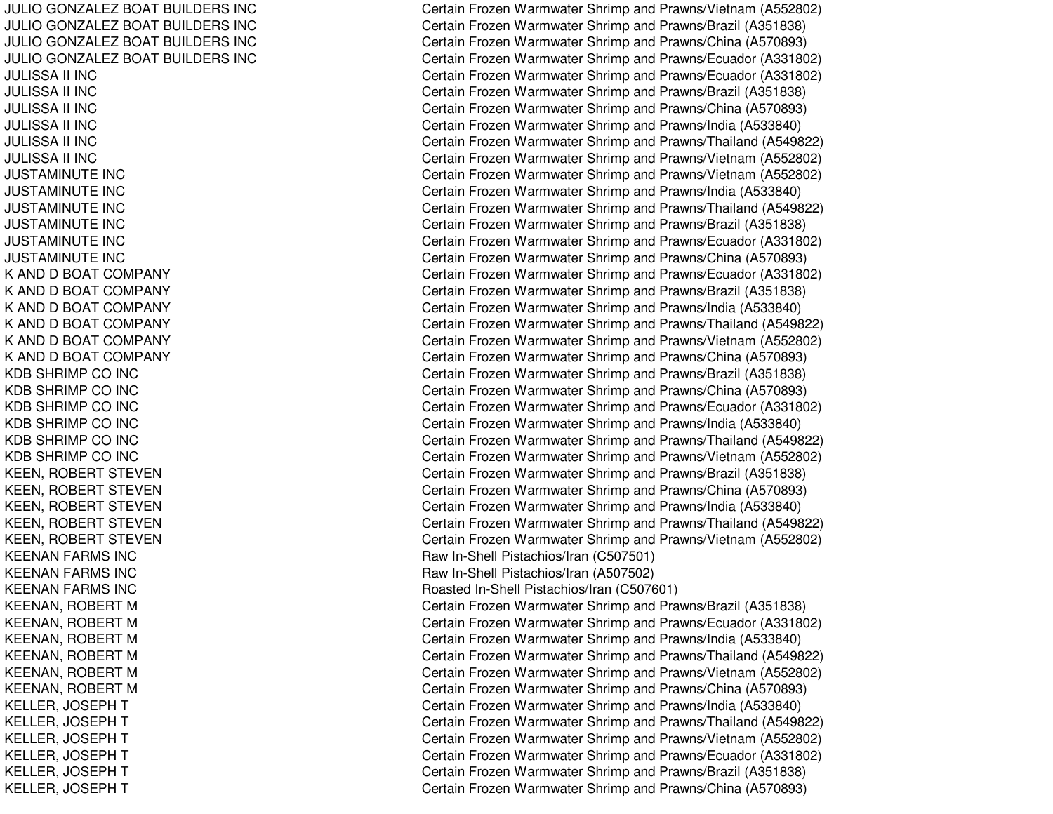JULIO GONZALEZ BOAT BUILDERS INC JULIO GONZALEZ BOAT BUILDERS INC JULIO GONZALEZ BOAT BUILDERS INC JULIO GONZALEZ BOAT BUILDERS INC JULISSA II INCJULISSA II INCJULISSA II INCJULISSA II INCJU LIS S A II IN C JULISSA II INCJUSTAMINUTE INCJUSTAMINUTE INCJUSTAMINUTE INCJUSTAMINUTE INCJUSTAMINUTE INC JUSTAMINUTE INCK AND D BOAT COMPANY K AND D BOAT COMPANY K AND D BOAT COMPANY K AND D BOAT COMPANY K AND D BOAT COMPANY K AND D BOAT COMPANY KDB SHRIMP CO INC KDB SHRIMP CO INC KDB SHRIMP CO INC KDB SHRIMP CO INC KDB SHRIMP CO INC KDB SHRIMP CO INC KEEN, ROBERT STEVEN KEEN, ROBERT STEVEN KEEN, ROBERT STEVEN KEEN, ROBERT STEVEN KEEN, ROBERT STEVEN KEENAN FARMS INC KEENAN FARMS INC KEENAN FARMS INC KEENAN, ROBERT M KEENAN, ROBERT M KEENAN, ROBERT M KEENAN, ROBERT M KEENAN, ROBERT M KEENAN, R OBERT MKELLER, JO SEPHTKELLER, JO SEPHTKELLER, JOSEPH T KELLER, JOSEPH T KELLER, JO SEPHTKELLER, JOSEPH T

Certain Frozen Warmwater Shrimp and Prawns/Vietnam (A552802) Certain Frozen Warmwater Shrimp and Prawns/Brazil (A351838) Certain Frozen Warmwater Shrimp and Prawns/China (A570893) Certain Frozen Warmwater Shrimp and Prawns/Ecuador (A331802) Certain Frozen Warmwater Shrimp and Prawns/Ecuador (A331802) Certain Frozen Warmwater Shrimp and Prawns/Brazil (A351838) Certain Frozen Warmwater Shrimp and Prawns/China (A570893) Certain Frozen Warmwater Shrimp and Prawns/India (A533840) Certain Frozen Warmwater Shrimp and Prawns/Thailand (A549822) Certain Frozen Warmwater Shrimp and Prawns/Vietnam (A552802) Certain Frozen Warmwater Shrimp and Prawns/Vietnam (A552802) Certain Frozen Warmwater Shrimp and Prawns/India (A533840) Certain Frozen Warmwater Shrimp and Prawns/Thailand (A549822) Certain Frozen Warmwater Shrimp and Prawns/Brazil (A351838) C ertain Frozen Warm w ater Shrim p and Pra wns/Ecua d or (A 3 318 0 2) Certain Frozen Warmwater Shrimp and Prawns/China (A570893) Certain Frozen Warmwater Shrimp and Prawns/Ecuador (A331802) Certain Frozen Warmwater Shrimp and Prawns/Brazil (A351838) Certain Frozen Warmwater Shrimp and Prawns/India (A533840) Certain Frozen Warmwater Shrimp and Prawns/Thailand (A549822) Certain Frozen Warmwater Shrimp and Prawns/Vietnam (A552802) Certain Frozen Warmwater Shrimp and Prawns/China (A570893) Certain Frozen Warmwater Shrimp and Prawns/Brazil (A351838) Certain Frozen Warmwater Shrimp and Prawns/China (A570893) Certain Frozen Warmwater Shrimp and Prawns/Ecuador (A331802) Certain Frozen Warmwater Shrimp and Prawns/India (A533840) Certain Frozen Warmwater Shrimp and Prawns/Thailand (A549822) Certain Frozen Warmwater Shrimp and Prawns/Vietnam (A552802) Certain Frozen Warmwater Shrimp and Prawns/Brazil (A351838) Certain Frozen Warmwater Shrimp and Prawns/China (A570893) Certain Frozen Warmwater Shrimp and Prawns/India (A533840) Certain Frozen Warmwater Shrimp and Prawns/Thailand (A549822) Certain Frozen Warmwater Shrimp and Prawns/Vietnam (A552802) Raw In-Shell Pistachios/Iran (C507501) R a w In-Shell Pistachios/Iran (A 5 0 7 5 0 2) Roasted In-Shell Pistachios/Iran (C 507601) Certain Frozen Warmwater Shrimp and Prawns/Brazil (A351838) Certain Frozen Warmwater Shrimp and Prawns/Ecuador (A331802) Certain Frozen Warmwater Shrimp and Prawns/India (A533840) Certain Frozen Warmwater Shrimp and Prawns/Thailand (A549822) Certain Frozen Warmwater Shrimp and Prawns/Vietnam (A552802) Certain Frozen Warmwater Shrimp and Prawns/China (A570893) Certain Frozen Warmwater Shrimp and Prawns/India (A533840) Certain Frozen Warmwater Shrimp and Prawns/Thailand (A549822) Certain Frozen Warmwater Shrimp and Prawns/Vietnam (A552802) Certain Frozen Warmwater Shrimp and Prawns/Ecuador (A331802) Certain Frozen Warmwater Shrimp and Prawns/Brazil (A351838) Certain Frozen Warmwater Shrimp and Prawns/China (A570893)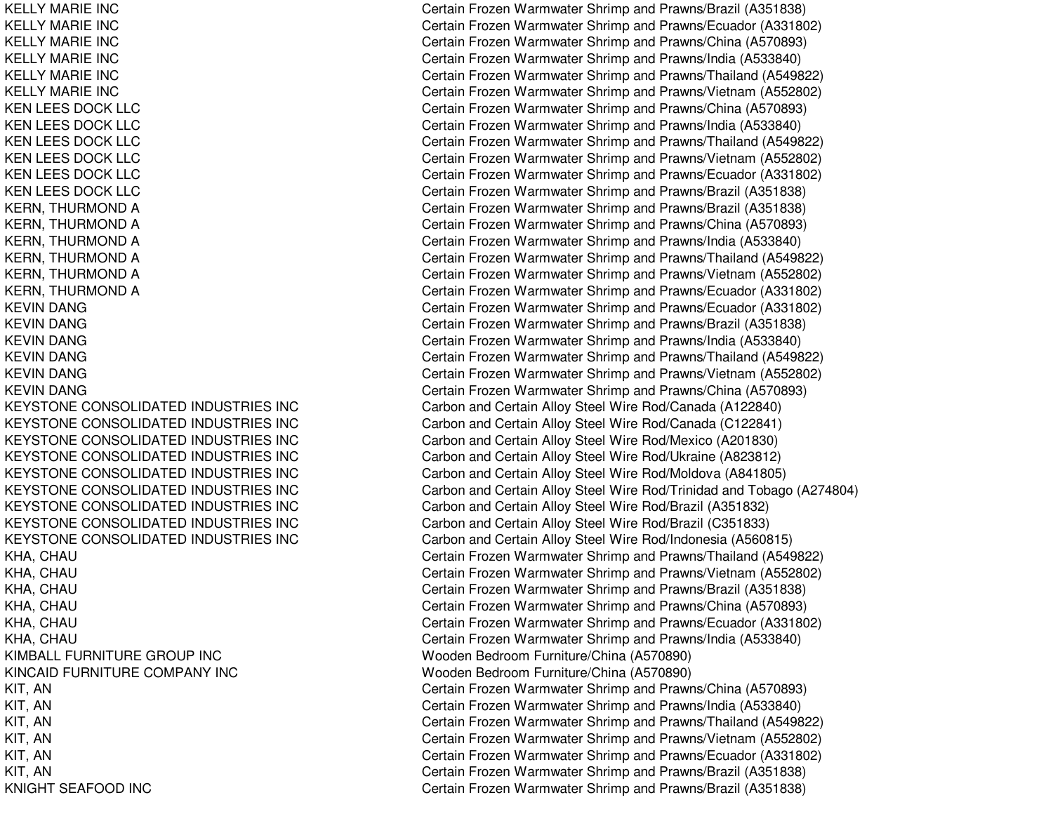KELLY MARIE INCKELLY MARIE INCKELLY MARIE INCKELLY MARIE INCKELLY MARIE INCKELLY MARIE INC**KEN LEES DOCK LLC KEN LEES DOCK LLC KEN LEES DOCK LLC KEN LEES DOCK LLC KEN LEES DOCK LLC KEN LEES DOCK LLC** KEVIN DANGKEVIN DANGKEVIN DANGKEVIN DANGKEVIN DANGKEVIN DANGKEYSTONE CONSOLIDATEDKEYSTONE CONSOLIDATEDKEYSTONE CONSOLIDATEDKEYSTONE CONSOLIDATEDKEYSTONE CONSOLIDATEDKEYSTONE CONSOLIDATEDKEYSTONE CONSOLIDATEDKEYSTONE CONSOLIDATEDKEYSTONE CONSOLIDATEDKIMBALL FURNITURE GROUP INCKINCAID FURNITURE COMPANY INC New York New York Nedroom KNIGHT SEAFOOD

 Certain Frozen Warmwater Shrimp and Prawns/Brazil (A351838) Certain Frozen Warmwater Shrimp and Prawns/Ecuador (A331802) Certain Frozen Warmwater Shrimp and Prawns/China (A570893) Certain Frozen Warmwater Shrimp and Prawns/India (A533840) Certain Frozen Warmwater Shrimp and Prawns/Thailand (A549822) Certain Frozen Warmwater Shrimp and Prawns/Vietnam (A552802) Certain Frozen Warmwater Shrimp and Prawns/China (A570893) Certain Frozen Warmwater Shrimp and Prawns/India (A533840) Certain Frozen Warmwater Shrimp and Prawns/Thailand (A549822) Certain Frozen Warmwater Shrimp and Prawns/Vietnam (A552802) Certain Frozen Warmwater Shrimp and Prawns/Ecuador (A331802) Certain Frozen Warmwater Shrimp and Prawns/Brazil (A351838) KERN, THURMOND A Certain Frozen Warmwater Shrimp and Prawns/Brazil (A351838) KERN, THURMOND A Certain Frozen Warmwater Shrimp and Prawns/China (A570893) KERN, THURMOND A Certain Frozen Warmwater Shrimp and Prawns/India (A533840) KERN, THURMOND A Certain Frozen Warmwater Shrimp and Prawns/Thailand (A549822) KERN, THURMOND A Certain Frozen Warmwater Shrimp and Prawns/Vietnam (A552802) KERN, THURMOND A Certain Frozen Warmwater Shrimp and Prawns/Ecuador (A331802) Certain Frozen Warmwater Shrimp and Prawns/Ecuador (A331802) Certain Frozen Warmwater Shrimp and Prawns/Brazil (A351838) Certain Frozen Warmwater Shrimp and Prawns/India (A533840) Certain Frozen Warmwater Shrimp and Prawns/Thailand (A549822) Certain Frozen Warmwater Shrimp and Prawns/Vietnam (A552802) Certain Frozen Warmwater Shrimp and Prawns/China (A570893) Carbon and Certain Alloy Steel Wire Rod/Canada (A122840) Carbon and Certain Alloy Steel Wire Rod/Canada (C122841) Carbon and Certain Alloy Steel Wire Rod/Mexico (A201830) Carbon and Certain Alloy Steel Wire Rod/Ukraine (A823812) Carbon and Certain Alloy Steel Wire Rod/Moldova (A841805) Carbon and Certain Alloy Steel Wire Rod/Trinidad and Tobago (A274804) Carbon and Certain Alloy Steel Wire Rod/Brazil (A351832) Carbon and Certain Alloy Steel Wire Rod/Brazil (C351833) Carbon and Certain Alloy Steel Wire Rod/Indonesia (A560815) KHA, CHAU Certain Frozen Warmwater Shrimp and Prawns/Thailand (A549822) KHA, CHAU Certain Frozen Warmwater Shrimp and Prawns/Vietnam (A552802) KHA, CHAU CHAU Certain Frozen Warmwater Shrimp and Prawns/Brazil (A351838) KHA, CHAU CHAU Certain Frozen Warmwater Shrimp and Prawns/China (A570893) KHA, CHAU Certain Frozen Warmwater Shrimp and Prawns/Ecuador (A331802) KHA, CHAU CHAU Certain Frozen Warmwater Shrimp and Prawns/India (A533840) Wooden Bedroom Furniture/China (A570890) Wooden Bedroom Furniture/China (A570890) KIT, AN Certain Frozen Warmwater Shrimp and Prawns/China (A570893) KIT, AN Certain Frozen Warmwater Shrimp and Prawns/India (A533840) KIT, AN Certain Frozen Warmwater Shrimp and Prawns/Thailand (A549822) KIT, AN Certain Frozen Warmwater Shrimp and Prawns/Vietnam (A552802) KIT, AN Certain Frozen Warmwater Shrimp and Prawns/Ecuador (A331802) KIT, AN Certain Frozen Warmwater Shrimp and Prawns/Brazil (A351838) Certain Frozen Warmwater Shrimp and Prawns/Brazil (A351838)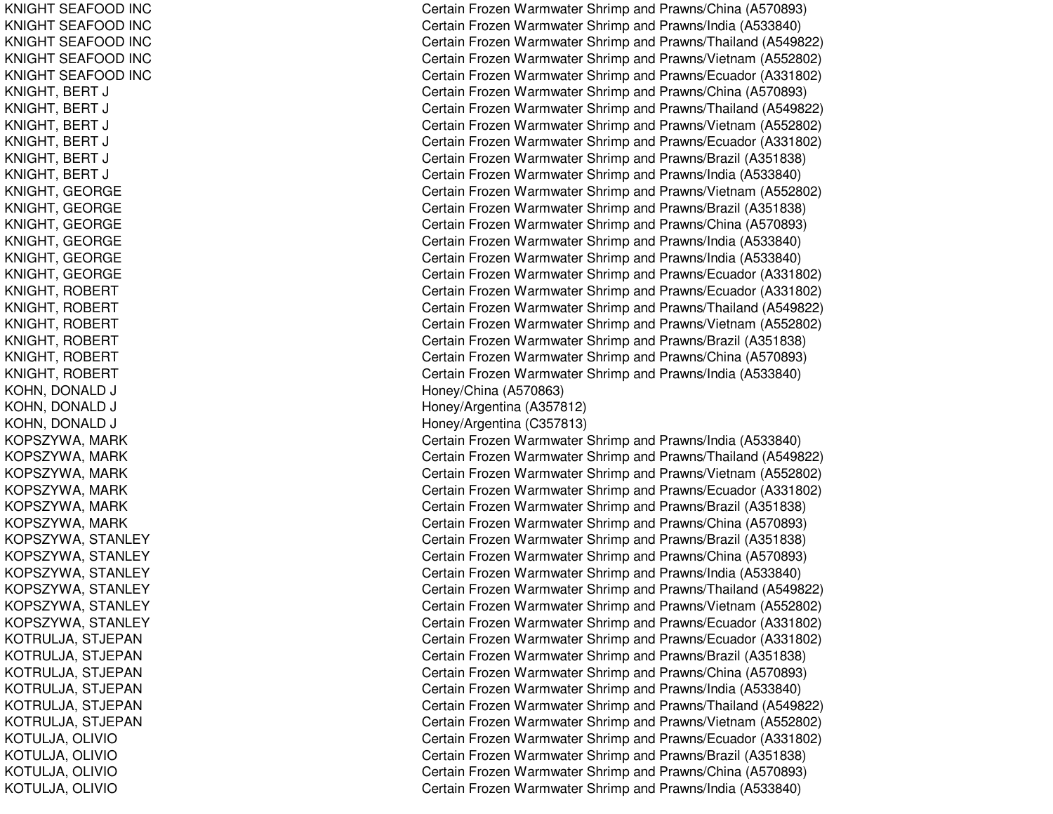KNIGHT SEAFOOD INC KNIGHT SEAFOOD INC KNIGHT SEAF OOD IN CKNIGHT SEAFOOD INC KNIGHT SEAFOOD INC KNIGHT, BERT J CKNIGHT, BERT J CKNIGHT, B ERT J CKNIGHT, BERT J CKNIGHT, BERT J CKNIGHT, B ERT J CKNIGHT, GEORGE KNIGHT, G EORGEKNIGHT, G EORGEKNIGHT, GEORGE KNIGHT, GEORGE KNIGHT, G EORGEKNIGHT, ROBERT KNIGHT, R OBERTKNIGHT, ROBERT KNIGHT, ROBERT KNIGHT, R OBERTKNIGHT, ROBERT KOHN, D ONALDDJ H KOHN, D ONAL DDJ H KOHN, DONALD DJ H KOPSZYWA, MARK KOPSZ YWA, M ARKKOPSZYWA, MARK KOPSZYWA, M ARKKOPSZYWA, MARK KOPSZYWA, MARK KOPSZYWA, STANLEY KOPSZYWA, STANLEY KOPSZYWA, STANLEY KOPSZYWA, S TANLEYKOPSZYWA, STANLEY KOPSZYWA, STANLEY KOTRULJA, STJEPAN KOTRULJA, STJEPAN KOTRULJA, S TJEPANKOTRULJA, STJEPAN KOTRULJA, STJEPAN KOTRULJA, STJEPAN K O T U LJA, O LIVIO K O T U LJA, O LIVIO KOTULJA, O LIVIOK OT U LJA, O LIVIO

Certain Frozen Warmwater Shrimp and Prawns/China (A570893) Certain Frozen Warmwater Shrimp and Prawns/India (A533840) Certain Frozen Warmwater Shrimp and Prawns/Thailand (A549822) Certain Frozen Warmwater Shrimp and Prawns/Vietnam (A552802) Certain Frozen Warmwater Shrimp and Prawns/Ecuador (A331802) ertain Frozen Warmwater Shrimp and Prawns/China (A570893) Certain Frozen Warmwater Shrimp and Prawns/Thailand (A549822) ertain Frozen Warmwater Shrimp and Prawns/Vietnam (A552802) Certain Frozen Warmwater Shrimp and Prawns/Ecuador (A331802) Certain Frozen Warmwater Shrimp and Prawns/Brazil (A351838) ertain Frozen Warmwater Shrimp and Prawns/India (A533840) Certain Frozen Warmwater Shrimp and Prawns/Vietnam (A552802) Certain Frozen Warmwater Shrimp and Prawns/Brazil (A351838) Certain Frozen Warmwater Shrimp and Prawns/China (A570893) Certain Frozen Warmwater Shrimp and Prawns/India (A533840) Certain Frozen Warmwater Shrimp and Prawns/India (A533840) Certain Frozen Warmwater Shrimp and Prawns/Ecuador (A331802) C ertain Frozen Warm w ater Shrim p and Pra wns/Ecua d or (A 3 318 0 2) Certain Frozen Warmwater Shrimp and Prawns/Thailand (A549822) Certain Frozen Warmwater Shrimp and Prawns/Vietnam (A552802) C ertain Frozen W arm w ater Shrim p and Pra wns/Brazil (A 3 518 3 8) Certain Frozen Warmwater Shrimp and Prawns/China (A570893) Certain Frozen Warmwater Shrimp and Prawns/India (A533840) oney/China (A 570863) one y/Arg entina (A 3 5 7 812) one y/Arg entina (C 3 5 7 813) Certain Frozen Warmwater Shrimp and Prawns/India (A533840) Certain Frozen Warmwater Shrimp and Prawns/Thailand (A549822) Certain Frozen Warmwater Shrimp and Prawns/Vietnam (A552802) Certain Frozen Warmwater Shrimp and Prawns/Ecuador (A331802) Certain Frozen Warmwater Shrimp and Prawns/Brazil (A351838) Certain Frozen Warmwater Shrimp and Prawns/China (A570893) Certain Frozen Warmwater Shrimp and Prawns/Brazil (A351838) Certain Frozen Warmwater Shrimp and Prawns/China (A570893) Certain Frozen Warmwater Shrimp and Prawns/India (A533840) Certain Frozen Warmwater Shrimp and Prawns/Thailand (A549822) Certain Frozen Warmwater Shrimp and Prawns/Vietnam (A552802) Certain Frozen Warmwater Shrimp and Prawns/Ecuador (A331802) Certain Frozen Warmwater Shrimp and Prawns/Ecuador (A331802) Certain Frozen Warmwater Shrimp and Prawns/Brazil (A351838) Certain Frozen Warmwater Shrimp and Prawns/China (A570893) Certain Frozen Warmwater Shrimp and Prawns/India (A533840) Certain Frozen Warmwater Shrimp and Prawns/Thailand (A549822) Certain Frozen Warmwater Shrimp and Prawns/Vietnam (A552802) Certain Frozen Warmwater Shrimp and Prawns/Ecuador (A331802) C ertain Frozen W arm w ater Shrim p and Pra wns/Brazil (A 3 518 3 8) Certain Frozen Warmwater Shrimp and Prawns/China (A570893) Certain Frozen Warmwater Shrimp and Prawns/India (A533840)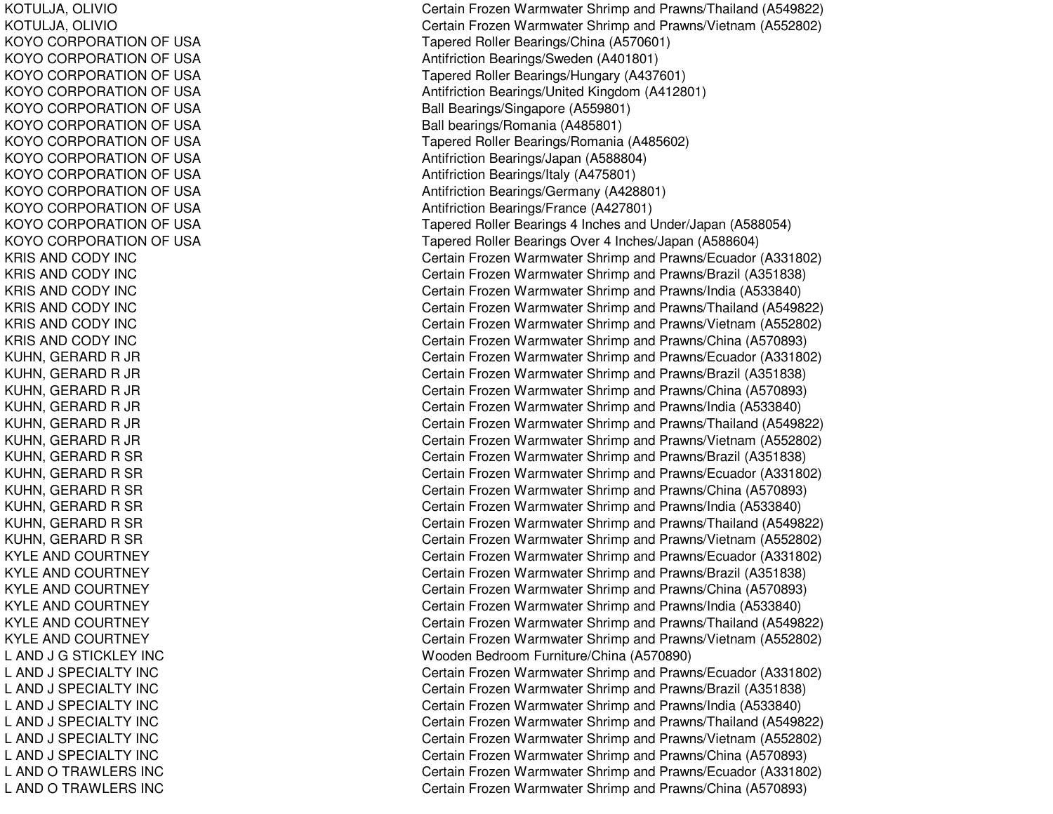KOTULJA, O LIVIOKOTULJA, O LIVIOKOYO CORPORATION OF USA KOYO CORPORATION OF USA KOYO CORPORATION OF USA KOYO CORPORATION OF USA KOYO CORPORATION OF USA KOYO CORPORATION OF USA KOYO CORPORATION OF USA KOYO CORPORATION OF USA KOYO CORPORATION OF USA KOYO CORPORATION OF USA KOYO CORPORATION OF USA KOYO CORPORATION OF USA KOYO CORPORATION OF USA KRIS AND CODY INC KRIS AND CODY INC KRIS AND CODY INC KRIS AND CODY INC KRIS AND CODY INC KRIS AND CODY INC KUHN, GERARD R JR KUHN, GERARD R JR KUHN, GERARD R JR KUHN, GERARD R JR KUHN, GERARD R JR KUHN, GERARD R JR KUHN, GERARD R SR KUHN, GERARD R SR KUHN, GERARD R SR KUHN, GERARD R SR KUHN, GERARD R SR KUHN, GERARD R SR KYLE AND COURTNEY KYLE AND COURTNEY KYLE AND COURTNEY KYLE AND COURTNEY KYLE AND COURTNEY KYL EANDCOURTNEYL AND J G STICKLEY INC LAND J S PECIALTY INCL AND J S PECIAL T Y INCL AND J SPECIALTY INC LAND J S PECIALTY INCL AND J SPECIALTY INC L AND J SPECIALTY INC LANDOTRAWLERS INCL AND O TRAWLERS INC

Certain Frozen Warmwater Shrimp and Prawns/Thailand (A549822) Certain Frozen Warmwater Shrimp and Prawns/Vietnam (A552802) T a p ere d Roller Be arings/China (A 5 7 0 6 01) Antifriction Bearings/Sweden (A401801) Tapered Roller Bearings/Hungary (A437601) Antifriction Bearings/United Kingdom (A412801) Ball Bearings/Singapore (A559801) Ball bearings/R omania (A 485801) Tapered Roller Bearings/Romania (A485602) Antifriction Bearings/Japan (A588804) Antifriction Bearings/Italy (A 475801) Antifriction B e arings/G ermany (A 4 2 8 8 01) Antifriction Bearings/France (A 427801) Ta p ere d Roller Be arings 4 Inches and Und er/Ja p an (A 5 8 8 0 5 4) Tapered Roller Bearings Over 4 Inches/Japan (A588604) Certain Frozen Warmwater Shrimp and Prawns/Ecuador (A331802) Certain Frozen Warmwater Shrimp and Prawns/Brazil (A351838) Certain Frozen Warmwater Shrimp and Prawns/India (A533840) Certain Frozen Warmwater Shrimp and Prawns/Thailand (A549822) Certain Frozen Warmwater Shrimp and Prawns/Vietnam (A552802) Certain Frozen Warmwater Shrimp and Prawns/China (A570893) Certain Frozen Warmwater Shrimp and Prawns/Ecuador (A331802) Certain Frozen Warmwater Shrimp and Prawns/Brazil (A351838) Certain Frozen Warmwater Shrimp and Prawns/China (A570893) Certain Frozen Warmwater Shrimp and Pra wns/India (A 5 3 3 8 4 0) Certain Frozen Warmwater Shrimp and Prawns/Thailand (A549822) Certain Frozen Warmwater Shrimp and Prawns/Vietnam (A552802) Certain Frozen Warmwater Shrimp and Prawns/Brazil (A351838) C ertain Frozen Warm w ater Shrim p and Pra wns/Ecua d or (A 3 318 0 2) Certain Frozen Warmwater Shrimp and Prawns/China (A570893) Certain Frozen Warmwater Shrimp and Prawns/India (A533840) Certain Frozen Warmwater Shrimp and Prawns/Thailand (A549822) Certain Frozen Warmwater Shrimp and Prawns/Vietnam (A552802) Certain Frozen Warmwater Shrimp and Prawns/Ecuador (A331802) C ertain Frozen W arm w ater Shrim p and Pra wns/Brazil (A 3 518 3 8) Certain Frozen Warmwater Shrimp and Prawns/China (A570893) Certain Frozen Warmwater Shrimp and Prawns/India (A533840) Certain Frozen Warmwater Shrimp and Prawns/Thailand (A549822) Certain Frozen Warmwater Shrimp and Prawns/Vietnam (A552802) Wooden Bedroom Furniture/China (A570890) Certain Frozen Warmwater Shrimp and Prawns/Ecuador (A331802) Certain Frozen Warmwater Shrimp and Prawns/Brazil (A351838) Certain Frozen Warmwater Shrimp and Prawns/India (A533840) Certain Frozen Warmwater Shrimp and Prawns/Thailand (A549822) Certain Frozen Warmwater Shrimp and Prawns/Vietnam (A552802) Certain Frozen Warmwater Shrimp and Prawns/China (A570893) Certain Frozen Warmwater Shrimp and Prawns/Ecuador (A331802) Certain Frozen Warmwater Shrimp and Prawns/China (A570893)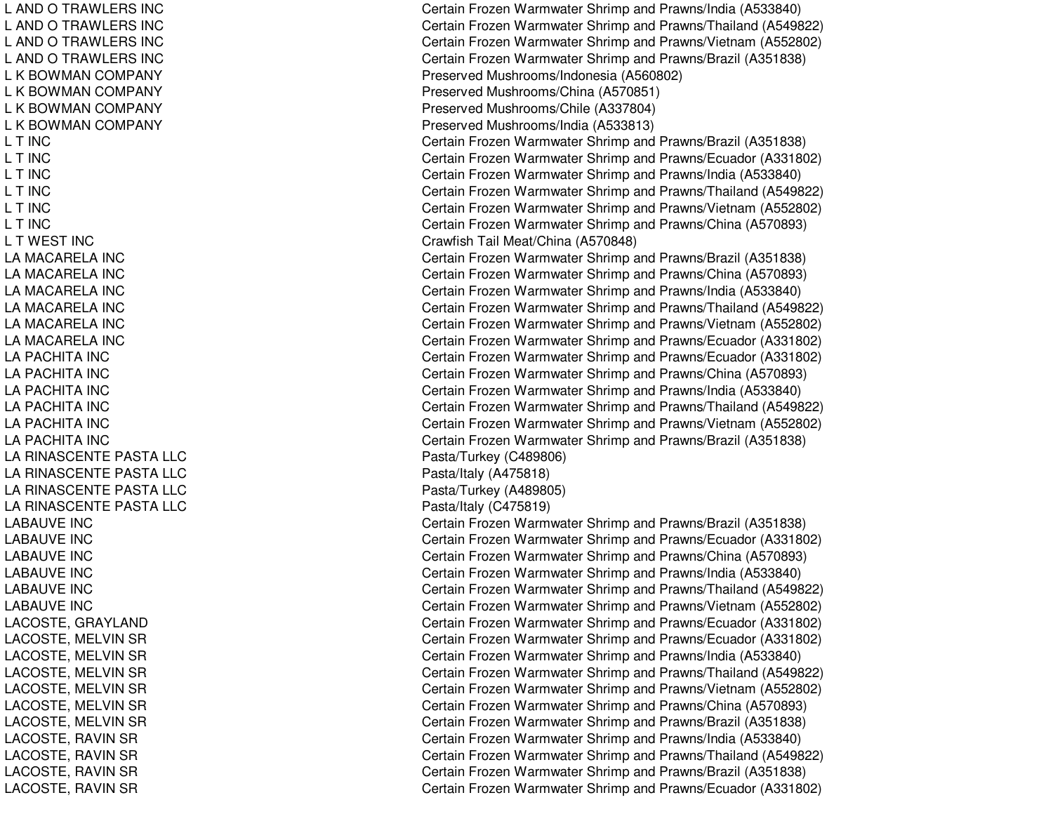LANDOTRAWLERS INCLANDOTRAWLERS INCL AND O TRAWLERS INC LANDOTRAWLERS INCL K BOWMAN COMPANY L K BOWMAN COMPANY L K BOWMAN COMPANY L K BOWMAN COMPANY LT INCLT INCLT INCLT INCLT INCLT INCL T WEST INC LAMACARELA INCLAMACARELA INCLAMACARELA INCLAMACARELA INCL A MA CA RE L A INCLA MACARELA INC LA PACHITA INC LA PACHITA INC LA PACHITA INC L APACHITA INCLA PACHITA INC LA PACHITA INC LA RINASCENTE PASTA LLC LA RINASCENTE PASTA LLC LA RINASCENTE PASTA LLC LA RINASCENTE PASTA LLC LABAUVE INC LABAUVE INCLABAUVE INC LABAUVE INCLABAUVE INCLABAUVE INC LACOSTE, G RAYLANDLACOSTE, MELVIN SR LACOSTE, MELVIN SR LACOSTE, MELVIN SR LACOSTE, MELVIN SR LACOSTE, MELVIN SR LACOSTE, MELVIN SR LACOSTE, RAVIN SR LACOSTE, RAVIN SR LACOSTE, RAVIN SR LACOSTE, RAVIN SR

Certain Frozen Warmwater Shrimp and Prawns/India (A533840) Certain Frozen Warmwater Shrimp and Prawns/Thailand (A549822) Certain Frozen Warmwater Shrimp and Prawns/Vietnam (A552802) Certain Frozen Warmwater Shrimp and Prawns/Brazil (A351838) Preserved Mushrooms/Indonesia (A560802) Preserv e d Mushro o ms/China (A 5 7 0 8 51) Preserved Mushrooms/Chile (A337804) Preserved Mushrooms/India (A533813) Certain Frozen Warmwater Shrimp and Prawns/Brazil (A351838) Certain Frozen Warmwater Shrimp and Prawns/Ecuador (A331802) Certain Frozen Warmwater Shrimp and Prawns/India (A533840) Certain Frozen Warmwater Shrimp and Prawns/Thailand (A549822) Certain Frozen Warmwater Shrimp and Prawns/Vietnam (A552802) Certain Frozen Warmwater Shrimp and Prawns/China (A570893) Crawfish Tail Meat/China (A570848) Certain Frozen Warmwater Shrimp and Prawns/Brazil (A351838) Certain Frozen Warmwater Shrimp and Prawns/China (A570893) Certain Frozen Warmwater Shrimp and Prawns/India (A533840) Certain Frozen Warmwater Shrimp and Prawns/Thailand (A549822) Certain Frozen Warmwater Shrimp and Prawns/Vietnam (A552802) Certain Frozen Warmwater Shrimp and Prawns/Ecuador (A331802) Certain Frozen Warmwater Shrimp and Prawns/Ecuador (A331802) Certain Frozen Warmwater Shrimp and Prawns/China (A570893) Certain Frozen Warmwater Shrimp and Prawns/India (A533840) Certain Frozen Warmwater Shrimp and Prawns/Thailand (A549822) Certain Frozen Warmwater Shrimp and Prawns/Vietnam (A552802) Certain Frozen Warmwater Shrimp and Prawns/Brazil (A351838) Pasta/Turkey (C489806) P asta/Italy (A 4 7 5 818) Pasta/Turkey (A 489805) P asta/Italy (C 4 7 5 819) Certain Frozen Warmwater Shrimp and Prawns/Brazil (A351838) Certain Frozen Warmwater Shrimp and Prawns/Ecuador (A331802) Certain Frozen Warmwater Shrimp and Prawns/China (A570893) Certain Frozen Warmwater Shrimp and Prawns/India (A533840) Certain Frozen Warmwater Shrimp and Prawns/Thailand (A549822) Certain Frozen Warmwater Shrimp and Prawns/Vietnam (A552802) Certain Frozen Warmwater Shrimp and Prawns/Ecuador (A331802) Certain Frozen Warmwater Shrimp and Prawns/Ecuador (A331802) Certain Frozen Warmwater Shrimp and Prawns/India (A533840) Certain Frozen Warmwater Shrimp and Prawns/Thailand (A549822) Certain Frozen Warmwater Shrimp and Prawns/Vietnam (A552802) Certain Frozen Warmwater Shrimp and Prawns/China (A570893) Certain Frozen Warmwater Shrimp and Prawns/Brazil (A351838) Certain Frozen Warmwater Shrimp and Pra wns/India (A 5 3 3 8 4 0) Certain Frozen Warmwater Shrimp and Prawns/Thailand (A549822) Certain Frozen Warmwater Shrimp and Prawns/Brazil (A351838) Certain Frozen Warmwater Shrimp and Prawns/Ecuador (A331802)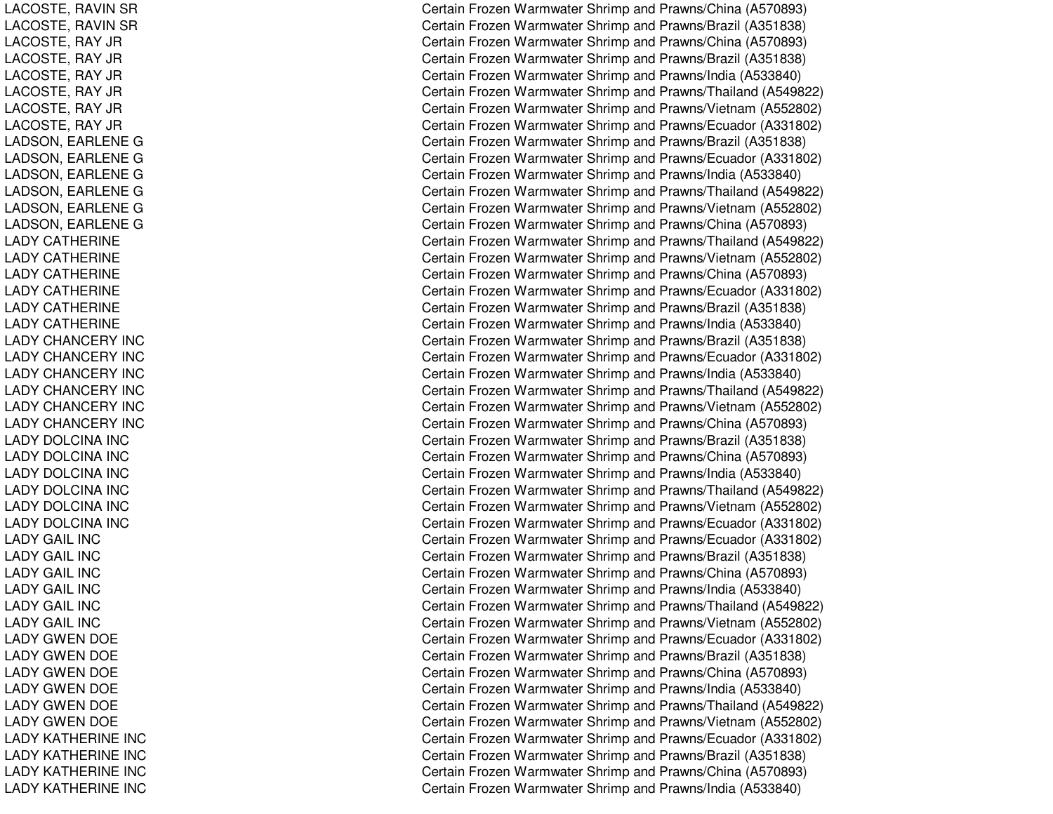LACOSTE, RAVIN SR LACOSTE, RAVIN SR L ACOST E, R AY JRLACOSTE, RAY JR LACOSTE, RAY JR LACOSTE, RAY JR LACOSTE, RAY JR LACOSTE, R AY JRLADSON, EARLENE G LADSON, EARLENE G LADSON, E ARLENEGLADSON, E ARLENEGLADSON, E ARLENEGL ADSON, E ARL ENEGLADY CATHERINE LADY CATHERINE LADY CATHERINE LADY CATHERINE LADY CATHERINE LADY CATHERINE LADY CHANCERY INC LADY CHANCERY INC LADY CHANCERY INC LADY CHANCERY INC L ADYCHANCERY INCLADY CHANCERY INC LADY DOLCINA INC LADY DOLCINA INC LADY DOLCINA INC LADY DOLCINA INC L A DY DOL CINA INCLADY DOLCINA INC L A D Y G AIL IN C L A D Y GAIL IN C LADY GAIL INC LADY GAIL INC L A D Y G AIL IN C LADY GAIL INC L ADYGWENDOELADY GWEN DOE LADY GWEN DOE L ADYGWENDOELADY GWEN DOE LADY GWEN DOE LADY KATHERINE INC LADY KATHERINE INC LADY KATHERINE INC LADY KATHERINE INC Certain Frozen Warmwater Shrimp and Prawns/China (A570893) Certain Frozen Warmwater Shrimp and Prawns/Brazil (A351838) Certain Frozen Warmwater Shrimp and Prawns/China (A570893) Certain Frozen Warmwater Shrimp and Prawns/Brazil (A351838) Certain Frozen Warmwater Shrimp and Prawns/India (A533840) Certain Frozen Warmwater Shrimp and Prawns/Thailand (A549822) Certain Frozen Warmwater Shrimp and Prawns/Vietnam (A552802) Certain Frozen Warmwater Shrimp and Prawns/Ecuador (A331802) Certain Frozen Warmwater Shrimp and Prawns/Brazil (A351838) Certain Frozen Warmwater Shrimp and Prawns/Ecuador (A331802) Certain Frozen Warmwater Shrimp and Prawns/India (A533840) Certain Frozen Warmwater Shrimp and Prawns/Thailand (A549822) Certain Frozen Warmwater Shrimp and Prawns/Vietnam (A552802) Certain Frozen Warmwater Shrimp and Prawns/China (A570893) Certain Frozen Warmwater Shrimp and Prawns/Thailand (A549822) Certain Frozen Warmwater Shrimp and Prawns/Vietnam (A552802) Certain Frozen Warmwater Shrimp and Prawns/China (A570893) Certain Frozen Warmwater Shrimp and Prawns/Ecuador (A331802) Certain Frozen Warmwater Shrimp and Prawns/Brazil (A351838) Certain Frozen Warmwater Shrimp and Pra wns/India (A 5 3 3 8 4 0) C ertain Frozen W arm w ater Shrim p and Pra wns/Brazil (A 3 518 3 8) Certain Frozen Warmwater Shrimp and Prawns/Ecuador (A331802) Certain Frozen Warmwater Shrimp and Prawns/India (A533840) Certain Frozen Warmwater Shrimp and Prawns/Thailand (A549822) Certain Frozen Warmwater Shrimp and Prawns/Vietnam (A552802) Certain Frozen Warmwater Shrimp and Prawns/China (A570893) Certain Frozen Warmwater Shrimp and Prawns/Brazil (A351838) Certain Frozen Warmwater Shrimp and Prawns/China (A570893) Certain Frozen Warmwater Shrimp and Prawns/India (A533840) Certain Frozen Warmwater Shrimp and Prawns/Thailand (A549822) Certain Frozen Warmwater Shrimp and Prawns/Vietnam (A552802) Certain Frozen Warmwater Shrimp and Prawns/Ecuador (A331802) Certain Frozen Warmwater Shrimp and Prawns/Ecuador (A331802) Certain Frozen Warmwater Shrimp and Prawns/Brazil (A351838) Certain Frozen Warmwater Shrimp and Prawns/China (A570893) Certain Frozen Warmwater Shrimp and Prawns/India (A533840) Certain Frozen Warmwater Shrimp and Prawns/Thailand (A549822) Certain Frozen Warmwater Shrimp and Prawns/Vietnam (A552802) Certain Frozen Warmwater Shrimp and Prawns/Ecuador (A331802) Certain Frozen Warmwater Shrimp and Prawns/Brazil (A351838) Certain Frozen Warmwater Shrimp and Prawns/China (A570893) Certain Frozen Warmwater Shrimp and Prawns/India (A533840) Certain Frozen Warmwater Shrimp and Prawns/Thailand (A549822) Certain Frozen Warmwater Shrimp and Prawns/Vietnam (A552802) Certain Frozen Warmwater Shrimp and Prawns/Ecuador (A331802) C ertain Frozen W arm w ater Shrim p and Pra wns/Brazil (A 3 518 3 8) Certain Frozen Warmwater Shrimp and Prawns/China (A570893) Certain Frozen Warmwater Shrimp and Prawns/India (A533840)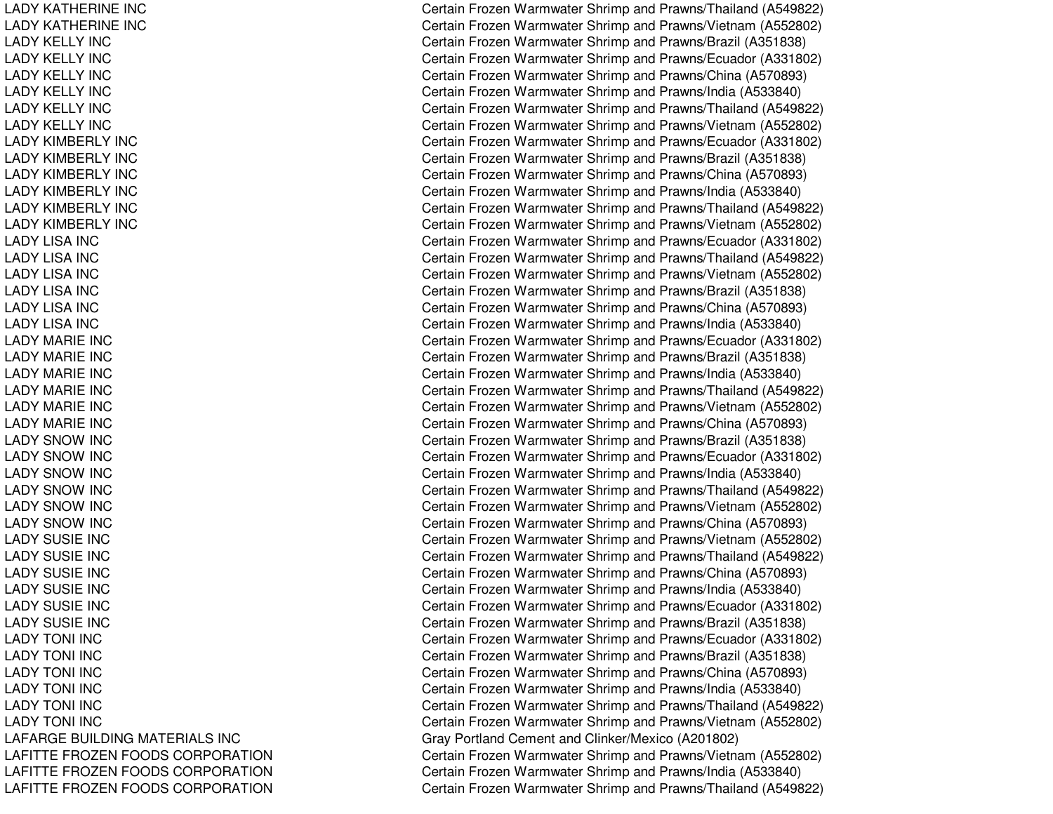LADY KATHERINE INCLADY KATHERINE INCLADY KELLY INCLADY KELLY INCLADY KELLY INCLADY KELLY INCLADY KELLY INCLADY KELLY INCLADY KIMBERLY INCLADY KIMBERLY INCLADY KIMBERLY INCLADY KIMBERLY INCLADY KIMBERLY INCLADY KIMBERLY INCLADY LISA INCLADY LISA INCLADY LISA INCLADY LISA INCLADY LISA INCLADY LISA INCLADY MARIE INCLADY MARIE INCLADY MARIE INCLADY MARIE INCLADY MARIE INCLADY MARIE INCLADY SNOWLADY SNOWLADY SNOWLADY SNOWLADY SNOWLADY SNOWLADY SUSIE INCLADY SUSIE INCLADY SUSIE INCLADY SUSIE INCLADY SUSIE INCLADY SUSIE INCLADY TONI INCLADY TONI INCLADY TONI INCLADY TONI INCLADY TONI INCLADY TONI INCLAFARGE BUILDINGLAFITTE FROZENLAFITTE FROZENLAFITTE FROZEN

 Certain Frozen Warmwater Shrimp and Prawns/Thailand (A549822) Certain Frozen Warmwater Shrimp and Prawns/Vietnam (A552802) Certain Frozen Warmwater Shrimp and Prawns/Brazil (A351838) Certain Frozen Warmwater Shrimp and Prawns/Ecuador (A331802) Certain Frozen Warmwater Shrimp and Prawns/China (A570893) Certain Frozen Warmwater Shrimp and Prawns/India (A533840) Certain Frozen Warmwater Shrimp and Prawns/Thailand (A549822) Certain Frozen Warmwater Shrimp and Prawns/Vietnam (A552802) Certain Frozen Warmwater Shrimp and Prawns/Ecuador (A331802) Certain Frozen Warmwater Shrimp and Prawns/Brazil (A351838) Certain Frozen Warmwater Shrimp and Prawns/China (A570893) Certain Frozen Warmwater Shrimp and Prawns/India (A533840) Certain Frozen Warmwater Shrimp and Prawns/Thailand (A549822) Certain Frozen Warmwater Shrimp and Prawns/Vietnam (A552802) Certain Frozen Warmwater Shrimp and Prawns/Ecuador (A331802) Certain Frozen Warmwater Shrimp and Prawns/Thailand (A549822) Certain Frozen Warmwater Shrimp and Prawns/Vietnam (A552802) Certain Frozen Warmwater Shrimp and Prawns/Brazil (A351838) Certain Frozen Warmwater Shrimp and Prawns/China (A570893) Certain Frozen Warmwater Shrimp and Prawns/India (A533840) Certain Frozen Warmwater Shrimp and Prawns/Ecuador (A331802) Certain Frozen Warmwater Shrimp and Prawns/Brazil (A351838) Certain Frozen Warmwater Shrimp and Prawns/India (A533840) Certain Frozen Warmwater Shrimp and Prawns/Thailand (A549822) Certain Frozen Warmwater Shrimp and Prawns/Vietnam (A552802) Certain Frozen Warmwater Shrimp and Prawns/China (A570893) Certain Frozen Warmwater Shrimp and Prawns/Brazil (A351838) Certain Frozen Warmwater Shrimp and Prawns/Ecuador (A331802) Certain Frozen Warmwater Shrimp and Prawns/India (A533840) Certain Frozen Warmwater Shrimp and Prawns/Thailand (A549822) Certain Frozen Warmwater Shrimp and Prawns/Vietnam (A552802) Certain Frozen Warmwater Shrimp and Prawns/China (A570893) Certain Frozen Warmwater Shrimp and Prawns/Vietnam (A552802) Certain Frozen Warmwater Shrimp and Prawns/Thailand (A549822) Certain Frozen Warmwater Shrimp and Prawns/China (A570893) Certain Frozen Warmwater Shrimp and Prawns/India (A533840) Certain Frozen Warmwater Shrimp and Prawns/Ecuador (A331802) Certain Frozen Warmwater Shrimp and Prawns/Brazil (A351838) Certain Frozen Warmwater Shrimp and Prawns/Ecuador (A331802) Certain Frozen Warmwater Shrimp and Prawns/Brazil (A351838) Certain Frozen Warmwater Shrimp and Prawns/China (A570893) Certain Frozen Warmwater Shrimp and Prawns/India (A533840) Certain Frozen Warmwater Shrimp and Prawns/Thailand (A549822) Certain Frozen Warmwater Shrimp and Prawns/Vietnam (A552802) Gray Portland Cement and Clinker/Mexico (A201802) Certain Frozen Warmwater Shrimp and Prawns/Vietnam (A552802) Certain Frozen Warmwater Shrimp and Prawns/India (A533840) Certain Frozen Warmwater Shrimp and Prawns/Thailand (A549822)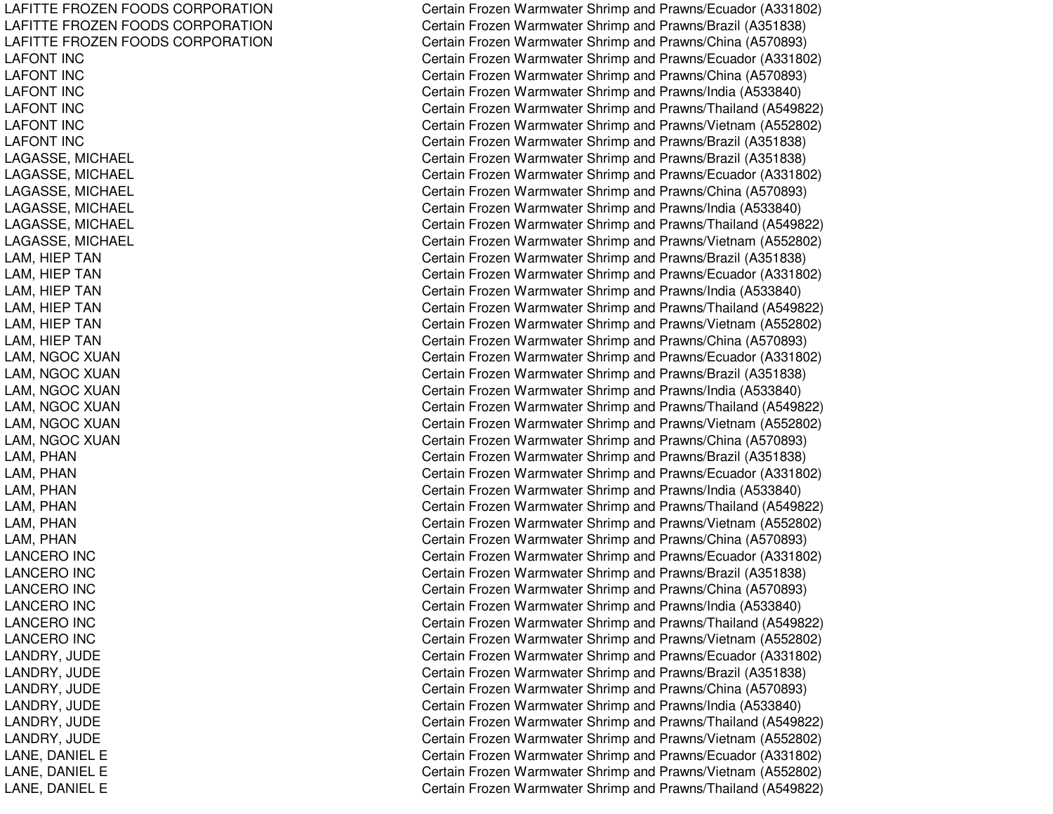LAFITTE FROZEN FOODS CORPORATION LAFITTE FROZEN FOODS CORPORATION LAFITTE FROZEN FOODS CORPORATION LAFONT INCLAFONT INCLAFONT INCLAFONT INCLAFONT INCL A F ON T IN C LAGASSE, MICHAEL LAGASSE, MIC HAELLAGASSE, MICHAEL LAGASSE, MIC HAELL AGASSE, MIC HAEL LAGASSE, MICHAEL LAM, HIE PTANL AM, HIE PT ANLAM, HIEP TAN LAM, HIE PTANLAM, HIEP TAN LAM, HIEP TAN LAM, NGOC XUAN LAM, NGOC XUAN LAM, NGOC XUAN LAM, NGOC XUAN LAM, NGOC XUAN LAM, NGOC XUAN L AM, P HANLAM, P HANLAM, P HANL A M, P HA NLAM, PHAN LAM, PHAN LANCERO INC LANCERO IN CLANCERO IN CLANCERO INC LANCERO IN CL ANCERO IN CLANDRY, JUDE LANDRY, JU DEL ANDRY, JU DELANDRY, JUDE LANDRY, JUDE LANDRY, JUDE LANE, DANIEL E LANE, D ANIELELANE, DANIEL E

Certain Frozen Warmwater Shrimp and Prawns/Ecuador (A331802) Certain Frozen Warmwater Shrimp and Prawns/Brazil (A351838) Certain Frozen Warmwater Shrimp and Prawns/China (A570893) Certain Frozen Warmwater Shrimp and Prawns/Ecuador (A331802) Certain Frozen Warmwater Shrimp and Prawns/China (A570893) Certain Frozen Warmwater Shrimp and Prawns/India (A533840) Certain Frozen Warmwater Shrimp and Prawns/Thailand (A549822) Certain Frozen Warmwater Shrimp and Prawns/Vietnam (A552802) Certain Frozen Warmwater Shrimp and Prawns/Brazil (A351838) C ertain Frozen W arm w ater Shrim p and Pra wns/Brazil (A 3 518 3 8) Certain Frozen Warmwater Shrimp and Prawns/Ecuador (A331802) Certain Frozen Warmwater Shrimp and Prawns/China (A570893) Certain Frozen Warmwater Shrimp and Prawns/India (A533840) Certain Frozen Warmwater Shrimp and Prawns/Thailand (A549822) Certain Frozen Warmwater Shrimp and Prawns/Vietnam (A552802) Certain Frozen Warmwater Shrimp and Prawns/Brazil (A351838) Certain Frozen Warmwater Shrimp and Prawns/Ecuador (A331802) Certain Frozen Warmwater Shrimp and Prawns/India (A533840) Certain Frozen Warmwater Shrimp and Prawns/Thailand (A549822) Certain Frozen Warmwater Shrimp and Prawns/Vietnam (A552802) Certain Frozen Warmwater Shrimp and Prawns/China (A570893) Certain Frozen Warmwater Shrimp and Prawns/Ecuador (A331802) Certain Frozen Warmwater Shrimp and Prawns/Brazil (A351838) Certain Frozen Warmwater Shrimp and Prawns/India (A533840) Certain Frozen Warmwater Shrimp and Prawns/Thailand (A549822) Certain Frozen Warmwater Shrimp and Prawns/Vietnam (A552802) Certain Frozen Warmwater Shrimp and Prawns/China (A570893) Certain Frozen Warmwater Shrimp and Prawns/Brazil (A351838) C ertain Frozen Warm w ater Shrim p and Pra wns/Ecua d or (A 3 318 0 2) Certain Frozen Warmwater Shrimp and Prawns/India (A533840) Certain Frozen Warmwater Shrimp and Prawns/Thailand (A549822) Certain Frozen Warmwater Shrimp and Prawns/Vietnam (A552802) Certain Frozen Warmwater Shrimp and Prawns/China (A570893) Certain Frozen Warmwater Shrimp and Prawns/Ecuador (A331802) C ertain Frozen W arm w ater Shrim p and Pra wns/Brazil (A 3 518 3 8) Certain Frozen Warmwater Shrimp and Prawns/China (A570893) Certain Frozen Warmwater Shrimp and Prawns/India (A533840) Certain Frozen Warmwater Shrimp and Prawns/Thailand (A549822) Certain Frozen Warmwater Shrimp and Prawns/Vietnam (A552802) C ertain Frozen Warm w ater Shrim p and Pra wns/Ecua d or (A 3 318 0 2) Certain Frozen Warmwater Shrimp and Prawns/Brazil (A351838) Certain Frozen Warmwater Shrimp and Prawns/China (A570893) Certain Frozen Warmwater Shrimp and Prawns/India (A533840) Certain Frozen Warmwater Shrimp and Prawns/Thailand (A549822) Certain Frozen Warmwater Shrimp and Prawns/Vietnam (A552802) Certain Frozen Warmwater Shrimp and Prawns/Ecuador (A331802) Certain Frozen Warmwater Shrimp and Prawns/Vietnam (A552802) Certain Frozen Warmwater Shrimp and Prawns/Thailand (A549822)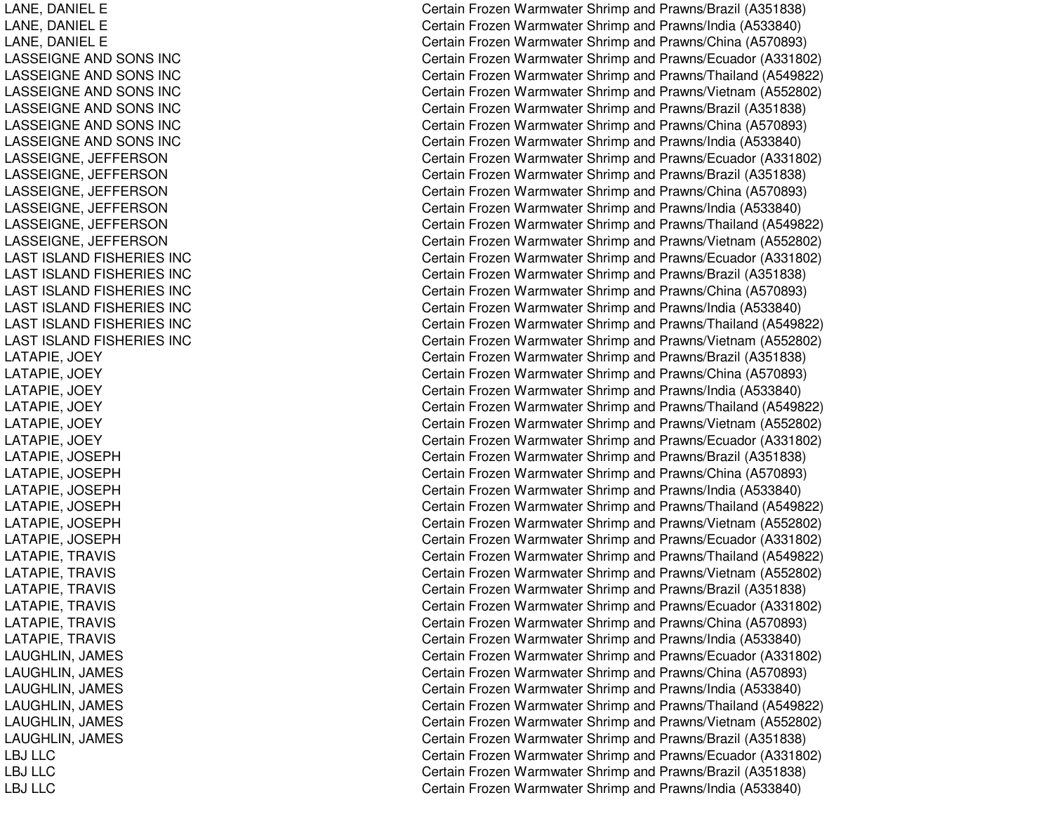LANE, D ANIELELANE, D ANIELEL ANE, D ANIEL ELASSEIGNE AND SONS INC LASSEIGNE AND SONS INC LASSEIGNE AND SONS INC LASSEIGNE AND SONS INC LASSEIGNE AND SONS INC LASSEIGNE AND SONS INC LASSEIGNE, JEFFERSON LASSEIGNE, JE FFERSONLASSEIGNE, JEFFERSON LASSEIGNE, JE FFERSONL ASSEIGNE, JE FFERSONLASSEIGNE, JEFFERSON LAST ISLAND FISHERIES INC LAST ISLAND FISHERIES INC LAST ISLAND FISHERIES INC LAST ISLAND FISHERIES INC LAST ISLAND FISHERIES INC LAST ISLAND FISHERIES INC LATAPIE, JO EYLATAPIE, JOEY LATAPIE, JO EYL ATAPIE, JO EYLATAPIE, JOEY LATAPIE, JO EYL AT APIE, JO SEPHLATAPIE, JOSEPH LATAPIE, JO SEPHLATAPIE, JOSEPH LATAPIE, JOSEPH LATAPIE, JOSEPH LATAPIE, TRAVIS LATAPIE, TRAVIS LATAPIE, T RAVISLATAPIE, TRAVIS LATAPIE, TRAVIS L ATAPIE, T RAVISLAUGHLIN, JAMES LAUGHLIN, JA MESL AUGHLIN, JA MESLAUGHLIN, JAMES LAUGHLIN, JAMES LAUGHLIN, JAMES LBJ LLCLBJ LLCLBJ LLC

Certain Frozen Warmwater Shrimp and Prawns/Brazil (A351838) Certain Frozen Warmwater Shrimp and Prawns/India (A533840) Certain Frozen Warmwater Shrimp and Prawns/China (A570893) Certain Frozen Warmwater Shrimp and Prawns/Ecuador (A331802) Certain Frozen Warmwater Shrimp and Prawns/Thailand (A549822) Certain Frozen Warmwater Shrimp and Prawns/Vietnam (A552802) Certain Frozen Warmwater Shrimp and Prawns/Brazil (A351838) Certain Frozen Warmwater Shrimp and Prawns/China (A570893) Certain Frozen Warmwater Shrimp and Prawns/India (A533840) Certain Frozen Warmwater Shrimp and Prawns/Ecuador (A331802) Certain Frozen Warmwater Shrimp and Prawns/Brazil (A351838) Certain Frozen Warmwater Shrimp and Prawns/China (A570893) Certain Frozen Warmwater Shrimp and Prawns/India (A533840) Certain Frozen Warmwater Shrimp and Prawns/Thailand (A549822) Certain Frozen Warmwater Shrimp and Prawns/Vietnam (A552802) Certain Frozen Warmwater Shrimp and Prawns/Ecuador (A331802) Certain Frozen Warmwater Shrimp and Prawns/Brazil (A351838) Certain Frozen Warmwater Shrimp and Prawns/China (A570893) Certain Frozen Warmwater Shrimp and Prawns/India (A533840) Certain Frozen Warmwater Shrimp and Prawns/Thailand (A549822) Certain Frozen Warmwater Shrimp and Prawns/Vietnam (A552802) Certain Frozen Warmwater Shrimp and Prawns/Brazil (A351838) Certain Frozen Warmwater Shrimp and Prawns/China (A570893) Certain Frozen Warmwater Shrimp and Prawns/India (A533840) Certain Frozen Warmwater Shrimp and Prawns/Thailand (A549822) Certain Frozen Warmwater Shrimp and Prawns/Vietnam (A552802) Certain Frozen Warmwater Shrimp and Prawns/Ecuador (A331802) Certain Frozen Warmwater Shrimp and Prawns/Brazil (A351838) Certain Frozen Warmwater Shrimp and Prawns/China (A570893) Certain Frozen Warmwater Shrimp and Prawns/India (A533840) Certain Frozen Warmwater Shrimp and Prawns/Thailand (A549822) Certain Frozen Warmwater Shrimp and Prawns/Vietnam (A552802) Certain Frozen Warmwater Shrimp and Prawns/Ecuador (A331802) Certain Frozen Warmwater Shrimp and Prawns/Thailand (A549822) Certain Frozen Warmwater Shrimp and Prawns/Vietnam (A552802) Certain Frozen Warmwater Shrimp and Prawns/Brazil (A351838) Certain Frozen Warmwater Shrimp and Prawns/Ecuador (A331802) Certain Frozen Warmwater Shrimp and Prawns/China (A570893) Certain Frozen Warmwater Shrimp and Prawns/India (A533840) Certain Frozen Warmwater Shrimp and Prawns/Ecuador (A331802) Certain Frozen Warmwater Shrimp and Prawns/China (A570893) Certain Frozen Warmwater Shrimp and Prawns/India (A533840) Certain Frozen Warmwater Shrimp and Prawns/Thailand (A549822) Certain Frozen Warmwater Shrimp and Prawns/Vietnam (A552802) Certain Frozen Warmwater Shrimp and Prawns/Brazil (A351838) Certain Frozen Warmwater Shrimp and Prawns/Ecuador (A331802) Certain Frozen Warmwater Shrimp and Prawns/Brazil (A351838) Certain Frozen Warmwater Shrimp and Prawns/India (A533840)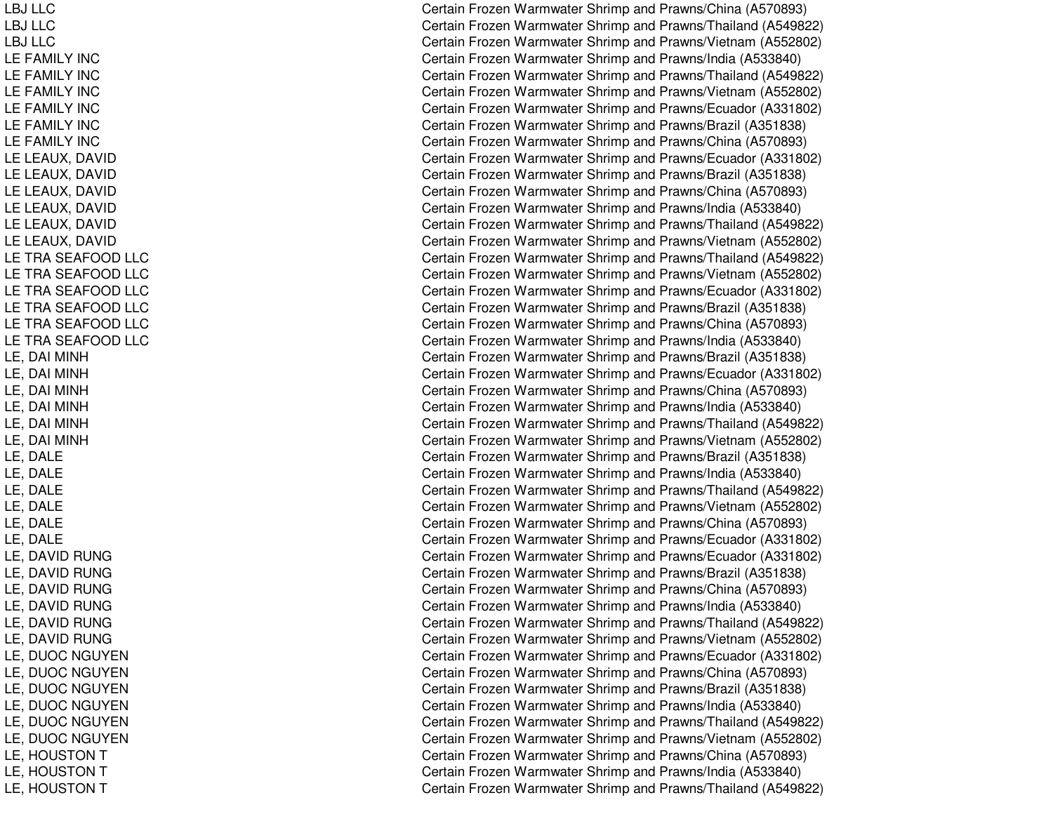LBJ LLCLBJ LLCLBJ LLCLEFAMILY INCLEFAMILY INCLEFAMILY INCLEFAMILY INCLEFAMILY INCL E F A MIL Y IN C LE LEAUX, DAVID LELEAUX, D AVIDLELEAUX, D AVIDLELEAUX, D AVIDL EL EAUX, D AVIDLE LEAUX, DAVID LE TRA SEAFOOD LLC LE TRA SEAFOOD LLC LE TRA SEAFOOD LLC LE TRA SEAFOOD LLC LE TRA SEAFOOD LLC LE TRA SEAFOOD LLC LE, D AI MINHLE, D AI MINHLE, D AI MINHL E, D AI MINHL E, D AI MIN H LE, D AI MINHLE, D ALELE, D ALELE, D ALEL E, D A L E L E, D A L E LE, D ALEL E, D A VID R U N GLE, DAVID RUNG LE, DAVID RUNG L E, D A VID R U N G L E, D A VID R U N G L E, D AVIDRUNGLE, DUOC NGUYEN LE, DUOC NGUYEN LE, DUOC NGUYEN LE, DUOC NGUYEN LE, DUOC NGUYEN LE, DUOC NGUYEN LE, HOUSTON T LE, H OUSTONTLE, HOUSTON T

Certain Frozen Warmwater Shrimp and Prawns/China (A570893) Certain Frozen Warmwater Shrimp and Prawns/Thailand (A549822) Certain Frozen Warmwater Shrimp and Prawns/Vietnam (A552802) Certain Frozen Warmwater Shrimp and Prawns/India (A533840) Certain Frozen Warmwater Shrimp and Prawns/Thailand (A549822) Certain Frozen Warmwater Shrimp and Prawns/Vietnam (A552802) Certain Frozen Warmwater Shrimp and Prawns/Ecuador (A331802) Certain Frozen Warmwater Shrimp and Prawns/Brazil (A351838) Certain Frozen Warmwater Shrimp and Prawns/China (A570893) Certain Frozen Warmwater Shrimp and Prawns/Ecuador (A331802) Certain Frozen Warmwater Shrimp and Prawns/Brazil (A351838) Certain Frozen Warmwater Shrimp and Prawns/China (A570893) Certain Frozen Warmwater Shrimp and Prawns/India (A533840) Certain Frozen Warmwater Shrimp and Prawns/Thailand (A549822) Certain Frozen Warmwater Shrimp and Prawns/Vietnam (A552802) Certain Frozen Warmwater Shrimp and Prawns/Thailand (A549822) Certain Frozen Warmwater Shrimp and Prawns/Vietnam (A552802) Certain Frozen Warmwater Shrimp and Prawns/Ecuador (A331802) Certain Frozen Warmwater Shrimp and Prawns/Brazil (A351838) Certain Frozen Warmwater Shrimp and Prawns/China (A570893) Certain Frozen Warmwater Shrimp and Prawns/India (A533840) Certain Frozen Warmwater Shrimp and Prawns/Brazil (A351838) Certain Frozen Warmwater Shrimp and Prawns/Ecuador (A331802) Certain Frozen Warmwater Shrimp and Prawns/China (A570893) Certain Frozen Warmwater Shrimp and Pra wns/India (A 5 3 3 8 4 0) Certain Frozen Warmwater Shrimp and Prawns/Thailand (A549822) Certain Frozen Warmwater Shrimp and Prawns/Vietnam (A552802) Certain Frozen Warmwater Shrimp and Prawns/Brazil (A351838) Certain Frozen Warmwater Shrimp and Prawns/India (A533840) Certain Frozen Warmwater Shrimp and Prawns/Thailand (A549822) Certain Frozen Warmwater Shrimp and Prawns/Vietnam (A552802) Certain Frozen Warmwater Shrimp and Prawns/China (A570893) Certain Frozen Warmwater Shrimp and Prawns/Ecuador (A331802) Certain Frozen Warmwater Shrimp and Prawns/Ecuador (A331802) C ertain Frozen W arm w ater Shrim p and Pra wns/Brazil (A 3 518 3 8) Certain Frozen Warmwater Shrimp and Prawns/China (A570893) Certain Frozen Warmwater Shrimp and Prawns/India (A533840) Certain Frozen Warmwater Shrimp and Prawns/Thailand (A549822) Certain Frozen Warmwater Shrimp and Prawns/Vietnam (A552802) C ertain Frozen Warm w ater Shrim p and Pra wns/Ecua d or (A 3 318 0 2) Certain Frozen Warmwater Shrimp and Prawns/China (A570893) Certain Frozen Warmwater Shrimp and Prawns/Brazil (A351838) Certain Frozen Warmwater Shrimp and Prawns/India (A533840) Certain Frozen Warmwater Shrimp and Prawns/Thailand (A549822) Certain Frozen Warmwater Shrimp and Prawns/Vietnam (A552802) Certain Frozen Warmwater Shrimp and Prawns/China (A570893) Certain Frozen Warmwater Shrimp and Prawns/India (A533840) Certain Frozen Warmwater Shrimp and Prawns/Thailand (A549822)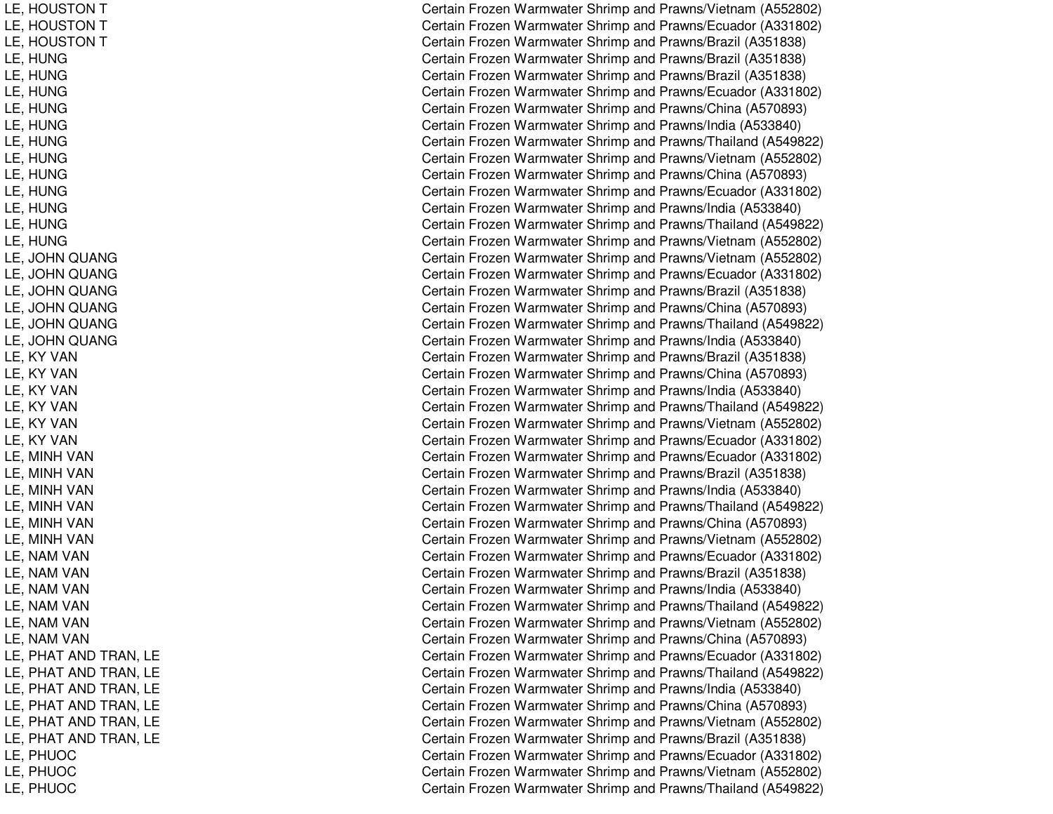LE, HOUSTON T LE, HOUSTON T LE, HOUSTON T LE, H UNGLE, H UNGLE, H UNGLE, H UNGLE, H UNGL E, H U N GLE, H UNGLE, H UNGLE, H UNGLE, H UNGL E, H UNGL E, H U N G LE, JOHN QUANG L E, JO HNQUANGLE, JOHN QUANG LE, JOHN QUANG LE, JOHN QUANG LE, JOHN QUANG LE, KY VAN LE, KY VAN LE, KY VAN L E, K YVANL E, K Y V A N LE, KY VAN LE, MINH VAN LE, MINH VAN LE, MINH VAN LE, MINH VAN LE, MINH VAN LE, MINH VAN LE, NAM VAN LE, NAM VAN LE, NAM VAN LE, NAM VAN LE, NAM VAN LE, NAM VAN LE, PHAT AND TRAN, LE LE, PHAT AND TRAN, LE LE, PHAT AND TRAN, LE LE, PHAT AND TRAN, LE LE, PHAT AND TRAN, LE LE, PHAT AND TRAN, LE LE, P HUOCLE, P HUOCL E, P H U OC

Certain Frozen Warmwater Shrimp and Prawns/Vietnam (A552802) Certain Frozen Warmwater Shrimp and Prawns/Ecuador (A331802) Certain Frozen Warmwater Shrimp and Prawns/Brazil (A351838) Certain Frozen Warmwater Shrimp and Prawns/Brazil (A351838) Certain Frozen Warmwater Shrimp and Prawns/Brazil (A351838) Certain Frozen Warmwater Shrimp and Prawns/Ecuador (A331802) Certain Frozen Warmwater Shrimp and Prawns/China (A570893) Certain Frozen Warmwater Shrimp and Prawns/India (A533840) Certain Frozen Warmwater Shrimp and Prawns/Thailand (A549822) Certain Frozen Warmwater Shrimp and Prawns/Vietnam (A552802) Certain Frozen Warmwater Shrimp and Prawns/China (A570893) Certain Frozen Warmwater Shrimp and Prawns/Ecuador (A331802) Certain Frozen Warmwater Shrimp and Prawns/India (A533840) Certain Frozen Warmwater Shrimp and Prawns/Thailand (A549822) Certain Frozen Warmwater Shrimp and Prawns/Vietnam (A552802) Certain Frozen Warmwater Shrimp and Prawns/Vietnam (A552802) Certain Frozen Warmwater Shrimp and Prawns/Ecuador (A331802) Certain Frozen Warmwater Shrimp and Prawns/Brazil (A351838) Certain Frozen Warmwater Shrimp and Prawns/China (A570893) Certain Frozen Warmwater Shrimp and Prawns/Thailand (A549822) Certain Frozen Warmwater Shrimp and Prawns/India (A533840) Certain Frozen Warmwater Shrimp and Prawns/Brazil (A351838) Certain Frozen Warmwater Shrimp and Prawns/China (A570893) Certain Frozen Warmwater Shrimp and Prawns/India (A533840) Certain Frozen Warmwater Shrimp and Prawns/Thailand (A549822) Certain Frozen Warmwater Shrimp and Prawns/Vietnam (A552802) Certain Frozen Warmwater Shrimp and Prawns/Ecuador (A331802) Certain Frozen Warmwater Shrimp and Prawns/Ecuador (A331802) Certain Frozen Warmwater Shrimp and Prawns/Brazil (A351838) Certain Frozen Warmwater Shrimp and Prawns/India (A533840) Certain Frozen Warmwater Shrimp and Prawns/Thailand (A549822) Certain Frozen Warmwater Shrimp and Prawns/China (A570893) Certain Frozen Warmwater Shrimp and Prawns/Vietnam (A552802) Certain Frozen Warmwater Shrimp and Prawns/Ecuador (A331802) C ertain Frozen W arm w ater Shrim p and Pra wns/Brazil (A 3 518 3 8) Certain Frozen Warmwater Shrimp and Prawns/India (A533840) Certain Frozen Warmwater Shrimp and Prawns/Thailand (A549822) Certain Frozen Warmwater Shrimp and Prawns/Vietnam (A552802) Certain Frozen Warmwater Shrimp and Prawns/China (A570893) C ertain Frozen Warm w ater Shrim p and Pra wns/Ecua d or (A 3 318 0 2) Certain Frozen Warmwater Shrimp and Prawns/Thailand (A549822) Certain Frozen Warmwater Shrimp and Prawns/India (A533840) Certain Frozen Warmwater Shrimp and Prawns/China (A570893) Certain Frozen Warmwater Shrimp and Prawns/Vietnam (A552802) Certain Frozen Warmwater Shrimp and Prawns/Brazil (A351838) Certain Frozen Warmwater Shrimp and Prawns/Ecuador (A331802) Certain Frozen Warmwater Shrimp and Prawns/Vietnam (A552802) Certain Frozen Warmwater Shrimp and Prawns/Thailand (A549822)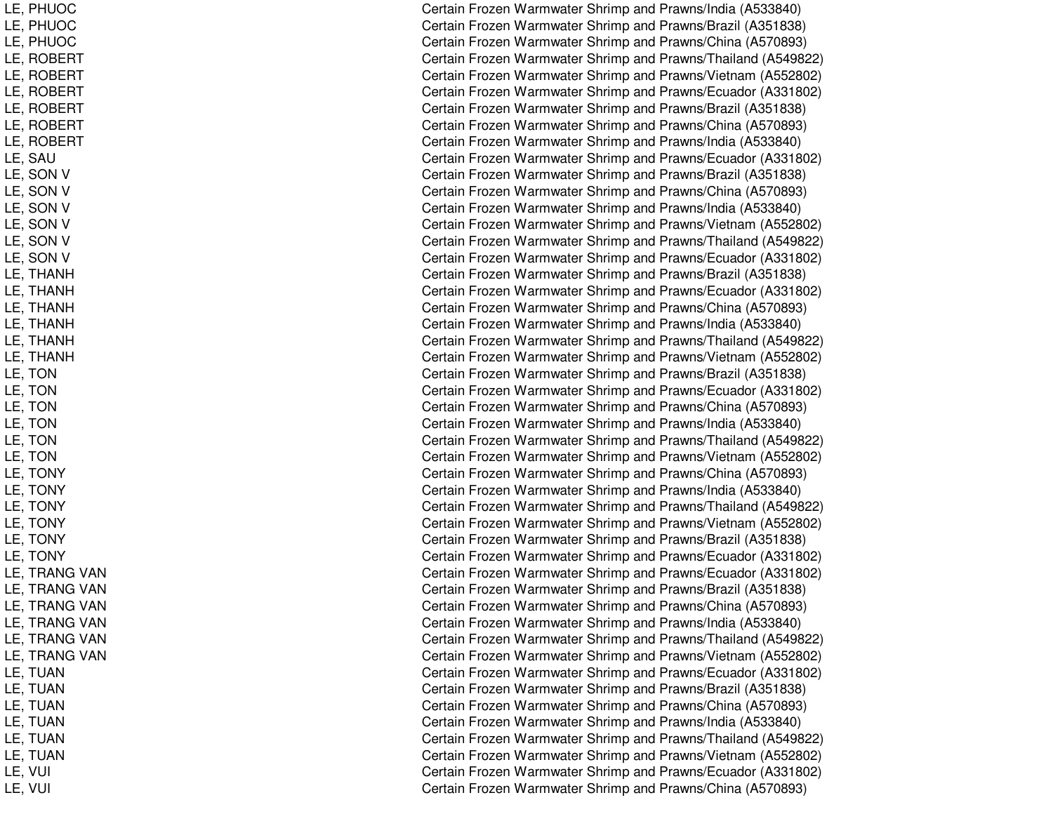Certain Frozen Warmwater Shrimp and Prawns/India (A533840) Certain Frozen Warmwater Shrimp and Prawns/Brazil (A351838) Certain Frozen Warmwater Shrimp and Prawns/China (A570893) Certain Frozen Warmwater Shrimp and Prawns/Thailand (A549822) Certain Frozen Warmwater Shrimp and Prawns/Vietnam (A552802) Certain Frozen Warmwater Shrimp and Prawns/Ecuador (A331802) Certain Frozen Warmwater Shrimp and Prawns/Brazil (A351838) Certain Frozen Warmwater Shrimp and Prawns/China (A570893) Certain Frozen Warmwater Shrimp and Prawns/India (A533840) Certain Frozen Warmwater Shrimp and Prawns/Ecuador (A331802) Certain Frozen Warmwater Shrimp and Prawns/Brazil (A351838) Certain Frozen Warmwater Shrimp and Prawns/China (A570893) Certain Frozen Warmwater Shrimp and Prawns/India (A533840) Certain Frozen Warmwater Shrimp and Prawns/Vietnam (A552802) Certain Frozen Warmwater Shrimp and Prawns/Thailand (A549822) Certain Frozen Warmwater Shrimp and Prawns/Ecuador (A331802) Certain Frozen Warmwater Shrimp and Prawns/Brazil (A351838) Certain Frozen Warmwater Shrimp and Prawns/Ecuador (A331802) Certain Frozen Warmwater Shrimp and Prawns/China (A570893) Certain Frozen Warmwater Shrimp and Pra wns/India (A 5 3 3 8 4 0) Certain Frozen Warmwater Shrimp and Prawns/Thailand (A549822) Certain Frozen Warmwater Shrimp and Prawns/Vietnam (A552802) Certain Frozen Warmwater Shrimp and Prawns/Brazil (A351838) Certain Frozen Warmwater Shrimp and Prawns/Ecuador (A331802) Certain Frozen Warmwater Shrimp and Prawns/China (A570893) Certain Frozen Warmwater Shrimp and Prawns/India (A533840) Certain Frozen Warmwater Shrimp and Prawns/Thailand (A549822) Certain Frozen Warmwater Shrimp and Prawns/Vietnam (A552802) Certain Frozen Warmwater Shrimp and Prawns/China (A570893) Certain Frozen Warmwater Shrimp and Prawns/India (A533840) Certain Frozen Warmwater Shrimp and Prawns/Thailand (A549822) Certain Frozen Warmwater Shrimp and Prawns/Vietnam (A552802) Certain Frozen Warmwater Shrimp and Prawns/Brazil (A351838) Certain Frozen Warmwater Shrimp and Prawns/Ecuador (A331802) Certain Frozen Warmwater Shrimp and Prawns/Ecuador (A331802) Certain Frozen Warmwater Shrimp and Prawns/Brazil (A351838) Certain Frozen Warmwater Shrimp and Prawns/China (A570893) Certain Frozen Warmwater Shrimp and Prawns/India (A533840) Certain Frozen Warmwater Shrimp and Prawns/Thailand (A549822) Certain Frozen Warmwater Shrimp and Prawns/Vietnam (A552802) Certain Frozen Warmwater Shrimp and Prawns/Ecuador (A331802) Certain Frozen Warmwater Shrimp and Prawns/Brazil (A351838) Certain Frozen Warmwater Shrimp and Prawns/China (A570893) Certain Frozen Warmwater Shrimp and Prawns/India (A533840) Certain Frozen Warmwater Shrimp and Prawns/Thailand (A549822) Certain Frozen Warmwater Shrimp and Prawns/Vietnam (A552802) ertain Frozen Warmwater Shrimp and Prawns/Ecuador (A331802) Certain Frozen Warmwater Shrimp and Prawns/China (A570893)

LE, P HUOCLE, P HUOCL E, P HUOCLE, ROBERT LE, R OBERTLE, ROBERT LE, R OBERTLE, R OBERTLE, ROBERT LE, S AULE, SON V LE, SON V LE, SON V LE, SON V L E, S O N V LE, SON V L E, T HANHLE, T HANHLE, THANH L E, T HA NHLE, THANH LE, T HANHLE, T ONLE, T ONL E, T ONL E, T O N LE, T ONLE, T ONLE, T ONYLE, T ONYL E, T ONY LE, TONY LE, T ONYL E, T ON Y LE, TRANG VAN LE, TRANG VAN LE, TRANG VAN LE, TRANG VAN LE, TRANG VAN LE, TRANG VAN LE, T UANL E, T UANLE, TUAN LE, T UANL E, T UA NLE, T UANLE, V UIl Constantinople of the constant of the constant of the constant of the constant of the constant of the constant of the constant of the constant of the constant of the constant of the constant of the constant of the consta LE, V UIl Constantinople of the constant of the constant of the constant of the constant of the constant of the constant of the constant of the constant of the constant of the constant of the constant of the constant of the consta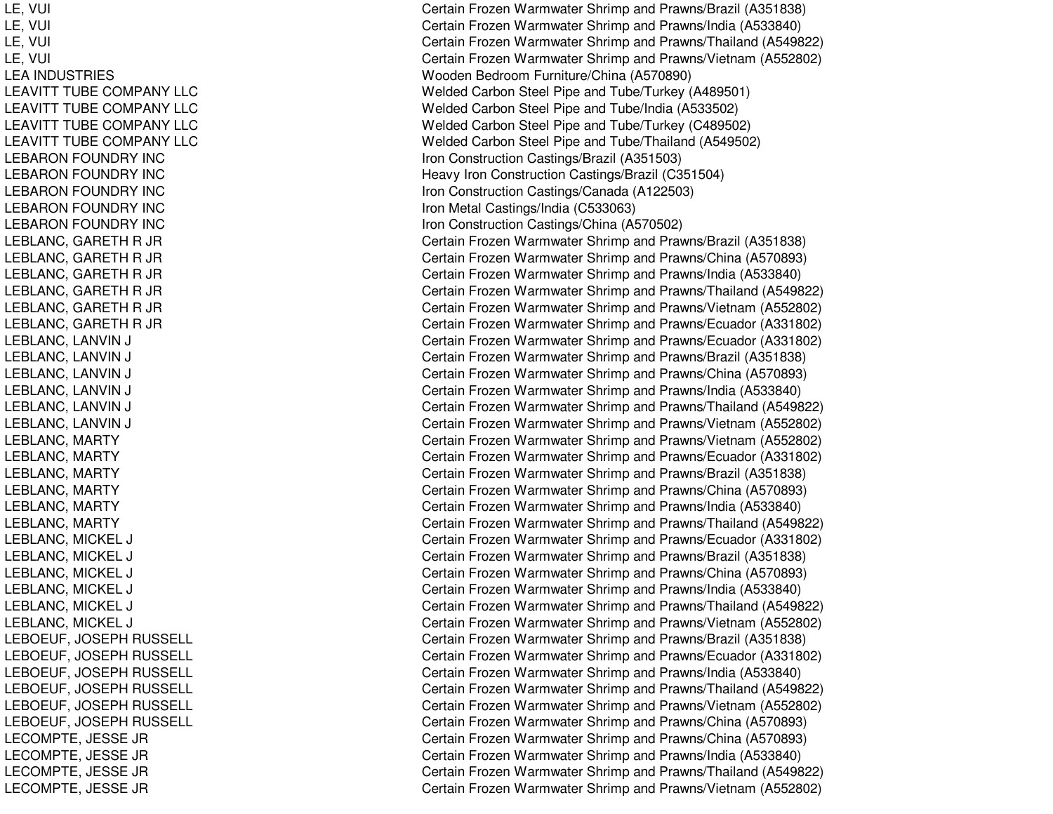LE, V UIl Constantinople of the constant of the constant of the constant of the constant of the constant of the constant of the constant of the constant of the constant of the constant of the constant of the constant of the consta LE, V UIl Constantinople of the constant of the constant of the constant of the constant of the constant of the constant of the constant of the constant of the constant of the constant of the constant of the constant of the consta L E, V UIl contract to the contract of the contract of the contract of the contract of the contract of the contract of the contract of the contract of the contract of the contract of the contract of the contract of the contract of L E, V UIl Constantinople of the constant of the constant of the constant of the constant of the constant of the constant of the constant of the constant of the constant of the constant of the constant of the constant of the consta LEA INDUSTRIESLEAVITT TUBE COMPANY LLC LEAVITT TUBE COMPANY LLC LEAVITT TUBE COMPANY LLC LEAVITT TUBE COMPANY LLC LEBARON FOUNDRY INC LEBARON FOUNDRY INC LEBARON FOUNDRY INC LEBARON FOUNDRY INC L EBARONFOUNDRY INCLEBLANC, GARETH R JR LEBLANC, GARETH R JR LEBLANC, GARETH R JR LEBLANC, GARETH R JR LEBLANC, GARETH R JR LEBLANC, GARETH R JR LEBLANC, LANVIN NJ COMERCIAL COMMUNISTIC LEBLANC, L ANVINNJ COMERCIAL COMMUNISTIC LEBLANC, LANVIN NJ COMERCIAL COMMUNISTIC LEBLANC, L ANVINNJ C L EBL ANC, L ANVINNJ COMERCIAL COMMUNISTIC LEBLANC, LANVIN NJ COMERCIAL COMMUNISTIC LEBLANC, M ARTYL EBL ANC, M ART YLEBLANC, MARTY LEBLANC, M ARTYLEBLANC, MARTY LEBLANC, MARTY LEBLANC, MICKEL LJ COMERCIAL COMMUNICATIONS COMMUNICATIONS COMMUNICATIONS COMMUNICATIONS COMMUNICATIONS COMMUNICATIONS COMMUNICATIONS COMMUNICATIONS COMMUNICATIONS COMMUNICATIONS COMMUNICATIONS COMMUNICATIONS COMMUNICATIONS COMMUNICATIONS LEBLANC, MICKEL LJ COMERCIAL COMMUNICATIONS COMMUNICATIONS LEBLANC, MICKEL LJ COMERCIAL COMMUNICATIONS COMMUNICATIONS COMMUNICATIONS COMMUNICATIONS COMMUNICATIONS COMMUNICATIONS COMMUNICATIONS COMMUNICATIONS COMMUNICATIONS COMMUNICATIONS COMMUNICATIONS COMMUNICATIONS COMMUNICATIONS COMMUNICATIONS LEBLANC, MIC KELLJ COMERCIAL COMMUNICATIONS COMMUNICATIONS COMMUNICATIONS COMMUNICATIONS COMMUNICATIONS COMMUNICATIONS COMMUNICATIONS COMMUNICATIONS COMMUNICATIONS COMMUNICATIONS COMMUNICATIONS COMMUNICATIONS COMMUNICATIONS COMMUNICATIONS LEBLANC, MICKEL LJ COMERCIAL COMMUNICATIONS COMMUNICATIONS LEBLANC, MICKEL LJ COMERCIAL COMMUNICATIONS COMMUNICATIONS COMMUNICATIONS COMMUNICATIONS COMMUNICATIONS COMMUNICATIONS COMMUNICATIONS COMMUNICATIONS COMMUNICATIONS COMMUNICATIONS COMMUNICATIONS COMMUNICATIONS COMMUNICATIONS COMMUNICATIONS LEBOEUF, JOSEPH RUSSELL LEBOEUF, JOSEPH RUSSELL LEBOEUF, JO SEPHRUSSELLLEBOEUF, JOSEPH RUSSELL LEBOEUF, JOSEPH RUSSELL LEBOEUF, JOSEPH RUSSELL L E COMP T E, JE S S E JRLECOMPTE, JESSE JR LECOMPTE, JE SSE JRL E C OMP T E, JE S S E JR

Certain Frozen Warmwater Shrimp and Prawns/Brazil (A351838) ertain Frozen Warmwater Shrimp and Prawns/India (A533840) ertain Frozen Warmwater Shrimp and Prawns/Thailand (A549822) Certain Frozen Warmwater Shrimp and Prawns/Vietnam (A552802) Wooden Bedroom Furniture/China (A570890) Welded Carbon Steel Pipe and Tube/Turkey (A489501) Welded Carbon Steel Pipe and Tube/India (A533502) Welded Carbon Steel Pipe and Tube/Turkey (C489502) Welded Carbon Steel Pipe and Tube/Thailand (A549502) Iron Construction Castings/Brazil (A351503) المستحدث المستحدث المستحدث المستحدث المستحدث المستحدث المستحدث الم Heav y Iron C onstruction Castings/Brazil (C 351504) Iron C onstruction C astings/C ana d a (A12 2 5 0 3) Iron Metal Castings/India (C 533063) lron Construction Castings/China (A570502) المستخدم المستخدم المستخدم المستخدم المستخدم المستخدم المستخدم المستخدم Certain Frozen Warmwater Shrimp and Prawns/Brazil (A351838) Certain Frozen Warmwater Shrimp and Prawns/China (A570893) Certain Frozen Warmwater Shrimp and Prawns/India (A533840) Certain Frozen Warmwater Shrimp and Prawns/Thailand (A549822) Certain Frozen Warmwater Shrimp and Prawns/Vietnam (A552802) Certain Frozen Warmwater Shrimp and Prawns/Ecuador (A331802) ertain Frozen Warmwater Shrimp and Prawns/Ecuador (A331802) ertain Frozen Warmwater Shrimp and Prawns/Brazil (A351838) ertain Frozen Warmwater Shrimp and Prawns/China (A570893) ertain Frozen Warmwater Shrimp and Prawns/India (A533840) ertain Frozen Warmwater Shrimp and Prawns/Thailand (A549822) ertain Frozen Warmwater Shrimp and Prawns/Vietnam (A552802) Certain Frozen Warmwater Shrimp and Prawns/Vietnam (A552802) Certain Frozen Warmwater Shrimp and Prawns/Ecuador (A331802) Certain Frozen Warmwater Shrimp and Prawns/Brazil (A351838) Certain Frozen Warmwater Shrimp and Prawns/China (A570893) Certain Frozen Warmwater Shrimp and Prawns/India (A533840) Certain Frozen Warmwater Shrimp and Prawns/Thailand (A549822) Certain Frozen Warmwater Shrimp and Prawns/Ecuador (A331802) Certain Frozen Warmwater Shrimp and Prawns/Brazil (A351838) Certain Frozen Warmwater Shrimp and Prawns/China (A570893) ertain Frozen Warmwater Shrimp and Prawns/India (A533840) Certain Frozen Warmwater Shrimp and Prawns/Thailand (A549822) Certain Frozen Warmwater Shrimp and Prawns/Vietnam (A552802) Certain Frozen Warmwater Shrimp and Prawns/Brazil (A351838) Certain Frozen Warmwater Shrimp and Prawns/Ecuador (A331802) Certain Frozen Warmwater Shrimp and Prawns/India (A533840) Certain Frozen Warmwater Shrimp and Prawns/Thailand (A549822) Certain Frozen Warmwater Shrimp and Prawns/Vietnam (A552802) Certain Frozen Warmwater Shrimp and Prawns/China (A570893) Certain Frozen Warmwater Shrimp and Prawns/China (A570893) Certain Frozen Warmwater Shrimp and Prawns/India (A533840) Certain Frozen Warmwater Shrimp and Prawns/Thailand (A549822) Certain Frozen Warmwater Shrimp and Prawns/Vietnam (A552802)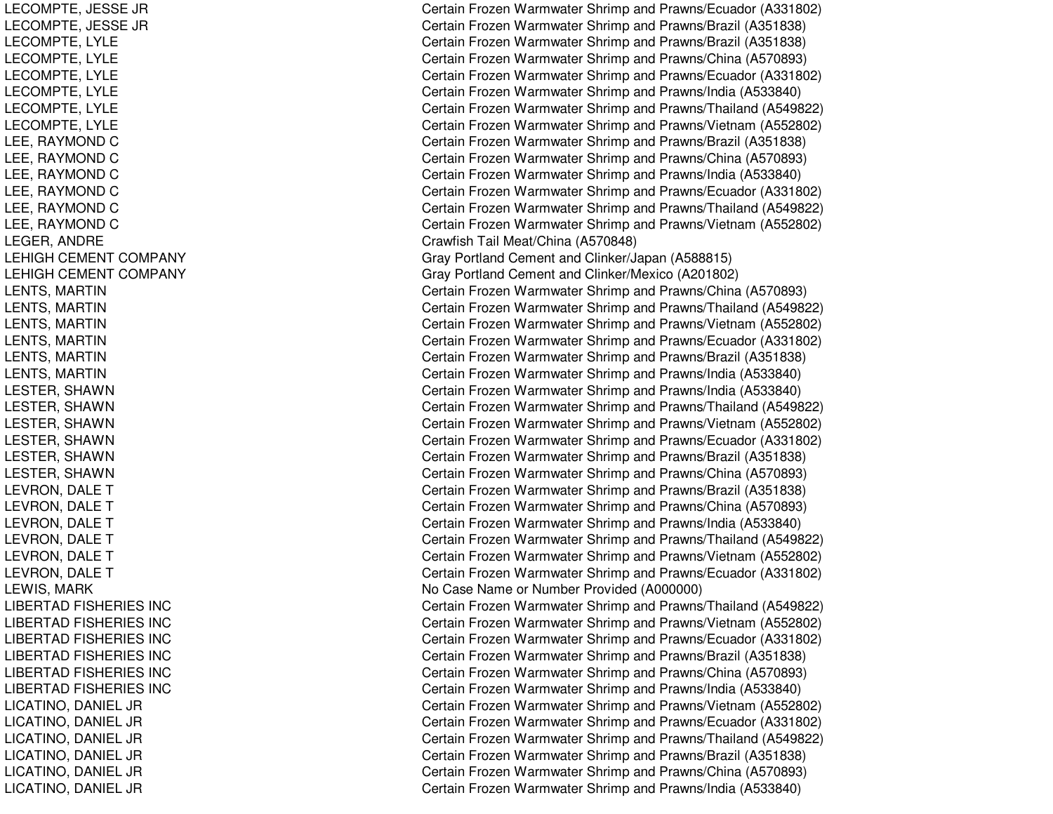LECOMPTE, JESSE JR LECOMPTE, JE SSE JRL ECOMPT E, L YL ELECOMPTE, LYLE LECOMPTE, L YLELECOMPTE, LYLE LECOMPTE, L YLELECOMPTE, L YLELEE, RAYMOND C LEE, RAYMOND C LEE, RAYMOND C LEE, RAYMOND C LEE, RAYMOND C LEE, RAYMOND C LEGER, ANDRE LEHIGH CEMENT COMPANY LEHIGH CEMENT COMPANY LENTS, M ARTINLENTS, M ARTINLENTS, MARTIN LENTS, MARTIN LENTS, MARTIN LENTS, MARTIN LESTER, S HAWNL ESTER, S HAWNLESTER, SHAWN LESTER, S HAWNL EST ER, S HAWNLESTER, SHAWN LEVRON, DALE T LEVRON, DALE T LEVRON, DALE T LEVRON, DALE T LEVRON, DALE T LEVRON, DALE T LEWIS, M ARKLIBERTAD FISHERIES INC LIBERTAD FISHERIES INC LIBERTAD FISHERIES INC LIBERTAD FISHERIES INC LIBERTAD FISHERIES INC LIBERTAD FISHERIES INC LICATINO, DANIEL JR LICATINO, DANIEL JR LICATINO, DANIEL JR LICATINO, DANIEL JR LICATINO, DANIEL JR LICATINO, DANIEL JR

Certain Frozen Warmwater Shrimp and Prawns/Ecuador (A331802) Certain Frozen Warmwater Shrimp and Prawns/Brazil (A351838) Certain Frozen Warmwater Shrimp and Prawns/Brazil (A351838) Certain Frozen Warmwater Shrimp and Prawns/China (A570893) Certain Frozen Warmwater Shrimp and Prawns/Ecuador (A331802) Certain Frozen Warmwater Shrimp and Prawns/India (A533840) Certain Frozen Warmwater Shrimp and Prawns/Thailand (A549822) Certain Frozen Warmwater Shrimp and Prawns/Vietnam (A552802) Certain Frozen Warmwater Shrimp and Prawns/Brazil (A351838) Certain Frozen Warmwater Shrimp and Prawns/China (A570893) Certain Frozen Warmwater Shrimp and Prawns/India (A533840) Certain Frozen Warmwater Shrimp and Prawns/Ecuador (A331802) Certain Frozen Warmwater Shrimp and Prawns/Thailand (A549822) Certain Frozen Warmwater Shrimp and Prawns/Vietnam (A552802) Crawfish Tail Meat/China (A570848) Gray Portland Cement and Clinker/Japan (A588815) Gray Portland Cement and Clinker/Mexico (A201802) Certain Frozen Warmwater Shrimp and Prawns/China (A570893) Certain Frozen Warmwater Shrimp and Prawns/Thailand (A549822) Certain Frozen Warmwater Shrimp and Prawns/Vietnam (A552802) Certain Frozen Warmwater Shrimp and Prawns/Ecuador (A331802) Certain Frozen Warmwater Shrimp and Prawns/Brazil (A351838) Certain Frozen Warmwater Shrimp and Prawns/India (A533840) Certain Frozen Warmwater Shrimp and Prawns/India (A533840) Certain Frozen Warmwater Shrimp and Prawns/Thailand (A549822) Certain Frozen Warmwater Shrimp and Prawns/Vietnam (A552802) Certain Frozen Warmwater Shrimp and Prawns/Ecuador (A331802) Certain Frozen Warmwater Shrimp and Prawns/Brazil (A351838) Certain Frozen Warmwater Shrimp and Prawns/China (A570893) Certain Frozen Warmwater Shrimp and Prawns/Brazil (A351838) Certain Frozen Warmwater Shrimp and Prawns/China (A570893) Certain Frozen Warmwater Shrimp and Prawns/India (A533840) Certain Frozen Warmwater Shrimp and Prawns/Thailand (A549822) Certain Frozen Warmwater Shrimp and Prawns/Vietnam (A552802) Certain Frozen Warmwater Shrimp and Prawns/Ecuador (A331802) No Case Name or Number Provided (A000000) Certain Frozen Warmwater Shrimp and Prawns/Thailand (A549822) Certain Frozen Warmwater Shrimp and Prawns/Vietnam (A552802) Certain Frozen Warmwater Shrimp and Prawns/Ecuador (A331802) Certain Frozen Warmwater Shrimp and Prawns/Brazil (A351838) Certain Frozen Warmwater Shrimp and Prawns/China (A570893) Certain Frozen Warmwater Shrimp and Prawns/India (A533840) Certain Frozen Warmwater Shrimp and Prawns/Vietnam (A552802) Certain Frozen Warmwater Shrimp and Prawns/Ecuador (A331802) Certain Frozen Warmwater Shrimp and Prawns/Thailand (A549822) C ertain Frozen W arm w ater Shrim p and Pra wns/Brazil (A 3 518 3 8) Certain Frozen Warmwater Shrimp and Prawns/China (A570893) Certain Frozen Warmwater Shrimp and Prawns/India (A533840)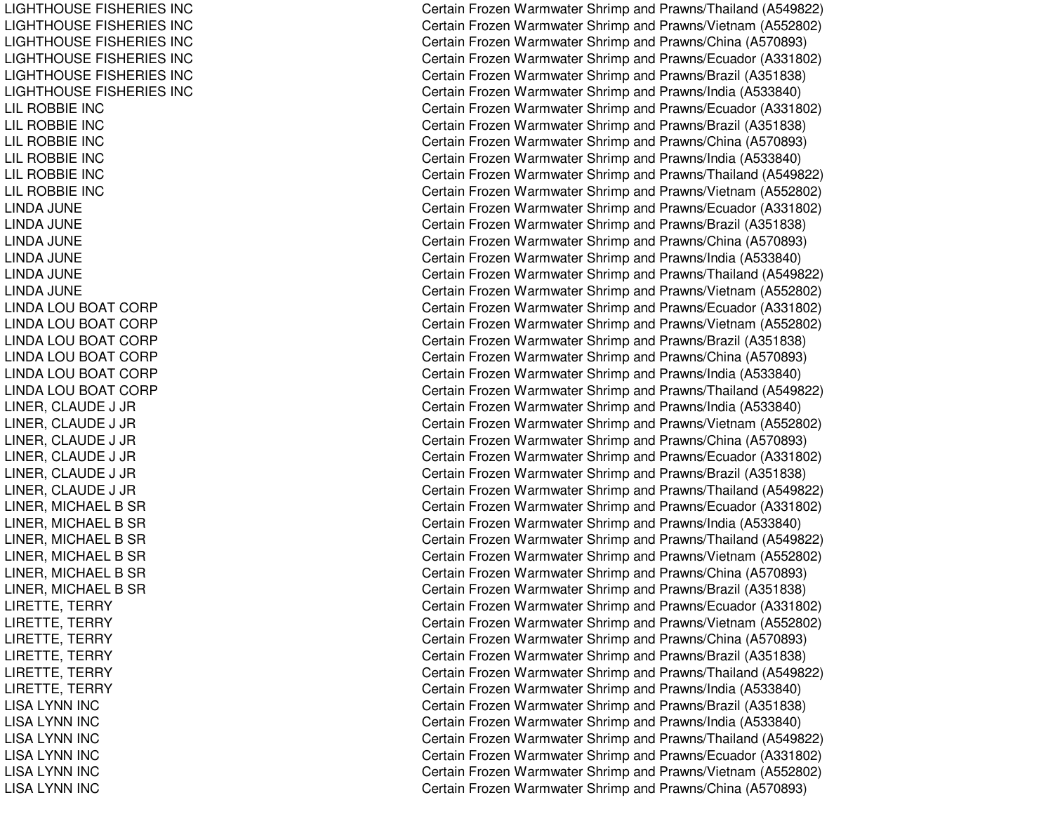LIGHTHOUSE FISHERIES INC LIGHTHOUSE FISHERIES INC LIGHTHOUSE FISHERIES INC LIGHTHOUSE FISHERIES INC LIGHTHOUSE FISHERIES INC LIGHTHOUSE FISHERIES INC LIL ROBBIE INC LILROBBIE INCLIL R OB BIE IN C LIL ROBBIE INC LILROBBIE INCLILROBBIE INCLINDA JUNELINDA JUNELINDA JUNE LINDA JUNELINDA JUNELINDA JUNELINDA LOU BOAT CORP LINDA LOU BOAT CORP LINDA LOU BOAT CORP LINDA LOU BOAT CORP LINDA LOU BOAT CORP LINDA LOU BOAT CORP LINER, CLAUDE J JR LINER, CLAUDE J JR LINER, C LAUDE J JRLINER, CLAUDE J JR LINER, CLAUDE J JR LINER, C LAUDE J JRLINER, MICHAEL B SR LINER, MICHAEL B SR LINER, MICHAEL B SR LINER, MICHAEL B SR LINER, MICHAEL B SR LINER, MICHAEL B SR LIRETTE, TERRY LIRETTE, TERRY LIRETTE, TERRY LIRETTE, TERRY LIRETTE, TERRY LIRETTE, TERRY LISA LYNN INC LISA LYNN INC LISA LYNN INC LISA LYNN INC LISA LYNN INC LISA LYNN INC

Certain Frozen Warmwater Shrimp and Prawns/Thailand (A549822) Certain Frozen Warmwater Shrimp and Prawns/Vietnam (A552802) Certain Frozen Warmwater Shrimp and Prawns/China (A570893) Certain Frozen Warmwater Shrimp and Prawns/Ecuador (A331802) Certain Frozen Warmwater Shrimp and Prawns/Brazil (A351838) Certain Frozen Warmwater Shrimp and Prawns/India (A533840) Certain Frozen Warmwater Shrimp and Prawns/Ecuador (A331802) Certain Frozen Warmwater Shrimp and Prawns/Brazil (A351838) Certain Frozen Warmwater Shrimp and Prawns/China (A570893) Certain Frozen Warmwater Shrimp and Prawns/India (A533840) Certain Frozen Warmwater Shrimp and Prawns/Thailand (A549822) Certain Frozen Warmwater Shrimp and Prawns/Vietnam (A552802) Certain Frozen Warmwater Shrimp and Prawns/Ecuador (A331802) Certain Frozen Warmwater Shrimp and Prawns/Brazil (A351838) Certain Frozen Warmwater Shrimp and Prawns/China (A570893) Certain Frozen Warmwater Shrimp and Prawns/India (A533840) Certain Frozen Warmwater Shrimp and Prawns/Thailand (A549822) Certain Frozen Warmwater Shrimp and Prawns/Vietnam (A552802) Certain Frozen Warmwater Shrimp and Prawns/Ecuador (A331802) Certain Frozen Warmwater Shrimp and Prawns/Vietnam (A552802) C ertain Frozen W arm w ater Shrim p and Pra wns/Brazil (A 3 518 3 8) Certain Frozen Warmwater Shrimp and Prawns/China (A570893) Certain Frozen Warmwater Shrimp and Prawns/India (A533840) Certain Frozen Warmwater Shrimp and Prawns/Thailand (A549822) Certain Frozen Warmwater Shrimp and Pra wns/India (A 5 3 3 8 4 0) Certain Frozen Warmwater Shrimp and Prawns/Vietnam (A552802) Certain Frozen Warmwater Shrimp and Prawns/China (A570893) Certain Frozen Warmwater Shrimp and Prawns/Ecuador (A331802) Certain Frozen Warmwater Shrimp and Prawns/Brazil (A351838) Certain Frozen Warmwater Shrimp and Prawns/Thailand (A549822) Certain Frozen Warmwater Shrimp and Prawns/Ecuador (A331802) Certain Frozen Warmwater Shrimp and Prawns/India (A533840) Certain Frozen Warmwater Shrimp and Prawns/Thailand (A549822) Certain Frozen Warmwater Shrimp and Prawns/Vietnam (A552802) Certain Frozen Warmwater Shrimp and Prawns/China (A570893) Certain Frozen Warmwater Shrimp and Prawns/Brazil (A351838) Certain Frozen Warmwater Shrimp and Prawns/Ecuador (A331802) Certain Frozen Warmwater Shrimp and Prawns/Vietnam (A552802) Certain Frozen Warmwater Shrimp and Prawns/China (A570893) Certain Frozen Warmwater Shrimp and Prawns/Brazil (A351838) Certain Frozen Warmwater Shrimp and Prawns/Thailand (A549822) Certain Frozen Warmwater Shrimp and Prawns/India (A533840) Certain Frozen Warmwater Shrimp and Prawns/Brazil (A351838) Certain Frozen Warmwater Shrimp and Prawns/India (A533840) Certain Frozen Warmwater Shrimp and Prawns/Thailand (A549822) Certain Frozen Warmwater Shrimp and Prawns/Ecuador (A331802) Certain Frozen Warmwater Shrimp and Prawns/Vietnam (A552802) Certain Frozen Warmwater Shrimp and Prawns/China (A570893)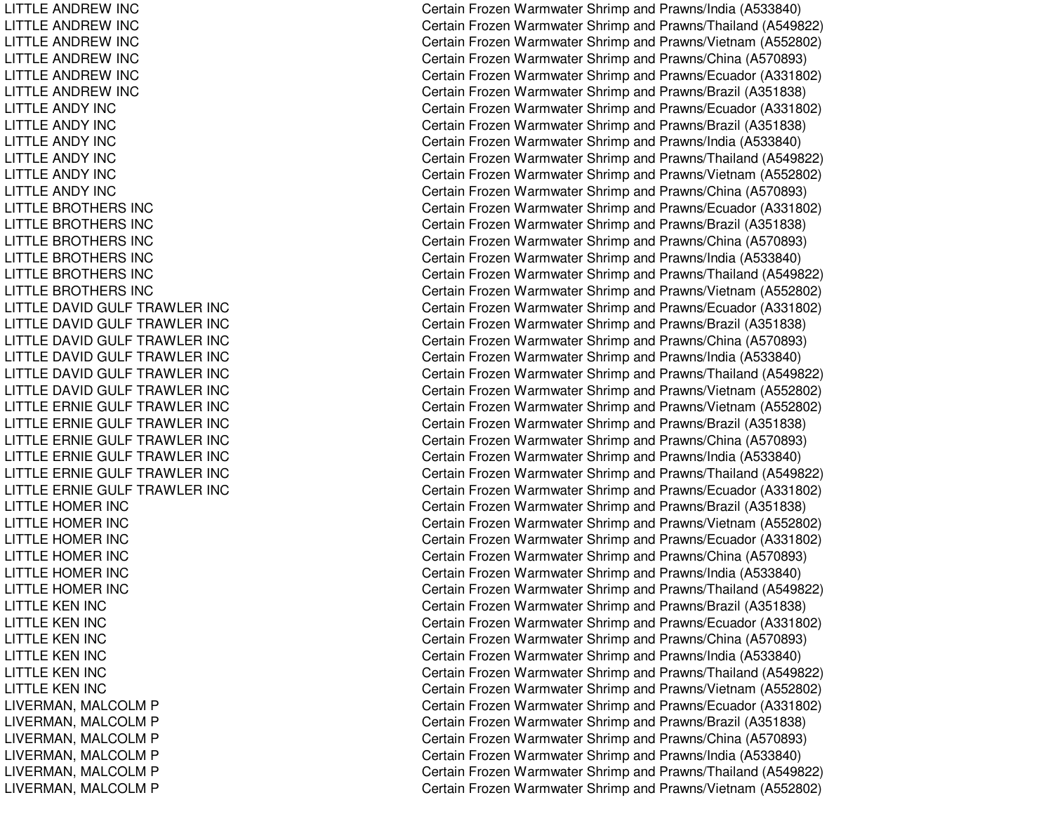LITTLE ANDREW INC LITTLE ANDREW INC LITTLE ANDREW INC LITTLE ANDREW INC LITTLE ANDREW INC LITTLE ANDREW INC LITTLE ANDY INC LITTLE ANDY INC LITTLE ANDY INC LITTLE ANDY INC LITTLE ANDY INC LITTLE ANDY INC LITTLE BROTHERS INC LITTLE BROTHERS INC LITTLE BROTHERS INC LITTLE BROTHERS INC LITTLE BROTHERS INC LITTLE BROTHERS INC LITTLE DAVID GULF TRAWLER INC LITTLE DAVID GULF TRAWLER INC LITTLE DAVID GULF TRAWLER INC LITTLE DAVID GULF TRAWLER INC LITTLE DAVID GULF TRAWLER INC LITTLE DAVID GULF TRAWLER INC LITTLE ERNIE GULF TRAWLER INC LITTLE ERNIE GULF TRAWLER INC LITTLE ERNIE GULF TRAWLER INC LITTLE ERNIE GULF TRAWLER INC LITTLE ERNIE GULF TRAWLER INC LITTLE ERNIE GULF TRAWLER INC LITTLE HOMER INC LITTLE HOMER INC LITTLE HOMER INC LITTLE HOMER INC LITTLE HOMER INC LITTLE HOMER INC LITTLE KEN INC LITTLE KEN INC LITTLE KEN INC LITTLE KEN INC LITTLE KEN INC LITTLE KEN INC LIVERMAN, MALCOLM P LIVERMAN, MALCOLM P LIVERMAN, MALCOLM P LIVERMAN, MALCOLM P LIVERMAN, MALCOLM P LIVERMAN, MALCOLM P

Certain Frozen Warmwater Shrimp and Prawns/India (A533840) Certain Frozen Warmwater Shrimp and Prawns/Thailand (A549822) Certain Frozen Warmwater Shrimp and Prawns/Vietnam (A552802) Certain Frozen Warmwater Shrimp and Prawns/China (A570893) Certain Frozen Warmwater Shrimp and Prawns/Ecuador (A331802) Certain Frozen Warmwater Shrimp and Prawns/Brazil (A351838) Certain Frozen Warmwater Shrimp and Prawns/Ecuador (A331802) Certain Frozen Warmwater Shrimp and Prawns/Brazil (A351838) Certain Frozen Warmwater Shrimp and Prawns/India (A533840) Certain Frozen Warmwater Shrimp and Prawns/Thailand (A549822) Certain Frozen Warmwater Shrimp and Prawns/Vietnam (A552802) Certain Frozen Warmwater Shrimp and Prawns/China (A570893) Certain Frozen Warmwater Shrimp and Prawns/Ecuador (A331802) Certain Frozen Warmwater Shrimp and Prawns/Brazil (A351838) Certain Frozen Warmwater Shrimp and Prawns/China (A570893) Certain Frozen Warmwater Shrimp and Prawns/India (A533840) Certain Frozen Warmwater Shrimp and Prawns/Thailand (A549822) Certain Frozen Warmwater Shrimp and Prawns/Vietnam (A552802) Certain Frozen Warmwater Shrimp and Prawns/Ecuador (A331802) Certain Frozen Warmwater Shrimp and Prawns/Brazil (A351838) Certain Frozen Warmwater Shrimp and Prawns/China (A570893) Certain Frozen Warmwater Shrimp and Prawns/India (A533840) Certain Frozen Warmwater Shrimp and Prawns/Thailand (A549822) Certain Frozen Warmwater Shrimp and Prawns/Vietnam (A552802) Certain Frozen Warmwater Shrimp and Prawns/Vietnam (A552802) Certain Frozen Warmwater Shrimp and Prawns/Brazil (A351838) Certain Frozen Warmwater Shrimp and Prawns/China (A570893) Certain Frozen Warmwater Shrimp and Prawns/India (A533840) Certain Frozen Warmwater Shrimp and Prawns/Thailand (A549822) Certain Frozen Warmwater Shrimp and Prawns/Ecuador (A331802) Certain Frozen Warmwater Shrimp and Prawns/Brazil (A351838) Certain Frozen Warmwater Shrimp and Prawns/Vietnam (A552802) Certain Frozen Warmwater Shrimp and Prawns/Ecuador (A331802) Certain Frozen Warmwater Shrimp and Prawns/China (A570893) Certain Frozen Warmwater Shrimp and Prawns/India (A533840) Certain Frozen Warmwater Shrimp and Prawns/Thailand (A549822) Certain Frozen Warmwater Shrimp and Prawns/Brazil (A351838) Certain Frozen Warmwater Shrimp and Prawns/Ecuador (A331802) Certain Frozen Warmwater Shrimp and Prawns/China (A570893) Certain Frozen Warmwater Shrimp and Prawns/India (A533840) Certain Frozen Warmwater Shrimp and Prawns/Thailand (A549822) Certain Frozen Warmwater Shrimp and Prawns/Vietnam (A552802) C ertain Frozen Warm w ater Shrim p and Pra wns/Ecua d or (A 3 318 0 2) Certain Frozen Warmwater Shrimp and Prawns/Brazil (A351838) Certain Frozen Warmwater Shrimp and Prawns/China (A570893) Certain Frozen Warmwater Shrimp and Prawns/India (A533840) Certain Frozen Warmwater Shrimp and Prawns/Thailand (A549822) Certain Frozen Warmwater Shrimp and Prawns/Vietnam (A552802)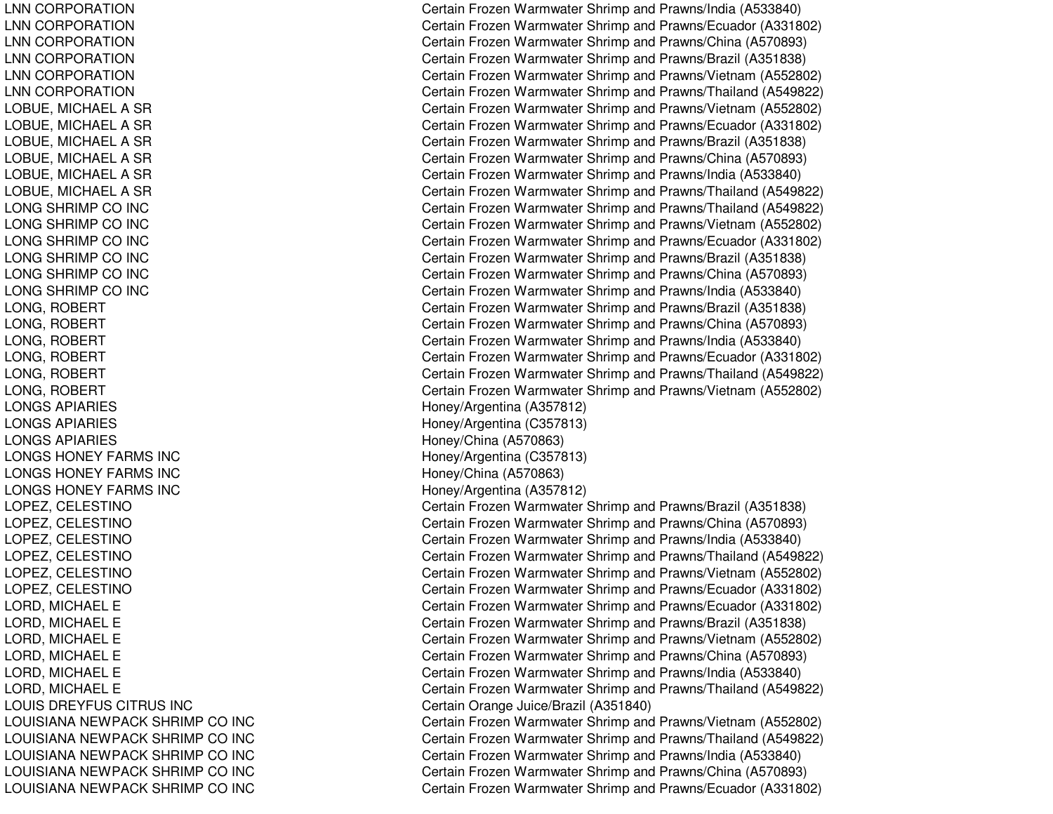LNN CORPORATION LNN CORPORATION LNN CORPORATION LNN CORPORATION LNN CORPORATION LNN CORPORATION LOBUE, MICHAEL A SR LOBUE, MICHAEL A SR LOBUE, MICHAEL A SR LOBUE, MICHAEL A SR LOBUE, MICHAEL A SR LOBUE, MICHAEL A SR LONG SHRIMP CO INC LONG SHRIMP CO INC LONG SHRIMP CO INC LONG SHRIMP CO INC LONG SHRIMP CO INC LONG SHRIMP CO INC LONG, R OBERTLONG, ROBERT LONG, ROBERT LONG, R OBERTLONG, ROBERT LONG, R OBERTL ONGSAPIARIESLONGS APIARIES LONGS APIARIES LONGS HONEY FARMS INC LONGS HONEY FARMS INC LONGS HONEY FARMS INC LOPEZ, CELESTINO LOPEZ, CELESTINO LOPEZ, C ELESTINOLOPEZ, CELESTINO LOPEZ, CELESTINO LOPEZ, C ELESTINOLORD, MICHAEL E LORD, MICHAEL E LORD, MICHAEL E LORD, MICHAEL E LORD, MICHAEL E LORD, MICHAEL E LOUIS DREYFUS CITRUS INC LOUISIANA NEWPACK SHRIMP CO INC LOUISIANA NEWPACK SHRIMP CO INC LOUISIANA NEWPACK SHRIMP CO INC LOUISIANA NEWPACK SHRIMP CO INC LOUISIANA NEWPACK SHRIMP CO INC Certain Frozen Warmwater Shrimp and Prawns/India (A533840) Certain Frozen Warmwater Shrimp and Prawns/Ecuador (A331802) Certain Frozen Warmwater Shrimp and Prawns/China (A570893) Certain Frozen Warmwater Shrimp and Prawns/Brazil (A351838) Certain Frozen Warmwater Shrimp and Prawns/Vietnam (A552802) Certain Frozen Warmwater Shrimp and Prawns/Thailand (A549822) Certain Frozen Warmwater Shrimp and Prawns/Vietnam (A552802) Certain Frozen Warmwater Shrimp and Prawns/Ecuador (A331802) Certain Frozen Warmwater Shrimp and Prawns/Brazil (A351838) Certain Frozen Warmwater Shrimp and Prawns/China (A570893) Certain Frozen Warmwater Shrimp and Prawns/India (A533840) Certain Frozen Warmwater Shrimp and Prawns/Thailand (A549822) Certain Frozen Warmwater Shrimp and Prawns/Thailand (A549822) Certain Frozen Warmwater Shrimp and Prawns/Vietnam (A552802) Certain Frozen Warmwater Shrimp and Prawns/Ecuador (A331802) Certain Frozen Warmwater Shrimp and Prawns/Brazil (A351838) Certain Frozen Warmwater Shrimp and Prawns/China (A570893) Certain Frozen Warmwater Shrimp and Prawns/India (A533840) Certain Frozen Warmwater Shrimp and Prawns/Brazil (A351838) Certain Frozen Warmwater Shrimp and Prawns/China (A570893) Certain Frozen Warmwater Shrimp and Prawns/India (A533840) Certain Frozen Warmwater Shrimp and Prawns/Ecuador (A331802) Certain Frozen Warmwater Shrimp and Prawns/Thailand (A549822) Certain Frozen Warmwater Shrimp and Prawns/Vietnam (A552802) Hone y/Arg entina (A 3 5 7 812) H one y/Arg entina (C 3 5 7 813) Honey/China (A570863) Hone y/Arg entina (C 3 5 7 813) H one y/China (A 5 7 0 8 6 3) Honey/Arg entina (A 357812) Certain Frozen Warmwater Shrimp and Prawns/Brazil (A351838) Certain Frozen Warmwater Shrimp and Prawns/China (A570893) Certain Frozen Warmwater Shrimp and Prawns/India (A533840) Certain Frozen Warmwater Shrimp and Prawns/Thailand (A549822) Certain Frozen Warmwater Shrimp and Prawns/Vietnam (A552802) Certain Frozen Warmwater Shrimp and Prawns/Ecuador (A331802) Certain Frozen Warmwater Shrimp and Prawns/Ecuador (A331802) Certain Frozen Warmwater Shrimp and Prawns/Brazil (A351838) Certain Frozen Warmwater Shrimp and Prawns/Vietnam (A552802) Certain Frozen Warmwater Shrimp and Prawns/China (A570893) Certain Frozen Warmwater Shrimp and Prawns/India (A533840) Certain Frozen Warmwater Shrimp and Prawns/Thailand (A549822) C ertain Orang e Juice/Brazil (A 3 518 4 0) Certain Frozen Warmwater Shrimp and Prawns/Vietnam (A552802) Certain Frozen Warmwater Shrimp and Prawns/Thailand (A549822) Certain Frozen Warmwater Shrimp and Prawns/India (A533840) Certain Frozen Warmwater Shrimp and Prawns/China (A570893) Certain Frozen Warmwater Shrimp and Prawns/Ecuador (A331802)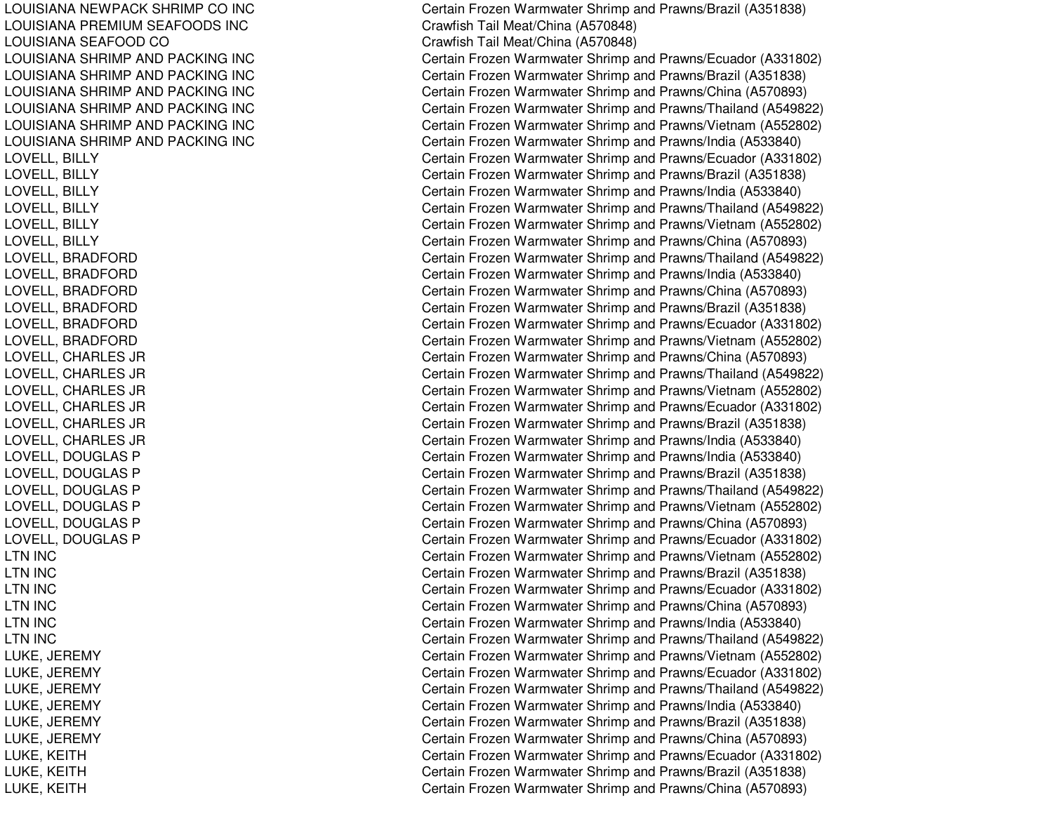LOUISIANA NEWPACK SHRIMP CO INC LOUISIANA PREMIUM SEAFOODS INC LOUISIANA SEAFOOD CO LOUISIANA SHRIMP AND PACKING INC LOUISIANA SHRIMP AND PACKING INC LOUISIANA SHRIMP AND PACKING INC LOUISIANA SHRIMP AND PACKING INC LOUISIANA SHRIMP AND PACKING INC LOUISIANA SHRIMP AND PACKING INC LOVELL, BILLY LOVELL, BIL LYLOVELL, BILLY LOVELL, BIL LYLOVELL, BILLY LOVELL, BILLY LOVELL, B RADFORDLOVELL, BRADFORD LOVELL, B RADFORDLOVELL, B RADFORDLOVELL, BRADFORD LOVELL, BRADFORD LOVELL, C HARLES JRLOVELL, CHARLES JR LOVELL, C HARLES JRL OVEL L, C HARL ES JRLOVELL, CHARLES JR LOVELL, CHARLES JR LOVELL, DOUGLAS P LOVELL, DOUGLAS P LOVELL, DOUGLAS P LOVELL, DOUGLAS P LOVELL, DOUGLAS P LOVELL, DOUGLAS P L T N IN C LTN IN CLTN IN CL T N IN C LTN IN CLTN IN CLUKE, JEREMY LUKE, JE REMYL UKE, JE REMYLUKE, JE REMYLUKE, JE REMYL UK E, JE RE MY LUKE, KEITH LUKE, K EITHLUKE, KEITH

Certain Frozen Warmwater Shrimp and Prawns/Brazil (A351838) Crawfish Tail Meat/China (A 570848) Cra wfish T ail Me at/China (A 5 7 0 8 4 8) Certain Frozen Warmwater Shrimp and Prawns/Ecuador (A331802) Certain Frozen Warmwater Shrimp and Prawns/Brazil (A351838) Certain Frozen Warmwater Shrimp and Prawns/China (A570893) Certain Frozen Warmwater Shrimp and Prawns/Thailand (A549822) Certain Frozen Warmwater Shrimp and Prawns/Vietnam (A552802) Certain Frozen Warmwater Shrimp and Prawns/India (A533840) Certain Frozen Warmwater Shrimp and Prawns/Ecuador (A331802) Certain Frozen Warmwater Shrimp and Prawns/Brazil (A351838) Certain Frozen Warmwater Shrimp and Prawns/India (A533840) Certain Frozen Warmwater Shrimp and Prawns/Thailand (A549822) Certain Frozen Warmwater Shrimp and Prawns/Vietnam (A552802) Certain Frozen Warmwater Shrimp and Prawns/China (A570893) Certain Frozen Warmwater Shrimp and Prawns/Thailand (A549822) Certain Frozen Warmwater Shrimp and Prawns/India (A533840) Certain Frozen Warmwater Shrimp and Prawns/China (A570893) Certain Frozen Warmwater Shrimp and Prawns/Brazil (A351838) Certain Frozen Warmwater Shrimp and Prawns/Ecuador (A331802) Certain Frozen Warmwater Shrimp and Prawns/Vietnam (A552802) Certain Frozen Warmwater Shrimp and Prawns/China (A570893) Certain Frozen Warmwater Shrimp and Prawns/Thailand (A549822) Certain Frozen Warmwater Shrimp and Prawns/Vietnam (A552802) Certain Frozen Warmwater Shrimp and Prawns/Ecuador (A331802) Certain Frozen Warmwater Shrimp and Prawns/Brazil (A351838) Certain Frozen Warmwater Shrimp and Prawns/India (A533840) Certain Frozen Warmwater Shrimp and Prawns/India (A533840) Certain Frozen Warmwater Shrimp and Prawns/Brazil (A351838) Certain Frozen Warmwater Shrimp and Prawns/Thailand (A549822) Certain Frozen Warmwater Shrimp and Prawns/Vietnam (A552802) Certain Frozen Warmwater Shrimp and Prawns/China (A570893) Certain Frozen Warmwater Shrimp and Prawns/Ecuador (A331802) Certain Frozen Warmwater Shrimp and Prawns/Vietnam (A552802) C ertain Frozen W arm w ater Shrim p and Pra wns/Brazil (A 3 518 3 8) Certain Frozen Warmwater Shrimp and Prawns/Ecuador (A331802) Certain Frozen Warmwater Shrimp and Prawns/China (A570893) Certain Frozen Warmwater Shrimp and Prawns/India (A533840) Certain Frozen Warmwater Shrimp and Prawns/Thailand (A549822) Certain Frozen Warmwater Shrimp and Prawns/Vietnam (A552802) Certain Frozen Warmwater Shrimp and Prawns/Ecuador (A331802) Certain Frozen Warmwater Shrimp and Prawns/Thailand (A549822) Certain Frozen Warmwater Shrimp and Prawns/India (A533840) Certain Frozen Warmwater Shrimp and Prawns/Brazil (A351838) Certain Frozen Warmwater Shrimp and Prawns/China (A570893) Certain Frozen Warmwater Shrimp and Prawns/Ecuador (A331802) Certain Frozen Warmwater Shrimp and Prawns/Brazil (A351838) Certain Frozen Warmwater Shrimp and Prawns/China (A570893)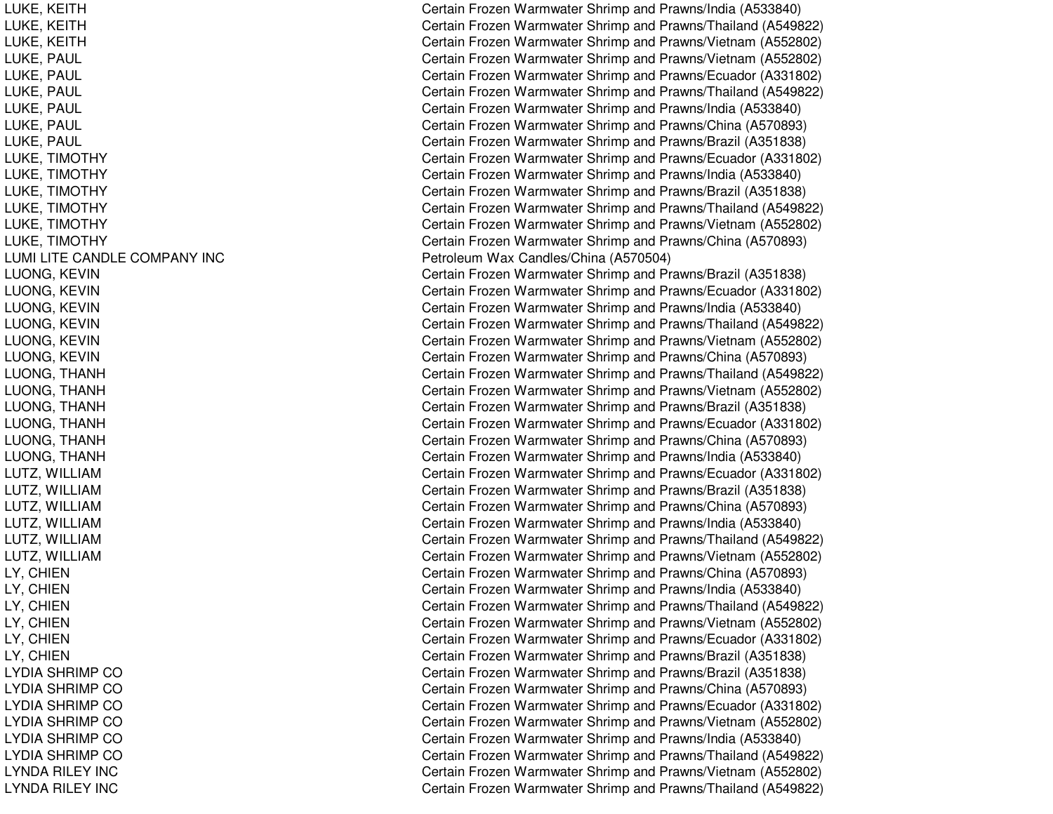LUKE, K EITHLUKE, K EITHL UKE, K EIT HLUKE, PAUL LUKE, P AULLUKE, PAUL LUKE, P AULLUKE, P AULLUKE, PAUL LUKE, TIMOTHY LUKE, TIM OTHYLUKE, TIM OTHYLUKE, TIM OTHYL UKE, TIM OTHYLUKE, TIMOTHY LUMI LITE CANDLE COMPANY INC L UONG, K EVINLUONG, K EVINLUONG, K EVINL UONG, K E VINLUONG, KEVIN LUONG, KEVIN LUONG, THANH LUONG, T HANHL UONG, T HANHLUONG, THANH LUONG, T HANHL UONG, T HANHLUTZ, WILLIAM LUTZ, WIL LIAML UT Z, WIL LIA MLUTZ, WILLIAM LUTZ, WIL LIAMLUTZ, WILLIAM LY, C HIENLY, C HIENL Y, C HIE N LY, C HIENL Y, C HIENL Y, C HIE N LYDIA SHRIMP CO LYDIA SHRIMP CO LYDIA SHRIMP CO LYDIA SHRIMP CO L Y DIA S HRIMP COLYDIA SHRIMP CO LYNDA RILEY INC LYNDA RILEY INC

Certain Frozen Warmwater Shrimp and Prawns/India (A533840) Certain Frozen Warmwater Shrimp and Prawns/Thailand (A549822) Certain Frozen Warmwater Shrimp and Prawns/Vietnam (A552802) Certain Frozen Warmwater Shrimp and Prawns/Vietnam (A552802) Certain Frozen Warmwater Shrimp and Prawns/Ecuador (A331802) Certain Frozen Warmwater Shrimp and Prawns/Thailand (A549822) Certain Frozen Warmwater Shrimp and Prawns/India (A533840) Certain Frozen Warmwater Shrimp and Prawns/China (A570893) Certain Frozen Warmwater Shrimp and Prawns/Brazil (A351838) Certain Frozen Warmwater Shrimp and Prawns/Ecuador (A331802) Certain Frozen Warmwater Shrimp and Prawns/India (A533840) Certain Frozen Warmwater Shrimp and Prawns/Brazil (A351838) Certain Frozen Warmwater Shrimp and Prawns/Thailand (A549822) Certain Frozen Warmwater Shrimp and Prawns/Vietnam (A552802) Certain Frozen Warmwater Shrimp and Prawns/China (A570893) Petroleum Wax Candles/China (A570504) Certain Frozen Warmwater Shrimp and Prawns/Brazil (A351838) Certain Frozen Warmwater Shrimp and Prawns/Ecuador (A331802) Certain Frozen Warmwater Shrimp and Prawns/India (A533840) Certain Frozen Warmwater Shrimp and Prawns/Thailand (A549822) Certain Frozen Warmwater Shrimp and Prawns/Vietnam (A552802) Certain Frozen Warmwater Shrimp and Prawns/China (A570893) Certain Frozen Warmwater Shrimp and Prawns/Thailand (A549822) Certain Frozen Warmwater Shrimp and Prawns/Vietnam (A552802) Certain Frozen Warmwater Shrimp and Prawns/Brazil (A351838) Certain Frozen Warmwater Shrimp and Prawns/Ecuador (A331802) Certain Frozen Warmwater Shrimp and Prawns/China (A570893) Certain Frozen Warmwater Shrimp and Prawns/India (A533840) C ertain Frozen Warm w ater Shrim p and Pra wns/Ecua d or (A 3 318 0 2) Certain Frozen Warmwater Shrimp and Prawns/Brazil (A351838) Certain Frozen Warmwater Shrimp and Prawns/China (A570893) Certain Frozen Warmwater Shrimp and Prawns/India (A533840) Certain Frozen Warmwater Shrimp and Prawns/Thailand (A549822) Certain Frozen Warmwater Shrimp and Prawns/Vietnam (A552802) Certain Frozen Warmwater Shrimp and Prawns/China (A570893) Certain Frozen Warmwater Shrimp and Prawns/India (A533840) Certain Frozen Warmwater Shrimp and Prawns/Thailand (A549822) Certain Frozen Warmwater Shrimp and Prawns/Vietnam (A552802) Certain Frozen Warmwater Shrimp and Prawns/Ecuador (A331802) Certain Frozen Warmwater Shrimp and Prawns/Brazil (A351838) Certain Frozen Warmwater Shrimp and Prawns/Brazil (A351838) Certain Frozen Warmwater Shrimp and Prawns/China (A570893) C ertain Frozen Warm w ater Shrim p and Pra wns/Ecua d or (A 3 318 0 2) Certain Frozen Warmwater Shrimp and Prawns/Vietnam (A552802) Certain Frozen Warmwater Shrimp and Pra wns/India (A 5 3 3 8 4 0) Certain Frozen Warmwater Shrimp and Prawns/Thailand (A549822) Certain Frozen Warmwater Shrimp and Prawns/Vietnam (A552802) Certain Frozen Warmwater Shrimp and Prawns/Thailand (A549822)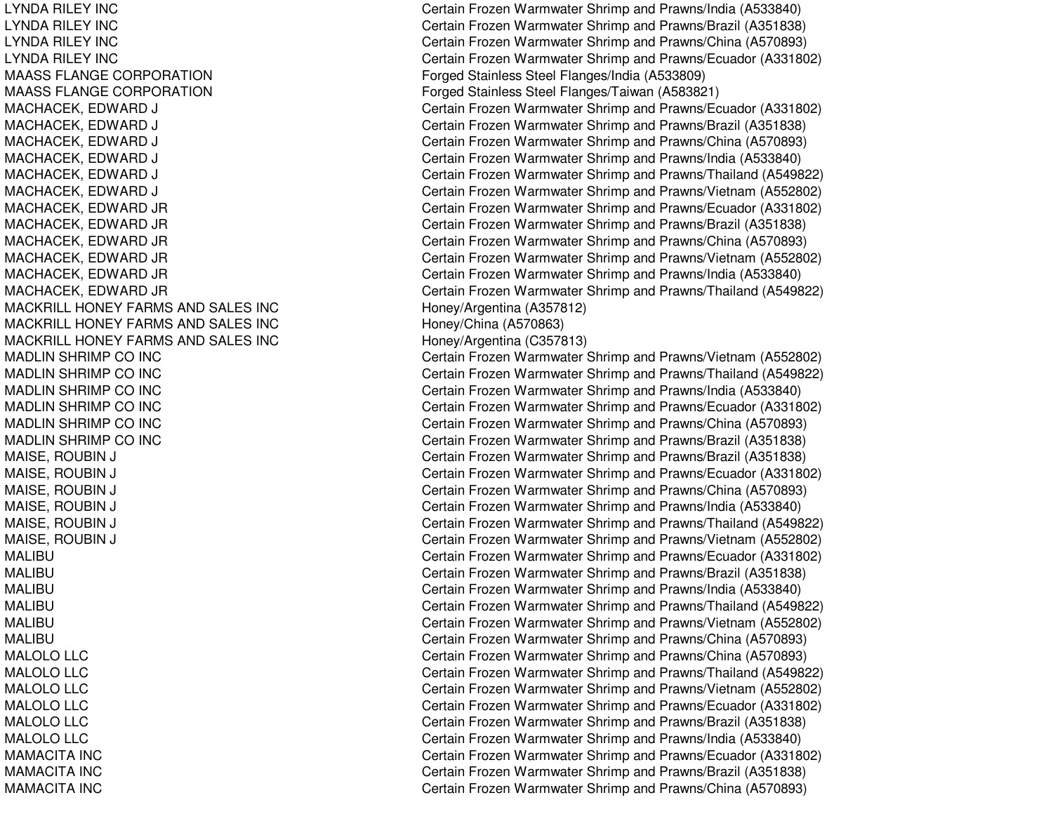LYNDA RILEY INCLYNDA RILEY INCLYNDA RILEY INCLYNDA RILEY INCMAASS FLANGE CORPORATIONMAASS FLANGE CORPORATIONMACKRILL HONEY FARMS ANDMACKRILL HONEY FARMS ANDMACKRILL HONEY FARMS ANDMADLIN SHRIMP COMADLIN SHRIMP COMADLIN SHRIMP COMADLIN SHRIMP COMADLIN SHRIMP COMADLIN SHRIMP COMALIBUMALIBUMALIBUMALIBUMALIBUMALIBUMALOLO LLC MALOLO LLC MALOLO LLC MALOLOMALOLO LLC MALOLO LLC MAMACITA INCMAMACITA INCMAMACITA INC

 Certain Frozen Warmwater Shrimp and Prawns/India (A533840) Certain Frozen Warmwater Shrimp and Prawns/Brazil (A351838) Certain Frozen Warmwater Shrimp and Prawns/China (A570893) Certain Frozen Warmwater Shrimp and Prawns/Ecuador (A331802) Forged Stainless Steel Flanges/India (A533809) Forged Stainless Steel Flanges/Taiwan (A583821) MACHACEK, EDWARD J Certain Frozen Warmwater Shrimp and Prawns/Ecuador (A331802) MACHACEK, EDWARD J Certain Frozen Warmwater Shrimp and Prawns/Brazil (A351838) MACHACEK, EDWARD J Certain Frozen Warmwater Shrimp and Prawns/China (A570893) MACHACEK, EDWARD J Certain Frozen Warmwater Shrimp and Prawns/India (A533840) MACHACEK, EDWARD J Certain Frozen Warmwater Shrimp and Prawns/Thailand (A549822) MACHACEK, EDWARD J Certain Frozen Warmwater Shrimp and Prawns/Vietnam (A552802) MACHACEK, EDWARD JR Certain Frozen Warmwater Shrimp and Prawns/Ecuador (A331802) MACHACEK, EDWARD JR Certain Frozen Warmwater Shrimp and Prawns/Brazil (A351838) MACHACEK, EDWARD JR Certain Frozen Warmwater Shrimp and Prawns/China (A570893) MACHACEK, EDWARD JR Certain Frozen Warmwater Shrimp and Prawns/Vietnam (A552802) MACHACEK, EDWARD JR Certain Frozen Warmwater Shrimp and Prawns/India (A533840) MACHACEK, EDWARD JR Certain Frozen Warmwater Shrimp and Prawns/Thailand (A549822) Honey/Argentina (A357812) Honey/China (A570863) Honey/Argentina (C357813) Certain Frozen Warmwater Shrimp and Prawns/Vietnam (A552802) Certain Frozen Warmwater Shrimp and Prawns/Thailand (A549822) Certain Frozen Warmwater Shrimp and Prawns/India (A533840) Certain Frozen Warmwater Shrimp and Prawns/Ecuador (A331802) Certain Frozen Warmwater Shrimp and Prawns/China (A570893) Certain Frozen Warmwater Shrimp and Prawns/Brazil (A351838) MAISE, ROUBIN J Certain Frozen Warmwater Shrimp and Prawns/Brazil (A351838) MAISE, ROUBIN J Certain Frozen Warmwater Shrimp and Prawns/Ecuador (A331802) MAISE, ROUBIN J Certain Frozen Warmwater Shrimp and Prawns/China (A570893) MAISE, ROUBIN J Certain Frozen Warmwater Shrimp and Prawns/India (A533840) MAISE, ROUBIN J Certain Frozen Warmwater Shrimp and Prawns/Thailand (A549822) MAISE, ROUBIN J Certain Frozen Warmwater Shrimp and Prawns/Vietnam (A552802) Certain Frozen Warmwater Shrimp and Prawns/Ecuador (A331802) Certain Frozen Warmwater Shrimp and Prawns/Brazil (A351838) Certain Frozen Warmwater Shrimp and Prawns/India (A533840) Certain Frozen Warmwater Shrimp and Prawns/Thailand (A549822) Certain Frozen Warmwater Shrimp and Prawns/Vietnam (A552802) Certain Frozen Warmwater Shrimp and Prawns/China (A570893) Certain Frozen Warmwater Shrimp and Prawns/China (A570893) Certain Frozen Warmwater Shrimp and Prawns/Thailand (A549822) Certain Frozen Warmwater Shrimp and Prawns/Vietnam (A552802) Certain Frozen Warmwater Shrimp and Prawns/Ecuador (A331802) Certain Frozen Warmwater Shrimp and Prawns/Brazil (A351838) Certain Frozen Warmwater Shrimp and Prawns/India (A533840) Certain Frozen Warmwater Shrimp and Prawns/Ecuador (A331802) Certain Frozen Warmwater Shrimp and Prawns/Brazil (A351838) Certain Frozen Warmwater Shrimp and Prawns/China (A570893)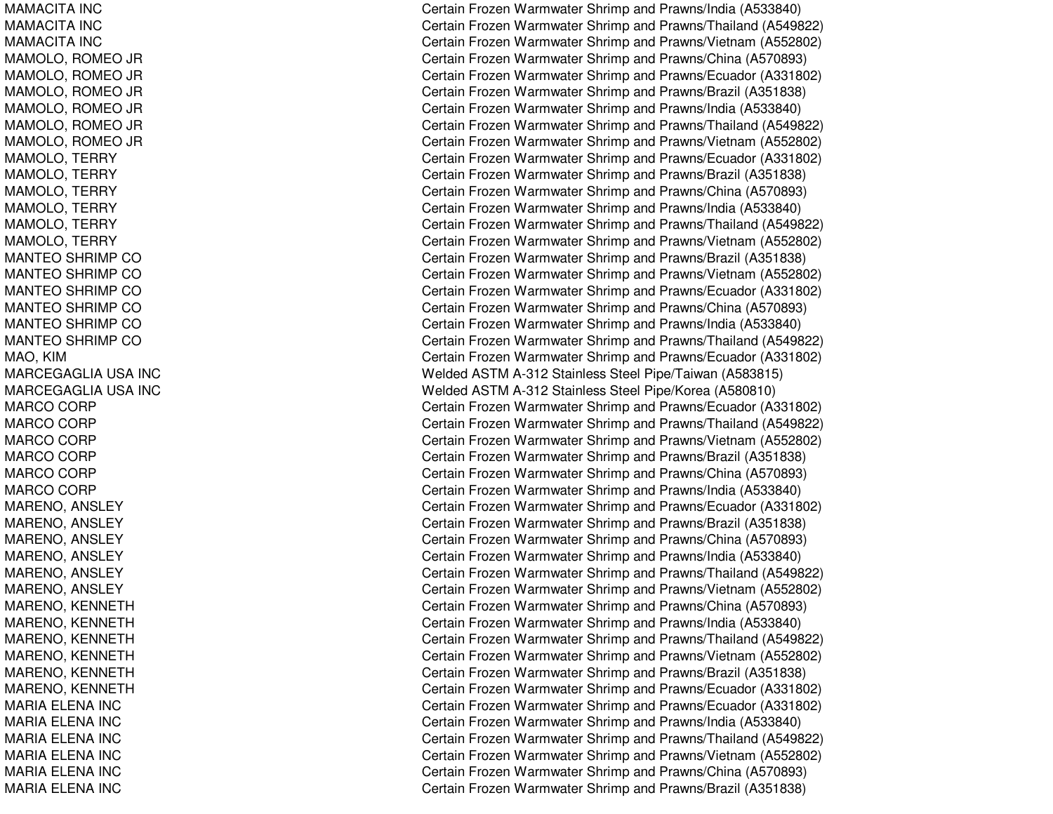MAMACITA INCMAMACITA INCMAMACITA INCMAMOLO, ROMEO JR MAMOLO, R OMEO JR MA MOL O, R OME O JR MAMOLO, R OMEO JR MAMOLO, R OMEO JR MA MOL O, R OME O JR MAMOLO, TERRY MAMOLO, T ERRYMAMOLO, TERRY MAMOLO, T ERRYMAMOL O, T ERRYMAMOLO, TERRY MANTEO SHRIMP CO MANTEO SHRIMP CO MANTEO SHRIMP CO MANTEO SHRIMP CO MANTEO SHRIMP CO MANTEO SHRIMP CO MAO, KIM MARCEGAGLIA USA INC MARCEGAGLIA USA INC MARCO CORP MARCO CORP MARCO CORP MARCO CORP MARCO CORP MARCO CORP MARENO, ANSLEY MARENO, ANSLEY MARENO, ANSLEY MARENO, ANSLEY MARENO, ANSLEY MARENO, A NSLEYMARENO, KENNETH MARENO, KENNETH MARENO, K ENNETHMARENO, KENNETH MARENO, K ENNETHMARENO, K ENNET HMARIA ELENA INC MARIA ELENA INC MARIA ELENA INC MARIA ELENA INC MARIA ELENA INC MARIA ELENA INC

Certain Frozen Warmwater Shrimp and Prawns/India (A533840) Certain Frozen Warmwater Shrimp and Prawns/Thailand (A549822) Certain Frozen Warmwater Shrimp and Prawns/Vietnam (A552802) Certain Frozen Warmwater Shrimp and Prawns/China (A570893) Certain Frozen Warmwater Shrimp and Prawns/Ecuador (A331802) Certain Frozen Warmwater Shrimp and Prawns/Brazil (A351838) Certain Frozen Warmwater Shrimp and Prawns/India (A533840) Certain Frozen Warmwater Shrimp and Prawns/Thailand (A549822) Certain Frozen Warmwater Shrimp and Prawns/Vietnam (A552802) Certain Frozen Warmwater Shrimp and Prawns/Ecuador (A331802) Certain Frozen Warmwater Shrimp and Prawns/Brazil (A351838) Certain Frozen Warmwater Shrimp and Prawns/China (A570893) Certain Frozen Warmwater Shrimp and Prawns/India (A533840) Certain Frozen Warmwater Shrimp and Prawns/Thailand (A549822) Certain Frozen Warmwater Shrimp and Prawns/Vietnam (A552802) Certain Frozen Warmwater Shrimp and Prawns/Brazil (A351838) Certain Frozen Warmwater Shrimp and Prawns/Vietnam (A552802) Certain Frozen Warmwater Shrimp and Prawns/Ecuador (A331802) Certain Frozen Warmwater Shrimp and Prawns/China (A570893) Certain Frozen Warmwater Shrimp and Pra wns/India (A 5 3 3 8 4 0) Certain Frozen Warmwater Shrimp and Prawns/Thailand (A549822) Certain Frozen Warmwater Shrimp and Prawns/Ecuador (A331802) Welded ASTM A-312 Stainless Steel Pipe/Taiwan (A583815) Welded ASTM A-312 Stainless Steel Pipe/Korea (A580810) Certain Frozen Warmwater Shrimp and Prawns/Ecuador (A331802) Certain Frozen Warmwater Shrimp and Prawns/Thailand (A549822) Certain Frozen Warmwater Shrimp and Prawns/Vietnam (A552802) Certain Frozen Warmwater Shrimp and Prawns/Brazil (A351838) Certain Frozen Warmwater Shrimp and Prawns/China (A570893) Certain Frozen Warmwater Shrimp and Prawns/India (A533840) Certain Frozen Warmwater Shrimp and Prawns/Ecuador (A331802) Certain Frozen Warmwater Shrimp and Prawns/Brazil (A351838) Certain Frozen Warmwater Shrimp and Prawns/China (A570893) Certain Frozen Warmwater Shrimp and Prawns/India (A533840) Certain Frozen Warmwater Shrimp and Prawns/Thailand (A549822) Certain Frozen Warmwater Shrimp and Prawns/Vietnam (A552802) Certain Frozen Warmwater Shrimp and Prawns/China (A570893) Certain Frozen Warmwater Shrimp and Prawns/India (A533840) Certain Frozen Warmwater Shrimp and Prawns/Thailand (A549822) Certain Frozen Warmwater Shrimp and Prawns/Vietnam (A552802) Certain Frozen Warmwater Shrimp and Prawns/Brazil (A351838) Certain Frozen Warmwater Shrimp and Prawns/Ecuador (A331802) Certain Frozen Warmwater Shrimp and Prawns/Ecuador (A331802) Certain Frozen Warmwater Shrimp and Prawns/India (A533840) Certain Frozen Warmwater Shrimp and Prawns/Thailand (A549822) Certain Frozen Warmwater Shrimp and Prawns/Vietnam (A552802) Certain Frozen Warmwater Shrimp and Prawns/China (A570893) Certain Frozen Warmwater Shrimp and Prawns/Brazil (A351838)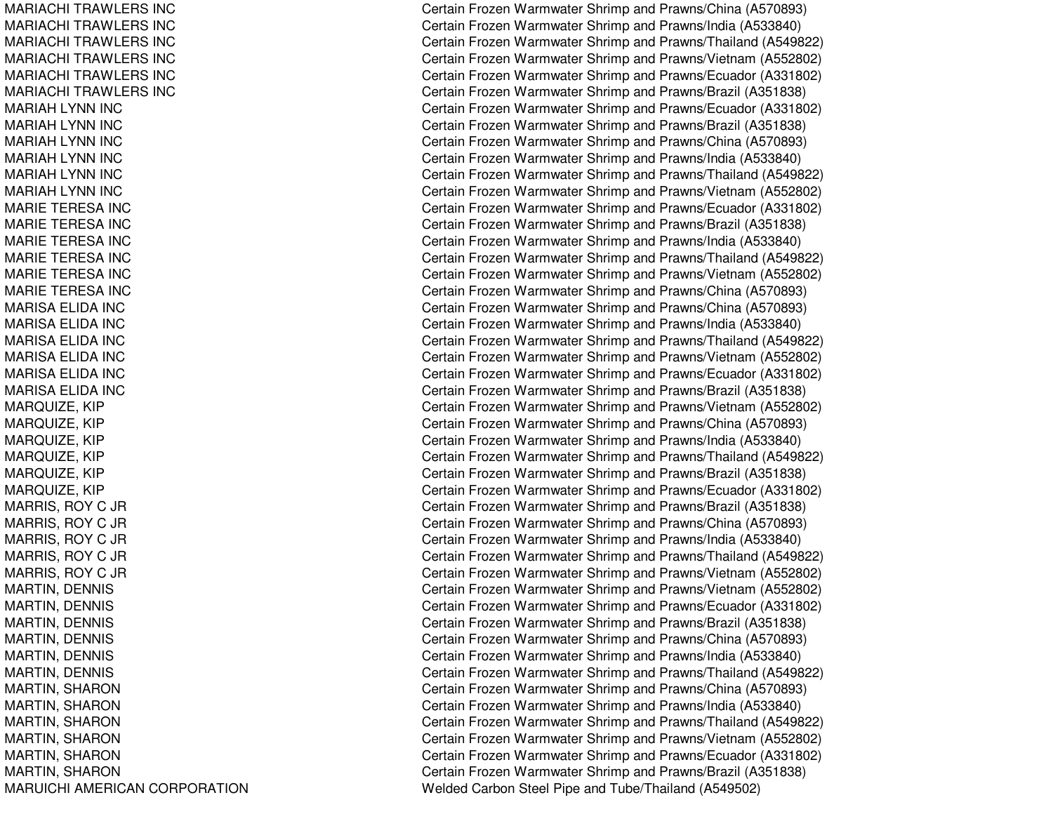MARIACHI TRAWLERS INCMARIACHI TRAWLERS INCMARIACHI T RAWL ERS INCMARIACHI TRAWLERS INCMARIACHI TRAWLERS INCMARIACHI TRAWLERS INCMARIAH LYNN INC MARIAH LYNN INC MARIAH LYNN INC MARIAH LYNN INC MARIAH LYNN INC MARIAH LYNN INC MARIE TERESA INC MARIE TERESA INC MARIE TERESA INC MARIE TERESA INC MARIE TERESA INC MARIE TERESA INC MARISAELIDA INCMA RIS A E LIDA INCMARISA ELIDA INC MARISAELIDA INCMARISAELIDA INCMARISA ELIDA INC MARQUIZE, KIP MA R Q UIZ E, KIP MARQUIZE, KIP MARQUIZ E, KIP M A R Q UIZ E, KIP MARQUIZE, KIP M A R RIS, R O Y C JR M A R RIS, R O Y C JR M A R RIS, R O Y C JR MA R RIS, R OY C JR M A R RIS, R O Y C JR MARTIN, D ENNISMARTIN, DENNIS MARTIN, DENNIS MARTIN, D ENNISMARTIN, DENNIS MARTIN, D ENNISMARTIN, S HARONMARTIN, S HARONMARTIN, S HARONMARTIN, SHARON MARTIN, SHARON MARTIN, S HARONMARUICHI AMERICAN CORPORATION Certain Frozen Warmwater Shrimp and Prawns/China (A570893) Certain Frozen Warmwater Shrimp and Prawns/India (A533840) Certain Frozen Warmwater Shrimp and Prawns/Thailand (A549822) Certain Frozen Warmwater Shrimp and Prawns/Vietnam (A552802) Certain Frozen Warmwater Shrimp and Prawns/Ecuador (A331802) Certain Frozen Warmwater Shrimp and Prawns/Brazil (A351838) Certain Frozen Warmwater Shrimp and Prawns/Ecuador (A331802) Certain Frozen Warmwater Shrimp and Prawns/Brazil (A351838) Certain Frozen Warmwater Shrimp and Prawns/China (A570893) Certain Frozen Warmwater Shrimp and Prawns/India (A533840) Certain Frozen Warmwater Shrimp and Prawns/Thailand (A549822) Certain Frozen Warmwater Shrimp and Prawns/Vietnam (A552802) Certain Frozen Warmwater Shrimp and Prawns/Ecuador (A331802) Certain Frozen Warmwater Shrimp and Prawns/Brazil (A351838) Certain Frozen Warmwater Shrimp and Prawns/India (A533840) Certain Frozen Warmwater Shrimp and Prawns/Thailand (A549822) Certain Frozen Warmwater Shrimp and Prawns/Vietnam (A552802) Certain Frozen Warmwater Shrimp and Prawns/China (A570893) Certain Frozen Warmwater Shrimp and Prawns/China (A570893) Certain Frozen Warmwater Shrimp and Pra wns/India (A 5 3 3 8 4 0) Certain Frozen Warmwater Shrimp and Prawns/Thailand (A549822) Certain Frozen Warmwater Shrimp and Prawns/Vietnam (A552802) Certain Frozen Warmwater Shrimp and Prawns/Ecuador (A331802) Certain Frozen Warmwater Shrimp and Prawns/Brazil (A351838) Certain Frozen Warmwater Shrimp and Prawns/Vietnam (A552802) Certain Frozen Warmwater Shrimp and Prawns/China (A570893) Certain Frozen Warmwater Shrimp and Prawns/India (A533840) Certain Frozen Warmwater Shrimp and Prawns/Thailand (A549822) Certain Frozen Warmwater Shrimp and Prawns/Brazil (A351838) Certain Frozen Warmwater Shrimp and Prawns/Ecuador (A331802) Certain Frozen Warmwater Shrimp and Prawns/Brazil (A351838) Certain Frozen Warmwater Shrimp and Prawns/China (A570893) Certain Frozen Warmwater Shrimp and Prawns/India (A533840) Certain Frozen Warmwater Shrimp and Prawns/Thailand (A549822) Certain Frozen Warmwater Shrimp and Prawns/Vietnam (A552802) Certain Frozen Warmwater Shrimp and Prawns/Vietnam (A552802) Certain Frozen Warmwater Shrimp and Prawns/Ecuador (A331802) Certain Frozen Warmwater Shrimp and Prawns/Brazil (A351838) Certain Frozen Warmwater Shrimp and Prawns/China (A570893) Certain Frozen Warmwater Shrimp and Prawns/India (A533840) Certain Frozen Warmwater Shrimp and Prawns/Thailand (A549822) Certain Frozen Warmwater Shrimp and Prawns/China (A570893) Certain Frozen Warmwater Shrimp and Prawns/India (A533840) Certain Frozen Warmwater Shrimp and Prawns/Thailand (A549822) Certain Frozen Warmwater Shrimp and Prawns/Vietnam (A552802) Certain Frozen Warmwater Shrimp and Prawns/Ecuador (A331802) Certain Frozen Warmwater Shrimp and Prawns/Brazil (A351838) Welded Carbon Steel Pipe and Tube/Thailand (A549502)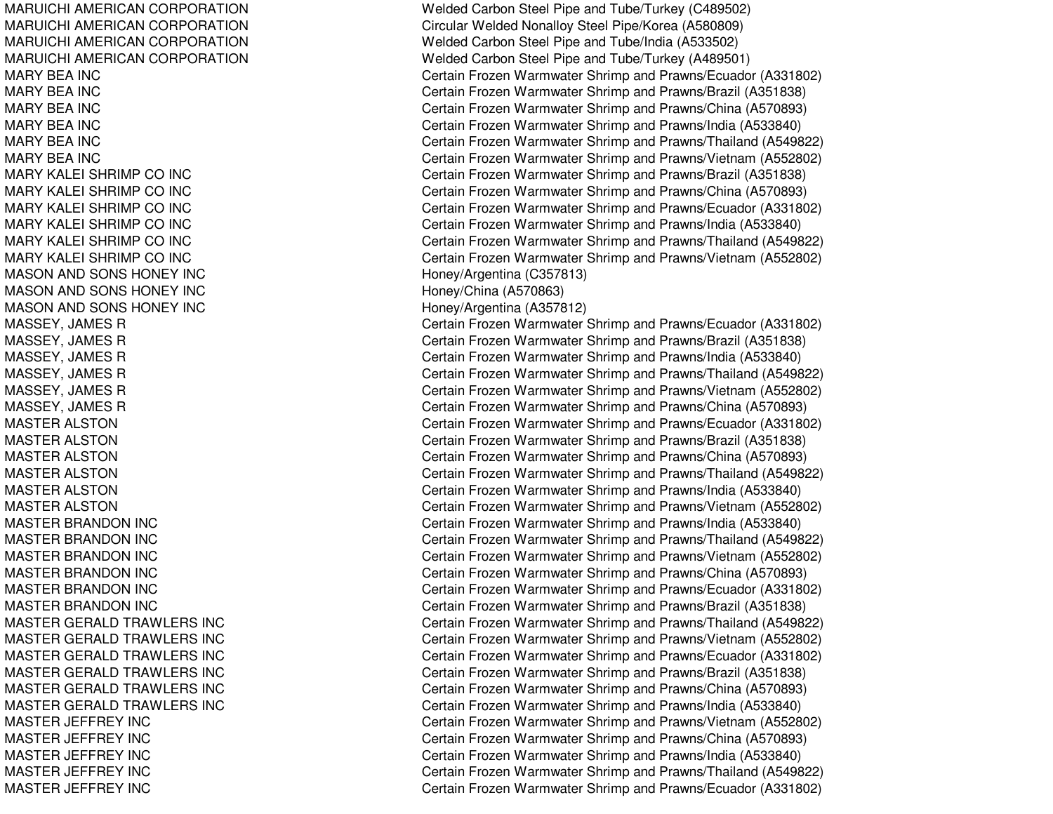MARUICHI AMERICANMARUICHI AMERICANMARUICHI AMERICANMARUICHI AMERICANMARY BEA INCMARY BEA INCMARY BEA INCMARY BEA INCMARY BEA INCMARY BEA INCMARY KALEI SHRIMP COMARY KALEI SHRIMP COMARY KALEI SHRIMP COMARY KALEI SHRIMP COMARY KALEI SHRIMP COMARY KALEI SHRIMP CO**MASON AND SONS HONEY INC** MASON AND SONS HONEY INC Honey/China (A570863) **MASON AND SONS HONEY INC** MASTER ALSTON **MASTER ALSTON** MASTER ALSTON MASTER ALSTON **MASTER ALSTON** MASTER ALSTON **MASTER BRANDON INC MASTER BRANDON INC** MASTER BRANDON INC MASTER BRANDON INC **MASTER BRANDON INC MASTER BRANDON INC MASTER GERALD TRAWLERS INC MASTER GERALD TRAWLERS INC MASTER GERALD TRAWLERS INC MASTER GERALD TRAWLERS INC MASTER GERALD TRAWLERS INC MASTER GERALD TRAWLERS INC MASTER JEFFREY INC** MASTER JEFFREY INC MASTER JEFFREY INC MASTER JEFFREY INC MASTER JEFFREY INC

Welded Carbon Steel Pipe and Tube/Turkey (C489502) Circular Welded Nonalloy Steel Pipe/Korea (A580809) Welded Carbon Steel Pipe and Tube/India (A533502) Welded Carbon Steel Pipe and Tube/Turkey (A489501) Certain Frozen Warmwater Shrimp and Prawns/Ecuador (A331802) Certain Frozen Warmwater Shrimp and Prawns/Brazil (A351838) Certain Frozen Warmwater Shrimp and Prawns/China (A570893) Certain Frozen Warmwater Shrimp and Prawns/India (A533840) Certain Frozen Warmwater Shrimp and Prawns/Thailand (A549822) Certain Frozen Warmwater Shrimp and Prawns/Vietnam (A552802) Certain Frozen Warmwater Shrimp and Prawns/Brazil (A351838) Certain Frozen Warmwater Shrimp and Prawns/China (A570893) Certain Frozen Warmwater Shrimp and Prawns/Ecuador (A331802) Certain Frozen Warmwater Shrimp and Prawns/India (A533840) Certain Frozen Warmwater Shrimp and Prawns/Thailand (A549822) Certain Frozen Warmwater Shrimp and Prawns/Vietnam (A552802) Honey/Argentina (C357813) Honey/Argentina (A357812) MASSEY, JAMES R Certain Frozen Warmwater Shrimp and Prawns/Ecuador (A331802) MASSEY, JAMES R Certain Frozen Warmwater Shrimp and Prawns/Brazil (A351838) MASSEY, JAMES R Certain Frozen Warmwater Shrimp and Prawns/India (A533840) MASSEY, JAMES R Certain Frozen Warmwater Shrimp and Prawns/Thailand (A549822) MASSEY, JAMES R Certain Frozen Warmwater Shrimp and Prawns/Vietnam (A552802) MASSEY, JAMES R Certain Frozen Warmwater Shrimp and Prawns/China (A570893) Certain Frozen Warmwater Shrimp and Prawns/Ecuador (A331802) Certain Frozen Warmwater Shrimp and Prawns/Brazil (A351838) Certain Frozen Warmwater Shrimp and Prawns/China (A570893) Certain Frozen Warmwater Shrimp and Prawns/Thailand (A549822) Certain Frozen Warmwater Shrimp and Prawns/India (A533840) Certain Frozen Warmwater Shrimp and Prawns/Vietnam (A552802) Certain Frozen Warmwater Shrimp and Prawns/India (A533840) Certain Frozen Warmwater Shrimp and Prawns/Thailand (A549822) Certain Frozen Warmwater Shrimp and Prawns/Vietnam (A552802) Certain Frozen Warmwater Shrimp and Prawns/China (A570893) Certain Frozen Warmwater Shrimp and Prawns/Ecuador (A331802) Certain Frozen Warmwater Shrimp and Prawns/Brazil (A351838) Gertain Frozen Warmwater Shrimp and Prawns/Thailand (A549822) Certain Frozen Warmwater Shrimp and Prawns/Vietnam (A552802) Gertain Frozen Warmwater Shrimp and Prawns/Ecuador (A331802) Certain Frozen Warmwater Shrimp and Prawns/Brazil (A351838) Gertain Frozen Warmwater Shrimp and Prawns/China (A570893) Gertain Frozen Warmwater Shrimp and Prawns/India (A533840) Certain Frozen Warmwater Shrimp and Prawns/Vietnam (A552802) Certain Frozen Warmwater Shrimp and Prawns/China (A570893) Certain Frozen Warmwater Shrimp and Prawns/India (A533840) Certain Frozen Warmwater Shrimp and Prawns/Thailand (A549822) Certain Frozen Warmwater Shrimp and Prawns/Ecuador (A331802)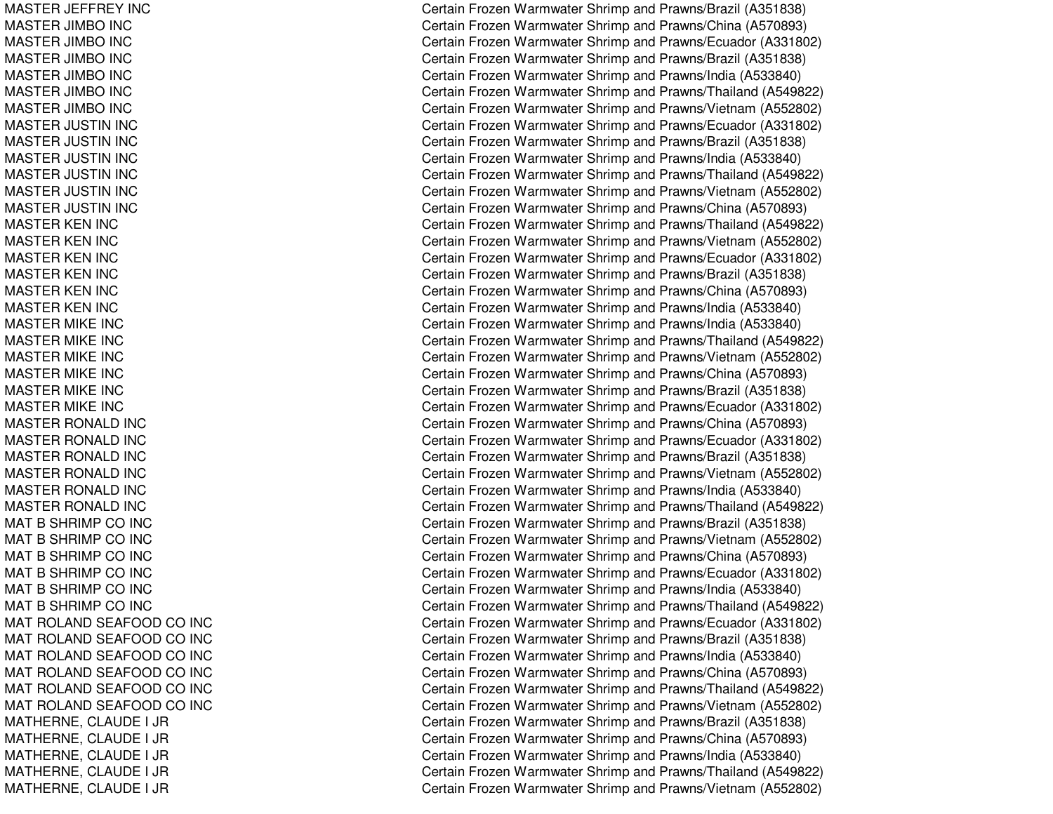MASTER JE FFREY INCMASTER JIMBO IN CMAST ER JIMBO IN CMASTER JIMBO IN CMASTER JIMBO IN CMASTER JIMBO IN CMASTER JIMBO IN CMASTER JU STIN IN CMASTER JUSTIN INC MASTER JU STIN IN CMASTER JU STIN IN CMASTER JU STIN IN CMASTER JU STIN IN CMASTER KEN INC MASTER KEN INC MASTER KEN INC MASTER KEN INC MASTER KEN INC MASTER KEN INC MASTER MIKE INC MASTER MIKE INC MASTER MIKE INC MASTER MIKE INC MASTER MIKE INC MASTER MIKE INC MASTER RONALD INC MASTER RONALD INC MASTER RONALD INC MASTER RONALD INC MASTER RONALD INC MASTER RONALD INC MAT B SHRIMP CO INC MAT B SHRIMP CO INC MAT B SHRIMP CO INC MAT B SHRIMP CO INC MAT B SHRIMP CO INC MAT B SHRIMP CO INC MAT ROLAND SEAFOOD CO INC MAT ROLAND SEAFOOD CO INC MAT ROLAND SEAFOOD CO INC MAT ROLAND SEAFOOD CO INC MAT ROLAND SEAFOOD CO INC MAT ROLAND SEAFOOD CO INC MATHERNE, CLAUDE I JR MA T HE RNE, C L A UDE I JRMATHERNE, CLAUDE I JR MATHERNE, C LAUDE I JRMATHERNE, CLAUDE I JR

Certain Frozen Warmwater Shrimp and Prawns/Brazil (A351838) Certain Frozen Warmwater Shrimp and Prawns/China (A570893) Certain Frozen Warmwater Shrimp and Prawns/Ecuador (A331802) Certain Frozen Warmwater Shrimp and Prawns/Brazil (A351838) Certain Frozen Warmwater Shrimp and Prawns/India (A533840) Certain Frozen Warmwater Shrimp and Prawns/Thailand (A549822) Certain Frozen Warmwater Shrimp and Prawns/Vietnam (A552802) Certain Frozen Warmwater Shrimp and Prawns/Ecuador (A331802) Certain Frozen Warmwater Shrimp and Prawns/Brazil (A351838) Certain Frozen Warmwater Shrimp and Prawns/India (A533840) Certain Frozen Warmwater Shrimp and Prawns/Thailand (A549822) Certain Frozen Warmwater Shrimp and Prawns/Vietnam (A552802) Certain Frozen Warmwater Shrimp and Prawns/China (A570893) Certain Frozen Warmwater Shrimp and Prawns/Thailand (A549822) Certain Frozen Warmwater Shrimp and Prawns/Vietnam (A552802) Certain Frozen Warmwater Shrimp and Prawns/Ecuador (A331802) Certain Frozen Warmwater Shrimp and Prawns/Brazil (A351838) Certain Frozen Warmwater Shrimp and Prawns/China (A570893) Certain Frozen Warmwater Shrimp and Prawns/India (A533840) Certain Frozen Warmwater Shrimp and Pra wns/India (A 5 3 3 8 4 0) Certain Frozen Warmwater Shrimp and Prawns/Thailand (A549822) Certain Frozen Warmwater Shrimp and Prawns/Vietnam (A552802) Certain Frozen Warmwater Shrimp and Prawns/China (A570893) Certain Frozen Warmwater Shrimp and Prawns/Brazil (A351838) Certain Frozen Warmwater Shrimp and Prawns/Ecuador (A331802) Certain Frozen Warmwater Shrimp and Prawns/China (A570893) Certain Frozen Warmwater Shrimp and Prawns/Ecuador (A331802) Certain Frozen Warmwater Shrimp and Prawns/Brazil (A351838) Certain Frozen Warmwater Shrimp and Prawns/Vietnam (A552802) Certain Frozen Warmwater Shrimp and Prawns/India (A533840) Certain Frozen Warmwater Shrimp and Prawns/Thailand (A549822) Certain Frozen Warmwater Shrimp and Prawns/Brazil (A351838) Certain Frozen Warmwater Shrimp and Prawns/Vietnam (A552802) Certain Frozen Warmwater Shrimp and Prawns/China (A570893) Certain Frozen Warmwater Shrimp and Prawns/Ecuador (A331802) Certain Frozen Warmwater Shrimp and Prawns/India (A533840) Certain Frozen Warmwater Shrimp and Prawns/Thailand (A549822) Certain Frozen Warmwater Shrimp and Prawns/Ecuador (A331802) C ertain Frozen W arm w ater Shrim p and Pra wns/Brazil (A 3 518 3 8) Certain Frozen Warmwater Shrimp and Prawns/India (A533840) Certain Frozen Warmwater Shrimp and Prawns/China (A570893) Certain Frozen Warmwater Shrimp and Prawns/Thailand (A549822) Certain Frozen Warmwater Shrimp and Prawns/Vietnam (A552802) Certain Frozen Warmwater Shrimp and Prawns/Brazil (A351838) Certain Frozen Warmwater Shrimp and Prawns/China (A570893) Certain Frozen Warmwater Shrimp and Prawns/India (A533840) Certain Frozen Warmwater Shrimp and Prawns/Thailand (A549822) Certain Frozen Warmwater Shrimp and Prawns/Vietnam (A552802)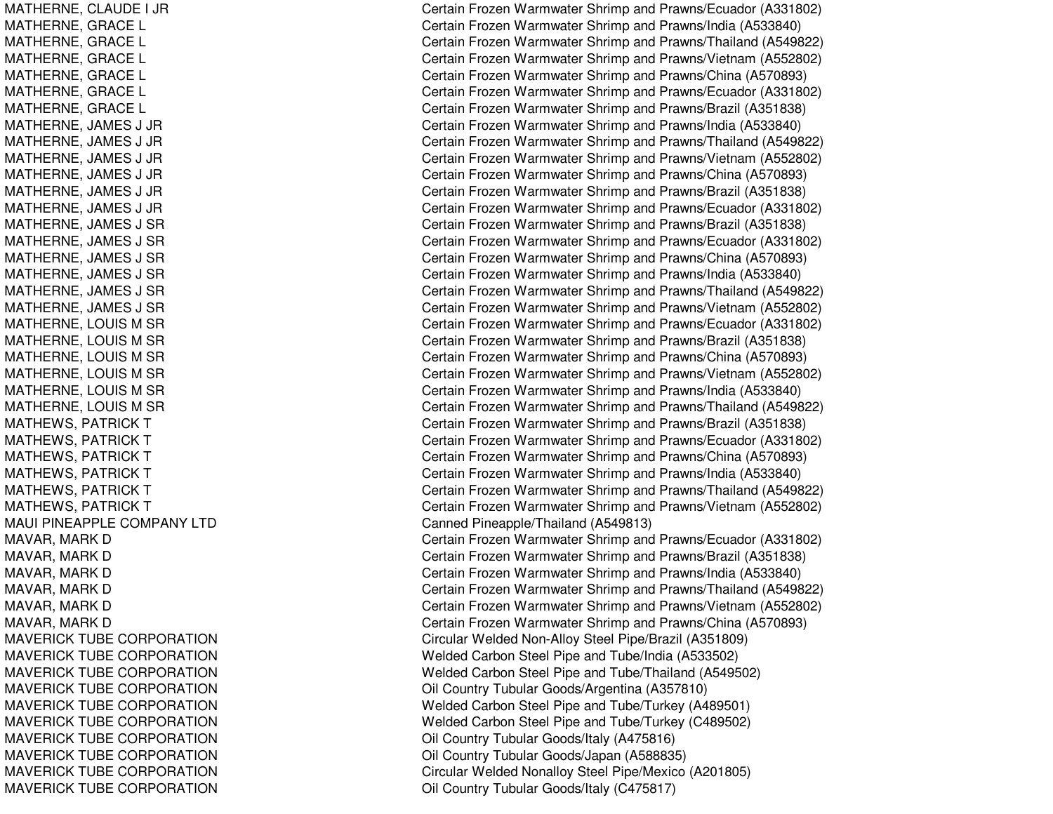MATHERNE, C LAUDE I JRMATHERNE, G RACELMAT HERNE, G RACEL MATHERNE, GRACE L MATHERNE, G RACELMATHERNE, GRACE L MATHERNE, GRACE L MATHERNE, JA MES J JRMATHERNE, JAMES J JR MATHERNE, JAMES J JR MATHERNE, JA MES J JRMATHERNE, JAMES J JR MATHERNE, JA MES J JRMATHERNE, JA MES J S RMATHERNE, JAMES J SR MATHERNE, JAMES J SR MAT HERNE, JA MES J S RMATHERNE, JAMES J SR MATHERNE, JA MES J S RMATHERNE, LOUIS M SR MATHERNE, LOUIS M SR MATHERNE, LOUIS M SR MATHERNE, LOUIS M SR MATHERNE, LOUIS M SR MATHERNE, LOUIS M SR MATHEWS, PATRICK T MATHEWS, PATRICK T MATHEWS, PATRICK T MATHEWS, PATRICK T MATHEWS, PATRICK T MATHEWS, PATRICK T MAUI PINEAPPLE COMPANY LTD MAVAR, MARK D MAVAR, MARK D MAVAR, MARK D MAVAR, MARK D MAVAR, MARK D MAVAR, MARK D MAVERICK TUBE CORPORATION MAVERICK TUBE CORPORATION MAVERICK TUBE CORPORATION MAVERICK TUBE CORPORATION MAVERICK TUBE CORPORATION MAVERICK TUBE CORPORATION MA V E RICK T UB E CORP ORA TIONMAVERICK TUBE CORPORATION MAVERICK TUBE CORPORATION MAVERICK TUBE CORPORATION Certain Frozen Warmwater Shrimp and Prawns/Ecuador (A331802) Certain Frozen Warmwater Shrimp and Prawns/India (A533840) Certain Frozen Warmwater Shrimp and Prawns/Thailand (A549822) Certain Frozen Warmwater Shrimp and Prawns/Vietnam (A552802) Certain Frozen Warmwater Shrimp and Prawns/China (A570893) Certain Frozen Warmwater Shrimp and Prawns/Ecuador (A331802) Certain Frozen Warmwater Shrimp and Prawns/Brazil (A351838) Certain Frozen Warmwater Shrimp and Prawns/India (A533840) Certain Frozen Warmwater Shrimp and Prawns/Thailand (A549822) Certain Frozen Warmwater Shrimp and Prawns/Vietnam (A552802) Certain Frozen Warmwater Shrimp and Prawns/China (A570893) Certain Frozen Warmwater Shrimp and Prawns/Brazil (A351838) Certain Frozen Warmwater Shrimp and Prawns/Ecuador (A331802) Certain Frozen Warmwater Shrimp and Prawns/Brazil (A351838) Certain Frozen Warmwater Shrimp and Prawns/Ecuador (A331802) Certain Frozen Warmwater Shrimp and Prawns/China (A570893) Certain Frozen Warmwater Shrimp and Prawns/India (A533840) Certain Frozen Warmwater Shrimp and Prawns/Thailand (A549822) Certain Frozen Warmwater Shrimp and Prawns/Vietnam (A552802) Certain Frozen Warmwater Shrimp and Prawns/Ecuador (A331802) C ertain Frozen W arm w ater Shrim p and Pra wns/Brazil (A 3 518 3 8) Certain Frozen Warmwater Shrimp and Prawns/China (A570893) Certain Frozen Warmwater Shrimp and Prawns/Vietnam (A552802) Certain Frozen Warmwater Shrimp and Prawns/India (A533840) Certain Frozen Warmwater Shrimp and Prawns/Thailand (A549822) Certain Frozen Warmwater Shrimp and Prawns/Brazil (A351838) Certain Frozen Warmwater Shrimp and Prawns/Ecuador (A331802) Certain Frozen Warmwater Shrimp and Prawns/China (A570893) Certain Frozen Warmwater Shrimp and Prawns/India (A533840) Certain Frozen Warmwater Shrimp and Prawns/Thailand (A549822) Certain Frozen Warmwater Shrimp and Prawns/Vietnam (A552802) Canned Pineapple/Thailand (A549813) Certain Frozen Warmwater Shrimp and Prawns/Ecuador (A331802) Certain Frozen Warmwater Shrimp and Prawns/Brazil (A351838) Certain Frozen Warmwater Shrimp and Prawns/India (A533840) Certain Frozen Warmwater Shrimp and Prawns/Thailand (A549822) Certain Frozen Warmwater Shrimp and Prawns/Vietnam (A552802) Certain Frozen Warmwater Shrimp and Prawns/China (A570893) Circular Welded Non-Alloy Steel Pipe/Brazil (A351809) Welded Carbon Steel Pipe and Tube/India (A533502) Welded Carbon Steel Pipe and Tube/Thailand (A549502) Oil Country Tubular Goods/Argentina (A357810) Welded Carbon Steel Pipe and Tube/Turkey (A489501) Welded Carbon Steel Pipe and Tube/Turkey (C489502) Oil Country Tubular Goods/Italy (A475816) Oil Country Tubular Goods/Japan (A588835) Circular Welded Nonalloy Steel Pipe/Mexico (A201805) Oil C ountry Tubular Go o ds/Italy (C 4 7 5 817)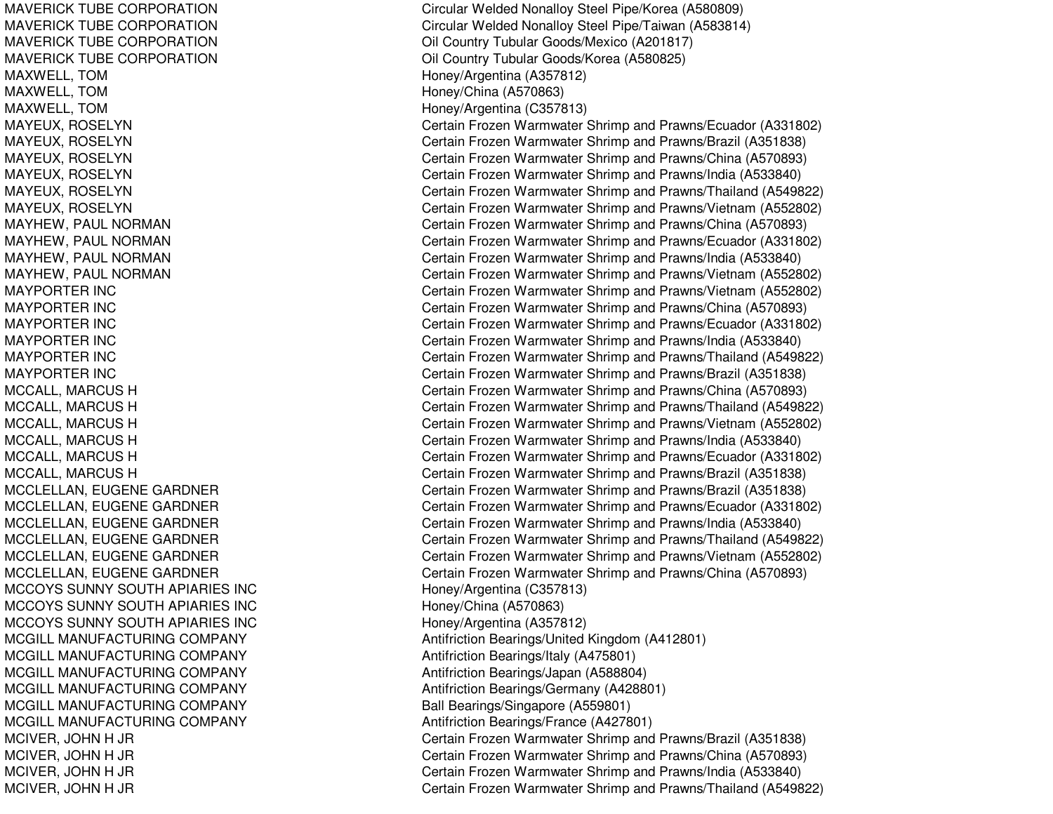MAVERICK TUBE CORPORATIONMAVERICK TUBE CORPORATIONMAVERICK TUBE CORPORATIONMAVERICK TUBE CORPORATIONMAXWELL, TOM **MAXWELL**, TOM **Honey/Argentina (A357812)** MAXWELL, TOM Honey/China (A570863) MAXWELL, TOM **MAXWELL, TOM** 1999 **Honey/Argentina** (C357813) MAYPORTERMAYPORTERMAYPORTERMAYPORTERMAYPORTERMAYPORTER INC MCCOYS SUNNY SOUTHMCCOYS SUNNY SOUTHMCCOYS SUNNY SOUTHMCGILL MANUFACTURINGMCGILL MANUFACTURINGMCGILL MANUFACTURINGMCGILL MANUFACTURINGMCGILL MANUFACTURINGMCGILL MANUFACTURING

 Circular Welded Nonalloy Steel Pipe/Korea (A580809) Circular Welded Nonalloy Steel Pipe/Taiwan (A583814) Oil Country Tubular Goods/Mexico (A201817) Oil Country Tubular Goods/Korea (A580825) MAYEUX, ROSELYN Certain Frozen Warmwater Shrimp and Prawns/Ecuador (A331802) MAYEUX, ROSELYN Certain Frozen Warmwater Shrimp and Prawns/Brazil (A351838) MAYEUX, ROSELYN **Certain Frozen Warmwater Shrimp and Prawns/China** (A570893) MAYEUX, ROSELYN Certain Frozen Warmwater Shrimp and Prawns/India (A533840) MAYEUX, ROSELYN Certain Frozen Warmwater Shrimp and Prawns/Thailand (A549822) MAYEUX, ROSELYN Certain Frozen Warmwater Shrimp and Prawns/Vietnam (A552802) MAYHEW, PAUL NORMAN Certain Frozen Warmwater Shrimp and Prawns/China (A570893) MAYHEW, PAUL NORMAN Certain Frozen Warmwater Shrimp and Prawns/Ecuador (A331802) MAYHEW, PAUL NORMAN **Certain Frozen Warmwater Shrimp and Prawns/India (A533840)** MAYHEW, PAUL NORMAN Certain Frozen Warmwater Shrimp and Prawns/Vietnam (A552802) Certain Frozen Warmwater Shrimp and Prawns/Vietnam (A552802) Certain Frozen Warmwater Shrimp and Prawns/China (A570893) Certain Frozen Warmwater Shrimp and Prawns/Ecuador (A331802) Certain Frozen Warmwater Shrimp and Prawns/India (A533840) Certain Frozen Warmwater Shrimp and Prawns/Thailand (A549822) Certain Frozen Warmwater Shrimp and Prawns/Brazil (A351838) MCCALL, MARCUS H Certain Frozen Warmwater Shrimp and Prawns/China (A570893) MCCALL, MARCUS H Certain Frozen Warmwater Shrimp and Prawns/Thailand (A549822) MCCALL, MARCUS H Certain Frozen Warmwater Shrimp and Prawns/Vietnam (A552802) MCCALL, MARCUS H Certain Frozen Warmwater Shrimp and Prawns/India (A533840) MCCALL, MARCUS H Certain Frozen Warmwater Shrimp and Prawns/Ecuador (A331802) MCCALL, MARCUS H Certain Frozen Warmwater Shrimp and Prawns/Brazil (A351838) MCCLELLAN, EUGENE GARDNER Certain Frozen Warmwater Shrimp and Prawns/Brazil (A351838) MCCLELLAN, EUGENE GARDNER Certain Frozen Warmwater Shrimp and Prawns/Ecuador (A331802) MCCLELLAN, EUGENE GARDNER Certain Frozen Warmwater Shrimp and Prawns/India (A533840) MCCLELLAN, EUGENE GARDNER CHARD Certain Frozen Warmwater Shrimp and Prawns/Thailand (A549822) MCCLELLAN, EUGENE GARDNER CHARD Certain Frozen Warmwater Shrimp and Prawns/Vietnam (A552802) MCCLELLAN, EUGENE GARDNER Certain Frozen Warmwater Shrimp and Prawns/China (A570893) Honey/Argentina (C357813) Honey/China (A570863) Honey/Argentina (A357812) Antifriction Bearings/United Kingdom (A412801) Antifriction Bearings/Italy (A475801) Antifriction Bearings/Japan (A588804) Antifriction Bearings/Germany (A428801) Ball Bearings/Singapore (A559801) Antifriction Bearings/France (A427801) MCIVER, JOHN H JR Certain Frozen Warmwater Shrimp and Prawns/Brazil (A351838) MCIVER, JOHN H JR Certain Frozen Warmwater Shrimp and Prawns/China (A570893) MCIVER, JOHN H JR Certain Frozen Warmwater Shrimp and Prawns/India (A533840) MCIVER, JOHN H JR Certain Frozen Warmwater Shrimp and Prawns/Thailand (A549822)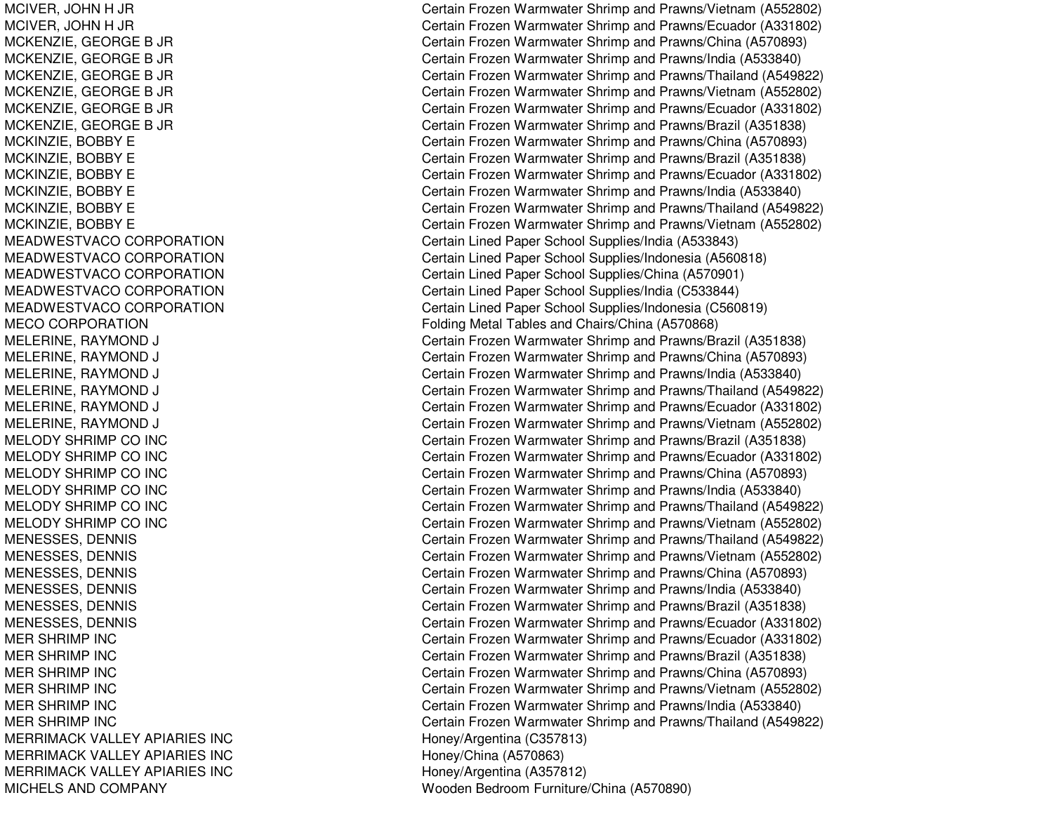MCIVER, JOHN H JR MCIVER, JOHN H JR MCKENZIE, G EORGEB JRM C K E N ZIE, G E O R G E B JR MCKENZIE, G EORGEB JRMCK E NZIE, G E ORGE B JRM C K E N ZIE, G E O R G E B JR MCKENZIE, G EORGEB JRMC KIN ZIE, B OB B Y E MCKINZIE, BOBBY E MCKINZIE, B OBBYEMCKINZIE, B OBBYEMCKINZIE, B OBBYEMCKINZIE, B OBBYEMEADWESTVACO CORPORATION MEADWESTVACO CORPORATION MEADWESTVACO CORPORATION MEADWESTVACO CORPORATION MEADWESTVACO CORPORATION MECO CORPORATION MELERINE, RAYMOND DJ C MELERINE, RAYMOND DJ C MELERINE, RAYMOND DJ C MELERINE, R AYMONDDJ C MEL ERINE, R AYMONDDJ C MELERINE, RAYMOND DJ C MELODY SHRIMP CO INC MELODY SHRIMP CO INC MELODY SHRIMP CO INC MELODY SHRIMP CO INC MELODY SHRIMP CO INC MELODY SHRIMP CO INC MENESSES, DENNIS MENESSES, DENNIS MENESSES, DENNIS MENESSES, D ENNISMENESSES, DENNIS MENESSES, DENNIS MER SHRIMP INC MER SHRIMP INC MER SHRIMP INC MER SHRIMP INC MER SHRIMP INC MER SHRIMP INC MERRIMACK VALLEY APIARIES INC MERRIMACK VALLEY APIARIES INC MERRIMACK VALLEY APIARIES INC MICHELS AND COMPANY

Certain Frozen Warmwater Shrimp and Prawns/Vietnam (A552802) Certain Frozen Warmwater Shrimp and Prawns/Ecuador (A331802) Certain Frozen Warmwater Shrimp and Prawns/China (A570893) Certain Frozen Warmwater Shrimp and Prawns/India (A533840) Certain Frozen Warmwater Shrimp and Prawns/Thailand (A549822) Certain Frozen Warmwater Shrimp and Prawns/Vietnam (A552802) Certain Frozen Warmwater Shrimp and Prawns/Ecuador (A331802) Certain Frozen Warmwater Shrimp and Prawns/Brazil (A351838) Certain Frozen Warmwater Shrimp and Prawns/China (A570893) C ertain Frozen W arm w ater Shrim p and Pra wns/Brazil (A 3 518 3 8) Certain Frozen Warmwater Shrimp and Prawns/Ecuador (A331802) Certain Frozen Warmwater Shrimp and Prawns/India (A533840) Certain Frozen Warmwater Shrimp and Prawns/Thailand (A549822) Certain Frozen Warmwater Shrimp and Prawns/Vietnam (A552802) Certain Lined Paper School Supplies/India (A533843) Certain Lined Paper School Supplies/Indonesia (A560818) Certain Lined Paper School Supplies/China (A570901) Certain Lined Paper School Supplies/India (C533844) Certain Lined Paper School Supplies/Indonesia (C560819) Folding Metal Tables and Chairs/China (A570868) ertain Frozen Warmwater Shrimp and Prawns/Brazil (A351838) ertain Frozen Warmwater Shrimp and Prawns/China (A570893) ertain Frozen Warmwater Shrimp and Prawns/India (A533840) ertain Frozen Warmwater Shrimp and Prawns/Thailand (A549822) ertain Frozen Warmwater Shrimp and Prawns/Ecuador (A331802) ertain Frozen Warmwater Shrimp and Prawns/Vietnam (A552802) Certain Frozen Warmwater Shrimp and Prawns/Brazil (A351838) Certain Frozen Warmwater Shrimp and Prawns/Ecuador (A331802) Certain Frozen Warmwater Shrimp and Prawns/China (A570893) Certain Frozen Warmwater Shrimp and Prawns/India (A533840) Certain Frozen Warmwater Shrimp and Prawns/Thailand (A549822) Certain Frozen Warmwater Shrimp and Prawns/Vietnam (A552802) Certain Frozen Warmwater Shrimp and Prawns/Thailand (A549822) Certain Frozen Warmwater Shrimp and Prawns/Vietnam (A552802) Certain Frozen Warmwater Shrimp and Prawns/China (A570893) Certain Frozen Warmwater Shrimp and Prawns/India (A533840) Certain Frozen Warmwater Shrimp and Prawns/Brazil (A351838) Certain Frozen Warmwater Shrimp and Prawns/Ecuador (A331802) Certain Frozen Warmwater Shrimp and Prawns/Ecuador (A331802) Certain Frozen Warmwater Shrimp and Prawns/Brazil (A351838) Certain Frozen Warmwater Shrimp and Prawns/China (A570893) Certain Frozen Warmwater Shrimp and Prawns/Vietnam (A552802) Certain Frozen Warmwater Shrimp and Prawns/India (A533840) Certain Frozen Warmwater Shrimp and Prawns/Thailand (A549822) H one y/Arg entina (C 3 5 7 813) H one y/China (A 5 7 0 8 6 3) Honey/Arg entina (A 357812) Wooden Bedroom Furniture/China (A570890)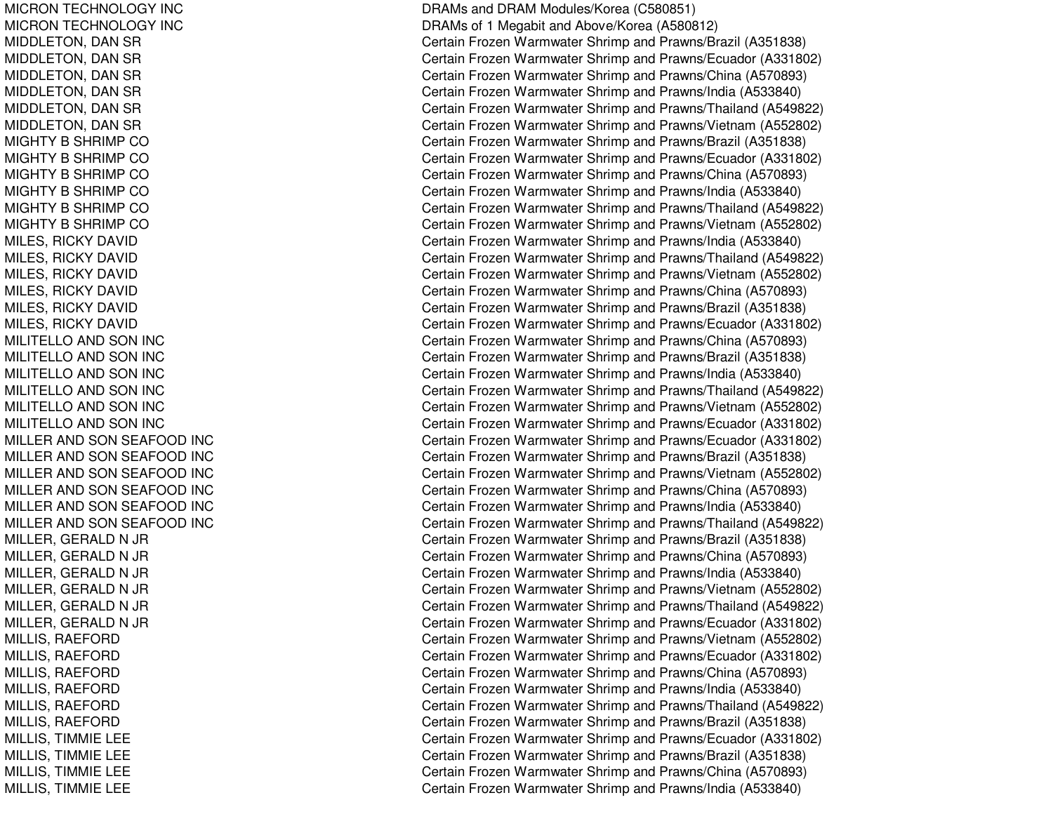MICRON TECHNOLOGY INC MICRON TECHNOLOGY INC MIDDLETON, DAN SR MIDDLETON, DAN SR MIDDLETON, DAN SR MIDDLETON, DAN SR MIDDLETON, DAN SR MIDDLETON, D ANSRMIGHTY B SHRIMP CO MIGHTY B SHRIMP CO MIGHTY B SHRIMP CO MIGHTY B SHRIMP CO MIGHTY B SHRIMP CO MIGHTY B SHRIMP CO MILES, RICKY DAVID MILES, RIC KYDAVIDMIL ES, RIC KYDAVIDMILES, RICKY DAVID MILES, RIC KYDAVIDMILES, RICKY DAVID MILITELLO AND SON INC MILITELLO AND SON INC MILITELLO AND SON INC MILITELLO AND SON INC MILITELLO AND SON INC MILITELLO AND SON INC MILLER AND SON SEAFOOD INC MILLER AND SON SEAFOOD INC MILLER AND SON SEAFOOD INC MILLER AND SON SEAFOOD INC MILLER AND SON SEAFOOD INC MILLER AND SON SEAFOOD INC MILLER, GERALD N JR MILLER, GERALD N JR MILLER, GERALD N JR MILLER, GERALD N JR MILLER, GERALD N JR MILLER, GERALD N JR MIL LIS, R AEFORDMILLIS, RAEFORD MILLIS, R AEFORDMIL LIS, R AEF ORDMILLIS, RAEFORD MILLIS, R AEFORDMILLIS, TIMMIE LEE MILLIS, TIMMIE LEE MILLIS, TIM MIELEEMILLIS, TIMMIE LEE

DRAMs and DRAM Modules/Korea (C580851) DRAMs of 1 Meg abit andAbove/Korea (A 580812) Certain Frozen Warmwater Shrimp and Prawns/Brazil (A351838) Certain Frozen Warmwater Shrimp and Prawns/Ecuador (A331802) Certain Frozen Warmwater Shrimp and Prawns/China (A570893) Certain Frozen Warmwater Shrimp and Prawns/India (A533840) Certain Frozen Warmwater Shrimp and Prawns/Thailand (A549822) Certain Frozen Warmwater Shrimp and Prawns/Vietnam (A552802) Certain Frozen Warmwater Shrimp and Prawns/Brazil (A351838) Certain Frozen Warmwater Shrimp and Prawns/Ecuador (A331802) Certain Frozen Warmwater Shrimp and Prawns/China (A570893) Certain Frozen Warmwater Shrimp and Prawns/India (A533840) Certain Frozen Warmwater Shrimp and Prawns/Thailand (A549822) Certain Frozen Warmwater Shrimp and Prawns/Vietnam (A552802) Certain Frozen Warmwater Shrimp and Prawns/India (A533840) Certain Frozen Warmwater Shrimp and Prawns/Thailand (A549822) Certain Frozen Warmwater Shrimp and Prawns/Vietnam (A552802) Certain Frozen Warmwater Shrimp and Prawns/China (A570893) Certain Frozen Warmwater Shrimp and Prawns/Brazil (A351838) Certain Frozen Warmwater Shrimp and Prawns/Ecuador (A331802) Certain Frozen Warmwater Shrimp and Prawns/China (A570893) Certain Frozen Warmwater Shrimp and Prawns/Brazil (A351838) Certain Frozen Warmwater Shrimp and Prawns/India (A533840) Certain Frozen Warmwater Shrimp and Prawns/Thailand (A549822) Certain Frozen Warmwater Shrimp and Prawns/Vietnam (A552802) Certain Frozen Warmwater Shrimp and Prawns/Ecuador (A331802) Certain Frozen Warmwater Shrimp and Prawns/Ecuador (A331802) Certain Frozen Warmwater Shrimp and Prawns/Brazil (A351838) Certain Frozen Warmwater Shrimp and Prawns/Vietnam (A552802) Certain Frozen Warmwater Shrimp and Prawns/China (A570893) Certain Frozen Warmwater Shrimp and Prawns/India (A533840) Certain Frozen Warmwater Shrimp and Prawns/Thailand (A549822) Certain Frozen Warmwater Shrimp and Prawns/Brazil (A351838) Certain Frozen Warmwater Shrimp and Prawns/China (A570893) Certain Frozen Warmwater Shrimp and Prawns/India (A533840) Certain Frozen Warmwater Shrimp and Prawns/Vietnam (A552802) Certain Frozen Warmwater Shrimp and Prawns/Thailand (A549822) Certain Frozen Warmwater Shrimp and Prawns/Ecuador (A331802) Certain Frozen Warmwater Shrimp and Prawns/Vietnam (A552802) Certain Frozen Warmwater Shrimp and Prawns/Ecuador (A331802) Certain Frozen Warmwater Shrimp and Prawns/China (A570893) Certain Frozen Warmwater Shrimp and Prawns/India (A533840) Certain Frozen Warmwater Shrimp and Prawns/Thailand (A549822) Certain Frozen Warmwater Shrimp and Prawns/Brazil (A351838) Certain Frozen Warmwater Shrimp and Prawns/Ecuador (A331802) C ertain Frozen W arm w ater Shrim p and Pra wns/Brazil (A 3 518 3 8) Certain Frozen Warmwater Shrimp and Prawns/China (A570893) Certain Frozen Warmwater Shrimp and Prawns/India (A533840)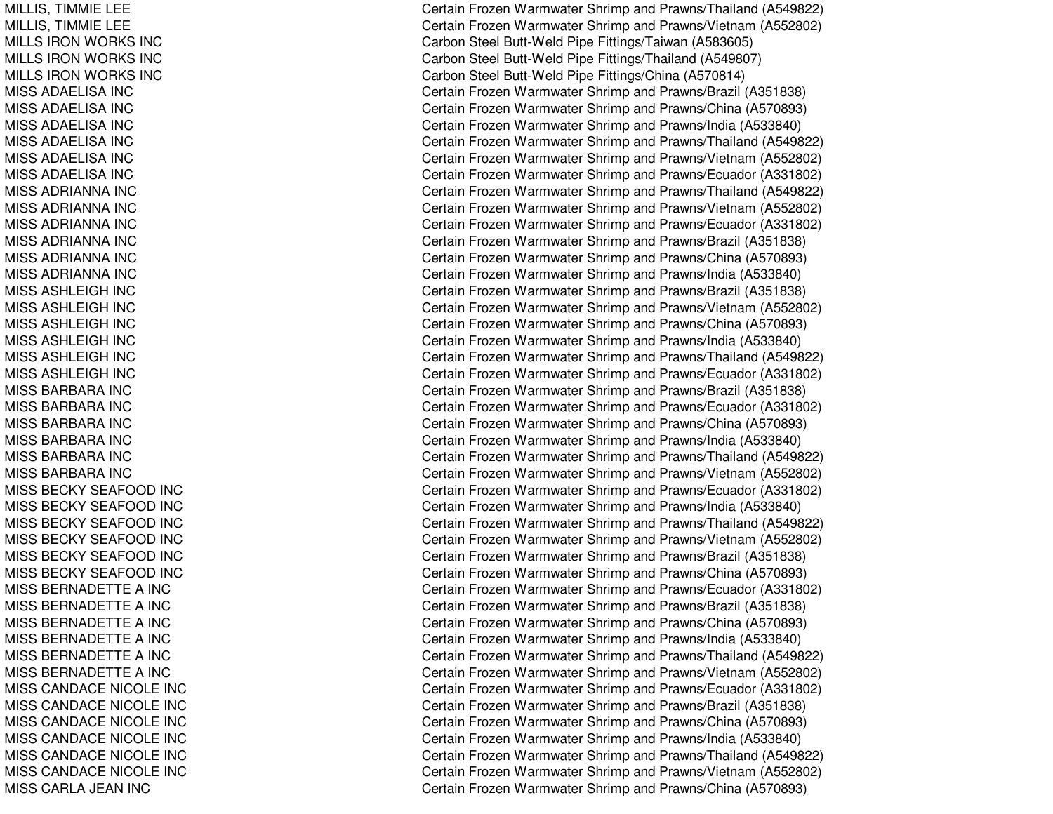MILLIS, TIM MIELEEMILLIS, TIM MIELEEMIL L S IRONWORKS INCMILLS IRON WORKS INC MILLS IRON WORKS INC MISS ADAELISA INC MISS ADAELISA INC MISS ADAELISA INC MISS ADAELISA INC MISS ADAELISA INC MISS ADAELISA INC MISS ADRIANNA INC MISS ADRIANNA INC MISS ADRIANNA INC MISS ADRIANNA INC MISS ADRIANNA INC MISS ADRIANNA INC MISS ASHLEIGH INC MISS ASHLEIGH INC MISS ASHLEIGH INC MISS ASHLEIGH INC MISS ASHLEIGH INC MISS ASHLEIGH INC MISS BARBARA INC MISS BARBARA INC MISS BARBARA INC MISS BARBARA INC MISS BARBARA INC MISS BARBARA INC MISS BECKY SEAFOOD INC MISS BECKY SEAFOOD INC MISS BECKY SEAFOOD INC MISS BECKY SEAFOOD INC MISS BECKY SEAFOOD INC MISS BECKY SEAFOOD INC MISS BERNADETTE A INC MISS BERNADETTE A INC MISS BERNADETTE A INC MISS BERNADETTE A INC MISS BERNADETTE A INC MISS BERNADETTE A INC MISS CANDACE NICOLE INC MISS CANDACE NICOLE INC MISS CANDACE NICOLE INC MISS CANDACE NICOLE INC MISS CANDACE NICOLE INC MISS CANDACE NICOLE INC MISS CARLA JEAN INC

Certain Frozen Warmwater Shrimp and Prawns/Thailand (A549822) Certain Frozen Warmwater Shrimp and Prawns/Vietnam (A552802) Carbon Steel Butt-Weld Pipe Fittings/Taiwan (A583605) Carbon Steel Butt-Weld Pipe Fittings/Thailand (A549807) Carbon Steel Butt-Weld Pipe Fittings/China (A570814) Certain Frozen Warmwater Shrimp and Prawns/Brazil (A351838) Certain Frozen Warmwater Shrimp and Prawns/China (A570893) Certain Frozen Warmwater Shrimp and Prawns/India (A533840) Certain Frozen Warmwater Shrimp and Prawns/Thailand (A549822) Certain Frozen Warmwater Shrimp and Prawns/Vietnam (A552802) Certain Frozen Warmwater Shrimp and Prawns/Ecuador (A331802) Certain Frozen Warmwater Shrimp and Prawns/Thailand (A549822) Certain Frozen Warmwater Shrimp and Prawns/Vietnam (A552802) Certain Frozen Warmwater Shrimp and Prawns/Ecuador (A331802) Certain Frozen Warmwater Shrimp and Prawns/Brazil (A351838) Certain Frozen Warmwater Shrimp and Prawns/China (A570893) Certain Frozen Warmwater Shrimp and Prawns/India (A533840) Certain Frozen Warmwater Shrimp and Prawns/Brazil (A351838) Certain Frozen Warmwater Shrimp and Prawns/Vietnam (A552802) Certain Frozen Warmwater Shrimp and Prawns/China (A570893) Certain Frozen Warmwater Shrimp and Prawns/India (A533840) Certain Frozen Warmwater Shrimp and Prawns/Thailand (A549822) Certain Frozen Warmwater Shrimp and Prawns/Ecuador (A331802) Certain Frozen Warmwater Shrimp and Prawns/Brazil (A351838) Certain Frozen Warmwater Shrimp and Prawns/Ecuador (A331802) Certain Frozen Warmwater Shrimp and Prawns/China (A570893) Certain Frozen Warmwater Shrimp and Prawns/India (A533840) Certain Frozen Warmwater Shrimp and Prawns/Thailand (A549822) Certain Frozen Warmwater Shrimp and Prawns/Vietnam (A552802) Certain Frozen Warmwater Shrimp and Prawns/Ecuador (A331802) Certain Frozen Warmwater Shrimp and Prawns/India (A533840) Certain Frozen Warmwater Shrimp and Prawns/Thailand (A549822) Certain Frozen Warmwater Shrimp and Prawns/Vietnam (A552802) Certain Frozen Warmwater Shrimp and Prawns/Brazil (A351838) Certain Frozen Warmwater Shrimp and Prawns/China (A570893) Certain Frozen Warmwater Shrimp and Prawns/Ecuador (A331802) Certain Frozen Warmwater Shrimp and Prawns/Brazil (A351838) Certain Frozen Warmwater Shrimp and Prawns/China (A570893) Certain Frozen Warmwater Shrimp and Prawns/India (A533840) Certain Frozen Warmwater Shrimp and Prawns/Thailand (A549822) Certain Frozen Warmwater Shrimp and Prawns/Vietnam (A552802) Certain Frozen Warmwater Shrimp and Prawns/Ecuador (A331802) Certain Frozen Warmwater Shrimp and Prawns/Brazil (A351838) Certain Frozen Warmwater Shrimp and Prawns/China (A570893) Certain Frozen Warmwater Shrimp and Pra wns/India (A 5 3 3 8 4 0) Certain Frozen Warmwater Shrimp and Prawns/Thailand (A549822) Certain Frozen Warmwater Shrimp and Prawns/Vietnam (A552802) Certain Frozen Warmwater Shrimp and Prawns/China (A570893)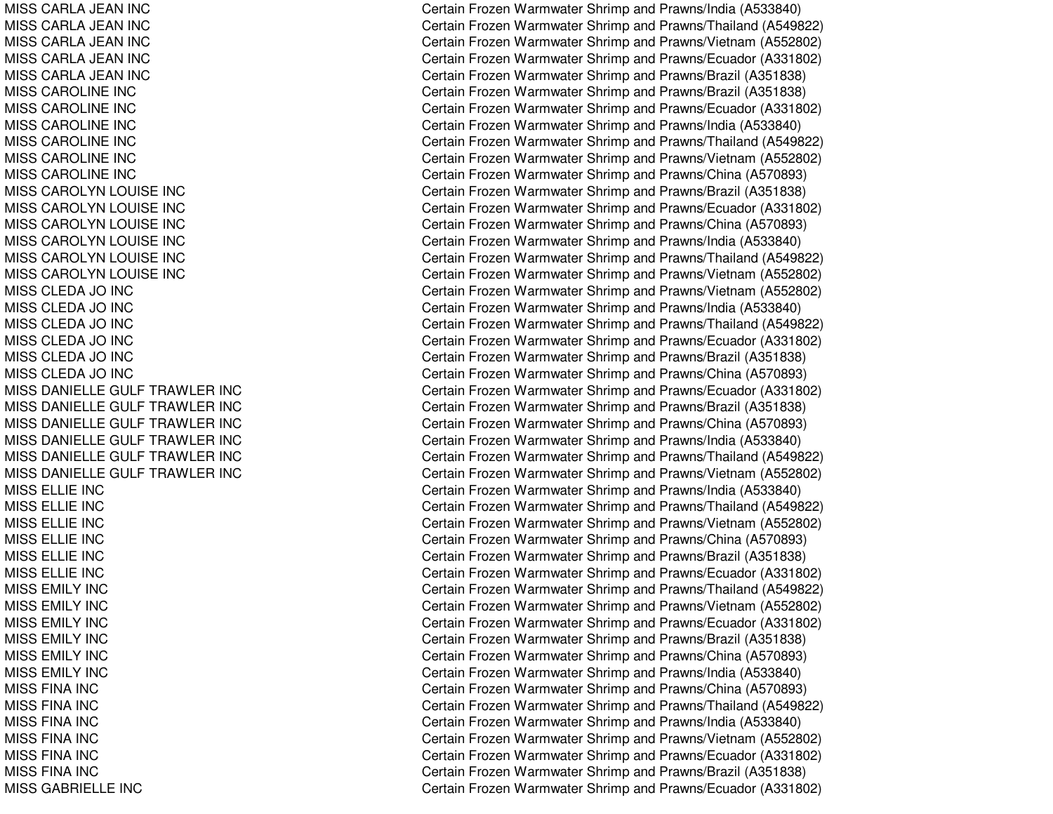MISS CARLA JEAN INC MISS CARLA JEAN INC MISS CARLA JEAN INC MISS CARLA JEAN INC MISS CARLA JEAN INC MISSCAROLINE INCMISSCAROLINE INCMISSCAROLINE INCMISS CAROLINE INC MISSCAROLINE INCMISSCAROLINE INCMISS CAROLYN LOUISE INC MISS CAROLYN LOUISE INC MISS CAROLYN LOUISE INC MISS CAROLYN LOUISE INC MISS CAROLYN LOUISE INC MISS CAROLYN LOUISE INC MISS CLEDA JO INC MISS CLEDA JO INC MIS S CL E DA JO IN CMISS CLEDA JO INC MISS CLEDA JO INC MISS CLEDA JO INC MISS DANIELLE GULF TRAWLER INC MISS DANIELLE GULF TRAWLER INC MISS DANIELLE GULF TRAWLER INC MISS DANIELLE GULF TRAWLER INC MISS DANIELLE GULF TRAWLER INC MISS DANIELLE GULF TRAWLER INC MISSELLIE INCMIS S E L LIE INCMIS S E L LIE IN C MISSELLIE INCMIS S E L LIE IN C MISSELLIE INCMISSEMILY INCMIS S E MIL Y IN C MISSEMILY INCMISSEMIL Y INCMISSEMILY INCMISSEMILY INCMISS FINA INC MIS S FIN A IN C MISS FINA INC MISS FINA INC MISS FINA INC MISS FINA INC MISSGABRIELLE INC

Certain Frozen Warmwater Shrimp and Prawns/India (A533840) Certain Frozen Warmwater Shrimp and Prawns/Thailand (A549822) Certain Frozen Warmwater Shrimp and Prawns/Vietnam (A552802) Certain Frozen Warmwater Shrimp and Prawns/Ecuador (A331802) Certain Frozen Warmwater Shrimp and Prawns/Brazil (A351838) Certain Frozen Warmwater Shrimp and Prawns/Brazil (A351838) Certain Frozen Warmwater Shrimp and Prawns/Ecuador (A331802) Certain Frozen Warmwater Shrimp and Prawns/India (A533840) Certain Frozen Warmwater Shrimp and Prawns/Thailand (A549822) Certain Frozen Warmwater Shrimp and Prawns/Vietnam (A552802) Certain Frozen Warmwater Shrimp and Prawns/China (A570893) Certain Frozen Warmwater Shrimp and Prawns/Brazil (A351838) Certain Frozen Warmwater Shrimp and Prawns/Ecuador (A331802) Certain Frozen Warmwater Shrimp and Prawns/China (A570893) Certain Frozen Warmwater Shrimp and Prawns/India (A533840) Certain Frozen Warmwater Shrimp and Prawns/Thailand (A549822) Certain Frozen Warmwater Shrimp and Prawns/Vietnam (A552802) Certain Frozen Warmwater Shrimp and Prawns/Vietnam (A552802) Certain Frozen Warmwater Shrimp and Prawns/India (A533840) Certain Frozen Warmwater Shrimp and Prawns/Thailand (A549822) Certain Frozen Warmwater Shrimp and Prawns/Ecuador (A331802) Certain Frozen Warmwater Shrimp and Prawns/Brazil (A351838) Certain Frozen Warmwater Shrimp and Prawns/China (A570893) Certain Frozen Warmwater Shrimp and Prawns/Ecuador (A331802) Certain Frozen Warmwater Shrimp and Prawns/Brazil (A351838) Certain Frozen Warmwater Shrimp and Prawns/China (A570893) Certain Frozen Warmwater Shrimp and Prawns/India (A533840) Certain Frozen Warmwater Shrimp and Prawns/Thailand (A549822) Certain Frozen Warmwater Shrimp and Prawns/Vietnam (A552802) Certain Frozen Warmwater Shrimp and Prawns/India (A533840) Certain Frozen Warmwater Shrimp and Prawns/Thailand (A549822) Certain Frozen Warmwater Shrimp and Prawns/Vietnam (A552802) Certain Frozen Warmwater Shrimp and Prawns/China (A570893) Certain Frozen Warmwater Shrimp and Prawns/Brazil (A351838) Certain Frozen Warmwater Shrimp and Prawns/Ecuador (A331802) Certain Frozen Warmwater Shrimp and Prawns/Thailand (A549822) Certain Frozen Warmwater Shrimp and Prawns/Vietnam (A552802) Certain Frozen Warmwater Shrimp and Prawns/Ecuador (A331802) C ertain Frozen W arm w ater Shrim p and Pra wns/Brazil (A 3 518 3 8) Certain Frozen Warmwater Shrimp and Prawns/China (A570893) Certain Frozen Warmwater Shrimp and Prawns/India (A533840) Certain Frozen Warmwater Shrimp and Prawns/China (A570893) Certain Frozen Warmwater Shrimp and Prawns/Thailand (A549822) Certain Frozen Warmwater Shrimp and Prawns/India (A533840) Certain Frozen Warmwater Shrimp and Prawns/Vietnam (A552802) Certain Frozen Warmwater Shrimp and Prawns/Ecuador (A331802) Certain Frozen Warmwater Shrimp and Prawns/Brazil (A351838) Certain Frozen Warmwater Shrimp and Prawns/Ecuador (A331802)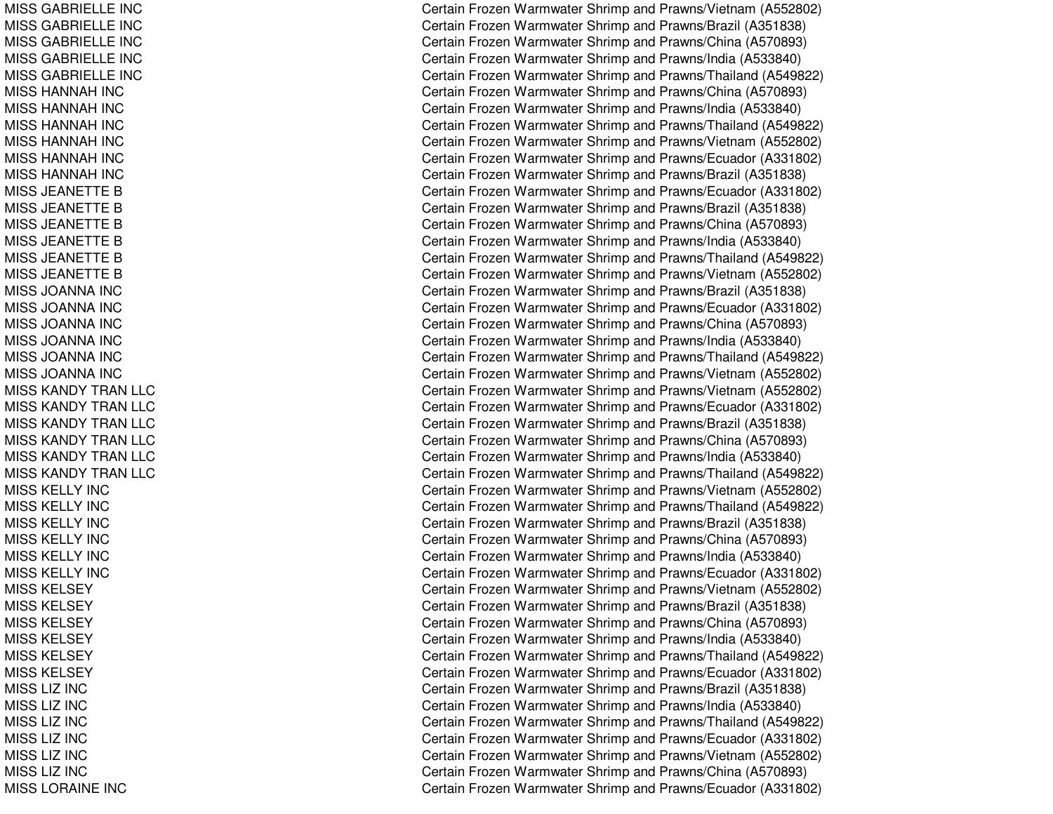MISSGABRIELLE INCMISSGABRIELLE INCMISS GABRIELLE INC MISSGABRIELLE INCMISSGABRIELLE INCMISS HANNAH INC MISS HANNAH INC MISS HANNAH INC MISS HANNAH INC MISS HANNAH INC MISS HANNAH INC MISS JEANETTE B MISS JEANETTE B MISS JEANETTE B MISS JEANETTE B MISS JEANETTE B MISS JEANETTE B MISS JOANNA INCMISS JOANNA INCMIS S JOA NNA INCMISS JOANNA INC MISS JOANNA INCMISS JOANNA INCMISS KANDY TRAN LLC MISS KANDY TRAN LLC MISS KANDY TRAN LLC MISS KANDY TRAN LLC MISS KANDY TRAN LLC MISS KANDY TRAN LLC MISS KELLY INC MISS KELLY INC MISS KELLY INC MISS KELLY INC MISS KELLY INC MISS KELLY INC MISS KELSEY MISS KELSEY MISS KELSEY MISS KELSEY MISS KELSEY MISS KELSEY MISS LIZ INC MISS LIZ INC MISSLIZ INCMIS S LIZ INCMISS LIZ INC MISS LIZ INC MISSLORAINE INC

Certain Frozen Warmwater Shrimp and Prawns/Vietnam (A552802) Certain Frozen Warmwater Shrimp and Prawns/Brazil (A351838) Certain Frozen Warmwater Shrimp and Prawns/China (A570893) Certain Frozen Warmwater Shrimp and Prawns/India (A533840) Certain Frozen Warmwater Shrimp and Prawns/Thailand (A549822) Certain Frozen Warmwater Shrimp and Prawns/China (A570893) Certain Frozen Warmwater Shrimp and Prawns/India (A533840) Certain Frozen Warmwater Shrimp and Prawns/Thailand (A549822) Certain Frozen Warmwater Shrimp and Prawns/Vietnam (A552802) Certain Frozen Warmwater Shrimp and Prawns/Ecuador (A331802) Certain Frozen Warmwater Shrimp and Prawns/Brazil (A351838) Certain Frozen Warmwater Shrimp and Prawns/Ecuador (A331802) Certain Frozen Warmwater Shrimp and Prawns/Brazil (A351838) Certain Frozen Warmwater Shrimp and Prawns/China (A570893) Certain Frozen Warmwater Shrimp and Prawns/India (A533840) Certain Frozen Warmwater Shrimp and Prawns/Thailand (A549822) Certain Frozen Warmwater Shrimp and Prawns/Vietnam (A552802) Certain Frozen Warmwater Shrimp and Prawns/Brazil (A351838) Certain Frozen Warmwater Shrimp and Prawns/Ecuador (A331802) Certain Frozen Warmwater Shrimp and Prawns/China (A570893) Certain Frozen Warmwater Shrimp and Prawns/India (A533840) Certain Frozen Warmwater Shrimp and Prawns/Thailand (A549822) Certain Frozen Warmwater Shrimp and Prawns/Vietnam (A552802) Certain Frozen Warmwater Shrimp and Prawns/Vietnam (A552802) Certain Frozen Warmwater Shrimp and Prawns/Ecuador (A331802) Certain Frozen Warmwater Shrimp and Prawns/Brazil (A351838) Certain Frozen Warmwater Shrimp and Prawns/China (A570893) Certain Frozen Warmwater Shrimp and Prawns/India (A533840) Certain Frozen Warmwater Shrimp and Prawns/Thailand (A549822) Certain Frozen Warmwater Shrimp and Prawns/Vietnam (A552802) Certain Frozen Warmwater Shrimp and Prawns/Thailand (A549822) Certain Frozen Warmwater Shrimp and Prawns/Brazil (A351838) Certain Frozen Warmwater Shrimp and Prawns/China (A570893) Certain Frozen Warmwater Shrimp and Prawns/India (A533840) Certain Frozen Warmwater Shrimp and Prawns/Ecuador (A331802) Certain Frozen Warmwater Shrimp and Prawns/Vietnam (A552802) Certain Frozen Warmwater Shrimp and Prawns/Brazil (A351838) Certain Frozen Warmwater Shrimp and Prawns/China (A570893) Certain Frozen Warmwater Shrimp and Prawns/India (A533840) Certain Frozen Warmwater Shrimp and Prawns/Thailand (A549822) Certain Frozen Warmwater Shrimp and Prawns/Ecuador (A331802) Certain Frozen Warmwater Shrimp and Prawns/Brazil (A351838) Certain Frozen Warmwater Shrimp and Prawns/India (A533840) Certain Frozen Warmwater Shrimp and Prawns/Thailand (A549822) Certain Frozen Warmwater Shrimp and Prawns/Ecuador (A331802) Certain Frozen Warmwater Shrimp and Prawns/Vietnam (A552802) Certain Frozen Warmwater Shrimp and Prawns/China (A570893) Certain Frozen Warmwater Shrimp and Prawns/Ecuador (A331802)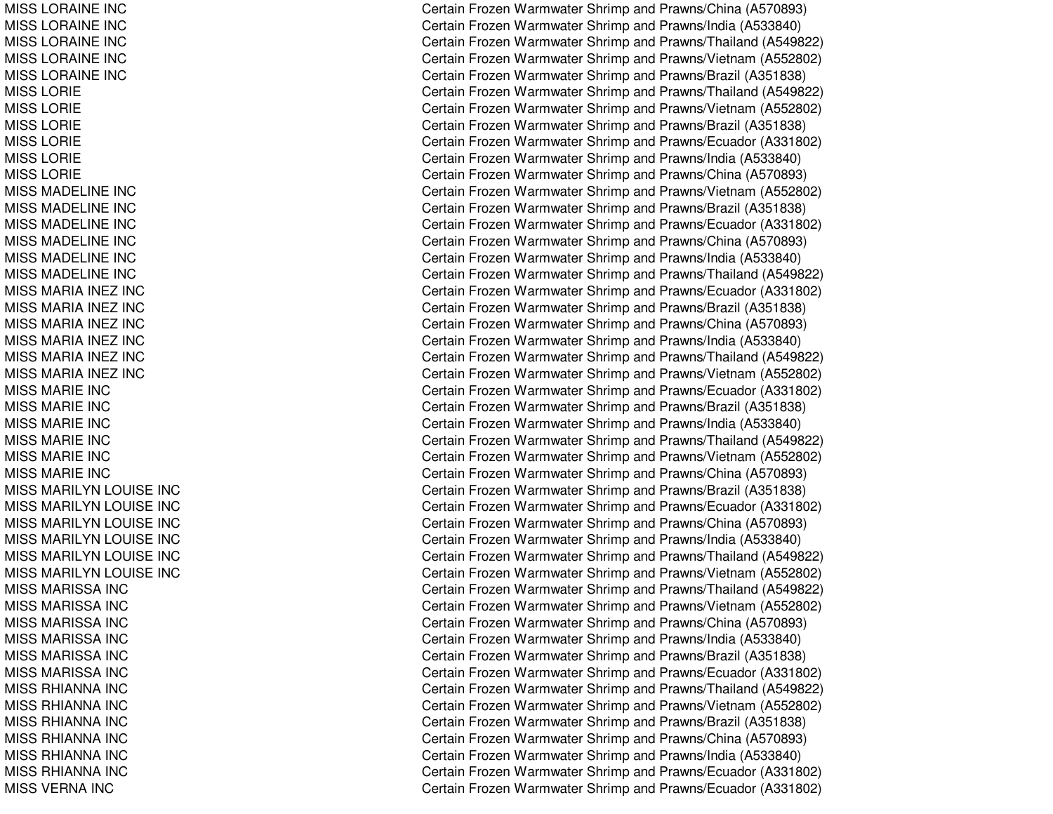MISSLORAINE INCMISSLORAINE INCMISSL ORAINE INCMISSLORAINE INCMISSLORAINE INCMISSLORIEMISSLORIEMISS LORIE MIS S L ORIE MISSLORIEMISSLORIEMISS MADELINE INC MISSMADELINE INCMISSMADELINE INCMISSMADELINE INCMISSMADELINE INCMISSMADELINE INCMISSMARIA INEZ INCMISSMARIA INEZ INCMISS MARIA INEZ INC MISS MARIA INEZ INC MISSMARIA INEZ INCMISSMARIA INEZ INCMISSMARIE INCMISSMARIE INCMISS MARIE INC MISSMARIE INCMISSMARIE INCMISSMARIE INCMISS MARILYN LOUISE INC MISS MARILYN LOUISE INC MISS MARILYN LOUISE INC MISS MARILYN LOUISE INC MISS MARILYN LOUISE INC MISS MARILYN LOUISE INC MISS MARISSA INC MISS MARISSA INC MISS MARISSA INC MISS MARISSA INC MISS MARISSA INC MISS MARISSA INC MISS RHIANNA INC MISS RHIANNA INC MISS RHIANNA INC MISS RHIANNA INC MISS RHIANNA INC MISS RHIANNA INC MISS VERNA INC

Certain Frozen Warmwater Shrimp and Prawns/China (A570893) Certain Frozen Warmwater Shrimp and Prawns/India (A533840) Certain Frozen Warmwater Shrimp and Prawns/Thailand (A549822) Certain Frozen Warmwater Shrimp and Prawns/Vietnam (A552802) Certain Frozen Warmwater Shrimp and Prawns/Brazil (A351838) Certain Frozen Warmwater Shrimp and Prawns/Thailand (A549822) Certain Frozen Warmwater Shrimp and Prawns/Vietnam (A552802) Certain Frozen Warmwater Shrimp and Prawns/Brazil (A351838) Certain Frozen Warmwater Shrimp and Prawns/Ecuador (A331802) Certain Frozen Warmwater Shrimp and Prawns/India (A533840) Certain Frozen Warmwater Shrimp and Prawns/China (A570893) Certain Frozen Warmwater Shrimp and Prawns/Vietnam (A552802) Certain Frozen Warmwater Shrimp and Prawns/Brazil (A351838) Certain Frozen Warmwater Shrimp and Prawns/Ecuador (A331802) Certain Frozen Warmwater Shrimp and Prawns/China (A570893) Certain Frozen Warmwater Shrimp and Prawns/India (A533840) Certain Frozen Warmwater Shrimp and Prawns/Thailand (A549822) Certain Frozen Warmwater Shrimp and Prawns/Ecuador (A331802) Certain Frozen Warmwater Shrimp and Prawns/Brazil (A351838) Certain Frozen Warmwater Shrimp and Prawns/China (A570893) Certain Frozen Warmwater Shrimp and Prawns/India (A533840) Certain Frozen Warmwater Shrimp and Prawns/Thailand (A549822) Certain Frozen Warmwater Shrimp and Prawns/Vietnam (A552802) Certain Frozen Warmwater Shrimp and Prawns/Ecuador (A331802) Certain Frozen Warmwater Shrimp and Prawns/Brazil (A351838) Certain Frozen Warmwater Shrimp and Prawns/India (A533840) Certain Frozen Warmwater Shrimp and Prawns/Thailand (A549822) Certain Frozen Warmwater Shrimp and Prawns/Vietnam (A552802) Certain Frozen Warmwater Shrimp and Prawns/China (A570893) Certain Frozen Warmwater Shrimp and Prawns/Brazil (A351838) Certain Frozen Warmwater Shrimp and Prawns/Ecuador (A331802) Certain Frozen Warmwater Shrimp and Prawns/China (A570893) Certain Frozen Warmwater Shrimp and Prawns/India (A533840) Certain Frozen Warmwater Shrimp and Prawns/Thailand (A549822) Certain Frozen Warmwater Shrimp and Prawns/Vietnam (A552802) Certain Frozen Warmwater Shrimp and Prawns/Thailand (A549822) Certain Frozen Warmwater Shrimp and Prawns/Vietnam (A552802) Certain Frozen Warmwater Shrimp and Prawns/China (A570893) Certain Frozen Warmwater Shrimp and Prawns/India (A533840) Certain Frozen Warmwater Shrimp and Prawns/Brazil (A351838) Certain Frozen Warmwater Shrimp and Prawns/Ecuador (A331802) Certain Frozen Warmwater Shrimp and Prawns/Thailand (A549822) Certain Frozen Warmwater Shrimp and Prawns/Vietnam (A552802) Certain Frozen Warmwater Shrimp and Prawns/Brazil (A351838) Certain Frozen Warmwater Shrimp and Prawns/China (A570893) Certain Frozen Warmwater Shrimp and Prawns/India (A533840) Certain Frozen Warmwater Shrimp and Prawns/Ecuador (A331802) Certain Frozen Warmwater Shrimp and Prawns/Ecuador (A331802)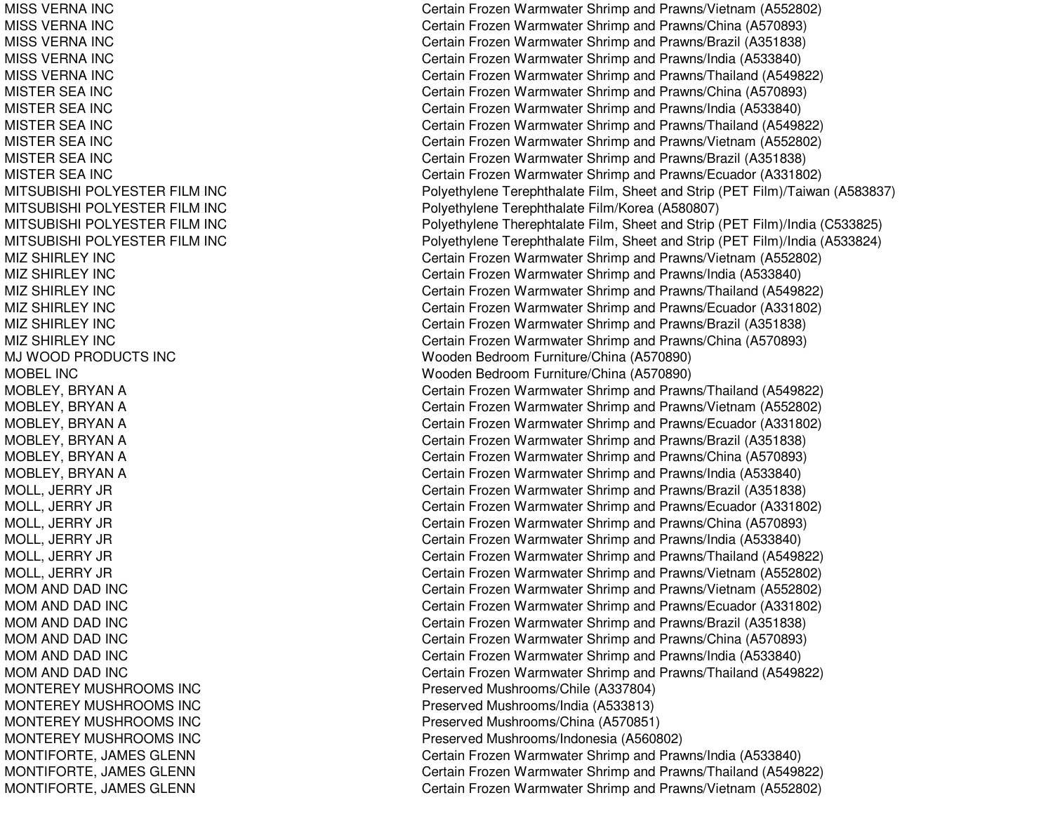MISS VERNA INC MISS VERNA INC MISS VERNA INC MISS VERNA INC MISS VERNA INC MISTER SEA INC MISTER SEA INC MISTER SEA INC MISTER SEA INC MISTER SEA INC MISTER SEA INC MITSUBISHI POLYESTER FILM INC MITSUBISHI POLYESTER FILM INC MITSUBISHI POL YESTERFIL M IN CMITSUBISHI POLYESTER FILM INC MIZ SHIRLEY INC MIZ SHIRL EY INCMIZ SHIRLEY INC MIZ SHIRLEY INC MIZ SHIRLEY INC MIZ SHIRLEY INC MJ WOOD PRODUCTS INC MOBEL INCMOBLEY, B RYANAMOBL EY, B RYANAMOBLEY, BRYAN A MOBLEY, B RYANAMOBL EY, B RYANAMOBLEY, BRYAN A MOLL, JE RRY JRMOL L, JE RRY JRM O L L, JE R R Y JR M O L L, JE R R Y JR M O L L, JE R R Y JR M O L L, JE R R Y JR MOM AND DAD INC MOM AND DAD INC MOM AND DAD INC MOM AND DAD INC MOM AND DAD INC MOM AND DAD INC MONTEREY MUSHROOMS INC MONTEREY MUSHROOMS INC MONTEREY MUSHROOMS INC MONTEREY MUSHROOMS INC MONTIFORTE, JAMES GLENN MONTIFORTE, JA MESGLENNMONTIFORTE, JAMES GLENN

Certain Frozen Warmwater Shrimp and Prawns/Vietnam (A552802) Certain Frozen Warmwater Shrimp and Prawns/China (A570893) Certain Frozen Warmwater Shrimp and Prawns/Brazil (A351838) Certain Frozen Warmwater Shrimp and Prawns/India (A533840) Certain Frozen Warmwater Shrimp and Prawns/Thailand (A549822) Certain Frozen Warmwater Shrimp and Prawns/China (A570893) Certain Frozen Warmwater Shrimp and Prawns/India (A533840) Certain Frozen Warmwater Shrimp and Prawns/Thailand (A549822) Certain Frozen Warmwater Shrimp and Prawns/Vietnam (A552802) C ertain Frozen W arm w ater Shrim p and Pra wns/Brazil (A 3 518 3 8) Certain Frozen Warmwater Shrimp and Prawns/Ecuador (A331802) Polyethylene Terephthalate Film, Sheet and Strip (PET Film)/Taiwan (A583837) Poly ethylene Terephthalate Film/Korea (A 580807) Polyethylene Therephtalate Film, Sheet and Strip (PET Film)/India (C533825) Polyethylene Terephthalate Film, Sheet and Strip (PET Film)/India (A533824) Certain Frozen Warmwater Shrimp and Prawns/Vietnam (A552802) Certain Frozen Warmwater Shrimp and Prawns/India (A533840) Certain Frozen Warmwater Shrimp and Prawns/Thailand (A549822) Certain Frozen Warmwater Shrimp and Prawns/Ecuador (A331802) Certain Frozen Warmwater Shrimp and Prawns/Brazil (A351838) Certain Frozen Warmwater Shrimp and Prawns/China (A570893) Wooden Bedroom Furniture/China (A570890) Wooden Bedroom Furniture/China (A570890) Certain Frozen Warmwater Shrimp and Prawns/Thailand (A549822) Certain Frozen Warmwater Shrimp and Prawns/Vietnam (A552802) Certain Frozen Warmwater Shrimp and Prawns/Ecuador (A331802) Certain Frozen Warmwater Shrimp and Prawns/Brazil (A351838) Certain Frozen Warmwater Shrimp and Prawns/China (A570893) Certain Frozen Warmwater Shrimp and Prawns/India (A533840) Certain Frozen Warmwater Shrimp and Prawns/Brazil (A351838) Certain Frozen Warmwater Shrimp and Prawns/Ecuador (A331802) Certain Frozen Warmwater Shrimp and Prawns/China (A570893) Certain Frozen Warmwater Shrimp and Prawns/India (A533840) Certain Frozen Warmwater Shrimp and Prawns/Thailand (A549822) Certain Frozen Warmwater Shrimp and Prawns/Vietnam (A552802) Certain Frozen Warmwater Shrimp and Prawns/Vietnam (A552802) Certain Frozen Warmwater Shrimp and Prawns/Ecuador (A331802) Certain Frozen Warmwater Shrimp and Prawns/Brazil (A351838) Certain Frozen Warmwater Shrimp and Prawns/China (A570893) Certain Frozen Warmwater Shrimp and Prawns/India (A533840) Certain Frozen Warmwater Shrimp and Prawns/Thailand (A549822) Preserv e d Mushro o ms/Chile (A 3 3 7 8 0 4) Preserv e d Mushro o ms/India (A 5 3 3 813) Preserved Mushrooms/China (A570851) Preserved Mushrooms/Indonesia (A560802) Certain Frozen Warmwater Shrimp and Prawns/India (A533840) Certain Frozen Warmwater Shrimp and Prawns/Thailand (A549822) Certain Frozen Warmwater Shrimp and Prawns/Vietnam (A552802)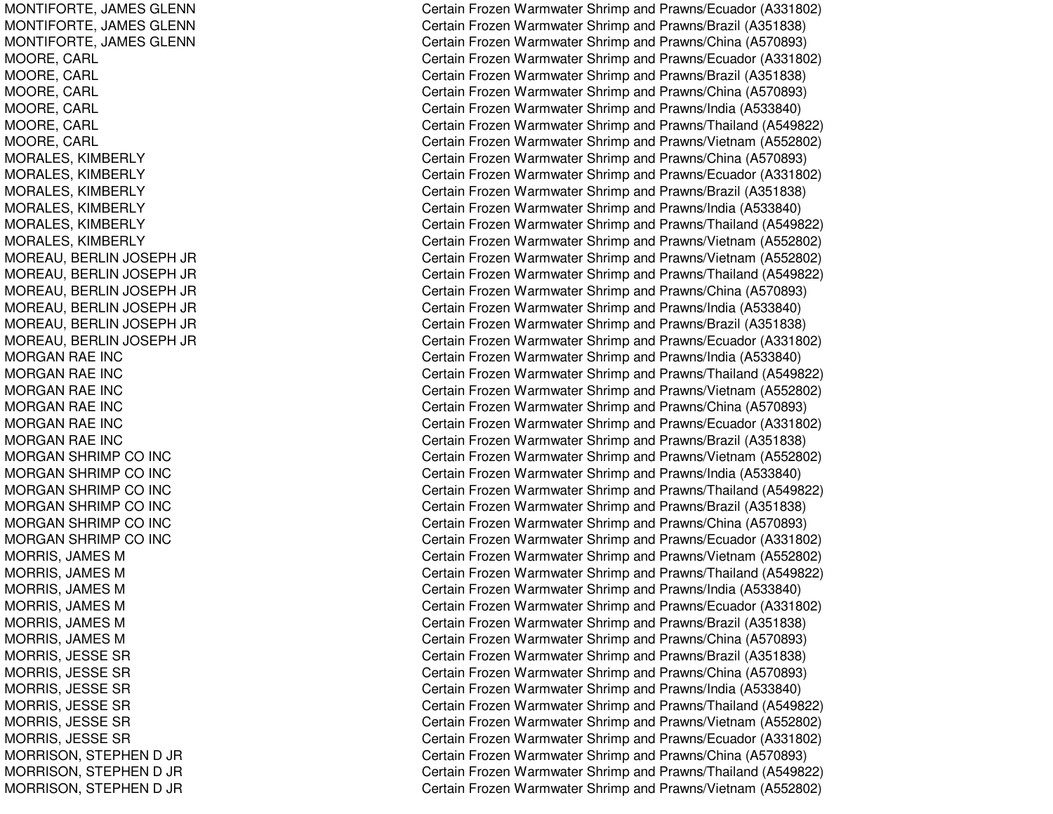MONTIFORTE, JAMES GLENN MONTIFORTE, JA MESGLENNMONTIFORTE, JAMES GLENN MOORE, CARL MOORE, C ARLMOORE, CARL MOORE, CARL MOORE, C ARLMOORE, CARL MORALES, KIMBERLY MORALES, KIM BERLYMORALES, KIMBERLY MORALES, KIM BERLYMORAL ES, KIM BERL YMORALES, KIMBERLY MOREAU, B ERLIN JOSEPH JR MOREAU, B ERLIN JOSEPH JR MOREAU, BERLIN JOSEPH JR MOREAU, B ERLIN JOSEPH JR MOREAU, BERLIN JOSEPH JR MOREAU, BERLIN JOSEPH JR MORGAN RAE INC MORGAN RAE INC MORGAN RAE INC MORGAN RAE INC MORGAN RAE INC MORGAN RAE INC MORGAN SHRIMP CO INC MORGAN SHRIMP CO INC MORGAN SHRIMP CO INC MORGAN SHRIMP CO INC MORGAN SHRIMP CO INC MORGAN SHRIMP CO INC MORRIS, JAMES M MORRIS, JAMES M MORRIS, JAMES M MORRIS, JAMES M MORRIS, JAMES M MORRIS, JAMES M MORRIS, JESSE SR MORRIS, JE SSESRMORRIS, JE SSESRMORRIS, JESSE SR MORRIS, JESSE SR MORRIS, JESSE SR MORRISON, STEPHEN D JR MORRISON, S TEPHEND JR MORRISON, STEPHEN D JR

Certain Frozen Warmwater Shrimp and Prawns/Ecuador (A331802) Certain Frozen Warmwater Shrimp and Prawns/Brazil (A351838) Certain Frozen Warmwater Shrimp and Prawns/China (A570893) Certain Frozen Warmwater Shrimp and Prawns/Ecuador (A331802) Certain Frozen Warmwater Shrimp and Prawns/Brazil (A351838) Certain Frozen Warmwater Shrimp and Prawns/China (A570893) Certain Frozen Warmwater Shrimp and Prawns/India (A533840) Certain Frozen Warmwater Shrimp and Prawns/Thailand (A549822) Certain Frozen Warmwater Shrimp and Prawns/Vietnam (A552802) Certain Frozen Warmwater Shrimp and Prawns/China (A570893) Certain Frozen Warmwater Shrimp and Prawns/Ecuador (A331802) Certain Frozen Warmwater Shrimp and Prawns/Brazil (A351838) Certain Frozen Warmwater Shrimp and Prawns/India (A533840) Certain Frozen Warmwater Shrimp and Prawns/Thailand (A549822) Certain Frozen Warmwater Shrimp and Prawns/Vietnam (A552802) Certain Frozen Warmwater Shrimp and Prawns/Vietnam (A552802) Certain Frozen Warmwater Shrimp and Prawns/Thailand (A549822) Certain Frozen Warmwater Shrimp and Prawns/China (A570893) Certain Frozen Warmwater Shrimp and Prawns/India (A533840) Certain Frozen Warmwater Shrimp and Prawns/Brazil (A351838) Certain Frozen Warmwater Shrimp and Prawns/Ecuador (A331802) Certain Frozen Warmwater Shrimp and Prawns/India (A533840) Certain Frozen Warmwater Shrimp and Prawns/Thailand (A549822) Certain Frozen Warmwater Shrimp and Prawns/Vietnam (A552802) Certain Frozen Warmwater Shrimp and Prawns/China (A570893) Certain Frozen Warmwater Shrimp and Prawns/Ecuador (A331802) Certain Frozen Warmwater Shrimp and Prawns/Brazil (A351838) Certain Frozen Warmwater Shrimp and Prawns/Vietnam (A552802) Certain Frozen Warmwater Shrimp and Prawns/India (A533840) Certain Frozen Warmwater Shrimp and Prawns/Thailand (A549822) Certain Frozen Warmwater Shrimp and Prawns/Brazil (A351838) Certain Frozen Warmwater Shrimp and Prawns/China (A570893) Certain Frozen Warmwater Shrimp and Prawns/Ecuador (A331802) Certain Frozen Warmwater Shrimp and Prawns/Vietnam (A552802) Certain Frozen Warmwater Shrimp and Prawns/Thailand (A549822) Certain Frozen Warmwater Shrimp and Prawns/India (A533840) Certain Frozen Warmwater Shrimp and Prawns/Ecuador (A331802) Certain Frozen Warmwater Shrimp and Prawns/Brazil (A351838) Certain Frozen Warmwater Shrimp and Prawns/China (A570893) Certain Frozen Warmwater Shrimp and Prawns/Brazil (A351838) Certain Frozen Warmwater Shrimp and Prawns/China (A570893) Certain Frozen Warmwater Shrimp and Prawns/India (A533840) Certain Frozen Warmwater Shrimp and Prawns/Thailand (A549822) Certain Frozen Warmwater Shrimp and Prawns/Vietnam (A552802) Certain Frozen Warmwater Shrimp and Prawns/Ecuador (A331802) Certain Frozen Warmwater Shrimp and Prawns/China (A570893) Certain Frozen Warmwater Shrimp and Prawns/Thailand (A549822) Certain Frozen Warmwater Shrimp and Prawns/Vietnam (A552802)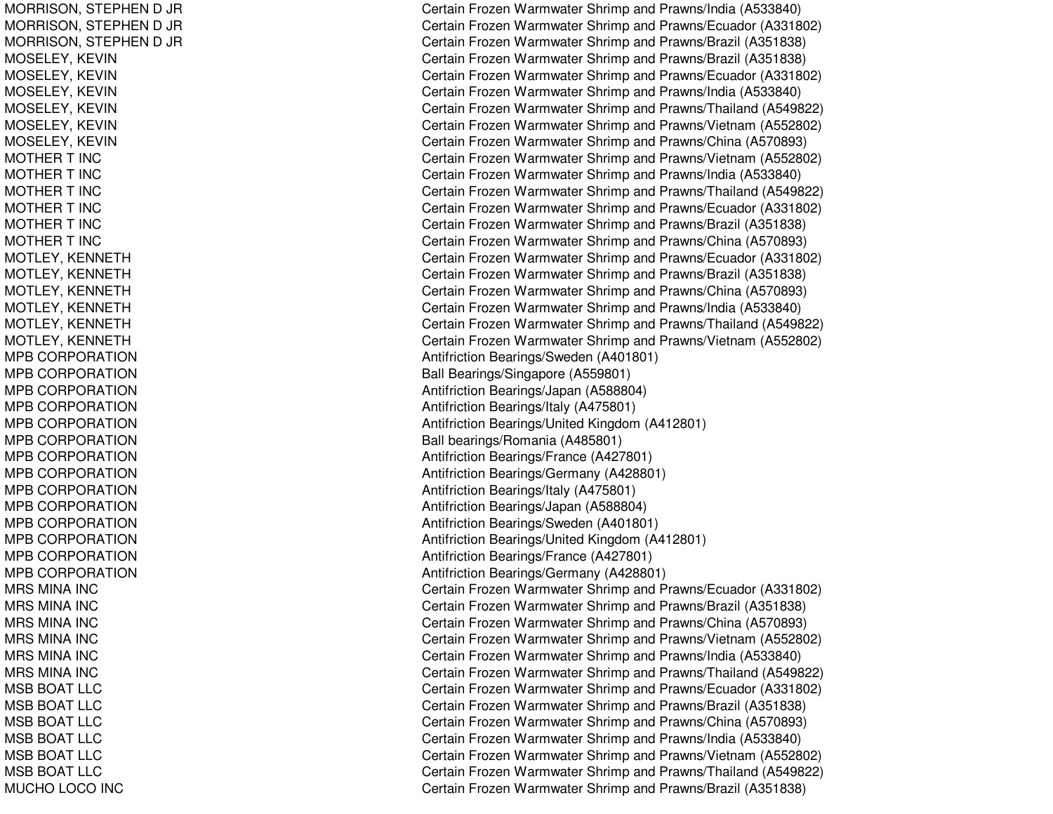MORRISON, S TEPHEND JR MORRISON, S TEPHEND JR MORRISON, STEPHEN D JR M O S E L E Y, K E VIN M O S E L E Y, K E VIN MOSELEY, KEVIN M O S E L E Y, K E VIN MOSELEY, K EVINMOSELEY, KEVIN MOTHER T INC MOTHER T INC MOTHER T INC MOTHER T INC MOTHER T INC MOTHER T INC MOTLEY, K ENNETHMOTLEY, KENNETH MOTLEY, KENNETH MOTLEY, K ENNETHMOTLEY, KENNETH MOTLEY, KENNETH MPB CORPORATION MPB CORPORATION MPB CORPORATION MPB CORPORATION MPB CORPORATION MPB CORPORATION MPB CORPORATION MPB CORPORATION MPB CORPORATION MP B CORP ORA TIONMPB CORPORATION MPB CORPORATION MPB CORPORATION MPB CORPORATION MRS MINA INC MR S MIN A IN C MRS MINA INC MRS MINA INC MRS MINA INC MRS MINA INC MSB BOAT LLC MSB BOAT LLC MSB BOAT LLC MSB BOAT LLC MSB BOAT LLC MSB BOAT LLC MUCHO LOCO INC

Certain Frozen Warmwater Shrimp and Prawns/India (A533840) Certain Frozen Warmwater Shrimp and Prawns/Ecuador (A331802) Certain Frozen Warmwater Shrimp and Prawns/Brazil (A351838) Certain Frozen Warmwater Shrimp and Prawns/Brazil (A351838) Certain Frozen Warmwater Shrimp and Prawns/Ecuador (A331802) Certain Frozen Warmwater Shrimp and Prawns/India (A533840) Certain Frozen Warmwater Shrimp and Prawns/Thailand (A549822) Certain Frozen Warmwater Shrimp and Prawns/Vietnam (A552802) Certain Frozen Warmwater Shrimp and Prawns/China (A570893) Certain Frozen Warmwater Shrimp and Prawns/Vietnam (A552802) Certain Frozen Warmwater Shrimp and Prawns/India (A533840) Certain Frozen Warmwater Shrimp and Prawns/Thailand (A549822) Certain Frozen Warmwater Shrimp and Prawns/Ecuador (A331802) Certain Frozen Warmwater Shrimp and Prawns/Brazil (A351838) Certain Frozen Warmwater Shrimp and Prawns/China (A570893) Certain Frozen Warmwater Shrimp and Prawns/Ecuador (A331802) Certain Frozen Warmwater Shrimp and Prawns/Brazil (A351838) Certain Frozen Warmwater Shrimp and Prawns/China (A570893) Certain Frozen Warmwater Shrimp and Prawns/India (A533840) Certain Frozen Warmwater Shrimp and Prawns/Thailand (A549822) Certain Frozen Warmwater Shrimp and Prawns/Vietnam (A552802) Antifriction Bearings/Sweden (A401801) Ball Bearings/Singapore (A559801) Antifriction Bearings/Japan (A588804) Antifriction Be arings/Italy (A 4 7 5 8 01) Antifriction Bearings/United Kingdom (A412801) Ball bearings/Romania (A485801) Antifriction Be arings/France (A 4 2 7 8 01) Antifriction Bearings/Germany (A428801) Antifriction Bearings/Italy (A 475801) Antifriction Bearings/Japan (A588804) Antifriction Bearings/Sweden (A401801) Antifriction Bearings/United Kingdom (A412801) Antifriction B e arings/France (A 4 2 7 8 01) Antifriction B e arings/G erm any (A 4 2 8 8 01) Certain Frozen Warmwater Shrimp and Prawns/Ecuador (A331802) Certain Frozen Warmwater Shrimp and Prawns/Brazil (A351838) Certain Frozen Warmwater Shrimp and Prawns/China (A570893) Certain Frozen Warmwater Shrimp and Prawns/Vietnam (A552802) Certain Frozen Warmwater Shrimp and Prawns/India (A533840) Certain Frozen Warmwater Shrimp and Prawns/Thailand (A549822) Certain Frozen Warmwater Shrimp and Prawns/Ecuador (A331802) Certain Frozen Warmwater Shrimp and Prawns/Brazil (A351838) Certain Frozen Warmwater Shrimp and Prawns/China (A570893) Certain Frozen Warmwater Shrimp and Pra wns/India (A 5 3 3 8 4 0) Certain Frozen Warmwater Shrimp and Prawns/Vietnam (A552802) Certain Frozen Warmwater Shrimp and Prawns/Thailand (A549822) Certain Frozen Warmwater Shrimp and Prawns/Brazil (A351838)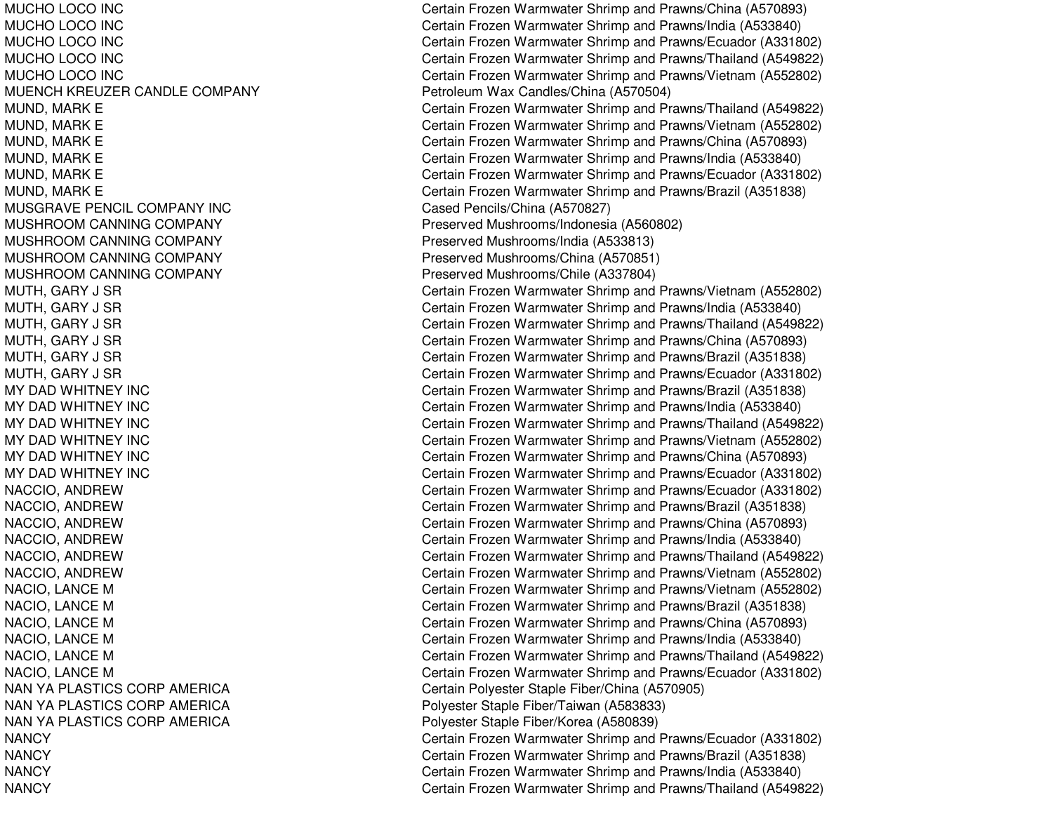MUCHO LOCO INC **MUCHO LOCO INC** MUCHO LOCO INC MUCHO LOCO INC MUCHO LOCO INC MUENCH KREUZER CANDLE COMPANY PetroleumMUSGRAVE PENCIL COMPANY INCMUSHROOM CANNING COMPANY MUSHROOM CANNING COMPANY MUSHROOM CANNING COMPANY MUSHROOM CANNING COMPANY MY DADMY DADMY DADMY DADMY DADMY DADNAN YA PLASTICS CORP AMERICA NAN YA PLASTICS CORP AMERICA NAN YA PLASTICS CORP AMERICA **NANCY NANCY NANCY NANCY** 

Certain Frozen Warmwater Shrimp and Prawns/China (A570893) Certain Frozen Warmwater Shrimp and Prawns/India (A533840) Certain Frozen Warmwater Shrimp and Prawns/Ecuador (A331802) Certain Frozen Warmwater Shrimp and Prawns/Thailand (A549822) Certain Frozen Warmwater Shrimp and Prawns/Vietnam (A552802) Petroleum Wax Candles/China (A570504) MUND, MARK E Certain Frozen Warmwater Shrimp and Prawns/Thailand (A549822) MUND, MARK E Certain Frozen Warmwater Shrimp and Prawns/Vietnam (A552802) MUND, MARK E Certain Frozen Warmwater Shrimp and Prawns/China (A570893) MUND, MARK E Certain Frozen Warmwater Shrimp and Prawns/India (A533840) MUND, MARK E Certain Frozen Warmwater Shrimp and Prawns/Ecuador (A331802) MUND, MARK E Certain Frozen Warmwater Shrimp and Prawns/Brazil (A351838) Cased Pencils/China (A570827) Preserved Mushrooms/Indonesia (A560802) Preserved Mushrooms/India (A533813) Preserved Mushrooms/China (A570851) Preserved Mushrooms/Chile (A337804) MUTH, GARY J SR Certain Frozen Warmwater Shrimp and Prawns/Vietnam (A552802) MUTH, GARY J SR Certain Frozen Warmwater Shrimp and Prawns/India (A533840) MUTH, GARY J SR Certain Frozen Warmwater Shrimp and Prawns/Thailand (A549822) MUTH, GARY J SR Certain Frozen Warmwater Shrimp and Prawns/China (A570893) MUTH, GARY J SR Certain Frozen Warmwater Shrimp and Prawns/Brazil (A351838) MUTH, GARY J SR Certain Frozen Warmwater Shrimp and Prawns/Ecuador (A331802) Certain Frozen Warmwater Shrimp and Prawns/Brazil (A351838) Certain Frozen Warmwater Shrimp and Prawns/India (A533840) Certain Frozen Warmwater Shrimp and Prawns/Thailand (A549822) Certain Frozen Warmwater Shrimp and Prawns/Vietnam (A552802) Certain Frozen Warmwater Shrimp and Prawns/China (A570893) Certain Frozen Warmwater Shrimp and Prawns/Ecuador (A331802) NACCIO, ANDREW Certain Frozen Warmwater Shrimp and Prawns/Ecuador (A331802) NACCIO, ANDREW Certain Frozen Warmwater Shrimp and Prawns/Brazil (A351838) NACCIO, ANDREW Certain Frozen Warmwater Shrimp and Prawns/China (A570893) NACCIO, ANDREW Certain Frozen Warmwater Shrimp and Prawns/India (A533840) NACCIO, ANDREW Certain Frozen Warmwater Shrimp and Prawns/Thailand (A549822) NACCIO, ANDREW Certain Frozen Warmwater Shrimp and Prawns/Vietnam (A552802) NACIO, LANCE M Certain Frozen Warmwater Shrimp and Prawns/Vietnam (A552802) NACIO, LANCE M Certain Frozen Warmwater Shrimp and Prawns/Brazil (A351838) NACIO, LANCE M Certain Frozen Warmwater Shrimp and Prawns/China (A570893) NACIO, LANCE M Certain Frozen Warmwater Shrimp and Prawns/India (A533840) NACIO, LANCE M Certain Frozen Warmwater Shrimp and Prawns/Thailand (A549822) NACIO, LANCE M Certain Frozen Warmwater Shrimp and Prawns/Ecuador (A331802) Certain Polyester Staple Fiber/China (A570905) Polyester Staple Fiber/Taiwan (A583833) Polyester Staple Fiber/Korea (A580839) Certain Frozen Warmwater Shrimp and Prawns/Ecuador (A331802) Certain Frozen Warmwater Shrimp and Prawns/Brazil (A351838) Certain Frozen Warmwater Shrimp and Prawns/India (A533840) Certain Frozen Warmwater Shrimp and Prawns/Thailand (A549822)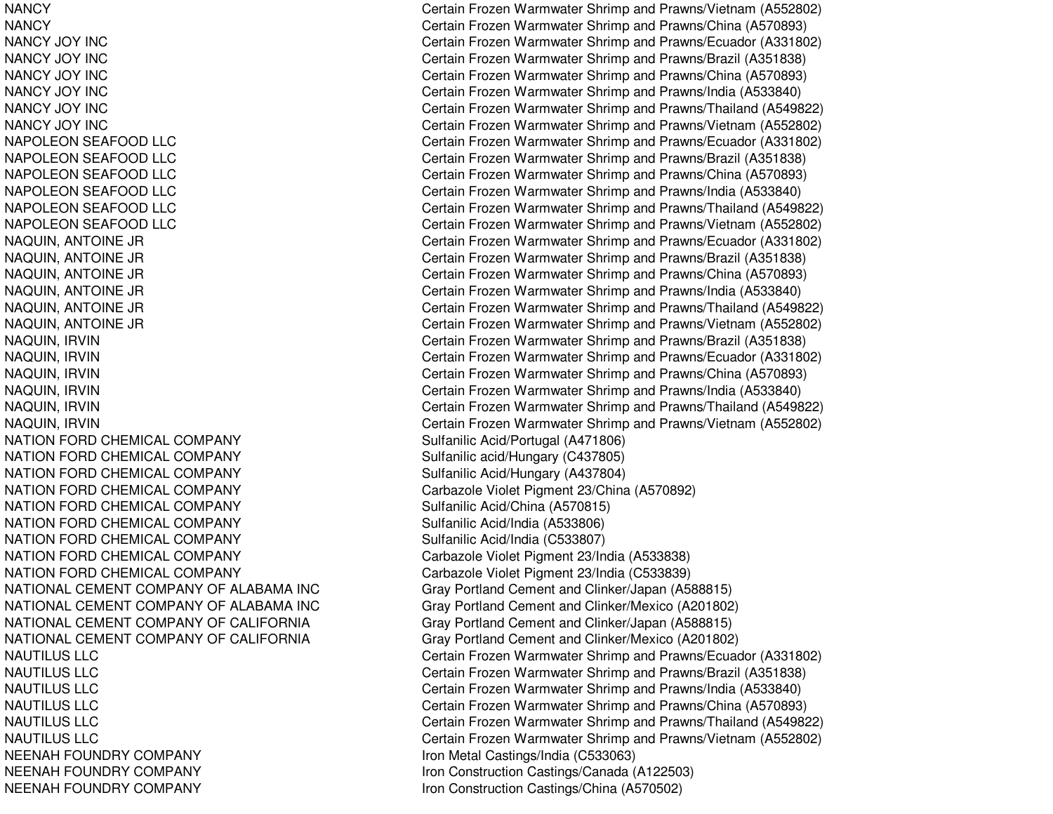**NANCY NANCY** NANCY JOY INCNANCY JOY INCNANCY JOY INCNANCY JOY INCNANCY JOY INCNANCY JOY INCNAPOLEON SEAFOOD LLC NAPOLEON SEAFOOD LLC NAPOLEON SEAFOOD LLC NAPOLEON SEAFOOD LLC **NAPOLEON SEAFOOD LLC** NAPOLEON SEAFOOD LLC **NATION FORD CHEMICAL COMPANY** NATION FORD CHEMICAL COMPANY NATION FORD CHEMICAL COMPANY **NATION FORD CHEMICAL COMPANY** NATION FORD CHEMICAL COMPANY Sulfanilic Acid/China (A570815) NATION FORD CHEMICAL COMPANY Sulfanilic Acid/India (A533806) NATION FORD CHEMICAL COMPANY NATION FORD CHEMICAL COMPANY NATION FORD CHEMICAL COMPANY NATIONAL CEMENT COMPANY OF ALABAMA INCNATIONAL CEMENT COMPANY OF ALABAMA INCNATIONAL CEMENT COMPANYNATIONAL CEMENT COMPANYNAUTILUS LLCNAUTILUS LLCNAUTILUS LLCNAUTILUS LLCNAUTILUS LLCNAUTILUS LLCNEENAH FOUNDRY COMPANY NEENAH FOUNDRY COMPANY NEENAH FOUNDRY COMPANY

 Certain Frozen Warmwater Shrimp and Prawns/Vietnam (A552802) Certain Frozen Warmwater Shrimp and Prawns/China (A570893) Certain Frozen Warmwater Shrimp and Prawns/Ecuador (A331802) Certain Frozen Warmwater Shrimp and Prawns/Brazil (A351838) Certain Frozen Warmwater Shrimp and Prawns/China (A570893) Certain Frozen Warmwater Shrimp and Prawns/India (A533840) Certain Frozen Warmwater Shrimp and Prawns/Thailand (A549822) Certain Frozen Warmwater Shrimp and Prawns/Vietnam (A552802) Certain Frozen Warmwater Shrimp and Prawns/Ecuador (A331802) Certain Frozen Warmwater Shrimp and Prawns/Brazil (A351838) Certain Frozen Warmwater Shrimp and Prawns/China (A570893) Certain Frozen Warmwater Shrimp and Prawns/India (A533840) Certain Frozen Warmwater Shrimp and Prawns/Thailand (A549822) Certain Frozen Warmwater Shrimp and Prawns/Vietnam (A552802) NAQUIN, ANTOINE JR Certain Frozen Warmwater Shrimp and Prawns/Ecuador (A331802) NAQUIN, ANTOINE JR Certain Frozen Warmwater Shrimp and Prawns/Brazil (A351838) NAQUIN, ANTOINE JR Certain Frozen Warmwater Shrimp and Prawns/China (A570893) NAQUIN, ANTOINE JR Certain Frozen Warmwater Shrimp and Prawns/India (A533840) NAQUIN, ANTOINE JR Certain Frozen Warmwater Shrimp and Prawns/Thailand (A549822) NAQUIN, ANTOINE JR Certain Frozen Warmwater Shrimp and Prawns/Vietnam (A552802) NAQUIN, IRVIN Certain Frozen Warmwater Shrimp and Prawns/Brazil (A351838) NAQUIN, IRVIN Certain Frozen Warmwater Shrimp and Prawns/Ecuador (A331802) NAQUIN, IRVIN Certain Frozen Warmwater Shrimp and Prawns/China (A570893) NAQUIN, IRVIN Certain Frozen Warmwater Shrimp and Prawns/India (A533840) NAQUIN, IRVIN Certain Frozen Warmwater Shrimp and Prawns/Thailand (A549822) NAQUIN, IRVIN Certain Frozen Warmwater Shrimp and Prawns/Vietnam (A552802) Sulfanilic Acid/Portugal (A471806) Sulfanilic acid/Hungary (C437805) Sulfanilic Acid/Hungary (A437804) Carbazole Violet Pigment 23/China (A570892) Sulfanilic Acid/India (C533807) Carbazole Violet Pigment 23/India (A533838) Carbazole Violet Pigment 23/India (C533839) Gray Portland Cement and Clinker/Japan (A588815) Gray Portland Cement and Clinker/Mexico (A201802) Gray Portland Cement and Clinker/Japan (A588815) Gray Portland Cement and Clinker/Mexico (A201802) Certain Frozen Warmwater Shrimp and Prawns/Ecuador (A331802) Certain Frozen Warmwater Shrimp and Prawns/Brazil (A351838) Certain Frozen Warmwater Shrimp and Prawns/India (A533840) Certain Frozen Warmwater Shrimp and Prawns/China (A570893) Certain Frozen Warmwater Shrimp and Prawns/Thailand (A549822) Certain Frozen Warmwater Shrimp and Prawns/Vietnam (A552802) Iron Metal Castings/India (C533063) Iron Construction Castings/Canada (A122503) Iron Construction Castings/China (A570502)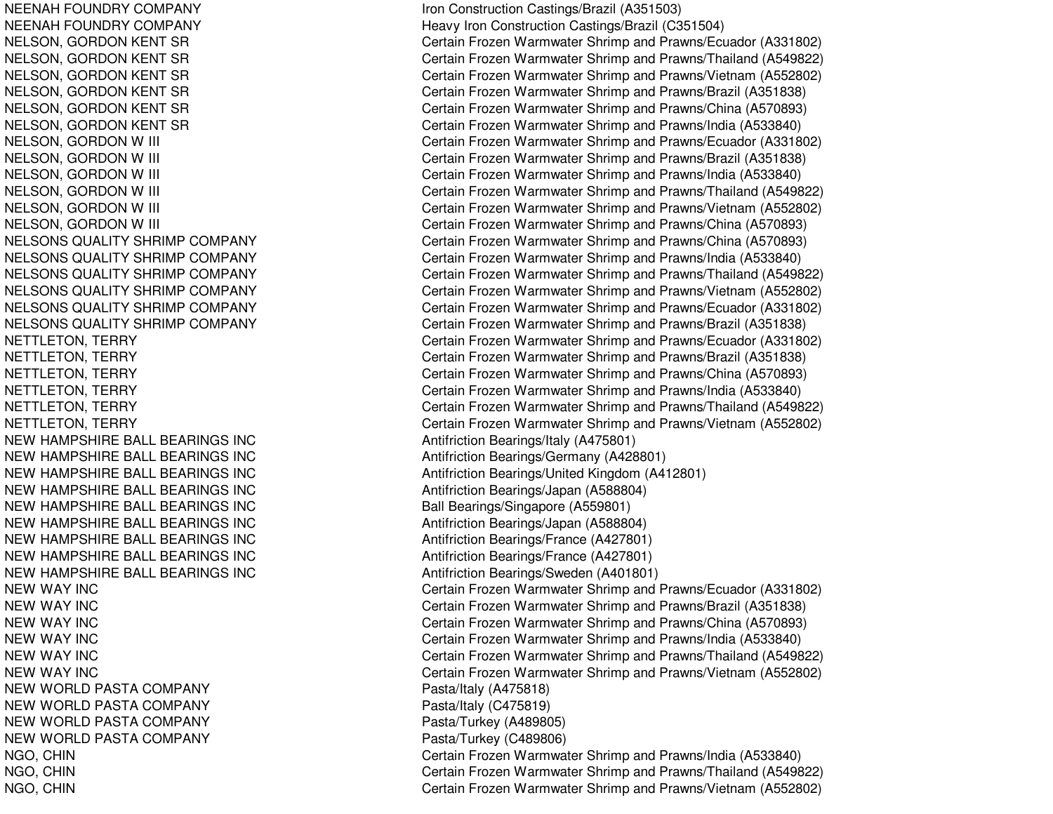NEENAH FOUNDRY COMPANY NEENAH FOUNDRY COMPANY NELSONS QUALITY SHRIMP COMPANY **NELSONS QUALITY SHRIMP COMPANY** NELSONS QUALITY SHRIMP COMPANY **NELSONS QUALITY SHRIMP COMPANY NELSONS QUALITY SHRIMP COMPANY** NELSONS QUALITY SHRIMP COMPANY NEW HAMPSHIRE BALL BEARINGS INC \_\_\_\_\_\_\_\_\_\_\_\_\_\_\_\_\_\_\_\_\_\_\_\_\_\_\_\_Antifriction Bearings/Italy (A475801) NEW HAMPSHIRE BALL BEARINGS INC **NEW HAMPSHIRE BALL BEARINGS INC** NEW HAMPSHIRE BALL BEARINGS INC Antifriction Bearings/Japan (A588804) NEW HAMPSHIRE BALL BEARINGS INC Ball Bearings/Singapore (A559801) NEW HAMPSHIRE BALL BEARINGS INC Antifriction Bearings/Japan (A588804) NEW HAMPSHIRE BALL BEARINGS INC NEW HAMPSHIRE BALL BEARINGS INC Antifriction Bearings/France (A427801) NEW HAMPSHIRE BALL BEARINGS INC **NEW WAY INC NEW WAY INC NEW WAY INC NEW WAY INC NEW WAY INC NEW WAY INC** NEW WORLD PASTA COMPANY Pasta/Italy (A475818) NEW WORLD PASTA COMPANY Pasta/Italy (C475819) NEW WORLD PASTA COMPANY Pasta/Turkey (A489805) NEW WORLD PASTA COMPANY Pasta/Turkey (C489806)

Iron Construction Castings/Brazil (A351503) Heavy Iron Construction Castings/Brazil (C351504) NELSON, GORDON KENT SR Certain Frozen Warmwater Shrimp and Prawns/Ecuador (A331802) NELSON, GORDON KENT SR Certain Frozen Warmwater Shrimp and Prawns/Thailand (A549822) NELSON, GORDON KENT SR Certain Frozen Warmwater Shrimp and Prawns/Vietnam (A552802) NELSON, GORDON KENT SR Certain Frozen Warmwater Shrimp and Prawns/Brazil (A351838) NELSON, GORDON KENT SR Certain Frozen Warmwater Shrimp and Prawns/China (A570893) NELSON, GORDON KENT SR Certain Frozen Warmwater Shrimp and Prawns/India (A533840) NELSON, GORDON W III Certain Frozen Warmwater Shrimp and Prawns/Ecuador (A331802) NELSON, GORDON W III Certain Frozen Warmwater Shrimp and Prawns/Brazil (A351838) NELSON, GORDON W III Certain Frozen Warmwater Shrimp and Prawns/India (A533840) NELSON, GORDON W III Certain Frozen Warmwater Shrimp and Prawns/Thailand (A549822) NELSON, GORDON W III Certain Frozen Warmwater Shrimp and Prawns/Vietnam (A552802) NELSON, GORDON W III Certain Frozen Warmwater Shrimp and Prawns/China (A570893) Certain Frozen Warmwater Shrimp and Prawns/China (A570893) Certain Frozen Warmwater Shrimp and Prawns/India (A533840) Certain Frozen Warmwater Shrimp and Prawns/Thailand (A549822) Certain Frozen Warmwater Shrimp and Prawns/Vietnam (A552802) Certain Frozen Warmwater Shrimp and Prawns/Ecuador (A331802) Certain Frozen Warmwater Shrimp and Prawns/Brazil (A351838) NETTLETON, TERRY Certain Frozen Warmwater Shrimp and Prawns/Ecuador (A331802) NETTLETON, TERRY Certain Frozen Warmwater Shrimp and Prawns/Brazil (A351838) NETTLETON, TERRY Certain Frozen Warmwater Shrimp and Prawns/China (A570893) NETTLETON, TERRY Certain Frozen Warmwater Shrimp and Prawns/India (A533840) NETTLETON, TERRY Certain Frozen Warmwater Shrimp and Prawns/Thailand (A549822) NETTLETON, TERRY Certain Frozen Warmwater Shrimp and Prawns/Vietnam (A552802) Antifriction Bearings/Germany (A428801) Antifriction Bearings/United Kingdom (A412801) Antifriction Bearings/France (A427801) Antifriction Bearings/Sweden (A401801) Certain Frozen Warmwater Shrimp and Prawns/Ecuador (A331802) Certain Frozen Warmwater Shrimp and Prawns/Brazil (A351838) Certain Frozen Warmwater Shrimp and Prawns/China (A570893) Certain Frozen Warmwater Shrimp and Prawns/India (A533840) Certain Frozen Warmwater Shrimp and Prawns/Thailand (A549822) Certain Frozen Warmwater Shrimp and Prawns/Vietnam (A552802) NGO, CHIN Certain Frozen Warmwater Shrimp and Prawns/India (A533840) NGO, CHIN Certain Frozen Warmwater Shrimp and Prawns/Thailand (A549822) NGO, CHIN Certain Frozen Warmwater Shrimp and Prawns/Vietnam (A552802)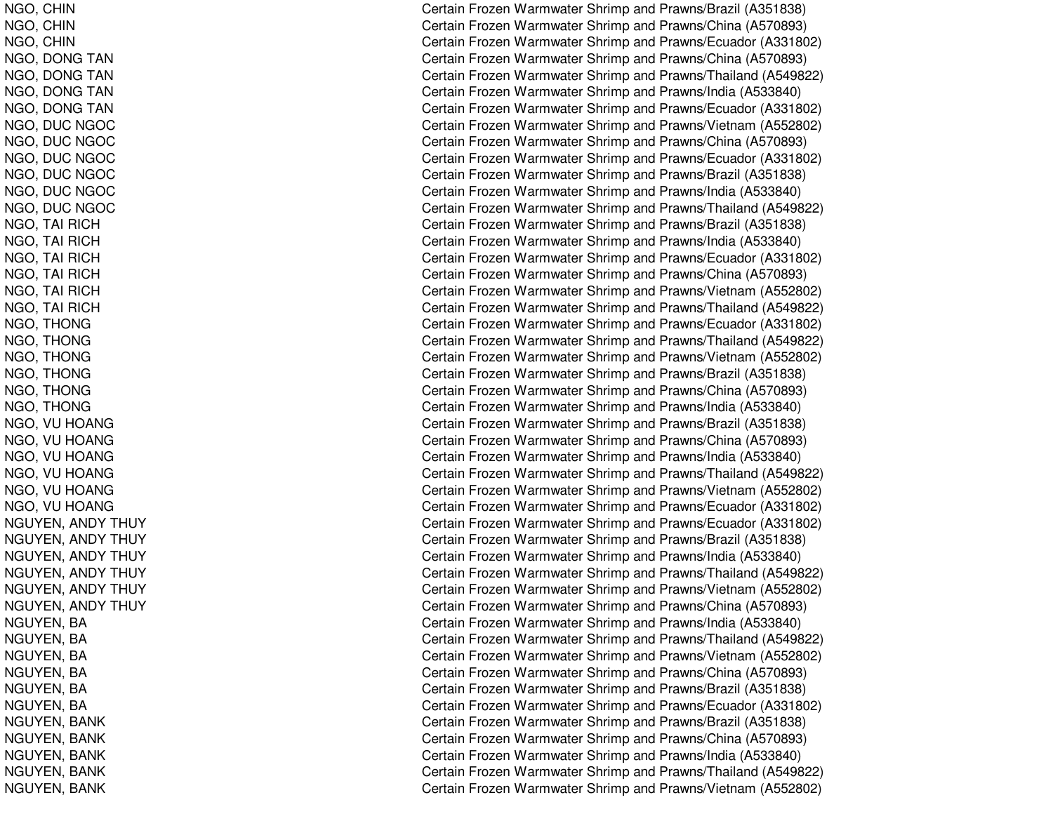NGO, C HINNGO, C HINNGO, C HINNGO, DONG TAN NGO, D ONGTANNGO, DONG TAN NGO, DONG TAN NGO, D UCNGOCNGO, DUC NGOC NGO, DUC NGOC NGO, D UCNGOCNGO, DUC NGOC NGO, D UCNGOCNGO, T AI RICHN G O, T AI RIC H NGO, T AI RICHNGO, T AI RICHNGO, T AI RICHNGO, T AI RICHNGO, T HONGNGO, THONG NGO, T HONGN GO, T H ON GNGO, T HONGNGO, T HONGN G O, V U H O A N G NGO, V UHOANGNGO, V UHOANGNGO, VU HOANG NGO, V UHOANGNGO, VU HOANG NGUYEN, ANDY THUY NGUYEN, ANDY THUY NGUYEN, ANDY THUY NGUYEN, ANDY THUY NGUYEN, ANDY THUY NGUYEN, ANDY THUY NGUYEN, BA NGUYEN, B ANGUYEN, BA NGUYEN, B ANGUYEN, B ANGUYEN, BA NGUYEN, B ANKNGUYEN, BANK NGUYEN, BANK NGUYEN, B ANKNGUYEN, BANK

Certain Frozen Warmwater Shrimp and Prawns/Brazil (A351838) Certain Frozen Warmwater Shrimp and Prawns/China (A570893) Certain Frozen Warmwater Shrimp and Prawns/Ecuador (A331802) Certain Frozen Warmwater Shrimp and Prawns/China (A570893) Certain Frozen Warmwater Shrimp and Prawns/Thailand (A549822) Certain Frozen Warmwater Shrimp and Prawns/India (A533840) Certain Frozen Warmwater Shrimp and Prawns/Ecuador (A331802) Certain Frozen Warmwater Shrimp and Prawns/Vietnam (A552802) Certain Frozen Warmwater Shrimp and Prawns/China (A570893) Certain Frozen Warmwater Shrimp and Prawns/Ecuador (A331802) Certain Frozen Warmwater Shrimp and Prawns/Brazil (A351838) Certain Frozen Warmwater Shrimp and Prawns/India (A533840) Certain Frozen Warmwater Shrimp and Prawns/Thailand (A549822) Certain Frozen Warmwater Shrimp and Prawns/Brazil (A351838) Certain Frozen Warmwater Shrimp and Prawns/India (A533840) Certain Frozen Warmwater Shrimp and Prawns/Ecuador (A331802) Certain Frozen Warmwater Shrimp and Prawns/China (A570893) Certain Frozen Warmwater Shrimp and Prawns/Vietnam (A552802) Certain Frozen Warmwater Shrimp and Prawns/Thailand (A549822) Certain Frozen Warmwater Shrimp and Prawns/Ecuador (A331802) Certain Frozen Warmwater Shrimp and Prawns/Thailand (A549822) Certain Frozen Warmwater Shrimp and Prawns/Vietnam (A552802) Certain Frozen Warmwater Shrimp and Prawns/Brazil (A351838) Certain Frozen Warmwater Shrimp and Prawns/China (A570893) Certain Frozen Warmwater Shrimp and Pra wns/India (A 5 3 3 8 4 0) Certain Frozen Warmwater Shrimp and Prawns/Brazil (A351838) Certain Frozen Warmwater Shrimp and Prawns/China (A570893) Certain Frozen Warmwater Shrimp and Prawns/India (A533840) Certain Frozen Warmwater Shrimp and Prawns/Thailand (A549822) Certain Frozen Warmwater Shrimp and Prawns/Vietnam (A552802) Certain Frozen Warmwater Shrimp and Prawns/Ecuador (A331802) Certain Frozen Warmwater Shrimp and Prawns/Ecuador (A331802) Certain Frozen Warmwater Shrimp and Prawns/Brazil (A351838) Certain Frozen Warmwater Shrimp and Prawns/India (A533840) Certain Frozen Warmwater Shrimp and Prawns/Thailand (A549822) Certain Frozen Warmwater Shrimp and Prawns/Vietnam (A552802) Certain Frozen Warmwater Shrimp and Prawns/China (A570893) Certain Frozen Warmwater Shrimp and Prawns/India (A533840) Certain Frozen Warmwater Shrimp and Prawns/Thailand (A549822) Certain Frozen Warmwater Shrimp and Prawns/Vietnam (A552802) Certain Frozen Warmwater Shrimp and Prawns/China (A570893) Certain Frozen Warmwater Shrimp and Prawns/Brazil (A351838) Certain Frozen Warmwater Shrimp and Prawns/Ecuador (A331802) Certain Frozen Warmwater Shrimp and Prawns/Brazil (A351838) Certain Frozen Warmwater Shrimp and Prawns/China (A570893) Certain Frozen Warmwater Shrimp and Prawns/India (A533840) Certain Frozen Warmwater Shrimp and Prawns/Thailand (A549822) Certain Frozen Warmwater Shrimp and Prawns/Vietnam (A552802)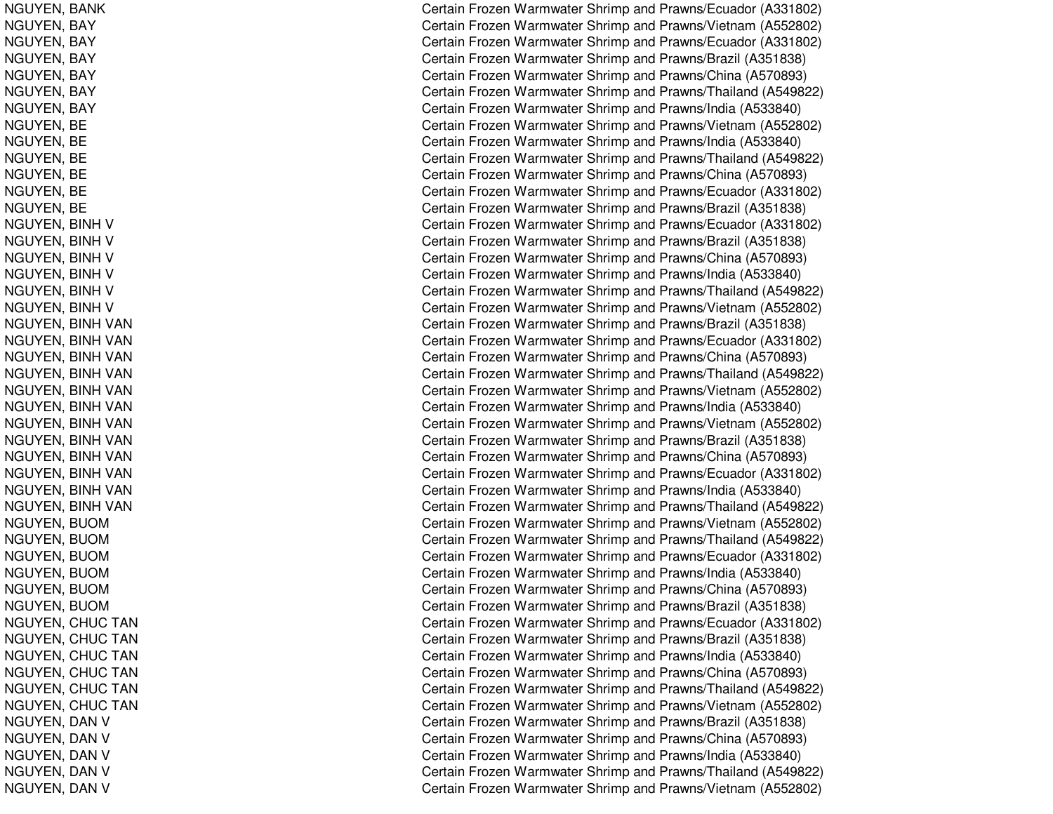NGUYEN, B ANKNGUYEN, B AYNGUYEN, B AYNGUYEN, BAY NGUYEN, B AYNGUYEN, BAY NGUYEN, B AYNGUYEN, B ENGUYEN, BE NGUYEN, BE NGUYEN, B ENGUYEN, BE NGUYEN, B ENGUYEN, BINH V NGUYEN, BINH V NGUYEN, BINH V NGUYEN, BINH V NGUYEN, BINH V NGUYEN, BINH V NGUYEN, BINH VAN NGUYEN, BINH VAN NGUYEN, BINH VAN NGUYEN, BINH VAN NGUYEN, BINH VAN NGUYEN, BINH VAN NGUYEN, BINH VAN NGUYEN, BINH VAN NGUYEN, BINH VAN NGUYEN, BINH VAN NGUYEN, BINH VAN NGUYEN, BINH VAN NGUYEN, BUOM NGUYEN, BUOM NGUYEN, BUOM NGUYEN, BUOM NGUYEN, B UOMNGUYEN, BUOM NGUYEN, CHUC TAN NGUYEN, C HUCTANNGUYEN, CHUC TAN NGUYEN, C HUCTANNGUYEN, CHUC TAN NGUYEN, C HUCTANNGUYEN, DAN V NGUYEN, DAN V NGUYEN, DAN V NGUYEN, DAN V NGUYEN, DAN V

Certain Frozen Warmwater Shrimp and Prawns/Ecuador (A331802) Certain Frozen Warmwater Shrimp and Prawns/Vietnam (A552802) Certain Frozen Warmwater Shrimp and Prawns/Ecuador (A331802) Certain Frozen Warmwater Shrimp and Prawns/Brazil (A351838) Certain Frozen Warmwater Shrimp and Prawns/China (A570893) Certain Frozen Warmwater Shrimp and Prawns/Thailand (A549822) Certain Frozen Warmwater Shrimp and Prawns/India (A533840) Certain Frozen Warmwater Shrimp and Prawns/Vietnam (A552802) Certain Frozen Warmwater Shrimp and Prawns/India (A533840) Certain Frozen Warmwater Shrimp and Prawns/Thailand (A549822) Certain Frozen Warmwater Shrimp and Prawns/China (A570893) Certain Frozen Warmwater Shrimp and Prawns/Ecuador (A331802) Certain Frozen Warmwater Shrimp and Prawns/Brazil (A351838) Certain Frozen Warmwater Shrimp and Prawns/Ecuador (A331802) Certain Frozen Warmwater Shrimp and Prawns/Brazil (A351838) Certain Frozen Warmwater Shrimp and Prawns/China (A570893) Certain Frozen Warmwater Shrimp and Prawns/India (A533840) Certain Frozen Warmwater Shrimp and Prawns/Thailand (A549822) Certain Frozen Warmwater Shrimp and Prawns/Vietnam (A552802) Certain Frozen Warmwater Shrimp and Prawns/Brazil (A351838) Certain Frozen Warmwater Shrimp and Prawns/Ecuador (A331802) Certain Frozen Warmwater Shrimp and Prawns/China (A570893) Certain Frozen Warmwater Shrimp and Prawns/Thailand (A549822) Certain Frozen Warmwater Shrimp and Prawns/Vietnam (A552802) Certain Frozen Warmwater Shrimp and Pra wns/India (A 5 3 3 8 4 0) Certain Frozen Warmwater Shrimp and Prawns/Vietnam (A552802) Certain Frozen Warmwater Shrimp and Prawns/Brazil (A351838) Certain Frozen Warmwater Shrimp and Prawns/China (A570893) Certain Frozen Warmwater Shrimp and Prawns/Ecuador (A331802) Certain Frozen Warmwater Shrimp and Prawns/India (A533840) Certain Frozen Warmwater Shrimp and Prawns/Thailand (A549822) Certain Frozen Warmwater Shrimp and Prawns/Vietnam (A552802) Certain Frozen Warmwater Shrimp and Prawns/Thailand (A549822) Certain Frozen Warmwater Shrimp and Prawns/Ecuador (A331802) Certain Frozen Warmwater Shrimp and Prawns/India (A533840) Certain Frozen Warmwater Shrimp and Prawns/China (A570893) Certain Frozen Warmwater Shrimp and Prawns/Brazil (A351838) Certain Frozen Warmwater Shrimp and Prawns/Ecuador (A331802) Certain Frozen Warmwater Shrimp and Prawns/Brazil (A351838) Certain Frozen Warmwater Shrimp and Prawns/India (A533840) Certain Frozen Warmwater Shrimp and Prawns/China (A570893) Certain Frozen Warmwater Shrimp and Prawns/Thailand (A549822) Certain Frozen Warmwater Shrimp and Prawns/Vietnam (A552802) Certain Frozen Warmwater Shrimp and Prawns/Brazil (A351838) Certain Frozen Warmwater Shrimp and Prawns/China (A570893) Certain Frozen Warmwater Shrimp and Prawns/India (A533840) Certain Frozen Warmwater Shrimp and Prawns/Thailand (A549822) Certain Frozen Warmwater Shrimp and Prawns/Vietnam (A552802)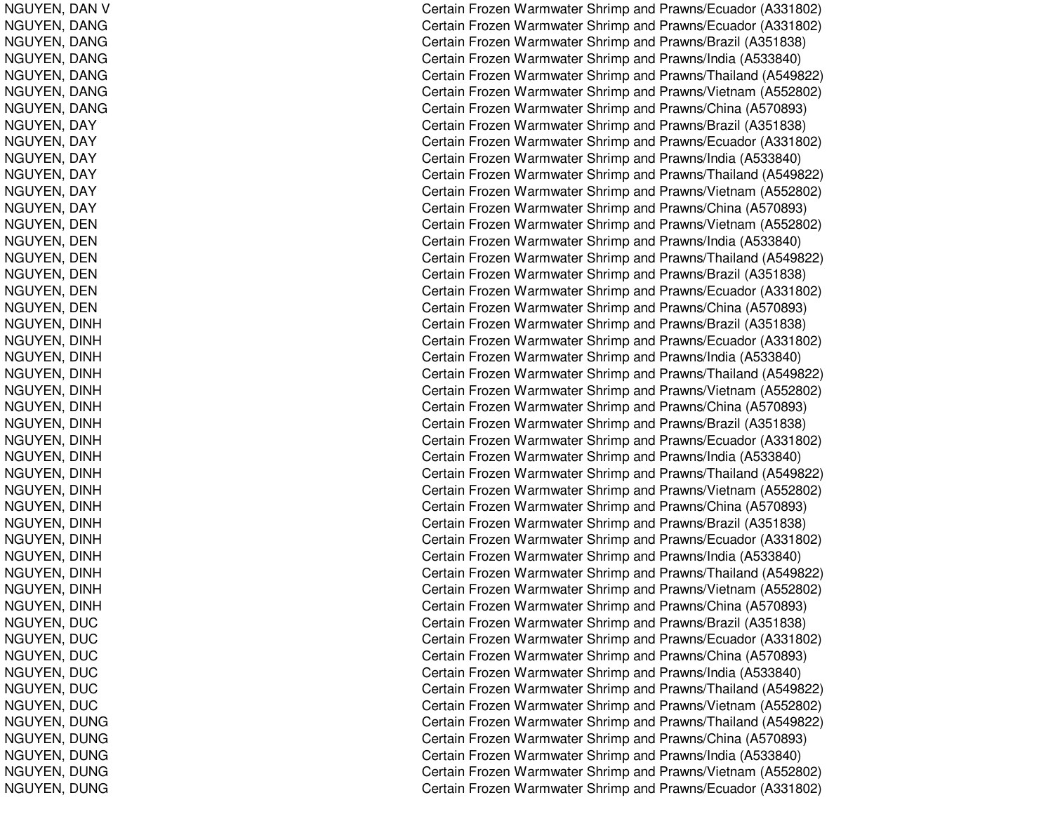NGUYEN, D ANVNGUYEN, D ANGNGUYEN, D ANGNGUYEN, DANG NGUYEN, D ANGNGUYEN, DANG NGUYEN, D ANGNGUYEN, D AYNGUYEN, DAY NGUYEN, DAY NGUYEN, D AYNGUYEN, DAY NGUYEN, D AYNGUYEN, D ENNGUYEN, DEN NGUYEN, D ENNGUYEN, D ENNGUYEN, DEN NGUYEN, D ENNGUYEN, DINH NGUYEN, DINH NGUYEN, DIN HNGUYEN, DINH NGUYEN, DIN HNGUYEN, DIN HNGUYEN, DINH NGUYEN, DIN HNGUYEN, DIN HNGUYEN, DINH NGUYEN, DIN HNGUYEN, DINH NGUYEN, DINH NGUYEN, DINH NGUYEN, DINH NGUYEN, DINH NGUYEN, DIN HNGUYEN, DINH NGUYEN, DUC NGUYEN, D UCNGUYEN, DUC NGUYEN, D UCNGUYEN, D UCNGUYEN, DUC NGUYEN, D UNGNGUYEN, DUNG NGUYEN, DUNG NGUYEN, D UNGNGUYEN, DUNG

Certain Frozen Warmwater Shrimp and Prawns/Ecuador (A331802) Certain Frozen Warmwater Shrimp and Prawns/Ecuador (A331802) Certain Frozen Warmwater Shrimp and Prawns/Brazil (A351838) Certain Frozen Warmwater Shrimp and Prawns/India (A533840) Certain Frozen Warmwater Shrimp and Prawns/Thailand (A549822) Certain Frozen Warmwater Shrimp and Prawns/Vietnam (A552802) Certain Frozen Warmwater Shrimp and Prawns/China (A570893) Certain Frozen Warmwater Shrimp and Prawns/Brazil (A351838) Certain Frozen Warmwater Shrimp and Prawns/Ecuador (A331802) Certain Frozen Warmwater Shrimp and Prawns/India (A533840) Certain Frozen Warmwater Shrimp and Prawns/Thailand (A549822) Certain Frozen Warmwater Shrimp and Prawns/Vietnam (A552802) Certain Frozen Warmwater Shrimp and Prawns/China (A570893) Certain Frozen Warmwater Shrimp and Prawns/Vietnam (A552802) Certain Frozen Warmwater Shrimp and Prawns/India (A533840) Certain Frozen Warmwater Shrimp and Prawns/Thailand (A549822) Certain Frozen Warmwater Shrimp and Prawns/Brazil (A351838) Certain Frozen Warmwater Shrimp and Prawns/Ecuador (A331802) Certain Frozen Warmwater Shrimp and Prawns/China (A570893) Certain Frozen Warmwater Shrimp and Prawns/Brazil (A351838) Certain Frozen Warmwater Shrimp and Prawns/Ecuador (A331802) Certain Frozen Warmwater Shrimp and Prawns/India (A533840) Certain Frozen Warmwater Shrimp and Prawns/Thailand (A549822) Certain Frozen Warmwater Shrimp and Prawns/Vietnam (A552802) Certain Frozen Warmwater Shrimp and Prawns/China (A570893) Certain Frozen Warmwater Shrimp and Prawns/Brazil (A351838) Certain Frozen Warmwater Shrimp and Prawns/Ecuador (A331802) Certain Frozen Warmwater Shrimp and Prawns/India (A533840) Certain Frozen Warmwater Shrimp and Prawns/Thailand (A549822) Certain Frozen Warmwater Shrimp and Prawns/Vietnam (A552802) Certain Frozen Warmwater Shrimp and Prawns/China (A570893) Certain Frozen Warmwater Shrimp and Prawns/Brazil (A351838) Certain Frozen Warmwater Shrimp and Prawns/Ecuador (A331802) Certain Frozen Warmwater Shrimp and Prawns/India (A533840) Certain Frozen Warmwater Shrimp and Prawns/Thailand (A549822) Certain Frozen Warmwater Shrimp and Prawns/Vietnam (A552802) Certain Frozen Warmwater Shrimp and Prawns/China (A570893) Certain Frozen Warmwater Shrimp and Prawns/Brazil (A351838) Certain Frozen Warmwater Shrimp and Prawns/Ecuador (A331802) Certain Frozen Warmwater Shrimp and Prawns/China (A570893) Certain Frozen Warmwater Shrimp and Prawns/India (A533840) Certain Frozen Warmwater Shrimp and Prawns/Thailand (A549822) Certain Frozen Warmwater Shrimp and Prawns/Vietnam (A552802) Certain Frozen Warmwater Shrimp and Prawns/Thailand (A549822) Certain Frozen Warmwater Shrimp and Prawns/China (A570893) Certain Frozen Warmwater Shrimp and Prawns/India (A533840) Certain Frozen Warmwater Shrimp and Prawns/Vietnam (A552802) Certain Frozen Warmwater Shrimp and Prawns/Ecuador (A331802)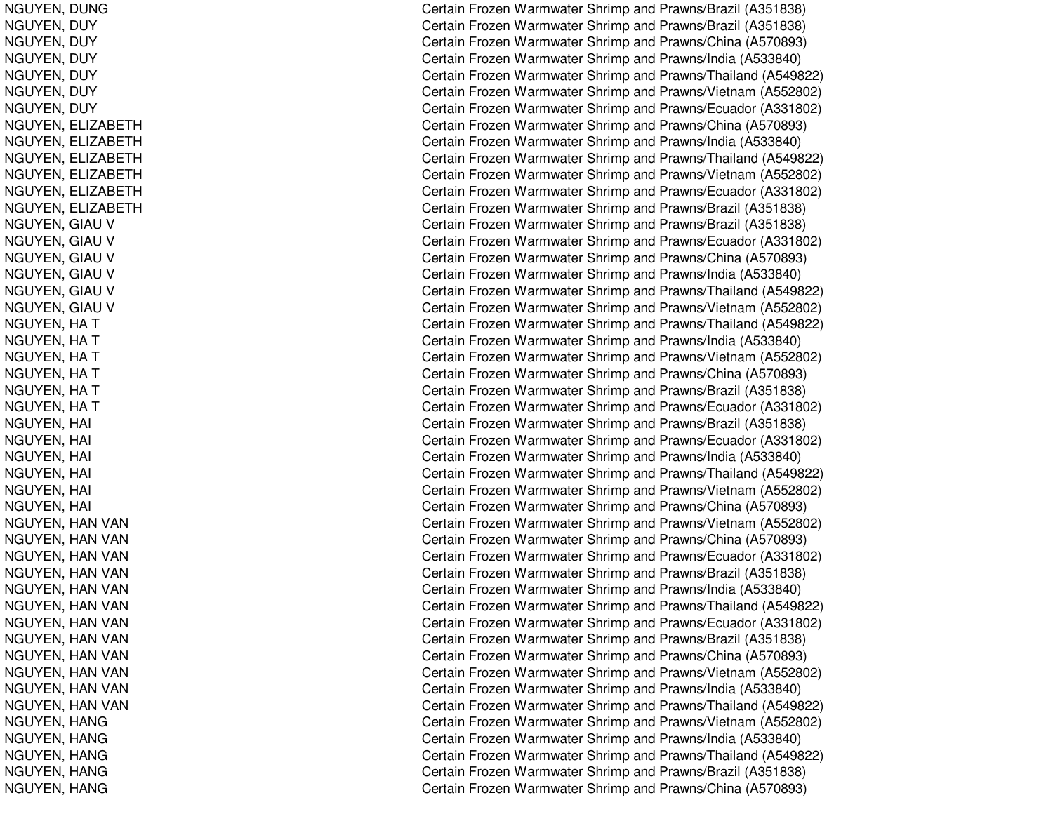NGUYEN, D UNGNGUYEN, DUY NGUYEN, D UYNGUYEN, DUY NGUYEN, D UYNGUYEN, DUY NGUYEN, DUY NGUYEN, E LIZABETHNGUYEN, ELIZABETH NGUYEN, ELIZABETH NGUYEN, E LIZABETHNGUYEN, ELIZABETH NGUYEN, E LIZABETHNGUYEN, GIAU V NGUYEN, GIAU V NGUYEN, GIAU V NGUYEN, GIAU V NGUYEN, GIAU V NGUYEN, GIAU V NGUYEN, HA T NGUYEN, HA T NGUYEN, HA T NGUYEN, HA T NGUYEN, HA T NGUYEN, HA T NGUYEN, HAI  $\overline{C}$ NGUYEN, H AI $\overline{C}$ NGUYEN, H AIl contract to the contract of the contract of the contract of the contract of the contract of the contract of the contract of the contract of the contract of the contract of the contract of the contract of the contract of NGUYEN, HAI l contract de la contract de la contract de la contract de la contract de la contract de la contract de la con NGUYEN, H AI $\overline{C}$ NGUYEN, HAI l contract to the contract of the contract of the contract of the contract of the contract of the contract of the contract of the contract of the contract of the contract of the contract of the contract of the contract of NGUYEN, HAN VAN NGUYEN, HAN VAN NGUYEN, HAN VAN NGUYEN, HAN VAN NGUYEN, HAN VAN NGUYEN, HAN VAN NGUYEN, HAN VAN NGUYEN, HAN VAN NGUYEN, HAN VAN NGUYEN, HAN VAN NGUYEN, HAN VAN NGUYEN, HAN VAN NGUYEN, H ANGNGUYEN, HANG NGUYEN, HANG NGUYEN, H ANGNGUYEN, HANG

Certain Frozen Warmwater Shrimp and Prawns/Brazil (A351838) Certain Frozen Warmwater Shrimp and Prawns/Brazil (A351838) Certain Frozen Warmwater Shrimp and Prawns/China (A570893) Certain Frozen Warmwater Shrimp and Prawns/India (A533840) Certain Frozen Warmwater Shrimp and Prawns/Thailand (A549822) Certain Frozen Warmwater Shrimp and Prawns/Vietnam (A552802) Certain Frozen Warmwater Shrimp and Prawns/Ecuador (A331802) Certain Frozen Warmwater Shrimp and Prawns/China (A570893) Certain Frozen Warmwater Shrimp and Prawns/India (A533840) Certain Frozen Warmwater Shrimp and Prawns/Thailand (A549822) Certain Frozen Warmwater Shrimp and Prawns/Vietnam (A552802) Certain Frozen Warmwater Shrimp and Prawns/Ecuador (A331802) Certain Frozen Warmwater Shrimp and Prawns/Brazil (A351838) Certain Frozen Warmwater Shrimp and Prawns/Brazil (A351838) Certain Frozen Warmwater Shrimp and Prawns/Ecuador (A331802) Certain Frozen Warmwater Shrimp and Prawns/China (A570893) Certain Frozen Warmwater Shrimp and Prawns/India (A533840) Certain Frozen Warmwater Shrimp and Prawns/Thailand (A549822) Certain Frozen Warmwater Shrimp and Prawns/Vietnam (A552802) Certain Frozen Warmwater Shrimp and Prawns/Thailand (A549822) Certain Frozen Warmwater Shrimp and Prawns/India (A533840) Certain Frozen Warmwater Shrimp and Prawns/Vietnam (A552802) Certain Frozen Warmwater Shrimp and Prawns/China (A570893) Certain Frozen Warmwater Shrimp and Prawns/Brazil (A351838) Certain Frozen Warmwater Shrimp and Prawns/Ecuador (A331802) Certain Frozen Warmwater Shrimp and Prawns/Brazil (A351838) ertain Frozen Warmwater Shrimp and Prawns/Ecuador (A331802) ertain Frozen Warmwater Shrimp and Prawns/India (A533840) Certain Frozen Warmwater Shrimp and Prawns/Thailand (A549822) ertain Frozen Warmwater Shrimp and Prawns/Vietnam (A552802) ertain Frozen Warmwater Shrimp and Prawns/China (A570893) Certain Frozen Warmwater Shrimp and Prawns/Vietnam (A552802) Certain Frozen Warmwater Shrimp and Prawns/China (A570893) Certain Frozen Warmwater Shrimp and Prawns/Ecuador (A331802) C ertain Frozen W arm w ater Shrim p and Pra wns/Brazil (A 3 518 3 8) Certain Frozen Warmwater Shrimp and Prawns/India (A533840) Certain Frozen Warmwater Shrimp and Prawns/Thailand (A549822) Certain Frozen Warmwater Shrimp and Prawns/Ecuador (A331802) Certain Frozen Warmwater Shrimp and Prawns/Brazil (A351838) Certain Frozen Warmwater Shrimp and Prawns/China (A570893) Certain Frozen Warmwater Shrimp and Prawns/Vietnam (A552802) Certain Frozen Warmwater Shrimp and Prawns/India (A533840) Certain Frozen Warmwater Shrimp and Prawns/Thailand (A549822) Certain Frozen Warmwater Shrimp and Prawns/Vietnam (A552802) Certain Frozen Warmwater Shrimp and Pra wns/India (A 5 3 3 8 4 0) Certain Frozen Warmwater Shrimp and Prawns/Thailand (A549822) Certain Frozen Warmwater Shrimp and Prawns/Brazil (A351838) Certain Frozen Warmwater Shrimp and Prawns/China (A570893)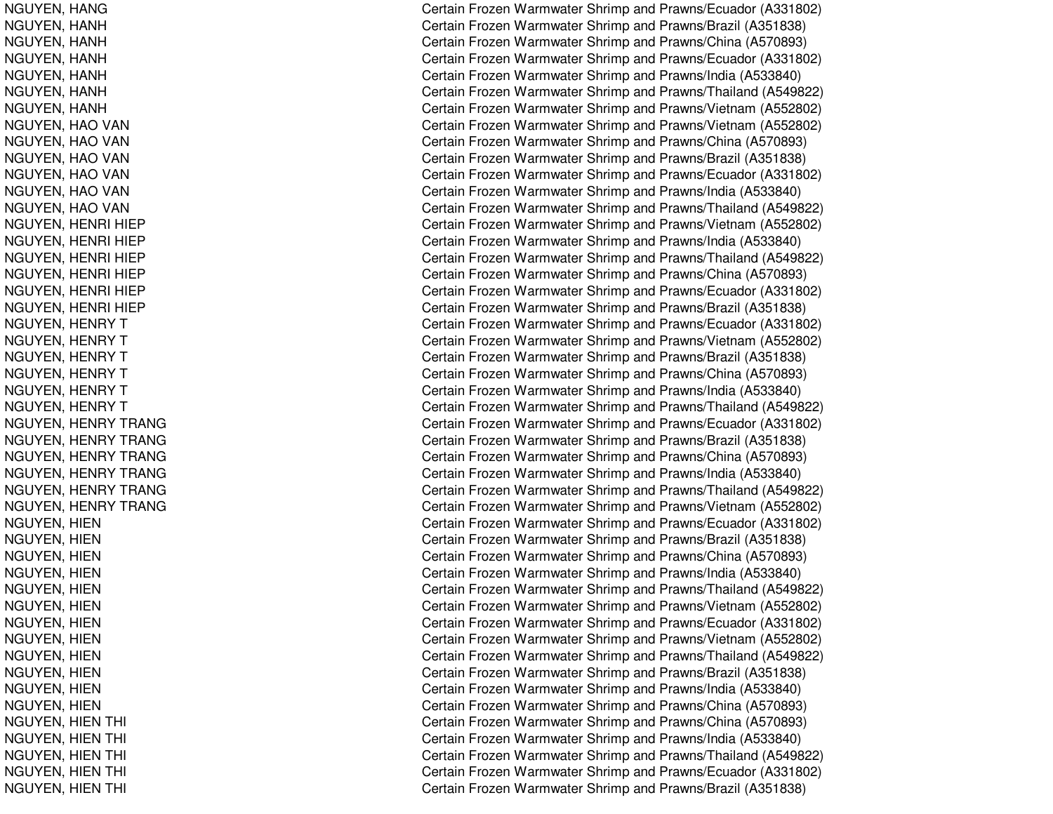NGUYEN, H ANGNGUYEN, H ANHNGUYEN, H ANHNGUYEN, HANH NGUYEN, H ANHNGUYEN, HANH NGUYEN, H ANHNGUYEN, HAO VAN NGUYEN, HAO VAN NGUYEN, HAO VAN NGUYEN, HAO VAN NGUYEN, HAO VAN NGUYEN, HAO VAN NGUYEN, H ENRI HIEPNGUYEN, HENRI HIEP NGUYEN, H ENRI HIEPNGUYEN, H ENRI HIEPNGUYEN, HENRI HIEP NGUYEN, H ENRI HIEPNGUYEN, HENRY T NGUYEN, HENRY T NGUYEN, H ENRYTNGUYEN, HENRY T NGUYEN, H ENRYTNGUYEN, H ENRYTNGUYEN, HENRY TRANG NGUYEN, H ENRYTRANGNGUYEN, H ENRYT RANGNGUYEN, HENRY TRANG NGUYEN, H ENRYTRANGNGUYEN, HENRY TRANG NGUYEN, HIEN NGUYEN, HIEN NGUYEN, HIEN NGUYEN, HIEN NGUYEN, HIE NNGUYEN, HIEN NGUYEN, HIEN NGUYEN, HIE NNGUYEN, HIEN NGUYEN, HIE NNGUYEN, HIE NNGUYEN, HIEN NGUYEN, HIEN THI ing the contract of the contract of the contract of the contract of the contract of the contract of the contract of the contract of the contract of the contract of the contract of the contract of the contract of the contra NGUYEN, HIEN THI ing the contract of the contract of the contract of the contract of the contract of the contract of the contract of the contract of the contract of the contract of the contract of the contract of the contract of the contra NGUYEN, HIEN THI l Constantinople of the constant of the constant of the constant of the constant of the constant of the constant of the constant of the constant of the constant of the constant of the constant of the constant of the consta NGUYEN, HIEN THI ing the contract of the contract of the contract of the contract of the contract of the contract of the contract of the contract of the contract of the contract of the contract of the contract of the contract of the contra NGUYEN, HIEN THI ing the contract of the contract of the contract of the contract of the contract of the contract of the contract of the contract of the contract of the contract of the contract of the contract of the contract of the contra

Certain Frozen Warmwater Shrimp and Prawns/Ecuador (A331802) Certain Frozen Warmwater Shrimp and Prawns/Brazil (A351838) Certain Frozen Warmwater Shrimp and Prawns/China (A570893) C ertain Frozen Warm w ater Shrim p and Pra wns/Ecua d or (A 3 318 0 2) Certain Frozen Warmwater Shrimp and Prawns/India (A533840) Certain Frozen Warmwater Shrimp and Prawns/Thailand (A549822) Certain Frozen Warmwater Shrimp and Prawns/Vietnam (A552802) Certain Frozen Warmwater Shrimp and Prawns/Vietnam (A552802) Certain Frozen Warmwater Shrimp and Prawns/China (A570893) C ertain Frozen W arm w ater Shrim p and Pra wns/Brazil (A 3 518 3 8) Certain Frozen Warmwater Shrimp and Prawns/Ecuador (A331802) Certain Frozen Warmwater Shrimp and Prawns/India (A533840) Certain Frozen Warmwater Shrimp and Prawns/Thailand (A549822) Certain Frozen Warmwater Shrimp and Prawns/Vietnam (A552802) Certain Frozen Warmwater Shrimp and Prawns/India (A533840) Certain Frozen Warmwater Shrimp and Prawns/Thailand (A549822) Certain Frozen Warmwater Shrimp and Prawns/China (A570893) Certain Frozen Warmwater Shrimp and Prawns/Ecuador (A331802) Certain Frozen Warmwater Shrimp and Prawns/Brazil (A351838) Certain Frozen Warmwater Shrimp and Prawns/Ecuador (A331802) Certain Frozen Warmwater Shrimp and Prawns/Vietnam (A552802) Certain Frozen Warmwater Shrimp and Prawns/Brazil (A351838) Certain Frozen Warmwater Shrimp and Prawns/China (A570893) Certain Frozen Warmwater Shrimp and Prawns/India (A533840) Certain Frozen Warmwater Shrimp and Prawns/Thailand (A549822) Certain Frozen Warmwater Shrimp and Prawns/Ecuador (A331802) Certain Frozen Warmwater Shrimp and Prawns/Brazil (A351838) Certain Frozen Warmwater Shrimp and Prawns/China (A570893) Certain Frozen Warmwater Shrimp and Prawns/India (A533840) Certain Frozen Warmwater Shrimp and Prawns/Thailand (A549822) Certain Frozen Warmwater Shrimp and Prawns/Vietnam (A552802) Certain Frozen Warmwater Shrimp and Prawns/Ecuador (A331802) Certain Frozen Warmwater Shrimp and Prawns/Brazil (A351838) Certain Frozen Warmwater Shrimp and Prawns/China (A570893) Certain Frozen Warmwater Shrimp and Prawns/India (A533840) Certain Frozen Warmwater Shrimp and Prawns/Thailand (A549822) Certain Frozen Warmwater Shrimp and Prawns/Vietnam (A552802) Certain Frozen Warmwater Shrimp and Prawns/Ecuador (A331802) Certain Frozen Warmwater Shrimp and Prawns/Vietnam (A552802) Certain Frozen Warmwater Shrimp and Prawns/Thailand (A549822) Certain Frozen Warmwater Shrimp and Prawns/Brazil (A351838) Certain Frozen Warmwater Shrimp and Prawns/India (A533840) Certain Frozen Warmwater Shrimp and Prawns/China (A570893) ertain Frozen Warmwater Shrimp and Prawns/China (A570893) ertain Frozen Warmwater Shrimp and Prawns/India (A533840) Certain Frozen Warmwater Shrimp and Prawns/Thailand (A549822) ertain Frozen Warmwater Shrimp and Prawns/Ecuador (A331802) Certain Frozen Warmwater Shrimp and Prawns/Brazil (A351838)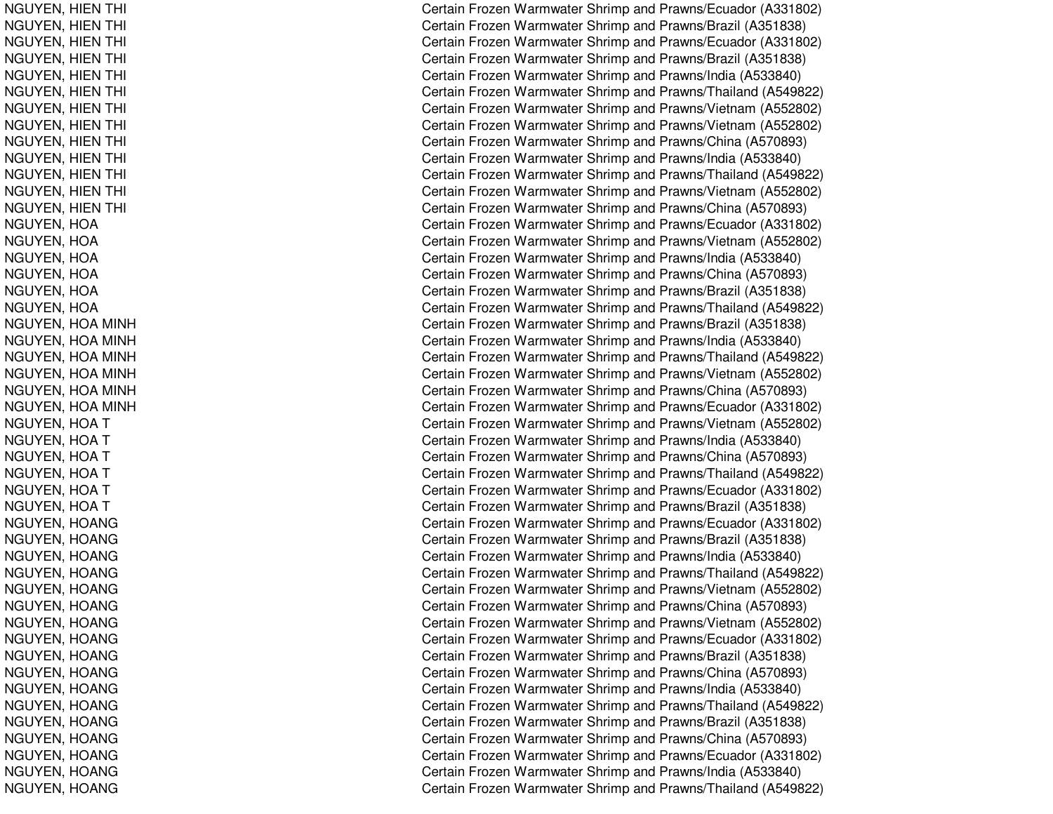NGUYEN, HIEN THI ing the contract of the contract of the contract of the contract of the contract of the contract of the contract of the contract of the contract of the contract of the contract of the contract of the contract of the contra NGUYEN, HIEN THI ing the contract of the contract of the contract of the contract of the contract of the contract of the contract of the contract of the contract of the contract of the contract of the contract of the contract of the contra NGUYEN, HIEN THI l Constantinople of the constant of the constant of the constant of the constant of the constant of the constant of the constant of the constant of the constant of the constant of the constant of the constant of the consta NGUYEN, HIEN THI ing the contract of the contract of the contract of the contract of the contract of the contract of the contract of the contract of the contract of the contract of the contract of the contract of the contract of the contra NGUYEN, HIEN THI ing the contract of the contract of the contract of the contract of the contract of the contract of the contract of the contract of the contract of the contract of the contract of the contract of the contract of the contra NGUYEN, HIEN THI l Constantinople of the constant of the constant of the constant of the constant of the constant of the constant of the constant of the constant of the constant of the constant of the constant of the constant of the consta NGUYEN, HIEN THI l Constantinople of the constant of the constant of the constant of the constant of the constant of the constant of the constant of the constant of the constant of the constant of the constant of the constant of the consta NGUYEN, HIEN THI ing the contract of the contract of the contract of the contract of the contract of the contract of the contract of the contract of the contract of the contract of the contract of the contract of the contract of the contra NGUYEN, HIEN THI ing the contract of the contract of the contract of the contract of the contract of the contract of the contract of the contract of the contract of the contract of the contract of the contract of the contract of the contra NGUYEN, HIEN THI l Constantinople of the constant of the constant of the constant of the constant of the constant of the constant of the constant of the constant of the constant of the constant of the constant of the constant of the consta NGUYEN, HIEN THI ing the contract of the contract of the contract of the contract of the contract of the contract of the contract of the contract of the contract of the contract of the contract of the contract of the contract of the contra NGUYEN, HIEN THI ing the contract of the contract of the contract of the contract of the contract of the contract of the contract of the contract of the contract of the contract of the contract of the contract of the contract of the contra NGUYEN, HIEN THI ing the contract of the contract of the contract of the contract of the contract of the contract of the contract of the contract of the contract of the contract of the contract of the contract of the contract of the contra NGUYEN, H OANGUYEN, HOA NGUYEN, H OANGUYEN, H OANGUYEN, HOA NGUYEN, H OANGUYEN, HOA MINH NGUYEN, HOA MINH NGUYEN, H OAMINHNGUYEN, HOA MINH NGUYEN, H OAMINHNGUYEN, H OAMINHNGUYEN, HOA T NGUYEN, H OATNGUYEN, H OAT NGUYEN, HOA T NGUYEN, H OATNGUYEN, HOA T NGUYEN, HOANG NGUYEN, HOANG NGUYEN, HOANG NGUYEN, HOANG NGUYEN, H OANGNGUYEN, HOANG NGUYEN, HOANG NGUYEN, HOANG NGUYEN, HOANG NGUYEN, H OANGNGUYEN, H OANGNGUYEN, HOANG NGUYEN, HOANG NGUYEN, HOANG NGUYEN, HOANG NGUYEN, H OANGNGUYEN, HOANG

Certain Frozen Warmwater Shrimp and Prawns/Ecuador (A331802) ertain Frozen Warmwater Shrimp and Prawns/Brazil (A351838) ertain Frozen Warmwater Shrimp and Prawns/Ecuador (A331802) Certain Frozen Warmwater Shrimp and Prawns/Brazil (A351838) Certain Frozen Warmwater Shrimp and Prawns/India (A533840) ertain Frozen Warmwater Shrimp and Prawns/Thailand (A549822) Certain Frozen Warmwater Shrimp and Prawns/Vietnam (A552802) ertain Frozen Warmwater Shrimp and Prawns/Vietnam (A552802) Certain Frozen Warmwater Shrimp and Prawns/China (A570893) Certain Frozen Warmwater Shrimp and Prawns/India (A533840) ertain Frozen Warmwater Shrimp and Prawns/Thailand (A549822) Certain Frozen Warmwater Shrimp and Prawns/Vietnam (A552802) ertain Frozen Warmwater Shrimp and Prawns/China (A570893) Certain Frozen Warmwater Shrimp and Prawns/Ecuador (A331802) Certain Frozen Warmwater Shrimp and Prawns/Vietnam (A552802) Certain Frozen Warmwater Shrimp and Prawns/India (A533840) Certain Frozen Warmwater Shrimp and Prawns/China (A570893) Certain Frozen Warmwater Shrimp and Prawns/Brazil (A351838) Certain Frozen Warmwater Shrimp and Prawns/Thailand (A549822) Certain Frozen Warmwater Shrimp and Prawns/Brazil (A351838) Certain Frozen Warmwater Shrimp and Prawns/India (A533840) Certain Frozen Warmwater Shrimp and Prawns/Thailand (A549822) Certain Frozen Warmwater Shrimp and Prawns/Vietnam (A552802) Certain Frozen Warmwater Shrimp and Prawns/China (A570893) Certain Frozen Warmwater Shrimp and Prawns/Ecuador (A331802) Certain Frozen Warmwater Shrimp and Prawns/Vietnam (A552802) Certain Frozen Warmwater Shrimp and Prawns/India (A533840) Certain Frozen Warmwater Shrimp and Prawns/China (A570893) Certain Frozen Warmwater Shrimp and Prawns/Thailand (A549822) Certain Frozen Warmwater Shrimp and Prawns/Ecuador (A331802) Certain Frozen Warmwater Shrimp and Prawns/Brazil (A351838) Certain Frozen Warmwater Shrimp and Prawns/Ecuador (A331802) Certain Frozen Warmwater Shrimp and Prawns/Brazil (A351838) Certain Frozen Warmwater Shrimp and Prawns/India (A533840) Certain Frozen Warmwater Shrimp and Prawns/Thailand (A549822) Certain Frozen Warmwater Shrimp and Prawns/Vietnam (A552802) Certain Frozen Warmwater Shrimp and Prawns/China (A570893) Certain Frozen Warmwater Shrimp and Prawns/Vietnam (A552802) Certain Frozen Warmwater Shrimp and Prawns/Ecuador (A331802) Certain Frozen Warmwater Shrimp and Prawns/Brazil (A351838) Certain Frozen Warmwater Shrimp and Prawns/China (A570893) Certain Frozen Warmwater Shrimp and Prawns/India (A533840) Certain Frozen Warmwater Shrimp and Prawns/Thailand (A549822) Certain Frozen Warmwater Shrimp and Prawns/Brazil (A351838) Certain Frozen Warmwater Shrimp and Prawns/China (A570893) Certain Frozen Warmwater Shrimp and Prawns/Ecuador (A331802) Certain Frozen Warmwater Shrimp and Prawns/India (A533840) Certain Frozen Warmwater Shrimp and Prawns/Thailand (A549822)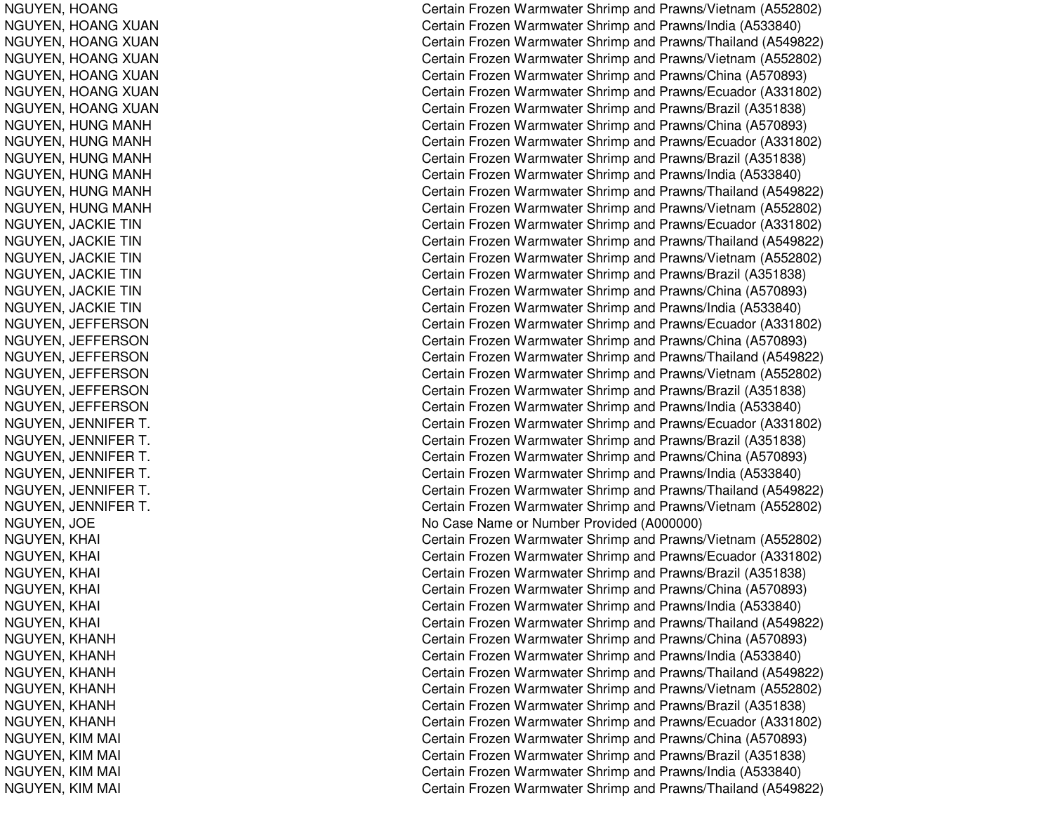NGUYEN, H OANGNGUYEN, HOANG XUAN NGUYEN, HOANG XUAN NGUYEN, HOANG XUAN NGUYEN, HOANG XUAN NGUYEN, HOANG XUAN NGUYEN, HOANG XUAN NGUYEN, HUNG MANH NGUYEN, HUNG MANH NGUYEN, HUNG MANH NGUYEN, HUNG MANH NGUYEN, HUNG MANH NGUYEN, HUNG MANH NGUYEN, JA CKIETINNGUYEN, JACKIE TIN NGUYEN, JACKIE TIN NGUYEN, JA CKIETINNGUYEN, JACKIE TIN NGUYEN, JA CKIETINNGUYEN, JEFFERSON NGUYEN, JEFFERSON NGUYEN, JEFFERSON NGUYEN, JEFFERSON NGUYEN, JE FFERSONNGUYEN, JE FFERSONNGUYEN, JENNIFER T. NGUYEN, JENNIFER T. NGUYEN, JENNIFER T. NGUYEN, JENNIFER T. NGUYEN, JENNIFER T. NGUYEN, JENNIFER T. NGUYEN, JOE NGUYEN, KHAI  $\overline{C}$ NGUYEN, KHAI  $\overline{C}$ NGUYEN, KHAI l contract de la contract de la contract de la contract de la contract de la contract de la contract de la con NGUYEN, KHAI  $\overline{C}$ NGUYEN, KHAI  $\overline{C}$ NGUYEN, KHAI  $\overline{C}$ NGUYEN, KHANH NGUYEN, KHANH NGUYEN, K HANHNGUYEN, K HANHNGUYEN, KHANH NGUYEN, KHANH NGUYEN, KIM MAI ing the contract of the contract of the contract of the contract of the contract of the contract of the contract of the contract of the contract of the contract of the contract of the contract of the contract of the contra NGUYEN, KIM MAI l Constantinople of the constant of the constant of the constant of the constant of the constant of the constant of the constant of the constant of the constant of the constant of the constant of the constant of the consta NGUYEN, KIM MAI ing the contract of the contract of the contract of the contract of the contract of the contract of the contract of the contract of the contract of the contract of the contract of the contract of the contract of the contra NGUYEN, KIM MAI ing the contract of the contract of the contract of the contract of the contract of the contract of the contract of the contract of the contract of the contract of the contract of the contract of the contract of the contra

Certain Frozen Warmwater Shrimp and Prawns/Vietnam (A552802) Certain Frozen Warmwater Shrimp and Prawns/India (A533840) Certain Frozen Warmwater Shrimp and Prawns/Thailand (A549822) Certain Frozen Warmwater Shrimp and Prawns/Vietnam (A552802) Certain Frozen Warmwater Shrimp and Prawns/China (A570893) Certain Frozen Warmwater Shrimp and Prawns/Ecuador (A331802) Certain Frozen Warmwater Shrimp and Prawns/Brazil (A351838) Certain Frozen Warmwater Shrimp and Prawns/China (A570893) Certain Frozen Warmwater Shrimp and Prawns/Ecuador (A331802) C ertain Frozen W arm w ater Shrim p and Pra wns/Brazil (A 3 518 3 8) Certain Frozen Warmwater Shrimp and Prawns/India (A533840) Certain Frozen Warmwater Shrimp and Prawns/Thailand (A549822) Certain Frozen Warmwater Shrimp and Prawns/Vietnam (A552802) Certain Frozen Warmwater Shrimp and Prawns/Ecuador (A331802) Certain Frozen Warmwater Shrimp and Prawns/Thailand (A549822) Certain Frozen Warmwater Shrimp and Prawns/Vietnam (A552802) Certain Frozen Warmwater Shrimp and Prawns/Brazil (A351838) Certain Frozen Warmwater Shrimp and Prawns/China (A570893) Certain Frozen Warmwater Shrimp and Prawns/India (A533840) Certain Frozen Warmwater Shrimp and Prawns/Ecuador (A331802) Certain Frozen Warmwater Shrimp and Prawns/China (A570893) Certain Frozen Warmwater Shrimp and Prawns/Thailand (A549822) Certain Frozen Warmwater Shrimp and Prawns/Vietnam (A552802) Certain Frozen Warmwater Shrimp and Prawns/Brazil (A351838) Certain Frozen Warmwater Shrimp and Pra wns/India (A 5 3 3 8 4 0) . Contract to the contract of the contract of the contract of the contract of the contract of the contract of the contract of the contract of the contract of the contract of the contract of the contract of the contract of Certain Frozen Warmwater Shrimp and Prawns/Ecuador (A331802) . Contract to the contract of the contract of the contract of the contract of the contract of the contract of the contract of the contract of the contract of the contract of the contract of the contract of the contract of ertain Frozen Warmwater Shrimp and Prawns/Brazil (A351838) . Contract to the contract of the contract of the contract of the contract of the contract of the contract of the contract of the contract of the contract of the contract of the contract of the contract of the contract of ertain Frozen Warmwater Shrimp and Prawns/China (A570893) . Contract to the contract of the contract of the contract of the contract of the contract of the contract of the contract of the contract of the contract of the contract of the contract of the contract of the contract of Certain Frozen Warmwater Shrimp and Prawns/India (A533840) . Contract to the contract of the contract of the contract of the contract of the contract of the contract of the contract of the contract of the contract of the contract of the contract of the contract of the contract of ertain Frozen Warmwater Shrimp and Prawns/Thailand (A549822) . Contract to the contract of the contract of the contract of the contract of the contract of the contract of the contract of the contract of the contract of the contract of the contract of the contract of the contract of ertain Frozen Warmwater Shrimp and Prawns/Vietnam (A552802) No Case Name or Number Provided (A000000) Certain Frozen Warmwater Shrimp and Prawns/Vietnam (A552802) Certain Frozen Warmwater Shrimp and Prawns/Ecuador (A331802) Certain Frozen Warmwater Shrimp and Prawns/Brazil (A351838) ertain Frozen Warmwater Shrimp and Prawns/China (A570893) Certain Frozen Warmwater Shrimp and Prawns/India (A533840) Certain Frozen Warmwater Shrimp and Prawns/Thailand (A549822) Certain Frozen Warmwater Shrimp and Prawns/China (A570893) Certain Frozen Warmwater Shrimp and Prawns/India (A533840) Certain Frozen Warmwater Shrimp and Prawns/Thailand (A549822) Certain Frozen Warmwater Shrimp and Prawns/Vietnam (A552802) Certain Frozen Warmwater Shrimp and Prawns/Brazil (A351838) Certain Frozen Warmwater Shrimp and Prawns/Ecuador (A331802) ertain Frozen Warmwater Shrimp and Prawns/China (A570893) Certain Frozen Warmwater Shrimp and Prawns/Brazil (A351838) ertain Frozen Warmwater Shrimp and Prawns/India (A533840) Certain Frozen Warmwater Shrimp and Prawns/Thailand (A549822)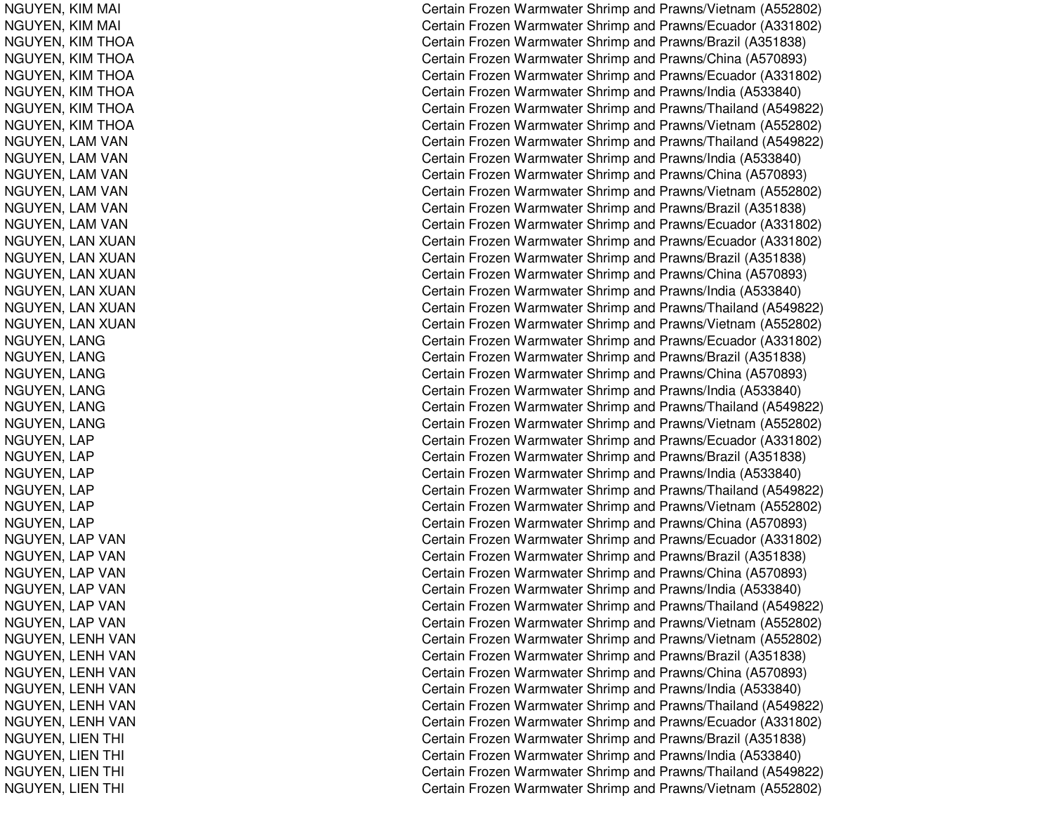NGUYEN, KIM MAIIco de la contrada de la contrada de la contrada de la contrada de la contrada de la contrada de la contrada d NGUYEN, KIM MAIIco de la contrada de la contrada de la contrada de la contrada de la contrada de la contrada de la contrada d NGUYEN, KIM T HOANGUYEN, KIM THOA NGUYEN, KIM THOA NGUYEN, KIM THOA NGUYEN, KIM THOA NGUYEN, KIM THOANGUYEN, LAM VAN NGUYEN, LAM VAN NGUYEN, LAM VAN NGUYEN, LAM VAN NGUYEN, LAM VAN NGUYEN, LAM VAN NGUYEN, LAN XUAN NGUYEN, LAN XUAN NGUYEN, LAN XUAN NGUYEN, LAN XUAN NGUYEN, LAN XUAN NGUYEN, LAN XUAN NGUYEN, LANG NGUYEN, L ANGNGUYEN, LANG NGUYEN, L ANGNGUYEN, L ANGNGUYEN, LANG NGUYEN, L APNGUYEN, L APNGUYEN, LAP NGUYEN, L APNGUYEN, LAP NGUYEN, LAP NGUYEN, LAP VAN NGUYEN, LAP VAN NGUYEN, LAP VAN NGUYEN, LAP VAN NGUYEN, LAP VAN NGUYEN, LAP VAN NGUYEN, LENH VAN NGUYEN, LENH VAN NGUYEN, LENH VAN NGUYEN, LENH VAN NGUYEN, LENH VAN NGUYEN, LENH VAN NGUYEN, LIEN THI ing the contract of the contract of the contract of the contract of the contract of the contract of the contract of the contract of the contract of the contract of the contract of the contract of the contract of the contra NGUYEN, LIEN THI ing the contract of the contract of the contract of the contract of the contract of the contract of the contract of the contract of the contract of the contract of the contract of the contract of the contract of the contra NGUYEN, LIEN THI ing the contract of the contract of the contract of the contract of the contract of the contract of the contract of the contract of the contract of the contract of the contract of the contract of the contract of the contra NGUYEN, LIEN THI ing the contract of the contract of the contract of the contract of the contract of the contract of the contract of the contract of the contract of the contract of the contract of the contract of the contract of the contra

Certain Frozen Warmwater Shrimp and Prawns/Vietnam (A552802) ertain Frozen Warmwater Shrimp and Prawns/Ecuador (A331802) Certain Frozen Warmwater Shrimp and Prawns/Brazil (A351838) Certain Frozen Warmwater Shrimp and Prawns/China (A570893) Certain Frozen Warmwater Shrimp and Prawns/Ecuador (A331802) Certain Frozen Warmwater Shrimp and Prawns/India (A533840) Certain Frozen Warmwater Shrimp and Prawns/Thailand (A549822) Certain Frozen Warmwater Shrimp and Prawns/Vietnam (A552802) Certain Frozen Warmwater Shrimp and Prawns/Thailand (A549822) Certain Frozen Warmwater Shrimp and Prawns/India (A533840) Certain Frozen Warmwater Shrimp and Prawns/China (A570893) Certain Frozen Warmwater Shrimp and Prawns/Vietnam (A552802) Certain Frozen Warmwater Shrimp and Prawns/Brazil (A351838) Certain Frozen Warmwater Shrimp and Prawns/Ecuador (A331802) Certain Frozen Warmwater Shrimp and Prawns/Ecuador (A331802) Certain Frozen Warmwater Shrimp and Prawns/Brazil (A351838) Certain Frozen Warmwater Shrimp and Prawns/China (A570893) Certain Frozen Warmwater Shrimp and Prawns/India (A533840) Certain Frozen Warmwater Shrimp and Prawns/Thailand (A549822) Certain Frozen Warmwater Shrimp and Prawns/Vietnam (A552802) Certain Frozen Warmwater Shrimp and Prawns/Ecuador (A331802) Certain Frozen Warmwater Shrimp and Prawns/Brazil (A351838) Certain Frozen Warmwater Shrimp and Prawns/China (A570893) Certain Frozen Warmwater Shrimp and Prawns/India (A533840) Certain Frozen Warmwater Shrimp and Prawns/Thailand (A549822) Certain Frozen Warmwater Shrimp and Prawns/Vietnam (A552802) Certain Frozen Warmwater Shrimp and Prawns/Ecuador (A331802) Certain Frozen Warmwater Shrimp and Prawns/Brazil (A351838) Certain Frozen Warmwater Shrimp and Prawns/India (A533840) Certain Frozen Warmwater Shrimp and Prawns/Thailand (A549822) Certain Frozen Warmwater Shrimp and Prawns/Vietnam (A552802) Certain Frozen Warmwater Shrimp and Prawns/China (A570893) Certain Frozen Warmwater Shrimp and Prawns/Ecuador (A331802) Certain Frozen Warmwater Shrimp and Prawns/Brazil (A351838) Certain Frozen Warmwater Shrimp and Prawns/China (A570893) Certain Frozen Warmwater Shrimp and Prawns/India (A533840) Certain Frozen Warmwater Shrimp and Prawns/Thailand (A549822) Certain Frozen Warmwater Shrimp and Prawns/Vietnam (A552802) Certain Frozen Warmwater Shrimp and Prawns/Vietnam (A552802) Certain Frozen Warmwater Shrimp and Prawns/Brazil (A351838) Certain Frozen Warmwater Shrimp and Prawns/China (A570893) Certain Frozen Warmwater Shrimp and Prawns/India (A533840) Certain Frozen Warmwater Shrimp and Prawns/Thailand (A549822) Certain Frozen Warmwater Shrimp and Prawns/Ecuador (A331802) ertain Frozen Warmwater Shrimp and Prawns/Brazil (A351838) Certain Frozen Warmwater Shrimp and Prawns/India (A533840) ertain Frozen Warmwater Shrimp and Prawns/Thailand (A549822) Certain Frozen Warmwater Shrimp and Prawns/Vietnam (A552802)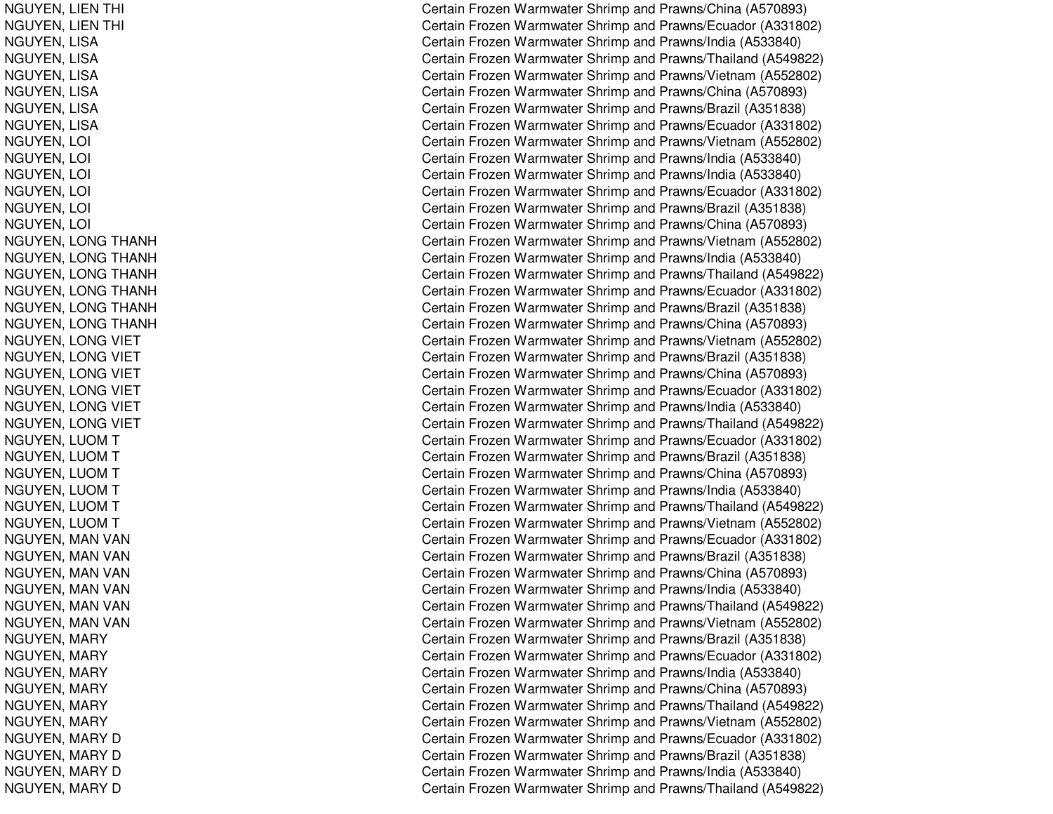NGUYEN, LIEN THI ing the contract of the contract of the contract of the contract of the contract of the contract of the contract of the contract of the contract of the contract of the contract of the contract of the contract of the contra NGUYEN, LIEN THI ing the contract of the contract of the contract of the contract of the contract of the contract of the contract of the contract of the contract of the contract of the contract of the contract of the contract of the contra NGUYEN, LIS ANGUYEN, LISA NGUYEN, LIS ANGUYEN, LISA NGUYEN, LISA NGUYEN, LIS ANGUYEN, LOI  $\overline{C}$ NGUYEN, LOI l contract to the contract of the contract of the contract of the contract of the contract of the contract of the contract of the contract of the contract of the contract of the contract of the contract of the contract of NGUYEN, L OIl contract and contract of the contract of the contract of the contract of the contract of the contract of the NGUYEN, LOI  $\overline{C}$ NGUYEN, L OI $\overline{C}$ NGUYEN, L OIl contract of the contract of the contract of the contract of the contract of the contract of the contract of the contract of the contract of the contract of the contract of the contract of the contract of the contract of NGUYEN, LONG THANH NGUYEN, L ONGTHANHNGUYEN, L ONGT HANHNGUYEN, LONG THANH NGUYEN, L ONGTHANHNGUYEN, LONG THANH NGUYEN, LONG VIET NGUYEN, LONG VIET NGUYEN, LONG VIET NGUYEN, LONG VIET NGUYEN, LONG VIET NGUYEN, LONG VIET NGUYEN, LUOM T NGUYEN, L UOMT NGUYEN, LUOM T NGUYEN, L UOMTNGUYEN, LUOM T NGUYEN, LUOM T NGUYEN, MAN VAN NGUYEN, MAN VAN NGUYEN, MAN VAN NGUYEN, MAN VAN NGUYEN, MAN VAN NGUYEN, MAN VAN NGUYEN, MARY NGUYEN, MARY NGUYEN, M ARYNGUYEN, M ARYNGUYEN, MARY NGUYEN, MARY NGUYEN, MARY D NGUYEN, MARY D NGUYEN, MARY D NGUYEN, MARY D

Certain Frozen Warmwater Shrimp and Prawns/China (A570893) ertain Frozen Warmwater Shrimp and Prawns/Ecuador (A331802) Certain Frozen Warmwater Shrimp and Prawns/India (A533840) Certain Frozen Warmwater Shrimp and Prawns/Thailand (A549822) Certain Frozen Warmwater Shrimp and Prawns/Vietnam (A552802) Certain Frozen Warmwater Shrimp and Prawns/China (A570893) Certain Frozen Warmwater Shrimp and Prawns/Brazil (A351838) Certain Frozen Warmwater Shrimp and Prawns/Ecuador (A331802) Certain Frozen Warmwater Shrimp and Prawns/Vietnam (A552802) Certain Frozen Warmwater Shrimp and Prawns/India (A533840) ertain Frozen Warmwater Shrimp and Prawns/India (A533840) Certain Frozen Warmwater Shrimp and Prawns/Ecuador (A331802) ertain Frozen Warmwater Shrimp and Prawns/Brazil (A351838) ertain Frozen Warmwater Shrimp and Prawns/China (A570893) Certain Frozen Warmwater Shrimp and Prawns/Vietnam (A552802) Certain Frozen Warmwater Shrimp and Prawns/India (A533840) Certain Frozen Warmwater Shrimp and Prawns/Thailand (A549822) Certain Frozen Warmwater Shrimp and Prawns/Ecuador (A331802) Certain Frozen Warmwater Shrimp and Prawns/Brazil (A351838) Certain Frozen Warmwater Shrimp and Prawns/China (A570893) Certain Frozen Warmwater Shrimp and Prawns/Vietnam (A552802) Certain Frozen Warmwater Shrimp and Prawns/Brazil (A351838) Certain Frozen Warmwater Shrimp and Prawns/China (A570893) Certain Frozen Warmwater Shrimp and Prawns/Ecuador (A331802) Certain Frozen Warmwater Shrimp and Pra wns/India (A 5 3 3 8 4 0) Certain Frozen Warmwater Shrimp and Prawns/Thailand (A549822) Certain Frozen Warmwater Shrimp and Prawns/Ecuador (A331802) Certain Frozen Warmwater Shrimp and Prawns/Brazil (A351838) Certain Frozen Warmwater Shrimp and Prawns/China (A570893) Certain Frozen Warmwater Shrimp and Prawns/India (A533840) Certain Frozen Warmwater Shrimp and Prawns/Thailand (A549822) Certain Frozen Warmwater Shrimp and Prawns/Vietnam (A552802) Certain Frozen Warmwater Shrimp and Prawns/Ecuador (A331802) Certain Frozen Warmwater Shrimp and Prawns/Brazil (A351838) Certain Frozen Warmwater Shrimp and Prawns/China (A570893) Certain Frozen Warmwater Shrimp and Prawns/India (A533840) Certain Frozen Warmwater Shrimp and Prawns/Thailand (A549822) Certain Frozen Warmwater Shrimp and Prawns/Vietnam (A552802) Certain Frozen Warmwater Shrimp and Prawns/Brazil (A351838) Certain Frozen Warmwater Shrimp and Prawns/Ecuador (A331802) Certain Frozen Warmwater Shrimp and Prawns/India (A533840) Certain Frozen Warmwater Shrimp and Prawns/China (A570893) Certain Frozen Warmwater Shrimp and Prawns/Thailand (A549822) Certain Frozen Warmwater Shrimp and Prawns/Vietnam (A552802) Certain Frozen Warmwater Shrimp and Prawns/Ecuador (A331802) C ertain Frozen W arm w ater Shrim p and Pra wns/Brazil (A 3 518 3 8) Certain Frozen Warmwater Shrimp and Prawns/India (A533840) Certain Frozen Warmwater Shrimp and Prawns/Thailand (A549822)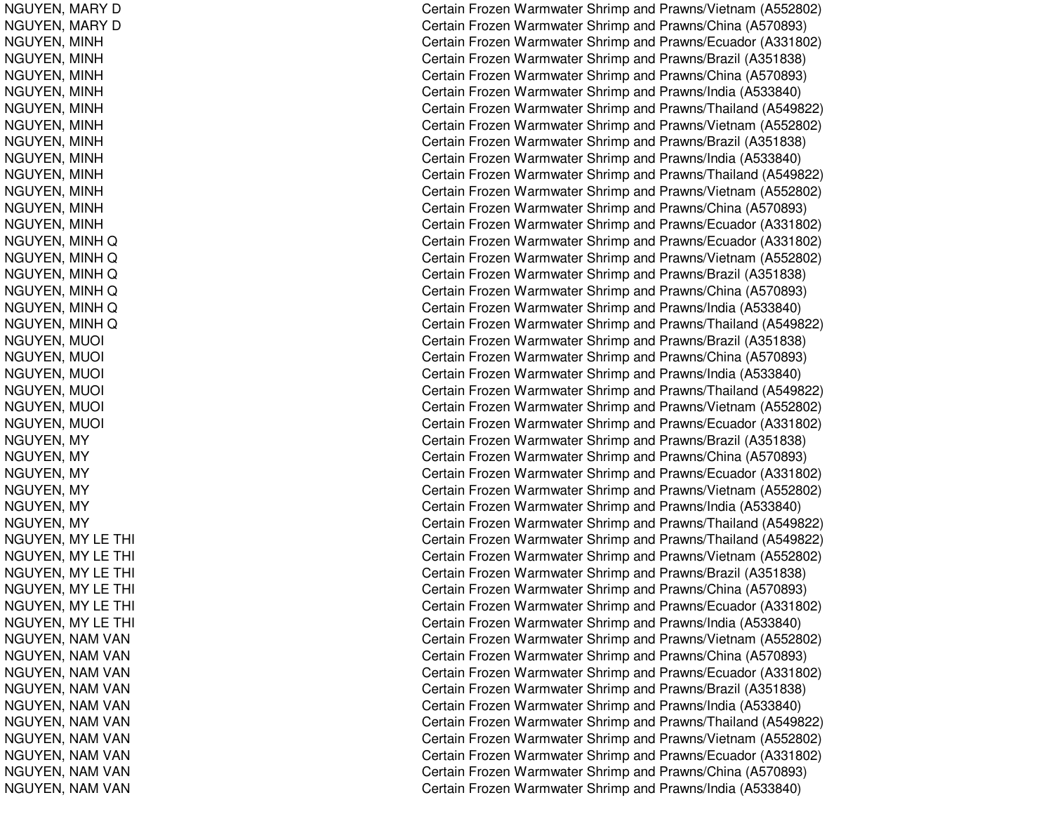NGUYEN, MARY D NGUYEN, MARY D NGUYEN, MIN HNGUYEN, MINH NGUYEN, MINH NGUYEN, MINH NGUYEN, MINH NGUYEN, MIN HNGUYEN, MINH NGUYEN, MINH NGUYEN, MIN HNGUYEN, MINH NGUYEN, MIN HNGUYEN, MIN HNGUYEN, MINH Q NGUYEN, MINH Q NGUYEN, MIN HQNGUYEN, MINH Q NGUYEN, MIN HQNGUYEN, MINH Q NGUYEN, MUOI l contract of the contract of the contract of the contract of the contract of the contract of the contract of the contract of the contract of the contract of the contract of the contract of the contract of the contract of NGUYEN, MUOI l Constantinople of the constant of the constant of the constant of the constant of the constant of the constant of the constant of the constant of the constant of the constant of the constant of the constant of the consta NGUYEN, MUOI  $\overline{C}$ NGUYEN, M UOIl contract of the contract of the contract of the contract of the contract of the contract of the contract of the contract of the contract of the contract of the contract of the contract of the contract of the contract of NGUYEN, M UOIl contract of the contract of the contract of the contract of the contract of the contract of the contract of the contract of the contract of the contract of the contract of the contract of the contract of the contract of NGUYEN, MUOI  $\overline{C}$ NGUYEN, M YNGUYEN, M YNGUYEN, MY NGUYEN, M YNGUYEN, MY NGUYEN, MY NGUYEN, MY LE THI ing the contract of the contract of the contract of the contract of the contract of the contract of the contract of the contract of the contract of the contract of the contract of the contract of the contract of the contra NGUYEN, MY LE THI ing the contract of the contract of the contract of the contract of the contract of the contract of the contract of the contract of the contract of the contract of the contract of the contract of the contract of the contra NGUYEN, MY LE THI ing the contract of the contract of the contract of the contract of the contract of the contract of the contract of the contract of the contract of the contract of the contract of the contract of the contract of the contra NGUYEN, M YLETHIing the contract of the contract of the contract of the contract of the contract of the contract of the contract of the contract of the contract of the contract of the contract of the contract of the contract of the contra NGUYEN, MY LE THI ing the contract of the contract of the contract of the contract of the contract of the contract of the contract of the contract of the contract of the contract of the contract of the contract of the contract of the contra NGUYEN, MY LE THI ing the contract of the contract of the contract of the contract of the contract of the contract of the contract of the contract of the contract of the contract of the contract of the contract of the contract of the contra NGUYEN, NAM VAN NGUYEN, NAM VAN NGUYEN, NAM VAN NGUYEN, NAM VAN NGUYEN, NAM VAN NGUYEN, NAM VAN NGUYEN, NAM VAN NGUYEN, NAM VAN NGUYEN, NAM VAN NGUYEN, NAM VAN

Certain Frozen Warmwater Shrimp and Prawns/Vietnam (A552802) Certain Frozen Warmwater Shrimp and Prawns/China (A570893) Certain Frozen Warmwater Shrimp and Prawns/Ecuador (A331802) Certain Frozen Warmwater Shrimp and Prawns/Brazil (A351838) Certain Frozen Warmwater Shrimp and Prawns/China (A570893) Certain Frozen Warmwater Shrimp and Prawns/India (A533840) Certain Frozen Warmwater Shrimp and Prawns/Thailand (A549822) Certain Frozen Warmwater Shrimp and Prawns/Vietnam (A552802) Certain Frozen Warmwater Shrimp and Prawns/Brazil (A351838) Certain Frozen Warmwater Shrimp and Prawns/India (A533840) Certain Frozen Warmwater Shrimp and Prawns/Thailand (A549822) Certain Frozen Warmwater Shrimp and Prawns/Vietnam (A552802) Certain Frozen Warmwater Shrimp and Prawns/China (A570893) Certain Frozen Warmwater Shrimp and Prawns/Ecuador (A331802) Certain Frozen Warmwater Shrimp and Prawns/Ecuador (A331802) Certain Frozen Warmwater Shrimp and Prawns/Vietnam (A552802) Certain Frozen Warmwater Shrimp and Prawns/Brazil (A351838) Certain Frozen Warmwater Shrimp and Prawns/China (A570893) Certain Frozen Warmwater Shrimp and Prawns/India (A533840) Certain Frozen Warmwater Shrimp and Prawns/Thailand (A549822) Certain Frozen Warmwater Shrimp and Prawns/Brazil (A351838) Certain Frozen Warmwater Shrimp and Prawns/China (A570893) Certain Frozen Warmwater Shrimp and Prawns/India (A533840) ertain Frozen Warmwater Shrimp and Prawns/Thailand (A549822) ertain Frozen Warmwater Shrimp and Prawns/Vietnam (A552802) Certain Frozen Warmwater Shrimp and Prawns/Ecuador (A331802) Certain Frozen Warmwater Shrimp and Prawns/Brazil (A351838) Certain Frozen Warmwater Shrimp and Prawns/China (A570893) Certain Frozen Warmwater Shrimp and Prawns/Ecuador (A331802) Certain Frozen Warmwater Shrimp and Prawns/Vietnam (A552802) Certain Frozen Warmwater Shrimp and Prawns/India (A533840) Certain Frozen Warmwater Shrimp and Prawns/Thailand (A549822) Certain Frozen Warmwater Shrimp and Prawns/Thailand (A549822) Certain Frozen Warmwater Shrimp and Prawns/Vietnam (A552802) Certain Frozen Warmwater Shrimp and Prawns/Brazil (A351838) ertain Frozen Warmwater Shrimp and Prawns/China (A570893) Certain Frozen Warmwater Shrimp and Prawns/Ecuador (A331802) Certain Frozen Warmwater Shrimp and Prawns/India (A533840) Certain Frozen Warmwater Shrimp and Prawns/Vietnam (A552802) Certain Frozen Warmwater Shrimp and Prawns/China (A570893) Certain Frozen Warmwater Shrimp and Prawns/Ecuador (A331802) Certain Frozen Warmwater Shrimp and Prawns/Brazil (A351838) Certain Frozen Warmwater Shrimp and Prawns/India (A533840) Certain Frozen Warmwater Shrimp and Prawns/Thailand (A549822) Certain Frozen Warmwater Shrimp and Prawns/Vietnam (A552802) Certain Frozen Warmwater Shrimp and Prawns/Ecuador (A331802) Certain Frozen Warmwater Shrimp and Prawns/China (A570893) Certain Frozen Warmwater Shrimp and Prawns/India (A533840)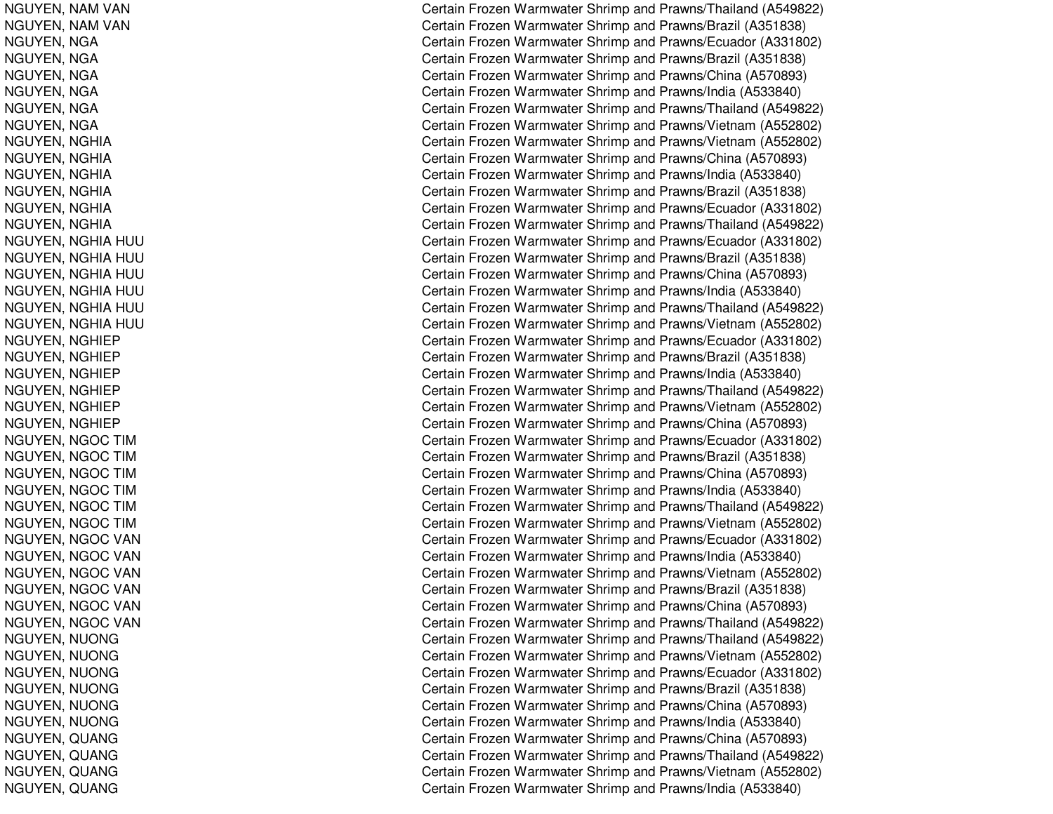NGUYEN, NAM VAN NGUYEN, NAM VAN NGUYEN, N GANGUYEN, NGA NGUYEN, NGA NGUYEN, NGA NGUYEN, NGA NGUYEN, N GANGUYEN, NGHIA NGUYEN, NGHIA NGUYEN, NGHIA NGUYEN, NGHIA NGUYEN, NGHIA NGUYEN, NGHIA NGUYEN, NGHIA HUU NGUYEN, NGHIA HUU NGUYEN, NGHIA HUU NGUYEN, NGHIA HUU NGUYEN, NGHIA HUU NGUYEN, NGHIA HUU NGUYEN, NGHIEP NGUYEN, NGHIEP NGUYEN, NGHIEP NGUYEN, NGHIEP NGUYEN, NGHIEP NGUYEN, NGHIEP NGUYEN, NGOC TIM NGUYEN, N GOCTIMNGUYEN, NGOC TIM NGUYEN, N GOCTIMNGUYEN, NGOC TIM NGUYEN, NGOC TIM NGUYEN, NGOC VAN NGUYEN, NGOC VAN NGUYEN, NGOC VAN NGUYEN, NGOC VAN NGUYEN, NGOC VAN NGUYEN, NGOC VAN NGUYEN, NUONG NGUYEN, NUONG NGUYEN, N UONGNGUYEN, N UONGNGUYEN, NUONG NGUYEN, NUONG NGUYEN, QUANG NGUYEN, QUANG NGUYEN, Q UANGNGUYEN, QUANG

Certain Frozen Warmwater Shrimp and Prawns/Thailand (A549822) Certain Frozen Warmwater Shrimp and Prawns/Brazil (A351838) Certain Frozen Warmwater Shrimp and Prawns/Ecuador (A331802) Certain Frozen Warmwater Shrimp and Prawns/Brazil (A351838) Certain Frozen Warmwater Shrimp and Prawns/China (A570893) Certain Frozen Warmwater Shrimp and Prawns/India (A533840) Certain Frozen Warmwater Shrimp and Prawns/Thailand (A549822) Certain Frozen Warmwater Shrimp and Prawns/Vietnam (A552802) Certain Frozen Warmwater Shrimp and Prawns/Vietnam (A552802) Certain Frozen Warmwater Shrimp and Prawns/China (A570893) Certain Frozen Warmwater Shrimp and Prawns/India (A533840) Certain Frozen Warmwater Shrimp and Prawns/Brazil (A351838) Certain Frozen Warmwater Shrimp and Prawns/Ecuador (A331802) Certain Frozen Warmwater Shrimp and Prawns/Thailand (A549822) Certain Frozen Warmwater Shrimp and Prawns/Ecuador (A331802) Certain Frozen Warmwater Shrimp and Prawns/Brazil (A351838) Certain Frozen Warmwater Shrimp and Prawns/China (A570893) Certain Frozen Warmwater Shrimp and Prawns/India (A533840) Certain Frozen Warmwater Shrimp and Prawns/Thailand (A549822) Certain Frozen Warmwater Shrimp and Prawns/Vietnam (A552802) Certain Frozen Warmwater Shrimp and Prawns/Ecuador (A331802) Certain Frozen Warmwater Shrimp and Prawns/Brazil (A351838) Certain Frozen Warmwater Shrimp and Prawns/India (A533840) Certain Frozen Warmwater Shrimp and Prawns/Thailand (A549822) Certain Frozen Warmwater Shrimp and Prawns/Vietnam (A552802) Certain Frozen Warmwater Shrimp and Prawns/China (A570893) Certain Frozen Warmwater Shrimp and Prawns/Ecuador (A331802) Certain Frozen Warmwater Shrimp and Prawns/Brazil (A351838) Certain Frozen Warmwater Shrimp and Prawns/China (A570893) Certain Frozen Warmwater Shrimp and Prawns/India (A533840) Certain Frozen Warmwater Shrimp and Prawns/Thailand (A549822) Certain Frozen Warmwater Shrimp and Prawns/Vietnam (A552802) Certain Frozen Warmwater Shrimp and Prawns/Ecuador (A331802) Certain Frozen Warmwater Shrimp and Prawns/India (A533840) Certain Frozen Warmwater Shrimp and Prawns/Vietnam (A552802) Certain Frozen Warmwater Shrimp and Prawns/Brazil (A351838) Certain Frozen Warmwater Shrimp and Prawns/China (A570893) Certain Frozen Warmwater Shrimp and Prawns/Thailand (A549822) Certain Frozen Warmwater Shrimp and Prawns/Thailand (A549822) Certain Frozen Warmwater Shrimp and Prawns/Vietnam (A552802) Certain Frozen Warmwater Shrimp and Prawns/Ecuador (A331802) Certain Frozen Warmwater Shrimp and Prawns/Brazil (A351838) Certain Frozen Warmwater Shrimp and Prawns/China (A570893) Certain Frozen Warmwater Shrimp and Prawns/India (A533840) Certain Frozen Warmwater Shrimp and Prawns/China (A570893) Certain Frozen Warmwater Shrimp and Prawns/Thailand (A549822) Certain Frozen Warmwater Shrimp and Prawns/Vietnam (A552802) Certain Frozen Warmwater Shrimp and Prawns/India (A533840)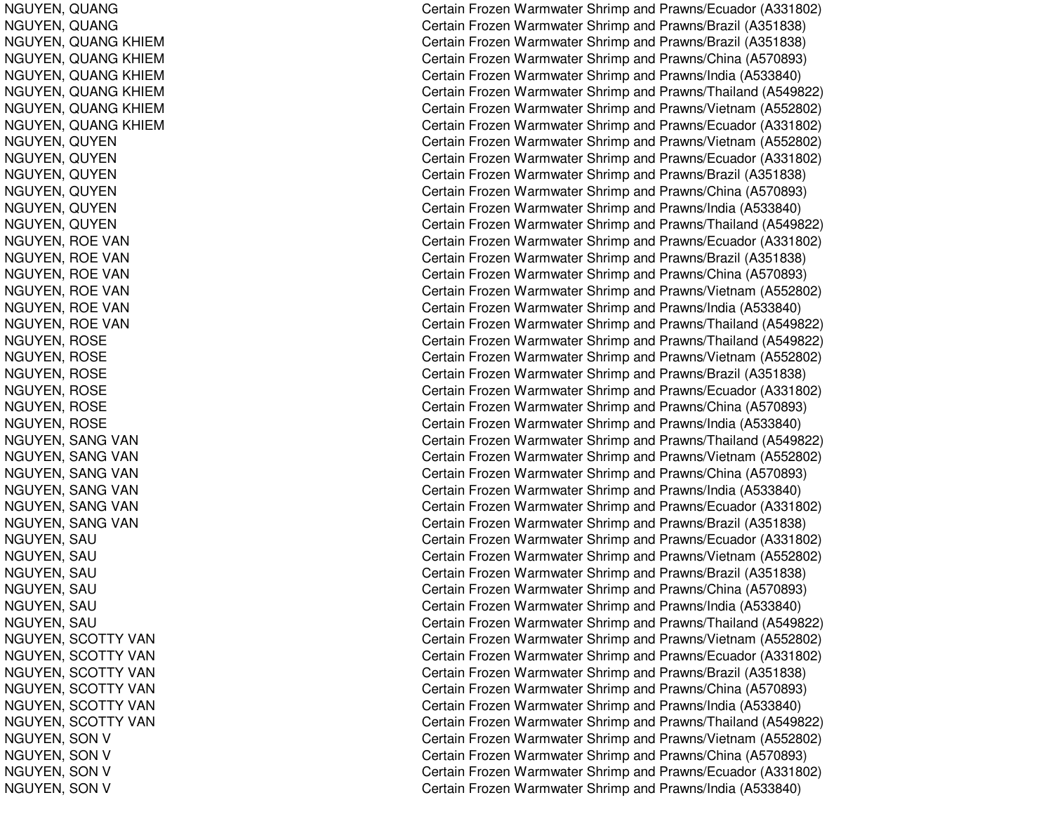NGUYEN, Q UANGNGUYEN, Q UANGNGUYEN, QUANG KHIEM NGUYEN, QUANG KHIEM NGUYEN, QUANG KHIEM NGUYEN, QUANG KHIEM NGUYEN, QUANG KHIEM NGUYEN, QUANG KHIEM NGUYEN, QUYEN NGUYEN, QUYEN NGUYEN, Q UYENNGUYEN, QUYEN NGUYEN, Q UYENNGUYEN, Q UYENNGUYEN, ROE VAN NGUYEN, ROE VAN NGUYEN, ROE VAN NGUYEN, ROE VAN NGUYEN, ROE VAN NGUYEN, ROE VAN NGUYEN, ROSE NGUYEN, R OSENGUYEN, ROSE NGUYEN, R OSENGUYEN, R OSENGUYEN, ROSE NGUYEN, SANG VAN NGUYEN, SANG VAN NGUYEN, SANG VAN NGUYEN, SANG VAN NGUYEN, SANG VAN NGUYEN, SANG VAN NGUYEN, SAU NGUYEN, SAU NGUYEN, SAU NGUYEN, SAU NGUYEN, SAU NGUYEN, SAU NGUYEN, SCOTTY VAN NGUYEN, SCOTTY VAN NGUYEN, SCOTTY VAN NGUYEN, SCOTTY VAN NGUYEN, SCOTTY VAN NGUYEN, SCOTTY VAN NGUYEN, SON V NGUYEN, SON V NGUYEN, SON V NGUYEN, SON V

Certain Frozen Warmwater Shrimp and Prawns/Ecuador (A331802) Certain Frozen Warmwater Shrimp and Prawns/Brazil (A351838) Certain Frozen Warmwater Shrimp and Prawns/Brazil (A351838) Certain Frozen Warmwater Shrimp and Prawns/China (A570893) Certain Frozen Warmwater Shrimp and Prawns/India (A533840) Certain Frozen Warmwater Shrimp and Prawns/Thailand (A549822) Certain Frozen Warmwater Shrimp and Prawns/Vietnam (A552802) Certain Frozen Warmwater Shrimp and Prawns/Ecuador (A331802) Certain Frozen Warmwater Shrimp and Prawns/Vietnam (A552802) Certain Frozen Warmwater Shrimp and Prawns/Ecuador (A331802) Certain Frozen Warmwater Shrimp and Prawns/Brazil (A351838) Certain Frozen Warmwater Shrimp and Prawns/China (A570893) Certain Frozen Warmwater Shrimp and Prawns/India (A533840) Certain Frozen Warmwater Shrimp and Prawns/Thailand (A549822) Certain Frozen Warmwater Shrimp and Prawns/Ecuador (A331802) Certain Frozen Warmwater Shrimp and Prawns/Brazil (A351838) Certain Frozen Warmwater Shrimp and Prawns/China (A570893) Certain Frozen Warmwater Shrimp and Prawns/Vietnam (A552802) Certain Frozen Warmwater Shrimp and Prawns/India (A533840) Certain Frozen Warmwater Shrimp and Prawns/Thailand (A549822) Certain Frozen Warmwater Shrimp and Prawns/Thailand (A549822) Certain Frozen Warmwater Shrimp and Prawns/Vietnam (A552802) Certain Frozen Warmwater Shrimp and Prawns/Brazil (A351838) Certain Frozen Warmwater Shrimp and Prawns/Ecuador (A331802) Certain Frozen Warmwater Shrimp and Prawns/China (A570893) Certain Frozen Warmwater Shrimp and Prawns/India (A533840) Certain Frozen Warmwater Shrimp and Prawns/Thailand (A549822) Certain Frozen Warmwater Shrimp and Prawns/Vietnam (A552802) Certain Frozen Warmwater Shrimp and Prawns/China (A570893) Certain Frozen Warmwater Shrimp and Prawns/India (A533840) Certain Frozen Warmwater Shrimp and Prawns/Ecuador (A331802) Certain Frozen Warmwater Shrimp and Prawns/Brazil (A351838) Certain Frozen Warmwater Shrimp and Prawns/Ecuador (A331802) Certain Frozen Warmwater Shrimp and Prawns/Vietnam (A552802) C ertain Frozen W arm w ater Shrim p and Pra wns/Brazil (A 3 518 3 8) Certain Frozen Warmwater Shrimp and Prawns/China (A570893) Certain Frozen Warmwater Shrimp and Prawns/India (A533840) Certain Frozen Warmwater Shrimp and Prawns/Thailand (A549822) Certain Frozen Warmwater Shrimp and Prawns/Vietnam (A552802) C ertain Frozen Warm w ater Shrim p and Pra wns/Ecua d or (A 3 318 0 2) Certain Frozen Warmwater Shrimp and Prawns/Brazil (A351838) Certain Frozen Warmwater Shrimp and Prawns/China (A570893) Certain Frozen Warmwater Shrimp and Prawns/India (A533840) Certain Frozen Warmwater Shrimp and Prawns/Thailand (A549822) Certain Frozen Warmwater Shrimp and Prawns/Vietnam (A552802) Certain Frozen Warmwater Shrimp and Prawns/China (A570893) Certain Frozen Warmwater Shrimp and Prawns/Ecuador (A331802) Certain Frozen Warmwater Shrimp and Prawns/India (A533840)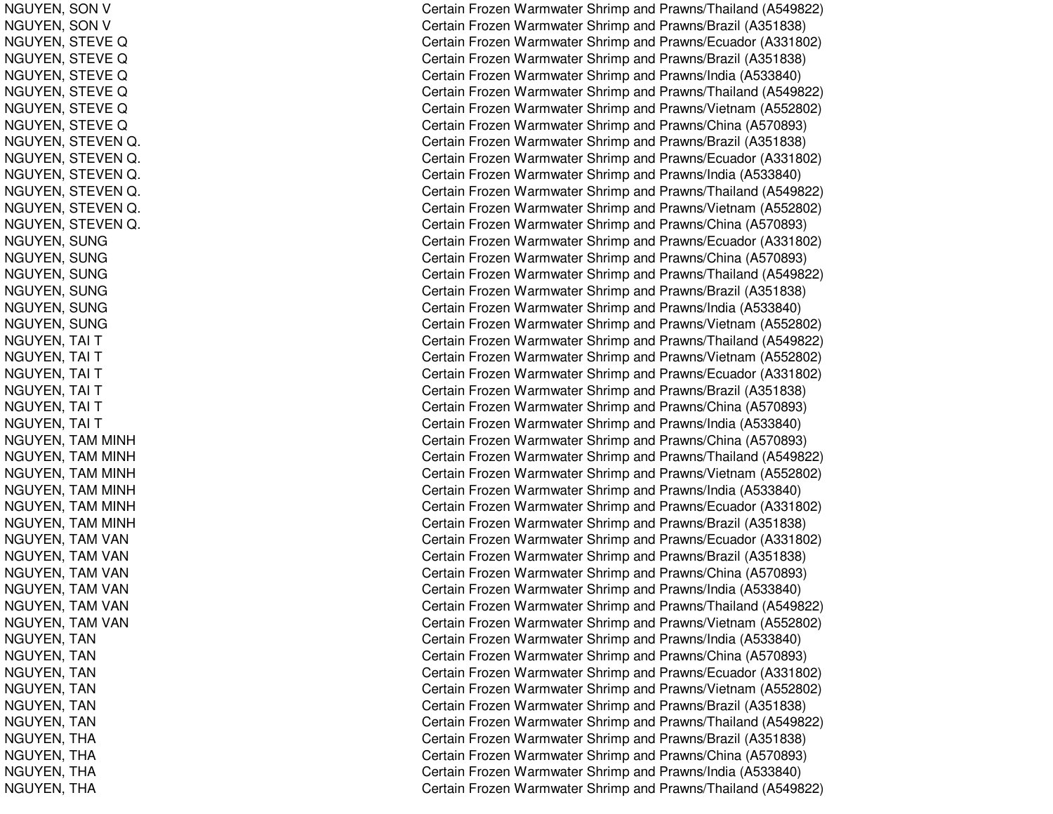NGUYEN, SON V NGUYEN, SON V NGUYEN, STEVE Q NGUYEN, STEVE Q NGUYEN, STEVE Q NGUYEN, STEVE Q NGUYEN, STEVE Q NGUYEN, S TEVEQNGUYEN, STEVEN Q. Canadian Control Control Control Control Control Control Control Control Control Control Control Control Co NGUYEN, STEVEN Q. Castle of the contract of the contract of the contract of the contract of the contract of the contract of the contract of the contract of the contract of the contract of the contract of the contract of the contract of t NGUYEN, S TEVENQ. Castle of the contract of the contract of the contract of the contract of the contract of the contract of the contract of the contract of the contract of the contract of the contract of the contract of the contract of t NGUYEN, STEVEN Q. Canadian Control Control Control Control Control Control Control Control Control Control Control Control Co NGUYEN, S TEVENQ. Canadian Control Control Control Control Control Control Control Control Control Control Control Control Co NGUYEN, S TEVENQ. Castle of the contract of the contract of the contract of the contract of the contract of the contract of the contract of the contract of the contract of the contract of the contract of the contract of the contract of t NGUYEN, SUNG NGUYEN, SUNG NGUYEN, S UNGNGUYEN, SUNG NGUYEN, S UNGNGUYEN, SUNG NGUYEN, TAI T NGUYEN, T AI TNGUYEN, TAI T NGUYEN, T AI TNGUYEN, T AI TNGUYEN, TAI T NGUYEN, T AMMINHNGUYEN, T AMMINHNGUYEN, TAM MINH NGUYEN, T AMMINHNGUYEN, TAM MINH NGUYEN, TAM MINH NGUYEN, TAM VAN NGUYEN, TAM VAN NGUYEN, TAM VAN NGUYEN, TAM VAN NGUYEN, TAM VAN NGUYEN, TAM VAN NGUYEN, T ANNGUYEN, TAN NGUYEN, T ANNGUYEN, T ANNGUYEN, TAN NGUYEN, TAN NGUYEN, THA NGUYEN, THA NGUYEN, T HANGUYEN, THA

Certain Frozen Warmwater Shrimp and Prawns/Thailand (A549822) Certain Frozen Warmwater Shrimp and Prawns/Brazil (A351838) Certain Frozen Warmwater Shrimp and Prawns/Ecuador (A331802) Certain Frozen Warmwater Shrimp and Prawns/Brazil (A351838) Certain Frozen Warmwater Shrimp and Prawns/India (A533840) Certain Frozen Warmwater Shrimp and Prawns/Thailand (A549822) Certain Frozen Warmwater Shrimp and Prawns/Vietnam (A552802) Certain Frozen Warmwater Shrimp and Prawns/China (A570893) Certain Frozen Warmwater Shrimp and Prawns/Brazil (A351838) Certain Frozen Warmwater Shrimp and Prawns/Ecuador (A331802) ertain Frozen Warmwater Shrimp and Prawns/India (A533840) Certain Frozen Warmwater Shrimp and Prawns/Thailand (A549822) ertain Frozen Warmwater Shrimp and Prawns/Vietnam (A552802) ertain Frozen Warmwater Shrimp and Prawns/China (A570893) Certain Frozen Warmwater Shrimp and Prawns/Ecuador (A331802) Certain Frozen Warmwater Shrimp and Prawns/China (A570893) Certain Frozen Warmwater Shrimp and Prawns/Thailand (A549822) Certain Frozen Warmwater Shrimp and Prawns/Brazil (A351838) Certain Frozen Warmwater Shrimp and Prawns/India (A533840) Certain Frozen Warmwater Shrimp and Prawns/Vietnam (A552802) Certain Frozen Warmwater Shrimp and Prawns/Thailand (A549822) Certain Frozen Warmwater Shrimp and Prawns/Vietnam (A552802) Certain Frozen Warmwater Shrimp and Prawns/Ecuador (A331802) Certain Frozen Warmwater Shrimp and Prawns/Brazil (A351838) Certain Frozen Warmwater Shrimp and Prawns/China (A570893) Certain Frozen Warmwater Shrimp and Prawns/India (A533840) Certain Frozen Warmwater Shrimp and Prawns/China (A570893) Certain Frozen Warmwater Shrimp and Prawns/Thailand (A549822) Certain Frozen Warmwater Shrimp and Prawns/Vietnam (A552802) Certain Frozen Warmwater Shrimp and Prawns/India (A533840) Certain Frozen Warmwater Shrimp and Prawns/Ecuador (A331802) Certain Frozen Warmwater Shrimp and Prawns/Brazil (A351838) Certain Frozen Warmwater Shrimp and Prawns/Ecuador (A331802) Certain Frozen Warmwater Shrimp and Prawns/Brazil (A351838) Certain Frozen Warmwater Shrimp and Prawns/China (A570893) Certain Frozen Warmwater Shrimp and Prawns/India (A533840) Certain Frozen Warmwater Shrimp and Prawns/Thailand (A549822) Certain Frozen Warmwater Shrimp and Prawns/Vietnam (A552802) Certain Frozen Warmwater Shrimp and Prawns/India (A533840) Certain Frozen Warmwater Shrimp and Prawns/China (A570893) Certain Frozen Warmwater Shrimp and Prawns/Ecuador (A331802) Certain Frozen Warmwater Shrimp and Prawns/Vietnam (A552802) Certain Frozen Warmwater Shrimp and Prawns/Brazil (A351838) Certain Frozen Warmwater Shrimp and Prawns/Thailand (A549822) Certain Frozen Warmwater Shrimp and Prawns/Brazil (A351838) Certain Frozen Warmwater Shrimp and Prawns/China (A570893) Certain Frozen Warmwater Shrimp and Prawns/India (A533840) Certain Frozen Warmwater Shrimp and Prawns/Thailand (A549822)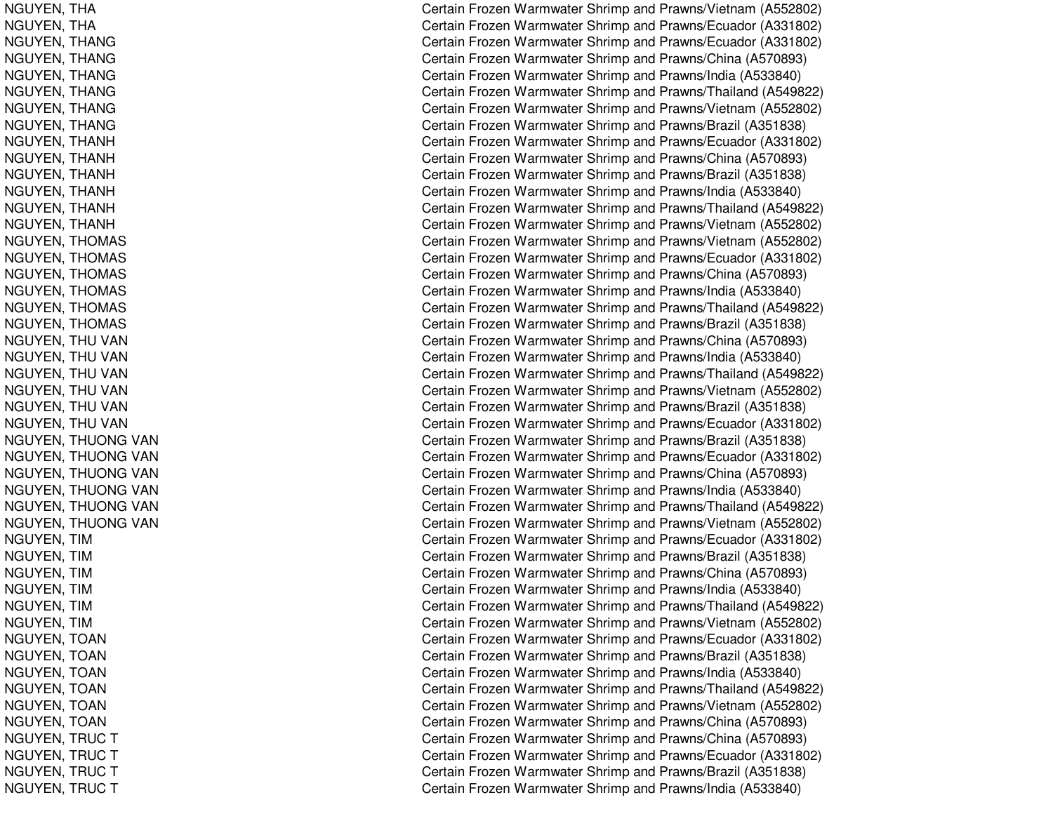NGUYEN, T HANGUYEN, T HANGUYEN, T HANGNGUYEN, THANG NGUYEN, THANG NGUYEN, THANG NGUYEN, THANG NGUYEN, T HANGNGUYEN, THANH NGUYEN, THANH NGUYEN, T HANHNGUYEN, THANH NGUYEN, T HANHNGUYEN, T HANHNGUYEN, THOMAS NGUYEN, THOMAS NGUYEN, T HOMASNGUYEN, THOMAS NGUYEN, T HOMASNGUYEN, THOMAS NGUYEN, THU VAN NGUYEN, THU VAN NGUYEN, THU VAN NGUYEN, THU VAN NGUYEN, THU VAN NGUYEN, THU VAN NGUYEN, THUONG VAN NGUYEN, THUONG VAN NGUYEN, THUONG VAN NGUYEN, THUONG VAN NGUYEN, THUONG VAN NGUYEN, THUONG VAN NGUYEN, TIM NGUYEN, TIM NGUYEN, TIM NGUYEN, TIM NGUYEN, TIM NGUYEN, TIM NGUYEN, T OANNGUYEN, TOAN NGUYEN, T OANNGUYEN, T OANNGUYEN, TOAN NGUYEN, TOAN NGUYEN, TRUC T NGUYEN, TRUC T NGUYEN, TRUC T NGUYEN, TRUC T

Certain Frozen Warmwater Shrimp and Prawns/Vietnam (A552802) Certain Frozen Warmwater Shrimp and Prawns/Ecuador (A331802) Certain Frozen Warmwater Shrimp and Prawns/Ecuador (A331802) Certain Frozen Warmwater Shrimp and Prawns/China (A570893) Certain Frozen Warmwater Shrimp and Prawns/India (A533840) Certain Frozen Warmwater Shrimp and Prawns/Thailand (A549822) Certain Frozen Warmwater Shrimp and Prawns/Vietnam (A552802) Certain Frozen Warmwater Shrimp and Prawns/Brazil (A351838) Certain Frozen Warmwater Shrimp and Prawns/Ecuador (A331802) Certain Frozen Warmwater Shrimp and Prawns/China (A570893) Certain Frozen Warmwater Shrimp and Prawns/Brazil (A351838) Certain Frozen Warmwater Shrimp and Prawns/India (A533840) Certain Frozen Warmwater Shrimp and Prawns/Thailand (A549822) Certain Frozen Warmwater Shrimp and Prawns/Vietnam (A552802) Certain Frozen Warmwater Shrimp and Prawns/Vietnam (A552802) Certain Frozen Warmwater Shrimp and Prawns/Ecuador (A331802) Certain Frozen Warmwater Shrimp and Prawns/China (A570893) Certain Frozen Warmwater Shrimp and Prawns/India (A533840) Certain Frozen Warmwater Shrimp and Prawns/Thailand (A549822) Certain Frozen Warmwater Shrimp and Prawns/Brazil (A351838) Certain Frozen Warmwater Shrimp and Prawns/China (A570893) Certain Frozen Warmwater Shrimp and Prawns/India (A533840) Certain Frozen Warmwater Shrimp and Prawns/Thailand (A549822) Certain Frozen Warmwater Shrimp and Prawns/Vietnam (A552802) Certain Frozen Warmwater Shrimp and Prawns/Brazil (A351838) Certain Frozen Warmwater Shrimp and Prawns/Ecuador (A331802) Certain Frozen Warmwater Shrimp and Prawns/Brazil (A351838) Certain Frozen Warmwater Shrimp and Prawns/Ecuador (A331802) Certain Frozen Warmwater Shrimp and Prawns/China (A570893) Certain Frozen Warmwater Shrimp and Prawns/India (A533840) Certain Frozen Warmwater Shrimp and Prawns/Thailand (A549822) Certain Frozen Warmwater Shrimp and Prawns/Vietnam (A552802) Certain Frozen Warmwater Shrimp and Prawns/Ecuador (A331802) Certain Frozen Warmwater Shrimp and Prawns/Brazil (A351838) Certain Frozen Warmwater Shrimp and Prawns/China (A570893) Certain Frozen Warmwater Shrimp and Prawns/India (A533840) Certain Frozen Warmwater Shrimp and Prawns/Thailand (A549822) Certain Frozen Warmwater Shrimp and Prawns/Vietnam (A552802) Certain Frozen Warmwater Shrimp and Prawns/Ecuador (A331802) Certain Frozen Warmwater Shrimp and Prawns/Brazil (A351838) Certain Frozen Warmwater Shrimp and Prawns/India (A533840) Certain Frozen Warmwater Shrimp and Prawns/Thailand (A549822) Certain Frozen Warmwater Shrimp and Prawns/Vietnam (A552802) Certain Frozen Warmwater Shrimp and Prawns/China (A570893) Certain Frozen Warmwater Shrimp and Prawns/China (A570893) Certain Frozen Warmwater Shrimp and Prawns/Ecuador (A331802) Certain Frozen Warmwater Shrimp and Prawns/Brazil (A351838) Certain Frozen Warmwater Shrimp and Prawns/India (A533840)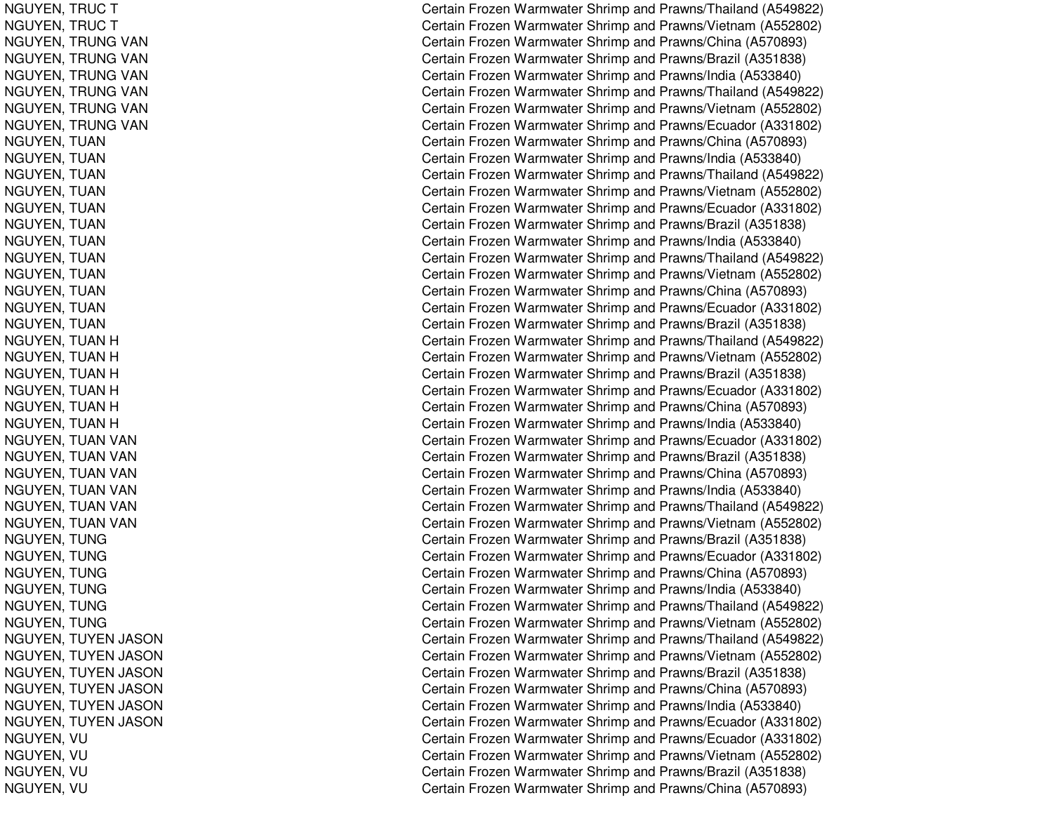NGUYEN, TRUC T NGUYEN, TRUC T NGUYEN, TRUNG VAN NGUYEN, TRUNG VAN NGUYEN, TRUNG VAN NGUYEN, TRUNG VAN NGUYEN, TRUNG VAN NGUYEN, TRUNG VAN NGUYEN, TUAN NGUYEN, TUAN NGUYEN, T UANNGUYEN, TUAN NGUYEN, T UANNGUYEN, T UANNGUYEN, TUAN NGUYEN, T UANNGUYEN, T UANNGUYEN, TUAN NGUYEN, T UANNGUYEN, TUAN NGUYEN, TUAN H NGUYEN, TUAN H NGUYEN, TUAN H NGUYEN, TUAN H NGUYEN, TUAN H NGUYEN, TUAN H NGUYEN, TUAN VAN NGUYEN, TUAN VAN NGUYEN, TUAN VAN NGUYEN, TUAN VAN NGUYEN, TUAN VAN NGUYEN, TUAN VAN NGUYEN, TUNG NGUYEN, TUNG NGUYEN, TUNG NGUYEN, TUNG NGUYEN, TUNG NGUYEN, TUNG NGUYEN, TUYEN JASON NGUYEN, TUYEN JASON NGUYEN, T UYEN JA SONNGUYEN, T UYEN JA SONNGUYEN, TUYEN JASON NGUYEN, TUYEN JASON NGUYEN, VU NGUYEN, VU NGUYEN, V UNGUYEN, VU

Certain Frozen Warmwater Shrimp and Prawns/Thailand (A549822) Certain Frozen Warmwater Shrimp and Prawns/Vietnam (A552802) Certain Frozen Warmwater Shrimp and Prawns/China (A570893) Certain Frozen Warmwater Shrimp and Prawns/Brazil (A351838) Certain Frozen Warmwater Shrimp and Prawns/India (A533840) Certain Frozen Warmwater Shrimp and Prawns/Thailand (A549822) Certain Frozen Warmwater Shrimp and Prawns/Vietnam (A552802) Certain Frozen Warmwater Shrimp and Prawns/Ecuador (A331802) Certain Frozen Warmwater Shrimp and Prawns/China (A570893) Certain Frozen Warmwater Shrimp and Prawns/India (A533840) Certain Frozen Warmwater Shrimp and Prawns/Thailand (A549822) Certain Frozen Warmwater Shrimp and Prawns/Vietnam (A552802) Certain Frozen Warmwater Shrimp and Prawns/Ecuador (A331802) Certain Frozen Warmwater Shrimp and Prawns/Brazil (A351838) Certain Frozen Warmwater Shrimp and Prawns/India (A533840) Certain Frozen Warmwater Shrimp and Prawns/Thailand (A549822) Certain Frozen Warmwater Shrimp and Prawns/Vietnam (A552802) Certain Frozen Warmwater Shrimp and Prawns/China (A570893) Certain Frozen Warmwater Shrimp and Prawns/Ecuador (A331802) Certain Frozen Warmwater Shrimp and Prawns/Brazil (A351838) Certain Frozen Warmwater Shrimp and Prawns/Thailand (A549822) Certain Frozen Warmwater Shrimp and Prawns/Vietnam (A552802) Certain Frozen Warmwater Shrimp and Prawns/Brazil (A351838) Certain Frozen Warmwater Shrimp and Prawns/Ecuador (A331802) Certain Frozen Warmwater Shrimp and Prawns/China (A570893) Certain Frozen Warmwater Shrimp and Prawns/India (A533840) Certain Frozen Warmwater Shrimp and Prawns/Ecuador (A331802) Certain Frozen Warmwater Shrimp and Prawns/Brazil (A351838) Certain Frozen Warmwater Shrimp and Prawns/China (A570893) Certain Frozen Warmwater Shrimp and Prawns/India (A533840) Certain Frozen Warmwater Shrimp and Prawns/Thailand (A549822) Certain Frozen Warmwater Shrimp and Prawns/Vietnam (A552802) Certain Frozen Warmwater Shrimp and Prawns/Brazil (A351838) Certain Frozen Warmwater Shrimp and Prawns/Ecuador (A331802) Certain Frozen Warmwater Shrimp and Prawns/China (A570893) Certain Frozen Warmwater Shrimp and Prawns/India (A533840) Certain Frozen Warmwater Shrimp and Prawns/Thailand (A549822) Certain Frozen Warmwater Shrimp and Prawns/Vietnam (A552802) Certain Frozen Warmwater Shrimp and Prawns/Thailand (A549822) Certain Frozen Warmwater Shrimp and Prawns/Vietnam (A552802) Certain Frozen Warmwater Shrimp and Prawns/Brazil (A351838) Certain Frozen Warmwater Shrimp and Prawns/China (A570893) Certain Frozen Warmwater Shrimp and Prawns/India (A533840) Certain Frozen Warmwater Shrimp and Prawns/Ecuador (A331802) Certain Frozen Warmwater Shrimp and Prawns/Ecuador (A331802) Certain Frozen Warmwater Shrimp and Prawns/Vietnam (A552802) Certain Frozen Warmwater Shrimp and Prawns/Brazil (A351838) Certain Frozen Warmwater Shrimp and Prawns/China (A570893)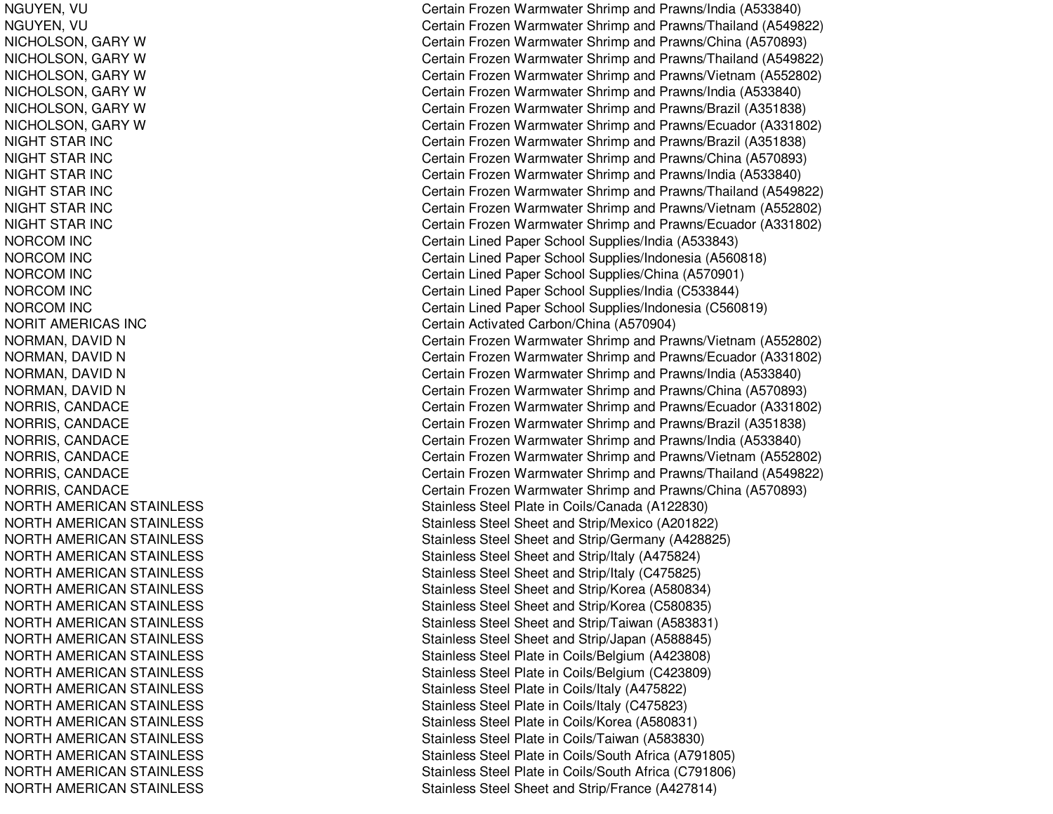NGUYEN, V UNGUYEN, V UNICHOLSON, GARY W NICHOLSON, GARY W NICHOLSON, GARY W NICHOLSON, GARY W NICHOLSON, GARY W NICHOLSON, GARY W NIGHT STAR INC NIGHT STAR INC NIGHT STAR INC NIGHT STAR INC NIGHT STAR INC NIGHT STAR INC N O R C O M IN C NORCOM IN CNORCOM IN CNORCOM IN CNORCOM IN CNORIT AMERICAS INC NORMAN, DAVID N NORMAN, DAVID N NORMAN, DAVID N NORMAN, DAVID N NORRIS, C ANDACENORRIS, CANDACE NORRIS, C ANDACENORRIS, C ANDACENORRIS, CANDACE NORRIS, C ANDACENORTH AMERICAN STAINLESS NORTH AMERICAN STAINLESS NORTH AMERICAN STAINLESS NORTH AMERICAN STAINLESS NORTH AMERICAN STAINLESS NORTH AMERICAN STAINLESS NORTH AMERICAN STAINLESS NORTH AMERICAN STAINLESS NORTH AMERICAN STAINLESS NORTH AMERICAN STAINLESS NORTH AMERICAN STAINLESS NORTH AMERICAN STAINLESS NORTH AMERICAN STAINLESS NORTH AMERICAN STAINLESS NORTH AMERICAN STAINLESS NORTH AMERICAN STAINLESS NORTH AMERICAN STAINLESS NORTH AMERICAN STAINLESS Certain Frozen Warmwater Shrimp and Prawns/India (A533840) Certain Frozen Warmwater Shrimp and Prawns/Thailand (A549822) Certain Frozen Warmwater Shrimp and Prawns/China (A570893) Certain Frozen Warmwater Shrimp and Prawns/Thailand (A549822) Certain Frozen Warmwater Shrimp and Prawns/Vietnam (A552802) Certain Frozen Warmwater Shrimp and Prawns/India (A533840) Certain Frozen Warmwater Shrimp and Prawns/Brazil (A351838) Certain Frozen Warmwater Shrimp and Prawns/Ecuador (A331802) Certain Frozen Warmwater Shrimp and Prawns/Brazil (A351838) Certain Frozen Warmwater Shrimp and Prawns/China (A570893) Certain Frozen Warmwater Shrimp and Prawns/India (A533840) Certain Frozen Warmwater Shrimp and Prawns/Thailand (A549822) Certain Frozen Warmwater Shrimp and Prawns/Vietnam (A552802) Certain Frozen Warmwater Shrimp and Prawns/Ecuador (A331802) Certain Lined Paper School Supplies/India (A533843) Certain Lined Paper School Supplies/Indonesia (A560818) Certain Lined Paper School Supplies/China (A570901) Certain Lined Paper School Supplies/India (C533844) Certain Lined Paper School Supplies/Indonesia (C560819) Certain Activ ate d Carb on/China (A 5 7 0 9 0 4) Certain Frozen Warmwater Shrimp and Prawns/Vietnam (A552802) Certain Frozen Warmwater Shrimp and Prawns/Ecuador (A331802) Certain Frozen Warmwater Shrimp and Prawns/India (A533840) Certain Frozen Warmwater Shrimp and Prawns/China (A570893) Certain Frozen Warmwater Shrimp and Prawns/Ecuador (A331802) Certain Frozen Warmwater Shrimp and Prawns/Brazil (A351838) Certain Frozen Warmwater Shrimp and Prawns/India (A533840) Certain Frozen Warmwater Shrimp and Prawns/Vietnam (A552802) Certain Frozen Warmwater Shrimp and Prawns/Thailand (A549822) Certain Frozen Warmwater Shrimp and Prawns/China (A570893) Stainless Steel Plate in Coils/Canada (A122830) Stainless Steel Sheet and Strip/Mexico (A201822) Stainless Steel Sheet and Strip/Germany (A428825) Stainless Steel Sheet and Strip/Italy (A475824) Stainless Steel Sheet and Strip/Italy (C475825) Stainless Steel Sheet and Strip/Korea (A580834) Stainless Steel Sheet and Strip/Korea (C580835) Stainless Steel Sheet and Strip/Taiwan (A583831) Stainless Steel Sheet and Strip/Japan (A588845) Stainless Steel Plate in Coils/Belgium (A423808) Stainless Steel Plate in Coils/Belgium (C 423809) Stainless Ste el Plate in Coils/Italy (A 4 7 5 8 2 2) Stainless Ste el Plate in C oils/Italy (C 4 7 5 8 2 3) Stainless Steel Plate in Coils/Korea (A 580831) Stainless Ste el Plate in C oils/T aiw an (A 5 8 3 8 3 0) Stainless Steel Plate in Coils/South Africa (A791805) Stainless Steel Plate in Coils/South Africa (C 791806) Stainless Steel Sheet and Strip/France (A427814)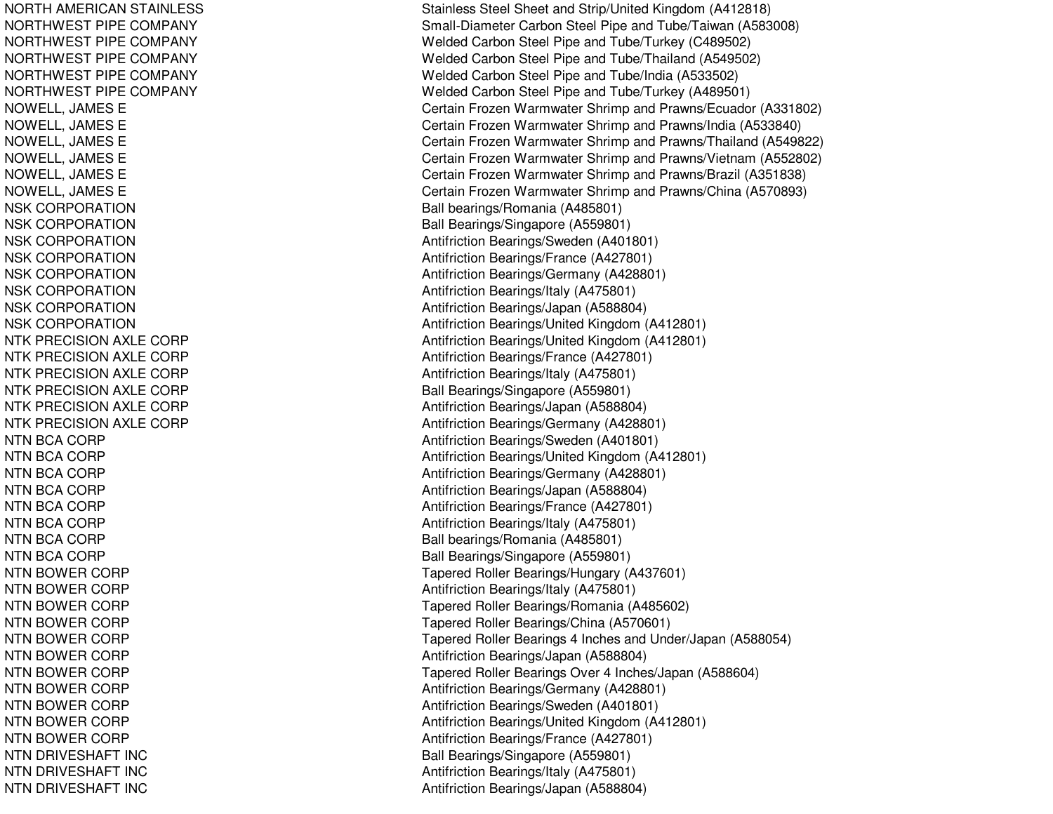NORTH AMERICAN STAINLESS NORTHWEST PIPE COMPANY NORT HWEST PIPECOMPANYNORTHWEST PIPE COMPANY NORTHWEST PIPE COMPANY NORTHWEST PIPE COMPANY NOWELL, JAMES E NOWELL, JA MESEN OWE L L, JA ME S E NOWELL, JAMES E NOWELL, JA MESEN O WE L L, JA ME S E NSK CORPORATION NSK CORPORATION NSK CORPORATION NSK CORPORATION NSK CORPORATION NSK CORPORATION NSK CORPORATION NSK CORPORATION NTK PRECISION AXLE CORP NTK PRECISION AXLE CORP NTK PRECISION AXLE CORP NTK PRECISION AXLE CORP NTK PRECISION AXLE CORP NTK PRECISION AXLE CORP NTN BCA CORP NTN BCA CORP NTN BCA CORP NTN BCA CORP NTN BCA CORP NTN BCA CORP NTN BCA CORP NTN BCA CORP NTN BOWER CORP NTN BOWER CORP NTN BOWER CORP NTN BOWER CORP NTN BOWER CORP NTN BOWER CORP NTN BOWER CORP NT NBOWERCORPNTN BOWER CORP NTN BOWER CORP NTN BOWER CORP NTN DRIVESHAFT INC NTN DRIVESHAFT INC NTN DRIVESHAFT INC

Stainless Steel Sheet and Strip/United Kingdom (A412818) Small-Diameter Carbon Steel Pipe and Tube/Taiwan (A583008) Welded Carbon Steel Pipe and Tube/Turkey (C489502) Welded Carbon Steel Pipe and Tube/Thailand (A549502) Welded Carbon Steel Pipe and Tube/India (A533502) Welded Carbon Steel Pipe and Tube/Turkey (A489501) Certain Frozen Warmwater Shrimp and Prawns/Ecuador (A331802) Certain Frozen Warmwater Shrimp and Prawns/India (A533840) Certain Frozen Warmwater Shrimp and Prawns/Thailand (A549822) Certain Frozen Warmwater Shrimp and Prawns/Vietnam (A552802) Certain Frozen Warmwater Shrimp and Prawns/Brazil (A351838) Certain Frozen Warmwater Shrimp and Prawns/China (A570893) Ball bearings/R omania (A 485801) Ball Bearings/Singapore (A559801) Antifriction Bearings/Sweden (A401801) Antifriction B e arings/France (A 4 2 7 8 01) Antifriction Be arings/G ermany (A 4 2 8 8 01) Antifriction B e arings/Italy (A 4 7 5 8 01) Antifriction Bearings/Ja p an (A 588804) Antifriction Bearings/United Kingdom (A412801) Antifriction Bearings/United Kingdom (A412801) Antifriction B e arings/France (A 4 2 7 8 01) Antifriction B e arings/Italy (A 4 7 5 8 01) Ball Bearings/Singapore (A559801) Antifriction Be arings/Ja p an (A 5 8 8 8 0 4) Antifriction B e arings/G ermany (A 4 2 8 8 01) Antifriction Bearings/Sweden (A401801) Antifriction Bearings/United Kingdom (A412801) Antifriction Bearings/Germany (A428801) Antifriction Bearings/Ja p an (A 588804) Antifriction B e arings/France (A 4 2 7 8 01) Antifriction B e arings/Italy (A 4 7 5 8 01) Ball bearings/Romania (A485801) Ball Bearings/Singapore (A559801) Tapered Roller Bearings/Hungary (A437601) Antifriction Bearings/Italy (A 475801) Tapered Roller Bearings/Romania (A485602) Tapered Roller Bearings/China (A570601) Tapered Roller Bearings 4 Inches and Under/Japan (A588054) Antifriction Bearings/Japan (A588804) Tapered Roller Bearings Over 4 Inches/Japan (A588604) Antifriction Be arings/G ermany (A 4 2 8 8 01) Antifriction Bearings/Sweden (A401801) Antifriction Bearings/United Kingdom (A412801) Antifriction B e arings/France (A 4 2 7 8 01) Ball Bearings/Singapore (A559801) Antifriction Bearings/Italy (A 475801) Antifriction Bearings/Japan (A588804)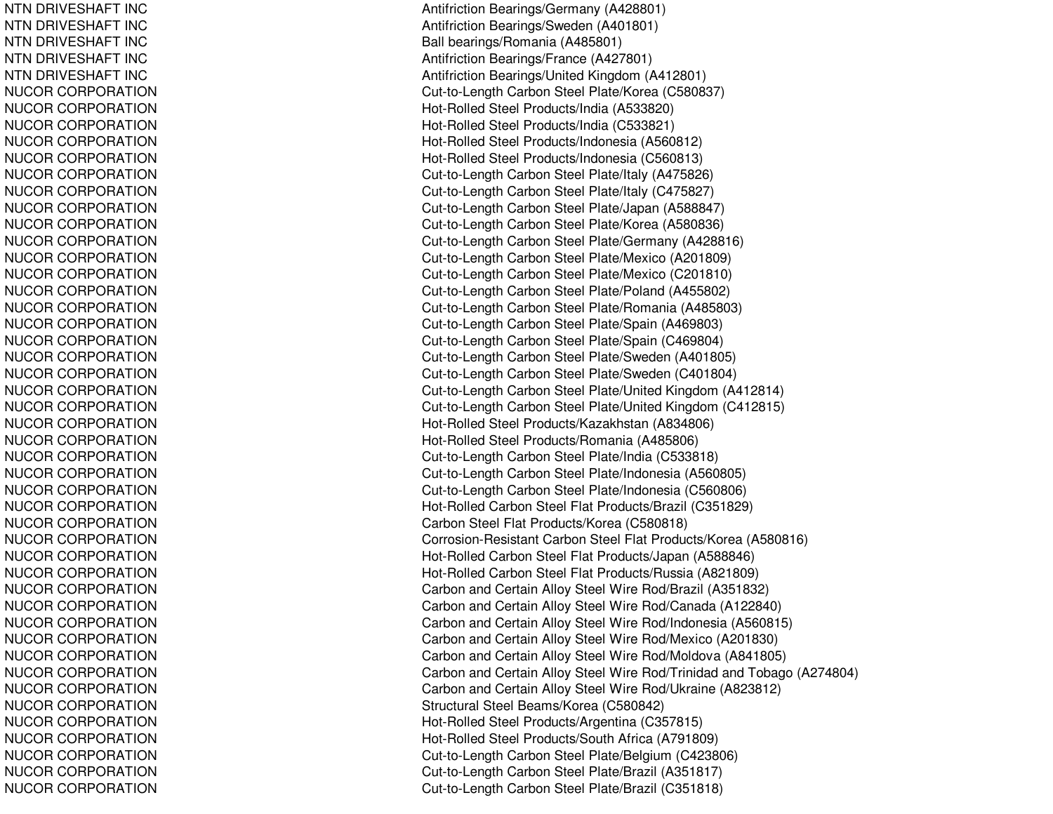NTN DRIVESHAFT INC NTN DRIVESHAFT INC NTN DRIVESHAFT INC NTN DRIVESHAFT INC NTN DRIVESHAFT INC NUCOR CORPORATION NUCOR CORPORATION NUCOR CORPORATION N U C OR C OR P OR A TION NUCOR CORPORATION NUCOR CORPORATION NUCOR CORPORATION NUCOR CORPORATION NUCOR CORPORATION NUCOR CORPORATION NUCOR CORPORATION NUCOR CORPORATION NUCOR CORPORATION NUCOR CORPORATION NUCOR CORPORATION NUCOR CORPORATION NUCOR CORPORATION NUCOR CORPORATION NUCOR CORPORATION NUCOR CORPORATION NUCOR CORPORATION NUCOR CORPORATION NUCOR CORPORATION NUCOR CORPORATION NUCOR CORPORATION NUCOR CORPORATION NUCOR CORPORATION NUCOR CORPORATION N U C OR C OR P OR A TION NUCOR CORPORATION NUCOR CORPORATION NUCOR CORPORATION NUCOR CORPORATION NUCOR CORPORATION NUCOR CORPORATION NUCOR CORPORATION NUCOR CORPORATION NUCOR CORPORATION NUCOR CORPORATION NUCOR CORPORATION NUCOR CORPORATION NUCOR CORPORATION NUCOR CORPORATION Antifriction B e arings/G ermany (A 4 2 8 8 01) Antifriction Bearings/S weden (A 401801) Ball bearings/Romania (A485801) Antifriction B e arings/France (A 4 2 7 8 01) Antifriction Bearings/United Kingdom (A412801) Cut-to-Length Carbon Steel Plate/Korea (C580837) H ot-R olle d Ste el Pro ducts/India (A 5 3 3 8 2 0) Hot-Rolled Steel Products/India (C533821) Hot-Rolled Steel Products/Indonesia (A560812) Hot-Rolled Steel Products/Indonesia (C560813) Cut-to-Length C arbon Ste el Plate/Italy (A 475826) Cut-to-Length Carbon Steel Plate/Italy (C475827) Cut-to-Length Carbon Steel Plate/Japan (A588847) Cut-to-Length Carbon Steel Plate/Korea (A580836) Cut-to-Length Carbon Steel Plate/Germany (A428816) Cut-to-Length Carbon Steel Plate/Mexico (A201809) Cut-to-Length Carbon Steel Plate/Mexico (C201810) Cut-to-Length Carbon Steel Plate/Poland (A455802) Cut-to-Length C arbon Ste el Plate/Romania (A 485803) Cut-to-Length Carbon Steel Plate/Spain (A469803) Cut-to-Length Carbon Steel Plate/Spain (C469804) Cut-to-Length Carbon Steel Plate/Sweden (A401805) Cut-to-Length Carbon Steel Plate/Sweden (C401804) Cut-to-Length Carbon Steel Plate/United Kingdom (A412814) Cut-to-Length Carbon Steel Plate/United Kingdom (C412815) Hot-Rolled Steel Products/Kazakhstan (A834806) Hot-Rolled Steel Products/Romania (A485806) Cut-to-Length Carbon Steel Plate/India (C533818) Cut-to-Length Carbon Steel Plate/Indonesia (A560805) Cut-to-Length Carbon Steel Plate/Indonesia (C560806) Hot-Rolled Carbon Steel Flat Products/Brazil (C351829) C arb on Ste el Flat Pro ducts/K ore a (C 5 8 0 818) Corrosion-Resistant Carbon Steel Flat Products/Korea (A580816) Hot-Rolled Carbon Steel Flat Products/Japan (A588846) Hot-Rolled Carbon Steel Flat Products/Russia (A821809) Carbon and Certain Alloy Steel Wire Rod/Brazil (A351832) Carbon and Certain Alloy Steel Wire Rod/Canada (A122840) Carbon and Certain Alloy Steel Wire Rod/Indonesia (A560815) Carbon and Certain Alloy Steel Wire Rod/Mexico (A201830) Carbon and Certain Alloy Steel Wire Rod/Moldova (A841805) Carbon and Certain Alloy Steel Wire Rod/Trinidad and Tobago (A274804) Carbon and Certain Alloy Steel Wire Rod/Ukraine (A823812) Structural Steel Beams/Korea (C580842) Hot-Rolled Steel Products/Argentina (C357815) Hot-Rolled Steel Products/South Africa (A791809) Cut-to-Length Carbon Steel Plate/Belgium (C423806) Cut-to-Length Carbon Steel Plate/Brazil (A351817) Cut-to-Length Carbon Steel Plate/Brazil (C351818)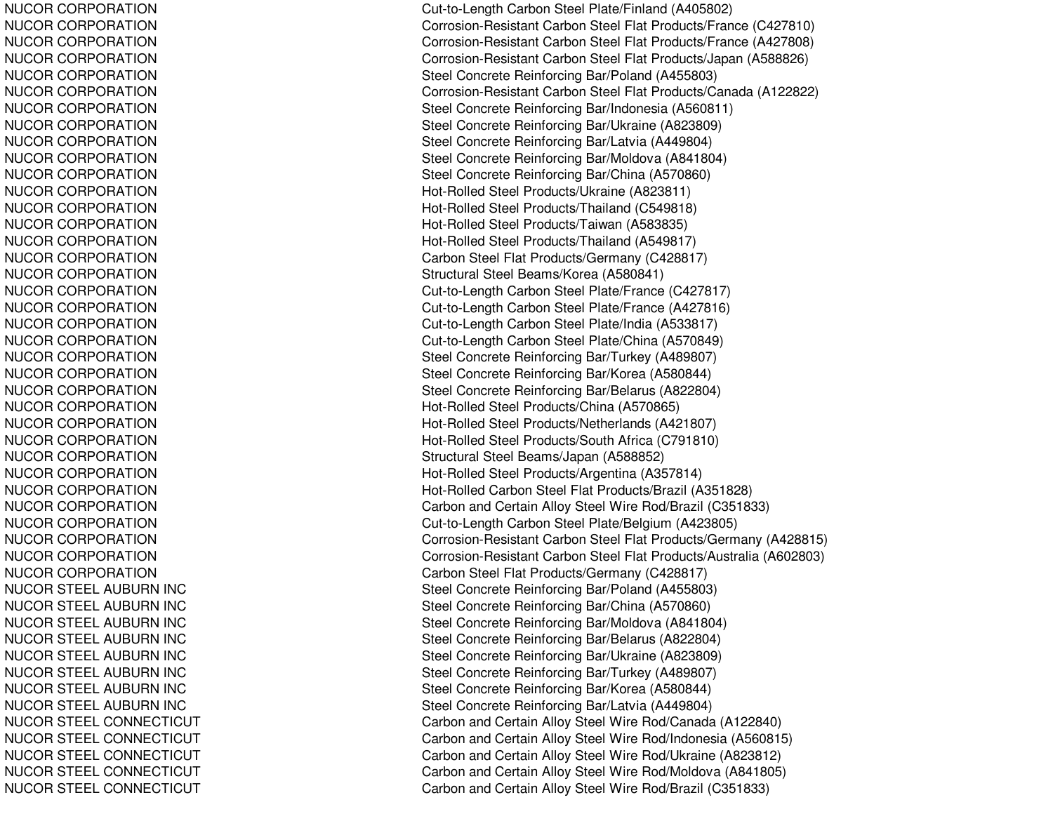NUCOR CORPORATION NUCOR CORPORATION NUCOR CORPORATION NUCOR CORPORATION NUCOR CORPORATION NUCOR CORPORATION NUCOR CORPORATION NUCOR CORPORATION N U C OR C OR P OR A TION NUCOR CORPORATION NUCOR CORPORATION NUCOR CORPORATION NUCOR CORPORATION NUCOR CORPORATION NUCOR CORPORATION NUCOR CORPORATION NUCOR CORPORATION NUCOR CORPORATION NUCOR CORPORATION NUCOR CORPORATION NUCOR CORPORATION NUCOR CORPORATION NUCOR CORPORATION NUCOR CORPORATION NUCOR CORPORATION NUCOR CORPORATION NUCOR CORPORATION NUCOR CORPORATION NUCOR CORPORATION NUCOR CORPORATION NUCOR CORPORATION NUCOR CORPORATION NUCOR CORPORATION N U C OR C OR P OR A TION NUCOR CORPORATION NUCOR STEEL AUBURN INC NUCOR STEEL AUBURN INC NUCOR STEEL AUBURN INC NUCOR STEEL AUBURN INC NUCOR STEEL AUBURN INC NUCOR STEEL AUBURN INC NUCOR STEEL AUBURN INC NUCOR STEEL AUBURN INC NUCOR STEEL CONNECTICUT NUCOR STEEL CONNECTICUT NUCOR STEEL CONNECTICUT NUCOR STEEL CONNECTICUT NUCOR STEEL CONNECTICUT Cut-to-Length Carbon Steel Plate/Finland (A405802) Corrosion-Resistant Carbon Ste el Flat Products/France (C 427810) Corrosion-Resistant Carbon Steel Flat Products/France (A427808) Corrosion-Resistant Carbon Steel Flat Products/Japan (A588826) Steel Concrete Reinforcing Bar/Poland (A455803) Corrosion-Resistant Carbon Steel Flat Products/Canada (A122822) Steel Concrete Reinforcing Bar/Indonesia (A560811) Steel Concrete Reinforcing Bar/Ukraine (A823809) Steel Concrete Reinforcing Bar/Latvia (A449804) Steel Concrete Reinforcing Bar/Moldova (A841804) Steel Concrete Reinforcing Bar/China (A570860) Hot-Rolled Steel Products/Ukraine (A823811) Hot-Rolled Steel Products/Thailand (C549818) Hot-Rolled Steel Products/Taiwan (A583835) Hot-Rolled Steel Products/Thailand (A549817) Carbon Steel Flat Products/Germany (C428817) Structural Ste el Be a ms/Kore a (A 5 8 0 8 41) Cut-to-Length Carbon Steel Plate/France (C427817) Cut-to-Length C arbon Ste el Plate/France (A 427816) Cut-to-Length Carbon Steel Plate/India (A533817) Cut-to-Length Carbon Steel Plate/China (A570849) Steel Concrete Reinforcing Bar/Turkey (A489807) Steel Concrete Reinforcing Bar/Korea (A580844) Steel Concrete Reinforcing Bar/Belarus (A822804) Hot-Rolled Steel Products/China (A570865) Hot-Rolled Steel Products/Netherlands (A421807) H ot-R olle d Ste el Pro ducts/S outh Africa (C 7 91810) Structural Steel Beams/Japan (A588852) H ot-R olle d Ste el Pro ducts/Arg entina (A 3 5 7 814) Hot-Rolled Carbon Steel Flat Products/Brazil (A351828) Carbon and Certain Alloy Steel Wire Rod/Brazil (C351833) Cut-to-Length Carbon Steel Plate/Belgium (A423805) Corrosion-Resistant Carbon Steel Flat Products/Germany (A428815) Corrosion-Resistant Carbon Steel Flat Products/Australia (A602803) Carbon Steel Flat Products/Germany (C428817) Steel Concrete Reinforcing Bar/Poland (A455803) Steel Concrete Reinforcing Bar/China (A570860) Steel Concrete Reinforcing Bar/Moldova (A841804) Steel Concrete Reinforcing Bar/Belarus (A822804) Steel Concrete Reinforcing Bar/Ukraine (A823809) Steel Concrete Reinforcing Bar/Turkey (A489807) Ste el Concrete Reinforcing Bar/Kore a (A 5 8 0 8 4 4) Steel Concrete Reinforcing Bar/Latvia (A449804) Carbon and Certain Alloy Steel Wire Rod/Canada (A122840) Carb on and Certain Allo y Ste el Wire Ro d/Ind onesia (A 5 6 0 815) Carbon and Certain Alloy Steel Wire Rod/Ukraine (A823812) Carbon and Certain Alloy Steel Wire Rod/Moldova (A841805) Carbon and Certain Alloy Steel Wire Rod/Brazil (C351833)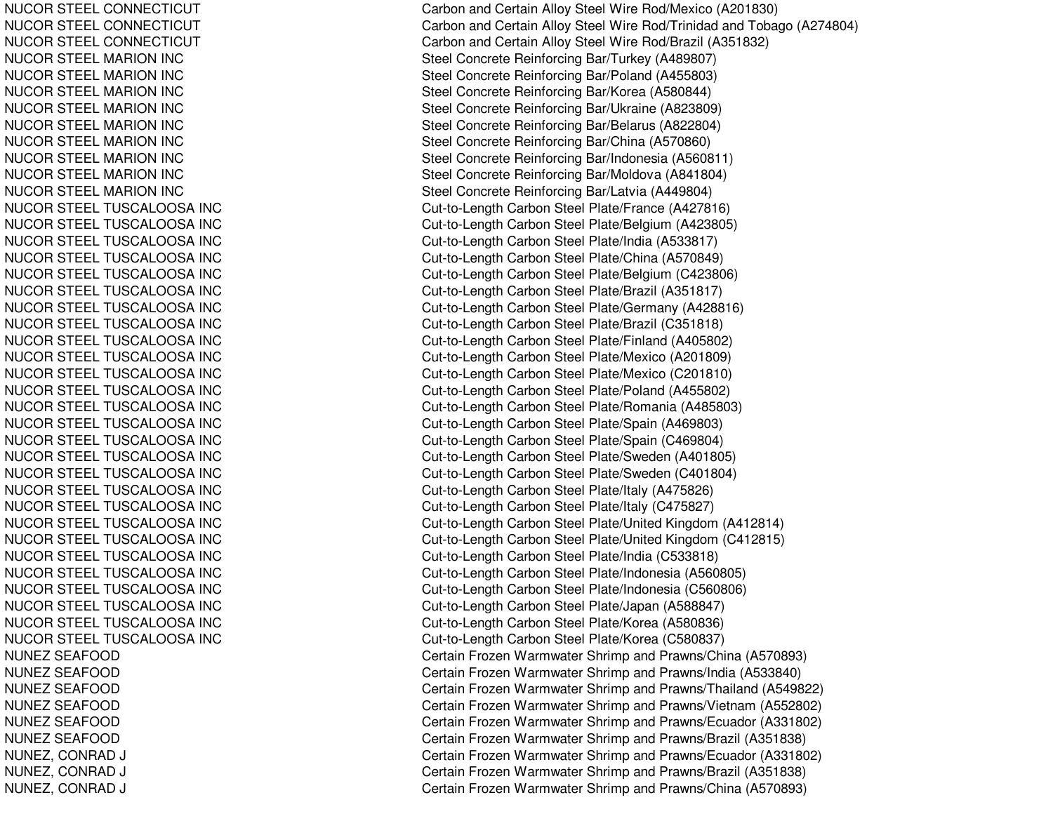NUCOR STEEL CONNECTICUT NUCOR STEEL CONNECTICUT NUCOR STEEL CONNECTICUT NUCOR STEEL MARION INC NUCOR STEEL MARION INC NUCOR STEEL MARION INC NUCOR STEEL MARION INC NUCOR STEEL MARION INC NUCOR STEEL MARION INC NUCOR STEEL MARION INC NUCOR STEEL MARION INC NUCOR STEEL MARION INC NUCOR STEEL TUSCALOOSA INC NUCOR STEEL TUSCALOOSA INC NUCOR STEEL TUSCALOOSA INC NUCOR STEEL TUSCALOOSA INC NUCOR STEEL TUSCALOOSA INC NUCOR STEEL TUSCALOOSA INC NUCOR STEEL TUSCALOOSA INC NUCOR STEEL TUSCALOOSA INC NUCOR STEEL TUSCALOOSA INC NUCOR STEEL TUSCALOOSA INC NUCOR STEEL TUSCALOOSA INC NUCOR STEEL TUSCALOOSA INC NUCOR STEEL TUSCALOOSA INC NUCOR STEEL TUSCALOOSA INC NUCOR STEEL TUSCALOOSA INC NUCOR STEEL TUSCALOOSA INC NUCOR STEEL TUSCALOOSA INC NUCOR STEEL TUSCALOOSA INC NUCOR STEEL TUSCALOOSA INC NUCOR STEEL TUSCALOOSA INC NUCOR STEEL TUSCALOOSA INC NUCOR STEEL TUSCALOOSA INC NUCOR STEEL TUSCALOOSA INC NUCOR STEEL TUSCALOOSA INC NUCOR STEEL TUSCALOOSA INC NUCOR STEEL TUSCALOOSA INC NUCOR STEEL TUSCALOOSA INC NUNEZ SEAFOOD NUNEZ SEAFOOD NUNEZ SEAF OODNUNEZ SEAFOOD NUNEZ SEAFOOD NUNEZ SEAFOOD NUNEZ, CONRAD DJ COMERCIAL COMMUNICATION COMMUNICATION COMMUNICATION COMMUNICATION COMMUNICATION COMMUNICATION COMMUNICATION NUNEZ, C ONRADDJ COMERCIAL COMMUNICATION COMMUNICATION COMMUNICATION COMMUNICATION COMMUNICATION COMMUNICATION COMMUNICATION NUNEZ, CONRAD DJ COMERCIAL COMMUNICATIONS COMMUNICATIONS CONTINUES.

Carbon and Certain Alloy Steel Wire Rod/Mexico (A201830) Carbon and Certain Alloy Steel Wire Rod/Trinidad and Tobago (A274804) Carbon and Certain Alloy Steel Wire Rod/Brazil (A351832) Steel Concrete Reinforcing Bar/Turkey (A489807) Steel Concrete Reinforcing Bar/Poland (A455803) Steel Concrete Reinforcing Bar/Korea (A580844) Steel Concrete Reinforcing Bar/Ukraine (A823809) Steel Concrete Reinforcing Bar/Belarus (A822804) Steel Concrete Reinforcing Bar/China (A570860) Steel Concrete Reinforcing Bar/Indonesia (A560811) Steel Concrete Reinforcing Bar/Moldova (A841804) Steel Concrete Reinforcing Bar/Latvia (A449804) Cut-to-Length Carbon Steel Plate/France (A427816) Cut-to-Length Carbon Steel Plate/Belgium (A423805) Cut-to-Length Carbon Steel Plate/India (A533817) Cut-to-Length Carbon Steel Plate/China (A570849) Cut-to-Length Carbon Steel Plate/Belgium (C423806) Cut-to-Length Carbon Steel Plate/Brazil (A351817) Cut-to-Length C arbon Ste el Plate/Germany (A 428816) Cut-to-Length Carbon Steel Plate/Brazil (C351818) Cut-to-Length Carbon Steel Plate/Finland (A405802) Cut-to-Length Carbon Steel Plate/Mexico (A201809) Cut-to-Length Carbon Steel Plate/Mexico (C201810) Cut-to-Length Carbon Steel Plate/Poland (A455802) Cut-to-Length Carbon Steel Plate/Romania (A485803) Cut-to-Length Carbon Steel Plate/Spain (A469803) Cut-to-Length Carbon Steel Plate/Spain (C469804) Cut-to-Length Carbon Steel Plate/Sweden (A401805) Cut-to-Length Carbon Steel Plate/Sweden (C401804) Cut-to-Length Carbon Steel Plate/Italy (A475826) Cut-to-Length Carbon Steel Plate/Italy (C475827) Cut-to-Length Carbon Steel Plate/United Kingdom (A412814) Cut-to-Length Carbon Steel Plate/United Kingdom (C412815) Cut-to-Length Carbon Steel Plate/India (C533818) Cut-to-Length Carbon Steel Plate/Indonesia (A560805) Cut-to-Length C arbon Ste el Plate/Indonesia (C 560806) Cut-to-Length Carbon Steel Plate/Japan (A588847) Cut-to-Length Carbon Steel Plate/Korea (A580836) Cut-to-Length Carbon Steel Plate/Korea (C580837) Certain Frozen Warmwater Shrimp and Prawns/China (A570893) Certain Frozen Warmwater Shrimp and Prawns/India (A533840) Certain Frozen Warmwater Shrimp and Prawns/Thailand (A549822) Certain Frozen Warmwater Shrimp and Prawns/Vietnam (A552802) Certain Frozen Warmwater Shrimp and Prawns/Ecuador (A331802) Certain Frozen Warmwater Shrimp and Prawns/Brazil (A351838) ertain Frozen Warmwater Shrimp and Prawns/Ecuador (A331802) ertain Frozen Warmwater Shrimp and Prawns/Brazil (A351838) ertain Frozen Warmwater Shrimp and Prawns/China (A570893)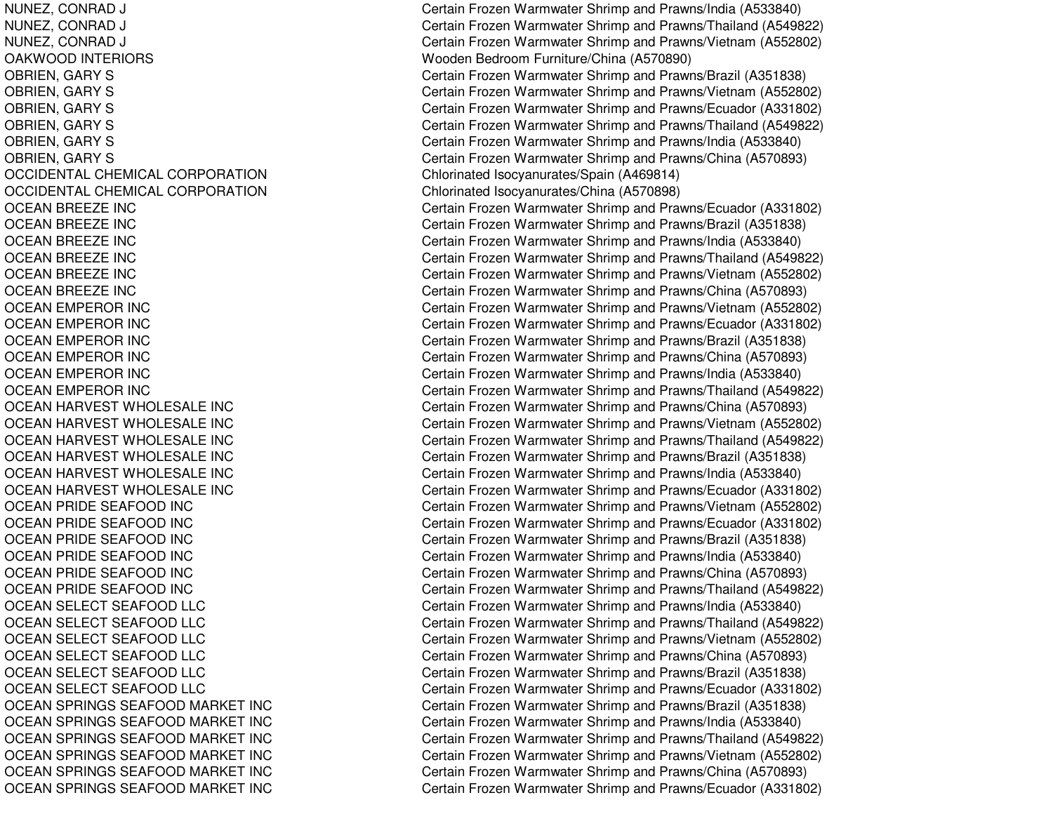OAKWOODOCCIDENTAL CHEMICAL CORPORATIONOCCIDENTAL CHEMICAL CORPORATION**OCEAN BREEZE INC OCEAN BREEZE INC** OCEAN BREEZE INC **OCEAN BREEZE INC** OCEAN BREEZE INC **OCEAN BREEZE INC OCEAN EMPEROR INC OCEAN EMPEROR INC** OCEAN EMPEROR INC **OCEAN EMPEROR INC OCEAN EMPEROR INC OCEAN EMPEROR INC** OCEAN HARVEST WHOLESALE INC OCEAN HARVEST WHOLESALE INC OCEAN HARVEST WHOLESALE INC OCEAN HARVEST WHOLESALE INC OCEAN HARVEST WHOLESALE INC OCEAN HARVEST WHOLESALE INC OCEAN PRIDE SEAFOOD INC OCEAN PRIDE SEAFOOD INC OCEAN PRIDE SEAFOOD INC OCEAN PRIDE SEAFOOD INC **OCEAN PRIDE SEAFOOD INC** OCEAN PRIDE SEAFOOD INC OCEAN SELECT SEAFOOD LLC OCEAN SELECT SEAFOOD LLC OCEAN SELECT SEAFOOD LLC OCEAN SELECT SEAFOOD LLC OCEAN SELECT SEAFOOD LLC OCEAN SELECT SEAFOOD LLC OCEAN SPRINGS SEAFOOD MARKET INC OCEAN SPRINGS SEAFOOD MARKET INC OCEAN SPRINGS SEAFOOD MARKET INC OCEAN SPRINGS SEAFOOD MARKET INC OCEAN SPRINGS SEAFOOD MARKET INC OCEAN SPRINGS SEAFOOD MARKET INC

NUNEZ, CONRAD J Certain Frozen Warmwater Shrimp and Prawns/India (A533840) NUNEZ, CONRAD J Certain Frozen Warmwater Shrimp and Prawns/Thailand (A549822) NUNEZ, CONRAD J Certain Frozen Warmwater Shrimp and Prawns/Vietnam (A552802) INTERIORS Wooden Bedroom Furniture/China (A570890) OBRIEN, GARY S Certain Frozen Warmwater Shrimp and Prawns/Brazil (A351838) OBRIEN, GARY S Certain Frozen Warmwater Shrimp and Prawns/Vietnam (A552802) OBRIEN, GARY S Certain Frozen Warmwater Shrimp and Prawns/Ecuador (A331802) OBRIEN, GARY S Certain Frozen Warmwater Shrimp and Prawns/Thailand (A549822) OBRIEN, GARY S Certain Frozen Warmwater Shrimp and Prawns/India (A533840) OBRIEN, GARY S Certain Frozen Warmwater Shrimp and Prawns/China (A570893) Chlorinated Isocyanurates/Spain (A469814) Chlorinated Isocyanurates/China (A570898) Certain Frozen Warmwater Shrimp and Prawns/Ecuador (A331802) Certain Frozen Warmwater Shrimp and Prawns/Brazil (A351838) Certain Frozen Warmwater Shrimp and Prawns/India (A533840) Certain Frozen Warmwater Shrimp and Prawns/Thailand (A549822) Certain Frozen Warmwater Shrimp and Prawns/Vietnam (A552802) Certain Frozen Warmwater Shrimp and Prawns/China (A570893) Certain Frozen Warmwater Shrimp and Prawns/Vietnam (A552802) Certain Frozen Warmwater Shrimp and Prawns/Ecuador (A331802) Certain Frozen Warmwater Shrimp and Prawns/Brazil (A351838) Certain Frozen Warmwater Shrimp and Prawns/China (A570893) Certain Frozen Warmwater Shrimp and Prawns/India (A533840) Certain Frozen Warmwater Shrimp and Prawns/Thailand (A549822) Certain Frozen Warmwater Shrimp and Prawns/China (A570893) Certain Frozen Warmwater Shrimp and Prawns/Vietnam (A552802) Certain Frozen Warmwater Shrimp and Prawns/Thailand (A549822) Certain Frozen Warmwater Shrimp and Prawns/Brazil (A351838) Certain Frozen Warmwater Shrimp and Prawns/India (A533840) Certain Frozen Warmwater Shrimp and Prawns/Ecuador (A331802) Certain Frozen Warmwater Shrimp and Prawns/Vietnam (A552802) Certain Frozen Warmwater Shrimp and Prawns/Ecuador (A331802) Certain Frozen Warmwater Shrimp and Prawns/Brazil (A351838) Certain Frozen Warmwater Shrimp and Prawns/India (A533840) Certain Frozen Warmwater Shrimp and Prawns/China (A570893) Certain Frozen Warmwater Shrimp and Prawns/Thailand (A549822) Certain Frozen Warmwater Shrimp and Prawns/India (A533840) Certain Frozen Warmwater Shrimp and Prawns/Thailand (A549822) Certain Frozen Warmwater Shrimp and Prawns/Vietnam (A552802) Certain Frozen Warmwater Shrimp and Prawns/China (A570893) Certain Frozen Warmwater Shrimp and Prawns/Brazil (A351838) Certain Frozen Warmwater Shrimp and Prawns/Ecuador (A331802) Certain Frozen Warmwater Shrimp and Prawns/Brazil (A351838) Certain Frozen Warmwater Shrimp and Prawns/India (A533840) Certain Frozen Warmwater Shrimp and Prawns/Thailand (A549822) Certain Frozen Warmwater Shrimp and Prawns/Vietnam (A552802) Certain Frozen Warmwater Shrimp and Prawns/China (A570893) Certain Frozen Warmwater Shrimp and Prawns/Ecuador (A331802)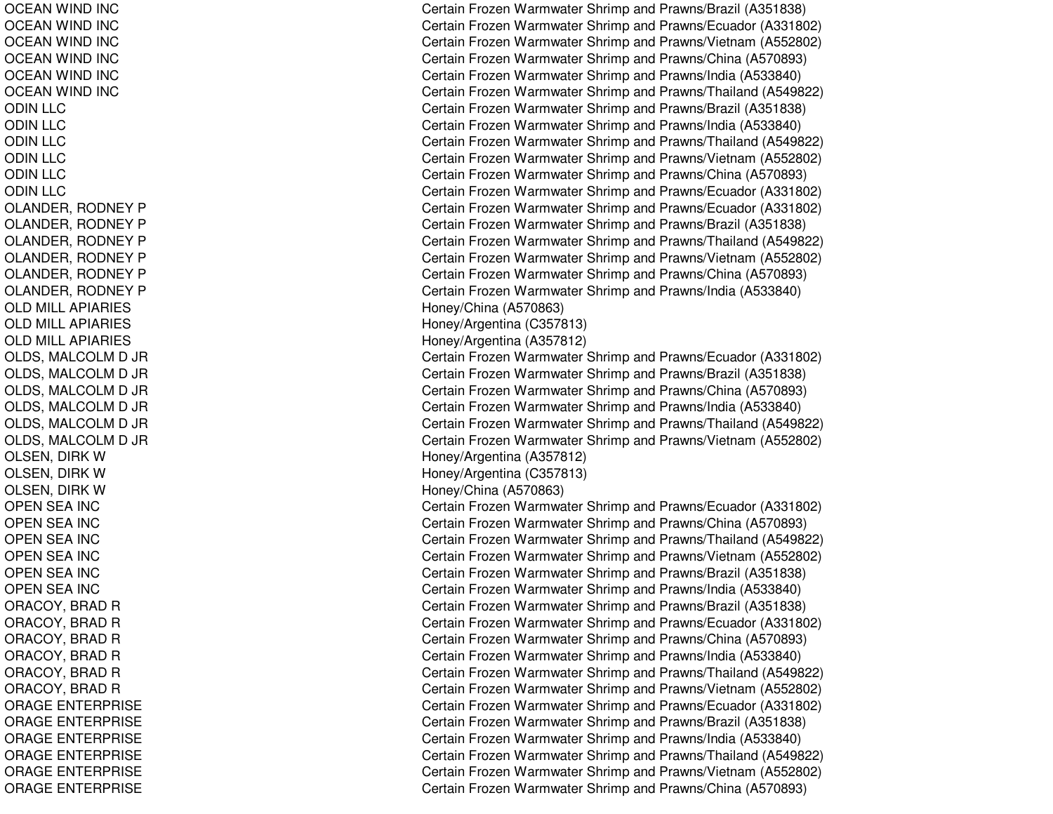OCEAN WIND INC OCEAN WIND INC OCEAN WIND INC OCEAN WIND INC OCEAN WIND INC OCEAN WIND INC ODINLLCODINLLCODIN L L C ODINLLCODINLLCODINLLCOLANDER, RODNEY P OLANDER, RODNEY P OLANDER, RODNEY P OLANDER, RODNEY P OLANDER, RODNEY P OLANDER, RODNEY P OLD MILL APIARIES OLD MILL APIARIES O L D MIL L A PIA RIE S OLDS, M ALCOLMD JR OLDS, MALCOLM D JR OLDS, M ALCOLMD JR OL DS, M AL COL MD JR OLDS, MALCOLM D JR OLDS, M ALCOLMD JR OLSEN, DIRK W O L S E N, DIR K WOLSEN, DIRK W OPEN SEA INC OPEN SEA INC OPEN SEA INC OPEN SEA INC OPEN SEA INC OPEN SEA INC ORACOY, BRAD R ORACOY, BRAD R ORACOY, B RADRORACOY, BRAD R ORACOY, B RADRORACOY, B RADRORAGE ENTERPRISE ORAGE ENTERPRISE ORAGE ENTERPRISE ORAGE ENTERPRISE ORAGE ENTERPRISE ORAGE ENTERPRISE

Certain Frozen Warmwater Shrimp and Prawns/Brazil (A351838) Certain Frozen Warmwater Shrimp and Prawns/Ecuador (A331802) Certain Frozen Warmwater Shrimp and Prawns/Vietnam (A552802) Certain Frozen Warmwater Shrimp and Prawns/China (A570893) Certain Frozen Warmwater Shrimp and Prawns/India (A533840) Certain Frozen Warmwater Shrimp and Prawns/Thailand (A549822) Certain Frozen Warmwater Shrimp and Prawns/Brazil (A351838) Certain Frozen Warmwater Shrimp and Prawns/India (A533840) Certain Frozen Warmwater Shrimp and Prawns/Thailand (A549822) Certain Frozen Warmwater Shrimp and Prawns/Vietnam (A552802) Certain Frozen Warmwater Shrimp and Prawns/China (A570893) Certain Frozen Warmwater Shrimp and Prawns/Ecuador (A331802) Certain Frozen Warmwater Shrimp and Prawns/Ecuador (A331802) Certain Frozen Warmwater Shrimp and Prawns/Brazil (A351838) Certain Frozen Warmwater Shrimp and Prawns/Thailand (A549822) Certain Frozen Warmwater Shrimp and Prawns/Vietnam (A552802) Certain Frozen Warmwater Shrimp and Prawns/China (A570893) Certain Frozen Warmwater Shrimp and Prawns/India (A533840) Honey/China (A 570863) Hone y/Arg entina (C 3 5 7 813) H one y/Arg entina (A 3 5 7 812) Certain Frozen Warmwater Shrimp and Prawns/Ecuador (A331802) Certain Frozen Warmwater Shrimp and Prawns/Brazil (A351838) Certain Frozen Warmwater Shrimp and Prawns/China (A570893) Certain Frozen Warmwater Shrimp and Pra wns/India (A 5 3 3 8 4 0) Certain Frozen Warmwater Shrimp and Prawns/Thailand (A549822) Certain Frozen Warmwater Shrimp and Prawns/Vietnam (A552802) Hone y/Arg entina (A 3 5 7 812) H one y/Arg entina (C 3 5 7 813) Honey/China (A 570863) Certain Frozen Warmwater Shrimp and Prawns/Ecuador (A331802) Certain Frozen Warmwater Shrimp and Prawns/China (A570893) Certain Frozen Warmwater Shrimp and Prawns/Thailand (A549822) Certain Frozen Warmwater Shrimp and Prawns/Vietnam (A552802) C ertain Frozen W arm w ater Shrim p and Pra wns/Brazil (A 3 518 3 8) Certain Frozen Warmwater Shrimp and Prawns/India (A533840) Certain Frozen Warmwater Shrimp and Prawns/Brazil (A351838) Certain Frozen Warmwater Shrimp and Prawns/Ecuador (A331802) Certain Frozen Warmwater Shrimp and Prawns/China (A570893) Certain Frozen Warmwater Shrimp and Prawns/India (A533840) Certain Frozen Warmwater Shrimp and Prawns/Thailand (A549822) Certain Frozen Warmwater Shrimp and Prawns/Vietnam (A552802) Certain Frozen Warmwater Shrimp and Prawns/Ecuador (A331802) Certain Frozen Warmwater Shrimp and Prawns/Brazil (A351838) Certain Frozen Warmwater Shrimp and Pra wns/India (A 5 3 3 8 4 0) Certain Frozen Warmwater Shrimp and Prawns/Thailand (A549822) Certain Frozen Warmwater Shrimp and Prawns/Vietnam (A552802) Certain Frozen Warmwater Shrimp and Prawns/China (A570893)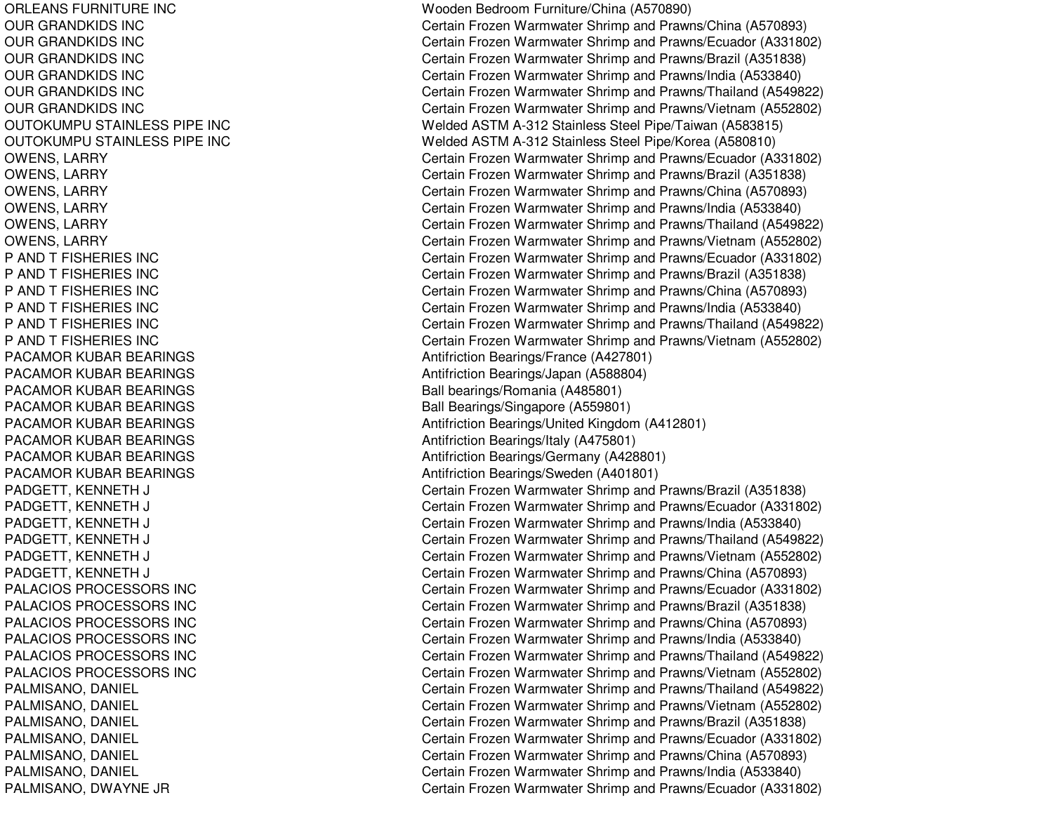ORLEANS FURNITURE INC OURGRANDKIDS INCOURGRANDKIDS INCOUR GRANDKIDS INC OURGRANDKIDS INCOURGRANDKIDS INCOURGRANDKIDS INCOUTOKUMPU STAINLESS PIPE INC OUTOKUMPU STAINLESS PIPE INC OWENS, LARRY OWENS, L ARRYOWENS, LARRY OWENS, L ARRYOWENS, LARRY OWENS, LARRY P AND T FISHERIES INC P AND T FISHERIES INC P AND T FISHERIES INC P AND T FISHERIES INC P AND T FISHERIES INC P AND T FISHERIES INC PACAMOR KUBAR BEARINGS PACAMOR KUBAR BEARINGS PACAMOR KUBAR BEARINGS PACAMOR KUBAR BEARINGS PACAMOR KUBAR BEARINGS PACAMOR KUBAR BEARINGS PACAMOR KUBAR BEARINGS PACAMOR KUBAR BEARINGS PADGETT, K ENNETH J C PADGETT, KENNETH J C PADGETT, KENNETH J C PADGETT, KENNETH J C PADGETT, KENNETH J C PADGETT, KENNETH J C PALACIOS PROCESSORS INC PALACIOS PROCESSORS INC PALACIOS PROCESSORS INC PAL ACIOSPROCESSORS INCPALACIOS PROCESSORS INC PALACIOS PROCESSORS INC PAL MISANO, D ANIEL PALMISANO, DANIEL PALMISANO, DANIEL PALMISANO, DANIEL PALMISANO, DANIEL PALMISANO, D ANIELP A L MIS A N O, D WA Y N E JR

Wooden Bedroom Furniture/China (A570890) Certain Frozen Warmwater Shrimp and Prawns/China (A570893) Certain Frozen Warmwater Shrimp and Prawns/Ecuador (A331802) Certain Frozen Warmwater Shrimp and Prawns/Brazil (A351838) Certain Frozen Warmwater Shrimp and Prawns/India (A533840) Certain Frozen Warmwater Shrimp and Prawns/Thailand (A549822) Certain Frozen Warmwater Shrimp and Prawns/Vietnam (A552802) Welded ASTM A-312 Stainless Steel Pipe/Taiwan (A583815) Welded ASTM A-312 Stainless Steel Pipe/Korea (A580810) Certain Frozen Warmwater Shrimp and Prawns/Ecuador (A331802) Certain Frozen Warmwater Shrimp and Prawns/Brazil (A351838) Certain Frozen Warmwater Shrimp and Prawns/China (A570893) Certain Frozen Warmwater Shrimp and Prawns/India (A533840) Certain Frozen Warmwater Shrimp and Prawns/Thailand (A549822) Certain Frozen Warmwater Shrimp and Prawns/Vietnam (A552802) Certain Frozen Warmwater Shrimp and Prawns/Ecuador (A331802) Certain Frozen Warmwater Shrimp and Prawns/Brazil (A351838) Certain Frozen Warmwater Shrimp and Prawns/China (A570893) Certain Frozen Warmwater Shrimp and Prawns/India (A533840) Certain Frozen Warmwater Shrimp and Prawns/Thailand (A549822) Certain Frozen Warmwater Shrimp and Prawns/Vietnam (A552802) Antifriction B e arings/France (A 4 2 7 8 01) Antifriction Bearings/Japan (A588804) Ball bearings/Romania (A485801) Ball Bearings/Singapore (A559801) Antifriction Bearings/United Kingdom (A412801) Antifriction B e arings/Italy (A 4 7 5 8 01) Antifriction Be arings/G ermany (A 4 2 8 8 01) Antifriction Bearings/Sweden (A401801) ertain Frozen Warmwater Shrimp and Prawns/Brazil (A351838) ertain Frozen Warmwater Shrimp and Prawns/Ecuador (A331802) ertain Frozen Warmwater Shrimp and Prawns/India (A533840) ertain Frozen Warmwater Shrimp and Prawns/Thailand (A549822) ertain Frozen Warmwater Shrimp and Prawns/Vietnam (A552802) ertain Frozen Warmwater Shrimp and Prawns/China (A570893) Certain Frozen Warmwater Shrimp and Prawns/Ecuador (A331802) Certain Frozen Warmwater Shrimp and Prawns/Brazil (A351838) Certain Frozen Warmwater Shrimp and Prawns/China (A570893) Certain Frozen Warmwater Shrimp and Prawns/India (A533840) Certain Frozen Warmwater Shrimp and Prawns/Thailand (A549822) Certain Frozen Warmwater Shrimp and Prawns/Vietnam (A552802) Certain Frozen Warmwater Shrimp and Prawns/Thailand (A549822) Certain Frozen Warmwater Shrimp and Prawns/Vietnam (A552802) Certain Frozen Warmwater Shrimp and Prawns/Brazil (A351838) Certain Frozen Warmwater Shrimp and Prawns/Ecuador (A331802) Certain Frozen Warmwater Shrimp and Prawns/China (A570893) Certain Frozen Warmwater Shrimp and Prawns/India (A533840) Certain Frozen Warmwater Shrimp and Prawns/Ecuador (A331802)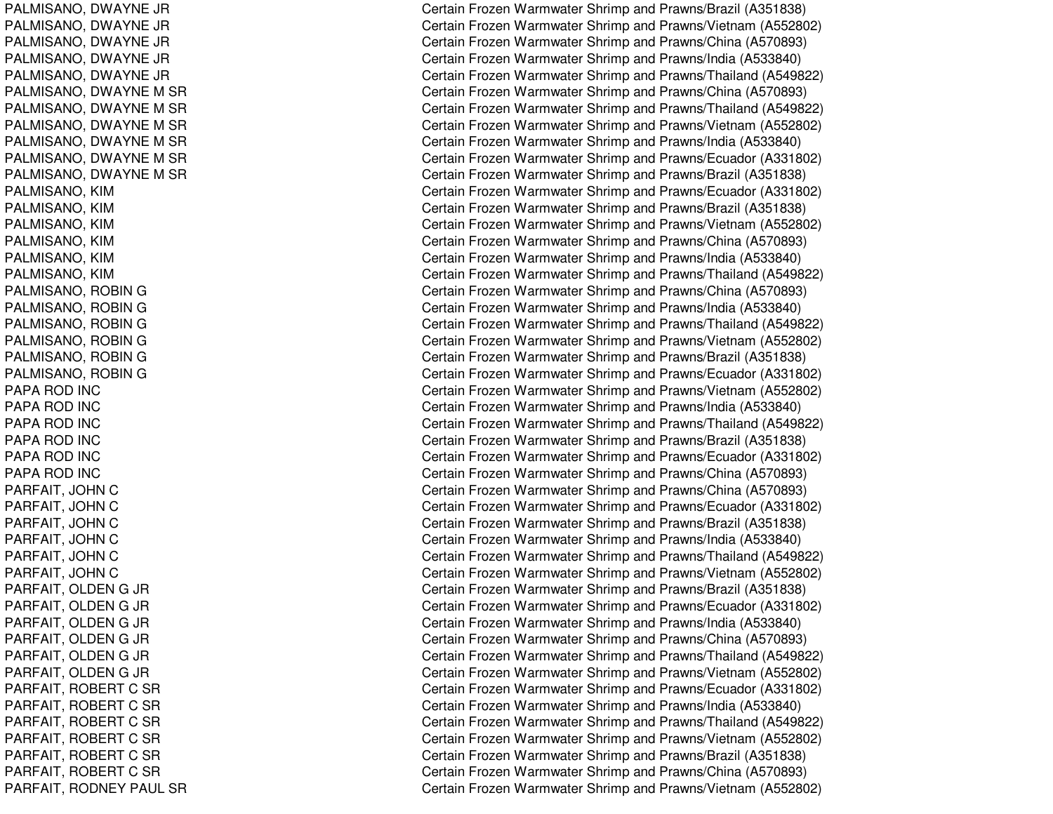PALMISANO, D WAYNE JRPALMISANO, D WAYNE JRPAL MISANO, D WAYNE JRP A L MIS A N O, D WA Y N E JR PALMISANO, D WAYNE JRPALMISANO, DWAYNE M SR PALMISANO, DWAYNE M SR PALMISANO, D WAYNEMSRPALMISANO, DWAYNE M SR PALMISANO, DWAYNE M SR PALMISANO, D WAYNEMSRP A L MIS A N O, KIM PALMISANO, KIM PAL MISANO, KIM P A L MIS A N O, KIM PALMISANO, KIM PAL MISANO, KIM PALMISANO, ROBIN G PALMISANO, R OBINGPALMISANO, ROBIN G PALMISANO, ROBIN G PALMISANO, R OBINGPALMISANO, ROBIN G PAPA ROD INC PAPA ROD INC PAPA ROD INC PAPA ROD INC PAPA ROD INC PAPA ROD INC PARFAIT, JO HNCPARFAIT, JOHN C PARFAIT, JOHN C PARFAIT, JOHN C PARFAIT, JOHN C PARFAIT, JOHN C PARFAIT, O LDENG JR PARFAIT, OLDEN G JR PARFAIT, OLDEN G JR PARFAIT, O L DENG JR PARFAIT, OLDEN G JR PARFAIT, O LDENG JR PARF AIT, R OBERT CSRPARFAIT, ROBERT C SR PARFAIT, ROBERT C SR PARFAIT, ROBERT C SR PARFAIT, ROBERT C SR PARFAIT, ROBERT C SR PARFAIT, RODNEY PAUL SR Certain Frozen Warmwater Shrimp and Prawns/Brazil (A351838) Certain Frozen Warmwater Shrimp and Prawns/Vietnam (A552802) Certain Frozen Warmwater Shrimp and Prawns/China (A570893) Certain Frozen Warmwater Shrimp and Prawns/India (A533840) Certain Frozen Warmwater Shrimp and Prawns/Thailand (A549822) Certain Frozen Warmwater Shrimp and Prawns/China (A570893) Certain Frozen Warmwater Shrimp and Prawns/Thailand (A549822) Certain Frozen Warmwater Shrimp and Prawns/Vietnam (A552802) Certain Frozen Warmwater Shrimp and Prawns/India (A533840) Certain Frozen Warmwater Shrimp and Prawns/Ecuador (A331802) Certain Frozen Warmwater Shrimp and Prawns/Brazil (A351838) Certain Frozen Warmwater Shrimp and Prawns/Ecuador (A331802) Certain Frozen Warmwater Shrimp and Prawns/Brazil (A351838) Certain Frozen Warmwater Shrimp and Prawns/Vietnam (A552802) Certain Frozen Warmwater Shrimp and Prawns/China (A570893) Certain Frozen Warmwater Shrimp and Prawns/India (A533840) Certain Frozen Warmwater Shrimp and Prawns/Thailand (A549822) Certain Frozen Warmwater Shrimp and Prawns/China (A570893) Certain Frozen Warmwater Shrimp and Prawns/India (A533840) Certain Frozen Warmwater Shrimp and Prawns/Thailand (A549822) Certain Frozen Warmwater Shrimp and Prawns/Vietnam (A552802) Certain Frozen Warmwater Shrimp and Prawns/Brazil (A351838) Certain Frozen Warmwater Shrimp and Prawns/Ecuador (A331802) Certain Frozen Warmwater Shrimp and Prawns/Vietnam (A552802) Certain Frozen Warmwater Shrimp and Pra wns/India (A 5 3 3 8 4 0) Certain Frozen Warmwater Shrimp and Prawns/Thailand (A549822) Certain Frozen Warmwater Shrimp and Prawns/Brazil (A351838) Certain Frozen Warmwater Shrimp and Prawns/Ecuador (A331802) Certain Frozen Warmwater Shrimp and Prawns/China (A570893) Certain Frozen Warmwater Shrimp and Prawns/China (A570893) Certain Frozen Warmwater Shrimp and Prawns/Ecuador (A331802) Certain Frozen Warmwater Shrimp and Prawns/Brazil (A351838) Certain Frozen Warmwater Shrimp and Prawns/India (A533840) Certain Frozen Warmwater Shrimp and Prawns/Thailand (A549822) Certain Frozen Warmwater Shrimp and Prawns/Vietnam (A552802) Certain Frozen Warmwater Shrimp and Prawns/Brazil (A351838) Certain Frozen Warmwater Shrimp and Prawns/Ecuador (A331802) Certain Frozen Warmwater Shrimp and Prawns/India (A533840) Certain Frozen Warmwater Shrimp and Prawns/China (A570893) Certain Frozen Warmwater Shrimp and Prawns/Thailand (A549822) Certain Frozen Warmwater Shrimp and Prawns/Vietnam (A552802) Certain Frozen Warmwater Shrimp and Prawns/Ecuador (A331802) Certain Frozen Warmwater Shrimp and Prawns/India (A533840) Certain Frozen Warmwater Shrimp and Prawns/Thailand (A549822) Certain Frozen Warmwater Shrimp and Prawns/Vietnam (A552802) C ertain Frozen W arm w ater Shrim p and Pra wns/Brazil (A 3 518 3 8) Certain Frozen Warmwater Shrimp and Prawns/China (A570893) Certain Frozen Warmwater Shrimp and Prawns/Vietnam (A552802)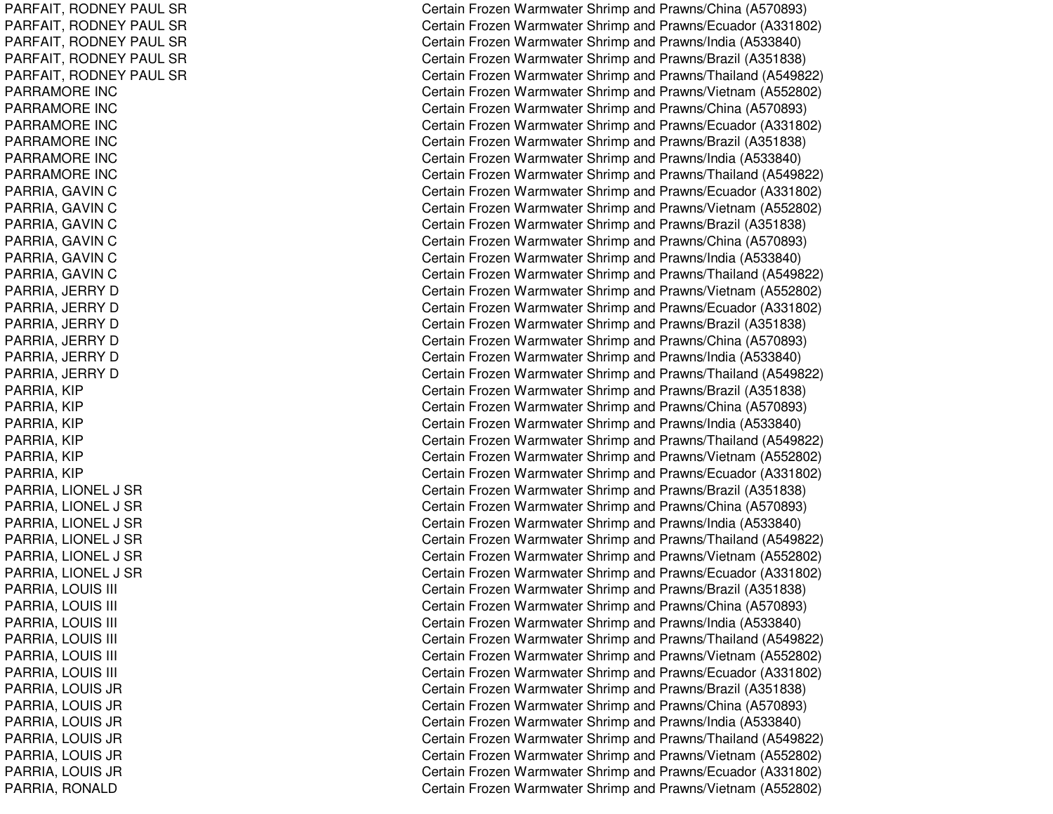PARFAIT, R ODNEYPAULSRPARFAIT, R ODNEYPAULSRPARF AIT, R ODNEYPAUL SRPARFAIT, RODNEY PAUL SR PARFAIT, R ODNEYPAULSRPARRAMORE INCPARRAMORE INCPARRAMORE INCPARRAMORE INC PARRAMORE INCPARRAMORE INCPARRIA, GAVIN C PARRIA, G AVINCPARRIA, G AVINCPARRIA, GAVIN C PARRIA, GAVIN C PARRIA, G AVINCPARRIA, JERRY D PARRIA, JE RRYDPARRIA, JERRY D PARRIA, JERRY D PARRIA, JERRY D PARRIA, JERRY D PARRIA, KIP PARRIA, KIP P A R RIA, KIP PARRIA, KIP PARRIA, KIP P A R RIA, KIP PARRIA, LIO NEL J SRP A RRIA, LIO NE L J S RPARRIA, LIONEL J SR P A R RIA, LIO N E L J S R PARRIA, LIONEL J SR PARRIA, LIONEL J SR PARRIA, LOUIS SIII C P A R RIA, L O UISSIII C P A R RIA, L O UISSIII C PARRIA, LOUIS SIII C PARRIA, LOUIS SIII C PARRIA, L OUISSIII C PARRIA, L OUIS JRP A R RIA, L O UIS JR PARRIA, L OUIS JRP A RRIA, L OUIS JRP A R RIA, L O UIS JR PARRIA, L OUIS JRPARRIA, RONALD

Certain Frozen Warmwater Shrimp and Prawns/China (A570893) Certain Frozen Warmwater Shrimp and Prawns/Ecuador (A331802) Certain Frozen Warmwater Shrimp and Prawns/India (A533840) Certain Frozen Warmwater Shrimp and Prawns/Brazil (A351838) Certain Frozen Warmwater Shrimp and Prawns/Thailand (A549822) Certain Frozen Warmwater Shrimp and Prawns/Vietnam (A552802) Certain Frozen Warmwater Shrimp and Prawns/China (A570893) Certain Frozen Warmwater Shrimp and Prawns/Ecuador (A331802) Certain Frozen Warmwater Shrimp and Prawns/Brazil (A351838) Certain Frozen Warmwater Shrimp and Prawns/India (A533840) Certain Frozen Warmwater Shrimp and Prawns/Thailand (A549822) Certain Frozen Warmwater Shrimp and Prawns/Ecuador (A331802) Certain Frozen Warmwater Shrimp and Prawns/Vietnam (A552802) Certain Frozen Warmwater Shrimp and Prawns/Brazil (A351838) Certain Frozen Warmwater Shrimp and Prawns/China (A570893) Certain Frozen Warmwater Shrimp and Prawns/India (A533840) Certain Frozen Warmwater Shrimp and Prawns/Thailand (A549822) Certain Frozen Warmwater Shrimp and Prawns/Vietnam (A552802) Certain Frozen Warmwater Shrimp and Prawns/Ecuador (A331802) Certain Frozen Warmwater Shrimp and Prawns/Brazil (A351838) Certain Frozen Warmwater Shrimp and Prawns/China (A570893) Certain Frozen Warmwater Shrimp and Prawns/India (A533840) Certain Frozen Warmwater Shrimp and Prawns/Thailand (A549822) Certain Frozen Warmwater Shrimp and Prawns/Brazil (A351838) Certain Frozen Warmwater Shrimp and Prawns/China (A570893) Certain Frozen Warmwater Shrimp and Prawns/India (A533840) Certain Frozen Warmwater Shrimp and Prawns/Thailand (A549822) Certain Frozen Warmwater Shrimp and Prawns/Vietnam (A552802) Certain Frozen Warmwater Shrimp and Prawns/Ecuador (A331802) Certain Frozen Warmwater Shrimp and Prawns/Brazil (A351838) Certain Frozen Warmwater Shrimp and Prawns/China (A570893) Certain Frozen Warmwater Shrimp and Prawns/India (A533840) Certain Frozen Warmwater Shrimp and Prawns/Thailand (A549822) Certain Frozen Warmwater Shrimp and Prawns/Vietnam (A552802) Certain Frozen Warmwater Shrimp and Prawns/Ecuador (A331802) ertain Frozen Warmwater Shrimp and Prawns/Brazil (A351838) Certain Frozen Warmwater Shrimp and Prawns/China (A570893) Certain Frozen Warmwater Shrimp and Prawns/India (A533840) Certain Frozen Warmwater Shrimp and Prawns/Thailand (A549822) Certain Frozen Warmwater Shrimp and Prawns/Vietnam (A552802) Certain Frozen Warmwater Shrimp and Prawns/Ecuador (A331802) Certain Frozen Warmwater Shrimp and Prawns/Brazil (A351838) Certain Frozen Warmwater Shrimp and Prawns/China (A570893) Certain Frozen Warmwater Shrimp and Prawns/India (A533840) Certain Frozen Warmwater Shrimp and Prawns/Thailand (A549822) Certain Frozen Warmwater Shrimp and Prawns/Vietnam (A552802) Certain Frozen Warmwater Shrimp and Prawns/Ecuador (A331802) Certain Frozen Warmwater Shrimp and Prawns/Vietnam (A552802)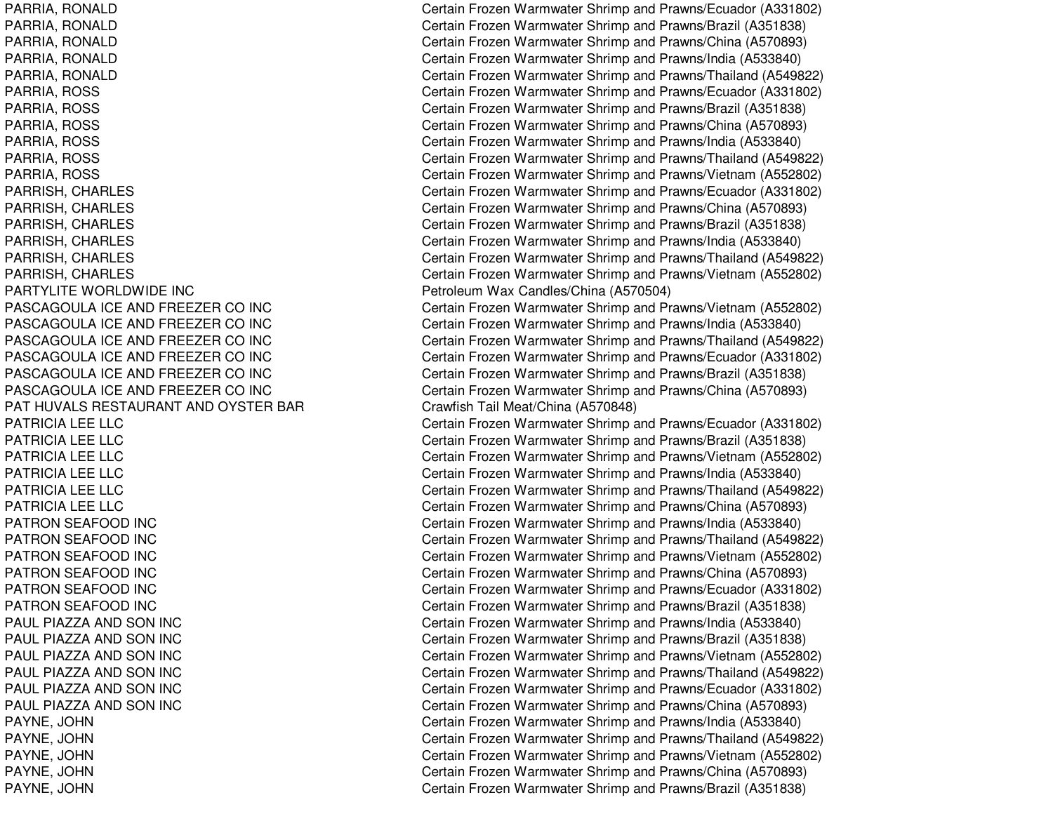PARTYLITE WORLDWIDE INCPASCAGOULA ICE AND FREEZER COPASCAGOULA ICE AND FREEZER COPASCAGOULA ICE AND FREEZER COPASCAGOULA ICE AND FREEZER COPASCAGOULA ICE AND FREEZER COPASCAGOULA ICE AND FREEZER COPAT HUVALS RESTAURANT ANDPATRICIA LEE LLCPATRICIA LEE LLCPATRICIA LEE LLCPATRICIA LEE LLCPATRICIA LEE LLCPATRICIA LEE LLCPATRON SEAFOOD INC PATRON SEAFOOD INC PATRON SEAFOOD INC PATRON SEAFOOD INC PATRON SEAFOOD INC PATRON SEAFOOD INC PAUL PIAZZA ANDPAUL PIAZZA ANDPAUL PIAZZA ANDPAUL PIAZZA ANDPAUL PIAZZA ANDPAUL PIAZZA AND

PARRIA, RONALD Certain Frozen Warmwater Shrimp and Prawns/Ecuador (A331802) PARRIA, RONALD Certain Frozen Warmwater Shrimp and Prawns/Brazil (A351838) PARRIA, RONALD Certain Frozen Warmwater Shrimp and Prawns/China (A570893) PARRIA, RONALD Certain Frozen Warmwater Shrimp and Prawns/India (A533840) PARRIA, RONALD Certain Frozen Warmwater Shrimp and Prawns/Thailand (A549822) PARRIA, ROSS Certain Frozen Warmwater Shrimp and Prawns/Ecuador (A331802) PARRIA, ROSS Certain Frozen Warmwater Shrimp and Prawns/Brazil (A351838) PARRIA, ROSS Certain Frozen Warmwater Shrimp and Prawns/China (A570893) PARRIA, ROSS Certain Frozen Warmwater Shrimp and Prawns/India (A533840) PARRIA, ROSS Certain Frozen Warmwater Shrimp and Prawns/Thailand (A549822) PARRIA, ROSS Certain Frozen Warmwater Shrimp and Prawns/Vietnam (A552802) PARRISH, CHARLES Certain Frozen Warmwater Shrimp and Prawns/Ecuador (A331802) PARRISH, CHARLES Certain Frozen Warmwater Shrimp and Prawns/China (A570893) PARRISH, CHARLES Certain Frozen Warmwater Shrimp and Prawns/Brazil (A351838) PARRISH, CHARLES Certain Frozen Warmwater Shrimp and Prawns/India (A533840) PARRISH, CHARLES Certain Frozen Warmwater Shrimp and Prawns/Thailand (A549822) PARRISH, CHARLES Certain Frozen Warmwater Shrimp and Prawns/Vietnam (A552802) Petroleum Wax Candles/China (A570504) Certain Frozen Warmwater Shrimp and Prawns/Vietnam (A552802) Certain Frozen Warmwater Shrimp and Prawns/India (A533840) Certain Frozen Warmwater Shrimp and Prawns/Thailand (A549822) Certain Frozen Warmwater Shrimp and Prawns/Ecuador (A331802) Certain Frozen Warmwater Shrimp and Prawns/Brazil (A351838) Certain Frozen Warmwater Shrimp and Prawns/China (A570893) Crawfish Tail Meat/China (A570848) Certain Frozen Warmwater Shrimp and Prawns/Ecuador (A331802) Certain Frozen Warmwater Shrimp and Prawns/Brazil (A351838) Certain Frozen Warmwater Shrimp and Prawns/Vietnam (A552802) Certain Frozen Warmwater Shrimp and Prawns/India (A533840) Certain Frozen Warmwater Shrimp and Prawns/Thailand (A549822) Certain Frozen Warmwater Shrimp and Prawns/China (A570893) Certain Frozen Warmwater Shrimp and Prawns/India (A533840) Certain Frozen Warmwater Shrimp and Prawns/Thailand (A549822) Certain Frozen Warmwater Shrimp and Prawns/Vietnam (A552802) Certain Frozen Warmwater Shrimp and Prawns/China (A570893) Certain Frozen Warmwater Shrimp and Prawns/Ecuador (A331802) Certain Frozen Warmwater Shrimp and Prawns/Brazil (A351838) Certain Frozen Warmwater Shrimp and Prawns/India (A533840) Certain Frozen Warmwater Shrimp and Prawns/Brazil (A351838) Certain Frozen Warmwater Shrimp and Prawns/Vietnam (A552802) Certain Frozen Warmwater Shrimp and Prawns/Thailand (A549822) Certain Frozen Warmwater Shrimp and Prawns/Ecuador (A331802) Certain Frozen Warmwater Shrimp and Prawns/China (A570893) PAYNE, JOHN Certain Frozen Warmwater Shrimp and Prawns/India (A533840) PAYNE, JOHN Certain Frozen Warmwater Shrimp and Prawns/Thailand (A549822) PAYNE, JOHN Certain Frozen Warmwater Shrimp and Prawns/Vietnam (A552802) PAYNE, JOHN Certain Frozen Warmwater Shrimp and Prawns/China (A570893) PAYNE, JOHN Certain Frozen Warmwater Shrimp and Prawns/Brazil (A351838)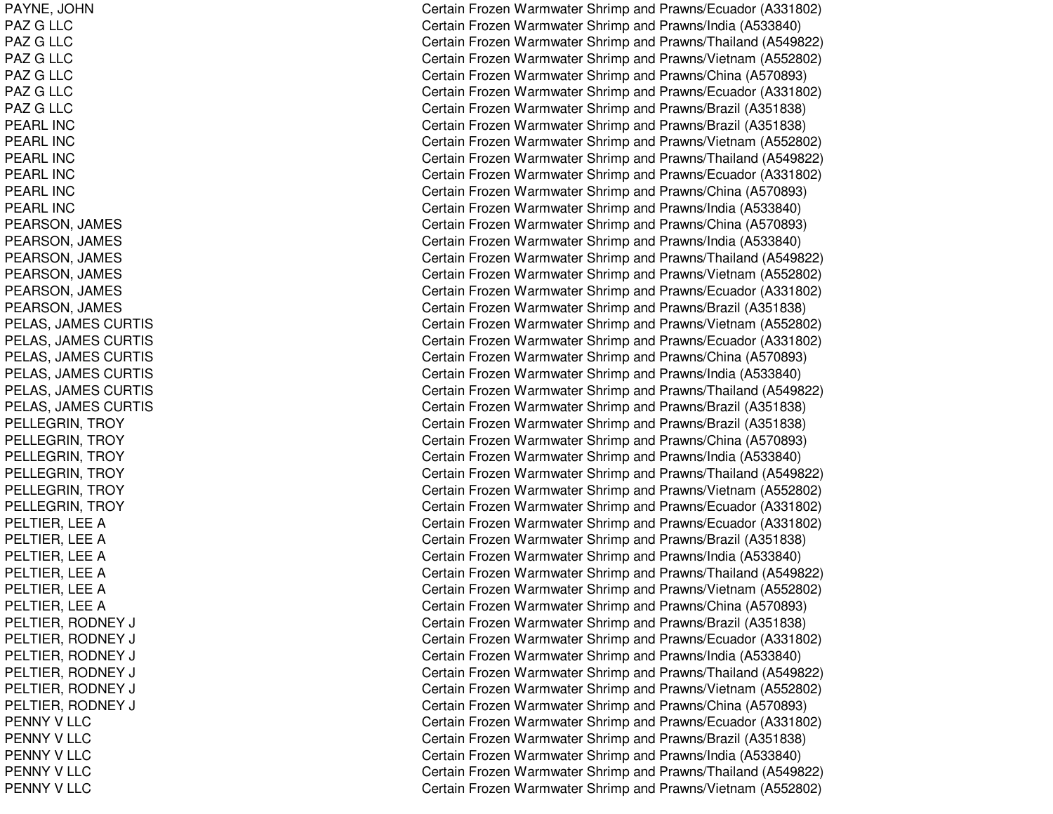PAYNE, JO HNPAZ G LLC PAZ GL L CPAZ G LLC PAZ G LLC PAZ G LLC PAZ G LLC PEARL INCPEARL INC PEARL INCPEARL INCPEARL INCPEARL INCPEARSON, JAMES PEARSON, JAMES PEARSON, JA MESPEARSON, JA MESPEARSON, JAMES PEARSON, JA MESP E L A S, JA ME S CURTIS PELAS, JAMES CURTIS PELAS, JAMES CURTIS PELAS, JAMES CURTIS PELAS, JA MESCURTISPEL AS, JA MESCURTISPELLEGRIN, TROY PELLEGRIN, T ROYPEL L EGRIN, T ROYP E L L E G RIN, T R O Y PELLEGRIN, T ROYP E L L E GRIN, T ROY PELTIER, LEE A PELTIER, LEE A PELTIER, LEE A PELTIER, LEE A PELTIER, L EEAPELTIER, LEE A PELTIER, RODNEY J CPEL TIER, R ODNEY J CPELTIER, RODNEY J CPELTIER, R ODNEY J CPEL TIER, R ODNEY J CPELTIER, RODNEY J CPENNY V LLC PENNY V LLC PENNY V LLC PENNY V LLC PENNY V LLC

Certain Frozen Warmwater Shrimp and Prawns/Ecuador (A331802) Certain Frozen Warmwater Shrimp and Prawns/India (A533840) Certain Frozen Warmwater Shrimp and Prawns/Thailand (A549822) Certain Frozen Warmwater Shrimp and Prawns/Vietnam (A552802) Certain Frozen Warmwater Shrimp and Prawns/China (A570893) Certain Frozen Warmwater Shrimp and Prawns/Ecuador (A331802) Certain Frozen Warmwater Shrimp and Prawns/Brazil (A351838) Certain Frozen Warmwater Shrimp and Prawns/Brazil (A351838) Certain Frozen Warmwater Shrimp and Prawns/Vietnam (A552802) Certain Frozen Warmwater Shrimp and Prawns/Thailand (A549822) Certain Frozen Warmwater Shrimp and Prawns/Ecuador (A331802) Certain Frozen Warmwater Shrimp and Prawns/China (A570893) Certain Frozen Warmwater Shrimp and Prawns/India (A533840) Certain Frozen Warmwater Shrimp and Prawns/China (A570893) Certain Frozen Warmwater Shrimp and Prawns/India (A533840) Certain Frozen Warmwater Shrimp and Prawns/Thailand (A549822) Certain Frozen Warmwater Shrimp and Prawns/Vietnam (A552802) Certain Frozen Warmwater Shrimp and Prawns/Ecuador (A331802) Certain Frozen Warmwater Shrimp and Prawns/Brazil (A351838) Certain Frozen Warmwater Shrimp and Prawns/Vietnam (A552802) Certain Frozen Warmwater Shrimp and Prawns/Ecuador (A331802) Certain Frozen Warmwater Shrimp and Prawns/China (A570893) Certain Frozen Warmwater Shrimp and Prawns/India (A533840) Certain Frozen Warmwater Shrimp and Prawns/Thailand (A549822) Certain Frozen Warmwater Shrimp and Prawns/Brazil (A351838) Certain Frozen Warmwater Shrimp and Prawns/Brazil (A351838) Certain Frozen Warmwater Shrimp and Prawns/China (A570893) Certain Frozen Warmwater Shrimp and Prawns/India (A533840) Certain Frozen Warmwater Shrimp and Prawns/Thailand (A549822) Certain Frozen Warmwater Shrimp and Prawns/Vietnam (A552802) Certain Frozen Warmwater Shrimp and Prawns/Ecuador (A331802) Certain Frozen Warmwater Shrimp and Prawns/Ecuador (A331802) Certain Frozen Warmwater Shrimp and Prawns/Brazil (A351838) Certain Frozen Warmwater Shrimp and Prawns/India (A533840) Certain Frozen Warmwater Shrimp and Prawns/Thailand (A549822) Certain Frozen Warmwater Shrimp and Prawns/Vietnam (A552802) Certain Frozen Warmwater Shrimp and Prawns/China (A570893) Certain Frozen Warmwater Shrimp and Prawns/Brazil (A351838) ertain Frozen Warmwater Shrimp and Prawns/Ecuador (A331802) Certain Frozen Warmwater Shrimp and Prawns/India (A533840) ertain Frozen Warmwater Shrimp and Prawns/Thailand (A549822) ertain Frozen Warmwater Shrimp and Prawns/Vietnam (A552802) Certain Frozen Warmwater Shrimp and Prawns/China (A570893) Certain Frozen Warmwater Shrimp and Prawns/Ecuador (A331802) Certain Frozen Warmwater Shrimp and Prawns/Brazil (A351838) Certain Frozen Warmwater Shrimp and Prawns/India (A533840) Certain Frozen Warmwater Shrimp and Prawns/Thailand (A549822) Certain Frozen Warmwater Shrimp and Prawns/Vietnam (A552802)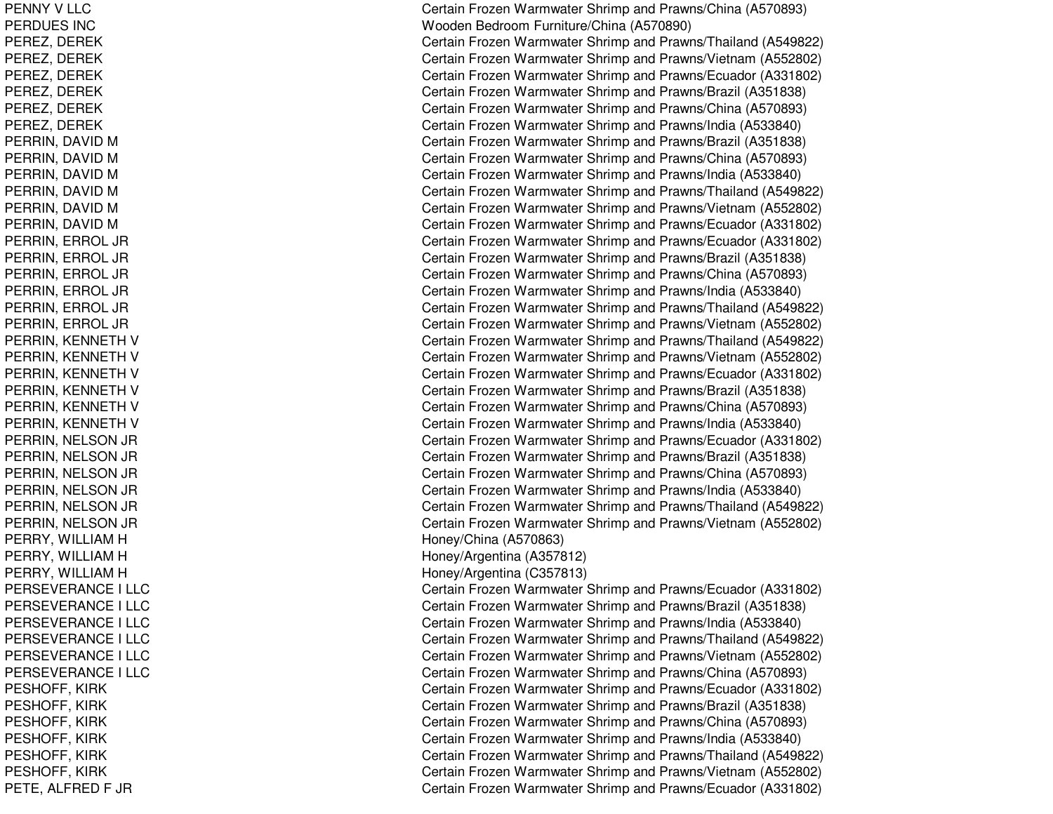PENNY V LLC PERDUES INCPEREZ, D EREKPEREZ, DEREK PEREZ, D EREKPEREZ, DEREK PEREZ, DEREK PEREZ, D EREKPERRIN, DAVID M PERRIN, DAVID M PERRIN, DAVID M PERRIN, DAVID M PERRIN, DAVID M PERRIN, DAVID M PERRIN, ERROL JR PERRIN, ERROL JR PERRIN, ERROL JR PERRIN, ERROL JR PERRIN, ERROL JR P E RRIN, E RROL JRPERRIN, KENNETH V PERRIN, KENNETH V PERRIN, KENNETH V PERRIN, KENNETH V PERRIN, KENNETH V PERRIN, KENNETH V PERRIN, N ELSON JR PERRIN, N EL SON JR PERRIN, NELSON JR PERRIN, N ELSON JR P E RRIN, N E L S ON JR PERRIN, NELSON JR PERRY, WILLIAM H PERRY, WILLIAM H PERRY, WILLIAM H PERSEVERANCE I L LCPERSEVERANCE I LLC PERSEVERANCE I L LCPERSEVERANCE I L L CPERSEVERANCE I L LCPERSEVERANCE I LLC PESHOF F, KIR KPESHOFF, KIRK PESHOFF, KIR KP E S HOF F, KIR K PESHOFF, KIRK PESHOFF, KIR KPETE, ALFRED F JR

Certain Frozen Warmwater Shrimp and Prawns/China (A570893) Wooden Bedroom Furniture/China (A570890) Certain Frozen Warmwater Shrimp and Prawns/Thailand (A549822) Certain Frozen Warmwater Shrimp and Prawns/Vietnam (A552802) Certain Frozen Warmwater Shrimp and Prawns/Ecuador (A331802) Certain Frozen Warmwater Shrimp and Prawns/Brazil (A351838) Certain Frozen Warmwater Shrimp and Prawns/China (A570893) Certain Frozen Warmwater Shrimp and Prawns/India (A533840) Certain Frozen Warmwater Shrimp and Prawns/Brazil (A351838) Certain Frozen Warmwater Shrimp and Prawns/China (A570893) Certain Frozen Warmwater Shrimp and Prawns/India (A533840) Certain Frozen Warmwater Shrimp and Prawns/Thailand (A549822) Certain Frozen Warmwater Shrimp and Prawns/Vietnam (A552802) Certain Frozen Warmwater Shrimp and Prawns/Ecuador (A331802) Certain Frozen Warmwater Shrimp and Prawns/Ecuador (A331802) Certain Frozen Warmwater Shrimp and Prawns/Brazil (A351838) Certain Frozen Warmwater Shrimp and Prawns/China (A570893) Certain Frozen Warmwater Shrimp and Prawns/India (A533840) Certain Frozen Warmwater Shrimp and Prawns/Thailand (A549822) Certain Frozen Warmwater Shrimp and Prawns/Vietnam (A552802) Certain Frozen Warmwater Shrimp and Prawns/Thailand (A549822) Certain Frozen Warmwater Shrimp and Prawns/Vietnam (A552802) Certain Frozen Warmwater Shrimp and Prawns/Ecuador (A331802) Certain Frozen Warmwater Shrimp and Prawns/Brazil (A351838) Certain Frozen Warmwater Shrimp and Prawns/China (A570893) Certain Frozen Warmwater Shrimp and Prawns/India (A533840) Certain Frozen Warmwater Shrimp and Prawns/Ecuador (A331802) Certain Frozen Warmwater Shrimp and Prawns/Brazil (A351838) Certain Frozen Warmwater Shrimp and Prawns/China (A570893) Certain Frozen Warmwater Shrimp and Prawns/India (A533840) Certain Frozen Warmwater Shrimp and Prawns/Thailand (A549822) Certain Frozen Warmwater Shrimp and Prawns/Vietnam (A552802) H one y/China (A 5 7 0 8 6 3) H one y/Arg entina (A 3 5 7 812) H one y/Arg entina (C 3 5 7 813) Certain Frozen Warmwater Shrimp and Prawns/Ecuador (A331802) Certain Frozen Warmwater Shrimp and Prawns/Brazil (A351838) Certain Frozen Warmwater Shrimp and Prawns/India (A533840) Certain Frozen Warmwater Shrimp and Prawns/Thailand (A549822) Certain Frozen Warmwater Shrimp and Prawns/Vietnam (A552802) Certain Frozen Warmwater Shrimp and Prawns/China (A570893) Certain Frozen Warmwater Shrimp and Prawns/Ecuador (A331802) Certain Frozen Warmwater Shrimp and Prawns/Brazil (A351838) Certain Frozen Warmwater Shrimp and Prawns/China (A570893) Certain Frozen Warmwater Shrimp and Pra wns/India (A 5 3 3 8 4 0) Certain Frozen Warmwater Shrimp and Prawns/Thailand (A549822) Certain Frozen Warmwater Shrimp and Prawns/Vietnam (A552802) Certain Frozen Warmwater Shrimp and Prawns/Ecuador (A331802)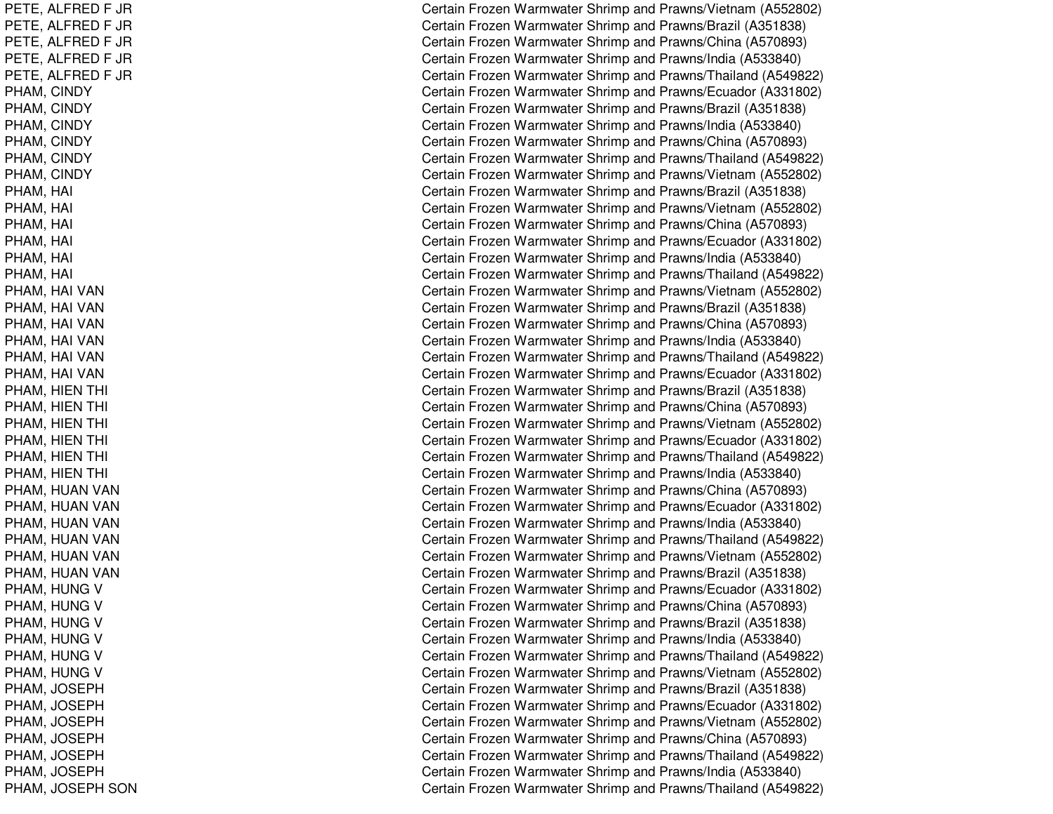PETE, A LFREDF JRPETE, A LFREDF JRPET E, A L F REDF JRPETE, ALFRED F JR PETE, A LFREDF JRP HA M, CIN DY P H A M, CIN D Y PHAM, CIN DYP H A M, CIN D Y P H A M, CIN D Y PHAM, CIN DYPHAM, H AI $\overline{C}$ PHAM, H AI $\overline{C}$ PHAM, H AIl Constantinople of the constant of the constant of the constant of the constant of the constant of the constant of the constant of the constant of the constant of the constant of the constant of the constant of the consta P H A M, H AI $\overline{C}$ PHAM, H AI $\overline{C}$ PHAM, H AIl Constantinople of the constant of the constant of the constant of the constant of the constant of the constant of the constant of the constant of the constant of the constant of the constant of the constant of the consta PHAM, H AI VANPHAM, H AI VANPHAM, HAI VAN PHAM, HAI VAN PHAM, H AI VANPHAM, HAI VAN PHAM, HIEN THI l contract to the contract of the contract of the contract of the contract of the contract of the contract of the contract of the contract of the contract of the contract of the contract of the contract of the contract of PHAM, HIEN THI l contract to the contract of the contract of the contract of the contract of the contract of the contract of the contract of the contract of the contract of the contract of the contract of the contract of the contract of PHAM, HIEN THI l contract and contract of the contract of the contract of the contract of the contract of the contract of the PHAM, HIEN THI l contract and contract of the contract of the contract of the contract of the contract of the contract of the PHAM, HIEN THI l contract to the contract of the contract of the contract of the contract of the contract of the contract of the contract of the contract of the contract of the contract of the contract of the contract of the contract of PHAM, HIEN THI l Constantinople of the constant of the constant of the constant of the constant of the constant of the constant of the constant of the constant of the constant of the constant of the constant of the constant of the consta PHAM, HUAN VAN PHAM, HUAN VAN PHAM, HUAN VAN PHAM, HUAN VAN PHAM, HUAN VAN PHAM, HUAN VAN PHAM, HUNG V PHAM, HUNG V PHAM, HUNG V PHAM, HUNG V PHAM, HUNG V PHAM, HUNG V PHAM, JO SEPHPHAM, JOSEPH PHAM, JOSEPH P HA M, JO S E P HPHAM, JOSEPH PHAM, JO SEPHPHAM, JOSEPH SON

Certain Frozen Warmwater Shrimp and Prawns/Vietnam (A552802) Certain Frozen Warmwater Shrimp and Prawns/Brazil (A351838) Certain Frozen Warmwater Shrimp and Prawns/China (A570893) Certain Frozen Warmwater Shrimp and Prawns/India (A533840) Certain Frozen Warmwater Shrimp and Prawns/Thailand (A549822) Certain Frozen Warmwater Shrimp and Prawns/Ecuador (A331802) Certain Frozen Warmwater Shrimp and Prawns/Brazil (A351838) Certain Frozen Warmwater Shrimp and Prawns/India (A533840) Certain Frozen Warmwater Shrimp and Prawns/China (A570893) Certain Frozen Warmwater Shrimp and Prawns/Thailand (A549822) Certain Frozen Warmwater Shrimp and Prawns/Vietnam (A552802) Certain Frozen Warmwater Shrimp and Prawns/Brazil (A351838) ertain Frozen Warmwater Shrimp and Prawns/Vietnam (A552802) ertain Frozen Warmwater Shrimp and Prawns/China (A570893) Certain Frozen Warmwater Shrimp and Prawns/Ecuador (A331802) Certain Frozen Warmwater Shrimp and Prawns/India (A533840) ertain Frozen Warmwater Shrimp and Prawns/Thailand (A549822) Certain Frozen Warmwater Shrimp and Prawns/Vietnam (A552802) Certain Frozen Warmwater Shrimp and Prawns/Brazil (A351838) Certain Frozen Warmwater Shrimp and Prawns/China (A570893) Certain Frozen Warmwater Shrimp and Prawns/India (A533840) Certain Frozen Warmwater Shrimp and Prawns/Thailand (A549822) Certain Frozen Warmwater Shrimp and Prawns/Ecuador (A331802) Certain Frozen Warmwater Shrimp and Prawns/Brazil (A351838) ertain Frozen Warmwater Shrimp and Prawns/China (A570893) Certain Frozen Warmwater Shrimp and Prawns/Vietnam (A552802) Certain Frozen Warmwater Shrimp and Prawns/Ecuador (A331802) ertain Frozen Warmwater Shrimp and Prawns/Thailand (A549822) Certain Frozen Warmwater Shrimp and Prawns/India (A533840) Certain Frozen Warmwater Shrimp and Prawns/China (A570893) Certain Frozen Warmwater Shrimp and Prawns/Ecuador (A331802) Certain Frozen Warmwater Shrimp and Prawns/India (A533840) Certain Frozen Warmwater Shrimp and Prawns/Thailand (A549822) Certain Frozen Warmwater Shrimp and Prawns/Vietnam (A552802) C ertain Frozen W arm w ater Shrim p and Pra wns/Brazil (A 3 518 3 8) Certain Frozen Warmwater Shrimp and Prawns/Ecuador (A331802) Certain Frozen Warmwater Shrimp and Prawns/China (A570893) Certain Frozen Warmwater Shrimp and Prawns/Brazil (A351838) Certain Frozen Warmwater Shrimp and Prawns/India (A533840) Certain Frozen Warmwater Shrimp and Prawns/Thailand (A549822) Certain Frozen Warmwater Shrimp and Prawns/Vietnam (A552802) Certain Frozen Warmwater Shrimp and Prawns/Brazil (A351838) Certain Frozen Warmwater Shrimp and Prawns/Ecuador (A331802) Certain Frozen Warmwater Shrimp and Prawns/Vietnam (A552802) Certain Frozen Warmwater Shrimp and Prawns/China (A570893) Certain Frozen Warmwater Shrimp and Prawns/Thailand (A549822) Certain Frozen Warmwater Shrimp and Prawns/India (A533840) Certain Frozen Warmwater Shrimp and Prawns/Thailand (A549822)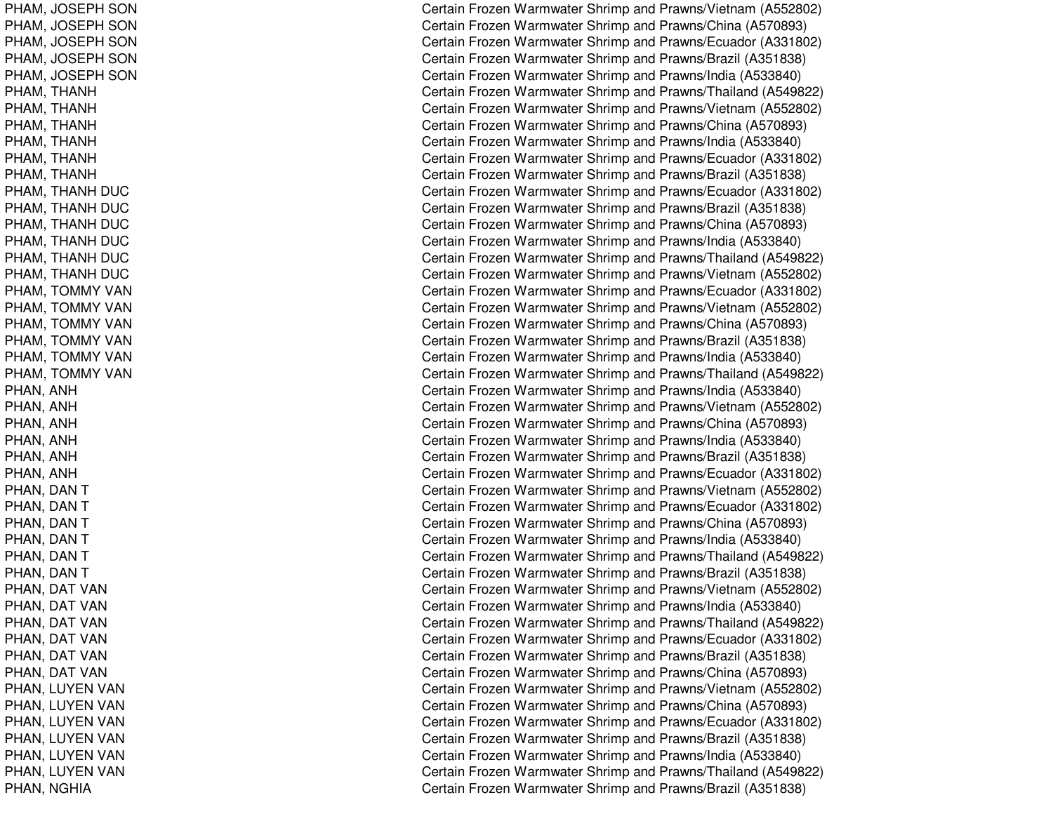PHAM, JOSEPH SON PHAM, JOSEPH SON PHAM, JOSEPH SON PHAM, JOSEPH SON PHAM, JOSEPH SON PHAM, THANH PHAM, THANH PHAM, T HANHPHAM, THANH PHAM, THANH PHAM, T HANHPHAM, T HANHDUCPHAM, T HANHDUCPHAM, THANH DUC PHAM, THANH DUC PHAM, T HANHDUCPHAM, THANH DUC PHAM, TOMMY VAN PHAM, TOMMY VAN PHAM, TOMMY VAN PHAM, TOMMY VAN PHAM, TOMMY VAN PHAM, TOMMY VAN PHAN, A NHPHAN, A NHP H A N, A N H PHAN, A NHPHAN, A NHPHAN, ANH PHAN, D ANTPHAN, DAN T PHAN, DAN T PHAN, DAN T PHAN, DAN T PHAN, DAN T PHAN, DAT VAN PHAN, DAT VAN PHAN, DAT VAN PHAN, DAT VAN PHAN, DAT VAN PHAN, DAT VAN PHAN, LUYEN VAN PHAN, LUYEN VAN PHAN, LUYEN VAN PHAN, LUYEN VAN PHAN, LUYEN VAN PHAN, LUYEN VAN P H A N, N GHIA

Certain Frozen Warmwater Shrimp and Prawns/Vietnam (A552802) Certain Frozen Warmwater Shrimp and Prawns/China (A570893) Certain Frozen Warmwater Shrimp and Prawns/Ecuador (A331802) Certain Frozen Warmwater Shrimp and Prawns/Brazil (A351838) Certain Frozen Warmwater Shrimp and Prawns/India (A533840) Certain Frozen Warmwater Shrimp and Prawns/Thailand (A549822) Certain Frozen Warmwater Shrimp and Prawns/Vietnam (A552802) Certain Frozen Warmwater Shrimp and Prawns/China (A570893) Certain Frozen Warmwater Shrimp and Prawns/India (A533840) Certain Frozen Warmwater Shrimp and Prawns/Ecuador (A331802) Certain Frozen Warmwater Shrimp and Prawns/Brazil (A351838) Certain Frozen Warmwater Shrimp and Prawns/Ecuador (A331802) Certain Frozen Warmwater Shrimp and Prawns/Brazil (A351838) Certain Frozen Warmwater Shrimp and Prawns/China (A570893) Certain Frozen Warmwater Shrimp and Prawns/India (A533840) Certain Frozen Warmwater Shrimp and Prawns/Thailand (A549822) Certain Frozen Warmwater Shrimp and Prawns/Vietnam (A552802) Certain Frozen Warmwater Shrimp and Prawns/Ecuador (A331802) Certain Frozen Warmwater Shrimp and Prawns/Vietnam (A552802) Certain Frozen Warmwater Shrimp and Prawns/China (A570893) C ertain Frozen W arm w ater Shrim p and Pra wns/Brazil (A 3 518 3 8) Certain Frozen Warmwater Shrimp and Prawns/India (A533840) Certain Frozen Warmwater Shrimp and Prawns/Thailand (A549822) Certain Frozen Warmwater Shrimp and Prawns/India (A533840) Certain Frozen Warmwater Shrimp and Prawns/Vietnam (A552802) Certain Frozen Warmwater Shrimp and Prawns/China (A570893) Certain Frozen Warmwater Shrimp and Prawns/India (A533840) Certain Frozen Warmwater Shrimp and Prawns/Brazil (A351838) Certain Frozen Warmwater Shrimp and Prawns/Ecuador (A331802) Certain Frozen Warmwater Shrimp and Prawns/Vietnam (A552802) Certain Frozen Warmwater Shrimp and Prawns/Ecuador (A331802) Certain Frozen Warmwater Shrimp and Prawns/China (A570893) Certain Frozen Warmwater Shrimp and Prawns/India (A533840) Certain Frozen Warmwater Shrimp and Prawns/Thailand (A549822) C ertain Frozen W arm w ater Shrim p and Pra wns/Brazil (A 3 518 3 8) Certain Frozen Warmwater Shrimp and Prawns/Vietnam (A552802) Certain Frozen Warmwater Shrimp and Prawns/India (A533840) Certain Frozen Warmwater Shrimp and Prawns/Thailand (A549822) Certain Frozen Warmwater Shrimp and Prawns/Ecuador (A331802) Certain Frozen Warmwater Shrimp and Prawns/Brazil (A351838) Certain Frozen Warmwater Shrimp and Prawns/China (A570893) Certain Frozen Warmwater Shrimp and Prawns/Vietnam (A552802) Certain Frozen Warmwater Shrimp and Prawns/China (A570893) Certain Frozen Warmwater Shrimp and Prawns/Ecuador (A331802) Certain Frozen Warmwater Shrimp and Prawns/Brazil (A351838) Certain Frozen Warmwater Shrimp and Prawns/India (A533840) Certain Frozen Warmwater Shrimp and Prawns/Thailand (A549822) Certain Frozen Warmwater Shrimp and Prawns/Brazil (A351838)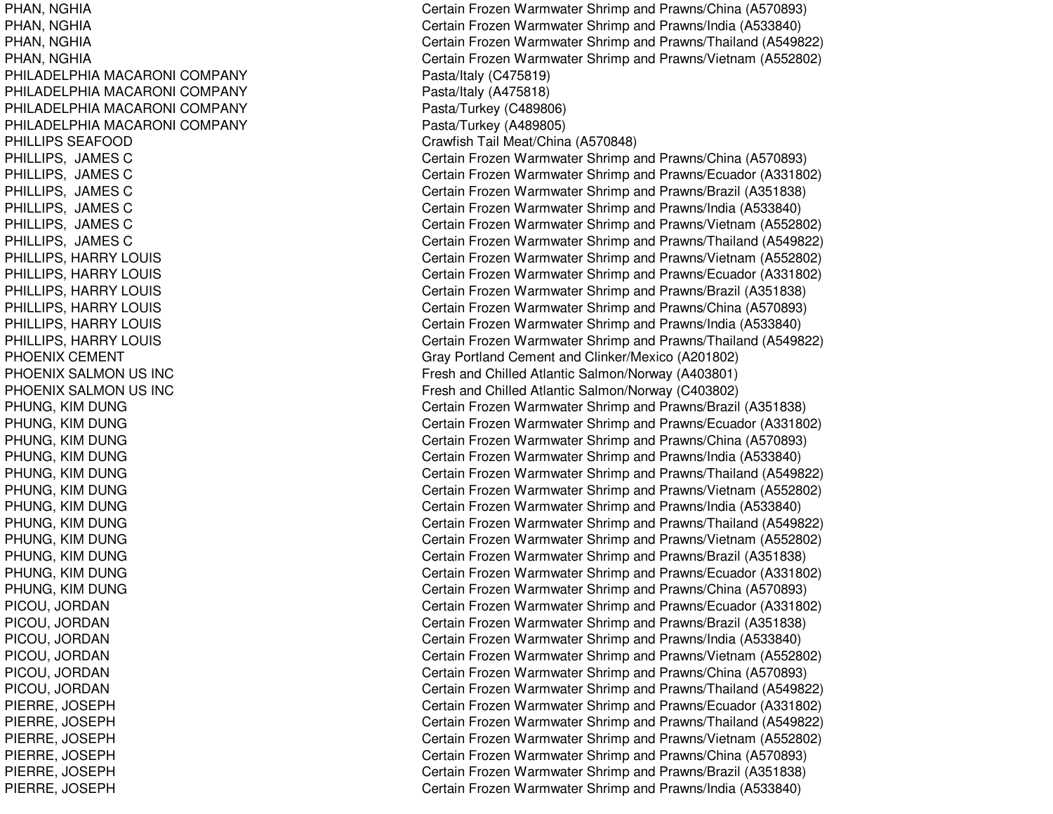PHAN, N GHIAPHAN, N GHIAPHAN, N GHIAPHAN, NGHIA PHILADELPHIA MACARONI COMPANY PHILADELPHIA MACARONI COMPANY PHILADELPHIA MACARONI COMPANY PHILADELPHIA MACARONI COMPANY P HIL LIP S S E A F OOD P HIL LIP S, JA M E S C PHILLIPS, JAMES C P HIL LIP S, JA ME S C PHILLIPS, JAMES C PHILLIPS, JAMES C P HIL LIP S, JA M E S C PHILLIPS, HARRY LOUIS PHIL LIPS, H ARRYL OUISPHILLIPS, HARRY LOUIS PHILLIPS, H ARRYLOUISP HIL LIP S, H A RRY L OUIS PHILLIPS, HARRY LOUIS PHOENIX CEMENT PHOENIX SALMON US INC PHOENIX SALMON US INC PHUNG, KIM DUNGP H U N G, KIM D U N G PHUNG, KIM DUNGPHUNG, KIM DUNGP H U N G, KIM D U N G PHUNG, KIM DUNGP HUNG, KIM DUNGPHUNG, KIM DUNG P H U N G, KIM D U N G P H U N G, KIM D U N GPHUNG, KIM DUNG PHUNG, KIM DUNGPICOU, JORDAN PICOU, JORDAN PICOU, JORDAN PICOU, JORDAN PICOU, JO RDANPICOU, JO RDANPIERRE, JO SEPHPIERRE, JO SEPHPIERRE, JOSEPH PIERRE, JOSEPH PIERRE, JO SEPHPIERRE, JOSEPH

Certain Frozen Warmwater Shrimp and Prawns/China (A570893) Certain Frozen Warmwater Shrimp and Prawns/India (A533840) Certain Frozen Warmwater Shrimp and Prawns/Thailand (A549822) Certain Frozen Warmwater Shrimp and Prawns/Vietnam (A552802) Pasta/Italy (C 475819) P asta/Italy (A 4 7 5 818) P asta/Turke y (C 4 8 9 8 0 6) Pasta/Turkey (A 489805) Cra wfish T ail Me at/China (A 5 7 0 8 4 8) Certain Frozen Warmwater Shrimp and Prawns/China (A570893) Certain Frozen Warmwater Shrimp and Prawns/Ecuador (A331802) Certain Frozen Warmwater Shrimp and Prawns/Brazil (A351838) Certain Frozen Warmwater Shrimp and Prawns/India (A533840) Certain Frozen Warmwater Shrimp and Prawns/Vietnam (A552802) Certain Frozen Warmwater Shrimp and Prawns/Thailand (A549822) Certain Frozen Warmwater Shrimp and Prawns/Vietnam (A552802) Certain Frozen Warmwater Shrimp and Prawns/Ecuador (A331802) Certain Frozen Warmwater Shrimp and Prawns/Brazil (A351838) Certain Frozen Warmwater Shrimp and Prawns/China (A570893) Certain Frozen Warmwater Shrimp and Pra wns/India (A 5 3 3 8 4 0) Certain Frozen Warmwater Shrimp and Prawns/Thailand (A549822) Gray Portland Cement and Clinker/Mexico (A201802) Fresh and Chilled Atlantic Salmon/Norway (A403801) Fresh and Chilled Atlantic Salmon/Norway (C403802) Certain Frozen Warmwater Shrimp and Prawns/Brazil (A351838) Certain Frozen Warmwater Shrimp and Prawns/Ecuador (A331802) Certain Frozen Warmwater Shrimp and Prawns/China (A570893) Certain Frozen Warmwater Shrimp and Prawns/India (A533840) Certain Frozen Warmwater Shrimp and Prawns/Thailand (A549822) Certain Frozen Warmwater Shrimp and Prawns/Vietnam (A552802) Certain Frozen Warmwater Shrimp and Prawns/India (A533840) Certain Frozen Warmwater Shrimp and Prawns/Thailand (A549822) Certain Frozen Warmwater Shrimp and Prawns/Vietnam (A552802) Certain Frozen Warmwater Shrimp and Prawns/Brazil (A351838) Certain Frozen Warmwater Shrimp and Prawns/Ecuador (A331802) Certain Frozen Warmwater Shrimp and Prawns/China (A570893) Certain Frozen Warmwater Shrimp and Prawns/Ecuador (A331802) Certain Frozen Warmwater Shrimp and Prawns/Brazil (A351838) Certain Frozen Warmwater Shrimp and Prawns/India (A533840) Certain Frozen Warmwater Shrimp and Prawns/Vietnam (A552802) Certain Frozen Warmwater Shrimp and Prawns/China (A570893) Certain Frozen Warmwater Shrimp and Prawns/Thailand (A549822) Certain Frozen Warmwater Shrimp and Prawns/Ecuador (A331802) Certain Frozen Warmwater Shrimp and Prawns/Thailand (A549822) Certain Frozen Warmwater Shrimp and Prawns/Vietnam (A552802) Certain Frozen Warmwater Shrimp and Prawns/China (A570893) Certain Frozen Warmwater Shrimp and Prawns/Brazil (A351838) Certain Frozen Warmwater Shrimp and Prawns/India (A533840)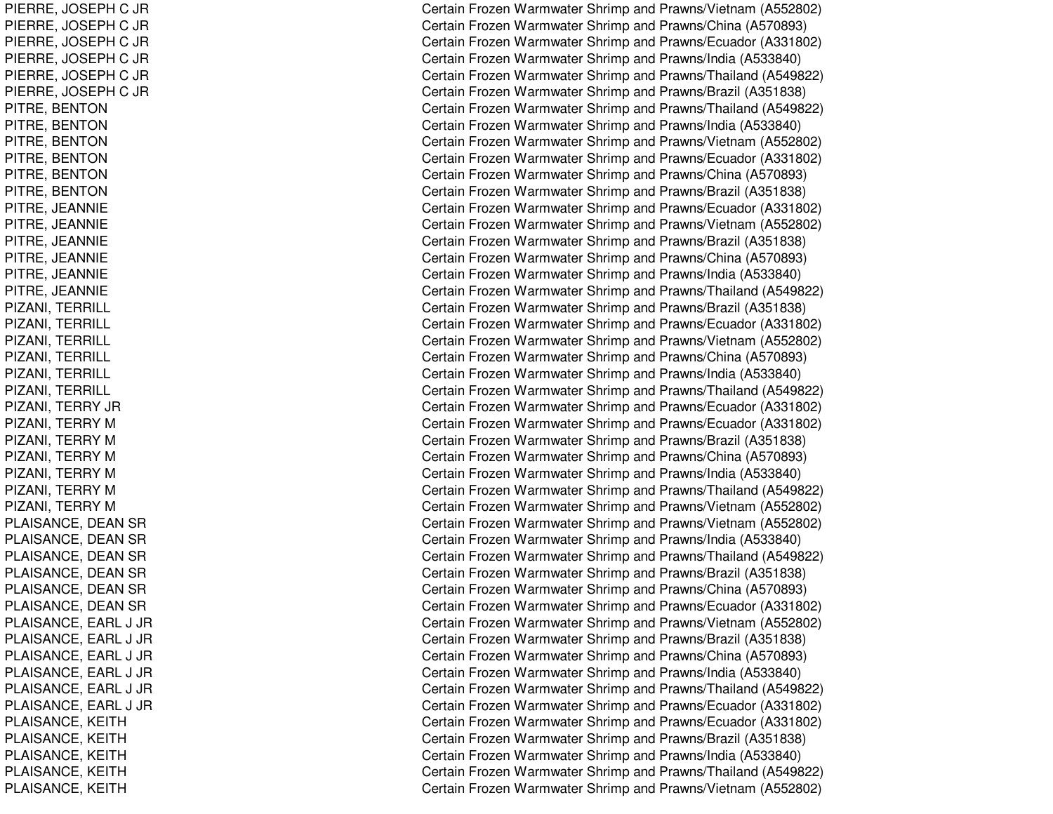PIERRE, JO SEPHC JR PIERRE, JO SEPHC JR PIERRE, JO SEPHC JR PIERRE, JOSEPH C JR PIERRE, JO SEPHC JR PIERRE, JOSEPH C JR PITRE, BENTON PITRE, B ENTONPITRE, BENTON PITRE, BENTON PITRE, B ENTONPITRE, BENTON PITRE, JE ANNIEPITRE, JE ANNIEPIT R E, JE A N NIE PITRE, JE ANNIEPIT R E, JE A N NIE PIT R E, JE A N NIE PIZANI, T ERRILLPIZANI, TERRILL PIZANI, TERRILL PIZANI, T ERRILLPIZANI, TERRILL PIZANI, T ERRILLPIZANI, T ERRY JRPIZANI, TERRY M PIZANI, TERRY M PIZANI, TERRY M PIZANI, TERRY M PIZANI, TERRY M PIZANI, TERRY M PLAISANCE, DEAN SR PLAISANCE, DEAN SR PLAISANCE, DEAN SR PLAISANCE, DEAN SR PLAISANCE, DEAN SR PLAISANCE, DEAN SR P L AIS A N C E, E A R L J JR P L AIS A N C E, E A R L J JR P L AIS A N C E, E A R L J JR PLAISANCE, E ARL J JRPL AISANCE, E ARL J JRP L AIS A N C E, E A R L J JR PLAISANCE, KEITH PLAISANCE, KEITH PLAISANCE, KEITH PLAISANCE, K EITHPLAISANCE, KEITH

Certain Frozen Warmwater Shrimp and Prawns/Vietnam (A552802) Certain Frozen Warmwater Shrimp and Prawns/China (A570893) Certain Frozen Warmwater Shrimp and Prawns/Ecuador (A331802) Certain Frozen Warmwater Shrimp and Prawns/India (A533840) Certain Frozen Warmwater Shrimp and Prawns/Thailand (A549822) Certain Frozen Warmwater Shrimp and Prawns/Brazil (A351838) Certain Frozen Warmwater Shrimp and Prawns/Thailand (A549822) Certain Frozen Warmwater Shrimp and Prawns/India (A533840) Certain Frozen Warmwater Shrimp and Prawns/Vietnam (A552802) Certain Frozen Warmwater Shrimp and Prawns/Ecuador (A331802) Certain Frozen Warmwater Shrimp and Prawns/China (A570893) Certain Frozen Warmwater Shrimp and Prawns/Brazil (A351838) Certain Frozen Warmwater Shrimp and Prawns/Ecuador (A331802) Certain Frozen Warmwater Shrimp and Prawns/Vietnam (A552802) Certain Frozen Warmwater Shrimp and Prawns/Brazil (A351838) Certain Frozen Warmwater Shrimp and Prawns/China (A570893) Certain Frozen Warmwater Shrimp and Prawns/India (A533840) Certain Frozen Warmwater Shrimp and Prawns/Thailand (A549822) Certain Frozen Warmwater Shrimp and Prawns/Brazil (A351838) Certain Frozen Warmwater Shrimp and Prawns/Ecuador (A331802) Certain Frozen Warmwater Shrimp and Prawns/Vietnam (A552802) Certain Frozen Warmwater Shrimp and Prawns/China (A570893) Certain Frozen Warmwater Shrimp and Prawns/India (A533840) Certain Frozen Warmwater Shrimp and Prawns/Thailand (A549822) Certain Frozen Warmwater Shrimp and Prawns/Ecuador (A331802) Certain Frozen Warmwater Shrimp and Prawns/Ecuador (A331802) Certain Frozen Warmwater Shrimp and Prawns/Brazil (A351838) Certain Frozen Warmwater Shrimp and Prawns/China (A570893) Certain Frozen Warmwater Shrimp and Prawns/India (A533840) Certain Frozen Warmwater Shrimp and Prawns/Thailand (A549822) Certain Frozen Warmwater Shrimp and Prawns/Vietnam (A552802) Certain Frozen Warmwater Shrimp and Prawns/Vietnam (A552802) Certain Frozen Warmwater Shrimp and Prawns/India (A533840) Certain Frozen Warmwater Shrimp and Prawns/Thailand (A549822) C ertain Frozen W arm w ater Shrim p and Pra wns/Brazil (A 3 518 3 8) Certain Frozen Warmwater Shrimp and Prawns/China (A570893) Certain Frozen Warmwater Shrimp and Prawns/Ecuador (A331802) Certain Frozen Warmwater Shrimp and Prawns/Vietnam (A552802) C ertain Frozen W arm w ater Shrim p and Pra wns/Brazil (A 3 518 3 8) Certain Frozen Warmwater Shrimp and Prawns/China (A570893) Certain Frozen Warmwater Shrimp and Prawns/India (A533840) Certain Frozen Warmwater Shrimp and Prawns/Thailand (A549822) C ertain Frozen Warm w ater Shrim p and Pra wns/Ecua d or (A 3 318 0 2) Certain Frozen Warmwater Shrimp and Prawns/Ecuador (A331802) Certain Frozen Warmwater Shrimp and Prawns/Brazil (A351838) Certain Frozen Warmwater Shrimp and Prawns/India (A533840) Certain Frozen Warmwater Shrimp and Prawns/Thailand (A549822) Certain Frozen Warmwater Shrimp and Prawns/Vietnam (A552802)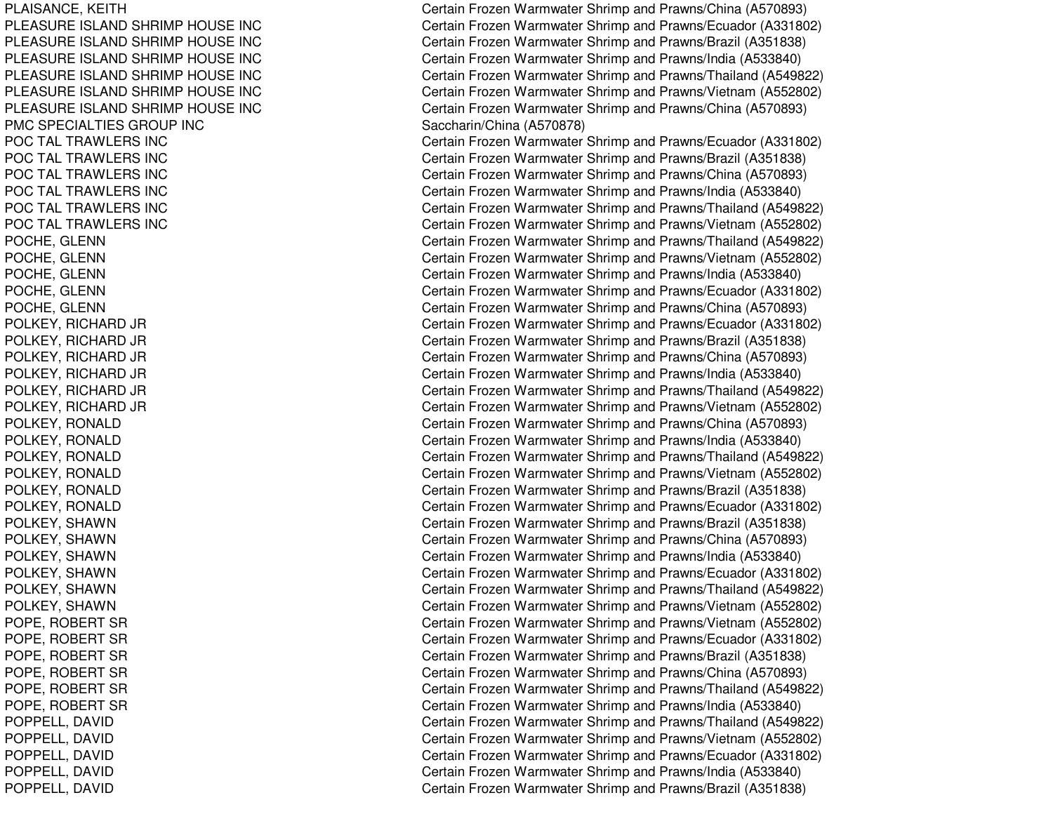PLAISANCE, K EITHPLEASURE ISLAND SHRIMP HOUSE INC PLEASURE ISLAND SHRIMP HOUSE INC PLEASURE ISLAND SHRIMP HOUSE INC PLEASURE ISLAND SHRIMP HOUSE INC PLEASURE ISLAND SHRIMP HOUSE INC PLEASURE ISLAND SHRIMP HOUSE INC PMC SPECIALTIES GROUP INC POC TAL TRAWLERS INC POCTALTRAWLERS INCPOCTALTRAWLERS INCPOCTALTRAWLERS INCPOCTALTRAWLERS INCPOCTAL TRAWL ERS INCPOCHE, GLENN POCHE, G LENNPOCHE, G L ENNPOCHE, GLENN POCHE, G LENNP OL K E Y, RIC HA RD JR POLKEY, RICHARD JR POLKEY, RIC HARD JR POLKEY, RICHARD JR POLKEY, RIC HARD JR POL KEY, RIC HARD JR POLKEY, RONALD POLKEY, R ONALDPOL KEY, R ONAL DPOLKEY, RONALD POLKEY, R ONALDP OL K E Y, R ONA L DPOLKEY, SHAWN POLKEY, SHAWN POLKEY, SHAWN POLKEY, SHAWN POLKEY, S HAWNPOLKEY, SHAWN POPE, ROBERT SR POPE, ROBERT SR POPE, ROBERT SR POPE, R OBERTSRPOPE, R OBERT SRPOPE, ROBERT SR POPPELL, DAVID P OP P E L L, D A VIDP O P P E L L, D A VID POPPELL, D AVIDPOPPELL, DAVID

Certain Frozen Warmwater Shrimp and Prawns/China (A570893) Certain Frozen Warmwater Shrimp and Prawns/Ecuador (A331802) Certain Frozen Warmwater Shrimp and Prawns/Brazil (A351838) Certain Frozen Warmwater Shrimp and Prawns/India (A533840) Certain Frozen Warmwater Shrimp and Prawns/Thailand (A549822) Certain Frozen Warmwater Shrimp and Prawns/Vietnam (A552802) Certain Frozen Warmwater Shrimp and Prawns/China (A570893) Saccharin/China (A570878) Certain Frozen Warmwater Shrimp and Prawns/Ecuador (A331802) C ertain Frozen W arm w ater Shrim p and Pra wns/Brazil (A 3 518 3 8) Certain Frozen Warmwater Shrimp and Prawns/China (A570893) Certain Frozen Warmwater Shrimp and Prawns/India (A533840) Certain Frozen Warmwater Shrimp and Prawns/Thailand (A549822) Certain Frozen Warmwater Shrimp and Prawns/Vietnam (A552802) Certain Frozen Warmwater Shrimp and Prawns/Thailand (A549822) Certain Frozen Warmwater Shrimp and Prawns/Vietnam (A552802) Certain Frozen Warmwater Shrimp and Prawns/India (A533840) Certain Frozen Warmwater Shrimp and Prawns/Ecuador (A331802) Certain Frozen Warmwater Shrimp and Prawns/China (A570893) Certain Frozen Warmwater Shrimp and Prawns/Ecuador (A331802) C ertain Frozen W arm w ater Shrim p and Pra wns/Brazil (A 3 518 3 8) Certain Frozen Warmwater Shrimp and Prawns/China (A570893) Certain Frozen Warmwater Shrimp and Prawns/India (A533840) Certain Frozen Warmwater Shrimp and Prawns/Thailand (A549822) Certain Frozen Warmwater Shrimp and Prawns/Vietnam (A552802) Certain Frozen Warmwater Shrimp and Prawns/China (A570893) Certain Frozen Warmwater Shrimp and Prawns/India (A533840) Certain Frozen Warmwater Shrimp and Prawns/Thailand (A549822) Certain Frozen Warmwater Shrimp and Prawns/Vietnam (A552802) Certain Frozen Warmwater Shrimp and Prawns/Brazil (A351838) Certain Frozen Warmwater Shrimp and Prawns/Ecuador (A331802) Certain Frozen Warmwater Shrimp and Prawns/Brazil (A351838) Certain Frozen Warmwater Shrimp and Prawns/China (A570893) Certain Frozen Warmwater Shrimp and Prawns/India (A533840) Certain Frozen Warmwater Shrimp and Prawns/Ecuador (A331802) Certain Frozen Warmwater Shrimp and Prawns/Thailand (A549822) Certain Frozen Warmwater Shrimp and Prawns/Vietnam (A552802) Certain Frozen Warmwater Shrimp and Prawns/Vietnam (A552802) Certain Frozen Warmwater Shrimp and Prawns/Ecuador (A331802) Certain Frozen Warmwater Shrimp and Prawns/Brazil (A351838) Certain Frozen Warmwater Shrimp and Prawns/China (A570893) Certain Frozen Warmwater Shrimp and Prawns/Thailand (A549822) Certain Frozen Warmwater Shrimp and Prawns/India (A533840) Certain Frozen Warmwater Shrimp and Prawns/Thailand (A549822) Certain Frozen Warmwater Shrimp and Prawns/Vietnam (A552802) Certain Frozen Warmwater Shrimp and Prawns/Ecuador (A331802) Certain Frozen Warmwater Shrimp and Prawns/India (A533840) Certain Frozen Warmwater Shrimp and Prawns/Brazil (A351838)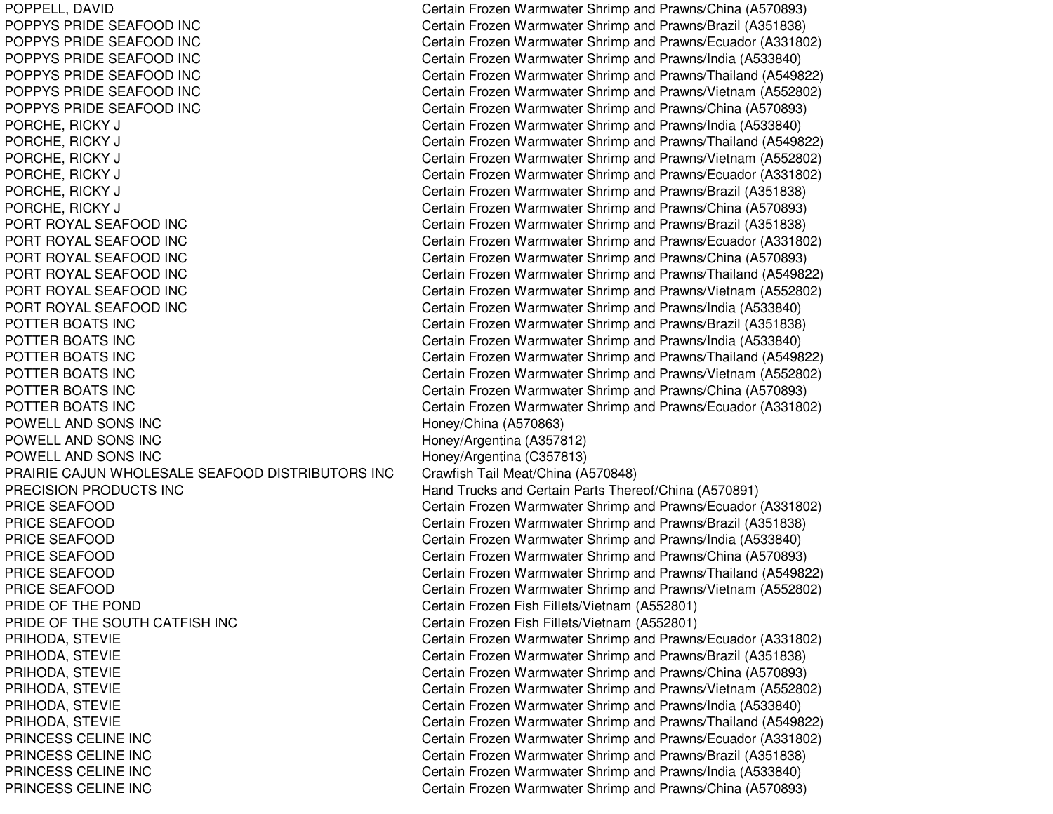POPPELL, DAVID Certain Frozen Warmwater Shrimp and Prawns/China (A570893) POPPYS PRIDE SEAFOODPOPPYS PRIDE SEAFOODPOPPYS PRIDE SEAFOODPOPPYS PRIDE SEAFOODPOPPYS PRIDE SEAFOODPOPPYS PRIDE SEAFOODPORCHE, RICKY J Certain Frozen Warmwater Shrimp and Prawns/India (A533840) PORCHE, RICKY J Certain Frozen Warmwater Shrimp and Prawns/Thailand (A549822) PORCHE, RICKY J Certain Frozen Warmwater Shrimp and Prawns/Vietnam (A552802) PORCHE, RICKY J Certain Frozen Warmwater Shrimp and Prawns/Ecuador (A331802) PORCHE, RICKY J Certain Frozen Warmwater Shrimp and Prawns/Brazil (A351838) PORCHE, RICKY J Certain Frozen Warmwater Shrimp and Prawns/China (A570893) PORT ROYAL SEAFOODPORT ROYAL SEAFOODPORT ROYAL SEAFOODPORT ROYAL SEAFOODPORT ROYAL SEAFOODPORT ROYAL SEAFOODPOTTER BOATS INC POTTER BOATS INC POTTER BOATS INC POTTER BOATS INC POTTER BOATS INC POTTER BOATS INC POWELL ANDPOWELL ANDPOWELL ANDPRAIRIE CAJUN WHOLESALE SEAFOOD DISTRIBUTORS INC Crawfish Tail Meat/China (A570848) PRECISION PRODUCTS INC PRICE SEAFOODPRICE SEAFOODPRICE SEAFOODPRICE SEAFOODPRICE SEAFOODPRICE SEAFOODPRIDE OF THE POND Certain Frozen Fish Fillets/Vietnam (A552801) PRIDE OF THE SOUTH CATFISH INC Certain Frozen Fish Fillets/Vietnam (A552801) PRIHODA, STEVIE CHARRY Certain Frozen Warmwater Shrimp and Prawns/Ecuador (A331802) PRIHODA, STEVIE Certain Frozen Warmwater Shrimp and Prawns/Brazil (A351838) PRIHODA, STEVIE Certain Frozen Warmwater Shrimp and Prawns/China (A570893) PRIHODA, STEVIE Certain Frozen Warmwater Shrimp and Prawns/Vietnam (A552802) PRIHODA, STEVIE Certain Frozen Warmwater Shrimp and Prawns/India (A533840) PRIHODA, STEVIE Certain Frozen Warmwater Shrimp and Prawns/Thailand (A549822) PRINCESS CELINE INCPRINCESS CELINE INCPRINCESS CELINE INCPRINCESS CELINE INC

Certain Frozen Warmwater Shrimp and Prawns/Brazil (A351838) Certain Frozen Warmwater Shrimp and Prawns/Ecuador (A331802) Certain Frozen Warmwater Shrimp and Prawns/India (A533840) Certain Frozen Warmwater Shrimp and Prawns/Thailand (A549822) Certain Frozen Warmwater Shrimp and Prawns/Vietnam (A552802) Certain Frozen Warmwater Shrimp and Prawns/China (A570893) Certain Frozen Warmwater Shrimp and Prawns/Brazil (A351838) Certain Frozen Warmwater Shrimp and Prawns/Ecuador (A331802) Certain Frozen Warmwater Shrimp and Prawns/China (A570893) Certain Frozen Warmwater Shrimp and Prawns/Thailand (A549822) Certain Frozen Warmwater Shrimp and Prawns/Vietnam (A552802) Certain Frozen Warmwater Shrimp and Prawns/India (A533840) Certain Frozen Warmwater Shrimp and Prawns/Brazil (A351838) Certain Frozen Warmwater Shrimp and Prawns/India (A533840) Certain Frozen Warmwater Shrimp and Prawns/Thailand (A549822) Certain Frozen Warmwater Shrimp and Prawns/Vietnam (A552802) Certain Frozen Warmwater Shrimp and Prawns/China (A570893) Certain Frozen Warmwater Shrimp and Prawns/Ecuador (A331802) Honey/China (A570863) Honey/Argentina (A357812) Honey/Argentina (C357813) Hand Trucks and Certain Parts Thereof/China (A570891) Certain Frozen Warmwater Shrimp and Prawns/Ecuador (A331802) Certain Frozen Warmwater Shrimp and Prawns/Brazil (A351838) Certain Frozen Warmwater Shrimp and Prawns/India (A533840) Certain Frozen Warmwater Shrimp and Prawns/China (A570893) Certain Frozen Warmwater Shrimp and Prawns/Thailand (A549822) Certain Frozen Warmwater Shrimp and Prawns/Vietnam (A552802) Certain Frozen Warmwater Shrimp and Prawns/Ecuador (A331802) Certain Frozen Warmwater Shrimp and Prawns/Brazil (A351838) Certain Frozen Warmwater Shrimp and Prawns/India (A533840) Certain Frozen Warmwater Shrimp and Prawns/China (A570893)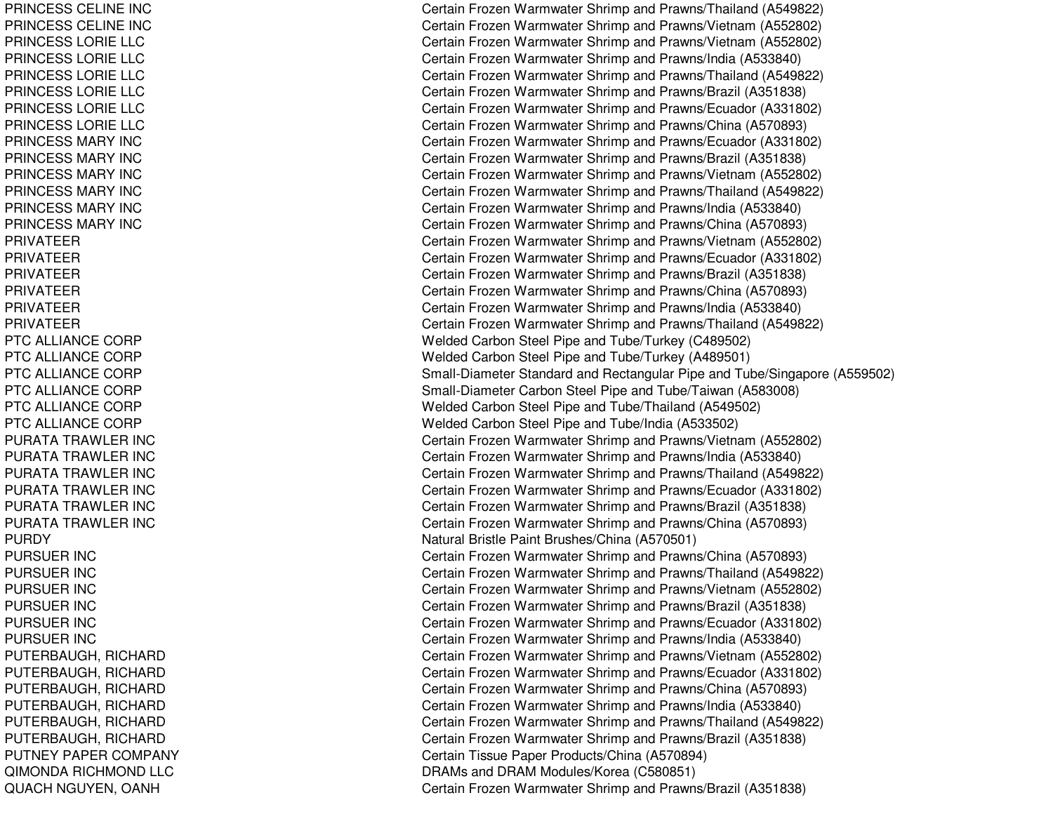PRINCESS CELINE INC PRINCESS CELINE INC PRINCESSLORIELLCPRINCESSLORIELLCPRINCESSLORIELLCPRINCESSLORIELLCPRINCESSLORIELLCPRINCESSLORIELLCPRINCESS MARY INC PRINCESSMARY INCPRINCESSMARY INCPRINCESSMARY INCPRINCESSMARY INCPRINCESSMARY INCPRIVATEERPRIVATEERPRIVATEERPRIVATEERPRIVATEERPRIVATEERPTC ALLIANCE CORP PTC ALLIANCE CORP PTC ALLIANCE CORP PTC ALLIANCE CORP PTC ALLIANCE CORP PTC ALLIANCE CORP PURATA TRAWLER INC PURATA TRAWLER INC PURATA TRAWLER INC PURATA TRAWLER INC PURATA TRAWLER INC PURATA TRAWLER INC PURDYPURSUER IN CPURSUER IN CPURSUER IN CPURSUER IN CPURSUER IN CPURSUER IN CPUTERBAUGH, RICHARD PUTERBAUGH, RIC HARDPUT ERBAUGH, RIC HARDPUTERBAUGH, RICHARD PUTERBAUGH, RIC HARDPUTERBAUGH, RICHARD PUTNEY PAPER COMPANY QIMONDA RICHMOND LLC QUACH NGUYEN, OANH

Certain Frozen Warmwater Shrimp and Prawns/Thailand (A549822) Certain Frozen Warmwater Shrimp and Prawns/Vietnam (A552802) Certain Frozen Warmwater Shrimp and Prawns/Vietnam (A552802) Certain Frozen Warmwater Shrimp and Prawns/India (A533840) Certain Frozen Warmwater Shrimp and Prawns/Thailand (A549822) Certain Frozen Warmwater Shrimp and Prawns/Brazil (A351838) Certain Frozen Warmwater Shrimp and Prawns/Ecuador (A331802) Certain Frozen Warmwater Shrimp and Prawns/China (A570893) Certain Frozen Warmwater Shrimp and Prawns/Ecuador (A331802) C ertain Frozen W arm w ater Shrim p and Pra wns/Brazil (A 3 518 3 8) Certain Frozen Warmwater Shrimp and Prawns/Vietnam (A552802) Certain Frozen Warmwater Shrimp and Prawns/Thailand (A549822) Certain Frozen Warmwater Shrimp and Prawns/India (A533840) Certain Frozen Warmwater Shrimp and Prawns/China (A570893) Certain Frozen Warmwater Shrimp and Prawns/Vietnam (A552802) Certain Frozen Warmwater Shrimp and Prawns/Ecuador (A331802) Certain Frozen Warmwater Shrimp and Prawns/Brazil (A351838) Certain Frozen Warmwater Shrimp and Prawns/China (A570893) Certain Frozen Warmwater Shrimp and Prawns/India (A533840) Certain Frozen Warmwater Shrimp and Prawns/Thailand (A549822) Welded Carbon Steel Pipe and Tube/Turkey (C489502) Welded Carbon Steel Pipe and Tube/Turkey (A489501) Small-Diameter Standard and Rectangular Pipe and Tube/Singapore (A559502) Small-Diameter Carbon Steel Pipe and Tube/Taiwan (A583008) Welded Carbon Steel Pipe and Tube/Thailand (A549502) Welded Carbon Steel Pipe and Tube/India (A533502) Certain Frozen Warmwater Shrimp and Prawns/Vietnam (A552802) Certain Frozen Warmwater Shrimp and Prawns/India (A533840) Certain Frozen Warmwater Shrimp and Prawns/Thailand (A549822) Certain Frozen Warmwater Shrimp and Prawns/Ecuador (A331802) Certain Frozen Warmwater Shrimp and Prawns/Brazil (A351838) Certain Frozen Warmwater Shrimp and Prawns/China (A570893) Natural Bristle Paint Brushes/China (A570501) Certain Frozen Warmwater Shrimp and Prawns/China (A570893) Certain Frozen Warmwater Shrimp and Prawns/Thailand (A549822) Certain Frozen Warmwater Shrimp and Prawns/Vietnam (A552802) Certain Frozen Warmwater Shrimp and Prawns/Brazil (A351838) Certain Frozen Warmwater Shrimp and Prawns/Ecuador (A331802) Certain Frozen Warmwater Shrimp and Prawns/India (A533840) Certain Frozen Warmwater Shrimp and Prawns/Vietnam (A552802) Certain Frozen Warmwater Shrimp and Prawns/Ecuador (A331802) Certain Frozen Warmwater Shrimp and Prawns/China (A570893) Certain Frozen Warmwater Shrimp and Prawns/India (A533840) Certain Frozen Warmwater Shrimp and Prawns/Thailand (A549822) Certain Frozen Warmwater Shrimp and Prawns/Brazil (A351838) Certain Tissue Paper Products/China (A570894) DRAMs and DRAM Modules/Korea (C580851) Certain Frozen Warmwater Shrimp and Prawns/Brazil (A351838)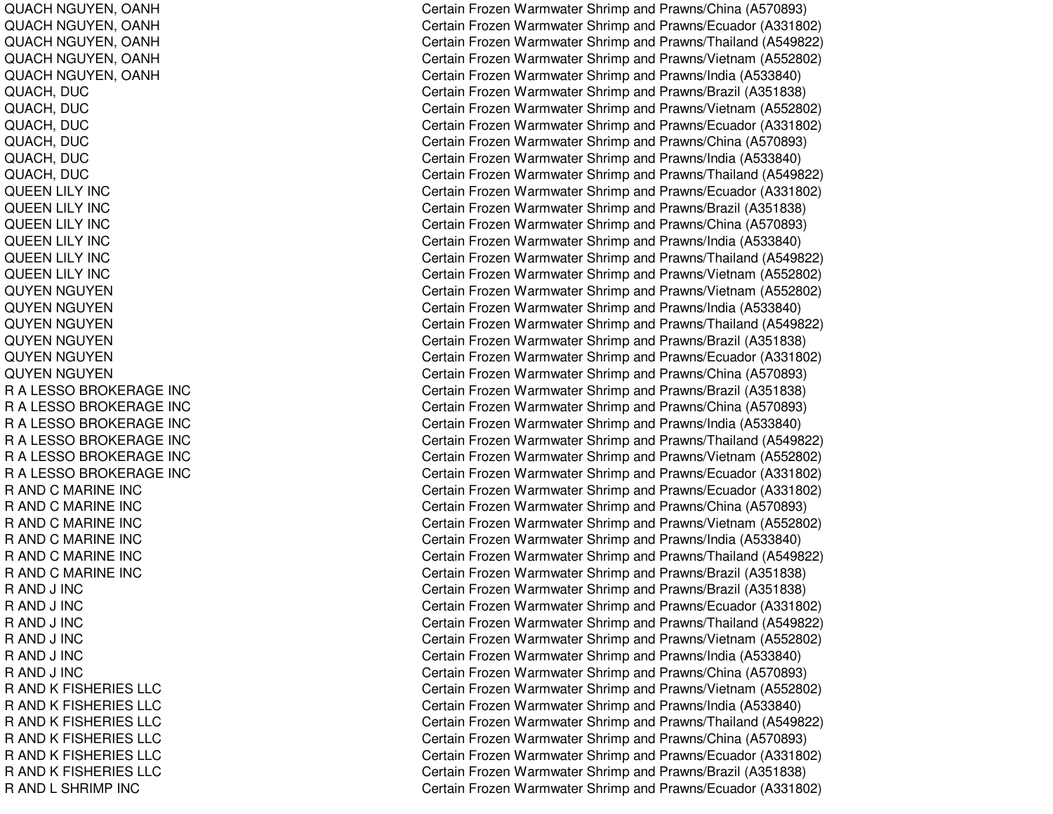QUACH NGUYEN, OANH QUACH NGUYEN, OANH QUACH NGUYEN, OANH QUACH NGUYEN, OANH QUACH NGUYEN, OANH QUACH, DUC QUACH, DUC QUACH, DUC QUACH, DUC QUACH, DUC QUACH, DUC QUEENLILY INCQUEENLILY INCQUEEN LILY INC QUEEN LILY INC QUEENLILY INCQUEENLILY INCQUYEN NGUYEN QUYEN NGUYEN QUYEN NGUYEN QUYEN NGUYEN QUYEN NGUYEN QUYEN NGUYEN RALESSOBROKERAGE INCR A LESSO BROKERAGE INC R A LESSO BROKERAGE INC RALESSOBROKERAGE INCRALESSOBROKERAGE INCRALESSOBROKERAGE INCR AND C MARINE INC R AND C MARINE INC R AND C MARINE INC R AND C MARINE INC R AND C MARINE INC R AND C MARINE INC RAND J IN CR A N D J IN C RAND J IN CRAND J IN CRAND J IN CRAND J IN CR AND K FISHERIES LLC R AND K FISHERIES LLC R AND K FISHERIES LLC R AND K FISHERIES LLC R AND K FISHERIES LLC R AND K FISHERIES LLC R AND L SHRIMP INC

Certain Frozen Warmwater Shrimp and Prawns/China (A570893) Certain Frozen Warmwater Shrimp and Prawns/Ecuador (A331802) Certain Frozen Warmwater Shrimp and Prawns/Thailand (A549822) Certain Frozen Warmwater Shrimp and Prawns/Vietnam (A552802) Certain Frozen Warmwater Shrimp and Prawns/India (A533840) Certain Frozen Warmwater Shrimp and Prawns/Brazil (A351838) Certain Frozen Warmwater Shrimp and Prawns/Vietnam (A552802) Certain Frozen Warmwater Shrimp and Prawns/Ecuador (A331802) Certain Frozen Warmwater Shrimp and Prawns/China (A570893) Certain Frozen Warmwater Shrimp and Prawns/India (A533840) Certain Frozen Warmwater Shrimp and Prawns/Thailand (A549822) Certain Frozen Warmwater Shrimp and Prawns/Ecuador (A331802) Certain Frozen Warmwater Shrimp and Prawns/Brazil (A351838) Certain Frozen Warmwater Shrimp and Prawns/China (A570893) Certain Frozen Warmwater Shrimp and Prawns/India (A533840) Certain Frozen Warmwater Shrimp and Prawns/Thailand (A549822) Certain Frozen Warmwater Shrimp and Prawns/Vietnam (A552802) Certain Frozen Warmwater Shrimp and Prawns/Vietnam (A552802) Certain Frozen Warmwater Shrimp and Prawns/India (A533840) Certain Frozen Warmwater Shrimp and Prawns/Thailand (A549822) C ertain Frozen W arm w ater Shrim p and Pra wns/Brazil (A 3 518 3 8) Certain Frozen Warmwater Shrimp and Prawns/Ecuador (A331802) Certain Frozen Warmwater Shrimp and Prawns/China (A570893) Certain Frozen Warmwater Shrimp and Prawns/Brazil (A351838) Certain Frozen Warmwater Shrimp and Prawns/China (A570893) Certain Frozen Warmwater Shrimp and Prawns/India (A533840) Certain Frozen Warmwater Shrimp and Prawns/Thailand (A549822) Certain Frozen Warmwater Shrimp and Prawns/Vietnam (A552802) Certain Frozen Warmwater Shrimp and Prawns/Ecuador (A331802) Certain Frozen Warmwater Shrimp and Prawns/Ecuador (A331802) Certain Frozen Warmwater Shrimp and Prawns/China (A570893) Certain Frozen Warmwater Shrimp and Prawns/Vietnam (A552802) Certain Frozen Warmwater Shrimp and Prawns/India (A533840) Certain Frozen Warmwater Shrimp and Prawns/Thailand (A549822) C ertain Frozen W arm w ater Shrim p and Pra wns/Brazil (A 3 518 3 8) Certain Frozen Warmwater Shrimp and Prawns/Brazil (A351838) Certain Frozen Warmwater Shrimp and Prawns/Ecuador (A331802) Certain Frozen Warmwater Shrimp and Prawns/Thailand (A549822) Certain Frozen Warmwater Shrimp and Prawns/Vietnam (A552802) Certain Frozen Warmwater Shrimp and Prawns/India (A533840) Certain Frozen Warmwater Shrimp and Prawns/China (A570893) Certain Frozen Warmwater Shrimp and Prawns/Vietnam (A552802) Certain Frozen Warmwater Shrimp and Prawns/India (A533840) Certain Frozen Warmwater Shrimp and Prawns/Thailand (A549822) Certain Frozen Warmwater Shrimp and Prawns/China (A570893) Certain Frozen Warmwater Shrimp and Prawns/Ecuador (A331802) Certain Frozen Warmwater Shrimp and Prawns/Brazil (A351838) Certain Frozen Warmwater Shrimp and Prawns/Ecuador (A331802)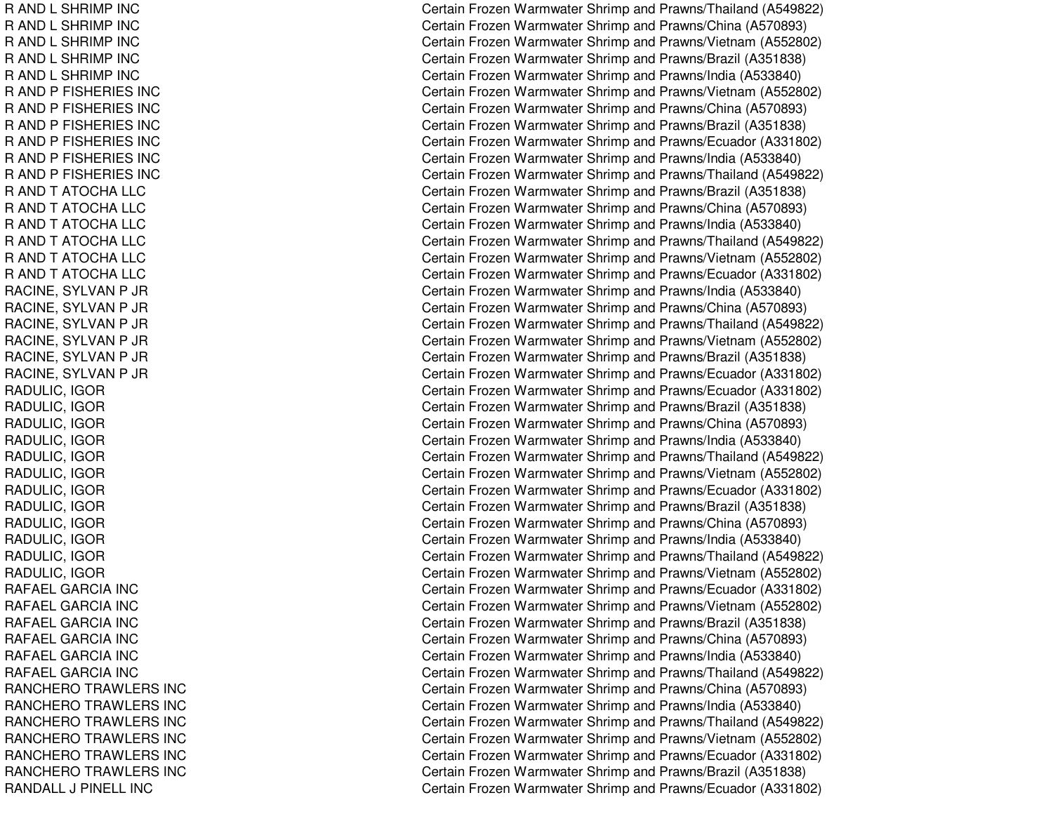R AND L SHRIMP INC R AND L SHRIMP INC R AND L SHRIMP INC R AND L SHRIMP INC R AND L SHRIMP INC R AND P FISHERIES INC R AND P FISHERIES INC R AND P FISHERIES INC R AND P FISHERIES INC R AND P FISHERIES INC R AND P FISHERIES INC R AND T ATOCHA LLC R AND T ATOCHA LLC R AND T ATOCHA LLC R AND T ATOCHA LLC R AND T ATOCHA LLC R AND T ATOCHA LLC RACINE, S YLVANP JRRACINE, S YLVANP JRRA CINE, S Y L V A NP JRR A CIN E, S Y L V A N P JR RACINE, S YLVANP JRR A CIN E, S Y L V A N P JR RADULIC, IG ORRADULIC, IG ORR A D U LIC, IG O R RADULIC, IG ORRADULIC, IG ORR A D U LIC, IG O R RADULIC, IG ORRA DULIC, IG ORR A D U LIC, IG O R R A D U LIC, IG O R R A D U LIC, IG OR RADULIC, IG ORRAFAELGARCIA INCRAFAEL GARCIA INC RAFAELGARCIA INCRAFAEL GARCIA INCRAFAEL GARCIA INC RAFAELGARCIA INCRANCHERO TRAWLERS INC RANCHEROTRAWLERS INCRANCHEROTRAWLERS INCRANCHEROTRAWLERS INCRANCHEROTRAWLERS INCRANCHEROTRAWLERS INCRANDALL J PINELL INC

Certain Frozen Warmwater Shrimp and Prawns/Thailand (A549822) Certain Frozen Warmwater Shrimp and Prawns/China (A570893) Certain Frozen Warmwater Shrimp and Prawns/Vietnam (A552802) Certain Frozen Warmwater Shrimp and Prawns/Brazil (A351838) Certain Frozen Warmwater Shrimp and Prawns/India (A533840) Certain Frozen Warmwater Shrimp and Prawns/Vietnam (A552802) Certain Frozen Warmwater Shrimp and Prawns/China (A570893) Certain Frozen Warmwater Shrimp and Prawns/Brazil (A351838) Certain Frozen Warmwater Shrimp and Prawns/Ecuador (A331802) Certain Frozen Warmwater Shrimp and Prawns/India (A533840) Certain Frozen Warmwater Shrimp and Prawns/Thailand (A549822) Certain Frozen Warmwater Shrimp and Prawns/Brazil (A351838) Certain Frozen Warmwater Shrimp and Prawns/China (A570893) Certain Frozen Warmwater Shrimp and Prawns/India (A533840) Certain Frozen Warmwater Shrimp and Prawns/Thailand (A549822) Certain Frozen Warmwater Shrimp and Prawns/Vietnam (A552802) Certain Frozen Warmwater Shrimp and Prawns/Ecuador (A331802) Certain Frozen Warmwater Shrimp and Prawns/India (A533840) Certain Frozen Warmwater Shrimp and Prawns/China (A570893) Certain Frozen Warmwater Shrimp and Prawns/Thailand (A549822) Certain Frozen Warmwater Shrimp and Prawns/Vietnam (A552802) Certain Frozen Warmwater Shrimp and Prawns/Brazil (A351838) Certain Frozen Warmwater Shrimp and Prawns/Ecuador (A331802) Certain Frozen Warmwater Shrimp and Prawns/Ecuador (A331802) Certain Frozen Warmwater Shrimp and Prawns/Brazil (A351838) Certain Frozen Warmwater Shrimp and Prawns/China (A570893) Certain Frozen Warmwater Shrimp and Prawns/India (A533840) Certain Frozen Warmwater Shrimp and Prawns/Thailand (A549822) Certain Frozen Warmwater Shrimp and Prawns/Vietnam (A552802) Certain Frozen Warmwater Shrimp and Prawns/Ecuador (A331802) Certain Frozen Warmwater Shrimp and Prawns/Brazil (A351838) Certain Frozen Warmwater Shrimp and Prawns/China (A570893) Certain Frozen Warmwater Shrimp and Prawns/India (A533840) Certain Frozen Warmwater Shrimp and Prawns/Thailand (A549822) Certain Frozen Warmwater Shrimp and Prawns/Vietnam (A552802) Certain Frozen Warmwater Shrimp and Prawns/Ecuador (A331802) Certain Frozen Warmwater Shrimp and Prawns/Vietnam (A552802) Certain Frozen Warmwater Shrimp and Prawns/Brazil (A351838) Certain Frozen Warmwater Shrimp and Prawns/China (A570893) Certain Frozen Warmwater Shrimp and Prawns/India (A533840) Certain Frozen Warmwater Shrimp and Prawns/Thailand (A549822) Certain Frozen Warmwater Shrimp and Prawns/China (A570893) Certain Frozen Warmwater Shrimp and Prawns/India (A533840) Certain Frozen Warmwater Shrimp and Prawns/Thailand (A549822) Certain Frozen Warmwater Shrimp and Prawns/Vietnam (A552802) Certain Frozen Warmwater Shrimp and Prawns/Ecuador (A331802) Certain Frozen Warmwater Shrimp and Prawns/Brazil (A351838) Certain Frozen Warmwater Shrimp and Prawns/Ecuador (A331802)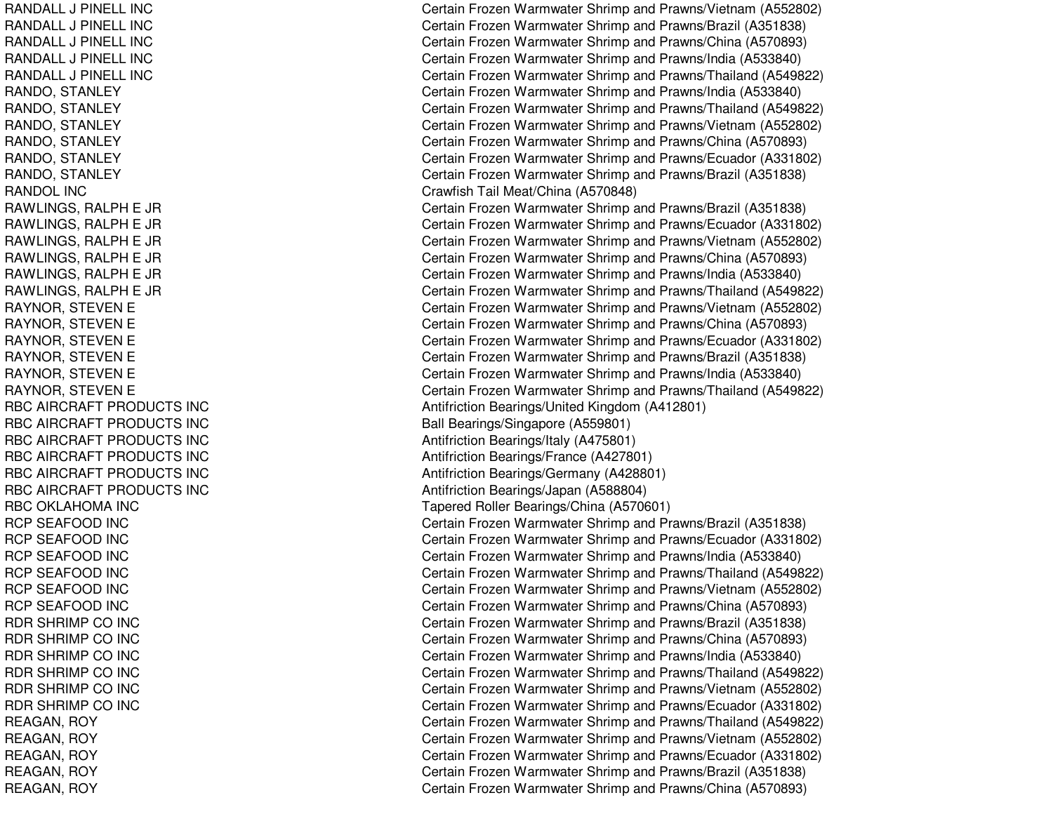RANDALL J PINELL INCRANDALL J PINELL INCRANDAL L J PINEL L INCRANDALL J PINELL INCRANDALL J PINELL INCRANDO, STANLEY RANDO, S TANLEYRANDO, S TANLEYRANDO, STANLEY RANDO, STANLEY RANDO, S TANLEYRANDOL INCRAWLINGS, R ALPHE JRRAWLINGS, RALPH E JR R A WLIN G S, R A L P H E JR RAWLINGS, R ALPHE JRRAWLINGS, RALPH E JR R A WLIN G S, R A L P H E JR RAYNOR, S TEVENERAYNOR, STEVEN E RAYNOR, STEVEN E RAYNOR, STEVEN E RAYNOR, STEVEN E RAYNOR, S TEVENERBC AIRCRAFT PRODUCTS INC RBC AIRCRAFT PRODUCTS INC RBC AIRCRAFT PRODUCTS INC RBC AIRCRAFT PRODUCTS INC RBC AIRCRAFT PRODUCTS INC RBC AIRCRAFT PRODUCTS INC RBC OKLAHOMA INC RCP SEAFOOD INC RCP SEAFOOD INC RCP SEAFOOD INC RCP SEAFOOD INC RCP SEAFOOD INC RCP SEAFOOD INC RDR SHRIMP CO INC RDR SHRIMP CO INC RDR SHRIMP CO INC RDR SHRIMP CO INC RDR SHRIMP CO INC RDR SHRIMP CO INC REAGAN, R OYRE A GA N, R OY R E A G A N, R O Y REAGAN, R OYR E A GA N, R OY

Certain Frozen Warmwater Shrimp and Prawns/Vietnam (A552802) Certain Frozen Warmwater Shrimp and Prawns/Brazil (A351838) Certain Frozen Warmwater Shrimp and Prawns/China (A570893) Certain Frozen Warmwater Shrimp and Prawns/India (A533840) Certain Frozen Warmwater Shrimp and Prawns/Thailand (A549822) Certain Frozen Warmwater Shrimp and Prawns/India (A533840) Certain Frozen Warmwater Shrimp and Prawns/Thailand (A549822) Certain Frozen Warmwater Shrimp and Prawns/Vietnam (A552802) Certain Frozen Warmwater Shrimp and Prawns/China (A570893) Certain Frozen Warmwater Shrimp and Prawns/Ecuador (A331802) Certain Frozen Warmwater Shrimp and Prawns/Brazil (A351838) Cra wfish T ail Me at/China (A 5 7 0 8 4 8) Certain Frozen Warmwater Shrimp and Prawns/Brazil (A351838) Certain Frozen Warmwater Shrimp and Prawns/Ecuador (A331802) Certain Frozen Warmwater Shrimp and Prawns/Vietnam (A552802) Certain Frozen Warmwater Shrimp and Prawns/China (A570893) Certain Frozen Warmwater Shrimp and Prawns/India (A533840) Certain Frozen Warmwater Shrimp and Prawns/Thailand (A549822) Certain Frozen Warmwater Shrimp and Prawns/Vietnam (A552802) Certain Frozen Warmwater Shrimp and Prawns/China (A570893) Certain Frozen Warmwater Shrimp and Prawns/Ecuador (A331802) Certain Frozen Warmwater Shrimp and Prawns/Brazil (A351838) Certain Frozen Warmwater Shrimp and Prawns/India (A533840) Certain Frozen Warmwater Shrimp and Prawns/Thailand (A549822) Antifriction Bearings/United Kingdom (A412801) Ball Bearings/Singapore (A559801) Antifriction B e arings/Italy (A 4 7 5 8 01) Antifriction Be arings/France (A 4 2 7 8 01) Antifriction Bearings/Germany (A428801) Antifriction Bearings/Ja p an (A 588804) T a p ere d Roller B e arings/China (A 5 7 0 6 01) Certain Frozen Warmwater Shrimp and Prawns/Brazil (A351838) Certain Frozen Warmwater Shrimp and Prawns/Ecuador (A331802) Certain Frozen Warmwater Shrimp and Prawns/India (A533840) Certain Frozen Warmwater Shrimp and Prawns/Thailand (A549822) Certain Frozen Warmwater Shrimp and Prawns/Vietnam (A552802) Certain Frozen Warmwater Shrimp and Prawns/China (A570893) Certain Frozen Warmwater Shrimp and Prawns/Brazil (A351838) Certain Frozen Warmwater Shrimp and Prawns/China (A570893) Certain Frozen Warmwater Shrimp and Prawns/India (A533840) Certain Frozen Warmwater Shrimp and Prawns/Thailand (A549822) Certain Frozen Warmwater Shrimp and Prawns/Vietnam (A552802) C ertain Frozen Warm w ater Shrim p and Pra wns/Ecua d or (A 3 318 0 2) Certain Frozen Warmwater Shrimp and Prawns/Thailand (A549822) Certain Frozen Warmwater Shrimp and Prawns/Vietnam (A552802) Certain Frozen Warmwater Shrimp and Prawns/Ecuador (A331802) Certain Frozen Warmwater Shrimp and Prawns/Brazil (A351838) Certain Frozen Warmwater Shrimp and Prawns/China (A570893)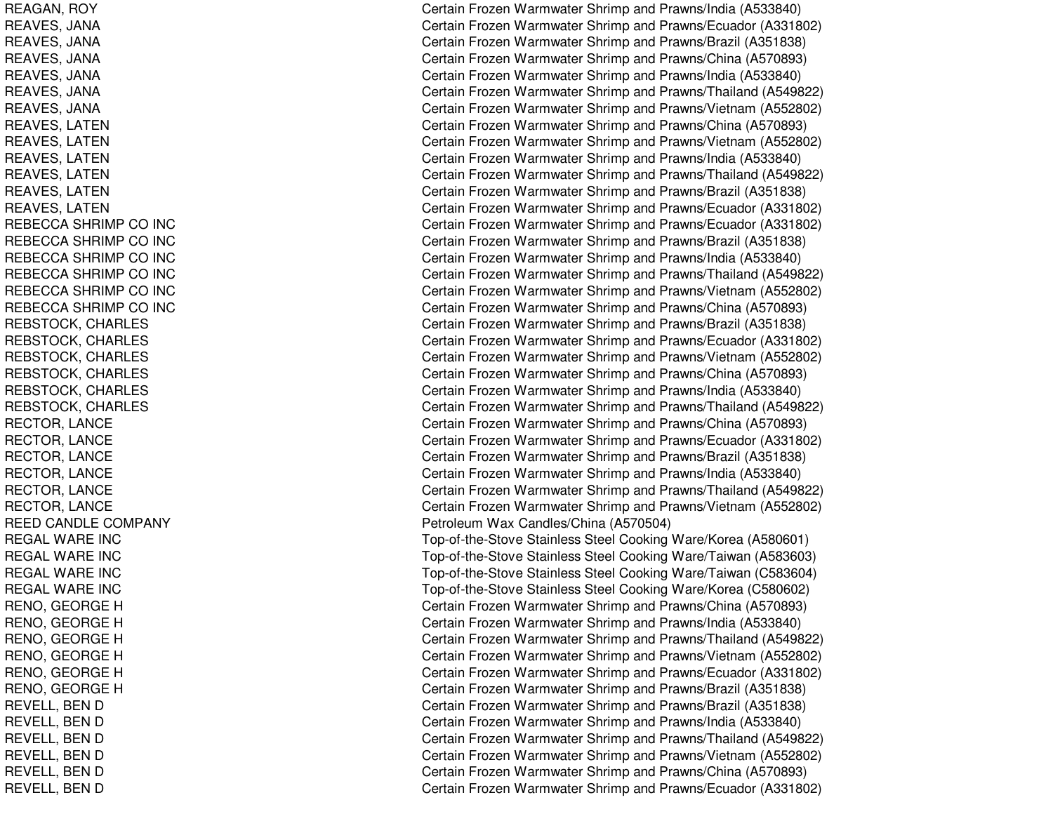REAGAN, R OYREAVES, JA NAREAVES, JA NAREAVES, JANA REAVES, JA NAREAVES, JANA REAVES, JANA REAVES, L ATENREAVES, LATEN REAVES, LATEN REAVES, L ATENREAVES, LATEN REAVES, L ATENREBECCA SHRIMP CO INC REBECCA SHRIMP CO INC REBECCA SHRIMP CO INC REBECCA SHRIMP CO INC REBECCA SHRIMP CO INC REBECCA SHRIMP CO INC REBSTOCK, CHARLES REBSTOCK, CHARLES REBSTOCK, CHARLES REBSTOCK, CHARLES REBSTOCK, C HARLESREBSTOCK, C HARL ESRECTOR, LANCE RECTOR, L ANCERECT OR, L ANCERECTOR, LANCE RECTOR, L ANCERE CT OR, L A NCE REED CANDLE COMPANY REGALWARE INCREGAL WARE INC REGALWARE INCREGALWARE INCR E N O, G E O R G E H R E N O, G E O R G E H RENO, G EORGEHR E N O, G E O R G E H RENO, G EORGEHRENO, G EORGEHREVELL, BEN D R E V E L L, B E N D REVELL, BEN D REVELL, BEN D REVELL, B ENDREVELL, BEN D

Certain Frozen Warmwater Shrimp and Prawns/India (A533840) Certain Frozen Warmwater Shrimp and Prawns/Ecuador (A331802) Certain Frozen Warmwater Shrimp and Prawns/Brazil (A351838) Certain Frozen Warmwater Shrimp and Prawns/China (A570893) Certain Frozen Warmwater Shrimp and Prawns/India (A533840) Certain Frozen Warmwater Shrimp and Prawns/Thailand (A549822) Certain Frozen Warmwater Shrimp and Prawns/Vietnam (A552802) Certain Frozen Warmwater Shrimp and Prawns/China (A570893) Certain Frozen Warmwater Shrimp and Prawns/Vietnam (A552802) Certain Frozen Warmwater Shrimp and Prawns/India (A533840) Certain Frozen Warmwater Shrimp and Prawns/Thailand (A549822) Certain Frozen Warmwater Shrimp and Prawns/Brazil (A351838) Certain Frozen Warmwater Shrimp and Prawns/Ecuador (A331802) Certain Frozen Warmwater Shrimp and Prawns/Ecuador (A331802) Certain Frozen Warmwater Shrimp and Prawns/Brazil (A351838) Certain Frozen Warmwater Shrimp and Prawns/India (A533840) Certain Frozen Warmwater Shrimp and Prawns/Thailand (A549822) Certain Frozen Warmwater Shrimp and Prawns/Vietnam (A552802) Certain Frozen Warmwater Shrimp and Prawns/China (A570893) Certain Frozen Warmwater Shrimp and Prawns/Brazil (A351838) Certain Frozen Warmwater Shrimp and Prawns/Ecuador (A331802) Certain Frozen Warmwater Shrimp and Prawns/Vietnam (A552802) Certain Frozen Warmwater Shrimp and Prawns/China (A570893) Certain Frozen Warmwater Shrimp and Prawns/India (A533840) Certain Frozen Warmwater Shrimp and Prawns/Thailand (A549822) Certain Frozen Warmwater Shrimp and Prawns/China (A570893) Certain Frozen Warmwater Shrimp and Prawns/Ecuador (A331802) Certain Frozen Warmwater Shrimp and Prawns/Brazil (A351838) Certain Frozen Warmwater Shrimp and Prawns/India (A533840) Certain Frozen Warmwater Shrimp and Prawns/Thailand (A549822) Certain Frozen Warmwater Shrimp and Prawns/Vietnam (A552802) Petroleum Wax Candles/China (A570504) Top-of-the-Stove Stainless Steel Cooking Ware/Korea (A580601) Top-of-the-Stove Stainless Steel Cooking Ware/Taiwan (A583603) Top-of-the-Stove Stainless Steel Cooking Ware/Taiwan (C583604) Top-of-the-Stove Stainless Steel Cooking Ware/Korea (C580602) Certain Frozen Warmwater Shrimp and Prawns/China (A570893) Certain Frozen Warmwater Shrimp and Prawns/India (A533840) Certain Frozen Warmwater Shrimp and Prawns/Thailand (A549822) Certain Frozen Warmwater Shrimp and Prawns/Vietnam (A552802) Certain Frozen Warmwater Shrimp and Prawns/Ecuador (A331802) Certain Frozen Warmwater Shrimp and Prawns/Brazil (A351838) Certain Frozen Warmwater Shrimp and Prawns/Brazil (A351838) Certain Frozen Warmwater Shrimp and Prawns/India (A533840) Certain Frozen Warmwater Shrimp and Prawns/Thailand (A549822) Certain Frozen Warmwater Shrimp and Prawns/Vietnam (A552802) Certain Frozen Warmwater Shrimp and Prawns/China (A570893) Certain Frozen Warmwater Shrimp and Prawns/Ecuador (A331802)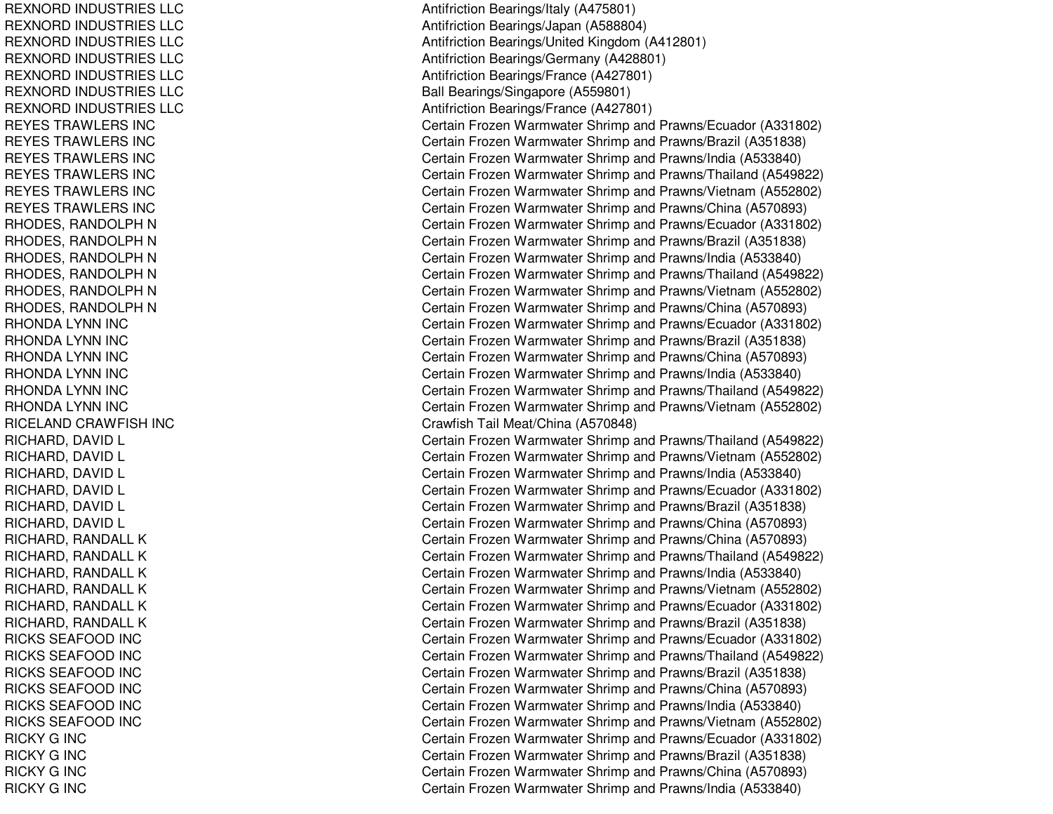REXNORD IN DUSTRIESLLCREXNORD IN DUSTRIESLLCREXNORD INDUSTRIES LLC REXNORD IN DUSTRIESLLCREXNORD IN DUSTRIESLLCREXNORD IN DUSTRIESLLCREXNORD IN DUSTRIESLLCREYESTRAWLERS INCREYES TRAWLERS INC REYESTRAWLERS INCREYESTRAWLERS INCREYESTRAWLERS INCREYESTRAWLERS INCRHODES, RANDOLPH N RHODES, RANDOLPH N RHODES, RANDOLPH N RHODES, RANDOLPH N RHODES, RANDOLPH N RHODES, RANDOLPH N RHONDA LYNN INC RHONDA LYNN INC RHONDA LYNN INC RHONDA LYNN INC RHONDA LYNN INC RHONDA LYNN INC RICELAND CRAWFISH INC RICHARD, D AVIDLRICHARD, D AVIDL RICHARD, DAVID L RICHARD, D AVIDLRICHARD, DAVID L RICHARD, DAVID L RICHARD, RANDALL K RICHARD, RANDALL K RICHARD, RANDALL K RICHARD, RANDALL K RICHARD, RANDALL K RICHARD, RANDALL K RICKS SEAFOOD INC RICKS SEAFOOD INC RICKS SEAFOOD INC RICKS SEAFOOD INC RICKS SEAFOOD INC RICKS SEAFOOD INC RICKY G INC RICKY G INC RICKY G INC RICKY G INC

Antifriction B e arings/Italy (A 4 7 5 8 01) Antifriction Bearings/Ja p an (A 588804) Antifriction Bearings/United Kingdom (A412801) Antifriction Bearings/Germany (A428801) Antifriction Bearings/France (A 427801) Ball Bearings/Singapore (A559801) Antifriction B e arings/France (A 4 2 7 8 01) Certain Frozen Warmwater Shrimp and Prawns/Ecuador (A331802) Certain Frozen Warmwater Shrimp and Prawns/Brazil (A351838) Certain Frozen Warmwater Shrimp and Prawns/India (A533840) Certain Frozen Warmwater Shrimp and Prawns/Thailand (A549822) Certain Frozen Warmwater Shrimp and Prawns/Vietnam (A552802) Certain Frozen Warmwater Shrimp and Prawns/China (A570893) Certain Frozen Warmwater Shrimp and Prawns/Ecuador (A331802) Certain Frozen Warmwater Shrimp and Prawns/Brazil (A351838) Certain Frozen Warmwater Shrimp and Prawns/India (A533840) Certain Frozen Warmwater Shrimp and Prawns/Thailand (A549822) Certain Frozen Warmwater Shrimp and Prawns/Vietnam (A552802) Certain Frozen Warmwater Shrimp and Prawns/China (A570893) Certain Frozen Warmwater Shrimp and Prawns/Ecuador (A331802) C ertain Frozen W arm w ater Shrim p and Pra wns/Brazil (A 3 518 3 8) Certain Frozen Warmwater Shrimp and Prawns/China (A570893) Certain Frozen Warmwater Shrimp and Prawns/India (A533840) Certain Frozen Warmwater Shrimp and Prawns/Thailand (A549822) Certain Frozen Warmwater Shrimp and Prawns/Vietnam (A552802) Cra wfish T ail Me at/China (A 5 7 0 8 4 8) Certain Frozen Warmwater Shrimp and Prawns/Thailand (A549822) Certain Frozen Warmwater Shrimp and Prawns/Vietnam (A552802) Certain Frozen Warmwater Shrimp and Prawns/India (A533840) Certain Frozen Warmwater Shrimp and Prawns/Ecuador (A331802) Certain Frozen Warmwater Shrimp and Prawns/Brazil (A351838) Certain Frozen Warmwater Shrimp and Prawns/China (A570893) Certain Frozen Warmwater Shrimp and Prawns/China (A570893) Certain Frozen Warmwater Shrimp and Prawns/Thailand (A549822) Certain Frozen Warmwater Shrimp and Prawns/India (A533840) Certain Frozen Warmwater Shrimp and Prawns/Vietnam (A552802) Certain Frozen Warmwater Shrimp and Prawns/Ecuador (A331802) Certain Frozen Warmwater Shrimp and Prawns/Brazil (A351838) Certain Frozen Warmwater Shrimp and Prawns/Ecuador (A331802) Certain Frozen Warmwater Shrimp and Prawns/Thailand (A549822) Certain Frozen Warmwater Shrimp and Prawns/Brazil (A351838) Certain Frozen Warmwater Shrimp and Prawns/China (A570893) Certain Frozen Warmwater Shrimp and Prawns/India (A533840) Certain Frozen Warmwater Shrimp and Prawns/Vietnam (A552802) Certain Frozen Warmwater Shrimp and Prawns/Ecuador (A331802) C ertain Frozen W arm w ater Shrim p and Pra wns/Brazil (A 3 518 3 8) Certain Frozen Warmwater Shrimp and Prawns/China (A570893) Certain Frozen Warmwater Shrimp and Prawns/India (A533840)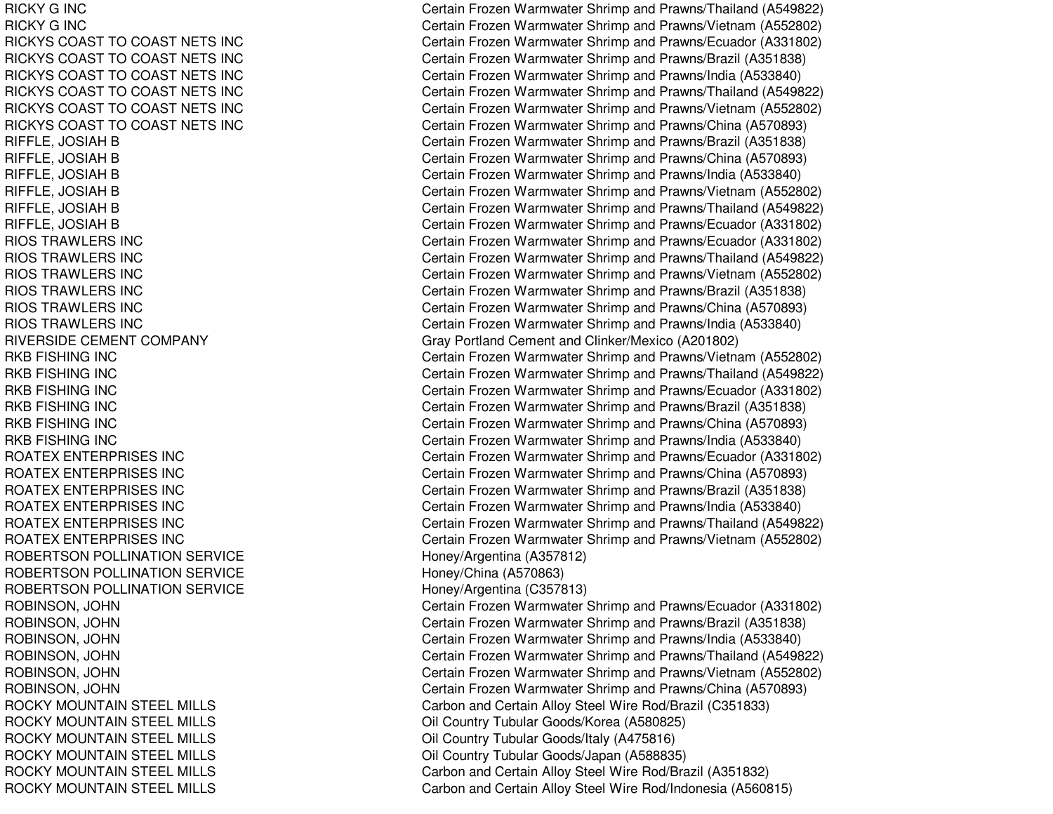RICKY GRICKY GRICKYS COAST TORICKYS COAST TORICKYS COAST TORICKYS COAST TORICKYS COAST TORICKYS COAST TORIOS TRAWLERS INCRIOS TRAWLERS INCRIOS TRAWLERS INCRIOS TRAWLERS INCRIOS TRAWLERS INCRIOS TRAWLERS INCRIVERSIDE CEMENT COMPANY RKB FISHINGRKB FISHINGRKB FISHINGRKB FISHINGRKB FISHINGRKB FISHINGROATEX ENTERPRISES INCROATEX ENTERPRISES INCROATEX ENTERPRISES INCROATEX ENTERPRISES INCROATEX ENTERPRISES INCROATEX ENTERPRISES INCROBERTSON POLLINATION SERVICE NEW ARRIVERS Honey/Argentina (A357812) ROBERTSON POLLINATION SERVICE Honey/China (A570863) ROBERTSON POLLINATION SERVICE ROCKY MOUNTAINROCKY MOUNTAINROCKY MOUNTAINROCKY MOUNTAINROCKY MOUNTAINROCKY MOUNTAIN

Certain Frozen Warmwater Shrimp and Prawns/Thailand (A549822) Certain Frozen Warmwater Shrimp and Prawns/Vietnam (A552802) Certain Frozen Warmwater Shrimp and Prawns/Ecuador (A331802) Certain Frozen Warmwater Shrimp and Prawns/Brazil (A351838) Certain Frozen Warmwater Shrimp and Prawns/India (A533840) Certain Frozen Warmwater Shrimp and Prawns/Thailand (A549822) Certain Frozen Warmwater Shrimp and Prawns/Vietnam (A552802) Certain Frozen Warmwater Shrimp and Prawns/China (A570893) RIFFLE, JOSIAH B Certain Frozen Warmwater Shrimp and Prawns/Brazil (A351838) RIFFLE, JOSIAH B Certain Frozen Warmwater Shrimp and Prawns/China (A570893) RIFFLE, JOSIAH B Certain Frozen Warmwater Shrimp and Prawns/India (A533840) RIFFLE, JOSIAH B Certain Frozen Warmwater Shrimp and Prawns/Vietnam (A552802) RIFFLE, JOSIAH B Certain Frozen Warmwater Shrimp and Prawns/Thailand (A549822) RIFFLE, JOSIAH B Certain Frozen Warmwater Shrimp and Prawns/Ecuador (A331802) Certain Frozen Warmwater Shrimp and Prawns/Ecuador (A331802) Certain Frozen Warmwater Shrimp and Prawns/Thailand (A549822) Certain Frozen Warmwater Shrimp and Prawns/Vietnam (A552802) Certain Frozen Warmwater Shrimp and Prawns/Brazil (A351838) Certain Frozen Warmwater Shrimp and Prawns/China (A570893) Certain Frozen Warmwater Shrimp and Prawns/India (A533840) Gray Portland Cement and Clinker/Mexico (A201802) Certain Frozen Warmwater Shrimp and Prawns/Vietnam (A552802) Certain Frozen Warmwater Shrimp and Prawns/Thailand (A549822) Certain Frozen Warmwater Shrimp and Prawns/Ecuador (A331802) Certain Frozen Warmwater Shrimp and Prawns/Brazil (A351838) Certain Frozen Warmwater Shrimp and Prawns/China (A570893) Certain Frozen Warmwater Shrimp and Prawns/India (A533840) Certain Frozen Warmwater Shrimp and Prawns/Ecuador (A331802) Certain Frozen Warmwater Shrimp and Prawns/China (A570893) Certain Frozen Warmwater Shrimp and Prawns/Brazil (A351838) Certain Frozen Warmwater Shrimp and Prawns/India (A533840) Certain Frozen Warmwater Shrimp and Prawns/Thailand (A549822) Certain Frozen Warmwater Shrimp and Prawns/Vietnam (A552802) Honey/Argentina (C357813) ROBINSON, JOHN Certain Frozen Warmwater Shrimp and Prawns/Ecuador (A331802) ROBINSON, JOHN Certain Frozen Warmwater Shrimp and Prawns/Brazil (A351838) ROBINSON, JOHN Certain Frozen Warmwater Shrimp and Prawns/India (A533840) ROBINSON, JOHN Certain Frozen Warmwater Shrimp and Prawns/Thailand (A549822) ROBINSON, JOHN Certain Frozen Warmwater Shrimp and Prawns/Vietnam (A552802) ROBINSON, JOHN Certain Frozen Warmwater Shrimp and Prawns/China (A570893) Carbon and Certain Alloy Steel Wire Rod/Brazil (C351833) Oil Country Tubular Goods/Korea (A580825) Oil Country Tubular Goods/Italy (A475816) Oil Country Tubular Goods/Japan (A588835) Carbon and Certain Alloy Steel Wire Rod/Brazil (A351832) Carbon and Certain Alloy Steel Wire Rod/Indonesia (A560815)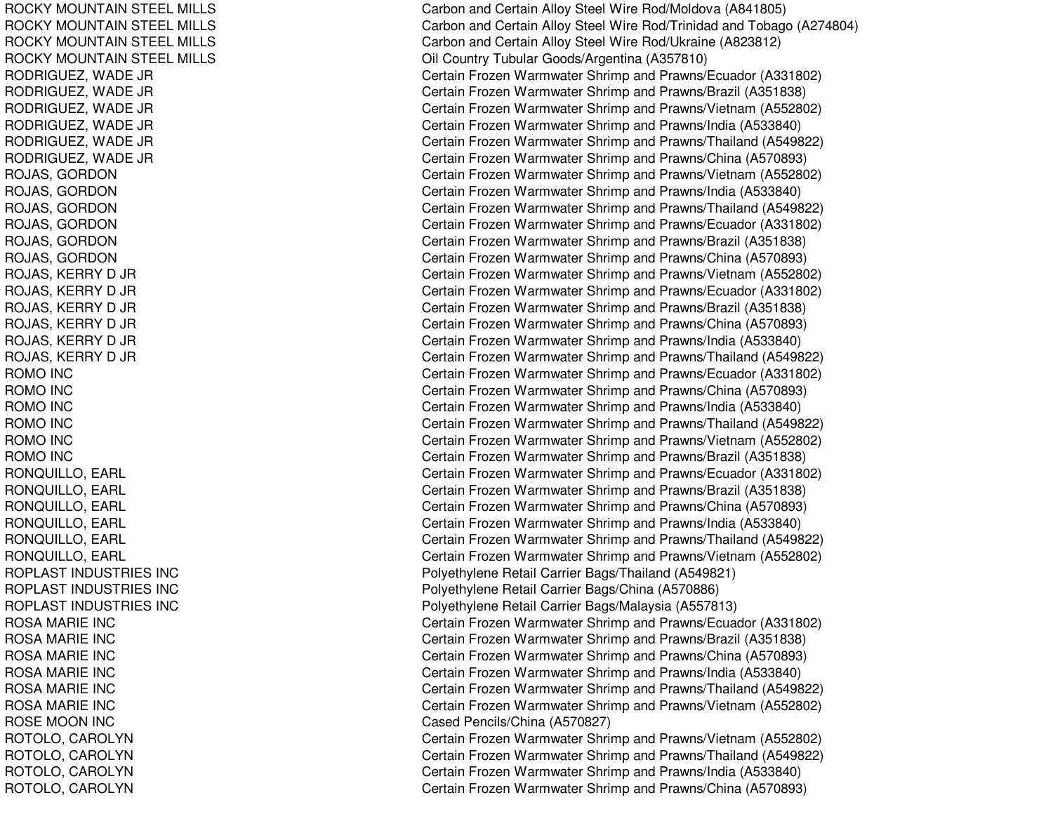ROCKY MOUNTAIN STEEL MILLS ROCKY MOUNTAIN STEEL MILLS ROCKY MOUNTAIN STEEL MILLS ROCKY MOUNTAIN STEEL MILLS RODRIGUEZ, W ADE JRRODRIGUE Z, W A DE JRR O D RIG U E Z, W A D E JR RODRIGUEZ, W ADE JRR OD RIGU E Z, W A D E JR R O D RIG U E Z, W A D E JR ROJAS, G ORDONR OJA S, G O R D O N ROJAS, G ORDONROJAS, G ORDONR OJA S, G O R D O N ROJAS, G ORDONROJAS, K ERRYD JR R OJA S, K E R R Y D JR ROJAS, K ERRYD JR ROJAS, KERRY D JR R OJA S, K E R R Y D JR ROJAS, K ERRYD JR ROMO IN CROMO IN CROMO IN CROMO IN CROMO IN CROMO IN CR O N Q UIL L O, E A R L RONQUILLO, E ARLRONQUILLO, EARL RONQUILLO, EARL R O N Q UIL L O, E A R L RONQUILLO, EARL ROPLAST INDUSTRIES INCROPLAST INDUSTRIES INCROPLAST INDUSTRIES INC ROSAMARIE INCROSAMARIE INCROSAMARIE INCROSAMARIE INCROSAMARIE INCROSA MARIE INC ROSE MOON INC ROTOLO, CAROLYN ROTOLO, CAROLYN ROTOLO, C AROLYNROTOLO, CAROLYN

Carbon and Certain Alloy Steel Wire Rod/Moldova (A841805) Carbon and Certain Alloy Steel Wire Rod/Trinidad and Tobago (A274804) Carbon and Certain Alloy Steel Wire Rod/Ukraine (A823812) Oil Country Tubular Goods/Argentina (A357810) Certain Frozen Warmwater Shrimp and Prawns/Ecuador (A331802) Certain Frozen Warmwater Shrimp and Prawns/Brazil (A351838) Certain Frozen Warmwater Shrimp and Prawns/Vietnam (A552802) Certain Frozen Warmwater Shrimp and Prawns/India (A533840) Certain Frozen Warmwater Shrimp and Prawns/Thailand (A549822) Certain Frozen Warmwater Shrimp and Prawns/China (A570893) Certain Frozen Warmwater Shrimp and Prawns/Vietnam (A552802) Certain Frozen Warmwater Shrimp and Prawns/India (A533840) Certain Frozen Warmwater Shrimp and Prawns/Thailand (A549822) Certain Frozen Warmwater Shrimp and Prawns/Ecuador (A331802) Certain Frozen Warmwater Shrimp and Prawns/Brazil (A351838) Certain Frozen Warmwater Shrimp and Prawns/China (A570893) Certain Frozen Warmwater Shrimp and Prawns/Vietnam (A552802) Certain Frozen Warmwater Shrimp and Prawns/Ecuador (A331802) Certain Frozen Warmwater Shrimp and Prawns/Brazil (A351838) Certain Frozen Warmwater Shrimp and Prawns/China (A570893) Certain Frozen Warmwater Shrimp and Prawns/India (A533840) Certain Frozen Warmwater Shrimp and Prawns/Thailand (A549822) Certain Frozen Warmwater Shrimp and Prawns/Ecuador (A331802) Certain Frozen Warmwater Shrimp and Prawns/China (A570893) Certain Frozen Warmwater Shrimp and Pra wns/India (A 5 3 3 8 4 0) Certain Frozen Warmwater Shrimp and Prawns/Thailand (A549822) Certain Frozen Warmwater Shrimp and Prawns/Vietnam (A552802) Certain Frozen Warmwater Shrimp and Prawns/Brazil (A351838) C ertain Frozen Warm w ater Shrim p and Pra wns/Ecua d or (A 3 318 0 2) Certain Frozen Warmwater Shrimp and Prawns/Brazil (A351838) Certain Frozen Warmwater Shrimp and Prawns/China (A570893) Certain Frozen Warmwater Shrimp and Prawns/India (A533840) Certain Frozen Warmwater Shrimp and Prawns/Thailand (A549822) Certain Frozen Warmwater Shrimp and Prawns/Vietnam (A552802) Polyethylene Retail Carrier Bags/Thailand (A549821) Poly ethylene Retail Carrier Bags/China (A 570886) Polyethylene Retail Carrier Bags/Malaysia (A557813) Certain Frozen Warmwater Shrimp and Prawns/Ecuador (A331802) C ertain Frozen W arm w ater Shrim p and Pra wns/Brazil (A 3 518 3 8) Certain Frozen Warmwater Shrimp and Prawns/China (A570893) Certain Frozen Warmwater Shrimp and Prawns/India (A533840) Certain Frozen Warmwater Shrimp and Prawns/Thailand (A549822) Certain Frozen Warmwater Shrimp and Prawns/Vietnam (A552802) Cased Pencils/China (A570827) Certain Frozen Warmwater Shrimp and Prawns/Vietnam (A552802) Certain Frozen Warmwater Shrimp and Prawns/Thailand (A549822) Certain Frozen Warmwater Shrimp and Prawns/India (A533840) Certain Frozen Warmwater Shrimp and Prawns/China (A570893)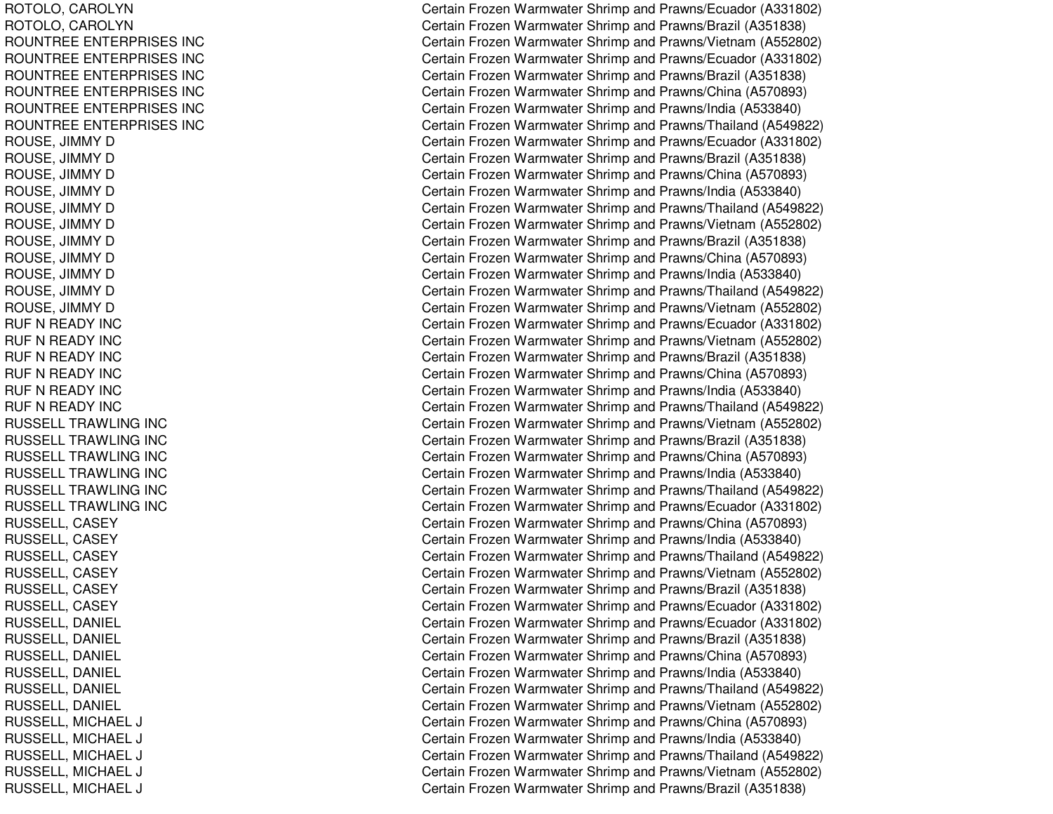ROTOLO, C AROLYNROTOLO, C AROLYNROUNTREE ENTERPRISES INC ROUNTREE ENTERPRISES INC ROUNTREE ENTERPRISES INC ROUNTREE ENTERPRISES INC ROUNTREE ENTERPRISES INC ROUNTREE ENTERPRISES INC R OU S E, JIM MY D R O U S E, JIM M Y D ROUSE, JIMMY D R O U S E, JIM MY D ROUSE, JIMMY D ROUSE, JIMMY D R O U S E, JIM M Y D ROUSE, JIMMY D R O U S E, JIM M Y D R O U S E, JIM M Y D ROUSE, JIMMY D RUF N READY INC RUF N READY INC RUF N READY INC RUF N READY INC RUF N READY INC RUF N READY INC RUSSELL TRAWLING INC RUSSELL TRAWLING INC RUSSELL TRAWLING INC RUSSELL TRAWLING INC RUSSELL TRAWLING INC RUSSELL TRAWLING INC RUSSELL, CASEY RUSSELL, CASEY RUSSELL, CASEY RUSSELL, CASEY RUSSELL, C ASEYRUSSELL, CASEY RUSSELL, DANIEL RUSSEL L, D ANIEL RUSSELL, DANIEL RUSSELL, D ANIELRUSSEL L, D ANIEL RUSSELL, DANIEL RUSSELL, MIC HAELLJ C RUSSELL, MICHAEL LJ C RUSSELL, MICHAEL LJ COMERCIAL COMMUNICATION COMMUNICATION COMMUNICATION COMMUNICATION COMMUNICATION COMMUNICATION COMMUNICATION RUSSELL, MIC HAELLJ COMERCIAL COMMUNICATION COMMUNICATION COMMUNICATION COMMUNICATION COMMUNICATION COMMUNICATION COMMUNICATION RUSSELL, MICHAEL LJ C

Certain Frozen Warmwater Shrimp and Prawns/Ecuador (A331802) Certain Frozen Warmwater Shrimp and Prawns/Brazil (A351838) Certain Frozen Warmwater Shrimp and Prawns/Vietnam (A552802) Certain Frozen Warmwater Shrimp and Prawns/Ecuador (A331802) Certain Frozen Warmwater Shrimp and Prawns/Brazil (A351838) Certain Frozen Warmwater Shrimp and Prawns/China (A570893) Certain Frozen Warmwater Shrimp and Prawns/India (A533840) Certain Frozen Warmwater Shrimp and Prawns/Thailand (A549822) Certain Frozen Warmwater Shrimp and Prawns/Ecuador (A331802) C ertain Frozen W arm w ater Shrim p and Pra wns/Brazil (A 3 518 3 8) Certain Frozen Warmwater Shrimp and Prawns/China (A570893) Certain Frozen Warmwater Shrimp and Prawns/India (A533840) Certain Frozen Warmwater Shrimp and Prawns/Thailand (A549822) Certain Frozen Warmwater Shrimp and Prawns/Vietnam (A552802) Certain Frozen Warmwater Shrimp and Prawns/Brazil (A351838) Certain Frozen Warmwater Shrimp and Prawns/China (A570893) Certain Frozen Warmwater Shrimp and Prawns/India (A533840) Certain Frozen Warmwater Shrimp and Prawns/Thailand (A549822) Certain Frozen Warmwater Shrimp and Prawns/Vietnam (A552802) Certain Frozen Warmwater Shrimp and Prawns/Ecuador (A331802) Certain Frozen Warmwater Shrimp and Prawns/Vietnam (A552802) Certain Frozen Warmwater Shrimp and Prawns/Brazil (A351838) Certain Frozen Warmwater Shrimp and Prawns/China (A570893) Certain Frozen Warmwater Shrimp and Prawns/India (A533840) Certain Frozen Warmwater Shrimp and Prawns/Thailand (A549822) Certain Frozen Warmwater Shrimp and Prawns/Vietnam (A552802) Certain Frozen Warmwater Shrimp and Prawns/Brazil (A351838) Certain Frozen Warmwater Shrimp and Prawns/China (A570893) Certain Frozen Warmwater Shrimp and Prawns/India (A533840) Certain Frozen Warmwater Shrimp and Prawns/Thailand (A549822) Certain Frozen Warmwater Shrimp and Prawns/Ecuador (A331802) Certain Frozen Warmwater Shrimp and Prawns/China (A570893) Certain Frozen Warmwater Shrimp and Prawns/India (A533840) Certain Frozen Warmwater Shrimp and Prawns/Thailand (A549822) Certain Frozen Warmwater Shrimp and Prawns/Vietnam (A552802) Certain Frozen Warmwater Shrimp and Prawns/Brazil (A351838) Certain Frozen Warmwater Shrimp and Prawns/Ecuador (A331802) Certain Frozen Warmwater Shrimp and Prawns/Ecuador (A331802) C ertain Frozen W arm w ater Shrim p and Pra wns/Brazil (A 3 518 3 8) Certain Frozen Warmwater Shrimp and Prawns/China (A570893) Certain Frozen Warmwater Shrimp and Prawns/India (A533840) Certain Frozen Warmwater Shrimp and Prawns/Thailand (A549822) Certain Frozen Warmwater Shrimp and Prawns/Vietnam (A552802) Certain Frozen Warmwater Shrimp and Prawns/China (A570893) ertain Frozen Warmwater Shrimp and Prawns/India (A533840) Certain Frozen Warmwater Shrimp and Prawns/Thailand (A549822) ertain Frozen Warmwater Shrimp and Prawns/Vietnam (A552802) Certain Frozen Warmwater Shrimp and Prawns/Brazil (A351838)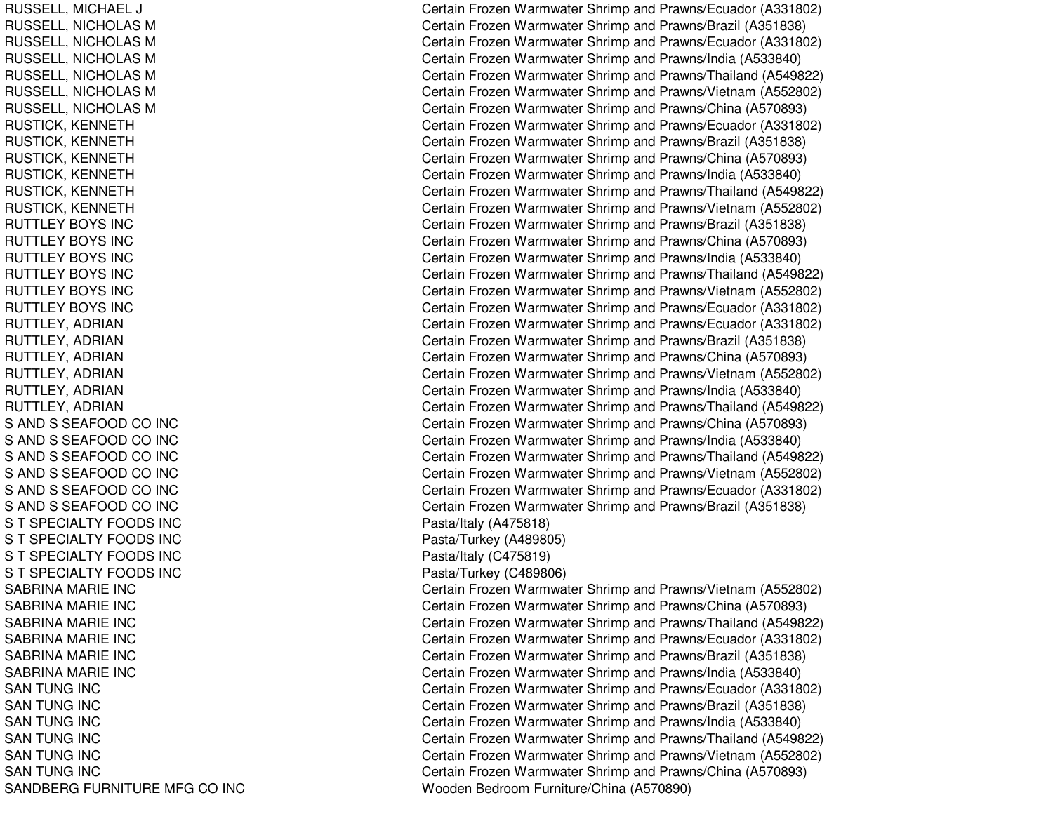RUSSELL, MIC HAELLJ C RUSSELL, NICHOLAS M RUSSELL, NICHOLAS M RUSSELL, NICHOLAS M RUSSELL, NICHOLAS M RUSSELL, NICHOLAS M RUSSELL, NICHOLAS M RUSTICK, K ENNETHRUSTICK, KENNETH RUSTICK, KENNETH RUSTICK, K ENNETHRUSTICK, KENNETH RUSTICK, K ENNETHRUTTL EYBOYS INCRUTTLEY BOYS INC RUTTLEY BOYS INC RUTTLEY BOYS INC RUTTLEY BOYS INC RUTTLEY BOYS INC RUTTLEY, ADRIAN RUTTLEY, ADRIAN RUTTLEY, ADRIAN RUTTLEY, ADRIAN RUTTLEY, A DRIANRUTTL EY, A DRIANS AND S SEAFOOD CO INC S AND S SEAFOOD CO INC S AND S SEAFOOD CO INC S AND S SEAFOOD CO INC S AND S SEAFOOD CO INC S AND S SEAFOOD CO INC S T SPECIALTY FOODS INC S T SPECIALTY FOODS INC S T SPECIALTY FOODS INC S T SPECIALTY FOODS INC SABRINA MARIE INC SABRINA MARIE INC SABRINAMARIE INCSABRINA MARIE INC SABRINA MARIE INC SABRINAMARIE INCSAN TUNG INC SAN TUNG INC SAN TUNG INC S A NT UNG IN CSAN TUNG INC SAN TUNG INC SANDBERG FURNITURE MFG CO INC

Certain Frozen Warmwater Shrimp and Prawns/Ecuador (A331802) Certain Frozen Warmwater Shrimp and Prawns/Brazil (A351838) Certain Frozen Warmwater Shrimp and Prawns/Ecuador (A331802) Certain Frozen Warmwater Shrimp and Prawns/India (A533840) Certain Frozen Warmwater Shrimp and Prawns/Thailand (A549822) Certain Frozen Warmwater Shrimp and Prawns/Vietnam (A552802) Certain Frozen Warmwater Shrimp and Prawns/China (A570893) Certain Frozen Warmwater Shrimp and Prawns/Ecuador (A331802) Certain Frozen Warmwater Shrimp and Prawns/Brazil (A351838) Certain Frozen Warmwater Shrimp and Prawns/China (A570893) Certain Frozen Warmwater Shrimp and Prawns/India (A533840) Certain Frozen Warmwater Shrimp and Prawns/Thailand (A549822) Certain Frozen Warmwater Shrimp and Prawns/Vietnam (A552802) Certain Frozen Warmwater Shrimp and Prawns/Brazil (A351838) Certain Frozen Warmwater Shrimp and Prawns/China (A570893) Certain Frozen Warmwater Shrimp and Prawns/India (A533840) Certain Frozen Warmwater Shrimp and Prawns/Thailand (A549822) Certain Frozen Warmwater Shrimp and Prawns/Vietnam (A552802) Certain Frozen Warmwater Shrimp and Prawns/Ecuador (A331802) Certain Frozen Warmwater Shrimp and Prawns/Ecuador (A331802) C ertain Frozen W arm w ater Shrim p and Pra wns/Brazil (A 3 518 3 8) Certain Frozen Warmwater Shrimp and Prawns/China (A570893) Certain Frozen Warmwater Shrimp and Prawns/Vietnam (A552802) Certain Frozen Warmwater Shrimp and Prawns/India (A533840) Certain Frozen Warmwater Shrimp and Prawns/Thailand (A549822) Certain Frozen Warmwater Shrimp and Prawns/China (A570893) Certain Frozen Warmwater Shrimp and Prawns/India (A533840) Certain Frozen Warmwater Shrimp and Prawns/Thailand (A549822) Certain Frozen Warmwater Shrimp and Prawns/Vietnam (A552802) Certain Frozen Warmwater Shrimp and Prawns/Ecuador (A331802) Certain Frozen Warmwater Shrimp and Prawns/Brazil (A351838) P asta/Italy (A 4 7 5 818) P asta/Turke y (A 4 8 9 8 0 5) P asta/Italy (C 4 7 5 819) Pasta/Turkey (C489806) Certain Frozen Warmwater Shrimp and Prawns/Vietnam (A552802) Certain Frozen Warmwater Shrimp and Prawns/China (A570893) Certain Frozen Warmwater Shrimp and Prawns/Thailand (A549822) Certain Frozen Warmwater Shrimp and Prawns/Ecuador (A331802) Certain Frozen Warmwater Shrimp and Prawns/Brazil (A351838) Certain Frozen Warmwater Shrimp and Prawns/India (A533840) Certain Frozen Warmwater Shrimp and Prawns/Ecuador (A331802) Certain Frozen Warmwater Shrimp and Prawns/Brazil (A351838) Certain Frozen Warmwater Shrimp and Prawns/India (A533840) Certain Frozen Warmwater Shrimp and Prawns/Thailand (A549822) Certain Frozen Warmwater Shrimp and Prawns/Vietnam (A552802) Certain Frozen Warmwater Shrimp and Prawns/China (A570893) Wooden Bedroom Furniture/China (A570890)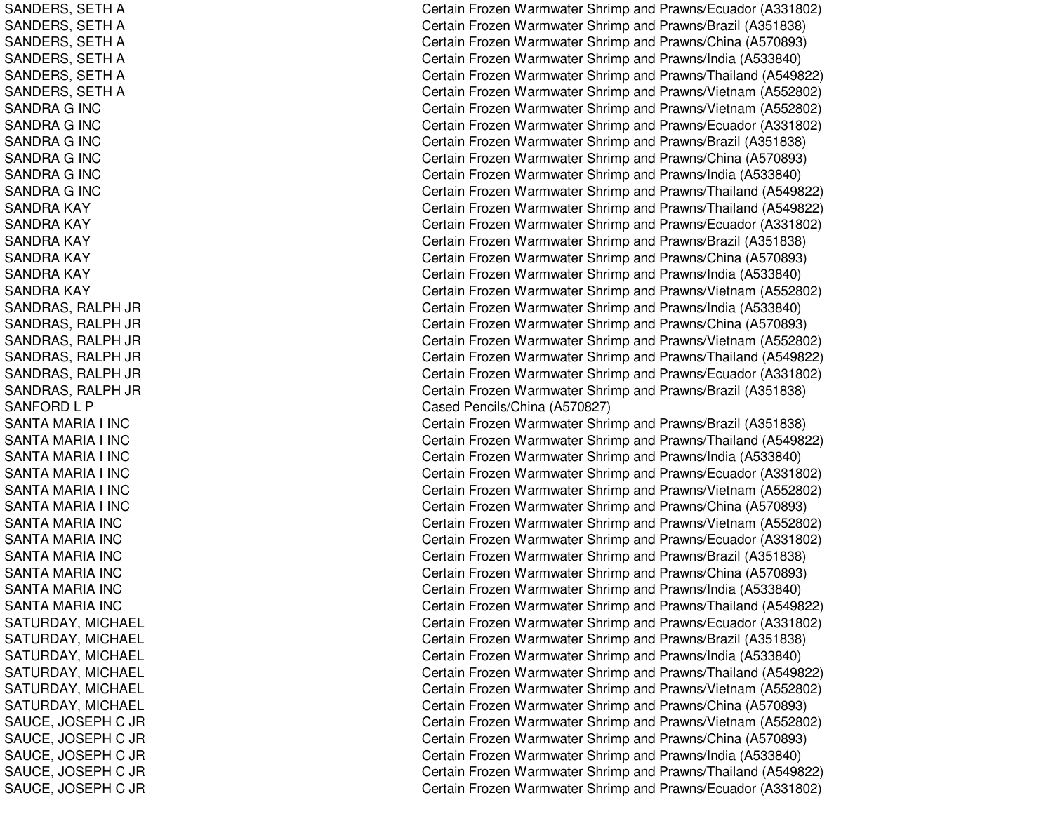SANDERS, S ETHASANDERS, S ETHASANDERS, SETH A SANDERS, SETH A SANDERS, S ETHASANDERS, SETH A SANDRA G INC SANDRA G INC S A N D R A G IN C SANDRA G INC SANDRA G INC SANDRA G INC SANDRA KAY SANDRA KAY SANDRA KAY SANDRA KAY SANDRA KAY SANDRA KAY SANDRAS, R ALPH JR SANDRAS, RALPH JR SANDRAS, RALPH JR SANDRAS, R ALPH JR SANDRAS, RALPH JR SANDRAS, R ALPH JR SANFORDL PSANTA MARIA I INC SANTA MARIA I INC SANTA MARIA I INC SANTA MARIA I INC SANTA MARIA I INC S A NT A MA RIA I INCSANTA MARIA INC SANTA MARIA INC SANTA MARIA INC SANTA MARIA INC SANTA MARIA INC SANTA MARIA INC SATURDAY, MICHAEL SATURDAY, MIC HAEL SATURDAY, MICHAEL SATURDAY, MIC HAELSAT URDAY, MIC HAEL SATURDAY, MICHAEL S A U C E, JO S E P H C JR SAUCE, JOSEPH C JR S A U C E, JO S E P H C JR SAUCE, JO SEPHC JR S A U C E, JO S E P H C JR Certain Frozen Warmwater Shrimp and Prawns/Ecuador (A331802) Certain Frozen Warmwater Shrimp and Prawns/Brazil (A351838) Certain Frozen Warmwater Shrimp and Prawns/China (A570893) Certain Frozen Warmwater Shrimp and Prawns/India (A533840) Certain Frozen Warmwater Shrimp and Prawns/Thailand (A549822) Certain Frozen Warmwater Shrimp and Prawns/Vietnam (A552802) Certain Frozen Warmwater Shrimp and Prawns/Vietnam (A552802) Certain Frozen Warmwater Shrimp and Prawns/Ecuador (A331802) Certain Frozen Warmwater Shrimp and Prawns/Brazil (A351838) Certain Frozen Warmwater Shrimp and Prawns/China (A570893) Certain Frozen Warmwater Shrimp and Prawns/India (A533840) Certain Frozen Warmwater Shrimp and Prawns/Thailand (A549822) Certain Frozen Warmwater Shrimp and Prawns/Thailand (A549822) Certain Frozen Warmwater Shrimp and Prawns/Ecuador (A331802) Certain Frozen Warmwater Shrimp and Prawns/Brazil (A351838) Certain Frozen Warmwater Shrimp and Prawns/China (A570893) Certain Frozen Warmwater Shrimp and Prawns/India (A533840) Certain Frozen Warmwater Shrimp and Prawns/Vietnam (A552802) Certain Frozen Warmwater Shrimp and Prawns/India (A533840) Certain Frozen Warmwater Shrimp and Prawns/China (A570893) Certain Frozen Warmwater Shrimp and Prawns/Vietnam (A552802) Certain Frozen Warmwater Shrimp and Prawns/Thailand (A549822) Certain Frozen Warmwater Shrimp and Prawns/Ecuador (A331802) Certain Frozen Warmwater Shrimp and Prawns/Brazil (A351838) Case d Pencils/China (A 5 7 0 8 2 7) Certain Frozen Warmwater Shrimp and Prawns/Brazil (A351838) Certain Frozen Warmwater Shrimp and Prawns/Thailand (A549822) Certain Frozen Warmwater Shrimp and Prawns/India (A533840) Certain Frozen Warmwater Shrimp and Prawns/Ecuador (A331802) Certain Frozen Warmwater Shrimp and Prawns/Vietnam (A552802) Certain Frozen Warmwater Shrimp and Prawns/China (A570893) Certain Frozen Warmwater Shrimp and Prawns/Vietnam (A552802) Certain Frozen Warmwater Shrimp and Prawns/Ecuador (A331802) Certain Frozen Warmwater Shrimp and Prawns/Brazil (A351838) Certain Frozen Warmwater Shrimp and Prawns/China (A570893) Certain Frozen Warmwater Shrimp and Prawns/India (A533840) Certain Frozen Warmwater Shrimp and Prawns/Thailand (A549822) Certain Frozen Warmwater Shrimp and Prawns/Ecuador (A331802) C ertain Frozen W arm w ater Shrim p and Pra wns/Brazil (A 3 518 3 8) Certain Frozen Warmwater Shrimp and Prawns/India (A533840) Certain Frozen Warmwater Shrimp and Prawns/Thailand (A549822) Certain Frozen Warmwater Shrimp and Prawns/Vietnam (A552802) Certain Frozen Warmwater Shrimp and Prawns/China (A570893) Certain Frozen Warmwater Shrimp and Prawns/Vietnam (A552802) Certain Frozen Warmwater Shrimp and Prawns/China (A570893) Certain Frozen Warmwater Shrimp and Prawns/India (A533840) Certain Frozen Warmwater Shrimp and Prawns/Thailand (A549822) Certain Frozen Warmwater Shrimp and Prawns/Ecuador (A331802)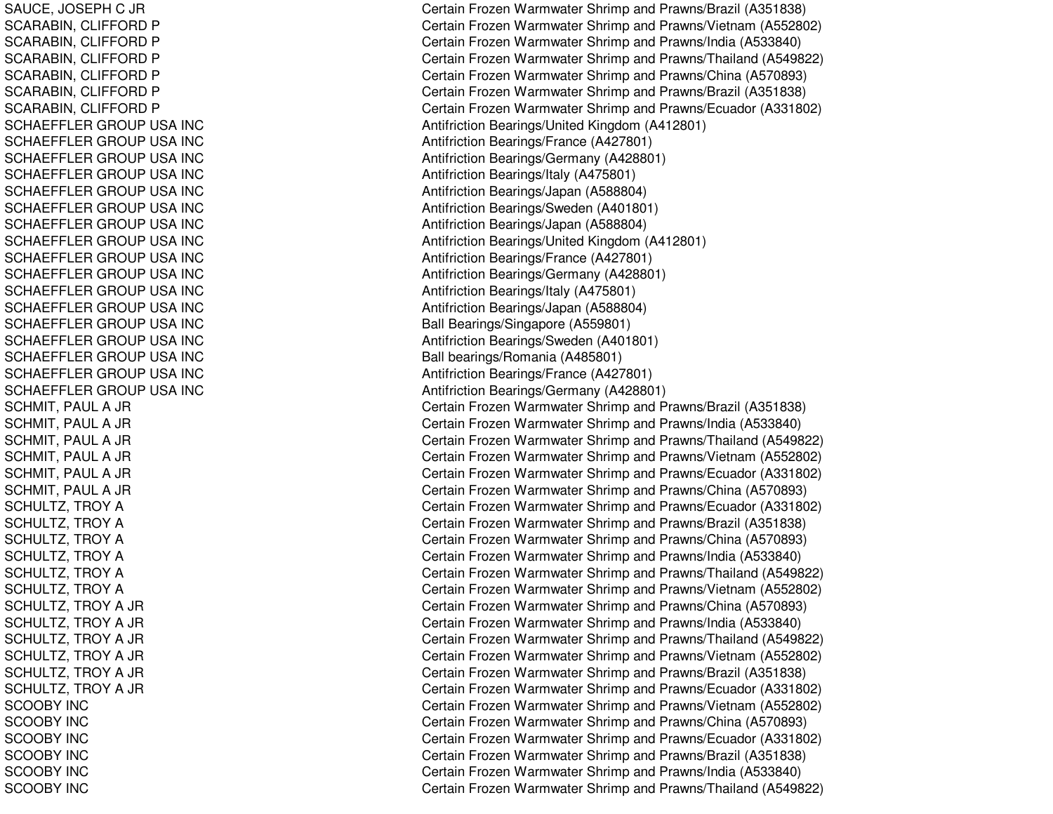SAUCE, JO SEPHC JR SCARABIN, CLIFFORD P SCARABIN, CLIFFORD P SCARABIN, CLIFFORD P SCARABIN, CLIFFORD P SCARABIN, CLIFFORD P SCARABIN, CLIFFORD P SCHAEFFLER GROUP USA INC SCHAEFFLER GROUP USA INC SCHAEFFLER GROUP USA INC SCHAEFFLER GROUP USA INC SCHAEFFLER GROUP USA INC SCHAEFFLER GROUP USA INC SCHAEFFLER GROUP USA INC SCHAEFFLER GROUP USA INC SCHAEFFLER GROUP USA INC SCHAEFFLER GROUP USA INC SCHAEFFLER GROUP USA INC SCHAEFFLER GROUP USA INC S CHA E F F L E RGROUP US A INCSCHAEFFLER GROUP USA INC SCHAEFFLER GROUP USA INC SCHAEFFLER GROUP USA INC SCHAEFFLER GROUP USA INC SCHMIT, PAUL A JR S C H MIT, P A U L A JR SCHMIT, PAUL A JR SCHMIT, PAUL A JR SCHMIT, PAUL A JR S C H MIT, P A U L A JR SCHULTZ, TROY A SCHULTZ, TROY A SCHULTZ, TROY A SCHULTZ, TROY A SCHULTZ, TROY A SCHULTZ, TROY A SCHULTZ, TROY A JR SCHULTZ, TROY A JR SCHULTZ, TROY A JR SCHULTZ, TROY A JR SCHULTZ, TROY A JR SCHULTZ, TROY A JR S C O O B Y IN C SCOOBY INCS COOB Y INCSCOOBY INCSCOOBY INCSCOOBY INC

Certain Frozen Warmwater Shrimp and Prawns/Brazil (A351838) Certain Frozen Warmwater Shrimp and Prawns/Vietnam (A552802) Certain Frozen Warmwater Shrimp and Prawns/India (A533840) Certain Frozen Warmwater Shrimp and Prawns/Thailand (A549822) Certain Frozen Warmwater Shrimp and Prawns/China (A570893) Certain Frozen Warmwater Shrimp and Prawns/Brazil (A351838) Certain Frozen Warmwater Shrimp and Prawns/Ecuador (A331802) Antifriction Bearings/United Kingdom (A412801) Antifriction B e arings/France (A 4 2 7 8 01) Antifriction B e arings/G erm any (A 4 2 8 8 01) Antifriction Bearings/Italy (A 475801) Antifriction Bearings/Japan (A588804) Antifriction Bearings/S weden (A 401801) Antifriction Be arings/Ja p an (A 5 8 8 8 0 4) Antifriction Bearings/United Kingdom (A412801) Antifriction B e arings/France (A 4 2 7 8 01) Antifriction Be arings/G ermany (A 4 2 8 8 01) Antifriction B e arings/Italy (A 4 7 5 8 01) Antifriction Bearings/Ja p an (A 588804) Ball Bearings/Singapore (A559801) Antifriction B e arings/S w e d en (A 4 018 01) Ball bearings/Romania (A485801) Antifriction B e arings/France (A 4 2 7 8 01) Antifriction Bearings/G ermany (A 428801) Certain Frozen Warmwater Shrimp and Prawns/Brazil (A351838) Certain Frozen Warmwater Shrimp and Prawns/India (A533840) Certain Frozen Warmwater Shrimp and Prawns/Thailand (A549822) Certain Frozen Warmwater Shrimp and Prawns/Vietnam (A552802) Certain Frozen Warmwater Shrimp and Prawns/Ecuador (A331802) Certain Frozen Warmwater Shrimp and Prawns/China (A570893) Certain Frozen Warmwater Shrimp and Prawns/Ecuador (A331802) Certain Frozen Warmwater Shrimp and Prawns/Brazil (A351838) Certain Frozen Warmwater Shrimp and Prawns/China (A570893) Certain Frozen Warmwater Shrimp and Prawns/India (A533840) Certain Frozen Warmwater Shrimp and Prawns/Thailand (A549822) Certain Frozen Warmwater Shrimp and Prawns/Vietnam (A552802) Certain Frozen Warmwater Shrimp and Prawns/China (A570893) Certain Frozen Warmwater Shrimp and Prawns/India (A533840) Certain Frozen Warmwater Shrimp and Prawns/Thailand (A549822) Certain Frozen Warmwater Shrimp and Prawns/Vietnam (A552802) Certain Frozen Warmwater Shrimp and Prawns/Brazil (A351838) Certain Frozen Warmwater Shrimp and Prawns/Ecuador (A331802) Certain Frozen Warmwater Shrimp and Prawns/Vietnam (A552802) Certain Frozen Warmwater Shrimp and Prawns/China (A570893) Certain Frozen Warmwater Shrimp and Prawns/Ecuador (A331802) C ertain Frozen W arm w ater Shrim p and Pra wns/Brazil (A 3 518 3 8) Certain Frozen Warmwater Shrimp and Prawns/India (A533840) Certain Frozen Warmwater Shrimp and Prawns/Thailand (A549822)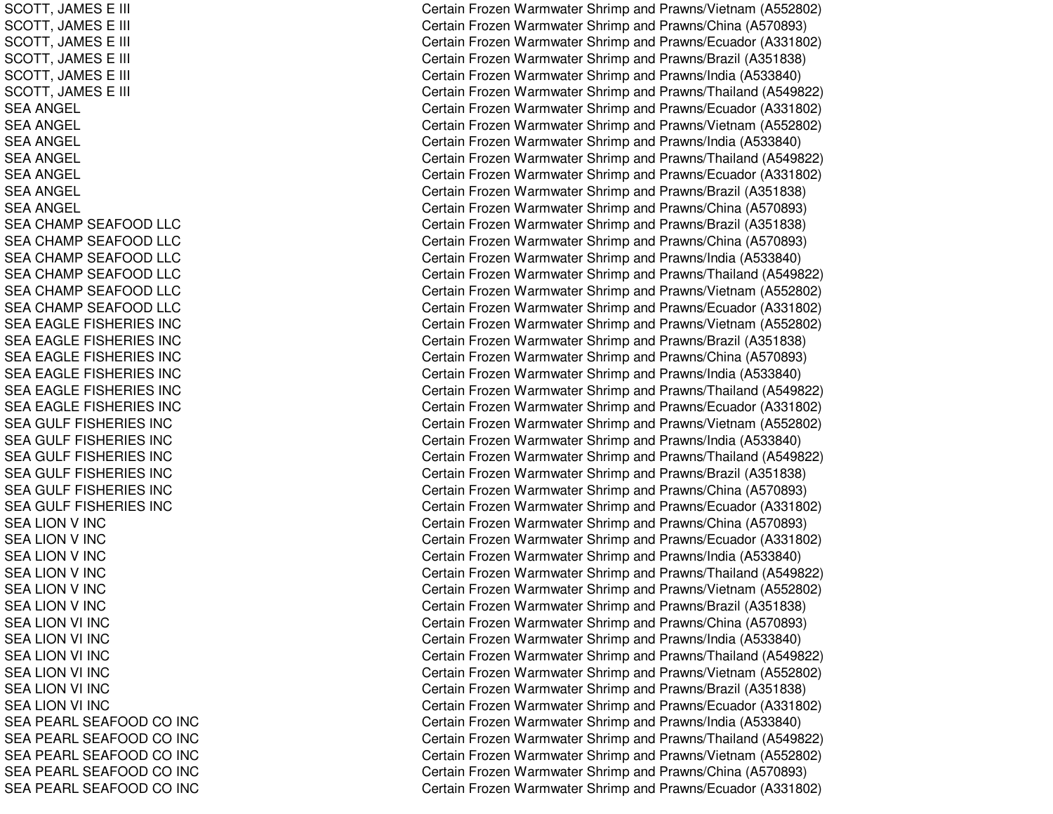SCOTT, JA MESEE III COMMUNISTICTURE ET L'ANNOISE DE L'ANNOISE DE L'ANNOISE DE L'ANNOISE DE L'ANNOISE DE L'ANNOISE DE L'ANNOI SCOTT, JA MESEE III COMMUNISTICTURE ET L'ANNOISE DE L'ANNOISE DE L'ANNOISE DE L'ANNOISE DE L'ANNOISE DE L'ANNOISE DE L'ANNOI SCOTT, JAMES E E III COMMUNISTIC CONTINUES IN THE COMMUNIST CONTINUES OF THE CONTINUES OF THE CONTINUES OF THE CONTINUES OF T SCOTT, JAMES E E III COMMUNISTICTURE ET EXPLORATION COMMUNISTICTURE ET EXPLORATION COMMUNISTICTURE ET EXPLORATION COMMUNISTIC SCOTT, JA MESEE III COMMUNISTICTURE ET L'ANNOISE DE L'ANNOISE DE L'ANNOISE DE L'ANNOISE DE L'ANNOISE DE L'ANNOISE DE L'ANNOI SCOTT, JAMES E E III COMMUNISTIC CONTINUES IN THE COMMUNIST CONTINUES OF THE CONTINUES OF THE CONTINUES OF THE CONTINUES OF T SEA ANGEL SEA ANGEL S E A A N GE L SEA ANGEL SEA ANGEL SEA ANGEL SEA ANGEL SEA CHAMP SEAFOOD LLC SEA CHAMP SEAFOOD LLC SEA CHAMP SEAFOOD LLC SEA CHAMP SEAFOOD LLC SEA CHAMP SEAFOOD LLC SEA CHAMP SEAFOOD LLC SEA EAGLE FISHERIES INC SEA EAGLE FISHERIES INC SEA EAGLE FISHERIES INC SEA EAGLE FISHERIES INC SEA EAGLE FISHERIES INC SEA EAGLE FISHERIES INC SEA GULF FISHERIES INC SEA GULF FISHERIES INC SEA GULF FISHERIES INC SEA GULF FISHERIES INC SEA GULF FISHERIES INC SEA GULF FISHERIES INC S E A LIO N V IN C SEA LION V INC S E A LION V IN C SEA LION V INC SEA LION V INC S E A LIO N V IN C SEA LION VI INC SEA LION VI INC SEA LION VI INC SEA LION VI INC SEA LION VI INC S E A LIO N VI IN C SEA PEARL SEAFOOD CO INC SEA PEARL SEAFOOD CO INC SEA PEARL SEAFOOD CO INC SEA PEARL SEAFOOD CO INC SEA PEARL SEAFOOD CO INC

Certain Frozen Warmwater Shrimp and Prawns/Vietnam (A552802) ertain Frozen Warmwater Shrimp and Prawns/China (A570893) ertain Frozen Warmwater Shrimp and Prawns/Ecuador (A331802) Certain Frozen Warmwater Shrimp and Prawns/Brazil (A351838) Certain Frozen Warmwater Shrimp and Prawns/India (A533840) ertain Frozen Warmwater Shrimp and Prawns/Thailand (A549822) Certain Frozen Warmwater Shrimp and Prawns/Ecuador (A331802) Certain Frozen Warmwater Shrimp and Prawns/Vietnam (A552802) Certain Frozen Warmwater Shrimp and Prawns/India (A533840) Certain Frozen Warmwater Shrimp and Prawns/Thailand (A549822) Certain Frozen Warmwater Shrimp and Prawns/Ecuador (A331802) Certain Frozen Warmwater Shrimp and Prawns/Brazil (A351838) Certain Frozen Warmwater Shrimp and Prawns/China (A570893) Certain Frozen Warmwater Shrimp and Prawns/Brazil (A351838) Certain Frozen Warmwater Shrimp and Prawns/China (A570893) Certain Frozen Warmwater Shrimp and Prawns/India (A533840) Certain Frozen Warmwater Shrimp and Prawns/Thailand (A549822) Certain Frozen Warmwater Shrimp and Prawns/Vietnam (A552802) Certain Frozen Warmwater Shrimp and Prawns/Ecuador (A331802) Certain Frozen Warmwater Shrimp and Prawns/Vietnam (A552802) C ertain Frozen W arm w ater Shrim p and Pra wns/Brazil (A 3 518 3 8) Certain Frozen Warmwater Shrimp and Prawns/China (A570893) Certain Frozen Warmwater Shrimp and Prawns/India (A533840) Certain Frozen Warmwater Shrimp and Prawns/Thailand (A549822) Certain Frozen Warmwater Shrimp and Prawns/Ecuador (A331802) Certain Frozen Warmwater Shrimp and Prawns/Vietnam (A552802) Certain Frozen Warmwater Shrimp and Prawns/India (A533840) Certain Frozen Warmwater Shrimp and Prawns/Thailand (A549822) Certain Frozen Warmwater Shrimp and Prawns/Brazil (A351838) Certain Frozen Warmwater Shrimp and Prawns/China (A570893) Certain Frozen Warmwater Shrimp and Prawns/Ecuador (A331802) Certain Frozen Warmwater Shrimp and Prawns/China (A570893) Certain Frozen Warmwater Shrimp and Prawns/Ecuador (A331802) Certain Frozen Warmwater Shrimp and Prawns/India (A533840) Certain Frozen Warmwater Shrimp and Prawns/Thailand (A549822) Certain Frozen Warmwater Shrimp and Prawns/Vietnam (A552802) Certain Frozen Warmwater Shrimp and Prawns/Brazil (A351838) Certain Frozen Warmwater Shrimp and Prawns/China (A570893) Certain Frozen Warmwater Shrimp and Prawns/India (A533840) Certain Frozen Warmwater Shrimp and Prawns/Thailand (A549822) Certain Frozen Warmwater Shrimp and Prawns/Vietnam (A552802) Certain Frozen Warmwater Shrimp and Prawns/Brazil (A351838) C ertain Frozen Warm w ater Shrim p and Pra wns/Ecua d or (A 3 318 0 2) Certain Frozen Warmwater Shrimp and Prawns/India (A533840) Certain Frozen Warmwater Shrimp and Prawns/Thailand (A549822) Certain Frozen Warmwater Shrimp and Prawns/Vietnam (A552802) Certain Frozen Warmwater Shrimp and Prawns/China (A570893) Certain Frozen Warmwater Shrimp and Prawns/Ecuador (A331802)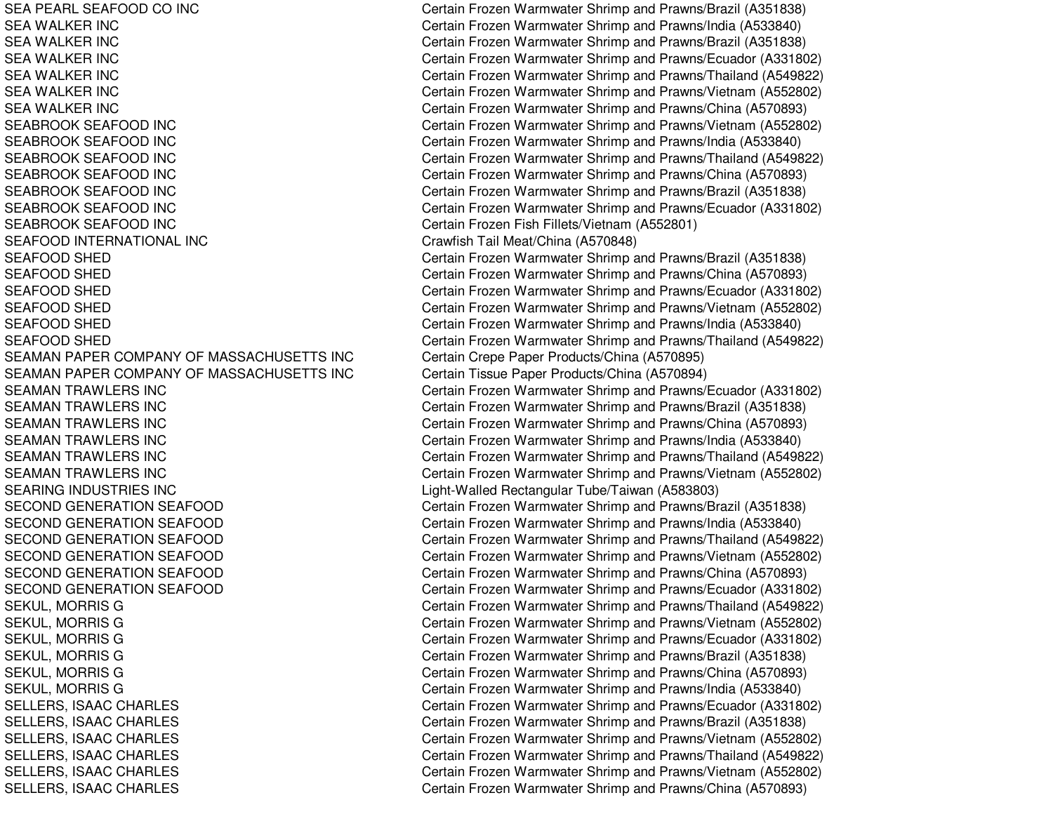SEA PEARL SEAFOOD COSEA WALKERSEA WALKERSEA WALKERSEA WALKERSEA WALKERSEA WALKERSEABROOK SEAFOODSEABROOK SEAFOODSEABROOK SEAFOODSEABROOK SEAFOODSEABROOK SEAFOODSEABROOK SEAFOODSEABROOK SEAFOODSEAFOOD INTERNATIONAL INC SEAFOODSEAFOODSEAFOODSEAFOODSEAFOODSEAFOODSEAMAN PAPER COMPANY OF MASSACHUSETTS INC SEAMAN PAPER COMPANY OF MASSACHUSETTS INC **SEAMAN TRAWLERS INC SEAMAN TRAWLERS INC SEAMAN TRAWLERS INC SEAMAN TRAWLERS INC SEAMAN TRAWLERS INC** SEAMAN TRAWLERS INC **SEARING INDUSTRIES INC** SECOND GENERATION SEAFOOD SECOND GENERATION SEAFOOD SECOND GENERATION SEAFOOD SECOND GENERATION SEAFOOD **SECOND GENERATION SEAFOOD** SECOND GENERATION SEAFOOD

Certain Frozen Warmwater Shrimp and Prawns/Brazil (A351838) Certain Frozen Warmwater Shrimp and Prawns/India (A533840) Certain Frozen Warmwater Shrimp and Prawns/Brazil (A351838) Certain Frozen Warmwater Shrimp and Prawns/Ecuador (A331802) Certain Frozen Warmwater Shrimp and Prawns/Thailand (A549822) Certain Frozen Warmwater Shrimp and Prawns/Vietnam (A552802) Certain Frozen Warmwater Shrimp and Prawns/China (A570893) Certain Frozen Warmwater Shrimp and Prawns/Vietnam (A552802) Certain Frozen Warmwater Shrimp and Prawns/India (A533840) Certain Frozen Warmwater Shrimp and Prawns/Thailand (A549822) Certain Frozen Warmwater Shrimp and Prawns/China (A570893) Certain Frozen Warmwater Shrimp and Prawns/Brazil (A351838) Certain Frozen Warmwater Shrimp and Prawns/Ecuador (A331802) INC Certain Frozen Fish Fillets/Vietnam (A552801) Crawfish Tail Meat/China (A570848) Certain Frozen Warmwater Shrimp and Prawns/Brazil (A351838) Certain Frozen Warmwater Shrimp and Prawns/China (A570893) Certain Frozen Warmwater Shrimp and Prawns/Ecuador (A331802) Certain Frozen Warmwater Shrimp and Prawns/Vietnam (A552802) Certain Frozen Warmwater Shrimp and Prawns/India (A533840) Certain Frozen Warmwater Shrimp and Prawns/Thailand (A549822) Certain Crepe Paper Products/China (A570895) Certain Tissue Paper Products/China (A570894) Certain Frozen Warmwater Shrimp and Prawns/Ecuador (A331802) Certain Frozen Warmwater Shrimp and Prawns/Brazil (A351838) Certain Frozen Warmwater Shrimp and Prawns/China (A570893) Certain Frozen Warmwater Shrimp and Prawns/India (A533840) Certain Frozen Warmwater Shrimp and Prawns/Thailand (A549822) Certain Frozen Warmwater Shrimp and Prawns/Vietnam (A552802) Light-Walled Rectangular Tube/Taiwan (A583803) Gertain Frozen Warmwater Shrimp and Prawns/Brazil (A351838) Gertain Frozen Warmwater Shrimp and Prawns/India (A533840) Gertain Frozen Warmwater Shrimp and Prawns/Thailand (A549822) Gertain Frozen Warmwater Shrimp and Prawns/Vietnam (A552802) Gertain Frozen Warmwater Shrimp and Prawns/China (A570893) Gertain Frozen Warmwater Shrimp and Prawns/Ecuador (A331802) SEKUL, MORRIS G Certain Frozen Warmwater Shrimp and Prawns/Thailand (A549822) SEKUL, MORRIS G Certain Frozen Warmwater Shrimp and Prawns/Vietnam (A552802) SEKUL, MORRIS G Certain Frozen Warmwater Shrimp and Prawns/Ecuador (A331802) SEKUL, MORRIS G Certain Frozen Warmwater Shrimp and Prawns/Brazil (A351838) SEKUL, MORRIS G Certain Frozen Warmwater Shrimp and Prawns/China (A570893) SEKUL, MORRIS G Certain Frozen Warmwater Shrimp and Prawns/India (A533840) SELLERS, ISAAC CHARLES Certain Frozen Warmwater Shrimp and Prawns/Ecuador (A331802) SELLERS, ISAAC CHARLES Certain Frozen Warmwater Shrimp and Prawns/Brazil (A351838) SELLERS, ISAAC CHARLES Certain Frozen Warmwater Shrimp and Prawns/Vietnam (A552802) SELLERS, ISAAC CHARLES Certain Frozen Warmwater Shrimp and Prawns/Thailand (A549822) SELLERS, ISAAC CHARLES Certain Frozen Warmwater Shrimp and Prawns/Vietnam (A552802) SELLERS, ISAAC CHARLES Certain Frozen Warmwater Shrimp and Prawns/China (A570893)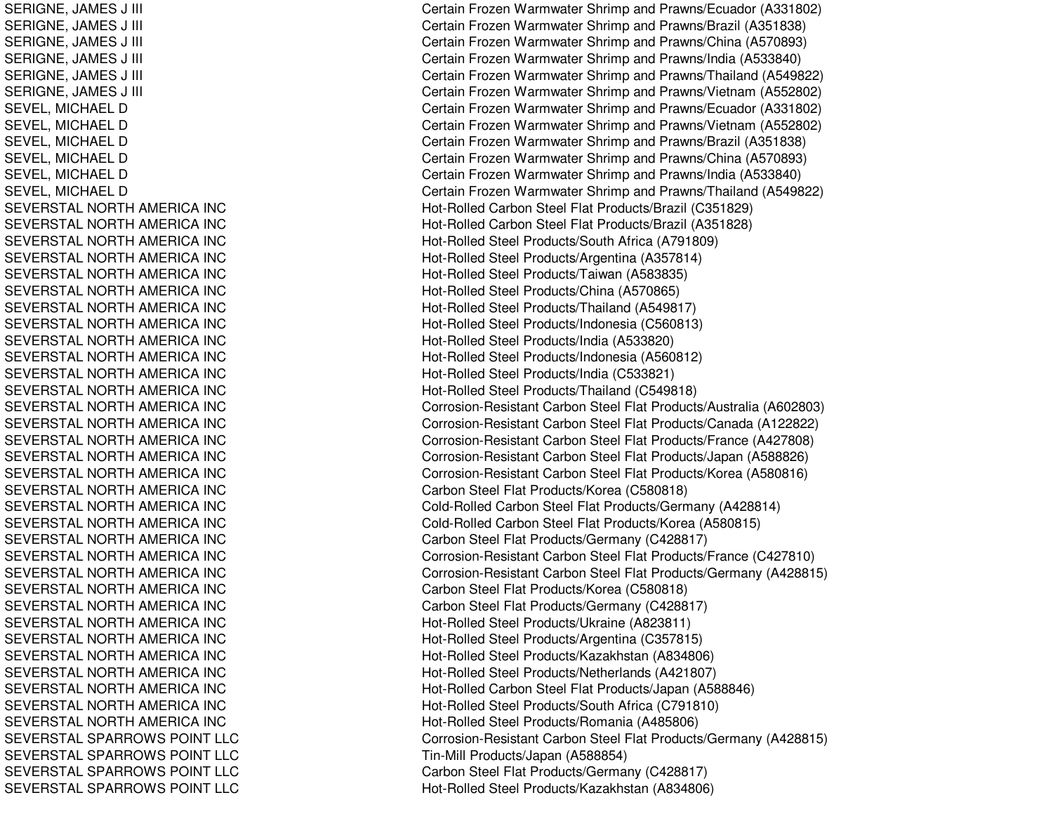SERIGNE, JA MES J III CSERIGNE, JA MES J III CSERIGNE, JA MES J III CSERIGNE, JAMES J III CHARACTER SERIGNE, O SERIGNE, JA MES J III CSERIGNE, JAMES J III CHARACTER SERIGNE, O SEVEL, MICHAEL D SEVEL, MICHAEL D SEVEL, MICHAEL D SEVEL, MICHAEL D SEVEL, MICHAEL D SEVEL, MICHAEL D SEVERSTAL NORTH AMERICA INC SEVERSTAL NORTHAMERICA INCSEVERSTAL NORTH AMERICA INC SEVERSTAL NORTH AMERICA INC SEVERST AL NORT HAMERICA INCSEVERSTAL NORTH AMERICA INC SEVERSTAL NORTH AMERICA INC SEVERSTAL NORTH AMERICA INC SEVERSTAL NORTH AMERICA INC SEVERSTAL NORTH AMERICA INC SEVERSTAL NORTH AMERICA INC SEVERSTAL NORTH AMERICA INC SEVERSTAL NORTHAMERICA INCSEVERSTAL NORTH AMERICA INC SEVERSTAL NORTH AMERICA INC SEVERSTAL NORTH AMERICA INC SEVERSTAL NORTH AMERICA INC SEVERSTAL NORTH AMERICA INC SEVERSTAL NORTH AMERICA INC SEVERSTAL NORTH AMERICA INC SEVERSTAL NORTH AMERICA INC SEVERSTAL NORTH AMERICA INC SEVERSTAL NORTH AMERICA INC SEVERSTAL NORTH AMERICA INC SEVERSTAL NORTH AMERICA INC SEVERSTAL NORTH AMERICA INC SEVERSTAL NORTHAMERICA INCSEVERSTAL NORTH AMERICA INC SEVERSTAL NORTH AMERICA INC SEVERST AL NORT HAMERICA INCSEVERSTAL NORTH AMERICA INC SEVERSTAL NORTH AMERICA INC SEVERSTAL SPARROWS POINT LLC SEVERSTAL SPARROWS POINT LLC SEVERSTAL SPARROWS POINT LLC SEVERSTAL SPARROWS POINT LLC

Certain Frozen Warmwater Shrimp and Prawns/Ecuador (A331802) ertain Frozen Warmwater Shrimp and Prawns/Brazil (A351838) ertain Frozen Warmwater Shrimp and Prawns/China (A570893) Certain Frozen Warmwater Shrimp and Prawns/India (A533840) Certain Frozen Warmwater Shrimp and Prawns/Thailand (A549822) ertain Frozen Warmwater Shrimp and Prawns/Vietnam (A552802) Certain Frozen Warmwater Shrimp and Prawns/Ecuador (A331802) Certain Frozen Warmwater Shrimp and Prawns/Vietnam (A552802) Certain Frozen Warmwater Shrimp and Prawns/Brazil (A351838) Certain Frozen Warmwater Shrimp and Prawns/China (A570893) Certain Frozen Warmwater Shrimp and Prawns/India (A533840) Certain Frozen Warmwater Shrimp and Prawns/Thailand (A549822) Hot-Rolled Carbon Steel Flat Products/Brazil (C351829) Hot-Rolled Carbon Steel Flat Products/Brazil (A351828) H ot-R olle d Ste el Pro ducts/S outh Africa (A 7 918 0 9) Hot-Rolled Steel Products/Argentina (A357814) Hot-Rolled Steel Products/Taiwan (A583835) Hot-Rolled Steel Products/China (A570865) Hot-Rolled Steel Products/Thailand (A549817) Hot-Rolle d Ste el Pro ducts/Ind onesia (C 5 6 0 813) H ot-R olle d Ste el Pro ducts/India (A 5 3 3 8 2 0) H ot-R olle d Ste el Pro ducts/Ind onesia (A 5 6 0 812) Hot-Rolled Steel Products/India (C533821) Hot-Rolled Steel Products/Thailand (C549818) Corrosion-Resistant Carbon Steel Flat Products/Australia (A602803) Corrosion-Resistant Carbon Steel Flat Products/Canada (A122822) Corrosion-Resistant Carbon Steel Flat Products/France (A427808) Corrosion-Resistant Carbon Steel Flat Products/Japan (A588826) Corrosion-Resistant Carbon Steel Flat Products/Korea (A580816) Carbon Steel Flat Products/Korea (C580818) Cold-Rolled Carbon Steel Flat Products/Germany (A428814) Cold-Rolled Carbon Steel Flat Products/Korea (A580815) Carbon Steel Flat Products/Germany (C428817) Corrosion-Resistant Carbon Steel Flat Products/France (C427810) Corrosion-Resistant Carbon Steel Flat Products/Germany (A428815) Carbon Ste el Flat Products/Korea (C 580818) Carbon Steel Flat Products/Germany (C428817) Hot-Rolled Steel Products/Ukraine (A823811) Hot-Rolled Steel Products/Argentina (C357815) Hot-Rolled Steel Products/Kazakhstan (A834806) Hot-Rolled Steel Products/Netherlands (A421807) Hot-Rolled Carbon Steel Flat Products/Japan (A588846) H ot-R olle d Ste el Pro ducts/S outh Africa (C 7 91810) Hot-Rolled Steel Products/Romania (A485806) Corrosion-Resistant Carbon Steel Flat Products/Germany (A428815) Tin-Mill Pro ducts/Ja p an (A 5 8 8 8 5 4) Carbon Ste el Flat Products/Germany (C 428817) Hot-Rolled Steel Products/Kazakhstan (A834806)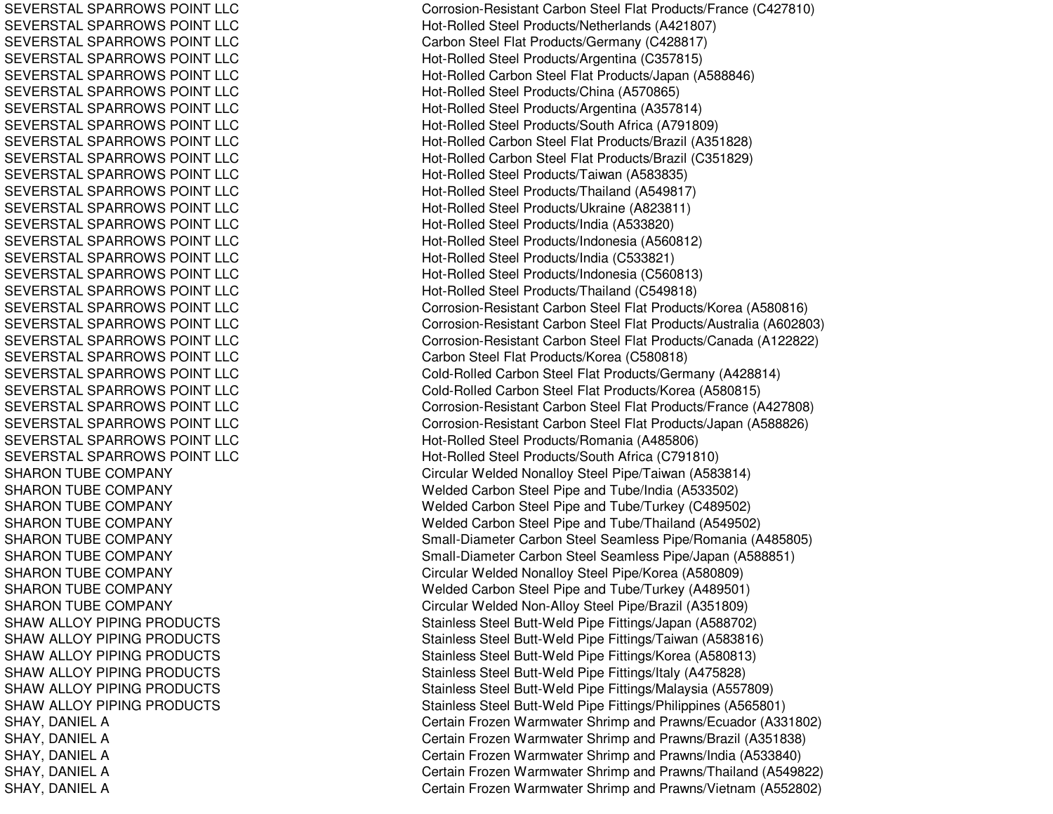SEVERSTAL SPARROWS POINT LLC SEVERSTAL SPARROWS POINT LLC SEVERSTAL SPARROWS POINT LLC SEVERSTAL SPARROWS POINT LLC SEVERSTAL SPARROWS POINT LLC SEVERSTAL SPARROWS POINT LLC SEVERSTAL SPARROWS POINT LLC SEVERSTAL SPARROWS POINT LLC SEVERSTAL SPARROWS POINT LLC SEVERSTAL SPARROWS POINT LLC SEVERSTAL SPARROWS POINT LLC SEVERSTAL SPARROWS POINT LLC SEVERSTAL SPARROWS POINT LLC SEVERSTAL SPARROWS POINT LLC SEVERSTAL SPARROWS POINT LLC SEVERSTAL SPARROWS POINT LLC SEVERSTAL SPARROWS POINT LLC SEVERSTAL SPARROWS POINT LLC SEVERSTAL SPARROWS POINT LLC SEVERSTAL SPARROWS POINT LLC SEVERSTAL SPARROWS POINT LLC SEVERSTAL SPARROWS POINT LLC SEVERSTAL SPARROWS POINT LLC SEVERSTAL SPARROWS POINT LLC SEVERSTAL SPARROWS POINT LLC SEVERSTAL SPARROWS POINT LLC SEVERSTAL SPARROWS POINT LLC SEVERSTAL SPARROWS POINT LLC SHARON TUBE COMPANY SHARON TUBE COMPANY SHARON TUBE COMPANY SHARON TUBE COMPANY SHARON TUBE COMPANY SHARON TUBE COMPANY SHARON TUBE COMPANY SHARON TUBE COMPANY SHARON TUBE COMPANY SHAW ALLOY PIPING PRODUCTS SHAW ALLOY PIPING PRODUCTS SHAW ALLOY PIPING PRODUCTS SHAW ALLOY PIPING PRODUCTS SHAW ALLOY PIPING PRODUCTS SHAW ALLOY PIPING PRODUCTS SHAY, D ANIELASHAY, DANIEL A SHAY, DANIEL A SHAY, D ANIELASHAY, DANIEL A

Corrosion-Resistant Carbon Ste el Flat Products/France (C 427810) Hot-Rolled Steel Products/Netherlands (A421807) Carb on Ste el Flat Pro ducts/Germany (C 4 2 8 817) H ot-R olle d Ste el Pro ducts/Arg entina (C 3 5 7 815) Hot-Rolled Carbon Steel Flat Products/Japan (A588846) Hot-Rolled Steel Products/China (A570865) H ot-R olle d Ste el Pro ducts/Arg entina (A 3 5 7 814) Hot-Rolled Steel Products/South Africa (A791809) H ot-R olle d C arb on Ste el Flat Pro ducts/Brazil (A 3 518 2 8) Hot-Rolled Carbon Steel Flat Products/Brazil (C351829) Hot-Rolled Steel Products/Taiwan (A583835) Hot-Rolled Steel Products/Thailand (A549817) Hot-Rolled Steel Products/Ukraine (A823811) Hot-Rolled Steel Products/India (A533820) H ot-R olle d Ste el Pro ducts/Ind onesia (A 5 6 0 812) Hot-Rolled Steel Products/India (C533821) Hot-Rolled Steel Products/Indonesia (C560813) H ot-R olle d Ste el Pro ducts/Thailand (C 5 4 9 818) Corrosion-Resistant Carbon Ste el Flat Products/Korea (A 580816) Corrosion-Resistant Carbon Steel Flat Products/Australia (A602803) Corrosion-Resistant Carbon Steel Flat Products/Canada (A122822) C arb on Ste el Flat Pro ducts/K ore a (C 5 8 0 818) Cold-Rolled Carbon Steel Flat Products/Germany (A428814) Cold-Rolled Carbon Steel Flat Products/Korea (A580815) Corrosion-Resistant Carbon Steel Flat Products/France (A427808) Corrosion-Resistant Carbon Steel Flat Products/Japan (A588826) Hot-Rolled Steel Products/Romania (A485806) Hot-Rolle d Ste el Pro ducts/South Africa (C 7 91810) Circular Welded Nonalloy Steel Pipe/Taiwan (A583814) Welded Carbon Steel Pipe and Tube/India (A533502) Welded Carbon Steel Pipe and Tube/Turkey (C489502) Welded Carbon Steel Pipe and Tube/Thailand (A549502) Small-Diameter Carbon Steel Seamless Pipe/Romania (A485805) Small-Diameter Carbon Steel Seamless Pipe/Japan (A588851) Circular Welded Nonalloy Steel Pipe/Korea (A580809) Welded Carbon Steel Pipe and Tube/Turkey (A489501) Circular Welded Non-Alloy Steel Pipe/Brazil (A351809) Stainless Steel Butt-Weld Pipe Fittings/Japan (A588702) Stainless Steel Butt-Weld Pipe Fittings/Taiwan (A583816) Stainless Steel Butt-Weld Pipe Fittings/Korea (A580813) Stainless Steel Butt-Weld Pipe Fittings/Italy (A475828) Stainless Steel Butt-Weld Pipe Fittings/Malaysia (A557809) Stainless Steel Butt-Weld Pipe Fittings/Philippines (A565801) Certain Frozen Warmwater Shrimp and Prawns/Ecuador (A331802) Certain Frozen Warmwater Shrimp and Prawns/Brazil (A351838) Certain Frozen Warmwater Shrimp and Prawns/India (A533840) Certain Frozen Warmwater Shrimp and Prawns/Thailand (A549822) Certain Frozen Warmwater Shrimp and Prawns/Vietnam (A552802)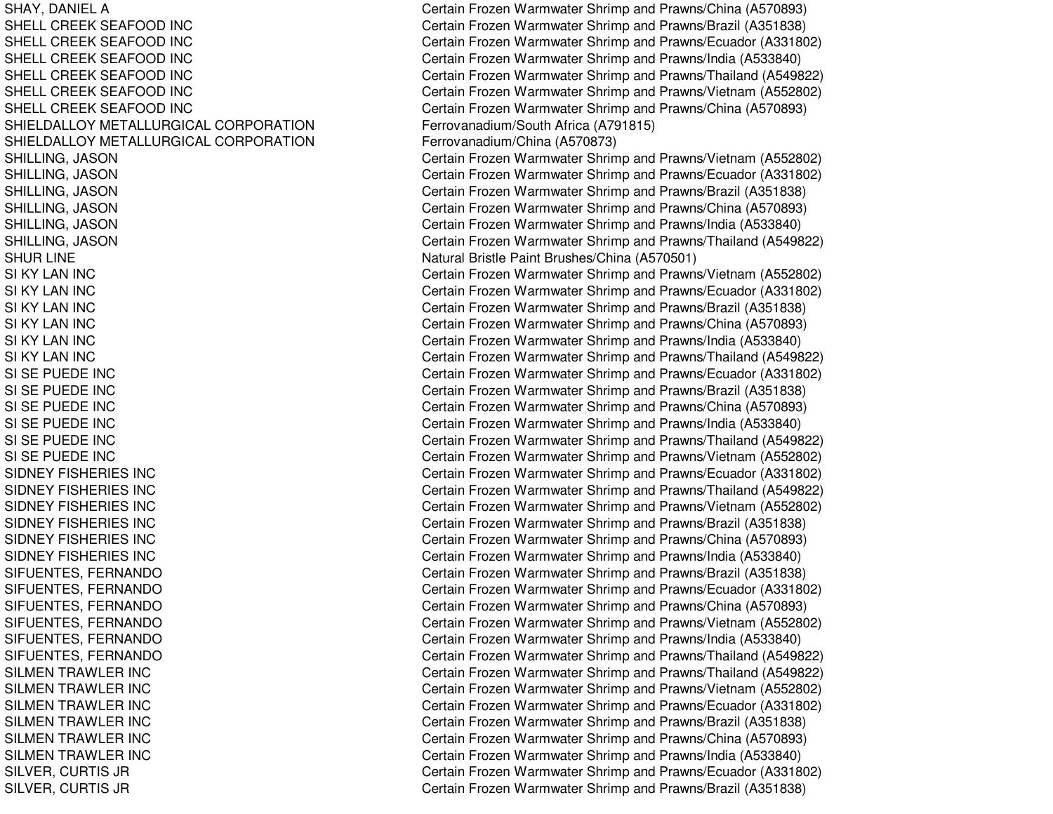SHELL CREEK SEAFOODSHELL CREEK SEAFOODSHELL CREEK SEAFOODSHELL CREEK SEAFOODSHELL CREEK SEAFOODSHELL CREEK SEAFOODSHIELDALLOY METALLURGICAL CORPORATIONSHIELDALLOY METALLURGICAL CORPORATION**SHUR LINE** SI KY LANSI KY LANSI KY LANSI KY LANSI KY LANSI KY LANSI SE PUEDE INCSI SE PUEDE INCSI SE PUEDE INCSI SE PUEDE INCSI SE PUEDE INCSI SE PUEDE INCSIDNEY FISHERIES INCSIDNEY FISHERIES INCSIDNEY FISHERIES INCSIDNEY FISHERIES INCSIDNEY FISHERIES INCSIDNEY FISHERIES INC**SILMEN TRAWLER INC SILMEN TRAWLER INC** SILMEN TRAWLER INC **SILMEN TRAWLER INC** SILMEN TRAWLER INC SILMEN TRAWLER INC

SHAY, DANIEL A Certain Frozen Warmwater Shrimp and Prawns/China (A570893) Certain Frozen Warmwater Shrimp and Prawns/Brazil (A351838) Certain Frozen Warmwater Shrimp and Prawns/Ecuador (A331802) Certain Frozen Warmwater Shrimp and Prawns/India (A533840) Certain Frozen Warmwater Shrimp and Prawns/Thailand (A549822) Certain Frozen Warmwater Shrimp and Prawns/Vietnam (A552802) Certain Frozen Warmwater Shrimp and Prawns/China (A570893) Ferrovanadium/South Africa (A791815) Ferrovanadium/China (A570873) SHILLING, JASON Certain Frozen Warmwater Shrimp and Prawns/Vietnam (A552802) SHILLING, JASON Certain Frozen Warmwater Shrimp and Prawns/Ecuador (A331802) SHILLING, JASON Certain Frozen Warmwater Shrimp and Prawns/Brazil (A351838) SHILLING, JASON Certain Frozen Warmwater Shrimp and Prawns/China (A570893) SHILLING, JASON Certain Frozen Warmwater Shrimp and Prawns/India (A533840) SHILLING, JASON Certain Frozen Warmwater Shrimp and Prawns/Thailand (A549822) Natural Bristle Paint Brushes/China (A570501) Certain Frozen Warmwater Shrimp and Prawns/Vietnam (A552802) Certain Frozen Warmwater Shrimp and Prawns/Ecuador (A331802) Certain Frozen Warmwater Shrimp and Prawns/Brazil (A351838) Certain Frozen Warmwater Shrimp and Prawns/China (A570893) Certain Frozen Warmwater Shrimp and Prawns/India (A533840) Certain Frozen Warmwater Shrimp and Prawns/Thailand (A549822) Certain Frozen Warmwater Shrimp and Prawns/Ecuador (A331802) Certain Frozen Warmwater Shrimp and Prawns/Brazil (A351838) Certain Frozen Warmwater Shrimp and Prawns/China (A570893) Certain Frozen Warmwater Shrimp and Prawns/India (A533840) Certain Frozen Warmwater Shrimp and Prawns/Thailand (A549822) Certain Frozen Warmwater Shrimp and Prawns/Vietnam (A552802) Certain Frozen Warmwater Shrimp and Prawns/Ecuador (A331802) Certain Frozen Warmwater Shrimp and Prawns/Thailand (A549822) Certain Frozen Warmwater Shrimp and Prawns/Vietnam (A552802) Certain Frozen Warmwater Shrimp and Prawns/Brazil (A351838) Certain Frozen Warmwater Shrimp and Prawns/China (A570893) Certain Frozen Warmwater Shrimp and Prawns/India (A533840) SIFUENTES, FERNANDO Certain Frozen Warmwater Shrimp and Prawns/Brazil (A351838) SIFUENTES, FERNANDO Certain Frozen Warmwater Shrimp and Prawns/Ecuador (A331802) SIFUENTES, FERNANDO Certain Frozen Warmwater Shrimp and Prawns/China (A570893) SIFUENTES, FERNANDO Certain Frozen Warmwater Shrimp and Prawns/Vietnam (A552802) SIFUENTES, FERNANDO Certain Frozen Warmwater Shrimp and Prawns/India (A533840) SIFUENTES, FERNANDO Certain Frozen Warmwater Shrimp and Prawns/Thailand (A549822) Certain Frozen Warmwater Shrimp and Prawns/Thailand (A549822) Certain Frozen Warmwater Shrimp and Prawns/Vietnam (A552802) Certain Frozen Warmwater Shrimp and Prawns/Ecuador (A331802) Certain Frozen Warmwater Shrimp and Prawns/Brazil (A351838) Certain Frozen Warmwater Shrimp and Prawns/China (A570893) Certain Frozen Warmwater Shrimp and Prawns/India (A533840) SILVER, CURTIS JR Certain Frozen Warmwater Shrimp and Prawns/Ecuador (A331802) SILVER, CURTIS JR Certain Frozen Warmwater Shrimp and Prawns/Brazil (A351838)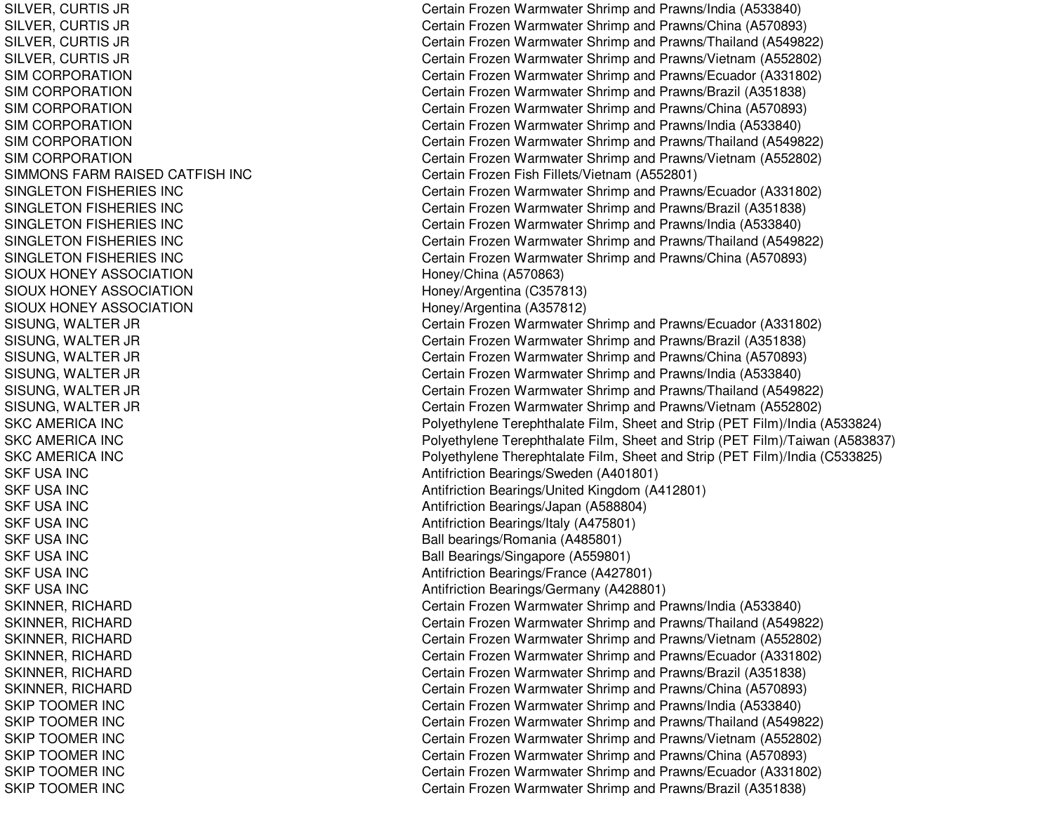SILVER, CURTIS JR SILVER, C URTIS JRSIL VER, C URTIS JRSILVER, CURTIS JR SIM CORPORATION SIM CORPORATION SIM CORPORATION SIM CORPORATION SIM CORPORATION SIM CORPORATION SIMMONS FARM RAISED CATFISH INC SINGLETON FISHERIES INC SINGLETON FISHERIES INC SINGLETON FISHERIES INC SINGLETON FISHERIES INC SINGLETON FISHERIES INC SIOUX HONEY ASSOCIATION SIOUX HONEY ASSOCIATION SIOUX HONEY ASSOCIATION SISUNG, WALTER JR SISUNG, WALTER JR SISUNG, W ALTER JR SISUNG, WALTER JR SISUNG, W ALTER JR SISUNG, WALTER JR S K C A ME RIC A IN C SKC AMERICA INC SKC AMERICA INC SKF USA INC SKF USA INC S K F US A INCSKF USA INC SKF USA INC SKF USA INC SKF USA INC SKF USA INC SKINNER, RICHARD SKINNER, RICHARD SKINNER, RICHARD SKINNER, RICHARD SKINNER, RICHARD SKINNER, RICHARD SKIP TOOMER INC SKIP TOOMER INC S KIP T OOME R IN CSKIP TOOMER INC SKIP TOOMER INC SKIP TOOMER INC

Certain Frozen Warmwater Shrimp and Prawns/India (A533840) Certain Frozen Warmwater Shrimp and Prawns/China (A570893) Certain Frozen Warmwater Shrimp and Prawns/Thailand (A549822) Certain Frozen Warmwater Shrimp and Prawns/Vietnam (A552802) Certain Frozen Warmwater Shrimp and Prawns/Ecuador (A331802) Certain Frozen Warmwater Shrimp and Prawns/Brazil (A351838) Certain Frozen Warmwater Shrimp and Prawns/China (A570893) Certain Frozen Warmwater Shrimp and Prawns/India (A533840) Certain Frozen Warmwater Shrimp and Prawns/Thailand (A549822) Certain Frozen Warmwater Shrimp and Prawns/Vietnam (A552802) Certain Frozen Fish Fillets/Vietna m (A 552801) Certain Frozen Warmwater Shrimp and Prawns/Ecuador (A331802) Certain Frozen Warmwater Shrimp and Prawns/Brazil (A351838) Certain Frozen Warmwater Shrimp and Prawns/India (A533840) Certain Frozen Warmwater Shrimp and Prawns/Thailand (A549822) Certain Frozen Warmwater Shrimp and Prawns/China (A570893) Hone y/China (A 5 7 0 8 6 3) H one y/Arg entina (C 3 5 7 813) Honey/Arg entina (A 357812) Certain Frozen Warmwater Shrimp and Prawns/Ecuador (A331802) C ertain Frozen W arm w ater Shrim p and Pra wns/Brazil (A 3 518 3 8) Certain Frozen Warmwater Shrimp and Prawns/China (A570893) Certain Frozen Warmwater Shrimp and Prawns/India (A533840) Certain Frozen Warmwater Shrimp and Prawns/Thailand (A549822) Certain Frozen Warmwater Shrimp and Prawns/Vietnam (A552802) Polyethylene Terephthalate Film, Sheet and Strip (PET Film)/India (A533824) Polyethylene Terephthalate Film, Sheet and Strip (PET Film)/Taiwan (A583837) Polyethylene Therephtalate Film, Sheet and Strip (PET Film)/India (C533825) Antifriction Bearings/Sweden (A401801) Antifriction Bearings/United Kingdom (A412801) Antifriction Bearings/Japan (A588804) Antifriction B e arings/Italy (A 4 7 5 8 01) Ball bearings/Romania (A485801) Ball Bearings/Singapore (A559801) Antifriction B e arings/France (A 4 2 7 8 01) Antifriction Bearings/G ermany (A 428801) Certain Frozen Warmwater Shrimp and Prawns/India (A533840) Certain Frozen Warmwater Shrimp and Prawns/Thailand (A549822) Certain Frozen Warmwater Shrimp and Prawns/Vietnam (A552802) C ertain Frozen Warm w ater Shrim p and Pra wns/Ecua d or (A 3 318 0 2) Certain Frozen Warmwater Shrimp and Prawns/Brazil (A351838) Certain Frozen Warmwater Shrimp and Prawns/China (A570893) Certain Frozen Warmwater Shrimp and Prawns/India (A533840) Certain Frozen Warmwater Shrimp and Prawns/Thailand (A549822) Certain Frozen Warmwater Shrimp and Prawns/Vietnam (A552802) Certain Frozen Warmwater Shrimp and Prawns/China (A570893) Certain Frozen Warmwater Shrimp and Prawns/Ecuador (A331802) Certain Frozen Warmwater Shrimp and Prawns/Brazil (A351838)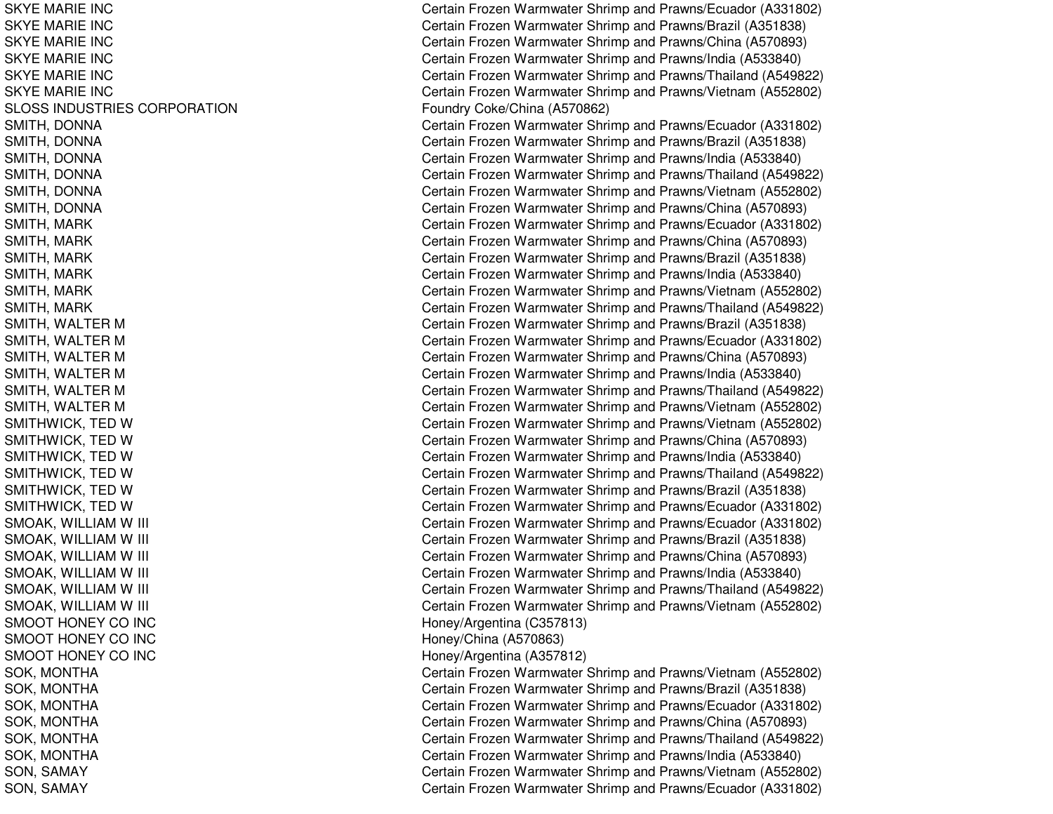SKYE MARIE INC SKYE MARIE INC SKYE MARIE INC SKYE MARIE INC SKYE MARIE INC SKYE MARIE INC SLOSS INDUSTRIES CORPORATION SMITH, D ONNASMITH, DONNA SMITH, DONNA SMITH, D ONNASMITH, DONNA SMITH, D ONNASMITH, M ARKSMITH, MARK SMITH, MARK SMIT H, M ARKSMITH, MARK SMITH, M ARKSMITH, WALTER M SMITH, WALTER M SMITH, WALTER M SMITH, WALTER M SMITH, WALTER M SMITH, WALTER M S MIT H WIC K, T E D WSMITHWICK, TED W SMITHWICK, TED W SMITHWICK, TED W SMITHWICK, TED W SMITHWICK, TED W S M O A K, WIL LIA M WWIII C S M O A K, WIL LIA M WWilliam Contract the Contract of the Contract of Contract of Contract of Contract of Contract of Contract of Co S M O A K, WIL LIA M WWilliam Contract the Contract of the Contract of Contract of Contract of Contract of Contract of Contract of Co SMOAK, WILLIAM W WIII C SMOAK, WILLIAM W WIII C SMOAK, WILLIAM W William Contract the Contract of the Contract of Contract of Contract of Contract of Contract of Contract of Co SMOOT HONEY CO INC SMOOT HONEY CO INC SMOOT HONEY CO INC SOK, M ONTHASOK, M ONT HASOK, M ONTHASOK, MONTHA S OK, M ONT HA SOK, MONTHA SON, S AMAYS ON, S A MA Y

Certain Frozen Warmwater Shrimp and Prawns/Ecuador (A331802) Certain Frozen Warmwater Shrimp and Prawns/Brazil (A351838) Certain Frozen Warmwater Shrimp and Prawns/China (A570893) Certain Frozen Warmwater Shrimp and Prawns/India (A533840) Certain Frozen Warmwater Shrimp and Prawns/Thailand (A549822) Certain Frozen Warmwater Shrimp and Prawns/Vietnam (A552802) F oundry C oke/China (A 5 7 0 8 6 2) Certain Frozen Warmwater Shrimp and Prawns/Ecuador (A331802) Certain Frozen Warmwater Shrimp and Prawns/Brazil (A351838) Certain Frozen Warmwater Shrimp and Prawns/India (A533840) Certain Frozen Warmwater Shrimp and Prawns/Thailand (A549822) Certain Frozen Warmwater Shrimp and Prawns/Vietnam (A552802) Certain Frozen Warmwater Shrimp and Prawns/China (A570893) Certain Frozen Warmwater Shrimp and Prawns/Ecuador (A331802) Certain Frozen Warmwater Shrimp and Prawns/China (A570893) Certain Frozen Warmwater Shrimp and Prawns/Brazil (A351838) Certain Frozen Warmwater Shrimp and Prawns/India (A533840) Certain Frozen Warmwater Shrimp and Prawns/Vietnam (A552802) Certain Frozen Warmwater Shrimp and Prawns/Thailand (A549822) Certain Frozen Warmwater Shrimp and Prawns/Brazil (A351838) Certain Frozen Warmwater Shrimp and Prawns/Ecuador (A331802) Certain Frozen Warmwater Shrimp and Prawns/China (A570893) Certain Frozen Warmwater Shrimp and Prawns/India (A533840) Certain Frozen Warmwater Shrimp and Prawns/Thailand (A549822) Certain Frozen Warmwater Shrimp and Prawns/Vietnam (A552802) Certain Frozen Warmwater Shrimp and Prawns/Vietnam (A552802) Certain Frozen Warmwater Shrimp and Prawns/China (A570893) Certain Frozen Warmwater Shrimp and Prawns/India (A533840) Certain Frozen Warmwater Shrimp and Prawns/Thailand (A549822) Certain Frozen Warmwater Shrimp and Prawns/Brazil (A351838) Certain Frozen Warmwater Shrimp and Prawns/Ecuador (A331802) ertain Frozen Warmwater Shrimp and Prawns/Ecuador (A331802) ertain Frozen Warmwater Shrimp and Prawns/Brazil (A351838) ertain Frozen Warmwater Shrimp and Prawns/China (A570893) ertain Frozen Warmwater Shrimp and Prawns/India (A533840) ertain Frozen Warmwater Shrimp and Prawns/Thailand (A549822) ertain Frozen Warmwater Shrimp and Prawns/Vietnam (A552802) H one y/Arg entina (C 3 5 7 813) H one y/China (A 5 7 0 8 6 3) H one y/Arg entina (A 3 5 7 812) Certain Frozen Warmwater Shrimp and Prawns/Vietnam (A552802) Certain Frozen Warmwater Shrimp and Prawns/Brazil (A351838) Certain Frozen Warmwater Shrimp and Prawns/Ecuador (A331802) Certain Frozen Warmwater Shrimp and Prawns/China (A570893) Certain Frozen Warmwater Shrimp and Prawns/Thailand (A549822) Certain Frozen Warmwater Shrimp and Prawns/India (A533840) Certain Frozen Warmwater Shrimp and Prawns/Vietnam (A552802) Certain Frozen Warmwater Shrimp and Prawns/Ecuador (A331802)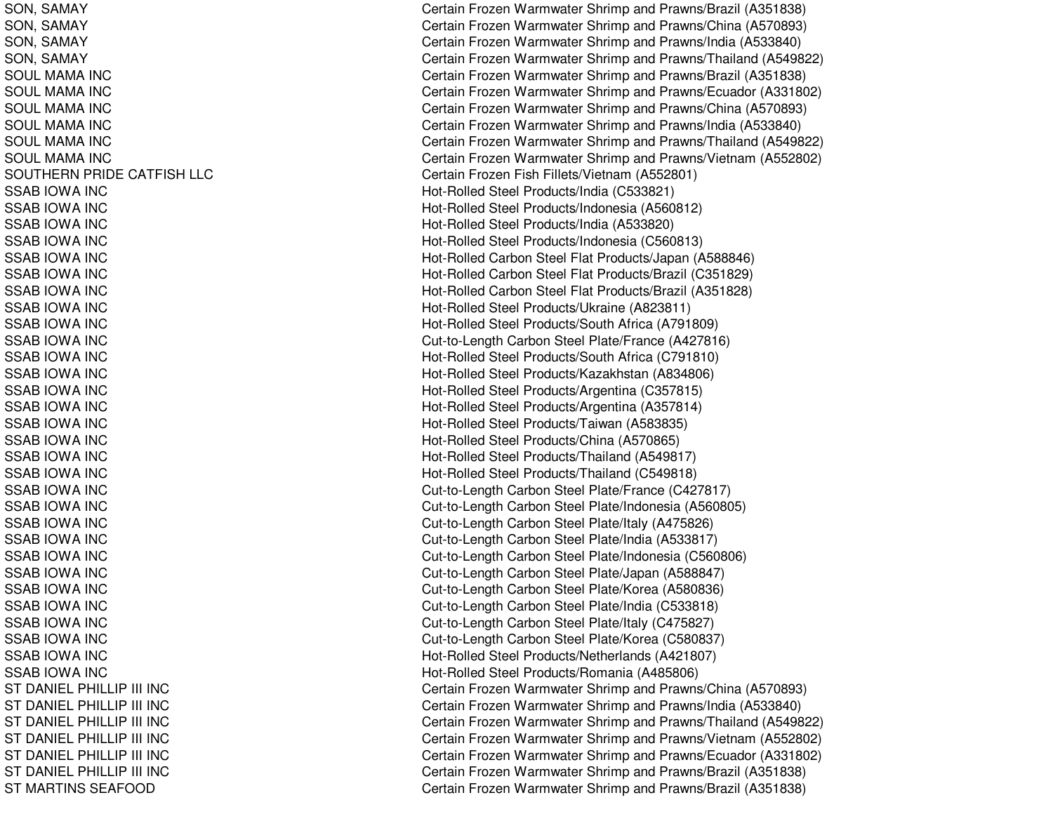SON, S AMAYSON, S AMAYSON, S AMAYSON, SAMAY SOUL MAMA INC SOULMAMA INCSOULMAMA INCSOUL MAMA INC S OU L MA MA IN C SOUL MAMA INC SOUTHERN PRIDE CATFISH LLC SSAB IOWA INCSSAB IOWA INCSSAB IOWA INCS S A B IO WA IN C SSAB IOWA INCSSAB IOWA INCSSAB IOWA INCSSAB IOWA INCS S A B IOWA INCSSAB IOWA INC SSAB IOWA INCSSAB IOWA INCSSAB IOWA INCSSAB IOWA INCS S A B IO WA IN C SSAB IOWA INCSSAB IOWA INCSSAB IOWA INCSSAB IOWA INCS S A B IOWA INCSSAB IOWA INC SSAB IOWA INCS S A B IOWA IN C SSAB IOWA INCSSAB IOWA INCS S A B IO WA IN C SSAB IOWA INCSSAB IOWA INCS S A B IO WA IN C SSAB IOWA INCST DANIEL PHIL LIP III INCS T D A NIE L P HIL LIP III IN C ST DANIEL PHILLIP III INC S T DA NIE L P HIL LIP III INCST DANIEL PHILLIP III INC ST DANIEL PHILLIP III INC ST MARTINS SEAFOOD

Certain Frozen Warmwater Shrimp and Prawns/Brazil (A351838) Certain Frozen Warmwater Shrimp and Prawns/China (A570893) Certain Frozen Warmwater Shrimp and Prawns/India (A533840) Certain Frozen Warmwater Shrimp and Prawns/Thailand (A549822) Certain Frozen Warmwater Shrimp and Prawns/Brazil (A351838) Certain Frozen Warmwater Shrimp and Prawns/Ecuador (A331802) Certain Frozen Warmwater Shrimp and Prawns/China (A570893) Certain Frozen Warmwater Shrimp and Prawns/India (A533840) Certain Frozen Warmwater Shrimp and Prawns/Thailand (A549822) Certain Frozen Warmwater Shrimp and Prawns/Vietnam (A552802) Certain Frozen Fish Fillets/Vietna m (A 552801) Hot-Rolled Steel Products/India (C533821) Hot-Rolled Steel Products/Indonesia (A560812) Hot-Rolled Steel Products/India (A533820) H ot-R olle d Ste el Pro ducts/Ind onesia (C 5 6 0 813) Hot-Rolled Carbon Steel Flat Products/Japan (A588846) Hot-Rolled Carbon Steel Flat Products/Brazil (C351829) Hot-Rolled Carbon Steel Flat Products/Brazil (A351828) Hot-Rolled Steel Products/Ukraine (A823811) Hot-Rolle d Ste el Pro ducts/S outh Africa (A 7 918 0 9) Cut-to-Length Carbon Steel Plate/France (A427816) H ot-R olle d Ste el Pro ducts/S outh Africa (C 7 91810) Hot-Rolled Steel Products/Kazakhstan (A834806) Hot-Rolled Steel Products/Argentina (C357815) Hot-Rolle d Ste el Pro ducts/Arg entina (A 3 5 7 814) Hot-Rolled Steel Products/Taiwan (A583835) Hot-Rolled Steel Products/China (A570865) Hot-Rolle d Ste el Pro ducts/Thailand (A 5 4 9 817) Hot-Rolled Steel Products/Thailand (C549818) Cut-to-Length Carbon Steel Plate/France (C427817) Cut-to-Length Carbon Steel Plate/Indonesia (A560805) Cut-to-Length Carbon Steel Plate/Italy (A475826) Cut-to-Length Carbon Steel Plate/India (A533817) Cut-to-Length Carbon Steel Plate/Indonesia (C560806) Cut-to-Length Carbon Steel Plate/Japan (A588847) Cut-to-Length C arbon Ste el Plate/Korea (A 580836) Cut-to-Length Carbon Steel Plate/India (C533818) Cut-to-Length Carbon Steel Plate/Italy (C475827) Cut-to-Length Carbon Steel Plate/Korea (C580837) Hot-Rolled Steel Products/Netherlands (A421807) Hot-Rolled Steel Products/Romania (A485806) Certain Frozen Warmwater Shrimp and Prawns/China (A570893) Certain Frozen Warmwater Shrimp and Prawns/India (A533840) Certain Frozen Warmwater Shrimp and Prawns/Thailand (A549822) Certain Frozen Warmwater Shrimp and Prawns/Vietnam (A552802) Certain Frozen Warmwater Shrimp and Prawns/Ecuador (A331802) Certain Frozen Warmwater Shrimp and Prawns/Brazil (A351838) Certain Frozen Warmwater Shrimp and Prawns/Brazil (A351838)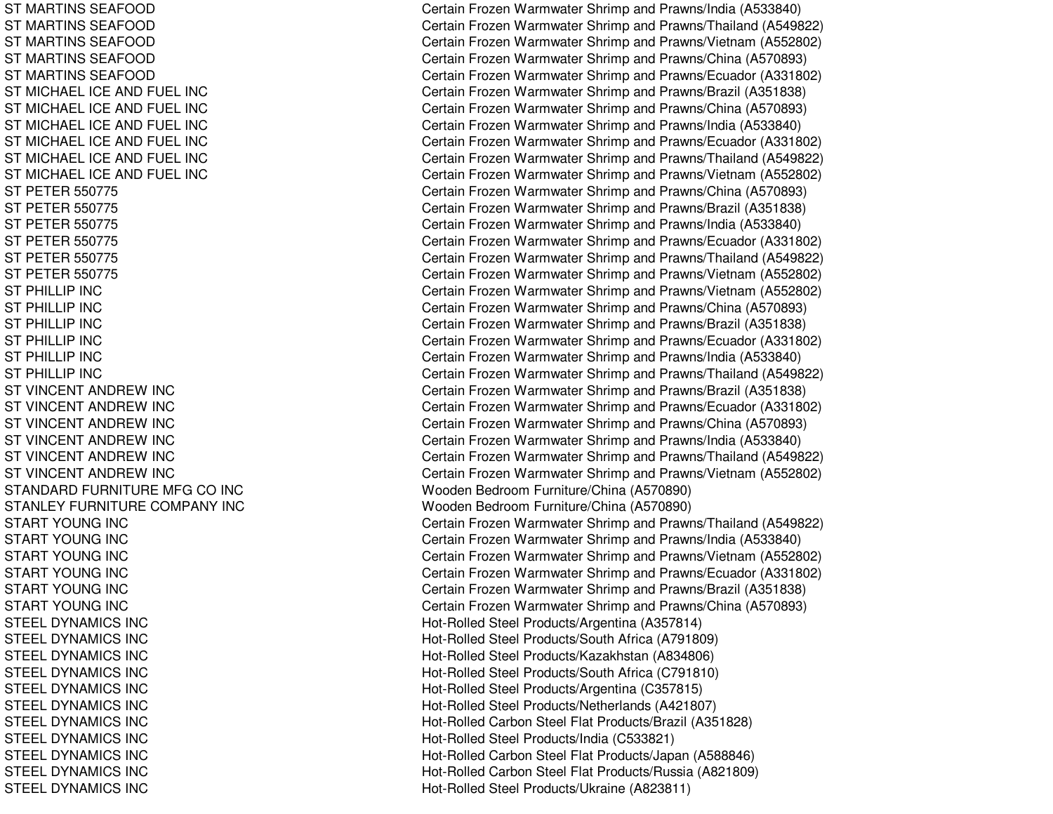ST MARTINS SEAFOOD ST MARTINS SEAFOOD ST MARTINS SEAFOOD ST MARTINS SEAFOOD ST MARTINS SEAFOOD ST MICHAEL ICE AND FUEL INC ST MICHAEL ICE AND FUEL INC ST MICHAEL ICE AND FUEL INC ST MICHAEL ICE AND FUEL INC ST MICHAEL ICE AND FUEL INC ST MICHAEL ICE AND FUEL INC ST PETER 550775 ST PETER 550775 ST PETER 550775 ST PETER 550775 ST PETER 550775 ST PETER 550775 STPHILLIP INCSTPHILLIP INCS T P HIL LIP INCSTPHILLIP INCSTPHILLIP INCSTPHILLIP INCST VINCENT ANDREW INC ST VINCENT ANDREW INC ST VINCENT ANDREW INC ST VINCENT ANDREW INC ST VINCENT ANDREW INC ST VINCENT ANDREW INC STANDARD FURNITURE MFG CO INC S T A NL E Y F URNIT URE COMP A NY INCSTART YOUNG INC START YOUNG INC START YOUNG INC START YOUNG INC START YOUNG INC START YOUNG INC STEELDYNAMICS INCSTEELDYNAMICS INCSTEELDYNAMICS INCSTEELDYNAMICS INCST EEL DYNAMICS INCSTEEL DYNAMICS INC STEELDYNAMICS INCS T E E L DY NA MICS INCSTEELDYNAMICS INCSTEELDYNAMICS INCSTEELDYNAMICS INC

Certain Frozen Warmwater Shrimp and Prawns/India (A533840) Certain Frozen Warmwater Shrimp and Prawns/Thailand (A549822) Certain Frozen Warmwater Shrimp and Prawns/Vietnam (A552802) Certain Frozen Warmwater Shrimp and Prawns/China (A570893) Certain Frozen Warmwater Shrimp and Prawns/Ecuador (A331802) Certain Frozen Warmwater Shrimp and Prawns/Brazil (A351838) Certain Frozen Warmwater Shrimp and Prawns/China (A570893) Certain Frozen Warmwater Shrimp and Prawns/India (A533840) Certain Frozen Warmwater Shrimp and Prawns/Ecuador (A331802) Certain Frozen Warmwater Shrimp and Prawns/Thailand (A549822) Certain Frozen Warmwater Shrimp and Prawns/Vietnam (A552802) Certain Frozen Warmwater Shrimp and Prawns/China (A570893) Certain Frozen Warmwater Shrimp and Prawns/Brazil (A351838) Certain Frozen Warmwater Shrimp and Prawns/India (A533840) Certain Frozen Warmwater Shrimp and Prawns/Ecuador (A331802) Certain Frozen Warmwater Shrimp and Prawns/Thailand (A549822) Certain Frozen Warmwater Shrimp and Prawns/Vietnam (A552802) Certain Frozen Warmwater Shrimp and Prawns/Vietnam (A552802) Certain Frozen Warmwater Shrimp and Prawns/China (A570893) Certain Frozen Warmwater Shrimp and Prawns/Brazil (A351838) Certain Frozen Warmwater Shrimp and Prawns/Ecuador (A331802) Certain Frozen Warmwater Shrimp and Prawns/India (A533840) Certain Frozen Warmwater Shrimp and Prawns/Thailand (A549822) Certain Frozen Warmwater Shrimp and Prawns/Brazil (A351838) Certain Frozen Warmwater Shrimp and Prawns/Ecuador (A331802) Certain Frozen Warmwater Shrimp and Prawns/China (A570893) Certain Frozen Warmwater Shrimp and Prawns/India (A533840) Certain Frozen Warmwater Shrimp and Prawns/Thailand (A549822) Certain Frozen Warmwater Shrimp and Prawns/Vietnam (A552802) Wooden Bedroom Furniture/China (A570890) Wooden Bedroom Furniture/China (A570890) Certain Frozen Warmwater Shrimp and Prawns/Thailand (A549822) Certain Frozen Warmwater Shrimp and Prawns/India (A533840) Certain Frozen Warmwater Shrimp and Prawns/Vietnam (A552802) Certain Frozen Warmwater Shrimp and Prawns/Ecuador (A331802) Certain Frozen Warmwater Shrimp and Prawns/Brazil (A351838) Certain Frozen Warmwater Shrimp and Prawns/China (A570893) Hot-Rolled Steel Products/Argentina (A357814) Hot-Rolle d Ste el Pro ducts/South Africa (A 7 918 0 9) Hot-Rolled Steel Products/Kazakhstan (A834806) Hot-Rolled Steel Products/South Africa (C791810) Hot-Rolled Steel Products/Argentina (C357815) Hot-Rolled Steel Products/Netherlands (A421807) Hot-Rolled Carbon Steel Flat Products/Brazil (A351828) Hot-Rolled Steel Products/India (C533821) Hot-Rolled Carbon Steel Flat Products/Japan (A588846) Hot-Rolled Carbon Steel Flat Products/Russia (A821809) Hot-Rolled Steel Products/Ukraine (A823811)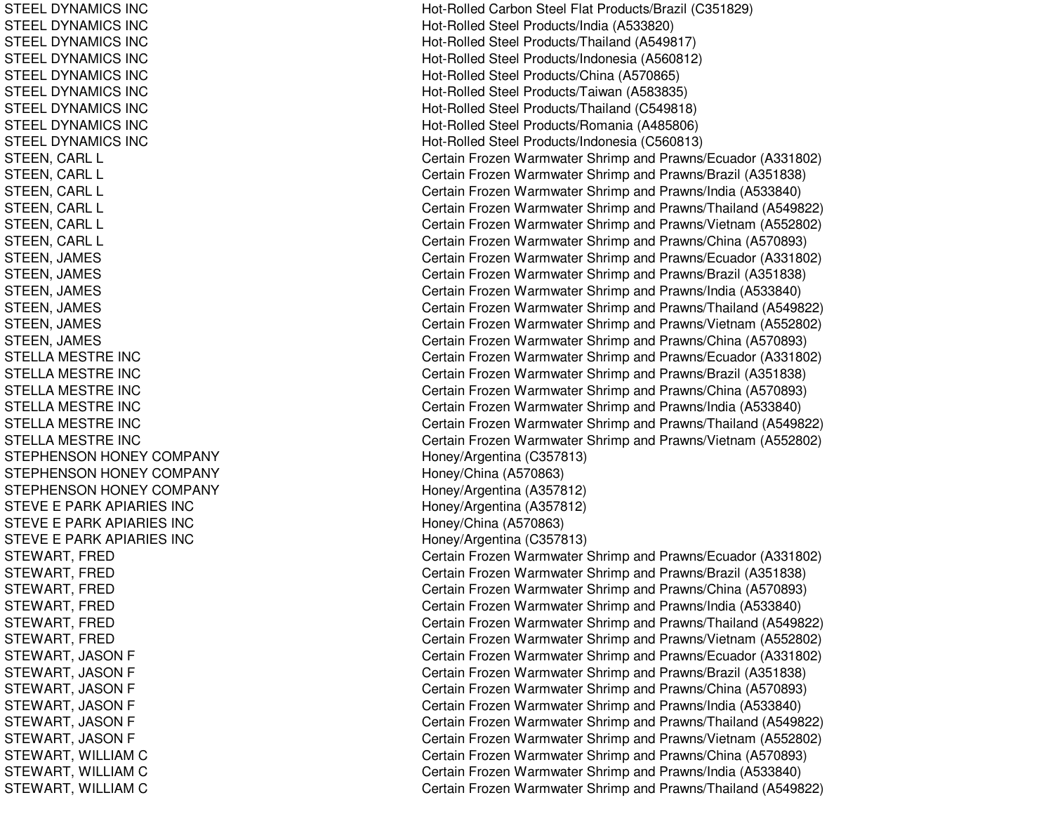STEELDYNAMICS INCSTEELDYNAMICS INCST EEL DYNAMICS INCSTEEL DYNAMICS INC STEELDYNAMICS INCSTEELDYNAMICS INCSTEELDYNAMICS INCSTEELDYNAMICS INCSTEEL DYNAMICS INC STEEN, CARL L STEEN, C ARLLSTEEN, CARL L STEEN, C ARLLSTEEN, C ARL L STEEN, CARL L STEEN, JA MESST EEN, JA MESSTEEN, JAMES STEEN, JA MESSTEEN, JAMES STEEN, JAMES STELLAMESTRE INCSTELLA MESTRE INC STELLA MESTRE INC STEL L AMESTRE INCSTELLA MESTRE INC STELLA MESTRE INC STEPHENSON HONEY COMPANY STEPHENSON HONEY COMPANY STEPHENSON HONEY COMPANY STEVE E PARK APIARIES INC STEVE E PARK APIARIES INC STEVE E PARK APIARIES INC STEWART, FRED STEWART, FRED STEWART, F REDSTEWART, FRED STEWART, FRED STEWART, F REDSTEWART, JASON F STEWART, JA SONFST EWART, JA SONF STEWART, JASON F STEWART, JASON F STEWART, JASON F STEWART, WILLIAM C STEWART, WIL LIAMCSTEWART, WILLIAM C

Hot-Rolled Carbon Steel Flat Products/Brazil (C351829) Hot-Rolled Steel Products/India (A533820) Hot-Rolle d Ste el Pro ducts/Thailand (A 5 4 9 817) H ot-R olle d Ste el Pro ducts/Ind onesia (A 5 6 0 812) Hot-Rolled Steel Products/China (A570865) Hot-Rolled Steel Products/Taiwan (A583835) H ot-R olle d Ste el Pro ducts/Thailand (C 5 4 9 818) Hot-Rolled Steel Products/Romania (A485806) Hot-Rolled Steel Products/Indonesia (C560813) Certain Frozen Warmwater Shrimp and Prawns/Ecuador (A331802) Certain Frozen Warmwater Shrimp and Prawns/Brazil (A351838) Certain Frozen Warmwater Shrimp and Prawns/India (A533840) Certain Frozen Warmwater Shrimp and Prawns/Thailand (A549822) Certain Frozen Warmwater Shrimp and Prawns/Vietnam (A552802) Certain Frozen Warmwater Shrimp and Prawns/China (A570893) Certain Frozen Warmwater Shrimp and Prawns/Ecuador (A331802) Certain Frozen Warmwater Shrimp and Prawns/Brazil (A351838) Certain Frozen Warmwater Shrimp and Prawns/India (A533840) Certain Frozen Warmwater Shrimp and Prawns/Thailand (A549822) Certain Frozen Warmwater Shrimp and Prawns/Vietnam (A552802) Certain Frozen Warmwater Shrimp and Prawns/China (A570893) Certain Frozen Warmwater Shrimp and Prawns/Ecuador (A331802) Certain Frozen Warmwater Shrimp and Prawns/Brazil (A351838) Certain Frozen Warmwater Shrimp and Prawns/China (A570893) Certain Frozen Warmwater Shrimp and Pra wns/India (A 5 3 3 8 4 0) Certain Frozen Warmwater Shrimp and Prawns/Thailand (A549822) Certain Frozen Warmwater Shrimp and Prawns/Vietnam (A552802) Hone y/Arg entina (C 3 5 7 813) H one y/China (A 5 7 0 8 6 3) Honey/Arg entina (A 357812) Hone y/Arg entina (A 3 5 7 812) H one y/China (A 5 7 0 8 6 3) H one y/Arg entina (C 3 5 7 813) Certain Frozen Warmwater Shrimp and Prawns/Ecuador (A331802) C ertain Frozen W arm w ater Shrim p and Pra wns/Brazil (A 3 518 3 8) Certain Frozen Warmwater Shrimp and Prawns/China (A570893) Certain Frozen Warmwater Shrimp and Prawns/India (A533840) Certain Frozen Warmwater Shrimp and Prawns/Thailand (A549822) Certain Frozen Warmwater Shrimp and Prawns/Vietnam (A552802) Certain Frozen Warmwater Shrimp and Prawns/Ecuador (A331802) Certain Frozen Warmwater Shrimp and Prawns/Brazil (A351838) Certain Frozen Warmwater Shrimp and Prawns/China (A570893) Certain Frozen Warmwater Shrimp and Prawns/India (A533840) Certain Frozen Warmwater Shrimp and Prawns/Thailand (A549822) Certain Frozen Warmwater Shrimp and Prawns/Vietnam (A552802) Certain Frozen Warmwater Shrimp and Prawns/China (A570893) Certain Frozen Warmwater Shrimp and Prawns/India (A533840) Certain Frozen Warmwater Shrimp and Prawns/Thailand (A549822)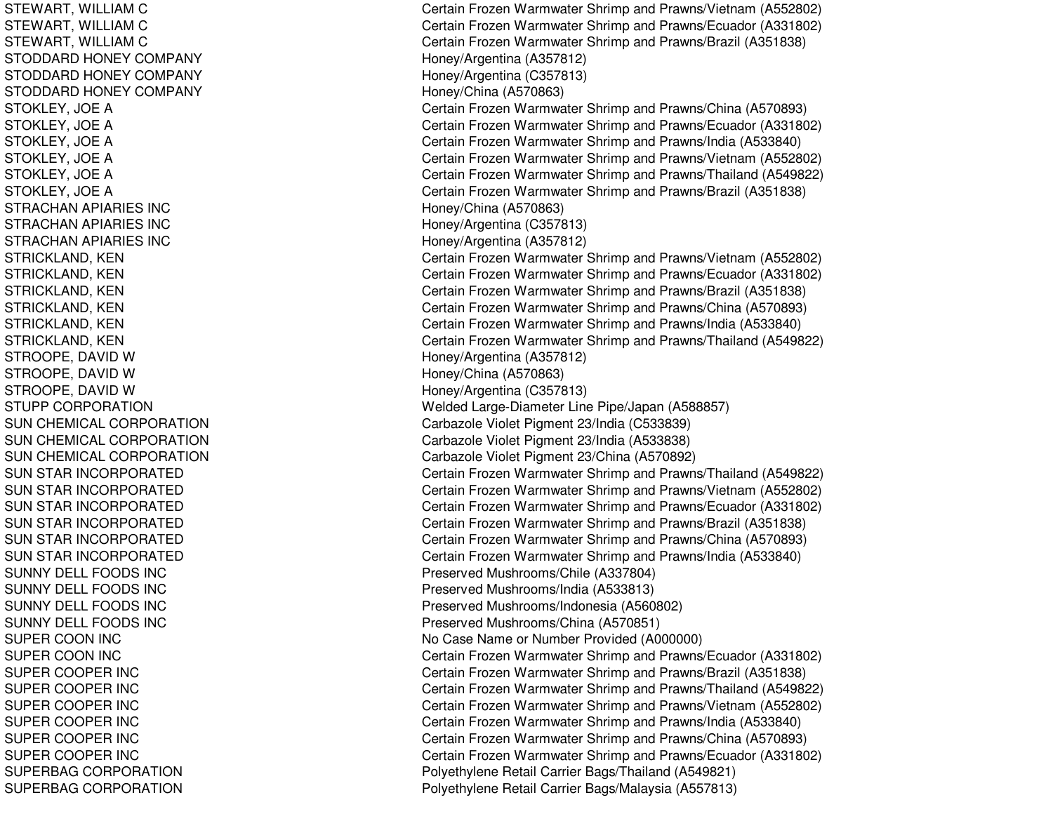STEWART, WIL LIAMCSTEWART, WIL LIAMCST EWART, WIL LIAMCSTODDARD HONEY COMPANY STODDARD HONEY COMPANY STODDARD HONEY COMPANY STOKLEY, JOE A STOKLEY, JO EAS T OK L E Y, JO E A STOKLEY, JOE A STOKLEY, JO EAS T O K L E Y, JO E A STRACHAN APIARIES INC STRACHAN APIARIES INC STRACHAN APIARIES INC STRICKLAND, K ENST RICKL AND, K ENSTRICKLAND, KEN STRICKLAND, K ENSTRICKLAND, KEN STRICKLAND, KEN STROOPE, DAVID W S T R OOP E, D A VID WSTROOPE, DAVID W STUPP CORPORATION SUN CHEMICAL CORPORATION SUN CHEMICAL CORPORATION SUN CHEMICAL CORPORATION SUN STAR INCORPORATED SUN STAR INCORPORATED SUN STAR INCORPORATED SUN STAR INCORPORATED SUN STAR INCORPORATED SUN STAR INCORPORATED SUNNY DELL FOODS INC SUNNY DELL FOODS INC SUNNY DELL FOODS INC SUNNY DELL FOODS INC SUPER COON INC SUPER COON INC SUPER COOPER INC SUPER COOPER INC SUPER COOPER INC SUPER COOPER INC S UP E RCOOP E R IN CSUPER COOPER INC SUPERBAG CORPORATION SUPERBAG CORPORATION

Certain Frozen Warmwater Shrimp and Prawns/Vietnam (A552802) Certain Frozen Warmwater Shrimp and Prawns/Ecuador (A331802) Certain Frozen Warmwater Shrimp and Prawns/Brazil (A351838) H one y/Arg entina (A 3 5 7 812) H one y/Arg entina (C 3 5 7 813) Hone y/China (A 5 7 0 8 6 3) Certain Frozen Warmwater Shrimp and Prawns/China (A570893) Certain Frozen Warmwater Shrimp and Prawns/Ecuador (A331802) Certain Frozen Warmwater Shrimp and Prawns/India (A533840) Certain Frozen Warmwater Shrimp and Prawns/Vietnam (A552802) Certain Frozen Warmwater Shrimp and Prawns/Thailand (A549822) Certain Frozen Warmwater Shrimp and Prawns/Brazil (A351838) Honey/China (A 570863) Hone y/Arg entina (C 3 5 7 813) H one y/Arg entina (A 3 5 7 812) Certain Frozen Warmwater Shrimp and Prawns/Vietnam (A552802) Certain Frozen Warmwater Shrimp and Prawns/Ecuador (A331802) Certain Frozen Warmwater Shrimp and Prawns/Brazil (A351838) Certain Frozen Warmwater Shrimp and Prawns/China (A570893) Certain Frozen Warmwater Shrimp and Pra wns/India (A 5 3 3 8 4 0) Certain Frozen Warmwater Shrimp and Prawns/Thailand (A549822) H one y/Arg entina (A 3 5 7 812) Honey/China (A570863) Honey/Arg entina (C 357813) Welded Large-Diameter Line Pipe/Japan (A588857) C arb azole Violet Pig ment 2 3/India (C 5 3 3 8 3 9) Carbazole Violet Pigment 23/India (A533838) Carb azole Violet Pig ment 2 3/China (A 5 7 0 8 9 2) Certain Frozen Warmwater Shrimp and Prawns/Thailand (A549822) Certain Frozen Warmwater Shrimp and Prawns/Vietnam (A552802) Certain Frozen Warmwater Shrimp and Prawns/Ecuador (A331802) Certain Frozen Warmwater Shrimp and Prawns/Brazil (A351838) Certain Frozen Warmwater Shrimp and Prawns/China (A570893) Certain Frozen Warmwater Shrimp and Prawns/India (A533840) Preserved Mushrooms/Chile (A337804) Preserved Mushrooms/India (A533813) Preserved Mushrooms/Indonesia (A560802) Preserv e d Mushro o ms/China (A 5 7 0 8 51) No Case Name or Number Provided (A000000) Certain Frozen Warmwater Shrimp and Prawns/Ecuador (A331802) Certain Frozen Warmwater Shrimp and Prawns/Brazil (A351838) Certain Frozen Warmwater Shrimp and Prawns/Thailand (A549822) Certain Frozen Warmwater Shrimp and Prawns/Vietnam (A552802) Certain Frozen Warmwater Shrimp and Prawns/India (A533840) Certain Frozen Warmwater Shrimp and Prawns/China (A570893) Certain Frozen Warmwater Shrimp and Prawns/Ecuador (A331802) Poly ethylene Retail Carrier Bags/Thailand (A 549821) Polyethylene Retail Carrier Bags/Malaysia (A557813)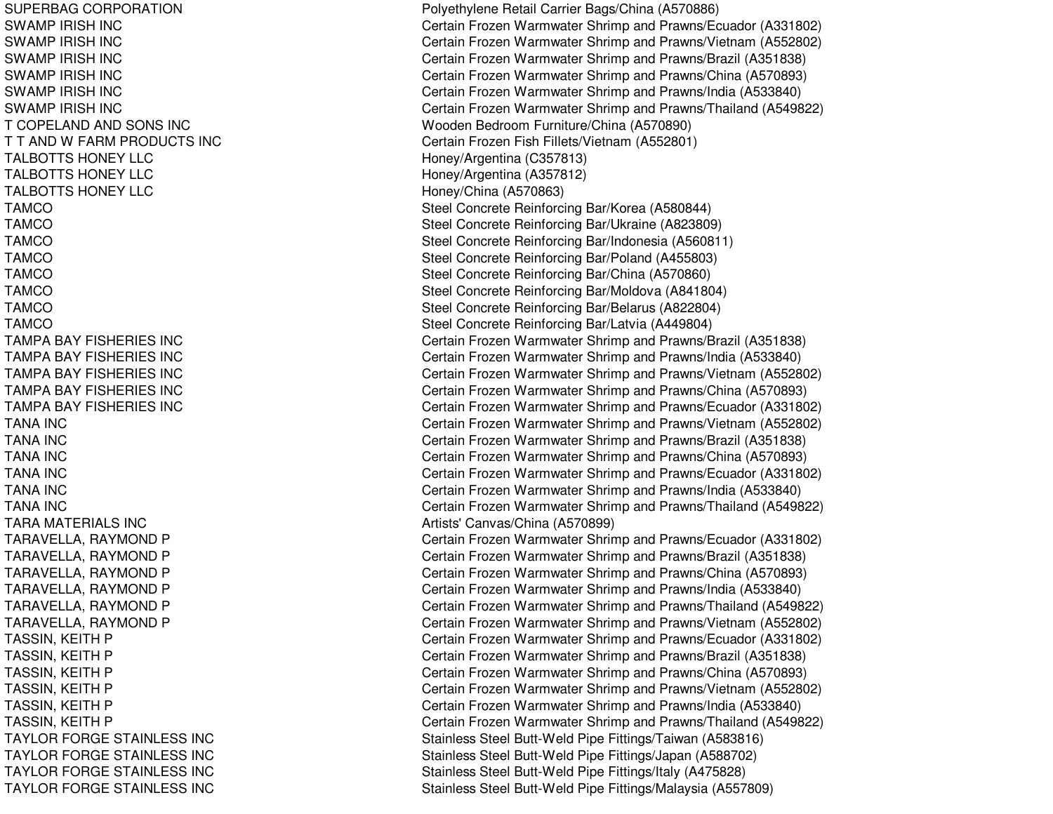SUPERBAG CORPORATION SWAMP IRIS H IN CSWAMP IRIS H IN CSWAMP IRIS H IN CSWAMP IRIS H IN CSWAMP IRISH INC SWAMP IRIS H IN CT COPELAND AND SONS INC T T AND W FARM PRODUCTS INC TALBOTTS HONEY LLC TALBOTTS HONEY LLC TALBOTTS HONEY LLC TAMCOTAMCOT A M C O TAMCOTAMCOTAMCOTAMCOTAMCOTAMPA BAY FISHERIES INC TAMPA BAY FISHERIES INC TAMPA BAY FISHERIES INC TAMPA BAY FISHERIES INC TAMPA BAY FISHERIES INC TANA INCTANA INCTANA INCTANA INCTANA INCTANA INCTARA MATERIALS INC TARAVELLA, RAYMOND P TARAVELLA, RAYMOND P TARAVELLA, RAYMOND P TARAVELLA, RAYMOND P TARAVELLA, RAYMOND P TARAVELLA, RAYMOND P TASSIN, K EITHPTASSIN, KEITH P TASSIN, K EITHPTASSIN, KEITH P TASSIN, KEITH P TASSIN, K EITHPTAYLOR FORGE STAINLESS INC TAYLOR FORGE STAINLESS INC TAYLOR FORGE STAINLESS INC TAYLOR FORGE STAINLESS INC

Polyethylene Retail Carrier Bags/China (A570886) Certain Frozen Warmwater Shrimp and Prawns/Ecuador (A331802) Certain Frozen Warmwater Shrimp and Prawns/Vietnam (A552802) Certain Frozen Warmwater Shrimp and Prawns/Brazil (A351838) Certain Frozen Warmwater Shrimp and Prawns/China (A570893) Certain Frozen Warmwater Shrimp and Prawns/India (A533840) Certain Frozen Warmwater Shrimp and Prawns/Thailand (A549822) Wooden Bedroom Furniture/China (A570890) C ertain Frozen Fish Fillets/Vietna m (A 5 5 2 8 01) H one y/Arg entina (C 3 5 7 813) Honey/Arg entina (A 357812) Honey/China (A570863) Steel Concrete Reinforcing Bar/Korea (A580844) Ste el Concrete Reinforcing Bar/Ukraine (A 8 2 3 8 0 9) Steel Concrete Reinforcing Bar/Indonesia (A560811) Steel Concrete Reinforcing Bar/Poland (A455803) Ste el Concrete Reinforcing Bar/China (A 5 7 0 8 6 0) Steel Concrete Reinforcing Bar/Moldova (A841804) Steel Concrete Reinforcing Bar/Belarus (A822804) Ste el Concrete Reinforcing B ar/L atvia (A 4 4 9 8 0 4) C ertain Frozen W arm w ater Shrim p and Pra wns/Brazil (A 3 518 3 8) Certain Frozen Warmwater Shrimp and Prawns/India (A533840) Certain Frozen Warmwater Shrimp and Prawns/Vietnam (A552802) Certain Frozen Warmwater Shrimp and Prawns/China (A570893) Certain Frozen Warmwater Shrimp and Prawns/Ecuador (A331802) Certain Frozen Warmwater Shrimp and Prawns/Vietnam (A552802) Certain Frozen Warmwater Shrimp and Prawns/Brazil (A351838) Certain Frozen Warmwater Shrimp and Prawns/China (A570893) C ertain Frozen Warm w ater Shrim p and Pra wns/Ecua d or (A 3 318 0 2) Certain Frozen Warmwater Shrimp and Prawns/India (A533840) Certain Frozen Warmwater Shrimp and Prawns/Thailand (A549822) Artists' C anv as/China (A 5 7 0 8 9 9) Certain Frozen Warmwater Shrimp and Prawns/Ecuador (A331802) Certain Frozen Warmwater Shrimp and Prawns/Brazil (A351838) Certain Frozen Warmwater Shrimp and Prawns/China (A570893) Certain Frozen Warmwater Shrimp and Prawns/India (A533840) Certain Frozen Warmwater Shrimp and Prawns/Thailand (A549822) Certain Frozen Warmwater Shrimp and Prawns/Vietnam (A552802) Certain Frozen Warmwater Shrimp and Prawns/Ecuador (A331802) Certain Frozen Warmwater Shrimp and Prawns/Brazil (A351838) Certain Frozen Warmwater Shrimp and Prawns/China (A570893) Certain Frozen Warmwater Shrimp and Prawns/Vietnam (A552802) Certain Frozen Warmwater Shrimp and Prawns/India (A533840) Certain Frozen Warmwater Shrimp and Prawns/Thailand (A549822) Stainless Steel Butt-Weld Pipe Fittings/Taiwan (A583816) Stainless Steel Butt-Weld Pipe Fittings/Japan (A588702) Stainless Steel Butt-Weld Pipe Fittings/Italy (A475828) Stainless Steel Butt-Weld Pipe Fittings/Malaysia (A557809)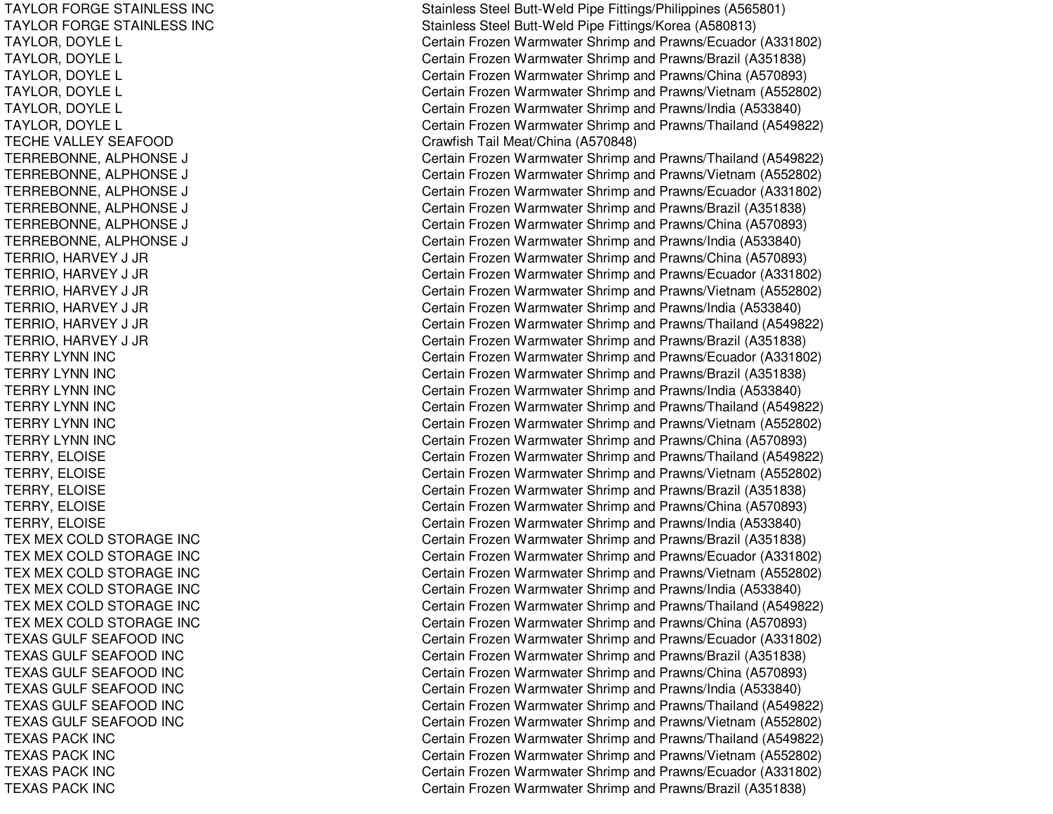TAYLOR FORGE STAINLESS INC TAYLOR FORGE STAINLESS INC T AYL OR, D OYL EL TAYLOR, DOYLE L TAYLOR, D OYLELTAYLOR, DOYLE L TAYLOR, DOYLE L TAYLOR, D OYLELTECHE VALLEY SEAFOOD TERREBONNE, ALPHONSE EJ C TERREBONNE, A LPHONSEEJ C TERREBONNE, ALPHONSE EJ C TERREBONNE, A LPHONSEEJ C TERREBONNE, A L PHONSEEJ C TERREBONNE, ALPHONSE EJ C TERRIO, H ARVEY J JRT ERRIO, H ARVEY J JRTERRIO, HARVEY J JR TERRIO, H ARVEY J JRTERRIO, HARVEY J JR TERRIO, HARVEY J JR TERRYLYNN IN CTERRYLYNN IN CTERRYLYNN IN CTERRY LYNN INC TERRY LYNN INC TERRYLYNN IN CT ERRY, E L OISETERRY, ELOISE TERRY, E LOISETERRY, ELOISE TERRY, ELOISE TEX MEX COLD STORAGE INC TEX MEX COLD STORAGE INC TEX MEX COLD STORAGE INC TEX MEX COLD STORAGE INC TEX MEX COLD STORAGE INC TEX MEX COLD STORAGE INC TEXASGUL FSEAFOOD IN CTEXAS GULF SEAFOOD INC TEXAS GULF SEAFOOD INC T EXASGUL F SEAF OOD IN CTEXAS GULF SEAFOOD INC TEXAS GULF SEAFOOD INC TEXAS PACK INC TEXAS PACK INC TEXAS PACK INC TEXAS PACK INC

Stainless Steel Butt-Weld Pipe Fittings/Philippines (A565801) Stainless Steel Butt-Weld Pipe Fittings/Korea (A580813) Certain Frozen Warmwater Shrimp and Prawns/Ecuador (A331802) Certain Frozen Warmwater Shrimp and Prawns/Brazil (A351838) Certain Frozen Warmwater Shrimp and Prawns/China (A570893) Certain Frozen Warmwater Shrimp and Prawns/Vietnam (A552802) Certain Frozen Warmwater Shrimp and Prawns/India (A533840) Certain Frozen Warmwater Shrimp and Prawns/Thailand (A549822) Cra wfish T ail Me at/China (A 5 7 0 8 4 8) Certain Frozen Warmwater Shrimp and Prawns/Thailand (A549822) ertain Frozen Warmwater Shrimp and Prawns/Vietnam (A552802) Certain Frozen Warmwater Shrimp and Prawns/Ecuador (A331802) ertain Frozen Warmwater Shrimp and Prawns/Brazil (A351838) ertain Frozen Warmwater Shrimp and Prawns/China (A570893) Certain Frozen Warmwater Shrimp and Prawns/India (A533840) Certain Frozen Warmwater Shrimp and Prawns/China (A570893) Certain Frozen Warmwater Shrimp and Prawns/Ecuador (A331802) Certain Frozen Warmwater Shrimp and Prawns/Vietnam (A552802) Certain Frozen Warmwater Shrimp and Prawns/India (A533840) Certain Frozen Warmwater Shrimp and Prawns/Thailand (A549822) C ertain Frozen W arm w ater Shrim p and Pra wns/Brazil (A 3 518 3 8) Certain Frozen Warmwater Shrimp and Prawns/Ecuador (A331802) Certain Frozen Warmwater Shrimp and Prawns/Brazil (A351838) Certain Frozen Warmwater Shrimp and Prawns/India (A533840) Certain Frozen Warmwater Shrimp and Prawns/Thailand (A549822) Certain Frozen Warmwater Shrimp and Prawns/Vietnam (A552802) Certain Frozen Warmwater Shrimp and Prawns/China (A570893) Certain Frozen Warmwater Shrimp and Prawns/Thailand (A549822) Certain Frozen Warmwater Shrimp and Prawns/Vietnam (A552802) Certain Frozen Warmwater Shrimp and Prawns/Brazil (A351838) Certain Frozen Warmwater Shrimp and Prawns/China (A570893) Certain Frozen Warmwater Shrimp and Prawns/India (A533840) Certain Frozen Warmwater Shrimp and Prawns/Brazil (A351838) Certain Frozen Warmwater Shrimp and Prawns/Ecuador (A331802) Certain Frozen Warmwater Shrimp and Prawns/Vietnam (A552802) Certain Frozen Warmwater Shrimp and Prawns/India (A533840) Certain Frozen Warmwater Shrimp and Prawns/Thailand (A549822) Certain Frozen Warmwater Shrimp and Prawns/China (A570893) Certain Frozen Warmwater Shrimp and Prawns/Ecuador (A331802) Certain Frozen Warmwater Shrimp and Prawns/Brazil (A351838) Certain Frozen Warmwater Shrimp and Prawns/China (A570893) Certain Frozen Warmwater Shrimp and Prawns/India (A533840) Certain Frozen Warmwater Shrimp and Prawns/Thailand (A549822) Certain Frozen Warmwater Shrimp and Prawns/Vietnam (A552802) Certain Frozen Warmwater Shrimp and Prawns/Thailand (A549822) Certain Frozen Warmwater Shrimp and Prawns/Vietnam (A552802) Certain Frozen Warmwater Shrimp and Prawns/Ecuador (A331802) Certain Frozen Warmwater Shrimp and Prawns/Brazil (A351838)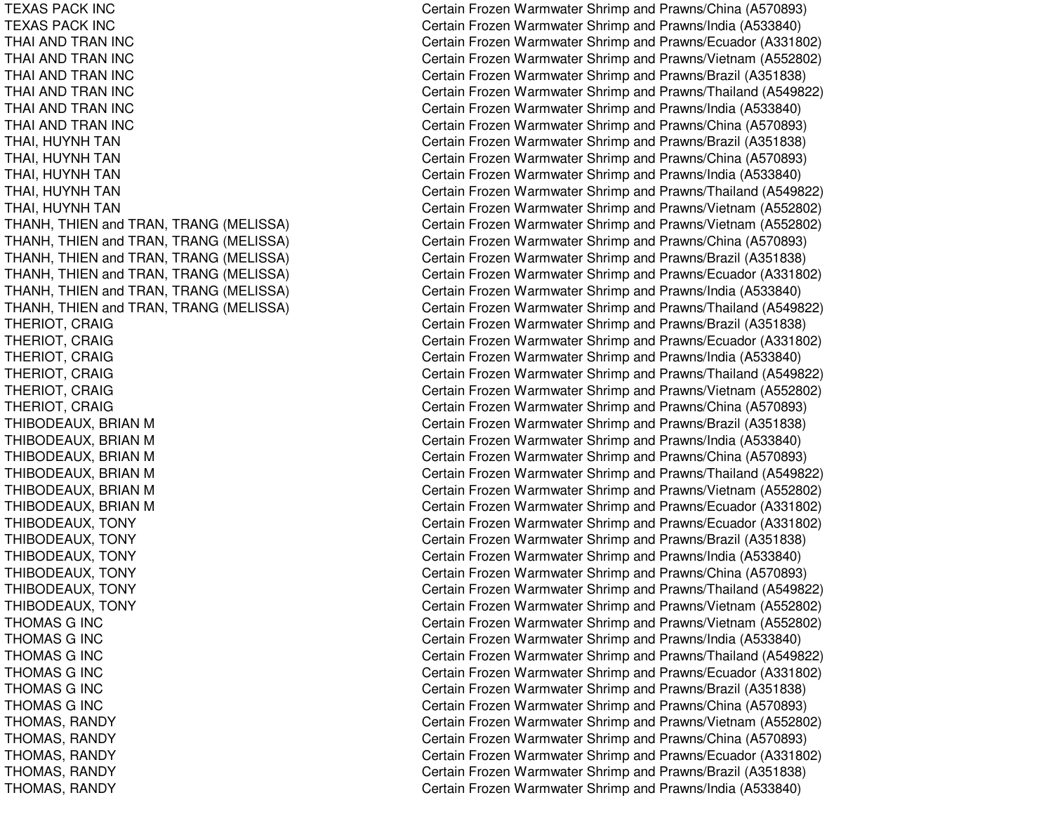TEXAS PACK INC TEXAS PACK INC THAI AND TRAN INC THAI AND TRAN INC THAI AND TRAN INC THAI AND TRAN INC THAI AND TRAN INC THAI AND TRAN INC THAI, HUYNH TAN THAI, HUYNH TAN THAI, H UYNHTANTHAI, H UYNHTANTHAI, H UYNHTANTHANH, THIEN and TRAN, TRANG (MELISS THANH, THIEN and TRAN, TRANG (MELISS THANH, THIEN and TRAN, TRANG (MELISS THANH, THIEN and TRAN, TRANG (MELISS THANH, THIEN and TRAN, TRANG (MELISS THANH, THIEN and TRAN, TRANG (MELISS T HE RIOT, C RAIGTHERIOT, CRAIG THERIOT, CRAIG THERIOT, CRAIG THERIOT, C RAIGTHERIOT, C RAIGTHIBODEAUX, BRIAN M THIBODEAUX, BRIAN M THIBODEAUX, BRIAN M THIBODEAUX, BRIAN M THIBODEAUX, BRIAN M THIBODEAUX, BRIAN M THIBODEAUX, TONY THIBODEAUX, TONY THIBODEAUX, TONY THIBODEAUX, TONY THIBODEAUX, T ONYTHIBODEAUX, TONY T H O M A S G IN C THOMAS G INC T H O M A S G IN C THOMAS G INC T HOMASG IN CTHOMAS G INC THOMAS, R ANDYT HOMA S, R A NDY THOMAS, RANDY THOMAS, R ANDYT H OMA S, R A N D Y

Certain Frozen Warmwater Shrimp and Prawns/China (A570893) Certain Frozen Warmwater Shrimp and Prawns/India (A533840) Certain Frozen Warmwater Shrimp and Prawns/Ecuador (A331802) Certain Frozen Warmwater Shrimp and Prawns/Vietnam (A552802) Certain Frozen Warmwater Shrimp and Prawns/Brazil (A351838) Certain Frozen Warmwater Shrimp and Prawns/Thailand (A549822) Certain Frozen Warmwater Shrimp and Prawns/India (A533840) Certain Frozen Warmwater Shrimp and Prawns/China (A570893) Certain Frozen Warmwater Shrimp and Prawns/Brazil (A351838) Certain Frozen Warmwater Shrimp and Prawns/China (A570893) Certain Frozen Warmwater Shrimp and Prawns/India (A533840) Certain Frozen Warmwater Shrimp and Prawns/Thailand (A549822) Certain Frozen Warmwater Shrimp and Prawns/Vietnam (A552802) A) C ertain Frozen Warmwater Shrimp and Prawns/Vietnam (A552802) A) C ertain Frozen Warmwater Shrimp and Prawns/China (A570893) A) C ertain Frozen Warmwater Shrimp and Prawns/Brazil (A351838) A) C ertain Frozen Warmwater Shrimp and Prawns/Ecuador (A331802) A) C ertain Frozen Warmwater Shrimp and Prawns/India (A533840) A) C ertain Frozen Warmwater Shrimp and Prawns/Thailand (A549822) Certain Frozen Warmwater Shrimp and Prawns/Brazil (A351838) Certain Frozen Warmwater Shrimp and Prawns/Ecuador (A331802) Certain Frozen Warmwater Shrimp and Prawns/India (A533840) Certain Frozen Warmwater Shrimp and Prawns/Thailand (A549822) Certain Frozen Warmwater Shrimp and Prawns/Vietnam (A552802) Certain Frozen Warmwater Shrimp and Prawns/China (A570893) Certain Frozen Warmwater Shrimp and Prawns/Brazil (A351838) Certain Frozen Warmwater Shrimp and Prawns/India (A533840) Certain Frozen Warmwater Shrimp and Prawns/China (A570893) Certain Frozen Warmwater Shrimp and Prawns/Thailand (A549822) Certain Frozen Warmwater Shrimp and Prawns/Vietnam (A552802) Certain Frozen Warmwater Shrimp and Prawns/Ecuador (A331802) Certain Frozen Warmwater Shrimp and Prawns/Ecuador (A331802) Certain Frozen Warmwater Shrimp and Prawns/Brazil (A351838) Certain Frozen Warmwater Shrimp and Prawns/India (A533840) Certain Frozen Warmwater Shrimp and Prawns/China (A570893) Certain Frozen Warmwater Shrimp and Prawns/Thailand (A549822) Certain Frozen Warmwater Shrimp and Prawns/Vietnam (A552802) Certain Frozen Warmwater Shrimp and Prawns/Vietnam (A552802) Certain Frozen Warmwater Shrimp and Prawns/India (A533840) Certain Frozen Warmwater Shrimp and Prawns/Thailand (A549822) Certain Frozen Warmwater Shrimp and Prawns/Ecuador (A331802) Certain Frozen Warmwater Shrimp and Prawns/Brazil (A351838) Certain Frozen Warmwater Shrimp and Prawns/China (A570893) Certain Frozen Warmwater Shrimp and Prawns/Vietnam (A552802) Certain Frozen Warmwater Shrimp and Prawns/China (A570893) Certain Frozen Warmwater Shrimp and Prawns/Ecuador (A331802) Certain Frozen Warmwater Shrimp and Prawns/Brazil (A351838) Certain Frozen Warmwater Shrimp and Prawns/India (A533840)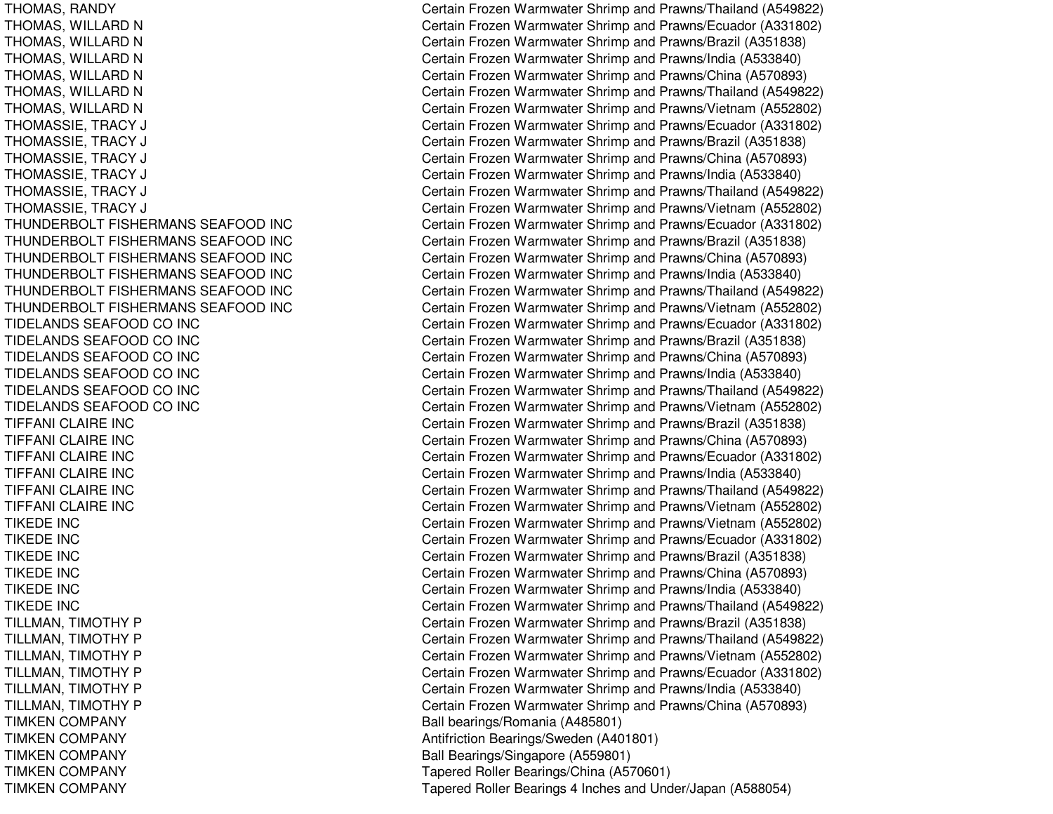THUNDERBOLT FISHERMANS SEAFOODTHUNDERBOLT FISHERMANS SEAFOODTHUNDERBOLT FISHERMANS SEAFOODTHUNDERBOLT FISHERMANS SEAFOODTHUNDERBOLT FISHERMANS SEAFOODTHUNDERBOLT FISHERMANS SEAFOODTIDELANDS SEAFOOD COTIDELANDS SEAFOOD COTIDELANDS SEAFOOD COTIDELANDS SEAFOOD COTIDELANDS SEAFOOD COTIDELANDS SEAFOOD COTIFFANI CLAIRE INCTIFFANI CLAIRE INCTIFFANI CLAIRE INCTIFFANI CLAIRE INCTIFFANI CLAIRE INCTIFFANI CLAIRE INCTIKEDE INCTIKEDE INCTIKEDE INCTIKEDE INCTIKEDE INCTIKEDE INC**TIMKEN COMPANY TIMKEN COMPANY TIMKEN COMPANY TIMKEN COMPANY TIMKEN COMPANY** 

THOMAS, RANDY Certain Frozen Warmwater Shrimp and Prawns/Thailand (A549822) THOMAS, WILLARD N Certain Frozen Warmwater Shrimp and Prawns/Ecuador (A331802) THOMAS, WILLARD N Certain Frozen Warmwater Shrimp and Prawns/Brazil (A351838) THOMAS, WILLARD N Certain Frozen Warmwater Shrimp and Prawns/India (A533840) THOMAS, WILLARD N Certain Frozen Warmwater Shrimp and Prawns/China (A570893) THOMAS, WILLARD N Certain Frozen Warmwater Shrimp and Prawns/Thailand (A549822) THOMAS, WILLARD N Certain Frozen Warmwater Shrimp and Prawns/Vietnam (A552802) THOMASSIE, TRACY J Certain Frozen Warmwater Shrimp and Prawns/Ecuador (A331802) THOMASSIE, TRACY J Certain Frozen Warmwater Shrimp and Prawns/Brazil (A351838) THOMASSIE, TRACY J Certain Frozen Warmwater Shrimp and Prawns/China (A570893) THOMASSIE, TRACY J Certain Frozen Warmwater Shrimp and Prawns/India (A533840) THOMASSIE, TRACY J Certain Frozen Warmwater Shrimp and Prawns/Thailand (A549822) THOMASSIE, TRACY J Certain Frozen Warmwater Shrimp and Prawns/Vietnam (A552802) Certain Frozen Warmwater Shrimp and Prawns/Ecuador (A331802) Certain Frozen Warmwater Shrimp and Prawns/Brazil (A351838) Certain Frozen Warmwater Shrimp and Prawns/China (A570893) Certain Frozen Warmwater Shrimp and Prawns/India (A533840) Certain Frozen Warmwater Shrimp and Prawns/Thailand (A549822) Certain Frozen Warmwater Shrimp and Prawns/Vietnam (A552802) Certain Frozen Warmwater Shrimp and Prawns/Ecuador (A331802) Certain Frozen Warmwater Shrimp and Prawns/Brazil (A351838) Certain Frozen Warmwater Shrimp and Prawns/China (A570893) Certain Frozen Warmwater Shrimp and Prawns/India (A533840) Certain Frozen Warmwater Shrimp and Prawns/Thailand (A549822) Certain Frozen Warmwater Shrimp and Prawns/Vietnam (A552802) Certain Frozen Warmwater Shrimp and Prawns/Brazil (A351838) Certain Frozen Warmwater Shrimp and Prawns/China (A570893) Certain Frozen Warmwater Shrimp and Prawns/Ecuador (A331802) Certain Frozen Warmwater Shrimp and Prawns/India (A533840) Certain Frozen Warmwater Shrimp and Prawns/Thailand (A549822) Certain Frozen Warmwater Shrimp and Prawns/Vietnam (A552802) Certain Frozen Warmwater Shrimp and Prawns/Vietnam (A552802) Certain Frozen Warmwater Shrimp and Prawns/Ecuador (A331802) Certain Frozen Warmwater Shrimp and Prawns/Brazil (A351838) Certain Frozen Warmwater Shrimp and Prawns/China (A570893) Certain Frozen Warmwater Shrimp and Prawns/India (A533840) Certain Frozen Warmwater Shrimp and Prawns/Thailand (A549822) TILLMAN, TIMOTHY P Certain Frozen Warmwater Shrimp and Prawns/Brazil (A351838) TILLMAN, TIMOTHY P Certain Frozen Warmwater Shrimp and Prawns/Thailand (A549822) TILLMAN, TIMOTHY P Certain Frozen Warmwater Shrimp and Prawns/Vietnam (A552802) TILLMAN, TIMOTHY P Certain Frozen Warmwater Shrimp and Prawns/Ecuador (A331802) TILLMAN, TIMOTHY P Certain Frozen Warmwater Shrimp and Prawns/India (A533840) TILLMAN, TIMOTHY P Certain Frozen Warmwater Shrimp and Prawns/China (A570893) Ball bearings/Romania (A485801) Antifriction Bearings/Sweden (A401801) Ball Bearings/Singapore (A559801) Tapered Roller Bearings/China (A570601) Tapered Roller Bearings 4 Inches and Under/Japan (A588054)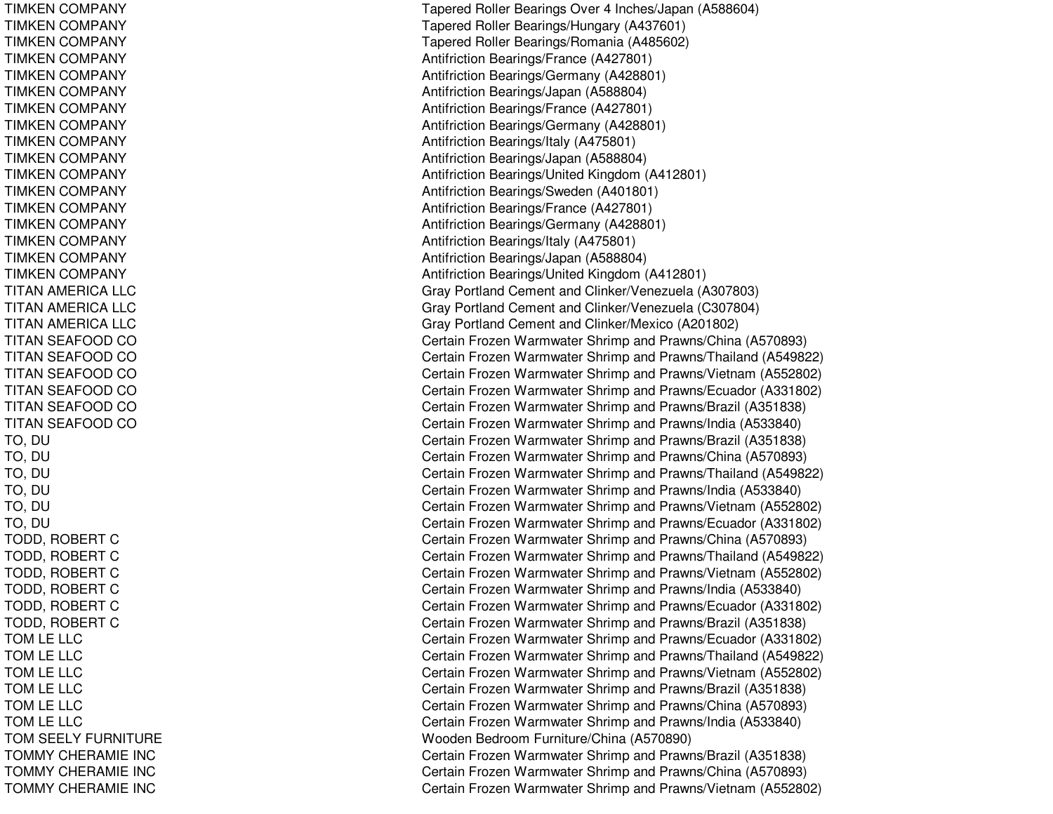TIMKEN COMPANY TIMKEN COMPANY TIMKEN COMPANY TIMKEN COMPANY TIMKEN COMPANY TIMKEN COMPANY TIMKEN COMPANY TIMKEN COMPANY TIMKEN COMPANY TIMKEN COMPANY TIMKEN COMPANY TIMKEN COMPANY TIMKEN COMPANY TIMKEN COMPANY TIMKEN COMPANY TIMKEN COMPANY TIMKEN COMPANY TITAN AMERICA LLC TITAN AMERICA LLC TITAN AMERICA LLC TITAN SEAFOOD CO TITAN SEAFOOD CO TITAN SEAFOOD CO TITAN SEAFOOD CO TITAN SEAFOOD CO TITAN SEAFOOD CO TO, D UT O, D U TO, D UTO, D UT O, D UT O, D U TODD, ROBERT C T OD D, R OB E R T C TODD, R OBERTCTODD, ROBERT C TODD, ROBERT C TODD, R OBERTCTOMLELLCTOM LE LLC TOMLELLCT OML EL L CTOM LE LLC TOMLELLCTOM SEELY FURNITURE TOMMYCHERAMIE INCTOMMYCHERAMIE INCTOMMYCHERAMIE INC

Tapered Roller Bearings Over 4 Inches/Japan (A588604) Tapered Roller Bearings/Hungary (A437601) T a p ere d Roller Be arings/R o mania (A 4 8 5 6 0 2) Antifriction B e arings/France (A 4 2 7 8 01) Antifriction B e arings/G erm any (A 4 2 8 8 01) Antifriction Bearings/Japan (A588804) Antifriction B e arings/France (A 4 2 7 8 01) Antifriction Bearings/G ermany (A 428801) Antifriction B e arings/Italy (A 4 7 5 8 01) Antifriction Bearings/Japan (A588804) Antifriction Bearings/United Kingdom (A412801) Antifriction Bearings/Sweden (A401801) Antifriction Bearings/France (A 427801) Antifriction Be arings/G ermany (A 4 2 8 8 01) Antifriction B e arings/Italy (A 4 7 5 8 01) Antifriction Bearings/Japan (A588804) Antifriction Bearings/United Kingdom (A412801) Gray Portland Cement and Clinker/Venezuela (A307803) Gray PortlandCement andClinker/Venezuela (C 307804) Gray Portland Cement and Clinker/Mexico (A201802) Certain Frozen Warmwater Shrimp and Prawns/China (A570893) Certain Frozen Warmwater Shrimp and Prawns/Thailand (A549822) Certain Frozen Warmwater Shrimp and Prawns/Vietnam (A552802) Certain Frozen Warmwater Shrimp and Prawns/Ecuador (A331802) Certain Frozen Warmwater Shrimp and Prawns/Brazil (A351838) Certain Frozen Warmwater Shrimp and Prawns/India (A533840) Certain Frozen Warmwater Shrimp and Prawns/Brazil (A351838) Certain Frozen Warmwater Shrimp and Prawns/China (A570893) Certain Frozen Warmwater Shrimp and Prawns/Thailand (A549822) Certain Frozen Warmwater Shrimp and Prawns/India (A533840) Certain Frozen Warmwater Shrimp and Prawns/Vietnam (A552802) Certain Frozen Warmwater Shrimp and Prawns/Ecuador (A331802) Certain Frozen Warmwater Shrimp and Prawns/China (A570893) Certain Frozen Warmwater Shrimp and Prawns/Thailand (A549822) Certain Frozen Warmwater Shrimp and Prawns/Vietnam (A552802) Certain Frozen Warmwater Shrimp and Prawns/India (A533840) Certain Frozen Warmwater Shrimp and Prawns/Ecuador (A331802) Certain Frozen Warmwater Shrimp and Prawns/Brazil (A351838) Certain Frozen Warmwater Shrimp and Prawns/Ecuador (A331802) Certain Frozen Warmwater Shrimp and Prawns/Thailand (A549822) Certain Frozen Warmwater Shrimp and Prawns/Vietnam (A552802) Certain Frozen Warmwater Shrimp and Prawns/Brazil (A351838) Certain Frozen Warmwater Shrimp and Prawns/China (A570893) Certain Frozen Warmwater Shrimp and Prawns/India (A533840) Wooden Bedroom Furniture/China (A570890) C ertain Frozen W arm w ater Shrim p and Pra wns/Brazil (A 3 518 3 8) Certain Frozen Warmwater Shrimp and Prawns/China (A570893) Certain Frozen Warmwater Shrimp and Prawns/Vietnam (A552802)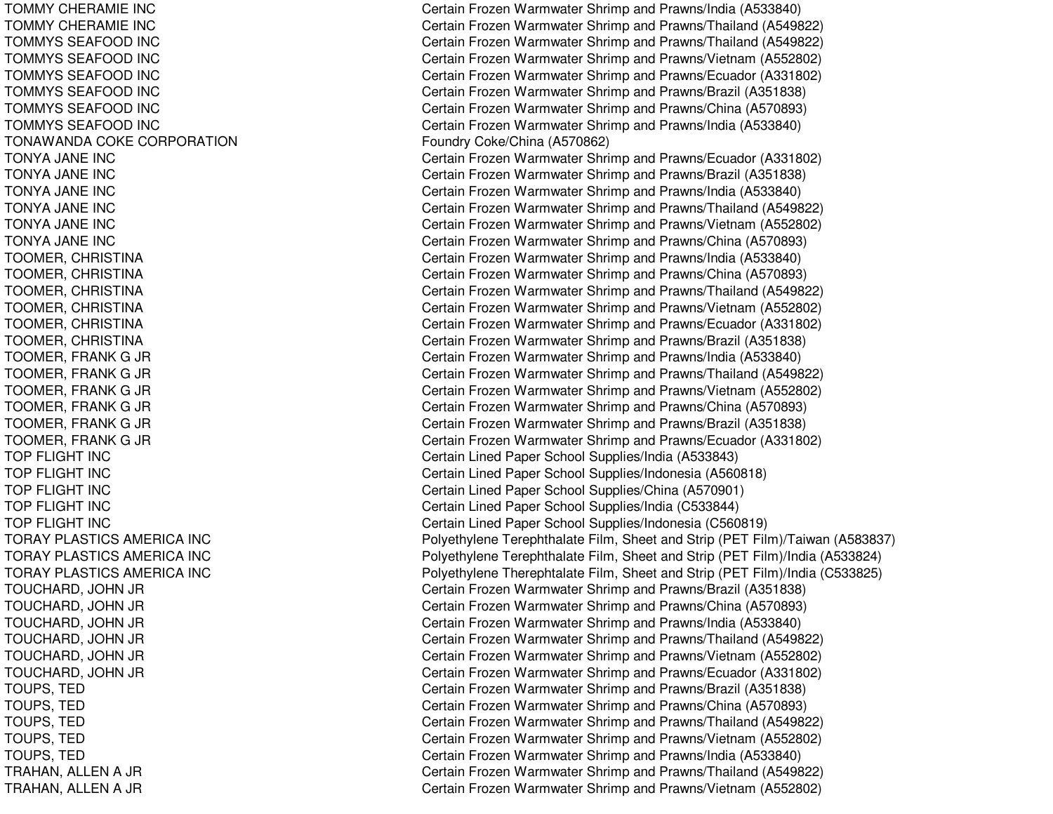TOMMYCHERAMIE INCTOMMYCHERAMIE INCTOMMYS SEAFOOD INC T O M M Y S S E A F O O D IN C TOMMYS SEAFOOD INC TOMMYS SEAFOOD INC TOMMYS SEAFOOD INC TOMMYS SEAFOOD INC TONAWANDA COKE CORPORATION TONYA JA NE INCTONYA JA NE INCTONYA JA NE INCTONYA JA NE INCTONYA JA NE INCT O N Y A JA N E IN C TOOMER, C HRISTINAT OOMER, C HRISTINATOOMER, CHRISTINA TOOMER, C HRISTINATOOMER, CHRISTINA TOOMER, CHRISTINA TOOMER, F RANKG JR T OOME R, F R A N K G JR TOOMER, F RANKG JR TOOMER, F RANKG JR T O O ME R, F R A N K G JR TOOMER, F RANKG JR TOP FLIGHT INC TOP FLIGHT INC TOP FLIGHT INC T OP F LIGHT INCTOP FLIGHT INC TORAY PLASTICS AMERICA INC TORAY PLASTICS AMERICA INC TORAY PLASTICS AMERICA INC TOUCHARD, JO HN JR TOUCHARD, JOHN JR TOUCHARD, JOHN JR TOUCHARD, JOHN JR T O U C H A R D, JO H N JR TOUCHARD, JO HN JR T OUPS, T EDT O U P S, T E D TOUPS, T EDT OUP S, T E DT O U P S, T E D TRAHAN, ALLEN A JR TRAHAN, ALLEN A JR

Certain Frozen Warmwater Shrimp and Prawns/India (A533840) Certain Frozen Warmwater Shrimp and Prawns/Thailand (A549822) Certain Frozen Warmwater Shrimp and Prawns/Thailand (A549822) Certain Frozen Warmwater Shrimp and Prawns/Vietnam (A552802) Certain Frozen Warmwater Shrimp and Prawns/Ecuador (A331802) Certain Frozen Warmwater Shrimp and Prawns/Brazil (A351838) Certain Frozen Warmwater Shrimp and Prawns/China (A570893) Certain Frozen Warmwater Shrimp and Prawns/India (A533840) Foundry Coke/China (A570862) Certain Frozen Warmwater Shrimp and Prawns/Ecuador (A331802) Certain Frozen Warmwater Shrimp and Prawns/Brazil (A351838) Certain Frozen Warmwater Shrimp and Prawns/India (A533840) Certain Frozen Warmwater Shrimp and Prawns/Thailand (A549822) Certain Frozen Warmwater Shrimp and Prawns/Vietnam (A552802) Certain Frozen Warmwater Shrimp and Prawns/China (A570893) Certain Frozen Warmwater Shrimp and Prawns/India (A533840) Certain Frozen Warmwater Shrimp and Prawns/China (A570893) Certain Frozen Warmwater Shrimp and Prawns/Thailand (A549822) Certain Frozen Warmwater Shrimp and Prawns/Vietnam (A552802) Certain Frozen Warmwater Shrimp and Prawns/Ecuador (A331802) C ertain Frozen W arm w ater Shrim p and Pra wns/Brazil (A 3 518 3 8) Certain Frozen Warmwater Shrimp and Prawns/India (A533840) Certain Frozen Warmwater Shrimp and Prawns/Thailand (A549822) Certain Frozen Warmwater Shrimp and Prawns/Vietnam (A552802) Certain Frozen Warmwater Shrimp and Prawns/China (A570893) Certain Frozen Warmwater Shrimp and Prawns/Brazil (A351838) Certain Frozen Warmwater Shrimp and Prawns/Ecuador (A331802) Certain Lined Paper School Supplies/India (A533843) Certain Lined Paper School Supplies/Indonesia (A560818) Certain Lined Paper School Supplies/China (A570901) Certain Lined Paper School Supplies/India (C533844) Certain Lined Paper School Supplies/Indonesia (C560819) Polyethylene Terephthalate Film, Sheet and Strip (PET Film)/Taiwan (A583837) Polyethylene Terephthalate Film, Sheet and Strip (PET Film)/India (A533824) Polyethylene Therephtalate Film, Sheet and Strip (PET Film)/India (C533825) Certain Frozen Warmwater Shrimp and Prawns/Brazil (A351838) Certain Frozen Warmwater Shrimp and Prawns/China (A570893) Certain Frozen Warmwater Shrimp and Prawns/India (A533840) Certain Frozen Warmwater Shrimp and Prawns/Thailand (A549822) Certain Frozen Warmwater Shrimp and Prawns/Vietnam (A552802) Certain Frozen Warmwater Shrimp and Prawns/Ecuador (A331802) Certain Frozen Warmwater Shrimp and Prawns/Brazil (A351838) Certain Frozen Warmwater Shrimp and Prawns/China (A570893) Certain Frozen Warmwater Shrimp and Prawns/Thailand (A549822) Certain Frozen Warmwater Shrimp and Prawns/Vietnam (A552802) Certain Frozen Warmwater Shrimp and Prawns/India (A533840) Certain Frozen Warmwater Shrimp and Prawns/Thailand (A549822) Certain Frozen Warmwater Shrimp and Prawns/Vietnam (A552802)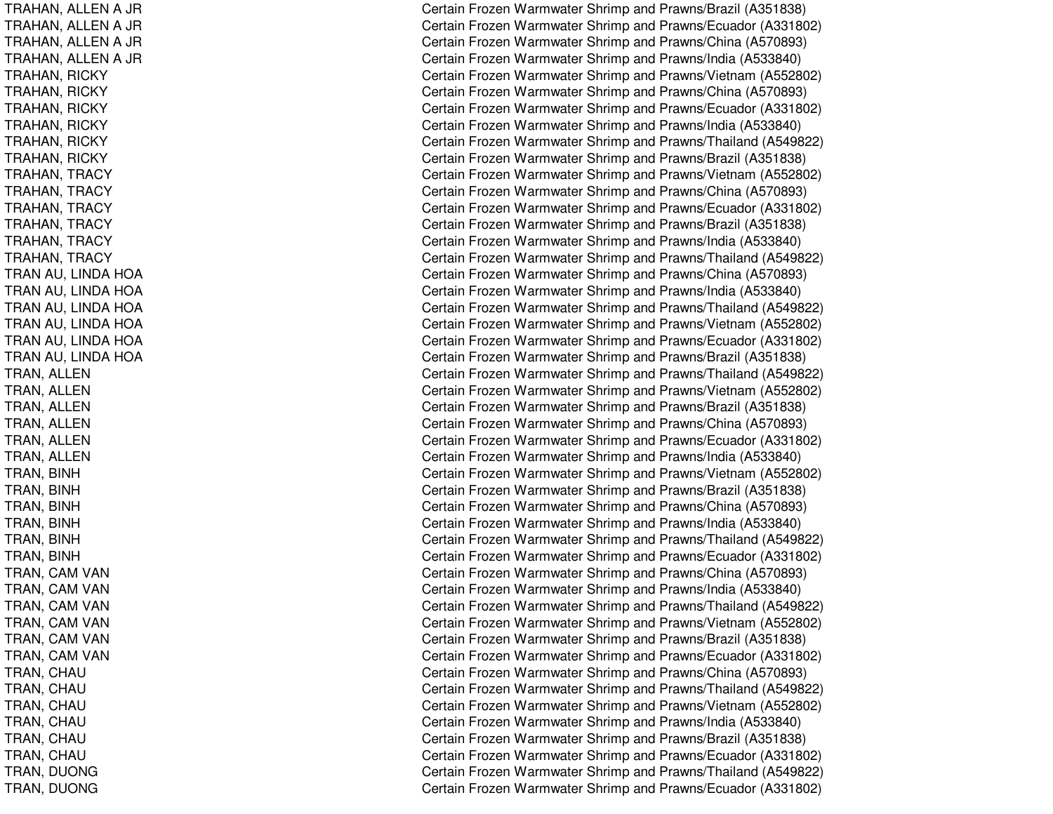TRAHAN, ALLEN A JR TRAHAN, ALLEN A JR TRAHAN, ALLEN A JR TRAHAN, ALLEN A JR TRAHAN, RIC KYTRAHAN, RICKY TRAHAN, RIC KYTRAHAN, RIC KYTRAHAN, RICKY TRAHAN, RICKY TRAHAN, T RACYTRAHAN, T RACYTRAHAN, T RACYTRAHAN, T RACYTRAHAN, TRACY TRAHAN, T RACYTRAN AU, LINDA HOA TRAN AU, LINDA HOA TRAN AU, LINDA HOA TRAN AU, LINDA HOA TRAN AU, LINDA HOA TRAN AU, LINDA HOA TRAN, ALLEN TRAN, A LLENTRAN, ALLEN TRAN, ALLEN TRAN, A LLENTRAN, ALLEN T R A N, BIN H TRAN, BIN HT RA N, BIN HT R A N, BIN H T R A N, BIN H T R A N, BIN H TRAN, CAM VAN TRAN, CAM VAN TRAN, CAM VAN TRAN, CAM VAN TRAN, CAM VAN TRAN, CAM VAN TRAN, C HAUT RAN, C HAUTRAN, CHAU TRAN, C HAUT RA N, C HA UTRAN, CHAU TRAN, D UONGT R A N, D U ON G

Certain Frozen Warmwater Shrimp and Prawns/Brazil (A351838) Certain Frozen Warmwater Shrimp and Prawns/Ecuador (A331802) Certain Frozen Warmwater Shrimp and Prawns/China (A570893) Certain Frozen Warmwater Shrimp and Prawns/India (A533840) Certain Frozen Warmwater Shrimp and Prawns/Vietnam (A552802) Certain Frozen Warmwater Shrimp and Prawns/China (A570893) Certain Frozen Warmwater Shrimp and Prawns/Ecuador (A331802) Certain Frozen Warmwater Shrimp and Prawns/India (A533840) Certain Frozen Warmwater Shrimp and Prawns/Thailand (A549822) C ertain Frozen W arm w ater Shrim p and Pra wns/Brazil (A 3 518 3 8) Certain Frozen Warmwater Shrimp and Prawns/Vietnam (A552802) Certain Frozen Warmwater Shrimp and Prawns/China (A570893) Certain Frozen Warmwater Shrimp and Prawns/Ecuador (A331802) Certain Frozen Warmwater Shrimp and Prawns/Brazil (A351838) Certain Frozen Warmwater Shrimp and Prawns/India (A533840) Certain Frozen Warmwater Shrimp and Prawns/Thailand (A549822) Certain Frozen Warmwater Shrimp and Prawns/China (A570893) Certain Frozen Warmwater Shrimp and Prawns/India (A533840) Certain Frozen Warmwater Shrimp and Prawns/Thailand (A549822) Certain Frozen Warmwater Shrimp and Prawns/Vietnam (A552802) Certain Frozen Warmwater Shrimp and Prawns/Ecuador (A331802) Certain Frozen Warmwater Shrimp and Prawns/Brazil (A351838) Certain Frozen Warmwater Shrimp and Prawns/Thailand (A549822) Certain Frozen Warmwater Shrimp and Prawns/Vietnam (A552802) Certain Frozen Warmwater Shrimp and Prawns/Brazil (A351838) Certain Frozen Warmwater Shrimp and Prawns/China (A570893) Certain Frozen Warmwater Shrimp and Prawns/Ecuador (A331802) Certain Frozen Warmwater Shrimp and Prawns/India (A533840) Certain Frozen Warmwater Shrimp and Prawns/Vietnam (A552802) Certain Frozen Warmwater Shrimp and Prawns/Brazil (A351838) Certain Frozen Warmwater Shrimp and Prawns/China (A570893) Certain Frozen Warmwater Shrimp and Prawns/India (A533840) Certain Frozen Warmwater Shrimp and Prawns/Thailand (A549822) Certain Frozen Warmwater Shrimp and Prawns/Ecuador (A331802) Certain Frozen Warmwater Shrimp and Prawns/China (A570893) Certain Frozen Warmwater Shrimp and Prawns/India (A533840) Certain Frozen Warmwater Shrimp and Prawns/Thailand (A549822) Certain Frozen Warmwater Shrimp and Prawns/Vietnam (A552802) C ertain Frozen W arm w ater Shrim p and Pra wns/Brazil (A 3 518 3 8) C ertain Frozen Warm w ater Shrim p and Pra wns/Ecua d or (A 3 318 0 2) Certain Frozen Warmwater Shrimp and Prawns/China (A570893) Certain Frozen Warmwater Shrimp and Prawns/Thailand (A549822) Certain Frozen Warmwater Shrimp and Prawns/Vietnam (A552802) Certain Frozen Warmwater Shrimp and Prawns/India (A533840) Certain Frozen Warmwater Shrimp and Prawns/Brazil (A351838) Certain Frozen Warmwater Shrimp and Prawns/Ecuador (A331802) Certain Frozen Warmwater Shrimp and Prawns/Thailand (A549822) Certain Frozen Warmwater Shrimp and Prawns/Ecuador (A331802)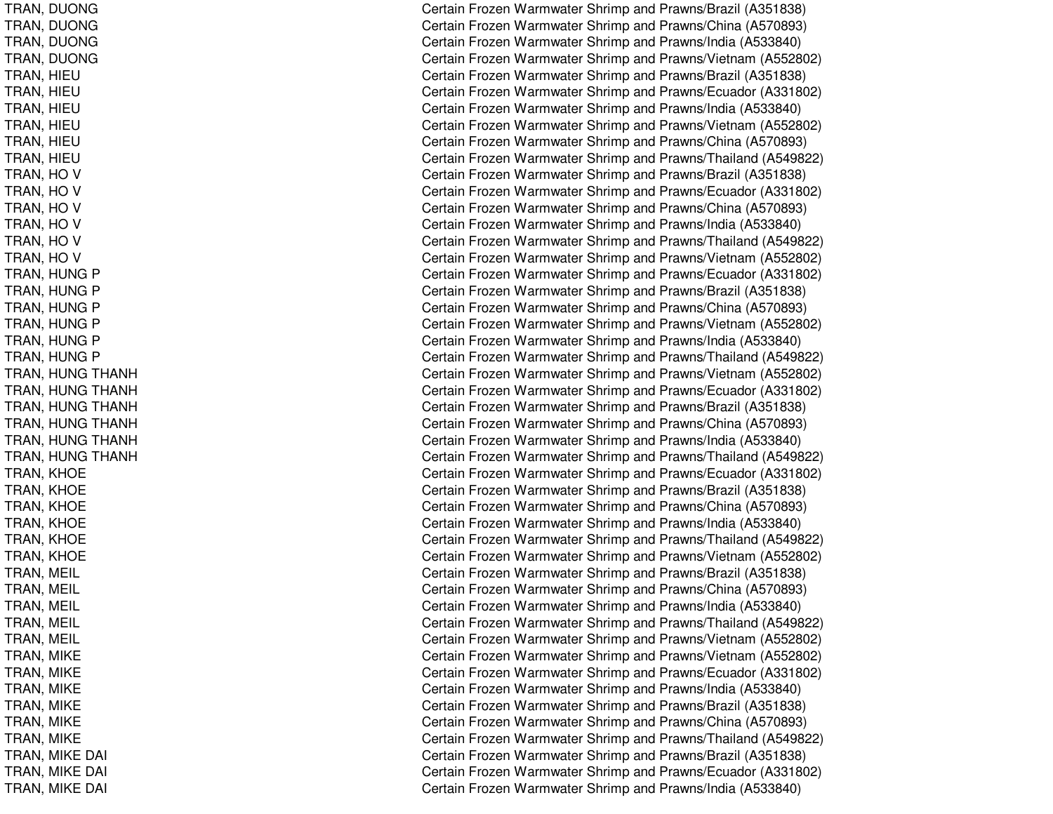TRAN, D UONGTRAN, D UONGT RAN, D UONGTRAN, DUONG TRAN, HIE UT RA N, HIE UT R A N, HIE U TRAN, HIE UT R A N, HIE U T R A N, HIE U TRAN, HO V TRAN, H OVTRAN, H OVTRAN, HO V T R A N, H O V TRAN, H OVTRAN, HUNG P TRAN, HUNG P TRAN, HUNG P TRAN, HUNG P TRAN, HUNG P TRAN, HUNG P TRAN, HUNG THANH TRAN, H UNGTHANHTRAN, H UNGTHANHTRAN, HUNG THANH TRAN, H UNGTHANHT RAN, H UNGT HANHTRAN, KHOE TRAN, K HOET RA N, K HOE TRAN, KHOE TRAN, KHOE T R A N, K H OE T R A N, M EIL TRAN, M EILT R A N, M EIL T R A N, M EIL TRAN, M EIL T R A N, MIK E TRAN, MIK ET RAN, MIK ET R A N, MIK E TRAN, MIK ET RA N, MIK E T R A N, MIK E D AIl contract de la contract de la contract de la contract de la contract de la contract de la contract de la con TRAN, MIK EDAIl Constantinople of the constant of the constant of the constant of the constant of the constant of the constant of the constant of the constant of the constant of the constant of the constant of the constant of the consta T R A N, MIK E D AI $\overline{\phantom{a}}$ 

Certain Frozen Warmwater Shrimp and Prawns/Brazil (A351838) Certain Frozen Warmwater Shrimp and Prawns/China (A570893) Certain Frozen Warmwater Shrimp and Prawns/India (A533840) Certain Frozen Warmwater Shrimp and Prawns/Vietnam (A552802) Certain Frozen Warmwater Shrimp and Prawns/Brazil (A351838) Certain Frozen Warmwater Shrimp and Prawns/Ecuador (A331802) Certain Frozen Warmwater Shrimp and Prawns/India (A533840) Certain Frozen Warmwater Shrimp and Prawns/Vietnam (A552802) Certain Frozen Warmwater Shrimp and Prawns/China (A570893) Certain Frozen Warmwater Shrimp and Prawns/Thailand (A549822) Certain Frozen Warmwater Shrimp and Prawns/Brazil (A351838) Certain Frozen Warmwater Shrimp and Prawns/Ecuador (A331802) Certain Frozen Warmwater Shrimp and Prawns/China (A570893) Certain Frozen Warmwater Shrimp and Prawns/India (A533840) Certain Frozen Warmwater Shrimp and Prawns/Thailand (A549822) Certain Frozen Warmwater Shrimp and Prawns/Vietnam (A552802) Certain Frozen Warmwater Shrimp and Prawns/Ecuador (A331802) Certain Frozen Warmwater Shrimp and Prawns/Brazil (A351838) Certain Frozen Warmwater Shrimp and Prawns/China (A570893) Certain Frozen Warmwater Shrimp and Prawns/Vietnam (A552802) Certain Frozen Warmwater Shrimp and Prawns/India (A533840) Certain Frozen Warmwater Shrimp and Prawns/Thailand (A549822) Certain Frozen Warmwater Shrimp and Prawns/Vietnam (A552802) Certain Frozen Warmwater Shrimp and Prawns/Ecuador (A331802) Certain Frozen Warmwater Shrimp and Prawns/Brazil (A351838) Certain Frozen Warmwater Shrimp and Prawns/China (A570893) Certain Frozen Warmwater Shrimp and Prawns/India (A533840) Certain Frozen Warmwater Shrimp and Prawns/Thailand (A549822) Certain Frozen Warmwater Shrimp and Prawns/Ecuador (A331802) Certain Frozen Warmwater Shrimp and Prawns/Brazil (A351838) Certain Frozen Warmwater Shrimp and Prawns/China (A570893) Certain Frozen Warmwater Shrimp and Prawns/India (A533840) Certain Frozen Warmwater Shrimp and Prawns/Thailand (A549822) Certain Frozen Warmwater Shrimp and Prawns/Vietnam (A552802) C ertain Frozen W arm w ater Shrim p and Pra wns/Brazil (A 3 518 3 8) Certain Frozen Warmwater Shrimp and Prawns/China (A570893) Certain Frozen Warmwater Shrimp and Prawns/India (A533840) Certain Frozen Warmwater Shrimp and Prawns/Thailand (A549822) Certain Frozen Warmwater Shrimp and Prawns/Vietnam (A552802) Certain Frozen Warmwater Shrimp and Prawns/Vietnam (A552802) Certain Frozen Warmwater Shrimp and Prawns/Ecuador (A331802) Certain Frozen Warmwater Shrimp and Prawns/India (A533840) Certain Frozen Warmwater Shrimp and Prawns/Brazil (A351838) Certain Frozen Warmwater Shrimp and Prawns/China (A570893) Certain Frozen Warmwater Shrimp and Prawns/Thailand (A549822) Certain Frozen Warmwater Shrimp and Prawns/Brazil (A351838) ertain Frozen Warmwater Shrimp and Prawns/Ecuador (A331802) Certain Frozen Warmwater Shrimp and Prawns/India (A533840)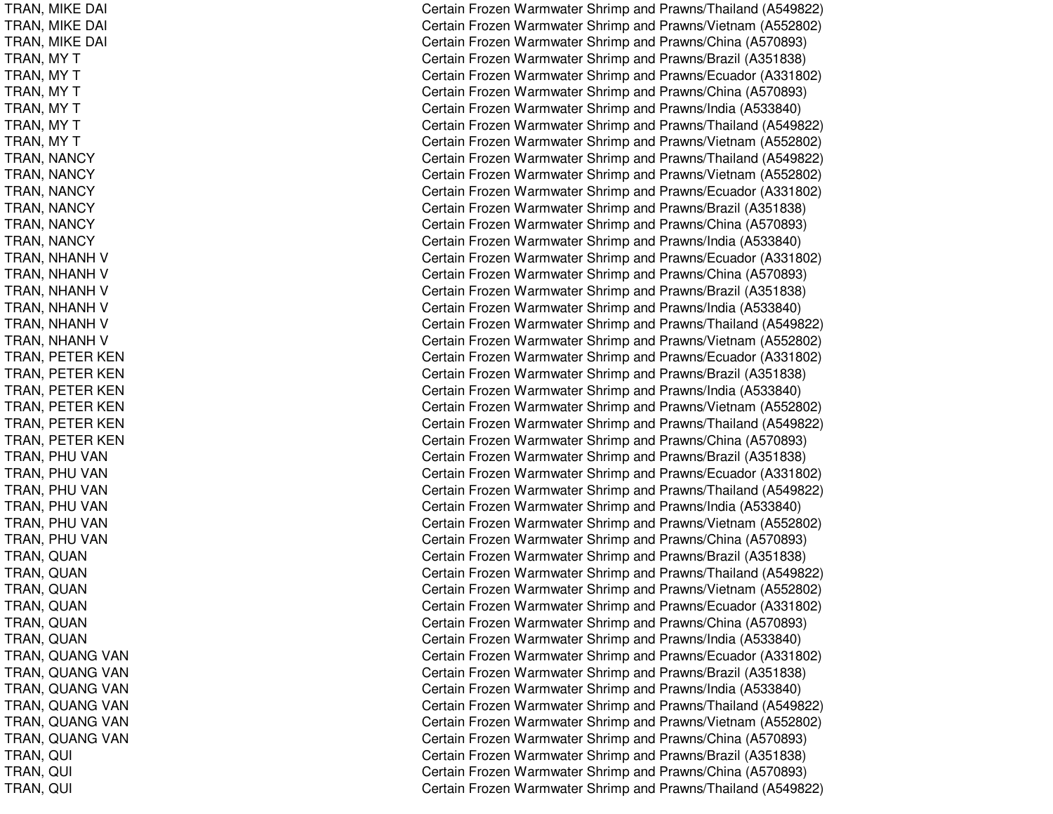TRAN, MIK EDAIl contract and contract of the contract of the contract of the contract of the contract of the contract of the TRAN, MIK EDAIl contract and contract of the contract of the contract of the contract of the contract of the contract of the T RAN, MIK EDAIl contract de la contract de la contract de la contract de la contract de la contract de la contract de la con T R A N, M Y T TRAN, MY T T RA N, M Y T TRAN, MY T TRAN, MY T T R A N, M Y T TRAN, NANCY TRAN, N ANCYTRAN, N ANCYTRAN, N ANCYTRAN, N ANCYTRAN, NANCY TRAN, NHANH V TRAN, NHANH V TRAN, NHANH V TRAN, NHANH V TRAN, NHANH V TRAN, NHANH V TRAN, PETER KEN TRAN, PETER KEN TRAN, P ETERKENTRAN, P ETERKENTRAN, PETER KEN TRAN, P ETERKENT RAN, P HUVANTRAN, PHU VAN TRAN, PHU VAN TRAN, PHU VAN TRAN, PHU VAN TRAN, PHU VAN T R A N, Q U A N T R A N, Q U A N TRAN, Q UANT R A N, Q U A N T R A N, Q U A N TRAN, Q UANTRAN, QUANG VAN TRAN, QUANG VAN TRAN, QUANG VAN TRAN, QUANG VAN TRAN, QUANG VAN TRAN, QUANG VAN T R A N, Q UIl Constantinople of the constant of the constant of the constant of the constant of the constant of the constant of the constant of the constant of the constant of the constant of the constant of the constant of the consta TRAN, Q UI $\overline{C}$ T R A N, Q UI $\overline{C}$ 

Certain Frozen Warmwater Shrimp and Prawns/Thailand (A549822) ertain Frozen Warmwater Shrimp and Prawns/Vietnam (A552802) ertain Frozen Warmwater Shrimp and Prawns/China (A570893) Certain Frozen Warmwater Shrimp and Prawns/Brazil (A351838) Certain Frozen Warmwater Shrimp and Prawns/Ecuador (A331802) Certain Frozen Warmwater Shrimp and Prawns/China (A570893) Certain Frozen Warmwater Shrimp and Prawns/India (A533840) Certain Frozen Warmwater Shrimp and Prawns/Thailand (A549822) Certain Frozen Warmwater Shrimp and Prawns/Vietnam (A552802) Certain Frozen Warmwater Shrimp and Prawns/Thailand (A549822) Certain Frozen Warmwater Shrimp and Prawns/Vietnam (A552802) Certain Frozen Warmwater Shrimp and Prawns/Ecuador (A331802) Certain Frozen Warmwater Shrimp and Prawns/Brazil (A351838) Certain Frozen Warmwater Shrimp and Prawns/China (A570893) Certain Frozen Warmwater Shrimp and Prawns/India (A533840) Certain Frozen Warmwater Shrimp and Prawns/Ecuador (A331802) Certain Frozen Warmwater Shrimp and Prawns/China (A570893) Certain Frozen Warmwater Shrimp and Prawns/Brazil (A351838) Certain Frozen Warmwater Shrimp and Prawns/India (A533840) Certain Frozen Warmwater Shrimp and Prawns/Thailand (A549822) Certain Frozen Warmwater Shrimp and Prawns/Vietnam (A552802) Certain Frozen Warmwater Shrimp and Prawns/Ecuador (A331802) Certain Frozen Warmwater Shrimp and Prawns/Brazil (A351838) Certain Frozen Warmwater Shrimp and Prawns/India (A533840) Certain Frozen Warmwater Shrimp and Prawns/Vietnam (A552802) Certain Frozen Warmwater Shrimp and Prawns/Thailand (A549822) Certain Frozen Warmwater Shrimp and Prawns/China (A570893) Certain Frozen Warmwater Shrimp and Prawns/Brazil (A351838) Certain Frozen Warmwater Shrimp and Prawns/Ecuador (A331802) Certain Frozen Warmwater Shrimp and Prawns/Thailand (A549822) Certain Frozen Warmwater Shrimp and Prawns/India (A533840) Certain Frozen Warmwater Shrimp and Prawns/Vietnam (A552802) Certain Frozen Warmwater Shrimp and Prawns/China (A570893) Certain Frozen Warmwater Shrimp and Prawns/Brazil (A351838) Certain Frozen Warmwater Shrimp and Prawns/Thailand (A549822) Certain Frozen Warmwater Shrimp and Prawns/Vietnam (A552802) Certain Frozen Warmwater Shrimp and Prawns/Ecuador (A331802) Certain Frozen Warmwater Shrimp and Prawns/China (A570893) Certain Frozen Warmwater Shrimp and Prawns/India (A533840) Certain Frozen Warmwater Shrimp and Prawns/Ecuador (A331802) Certain Frozen Warmwater Shrimp and Prawns/Brazil (A351838) Certain Frozen Warmwater Shrimp and Prawns/India (A533840) Certain Frozen Warmwater Shrimp and Prawns/Thailand (A549822) Certain Frozen Warmwater Shrimp and Prawns/Vietnam (A552802) Certain Frozen Warmwater Shrimp and Prawns/China (A570893) Certain Frozen Warmwater Shrimp and Prawns/Brazil (A351838) ertain Frozen Warmwater Shrimp and Prawns/China (A570893) Certain Frozen Warmwater Shrimp and Prawns/Thailand (A549822)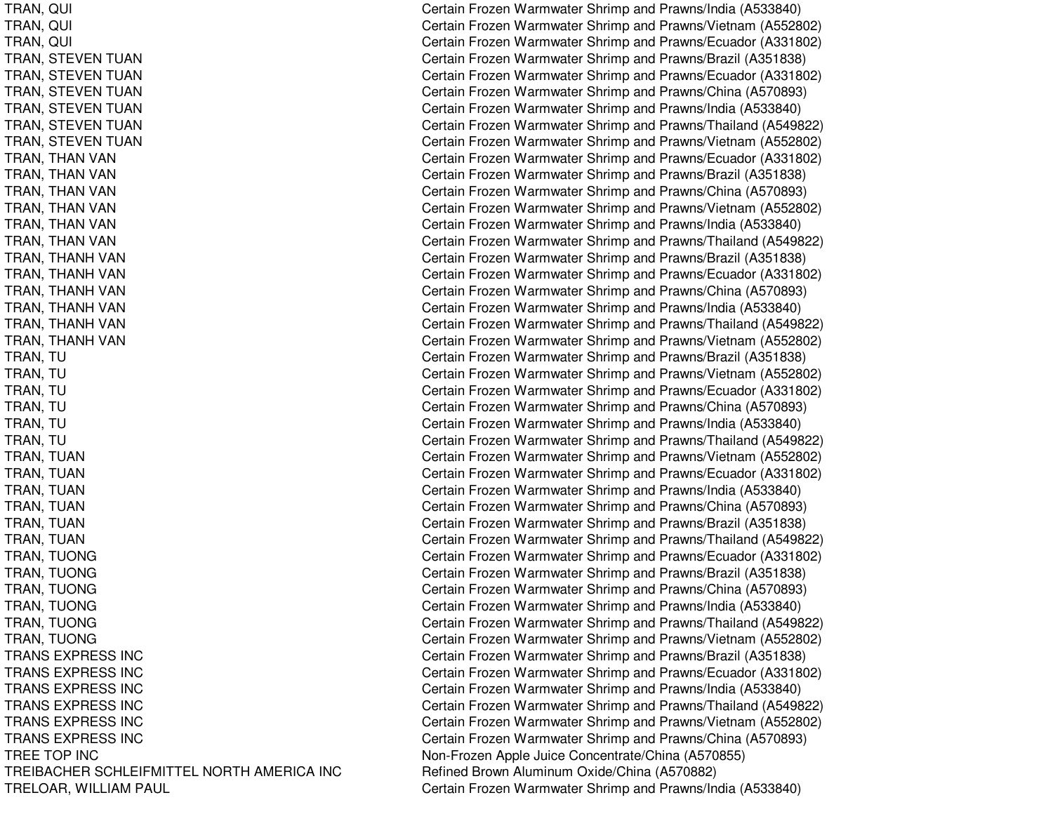TRANS EXPRESS INCTRANS EXPRESS INCTRANS EXPRESS INCTRANS EXPRESS INCTRANS EXPRESS INCTRANS EXPRESS INCTREE TOP INCTREIBACHER SCHLEIFMITTEL NORTH AMERICA INC Refined Brown Aluminum

TRAN, QUI Certain Frozen Warmwater Shrimp and Prawns/India (A533840) TRAN, QUI Certain Frozen Warmwater Shrimp and Prawns/Vietnam (A552802) TRAN, QUI Certain Frozen Warmwater Shrimp and Prawns/Ecuador (A331802) TRAN, STEVEN TUAN Certain Frozen Warmwater Shrimp and Prawns/Brazil (A351838) TRAN, STEVEN TUAN Certain Frozen Warmwater Shrimp and Prawns/Ecuador (A331802) TRAN, STEVEN TUAN Certain Frozen Warmwater Shrimp and Prawns/China (A570893) TRAN, STEVEN TUAN Certain Frozen Warmwater Shrimp and Prawns/India (A533840) TRAN, STEVEN TUAN Certain Frozen Warmwater Shrimp and Prawns/Thailand (A549822) TRAN, STEVEN TUAN Certain Frozen Warmwater Shrimp and Prawns/Vietnam (A552802) TRAN, THAN VAN Certain Frozen Warmwater Shrimp and Prawns/Ecuador (A331802) TRAN, THAN VAN Certain Frozen Warmwater Shrimp and Prawns/Brazil (A351838) TRAN, THAN VAN Certain Frozen Warmwater Shrimp and Prawns/China (A570893) TRAN, THAN VAN Certain Frozen Warmwater Shrimp and Prawns/Vietnam (A552802) TRAN, THAN VAN Certain Frozen Warmwater Shrimp and Prawns/India (A533840) TRAN, THAN VAN Certain Frozen Warmwater Shrimp and Prawns/Thailand (A549822) TRAN, THANH VAN Certain Frozen Warmwater Shrimp and Prawns/Brazil (A351838) TRAN, THANH VAN Certain Frozen Warmwater Shrimp and Prawns/Ecuador (A331802) TRAN, THANH VAN Certain Frozen Warmwater Shrimp and Prawns/China (A570893) TRAN, THANH VAN Certain Frozen Warmwater Shrimp and Prawns/India (A533840) TRAN, THANH VAN Certain Frozen Warmwater Shrimp and Prawns/Thailand (A549822) TRAN, THANH VAN Certain Frozen Warmwater Shrimp and Prawns/Vietnam (A552802) TRAN, TU **TRAN, TU** Certain Frozen Warmwater Shrimp and Prawns/Brazil (A351838) TRAN, TU Certain Frozen Warmwater Shrimp and Prawns/Vietnam (A552802) TRAN, TU Certain Frozen Warmwater Shrimp and Prawns/Ecuador (A331802) TRAN, TU Certain Frozen Warmwater Shrimp and Prawns/China (A570893) TRAN, TU Certain Frozen Warmwater Shrimp and Prawns/India (A533840) TRAN, TU Certain Frozen Warmwater Shrimp and Prawns/Thailand (A549822) TRAN, TUAN Certain Frozen Warmwater Shrimp and Prawns/Vietnam (A552802) TRAN, TUAN Certain Frozen Warmwater Shrimp and Prawns/Ecuador (A331802) TRAN, TUAN Certain Frozen Warmwater Shrimp and Prawns/India (A533840) TRAN, TUAN Certain Frozen Warmwater Shrimp and Prawns/China (A570893) TRAN, TUAN Certain Frozen Warmwater Shrimp and Prawns/Brazil (A351838) TRAN, TUAN Certain Frozen Warmwater Shrimp and Prawns/Thailand (A549822) TRAN, TUONG Certain Frozen Warmwater Shrimp and Prawns/Ecuador (A331802) TRAN, TUONG Certain Frozen Warmwater Shrimp and Prawns/Brazil (A351838) TRAN, TUONG Certain Frozen Warmwater Shrimp and Prawns/China (A570893) TRAN, TUONG Certain Frozen Warmwater Shrimp and Prawns/India (A533840) TRAN, TUONG Certain Frozen Warmwater Shrimp and Prawns/Thailand (A549822) TRAN, TUONG **Certain Frozen Warmwater Shrimp and Prawns/Vietnam (A552802)**  Certain Frozen Warmwater Shrimp and Prawns/Brazil (A351838) Certain Frozen Warmwater Shrimp and Prawns/Ecuador (A331802) Certain Frozen Warmwater Shrimp and Prawns/India (A533840) Certain Frozen Warmwater Shrimp and Prawns/Thailand (A549822) Certain Frozen Warmwater Shrimp and Prawns/Vietnam (A552802) Certain Frozen Warmwater Shrimp and Prawns/China (A570893) Non-Frozen Apple Juice Concentrate/China (A570855) Refined Brown Aluminum Oxide/China (A570882) TRELOAR, WILLIAM PAUL Certain Frozen Warmwater Shrimp and Prawns/India (A533840)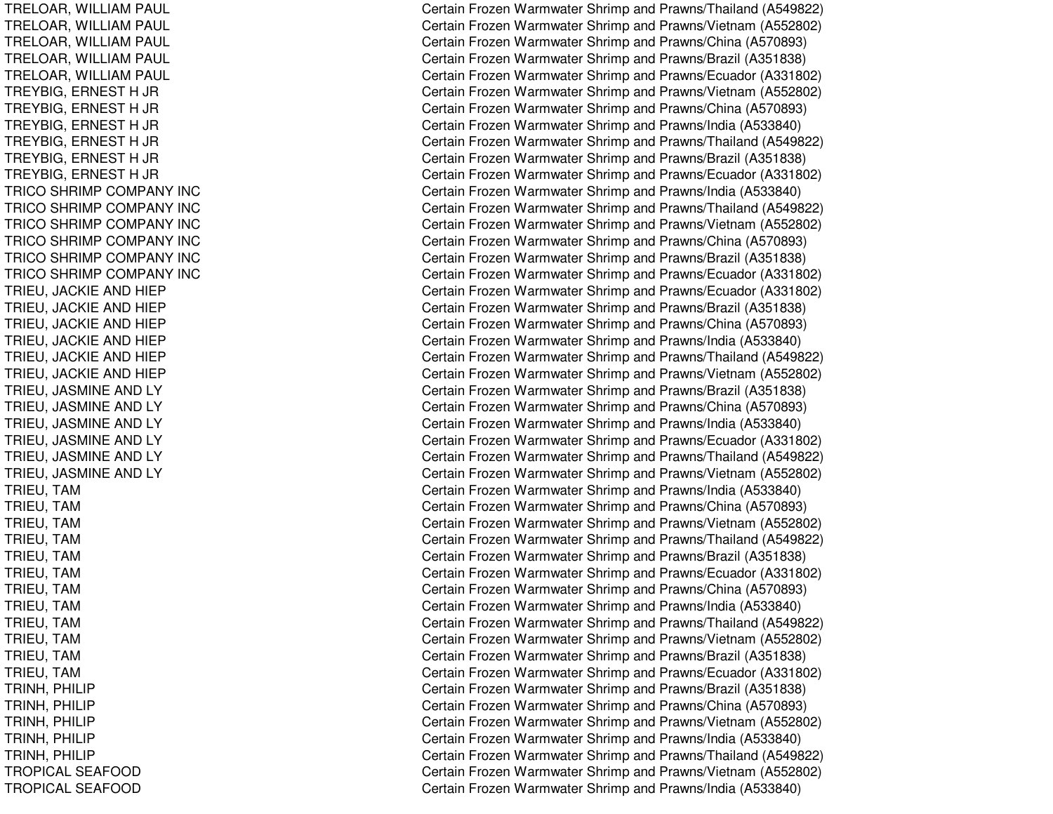TRELOAR, WIL LIAMPAULTRELOAR, WIL LIAMPAULT REL OAR, WIL LIAMPAUL TRELOAR, WILLIAM PAUL TRELOAR, WILLIAM PAUL T RE Y BIG, E RNE S T H JR TREYBIG, ERNEST H JR TREYBIG, E RNESTH JR T R E Y BIG, E R N E S T H JR TREYBIG, ERNEST H JR TREYBIG, E RNESTH JR TRICO SHRIMP COMPANY INC TRICO SHRIMP COMPANY INC TRICO SHRIMP COMPANY INC TRICO SHRIMP COMPANY INC TRICO SHRIMP COMPANY INC T RICOSHRIMPCOMPANY INCT RIE U, JA C KIE A N D HIE P TRIEU, JA CKIEANDHIEPTRIEU, JACKIE AND HIEP T RIE U, JA C KIE A N D HIE P T RIE U, JA C KIE A N D HIE P T RIE U, JA C KIE A N D HIE P TRIEU, JA SMINEANDLYTRIEU, JA SMINEANDL YT RIE U, JA S MIN E A N D L Y T RIE U, JA S MIN E A N D L Y T RIEU, JA SMINEANDL YT RIE U, JA S MIN E A N D L Y TRIEU, T AMT RIE U, T A MT RIE U, T A M T RIE U, T A M T RIE U, T A M T RIE U, T A M TRIEU, T AMT RIE U, T A MT RIE U, T A M TRIEU, T AMT RIE U, T A M TRIEU, T AMT RINH, P HILIPT RIN H, P HILIP TRINH, P HILIPT RINH, P HILIP T RIN H, P HILIP TROPICALSEAFOODTROPICALSEAFOOD

Certain Frozen Warmwater Shrimp and Prawns/Thailand (A549822) Certain Frozen Warmwater Shrimp and Prawns/Vietnam (A552802) Certain Frozen Warmwater Shrimp and Prawns/China (A570893) Certain Frozen Warmwater Shrimp and Prawns/Brazil (A351838) Certain Frozen Warmwater Shrimp and Prawns/Ecuador (A331802) Certain Frozen Warmwater Shrimp and Prawns/Vietnam (A552802) Certain Frozen Warmwater Shrimp and Prawns/China (A570893) Certain Frozen Warmwater Shrimp and Prawns/India (A533840) Certain Frozen Warmwater Shrimp and Prawns/Thailand (A549822) C ertain Frozen W arm w ater Shrim p and Pra wns/Brazil (A 3 518 3 8) Certain Frozen Warmwater Shrimp and Prawns/Ecuador (A331802) Certain Frozen Warmwater Shrimp and Prawns/India (A533840) Certain Frozen Warmwater Shrimp and Prawns/Thailand (A549822) Certain Frozen Warmwater Shrimp and Prawns/Vietnam (A552802) Certain Frozen Warmwater Shrimp and Prawns/China (A570893) Certain Frozen Warmwater Shrimp and Prawns/Brazil (A351838) Certain Frozen Warmwater Shrimp and Prawns/Ecuador (A331802) Certain Frozen Warmwater Shrimp and Prawns/Ecuador (A331802) Certain Frozen Warmwater Shrimp and Prawns/Brazil (A351838) Certain Frozen Warmwater Shrimp and Prawns/China (A570893) Certain Frozen Warmwater Shrimp and Prawns/India (A533840) Certain Frozen Warmwater Shrimp and Prawns/Thailand (A549822) Certain Frozen Warmwater Shrimp and Prawns/Vietnam (A552802) Certain Frozen Warmwater Shrimp and Prawns/Brazil (A351838) Certain Frozen Warmwater Shrimp and Prawns/China (A570893) Certain Frozen Warmwater Shrimp and Prawns/India (A533840) Certain Frozen Warmwater Shrimp and Prawns/Ecuador (A331802) Certain Frozen Warmwater Shrimp and Prawns/Thailand (A549822) Certain Frozen Warmwater Shrimp and Prawns/Vietnam (A552802) Certain Frozen Warmwater Shrimp and Prawns/India (A533840) Certain Frozen Warmwater Shrimp and Prawns/China (A570893) Certain Frozen Warmwater Shrimp and Prawns/Vietnam (A552802) Certain Frozen Warmwater Shrimp and Prawns/Thailand (A549822) Certain Frozen Warmwater Shrimp and Prawns/Brazil (A351838) Certain Frozen Warmwater Shrimp and Prawns/Ecuador (A331802) Certain Frozen Warmwater Shrimp and Prawns/China (A570893) Certain Frozen Warmwater Shrimp and Prawns/India (A533840) Certain Frozen Warmwater Shrimp and Prawns/Thailand (A549822) Certain Frozen Warmwater Shrimp and Prawns/Vietnam (A552802) Certain Frozen Warmwater Shrimp and Prawns/Brazil (A351838) Certain Frozen Warmwater Shrimp and Prawns/Ecuador (A331802) Certain Frozen Warmwater Shrimp and Prawns/Brazil (A351838) Certain Frozen Warmwater Shrimp and Prawns/China (A570893) Certain Frozen Warmwater Shrimp and Prawns/Vietnam (A552802) Certain Frozen Warmwater Shrimp and Pra wns/India (A 5 3 3 8 4 0) Certain Frozen Warmwater Shrimp and Prawns/Thailand (A549822) Certain Frozen Warmwater Shrimp and Prawns/Vietnam (A552802) Certain Frozen Warmwater Shrimp and Prawns/India (A533840)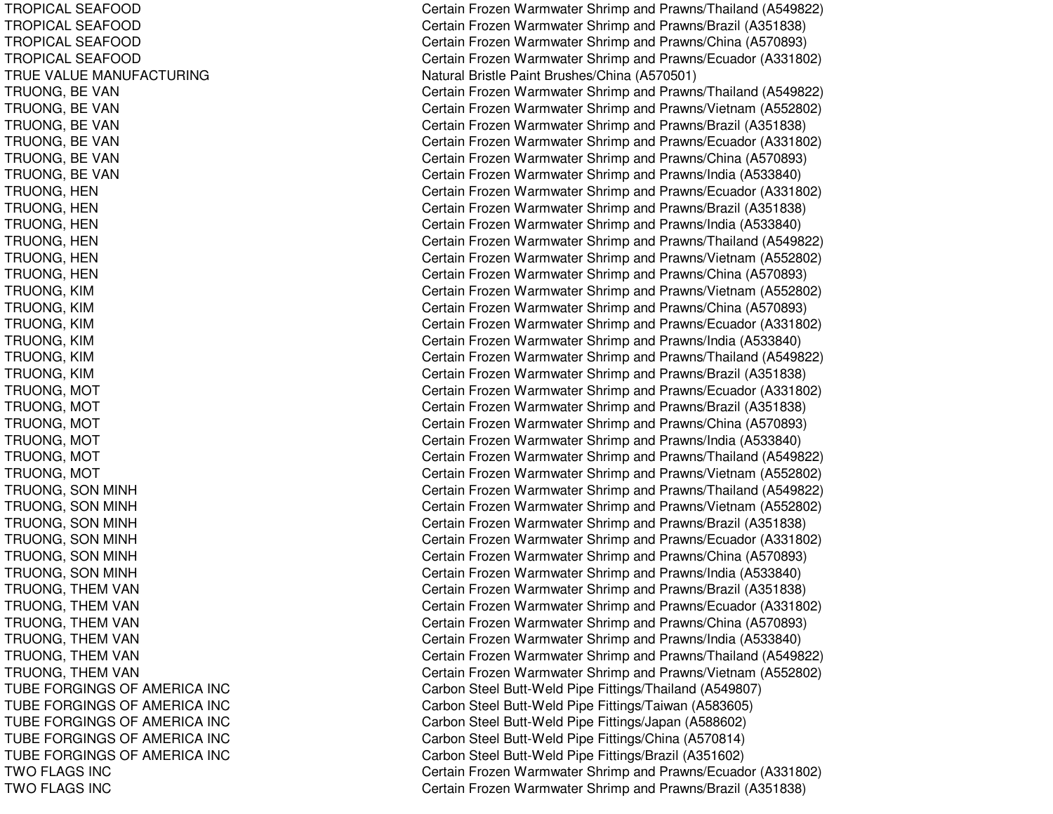TROPICAL SEAFOOD TROPICAL SEAFOOD T ROPICAL SEAF OODTROPICAL SEAFOOD TRUE VALUE MANUFACTURING T RUONG, B E V A NTRUONG, B EVANTRUONG, B EVANT R U ON G, B E V A N TRUONG, BE VAN TRUONG, B EVANT R U O N G, H E N TRUONG, H ENTRUONG, H ENT R U O N G, H E N TRUONG, H ENT RUONG, H ENTRUONG, KIM TRUONG, KIM T RUONG, KIM T R U O N G, KIM TRUONG, KIM T R U ON G, KIM TRUONG, M OTTRUONG, M OTT R U O N G, M O T TRUONG, M OTT RUONG, M OT T R U O N G, M O T TRUONG, S ONMINHT RUONG, S ONMINHTRUONG, SON MINH TRUONG, SON MINH T R U ON G, S ON MIN H TRUONG, SON MINH TRUONG, THEM VAN TRUONG, THEM VAN TRUONG, THEM VAN TRUONG, THEM VAN TRUONG, THEM VAN TRUONG, THEM VAN TUBE FORGINGS OF AMERICA INC TUBE FORGINGS OF AMERICA INC TUBE FORGINGS OF AMERICA INC T UB E F ORGINGS OF A ME RICA INCTUBE FORGINGS OF AMERICA INC TWOFLAGS INCTWOFLAGS INC

Certain Frozen Warmwater Shrimp and Prawns/Thailand (A549822) Certain Frozen Warmwater Shrimp and Prawns/Brazil (A351838) Certain Frozen Warmwater Shrimp and Prawns/China (A570893) Certain Frozen Warmwater Shrimp and Prawns/Ecuador (A331802) Natural Bristle Paint Brushes/China (A570501) Certain Frozen Warmwater Shrimp and Prawns/Thailand (A549822) Certain Frozen Warmwater Shrimp and Prawns/Vietnam (A552802) Certain Frozen Warmwater Shrimp and Prawns/Brazil (A351838) Certain Frozen Warmwater Shrimp and Prawns/Ecuador (A331802) Certain Frozen Warmwater Shrimp and Prawns/China (A570893) Certain Frozen Warmwater Shrimp and Prawns/India (A533840) Certain Frozen Warmwater Shrimp and Prawns/Ecuador (A331802) Certain Frozen Warmwater Shrimp and Prawns/Brazil (A351838) Certain Frozen Warmwater Shrimp and Prawns/India (A533840) Certain Frozen Warmwater Shrimp and Prawns/Thailand (A549822) Certain Frozen Warmwater Shrimp and Prawns/Vietnam (A552802) Certain Frozen Warmwater Shrimp and Prawns/China (A570893) Certain Frozen Warmwater Shrimp and Prawns/Vietnam (A552802) Certain Frozen Warmwater Shrimp and Prawns/China (A570893) Certain Frozen Warmwater Shrimp and Prawns/Ecuador (A331802) Certain Frozen Warmwater Shrimp and Prawns/India (A533840) Certain Frozen Warmwater Shrimp and Prawns/Thailand (A549822) Certain Frozen Warmwater Shrimp and Prawns/Brazil (A351838) Certain Frozen Warmwater Shrimp and Prawns/Ecuador (A331802) Certain Frozen Warmwater Shrimp and Prawns/Brazil (A351838) Certain Frozen Warmwater Shrimp and Prawns/China (A570893) Certain Frozen Warmwater Shrimp and Prawns/India (A533840) Certain Frozen Warmwater Shrimp and Prawns/Thailand (A549822) Certain Frozen Warmwater Shrimp and Prawns/Vietnam (A552802) Certain Frozen Warmwater Shrimp and Prawns/Thailand (A549822) Certain Frozen Warmwater Shrimp and Prawns/Vietnam (A552802) Certain Frozen Warmwater Shrimp and Prawns/Brazil (A351838) Certain Frozen Warmwater Shrimp and Prawns/Ecuador (A331802) Certain Frozen Warmwater Shrimp and Prawns/China (A570893) Certain Frozen Warmwater Shrimp and Prawns/India (A533840) Certain Frozen Warmwater Shrimp and Prawns/Brazil (A351838) Certain Frozen Warmwater Shrimp and Prawns/Ecuador (A331802) Certain Frozen Warmwater Shrimp and Prawns/China (A570893) Certain Frozen Warmwater Shrimp and Prawns/India (A533840) Certain Frozen Warmwater Shrimp and Prawns/Thailand (A549822) Certain Frozen Warmwater Shrimp and Prawns/Vietnam (A552802) Carbon Steel Butt-Weld Pipe Fittings/Thailand (A549807) Carbon Steel Butt-Weld Pipe Fittings/Taiwan (A583605) Carbon Steel Butt-Weld Pipe Fittings/Japan (A588602) Carbon Steel Butt-Weld Pipe Fittings/China (A570814) Carbon Steel Butt-Weld Pipe Fittings/Brazil (A351602) Certain Frozen Warmwater Shrimp and Prawns/Ecuador (A331802) Certain Frozen Warmwater Shrimp and Prawns/Brazil (A351838)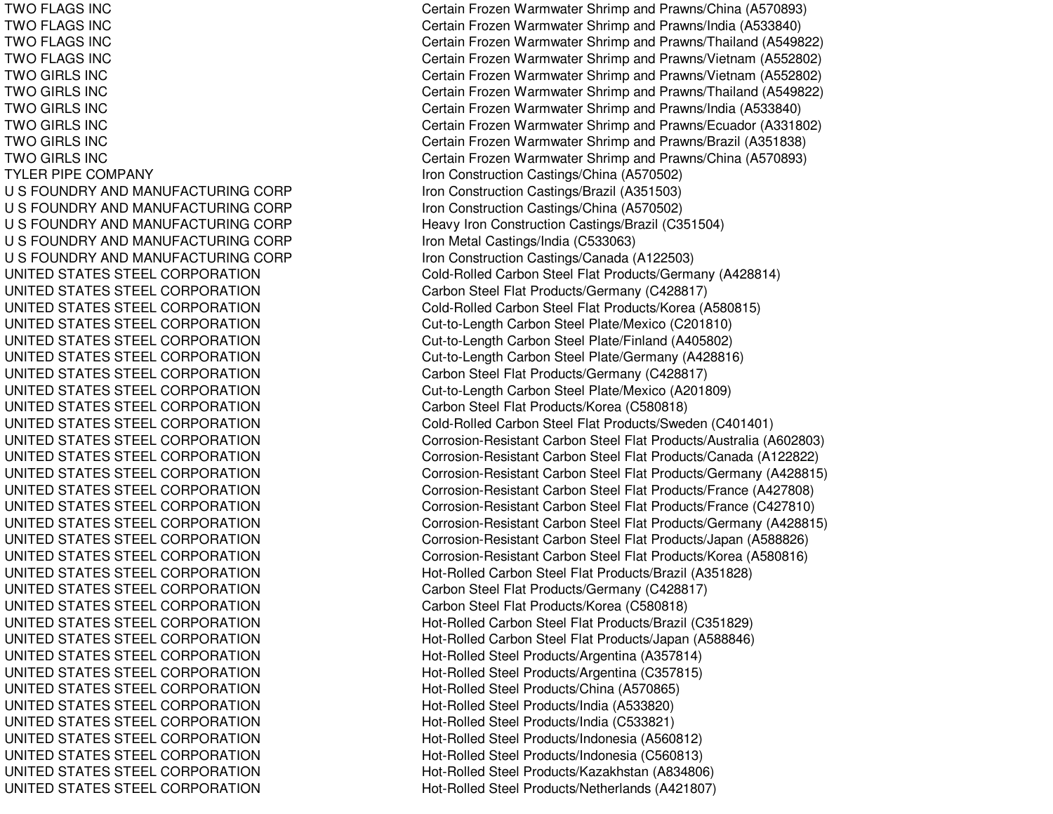**TWO FLAGS INC TWO FLAGS INC TWO FLAGS INC TWO GIRLS INC TWO GIRLS INC TWO GIRLS INC TWO GIRLS INC TWO GIRLS INC TWO GIRLS INC TYLER PIPE COMPANY** U S FOUNDRY AND MANUFACTURINGU S FOUNDRY AND MANUFACTURINGU S FOUNDRY AND MANUFACTURINGU S FOUNDRY AND MANUFACTURINGU S FOUNDRY AND MANUFACTURINGUNITED STATES STEEL CORPORATION UNITED STATES STEEL CORPORATION UNITED STATES STEEL CORPORATION UNITED STATES STEEL CORPORATION UNITED STATES STEEL CORPORATION UNITED STATES STEEL CORPORATION UNITED STATES STEEL CORPORATION UNITED STATES STEEL CORPORATION UNITED STATES STEEL CORPORATION UNITED STATES STEEL CORPORATION UNITED STATES STEEL CORPORATION UNITED STATES STEEL CORPORATION UNITED STATES STEEL CORPORATION UNITED STATES STEEL CORPORATION UNITED STATES STEEL CORPORATION UNITED STATES STEEL CORPORATION UNITED STATES STEEL CORPORATION UNITED STATES STEEL CORPORATION UNITED STATES STEEL CORPORATION UNITED STATES STEEL CORPORATION UNITED STATES STEEL CORPORATION UNITED STATES STEEL CORPORATION UNITED STATES STEEL CORPORATION UNITED STATES STEEL CORPORATION UNITED STATES STEEL CORPORATION UNITED STATES STEEL CORPORATION UNITED STATES STEEL CORPORATION UNITED STATES STEEL CORPORATION UNITED STATES STEEL CORPORATION UNITED STATES STEEL CORPORATION UNITED STATES STEEL CORPORATION UNITED STATES STEEL CORPORATION

**TWO FLAGS INC** 

Certain Frozen Warmwater Shrimp and Prawns/China (A570893) Certain Frozen Warmwater Shrimp and Prawns/India (A533840) Certain Frozen Warmwater Shrimp and Prawns/Thailand (A549822) Certain Frozen Warmwater Shrimp and Prawns/Vietnam (A552802) Certain Frozen Warmwater Shrimp and Prawns/Vietnam (A552802) Gertain Frozen Warmwater Shrimp and Prawns/Thailand (A549822) Gertain Frozen Warmwater Shrimp and Prawns/India (A533840) Gertain Frozen Warmwater Shrimp and Prawns/Ecuador (A331802) Gertain Frozen Warmwater Shrimp and Prawns/Brazil (A351838) Gertain Frozen Warmwater Shrimp and Prawns/China (A570893) Iron Construction Castings/China (A570502) Iron Construction Castings/Brazil (A351503) Iron Construction Castings/China (A570502) Heavy Iron Construction Castings/Brazil (C351504) Iron Metal Castings/India (C533063) Iron Construction Castings/Canada (A122503) Cold-Rolled Carbon Steel Flat Products/Germany (A428814) Carbon Steel Flat Products/Germany (C428817) Cold-Rolled Carbon Steel Flat Products/Korea (A580815) Cut-to-Length Carbon Steel Plate/Mexico (C201810) Cut-to-Length Carbon Steel Plate/Finland (A405802) Cut-to-Length Carbon Steel Plate/Germany (A428816) Carbon Steel Flat Products/Germany (C428817) Cut-to-Length Carbon Steel Plate/Mexico (A201809) Carbon Steel Flat Products/Korea (C580818) Cold-Rolled Carbon Steel Flat Products/Sweden (C401401) Corrosion-Resistant Carbon Steel Flat Products/Australia (A602803) Corrosion-Resistant Carbon Steel Flat Products/Canada (A122822) Corrosion-Resistant Carbon Steel Flat Products/Germany (A428815) Corrosion-Resistant Carbon Steel Flat Products/France (A427808) Corrosion-Resistant Carbon Steel Flat Products/France (C427810) Corrosion-Resistant Carbon Steel Flat Products/Germany (A428815) Corrosion-Resistant Carbon Steel Flat Products/Japan (A588826) Corrosion-Resistant Carbon Steel Flat Products/Korea (A580816) Hot-Rolled Carbon Steel Flat Products/Brazil (A351828) Carbon Steel Flat Products/Germany (C428817) Carbon Steel Flat Products/Korea (C580818) Hot-Rolled Carbon Steel Flat Products/Brazil (C351829) Hot-Rolled Carbon Steel Flat Products/Japan (A588846) Hot-Rolled Steel Products/Argentina (A357814) Hot-Rolled Steel Products/Argentina (C357815) Hot-Rolled Steel Products/China (A570865) Hot-Rolled Steel Products/India (A533820) Hot-Rolled Steel Products/India (C533821) Hot-Rolled Steel Products/Indonesia (A560812) Hot-Rolled Steel Products/Indonesia (C560813) Hot-Rolled Steel Products/Kazakhstan (A834806) Hot-Rolled Steel Products/Netherlands (A421807)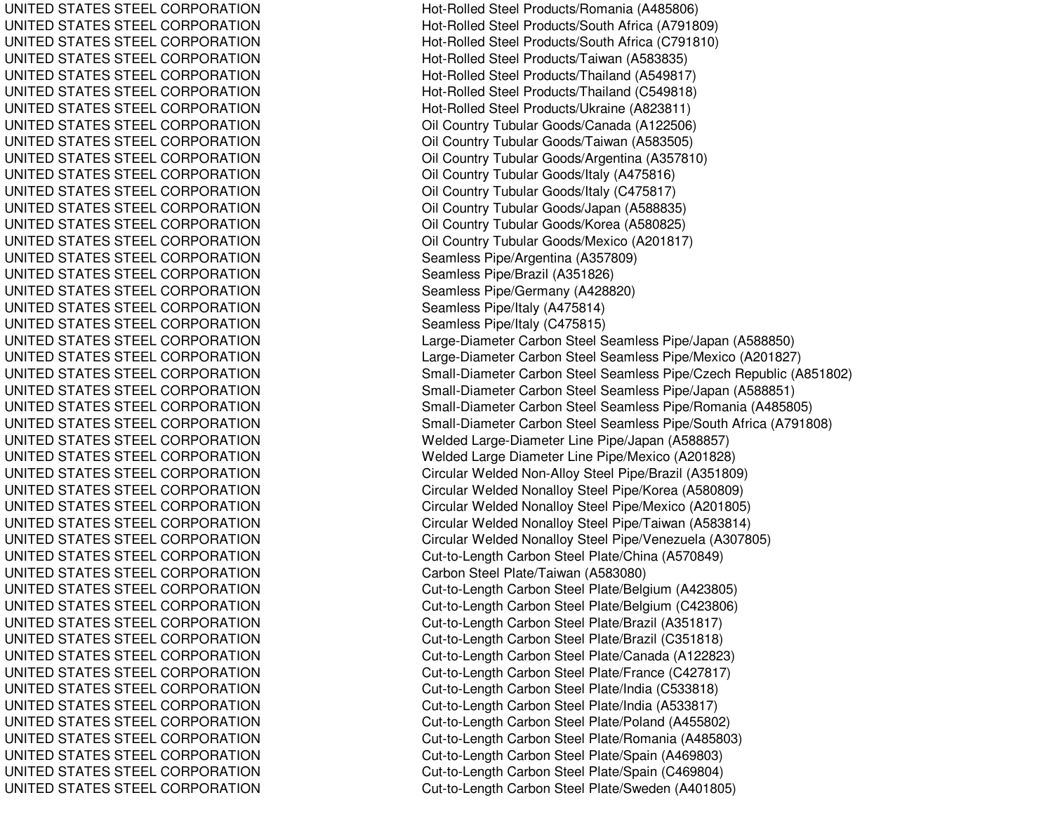UNITED STATES STEEL CORPORATION UNITED STATES STEEL CORPORATION UNITED STATES STEEL CORPORATION UNITED STATES STEEL CORPORATION UNITED STATES STEEL CORPORATION UNITED STATES STEEL CORPORATION UNITED STATES STEEL CORPORATION UNITED STATES STEEL CORPORATION UNITED STATES STEEL CORPORATION UNITED STATES STEEL CORPORATION UNITED STATES STEEL CORPORATION UNITED STATES STEEL CORPORATION UNITED STATES STEEL CORPORATION UNITED STATES STEEL CORPORATION UNITED STATES STEEL CORPORATION UNITED STATES STEEL CORPORATION UNITED STATES STEEL CORPORATION UNITED STATES STEEL CORPORATION UNITED STATES STEEL CORPORATION UNITED STATES STEEL CORPORATION UNITED STATES STEEL CORPORATION UNITED STATES STEEL CORPORATION UNITED STATES STEEL CORPORATION UNITED STATES STEEL CORPORATION UNITED STATES STEEL CORPORATION UNITED STATES STEEL CORPORATION UNITED STATES STEEL CORPORATION UNITED STATES STEEL CORPORATION UNITED STATES STEEL CORPORATION UNITED STATES STEEL CORPORATION UNITED STATES STEEL CORPORATION UNITED STATES STEEL CORPORATION UNITED STATES STEEL CORPORATION UNITED STATES STEEL CORPORATION UNITED STATES STEEL CORPORATION UNITED STATES STEEL CORPORATION UNITED STATES STEEL CORPORATION UNITED STATES STEEL CORPORATION UNITED STATES STEEL CORPORATION UNITED STATES STEEL CORPORATION UNITED STATES STEEL CORPORATION UNITED STATES STEEL CORPORATION UNITED STATES STEEL CORPORATION UNITED STATES STEEL CORPORATION UNITED STATES STEEL CORPORATION UNITED STATES STEEL CORPORATION UNITED STATES STEEL CORPORATION UNITED STATES STEEL CORPORATION Hot-Rolled Steel Products/Romania (A485806) Hot-Rolled Steel Products/South Africa (A791809) Hot-Rolle d Ste el Pro ducts/South Africa (C 7 91810) Hot-Rolled Steel Products/Taiwan (A583835) Hot-Rolled Steel Products/Thailand (A549817) Hot-Rolle d Ste el Pro ducts/Thailand (C 5 4 9 818) H ot-R olle d Ste el Pro ducts/Ukraine (A 8 2 3 811) Oil Country Tubular Goods/Canada (A12 2506) Oil Country Tubular Goods/Taiwan (A583505) Oil Country Tubular Goods/Argentina (A357810) Oil Country Tubular Goods/Italy (A 475816) Oil Country Tubular Goods/Italy (C475817) Oil Country Tubular Goods/Jap an (A 588835) Oil Country Tubular Goods/Korea (A580825) Oil C ountry Tubular G o o ds/M e xico (A 2 01817) Seamless Pipe/Argentina (A357809) Seamless Pipe/Brazil (A351826) Seamless Pipe/Germany (A428820) Seamless Pip e/Italy (A 475814) Seamless Pipe/Italy (C475815) Large-Diameter Carbon Steel Seamless Pipe/Japan (A588850) Large-Diameter Carbon Steel Seamless Pipe/Mexico (A201827) Small-Diameter Carbon Steel Seamless Pipe/Czech Republic (A851802) Small-Diameter Carbon Steel Seamless Pipe/Japan (A588851) Small-Diameter Carbon Steel Seamless Pipe/Romania (A485805) Small-Diameter Carbon Steel Seamless Pipe/South Africa (A791808) Welded Large-Diameter Line Pipe/Japan (A588857) Welded Large Diameter Line Pipe/Mexico (A201828) Circular Welded Non-Alloy Steel Pipe/Brazil (A351809) Circular Welded Nonalloy Steel Pipe/Korea (A580809) Circular Welded Nonalloy Steel Pipe/Mexico (A201805) Circular Welded Nonalloy Steel Pipe/Taiwan (A583814) Circular Welded Nonalloy Steel Pipe/Venezuela (A307805) Cut-to-Length Carbon Steel Plate/China (A570849) Carbon Steel Plate/Taiwan (A583080) Cut-to-Length C arbon Ste el Plate/Belgium (A 423805) Cut-to-Length Carbon Steel Plate/Belgium (C423806) Cut-to-Length Carbon Steel Plate/Brazil (A351817) Cut-to-Length Carbon Steel Plate/Brazil (C351818) Cut-to-Length Carbon Steel Plate/Canada (A122823) Cut-to-Length Carbon Steel Plate/France (C427817) Cut-to-Length Carbon Steel Plate/India (C533818) Cut-to-Length Carbon Steel Plate/India (A533817) Cut-to-Length Carbon Steel Plate/Poland (A455802) Cut-to-Length Carbon Steel Plate/Romania (A485803) Cut-to-Length Carbon Steel Plate/Spain (A469803) Cut-to-Length Carbon Steel Plate/Spain (C469804) Cut-to-Length Carbon Steel Plate/Sweden (A401805)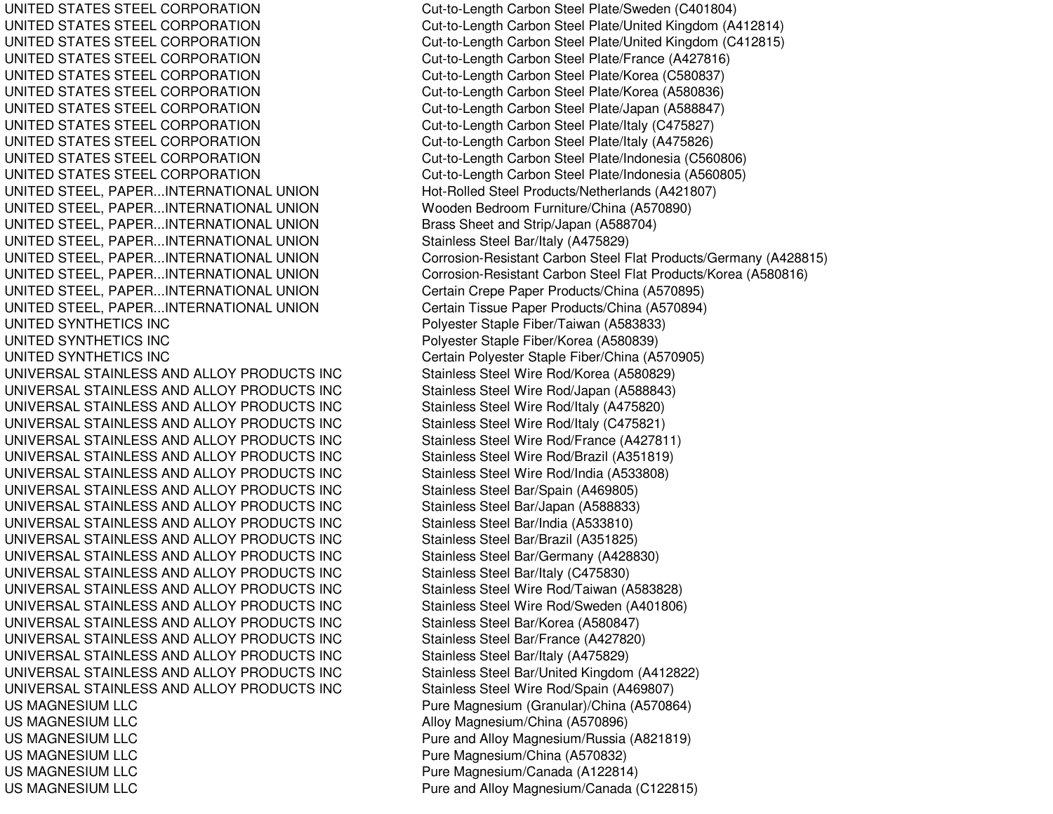UNITED STATES STEEL CORPORATION UNITED STATES STEEL CORPORATION UNITED STATES STEEL CORPORATION UNITED STATES STEEL CORPORATION UNITED STATES STEEL CORPORATION UNITED STATES STEEL CORPORATION UNITED STATES STEEL CORPORATION UNITED STATES STEEL CORPORATION UNITED STATES STEEL CORPORATION UNITED STATES STEEL CORPORATION UNITED STATES STEEL CORPORATION UNITED STEEL, PAPER...INTERNATIONAL UNION UNITED STEEL, PAPER...INTERNATIONAL UNION Wooden Bedroom Furniture/China (A570890) UNITED STEEL, PAPER...INTERNATIONAL UNION Brass Sheet and Strip/Japan (A588704) UNITED STEEL, PAPER...INTERNATIONAL UNION Stainless Steel Bar/Italy (A475829) UNITED STEEL, PAPER...INTERNATIONAL UNION UNITED STEEL, PAPER...INTERNATIONAL UNION UNITED STEEL, PAPER...INTERNATIONAL UNION UNITED STEEL, PAPER...INTERNATIONAL UNION UNITED SYNTHETICS INC UNITED SYNTHETICS INC UNITED SYNTHETICS INC UNIVERSAL STAINLESS ANDUNIVERSAL STAINLESS ANDUNIVERSAL STAINLESS ANDUNIVERSAL STAINLESS ANDUNIVERSAL STAINLESS ANDUNIVERSAL STAINLESS ANDUNIVERSAL STAINLESS ANDUNIVERSAL STAINLESS ANDUNIVERSAL STAINLESS ANDUNIVERSAL STAINLESS ANDUNIVERSAL STAINLESS ANDUNIVERSAL STAINLESS ANDUNIVERSAL STAINLESS ANDUNIVERSAL STAINLESS ANDUNIVERSAL STAINLESS ANDUNIVERSAL STAINLESS ANDUNIVERSAL STAINLESS ANDUNIVERSAL STAINLESS ANDUNIVERSAL STAINLESS ANDUNIVERSAL STAINLESS ANDUS MAGNESIUMUS MAGNESIUMUS MAGNESIUMUS MAGNESIUMUS MAGNESIUMUS MAGNESIUM

Cut-to-Length Carbon Steel Plate/Sweden (C401804) Cut-to-Length Carbon Steel Plate/United Kingdom (A412814) Cut-to-Length Carbon Steel Plate/United Kingdom (C412815) Cut-to-Length Carbon Steel Plate/France (A427816) Cut-to-Length Carbon Steel Plate/Korea (C580837) Cut-to-Length Carbon Steel Plate/Korea (A580836) Cut-to-Length Carbon Steel Plate/Japan (A588847) Cut-to-Length Carbon Steel Plate/Italy (C475827) Cut-to-Length Carbon Steel Plate/Italy (A475826) Cut-to-Length Carbon Steel Plate/Indonesia (C560806) Cut-to-Length Carbon Steel Plate/Indonesia (A560805) Hot-Rolled Steel Products/Netherlands (A421807) Corrosion-Resistant Carbon Steel Flat Products/Germany (A428815) Corrosion-Resistant Carbon Steel Flat Products/Korea (A580816) Certain Crepe Paper Products/China (A570895) Certain Tissue Paper Products/China (A570894) Polyester Staple Fiber/Taiwan (A583833) Polyester Staple Fiber/Korea (A580839) Certain Polyester Staple Fiber/China (A570905) Stainless Steel Wire Rod/Korea (A580829) Stainless Steel Wire Rod/Japan (A588843) Stainless Steel Wire Rod/Italy (A475820) Stainless Steel Wire Rod/Italy (C475821) Stainless Steel Wire Rod/France (A427811) Stainless Steel Wire Rod/Brazil (A351819) Stainless Steel Wire Rod/India (A533808) Stainless Steel Bar/Spain (A469805) Stainless Steel Bar/Japan (A588833) Stainless Steel Bar/India (A533810) Stainless Steel Bar/Brazil (A351825) Stainless Steel Bar/Germany (A428830) Stainless Steel Bar/Italy (C475830) Stainless Steel Wire Rod/Taiwan (A583828) Stainless Steel Wire Rod/Sweden (A401806) Stainless Steel Bar/Korea (A580847) Stainless Steel Bar/France (A427820) Stainless Steel Bar/Italy (A475829) Stainless Steel Bar/United Kingdom (A412822) Stainless Steel Wire Rod/Spain (A469807) Pure Magnesium (Granular)/China (A570864) Alloy Magnesium/China (A570896) Pure and Alloy Magnesium/Russia (A821819) Pure Magnesium/China (A570832) Pure Magnesium/Canada (A122814) Pure and Alloy Magnesium/Canada (C122815)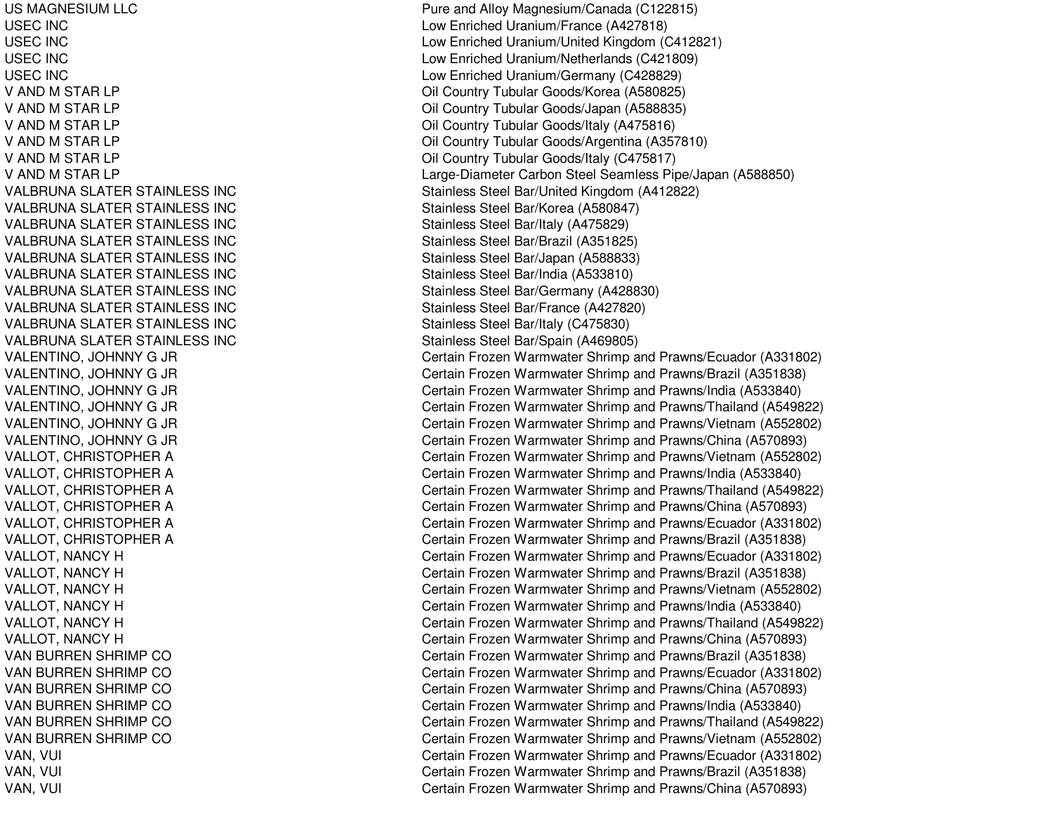US MAGNESIUM LLC USEC IN CUSEC IN CUSEC IN CUSEC IN CV AND M STAR LP V AND M STAR LP V AND M STAR LP V AND M STAR LP V AND M STAR LP V AND M STAR LP VALBRUNA SLATER STAINLESS INC VALBRUNA SLATER STAINLESS INC VAL BRUNASL ATERSTAINL ESS INCVALBRUNA SLATER STAINLESS INC VALBRUNA SLATER STAINLESS INC VALBRUNA SLATER STAINLESS INC VALBRUNA SLATER STAINLESS INC VALBRUNA SLATER STAINLESS INC VALBRUNA SLATER STAINLESS INC VALBRUNA SLATER STAINLESS INC VALENTINO, JOHNNY G JR VALENTINO, JOHNNY G JR VALENTINO, JOHNNY G JR VAL ENTINO, JO HNNYG JR VALENTINO, JOHNNY G JR VALENTINO, JOHNNY G JR VALLOT, CHRISTOPHER A VALLOT, CHRISTOPHER A VALLOT, C HRISTOPHERAVALLOT, CHRISTOPHER A VALLOT, CHRISTOPHER A VALLOT, CHRISTOPHER A VALLOT, NANCY H VALLOT, NANCY H VALLOT, NANCY H VALLOT, NANCY H VALLOT, NANCY H VALLOT, NANCY H VAN BURREN SHRIMP CO VAN BURREN SHRIMP CO VAN BURREN SHRIMP CO VAN BURREN SHRIMP CO VAN BURREN SHRIMP CO V A NB URRE NS HRIMP COVAN, V UIl Constantinople of the constant of the constant of the constant of the constant of the constant of the constant of the constant of the constant of the constant of the constant of the constant of the constant of the consta VAN, V UI $\overline{C}$ VAN, V UI $\overline{C}$ 

Pure and Alloy Magnesium/Canada (C122815) Low Enriched Uranium/France (A427818) L o wEnriche d Uranium/Unite d King d o m (C 412 8 21) L o w Enriche d Uranium/N etherlands (C 4 218 0 9) L o w Enriche d Uranium/G erm any (C 4 2 8 8 2 9) Oil Country Tubular Goods/Korea (A580825) Oil Country Tubular Goods/Japan (A588835) Oil Country Tubular Goods/Italy (A 475816) Oil Country Tubular Goods/Argentina (A357810) Oil Country Tubular Goods/Italy (C475817) Larg e-Diameter Carbon Ste el Seamless Pip e/Jap an (A 588850) Stainless Steel Bar/United Kingdom (A412822) Stainless Steel Bar/Korea (A 580847) Stainless Ste el Bar/Italy (A 4 7 5 8 2 9) Stainless Ste el B ar/Brazil (A 3 518 2 5) Stainless Steel Bar/Japan (A588833) Stainless Ste el Bar/India (A 5 3 3 810) Stainless Steel Bar/Germany (A428830) Stainless Steel Bar/France (A 427820) Stainless Ste el B ar/Italy (C 4 7 5 8 3 0) Stainless Steel Bar/Spain (A469805) Certain Frozen Warmwater Shrimp and Prawns/Ecuador (A331802) Certain Frozen Warmwater Shrimp and Prawns/Brazil (A351838) Certain Frozen Warmwater Shrimp and Prawns/India (A533840) Certain Frozen Warmwater Shrimp and Prawns/Thailand (A549822) Certain Frozen Warmwater Shrimp and Prawns/Vietnam (A552802) Certain Frozen Warmwater Shrimp and Prawns/China (A570893) Certain Frozen Warmwater Shrimp and Prawns/Vietnam (A552802) Certain Frozen Warmwater Shrimp and Prawns/India (A533840) Certain Frozen Warmwater Shrimp and Prawns/Thailand (A549822) Certain Frozen Warmwater Shrimp and Prawns/China (A570893) Certain Frozen Warmwater Shrimp and Prawns/Ecuador (A331802) Certain Frozen Warmwater Shrimp and Prawns/Brazil (A351838) Certain Frozen Warmwater Shrimp and Prawns/Ecuador (A331802) C ertain Frozen W arm w ater Shrim p and Pra wns/Brazil (A 3 518 3 8) Certain Frozen Warmwater Shrimp and Prawns/Vietnam (A552802) Certain Frozen Warmwater Shrimp and Prawns/India (A533840) Certain Frozen Warmwater Shrimp and Prawns/Thailand (A549822) Certain Frozen Warmwater Shrimp and Prawns/China (A570893) Certain Frozen Warmwater Shrimp and Prawns/Brazil (A351838) Certain Frozen Warmwater Shrimp and Prawns/Ecuador (A331802) Certain Frozen Warmwater Shrimp and Prawns/China (A570893) Certain Frozen Warmwater Shrimp and Prawns/India (A533840) Certain Frozen Warmwater Shrimp and Prawns/Thailand (A549822) Certain Frozen Warmwater Shrimp and Prawns/Vietnam (A552802) Certain Frozen Warmwater Shrimp and Prawns/Ecuador (A331802) ertain Frozen Warmwater Shrimp and Prawns/Brazil (A351838) Certain Frozen Warmwater Shrimp and Prawns/China (A570893)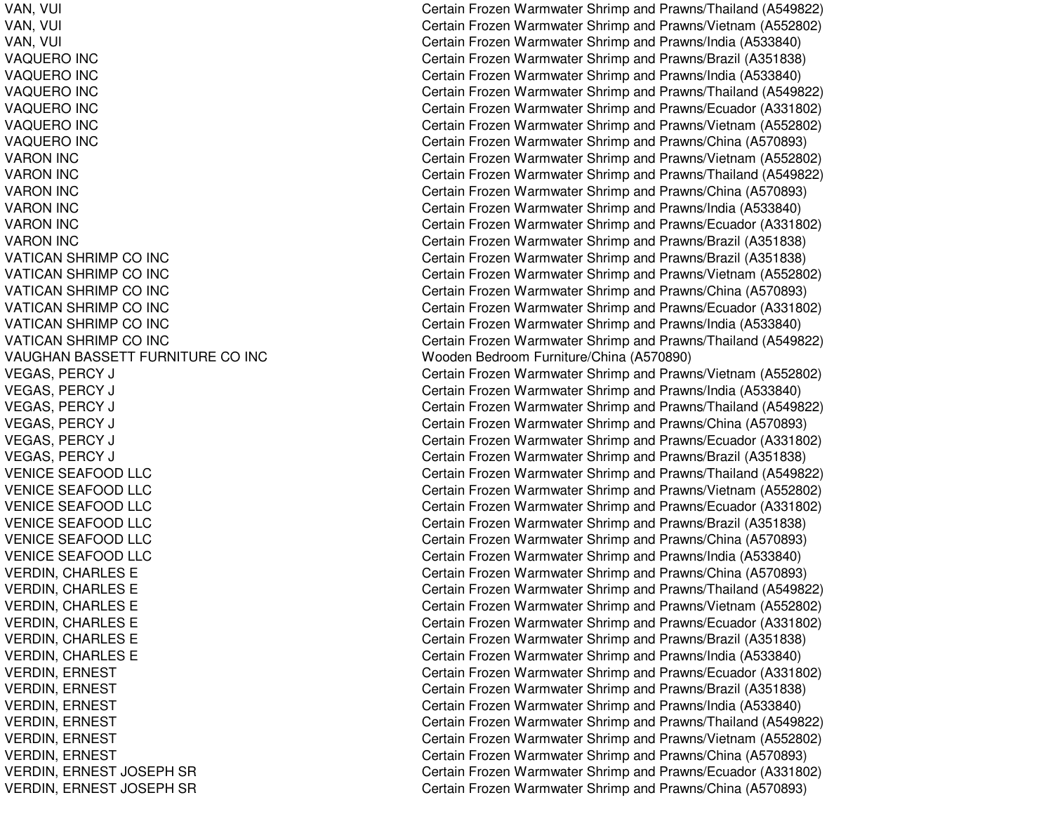VAN, V UIVAN, V UI $\overline{C}$ VAN, V UIl Constantinople of the constant of the constant of the constant of the constant of the constant of the constant of the constant of the constant of the constant of the constant of the constant of the constant of the consta VAQUERO IN CVAQUERO IN CVAQUERO IN CVAQUERO IN CVAQUERO IN CV A QU E R O IN C VARON IN CVARON IN CVARON IN CVARON IN CVARON IN CV A R O N IN C VATICAN SHRIMP CO INC VATICAN SHRIMP CO INC VATICAN SHRIMP CO INC VATICAN SHRIMP CO INC VATICAN SHRIMP CO INC VATICAN SHRIMP CO INC VAUGHAN BASSETT FURNITURE CO INC VEGAS, PERCY J CVEGAS, P ERCY J CVEGAS, P ERCY J CVEGAS, PERCY J CVEGAS, P ERCY J CVEGAS, P ERCY J CVENICE SEAFOOD LLC VENICE SEAFOOD LLC VENICE SEAFOOD LLC VENICE SEAFOOD LLC VENICE SEAFOOD LLC VENICE SEAFOOD LLC VERDIN, CHARLES E VERDIN, C HARLESEVERDIN, CHARLES E VERDIN, CHARLES E VERDIN, CHARLES E VERDIN, CHARLES E VERDIN, E RNESTVERDIN, E RNEST VERDIN, ERNEST VERDIN, ERNEST VERDIN, ERNEST VERDIN, ERNEST VERDIN, E RNEST JOSEPHSRVERDIN, ERNEST JOSEPH SR

 $\overline{C}$ Certain Frozen Warmwater Shrimp and Prawns/Thailand (A549822) ertain Frozen Warmwater Shrimp and Prawns/Vietnam (A552802) ertain Frozen Warmwater Shrimp and Prawns/India (A533840) Certain Frozen Warmwater Shrimp and Prawns/Brazil (A351838) Certain Frozen Warmwater Shrimp and Prawns/India (A533840) Certain Frozen Warmwater Shrimp and Prawns/Thailand (A549822) Certain Frozen Warmwater Shrimp and Prawns/Ecuador (A331802) Certain Frozen Warmwater Shrimp and Prawns/Vietnam (A552802) Certain Frozen Warmwater Shrimp and Prawns/China (A570893) Certain Frozen Warmwater Shrimp and Prawns/Vietnam (A552802) Certain Frozen Warmwater Shrimp and Prawns/Thailand (A549822) Certain Frozen Warmwater Shrimp and Prawns/China (A570893) Certain Frozen Warmwater Shrimp and Prawns/India (A533840) Certain Frozen Warmwater Shrimp and Prawns/Ecuador (A331802) Certain Frozen Warmwater Shrimp and Prawns/Brazil (A351838) Certain Frozen Warmwater Shrimp and Prawns/Brazil (A351838) Certain Frozen Warmwater Shrimp and Prawns/Vietnam (A552802) Certain Frozen Warmwater Shrimp and Prawns/China (A570893) Certain Frozen Warmwater Shrimp and Prawns/Ecuador (A331802) Certain Frozen Warmwater Shrimp and Pra wns/India (A 5 3 3 8 4 0) Certain Frozen Warmwater Shrimp and Prawns/Thailand (A549822) Wooden Bedroom Furniture/China (A570890) Certain Frozen Warmwater Shrimp and Prawns/Vietnam (A552802) ertain Frozen Warmwater Shrimp and Prawns/India (A533840) ertain Frozen Warmwater Shrimp and Prawns/Thailand (A549822) Certain Frozen Warmwater Shrimp and Prawns/China (A570893) ertain Frozen Warmwater Shrimp and Prawns/Ecuador (A331802) ertain Frozen Warmwater Shrimp and Prawns/Brazil (A351838) Certain Frozen Warmwater Shrimp and Prawns/Thailand (A549822) Certain Frozen Warmwater Shrimp and Prawns/Vietnam (A552802) Certain Frozen Warmwater Shrimp and Prawns/Ecuador (A331802) Certain Frozen Warmwater Shrimp and Prawns/Brazil (A351838) Certain Frozen Warmwater Shrimp and Prawns/China (A570893) Certain Frozen Warmwater Shrimp and Prawns/India (A533840) Certain Frozen Warmwater Shrimp and Prawns/China (A570893) Certain Frozen Warmwater Shrimp and Prawns/Thailand (A549822) Certain Frozen Warmwater Shrimp and Prawns/Vietnam (A552802) Certain Frozen Warmwater Shrimp and Prawns/Ecuador (A331802) C ertain Frozen W arm w ater Shrim p and Pra wns/Brazil (A 3 518 3 8) Certain Frozen Warmwater Shrimp and Prawns/India (A533840) Certain Frozen Warmwater Shrimp and Prawns/Ecuador (A331802) Certain Frozen Warmwater Shrimp and Prawns/Brazil (A351838) Certain Frozen Warmwater Shrimp and Prawns/India (A533840) Certain Frozen Warmwater Shrimp and Prawns/Thailand (A549822) Certain Frozen Warmwater Shrimp and Prawns/Vietnam (A552802) Certain Frozen Warmwater Shrimp and Prawns/China (A570893) Certain Frozen Warmwater Shrimp and Prawns/Ecuador (A331802) Certain Frozen Warmwater Shrimp and Prawns/China (A570893)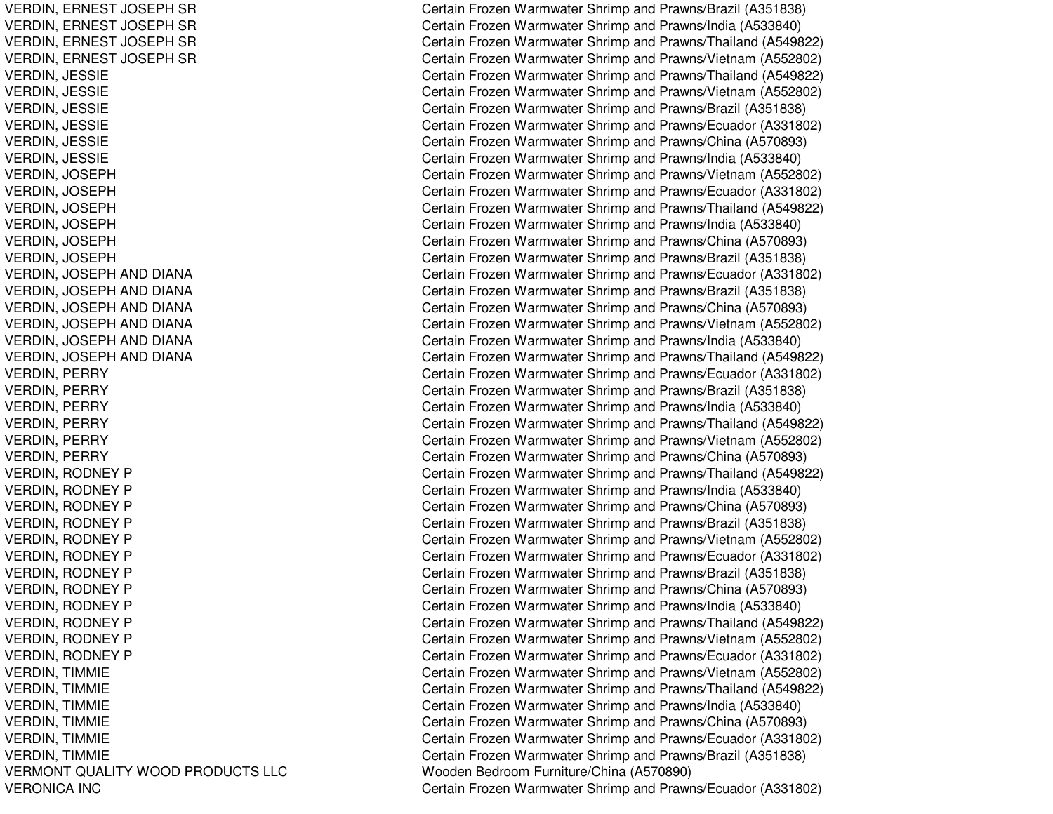VERMONT QUALITY WOODVERONICA INC

VERDIN, ERNEST JOSEPH SR Certain Frozen Warmwater Shrimp and Prawns/Brazil (A351838) VERDIN, ERNEST JOSEPH SR Certain Frozen Warmwater Shrimp and Prawns/India (A533840) VERDIN, ERNEST JOSEPH SR Certain Frozen Warmwater Shrimp and Prawns/Thailand (A549822) VERDIN, ERNEST JOSEPH SR Certain Frozen Warmwater Shrimp and Prawns/Vietnam (A552802) VERDIN, JESSIE Certain Frozen Warmwater Shrimp and Prawns/Thailand (A549822) VERDIN, JESSIE Certain Frozen Warmwater Shrimp and Prawns/Vietnam (A552802) VERDIN, JESSIE Certain Frozen Warmwater Shrimp and Prawns/Brazil (A351838) VERDIN, JESSIE Certain Frozen Warmwater Shrimp and Prawns/Ecuador (A331802) VERDIN, JESSIE Certain Frozen Warmwater Shrimp and Prawns/China (A570893) VERDIN, JESSIE Certain Frozen Warmwater Shrimp and Prawns/India (A533840) VERDIN, JOSEPH Certain Frozen Warmwater Shrimp and Prawns/Vietnam (A552802) VERDIN, JOSEPH Certain Frozen Warmwater Shrimp and Prawns/Ecuador (A331802) VERDIN, JOSEPH Certain Frozen Warmwater Shrimp and Prawns/Thailand (A549822) VERDIN, JOSEPH Certain Frozen Warmwater Shrimp and Prawns/India (A533840) VERDIN, JOSEPH Certain Frozen Warmwater Shrimp and Prawns/China (A570893) VERDIN, JOSEPH Certain Frozen Warmwater Shrimp and Prawns/Brazil (A351838) VERDIN, JOSEPH AND DIANA Certain Frozen Warmwater Shrimp and Prawns/Ecuador (A331802) VERDIN, JOSEPH AND DIANA Certain Frozen Warmwater Shrimp and Prawns/Brazil (A351838) VERDIN, JOSEPH AND DIANA Certain Frozen Warmwater Shrimp and Prawns/China (A570893) VERDIN, JOSEPH AND DIANA Certain Frozen Warmwater Shrimp and Prawns/Vietnam (A552802) VERDIN, JOSEPH AND DIANA Certain Frozen Warmwater Shrimp and Prawns/India (A533840) VERDIN, JOSEPH AND DIANA Certain Frozen Warmwater Shrimp and Prawns/Thailand (A549822) VERDIN, PERRY Certain Frozen Warmwater Shrimp and Prawns/Ecuador (A331802) VERDIN, PERRY Certain Frozen Warmwater Shrimp and Prawns/Brazil (A351838) VERDIN, PERRY Certain Frozen Warmwater Shrimp and Prawns/India (A533840) VERDIN, PERRY Certain Frozen Warmwater Shrimp and Prawns/Thailand (A549822) VERDIN, PERRY Certain Frozen Warmwater Shrimp and Prawns/Vietnam (A552802) VERDIN, PERRY Certain Frozen Warmwater Shrimp and Prawns/China (A570893) VERDIN, RODNEY P Certain Frozen Warmwater Shrimp and Prawns/Thailand (A549822) VERDIN, RODNEY P Certain Frozen Warmwater Shrimp and Prawns/India (A533840) VERDIN, RODNEY P Certain Frozen Warmwater Shrimp and Prawns/China (A570893) VERDIN, RODNEY P Certain Frozen Warmwater Shrimp and Prawns/Brazil (A351838) VERDIN, RODNEY P Certain Frozen Warmwater Shrimp and Prawns/Vietnam (A552802) VERDIN, RODNEY P Certain Frozen Warmwater Shrimp and Prawns/Ecuador (A331802) VERDIN, RODNEY P Certain Frozen Warmwater Shrimp and Prawns/Brazil (A351838) VERDIN, RODNEY P Certain Frozen Warmwater Shrimp and Prawns/China (A570893) VERDIN, RODNEY P Certain Frozen Warmwater Shrimp and Prawns/India (A533840) VERDIN, RODNEY P Certain Frozen Warmwater Shrimp and Prawns/Thailand (A549822) VERDIN, RODNEY P Certain Frozen Warmwater Shrimp and Prawns/Vietnam (A552802) VERDIN, RODNEY P Certain Frozen Warmwater Shrimp and Prawns/Ecuador (A331802) VERDIN, TIMMIE Certain Frozen Warmwater Shrimp and Prawns/Vietnam (A552802) VERDIN, TIMMIE Certain Frozen Warmwater Shrimp and Prawns/Thailand (A549822) VERDIN, TIMMIE Certain Frozen Warmwater Shrimp and Prawns/India (A533840) VERDIN, TIMMIE Certain Frozen Warmwater Shrimp and Prawns/China (A570893) VERDIN, TIMMIE Certain Frozen Warmwater Shrimp and Prawns/Ecuador (A331802) VERDIN, TIMMIE Certain Frozen Warmwater Shrimp and Prawns/Brazil (A351838) PRODUCTS LLC Wooden Bedroom Furniture/China (A570890) Certain Frozen Warmwater Shrimp and Prawns/Ecuador (A331802)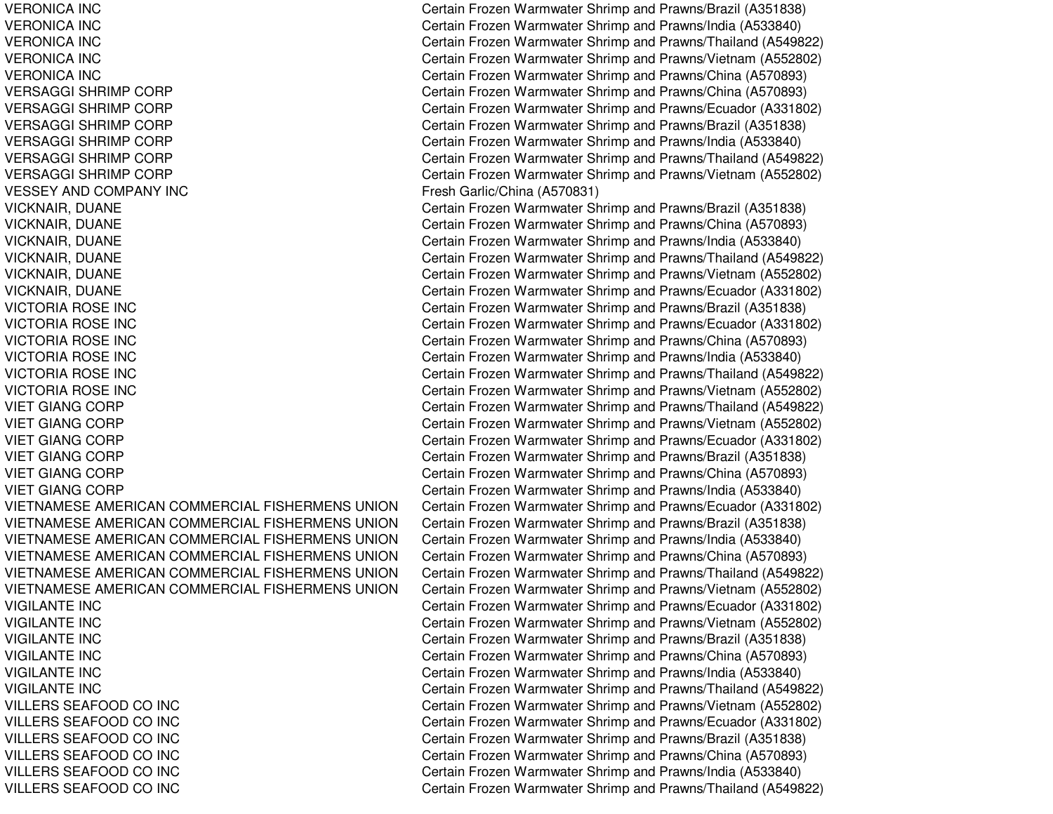VERONICA INCVERONICA INCVERONICA INCVERONICA INCVERONICA INCVERSAGGI SHRIMPVERSAGGI SHRIMPVERSAGGI SHRIMPVERSAGGI SHRIMPVERSAGGI SHRIMPVERSAGGI SHRIMPVESSEY ANDVICKNAIR, DUANE Certain Frozen Warmwater Shrimp and Prawns/Brazil (A351838) VICKNAIR, DUANE Certain Frozen Warmwater Shrimp and Prawns/China (A570893) VICKNAIR, DUANE Certain Frozen Warmwater Shrimp and Prawns/India (A533840) VICKNAIR, DUANE Certain Frozen Warmwater Shrimp and Prawns/Thailand (A549822) VICKNAIR, DUANE Certain Frozen Warmwater Shrimp and Prawns/Vietnam (A552802) VICKNAIR, DUANE Certain Frozen Warmwater Shrimp and Prawns/Ecuador (A331802) VICTORIA ROSE INCVICTORIA ROSE INCVICTORIA ROSE INCVICTORIA ROSE INCVICTORIA ROSE INCVICTORIA ROSE INCVIET GIANGVIET GIANGVIET GIANGVIET GIANGVIET GIANGVIET GIANGVIETNAMESE AMERICANVIETNAMESE AMERICANVIETNAMESE AMERICANVIETNAMESE AMERICANVIETNAMESE AMERICANVIETNAMESE AMERICANVIGILANTE INCVIGILANTE INCVIGILANTE INCVIGILANTE INCVIGILANTE INCVIGILANTE INCVILLERS SEAFOOD COVILLERS SEAFOOD COVILLERS SEAFOOD COVILLERS SEAFOOD COVILLERS SEAFOOD COVILLERS SEAFOOD CO

 Certain Frozen Warmwater Shrimp and Prawns/Brazil (A351838) Certain Frozen Warmwater Shrimp and Prawns/India (A533840) Certain Frozen Warmwater Shrimp and Prawns/Thailand (A549822) Certain Frozen Warmwater Shrimp and Prawns/Vietnam (A552802) Certain Frozen Warmwater Shrimp and Prawns/China (A570893) Certain Frozen Warmwater Shrimp and Prawns/China (A570893) Certain Frozen Warmwater Shrimp and Prawns/Ecuador (A331802) Certain Frozen Warmwater Shrimp and Prawns/Brazil (A351838) Certain Frozen Warmwater Shrimp and Prawns/India (A533840) Certain Frozen Warmwater Shrimp and Prawns/Thailand (A549822) Certain Frozen Warmwater Shrimp and Prawns/Vietnam (A552802) Fresh Garlic/China (A570831) Certain Frozen Warmwater Shrimp and Prawns/Brazil (A351838) Certain Frozen Warmwater Shrimp and Prawns/Ecuador (A331802) Certain Frozen Warmwater Shrimp and Prawns/China (A570893) Certain Frozen Warmwater Shrimp and Prawns/India (A533840) Certain Frozen Warmwater Shrimp and Prawns/Thailand (A549822) Certain Frozen Warmwater Shrimp and Prawns/Vietnam (A552802) Certain Frozen Warmwater Shrimp and Prawns/Thailand (A549822) Certain Frozen Warmwater Shrimp and Prawns/Vietnam (A552802) Certain Frozen Warmwater Shrimp and Prawns/Ecuador (A331802) Certain Frozen Warmwater Shrimp and Prawns/Brazil (A351838) Certain Frozen Warmwater Shrimp and Prawns/China (A570893) Certain Frozen Warmwater Shrimp and Prawns/India (A533840) Certain Frozen Warmwater Shrimp and Prawns/Ecuador (A331802) Certain Frozen Warmwater Shrimp and Prawns/Brazil (A351838) Certain Frozen Warmwater Shrimp and Prawns/India (A533840) Certain Frozen Warmwater Shrimp and Prawns/China (A570893) Certain Frozen Warmwater Shrimp and Prawns/Thailand (A549822) Certain Frozen Warmwater Shrimp and Prawns/Vietnam (A552802) Certain Frozen Warmwater Shrimp and Prawns/Ecuador (A331802) Certain Frozen Warmwater Shrimp and Prawns/Vietnam (A552802) Certain Frozen Warmwater Shrimp and Prawns/Brazil (A351838) Certain Frozen Warmwater Shrimp and Prawns/China (A570893) Certain Frozen Warmwater Shrimp and Prawns/India (A533840) Certain Frozen Warmwater Shrimp and Prawns/Thailand (A549822) Certain Frozen Warmwater Shrimp and Prawns/Vietnam (A552802) Certain Frozen Warmwater Shrimp and Prawns/Ecuador (A331802) Certain Frozen Warmwater Shrimp and Prawns/Brazil (A351838) Certain Frozen Warmwater Shrimp and Prawns/China (A570893) Certain Frozen Warmwater Shrimp and Prawns/India (A533840) Certain Frozen Warmwater Shrimp and Prawns/Thailand (A549822)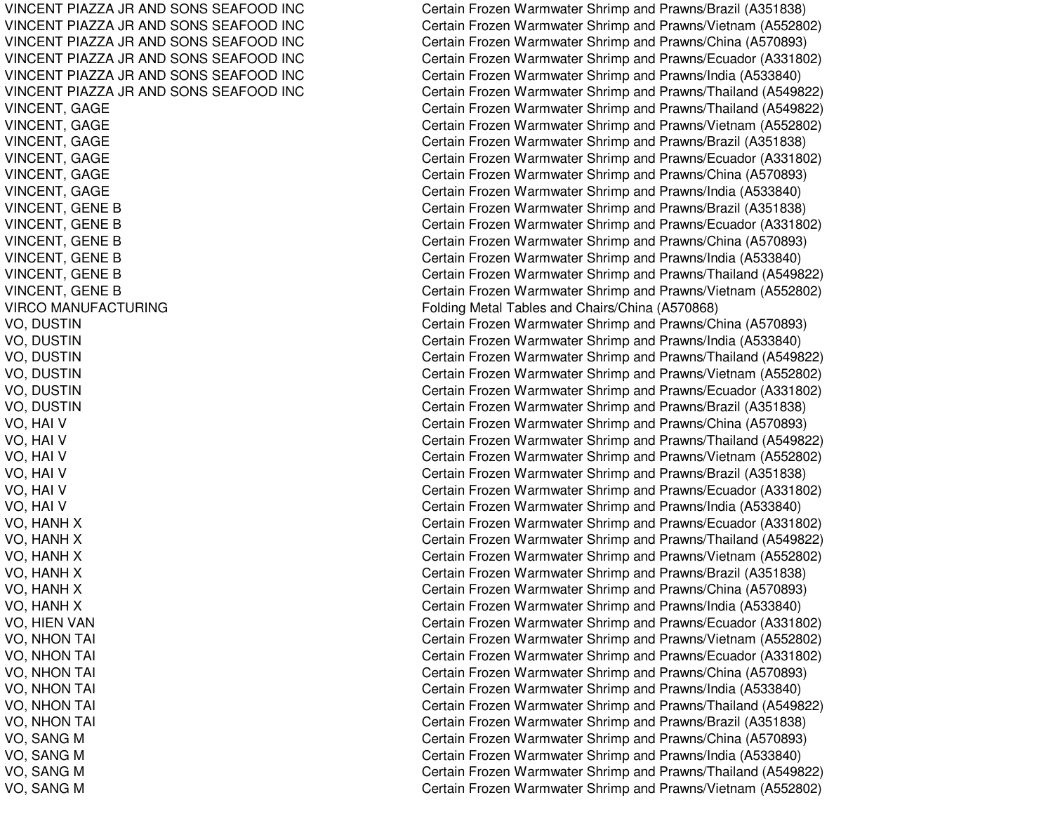VINCENT PIAZZA JRVINCENT PIAZZA JRVINCENT PIAZZA JRVINCENT PIAZZA JRVINCENT PIAZZA JRVINCENT PIAZZA JR**VIRCO MANUFACTURING** 

Certain Frozen Warmwater Shrimp and Prawns/Brazil (A351838) Certain Frozen Warmwater Shrimp and Prawns/Vietnam (A552802) Certain Frozen Warmwater Shrimp and Prawns/China (A570893) Certain Frozen Warmwater Shrimp and Prawns/Ecuador (A331802) Certain Frozen Warmwater Shrimp and Prawns/India (A533840) Certain Frozen Warmwater Shrimp and Prawns/Thailand (A549822) VINCENT, GAGE Certain Frozen Warmwater Shrimp and Prawns/Thailand (A549822) VINCENT, GAGE Certain Frozen Warmwater Shrimp and Prawns/Vietnam (A552802) VINCENT, GAGE Certain Frozen Warmwater Shrimp and Prawns/Brazil (A351838) VINCENT, GAGE Certain Frozen Warmwater Shrimp and Prawns/Ecuador (A331802) VINCENT, GAGE Certain Frozen Warmwater Shrimp and Prawns/China (A570893) VINCENT, GAGE Certain Frozen Warmwater Shrimp and Prawns/India (A533840) VINCENT, GENE B Certain Frozen Warmwater Shrimp and Prawns/Brazil (A351838) VINCENT, GENE B Certain Frozen Warmwater Shrimp and Prawns/Ecuador (A331802) VINCENT, GENE B Certain Frozen Warmwater Shrimp and Prawns/China (A570893) VINCENT, GENE B Certain Frozen Warmwater Shrimp and Prawns/India (A533840) VINCENT, GENE B Certain Frozen Warmwater Shrimp and Prawns/Thailand (A549822) VINCENT, GENE B Certain Frozen Warmwater Shrimp and Prawns/Vietnam (A552802) Folding Metal Tables and Chairs/China (A570868) VO, DUSTIN Certain Frozen Warmwater Shrimp and Prawns/China (A570893) VO, DUSTIN Certain Frozen Warmwater Shrimp and Prawns/India (A533840) VO, DUSTIN Certain Frozen Warmwater Shrimp and Prawns/Thailand (A549822) VO, DUSTIN Certain Frozen Warmwater Shrimp and Prawns/Vietnam (A552802) VO, DUSTIN Certain Frozen Warmwater Shrimp and Prawns/Ecuador (A331802) VO, DUSTIN Certain Frozen Warmwater Shrimp and Prawns/Brazil (A351838) VO, HAI V Certain Frozen Warmwater Shrimp and Prawns/China (A570893) VO, HAI V Certain Frozen Warmwater Shrimp and Prawns/Thailand (A549822) VO, HAI V Certain Frozen Warmwater Shrimp and Prawns/Vietnam (A552802) VO, HAI V Certain Frozen Warmwater Shrimp and Prawns/Brazil (A351838) VO, HAI V Certain Frozen Warmwater Shrimp and Prawns/Ecuador (A331802) VO, HAI V Certain Frozen Warmwater Shrimp and Prawns/India (A533840) VO, HANH X Certain Frozen Warmwater Shrimp and Prawns/Ecuador (A331802) VO, HANH X Certain Frozen Warmwater Shrimp and Prawns/Thailand (A549822) VO, HANH X Certain Frozen Warmwater Shrimp and Prawns/Vietnam (A552802) VO, HANH X Certain Frozen Warmwater Shrimp and Prawns/Brazil (A351838) VO, HANH X Certain Frozen Warmwater Shrimp and Prawns/China (A570893) VO, HANH X Certain Frozen Warmwater Shrimp and Prawns/India (A533840) VO, HIEN VAN Certain Frozen Warmwater Shrimp and Prawns/Ecuador (A331802) VO, NHON TAI Certain Frozen Warmwater Shrimp and Prawns/Vietnam (A552802) VO, NHON TAI Certain Frozen Warmwater Shrimp and Prawns/Ecuador (A331802) VO, NHON TAI Certain Frozen Warmwater Shrimp and Prawns/China (A570893) VO, NHON TAI Certain Frozen Warmwater Shrimp and Prawns/India (A533840) VO, NHON TAI Certain Frozen Warmwater Shrimp and Prawns/Thailand (A549822) VO, NHON TAI Certain Frozen Warmwater Shrimp and Prawns/Brazil (A351838) VO, SANG M Certain Frozen Warmwater Shrimp and Prawns/China (A570893) VO, SANG M Certain Frozen Warmwater Shrimp and Prawns/India (A533840) VO, SANG M Certain Frozen Warmwater Shrimp and Prawns/Thailand (A549822) VO, SANG M Certain Frozen Warmwater Shrimp and Prawns/Vietnam (A552802)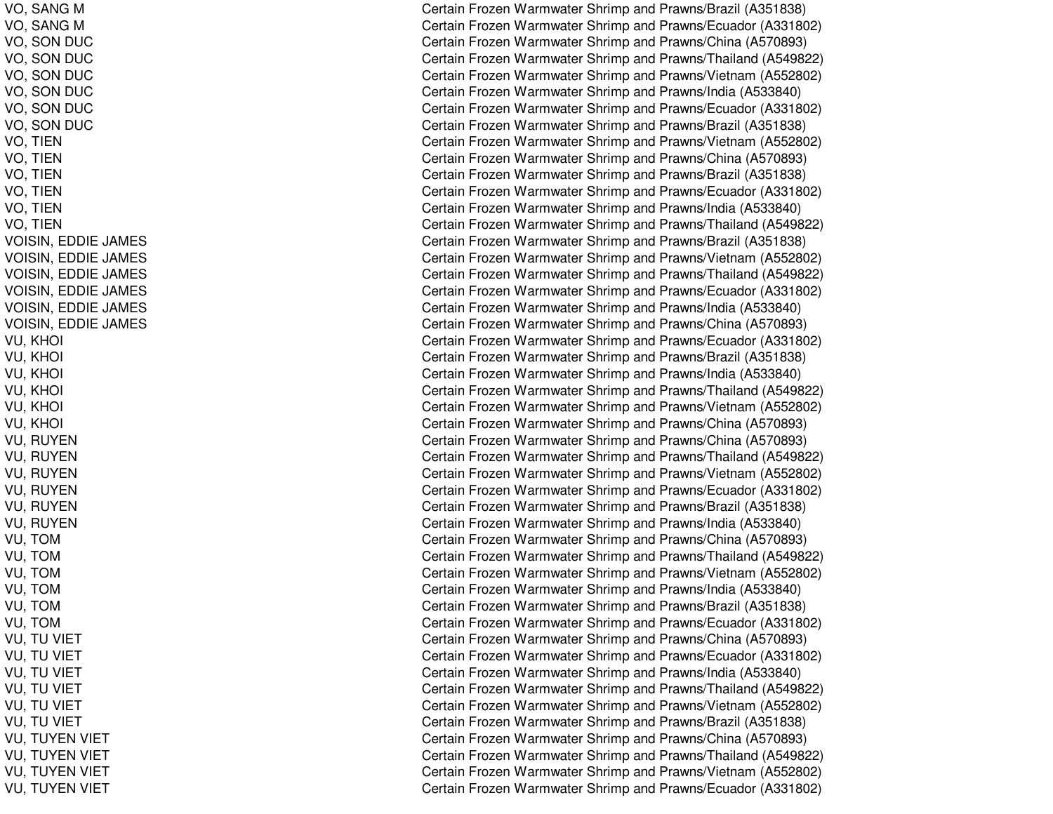VO, SANG M VO, SANG M VO, S ONDUCVO, SON DUC VO, S ONDUCV O, S ONDUCVO, S ONDUCVO, S ONDUCV O, TIE N V O, TIE N V O, TIE N VO, TIE NVO, TIE NVO, TIE NV OISIN, E D DIE JA M E S VOISIN, E DDIE JA MESVOISIN, E DDIE JA MESV OISIN, E D DIE JA M E S VOISIN, E DDIE JA MESV OISIN, E D DIE JA M E S V U, K H OIl Constantinople of the constant of the constant of the constant of the constant of the constant of the constant of the constant of the constant of the constant of the constant of the constant of the constant of the consta VU, K HOI $\overline{C}$ VU, K HOI $\overline{C}$ VU, K HOIl Constantinople of the constant of the constant of the constant of the constant of the constant of the constant of the constant of the constant of the constant of the constant of the constant of the constant of the consta VU, K HOIl Constantinople of the constant of the constant of the constant of the constant of the constant of the constant of the constant of the constant of the constant of the constant of the constant of the constant of the consta V U, K H OI $\overline{C}$ VU, R UYENVU, R UYENVU, R UYENVU, R UYENV U, R UY E NVU, RUYEN VU, T OMV U, T OMVU, T OMVU, T OMV U, T O MVU, T OMVU, TU VIET VU, TU VIET VU, TU VIET VU, TU VIET VU, TU VIET VU, TU VIET VU, TUYEN VIET VU, TUYEN VIET VU, TUYEN VIET VU, TUYEN VIET

Certain Frozen Warmwater Shrimp and Prawns/Brazil (A351838) Certain Frozen Warmwater Shrimp and Prawns/Ecuador (A331802) Certain Frozen Warmwater Shrimp and Prawns/China (A570893) Certain Frozen Warmwater Shrimp and Prawns/Thailand (A549822) Certain Frozen Warmwater Shrimp and Prawns/Vietnam (A552802) Certain Frozen Warmwater Shrimp and Prawns/India (A533840) Certain Frozen Warmwater Shrimp and Prawns/Ecuador (A331802) Certain Frozen Warmwater Shrimp and Prawns/Brazil (A351838) Certain Frozen Warmwater Shrimp and Prawns/Vietnam (A552802) Certain Frozen Warmwater Shrimp and Prawns/China (A570893) Certain Frozen Warmwater Shrimp and Prawns/Brazil (A351838) Certain Frozen Warmwater Shrimp and Prawns/Ecuador (A331802) Certain Frozen Warmwater Shrimp and Prawns/India (A533840) Certain Frozen Warmwater Shrimp and Prawns/Thailand (A549822) Certain Frozen Warmwater Shrimp and Prawns/Brazil (A351838) Certain Frozen Warmwater Shrimp and Prawns/Vietnam (A552802) Certain Frozen Warmwater Shrimp and Prawns/Thailand (A549822) Certain Frozen Warmwater Shrimp and Prawns/Ecuador (A331802) Certain Frozen Warmwater Shrimp and Prawns/India (A533840) Certain Frozen Warmwater Shrimp and Prawns/China (A570893) Certain Frozen Warmwater Shrimp and Prawns/Ecuador (A331802) Certain Frozen Warmwater Shrimp and Prawns/Brazil (A351838) Certain Frozen Warmwater Shrimp and Prawns/India (A533840) ertain Frozen Warmwater Shrimp and Prawns/Thailand (A549822) ertain Frozen Warmwater Shrimp and Prawns/Vietnam (A552802) Certain Frozen Warmwater Shrimp and Prawns/China (A570893) Certain Frozen Warmwater Shrimp and Prawns/China (A570893) Certain Frozen Warmwater Shrimp and Prawns/Thailand (A549822) Certain Frozen Warmwater Shrimp and Prawns/Vietnam (A552802) Certain Frozen Warmwater Shrimp and Prawns/Ecuador (A331802) Certain Frozen Warmwater Shrimp and Prawns/Brazil (A351838) Certain Frozen Warmwater Shrimp and Prawns/India (A533840) Certain Frozen Warmwater Shrimp and Prawns/China (A570893) Certain Frozen Warmwater Shrimp and Prawns/Thailand (A549822) Certain Frozen Warmwater Shrimp and Prawns/Vietnam (A552802) Certain Frozen Warmwater Shrimp and Prawns/India (A533840) Certain Frozen Warmwater Shrimp and Prawns/Brazil (A351838) Certain Frozen Warmwater Shrimp and Prawns/Ecuador (A331802) Certain Frozen Warmwater Shrimp and Prawns/China (A570893) Certain Frozen Warmwater Shrimp and Prawns/Ecuador (A331802) Certain Frozen Warmwater Shrimp and Prawns/India (A533840) Certain Frozen Warmwater Shrimp and Prawns/Thailand (A549822) Certain Frozen Warmwater Shrimp and Prawns/Vietnam (A552802) Certain Frozen Warmwater Shrimp and Prawns/Brazil (A351838) Certain Frozen Warmwater Shrimp and Prawns/China (A570893) Certain Frozen Warmwater Shrimp and Prawns/Thailand (A549822) Certain Frozen Warmwater Shrimp and Prawns/Vietnam (A552802) Certain Frozen Warmwater Shrimp and Prawns/Ecuador (A331802)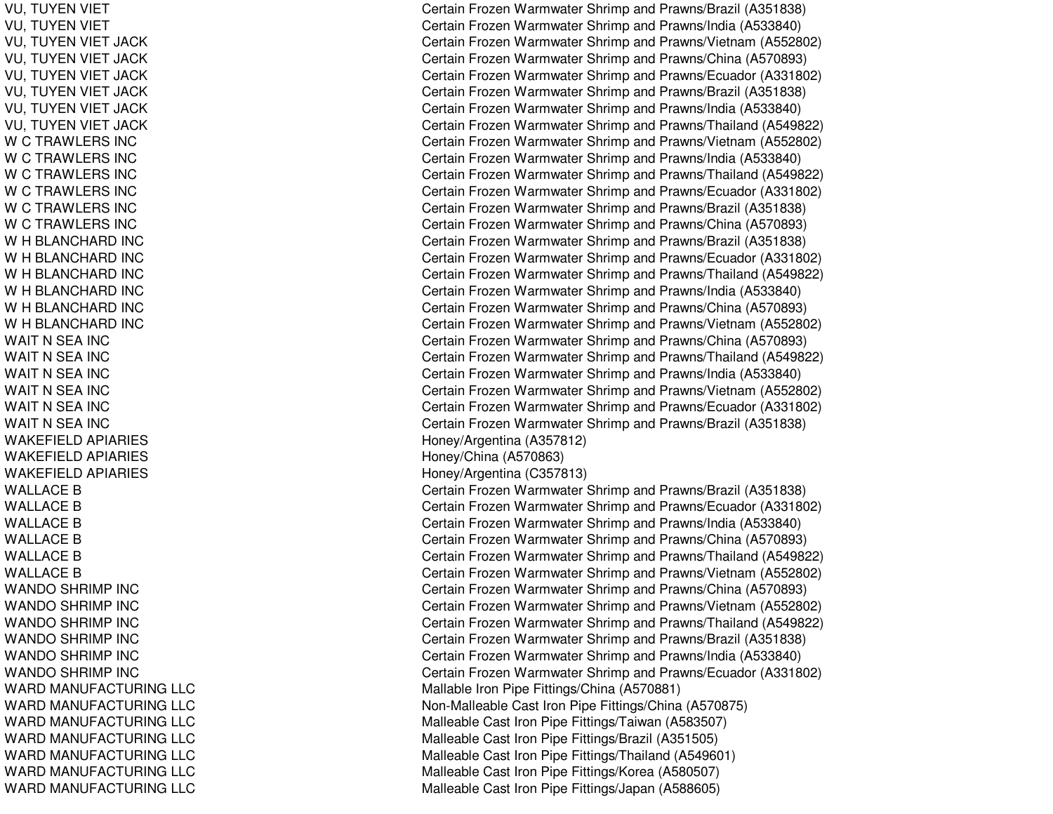VU, TUYEN VIET VU, TUYEN VIET VU, TUYEN VIET JACK VU, TUYEN VIET JACK VU, TUYEN VIET JACK VU, TUYEN VIET JACK VU, TUYEN VIET JACK VU, TUYEN VIET JACK W C TRAWLERS INC WCTRAWLERS INCWCTRAWLERS INCWCTRAWLERS INCWCTRAWLERS INCW C TRAWLERS INC W H BLANCHARD INC W H BLANCHARD INC W H BLANCHARD INC W H BLANCHARD INC W H BLANCHARD INC W H BLANCHARD INC WAIT N SEA INC WAIT N SEA INC WAIT N SEA INC WAIT N SEA INC WAIT N SEA INC WAIT N SEA INC WAKEFIELDAPIARIESWAKEFIELDAPIARIESWAKEFIELDAPIARIESWALLACE B WALLACE B WALLACE B WALLACE B WALLACE B WALLACE B WANDO SHRIMP INC WANDO SHRIMP INC WANDO SHRIMP INC WANDO SHRIMP INC WANDO SHRIMP INC WANDO SHRIMP INC WARD MANUFACTURING LLC WARD MANUFACTURING LLC WARD MANUFACTURING LLC WARD MANUFACTURING LLC WARD MANUFACTURING LLC WARD MANUFACTURING LLC WARD MANUFACTURING LLC Certain Frozen Warmwater Shrimp and Prawns/Brazil (A351838) Certain Frozen Warmwater Shrimp and Prawns/India (A533840) Certain Frozen Warmwater Shrimp and Prawns/Vietnam (A552802) Certain Frozen Warmwater Shrimp and Prawns/China (A570893) Certain Frozen Warmwater Shrimp and Prawns/Ecuador (A331802) Certain Frozen Warmwater Shrimp and Prawns/Brazil (A351838) Certain Frozen Warmwater Shrimp and Prawns/India (A533840) Certain Frozen Warmwater Shrimp and Prawns/Thailand (A549822) Certain Frozen Warmwater Shrimp and Prawns/Vietnam (A552802) Certain Frozen Warmwater Shrimp and Prawns/India (A533840) Certain Frozen Warmwater Shrimp and Prawns/Thailand (A549822) Certain Frozen Warmwater Shrimp and Prawns/Ecuador (A331802) Certain Frozen Warmwater Shrimp and Prawns/Brazil (A351838) Certain Frozen Warmwater Shrimp and Prawns/China (A570893) Certain Frozen Warmwater Shrimp and Prawns/Brazil (A351838) Certain Frozen Warmwater Shrimp and Prawns/Ecuador (A331802) Certain Frozen Warmwater Shrimp and Prawns/Thailand (A549822) Certain Frozen Warmwater Shrimp and Prawns/India (A533840) Certain Frozen Warmwater Shrimp and Prawns/China (A570893) Certain Frozen Warmwater Shrimp and Prawns/Vietnam (A552802) Certain Frozen Warmwater Shrimp and Prawns/China (A570893) Certain Frozen Warmwater Shrimp and Prawns/Thailand (A549822) Certain Frozen Warmwater Shrimp and Prawns/India (A533840) Certain Frozen Warmwater Shrimp and Prawns/Vietnam (A552802) Certain Frozen Warmwater Shrimp and Prawns/Ecuador (A331802) Certain Frozen Warmwater Shrimp and Prawns/Brazil (A351838) Honey/Arg entina (A 357812) Hone y/China (A 5 7 0 8 6 3) H one y/Arg entina (C 3 5 7 813) Certain Frozen Warmwater Shrimp and Prawns/Brazil (A351838) Certain Frozen Warmwater Shrimp and Prawns/Ecuador (A331802) Certain Frozen Warmwater Shrimp and Prawns/India (A533840) Certain Frozen Warmwater Shrimp and Prawns/China (A570893) Certain Frozen Warmwater Shrimp and Prawns/Thailand (A549822) Certain Frozen Warmwater Shrimp and Prawns/Vietnam (A552802) Certain Frozen Warmwater Shrimp and Prawns/China (A570893) Certain Frozen Warmwater Shrimp and Prawns/Vietnam (A552802) Certain Frozen Warmwater Shrimp and Prawns/Thailand (A549822) Certain Frozen Warmwater Shrimp and Prawns/Brazil (A351838) Certain Frozen Warmwater Shrimp and Prawns/India (A533840) Certain Frozen Warmwater Shrimp and Prawns/Ecuador (A331802) Malla ble Iron Pip e Fittings/China (A 5 7 0 8 81) Non-Malleable Cast Iron Pipe Fittings/China (A570875) Malleable Cast Iron Pipe Fittings/Taiwan (A583507) Malle a ble Cast Iron Pip e Fittings/Brazil (A 3 515 0 5) Malleable Cast Iron Pipe Fittings/Thailand (A549601) Malleable Cast Iron Pipe Fittings/Korea (A580507) Malleable Cast Iron Pipe Fittings/Japan (A588605)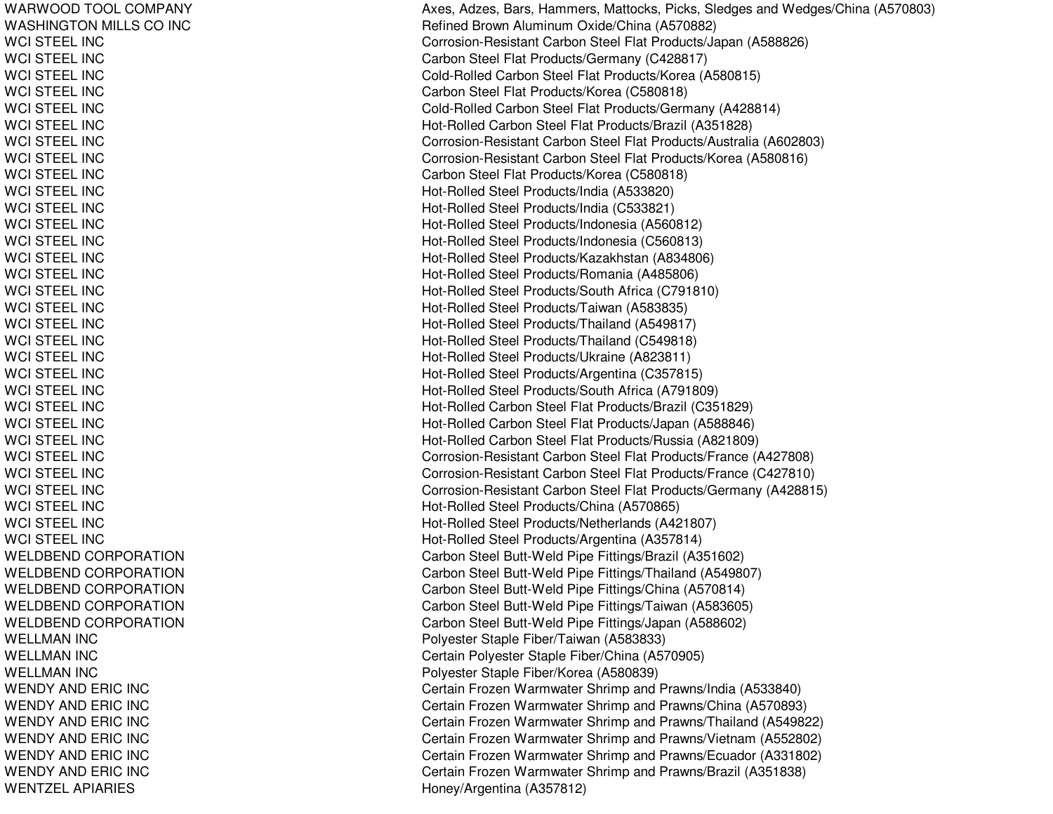WARWOODTOOLCOMPANYWASHINGTON MILLS CO INC WCI STEEL INCWCI STEEL INCWCI STEEL INCWCI STEEL INCWCI STEEL INCWCI STEEL INCWCI STEEL INC WCI STEEL INC WCI STEEL INCWCI STEEL INCWCI STEEL INCWCI STEEL INCWCI STEEL INC WCI STEEL INCWCI ST EEL INCWCI STEEL INCWCI STEEL INCWCI STEEL INC WCI STEEL INC WCI STEEL INCWCI STEEL INCWCI STEEL INCWCI STEEL INCWCI STEEL INC WCI STEEL INCWCI ST EEL INCWCI STEEL INC WCI STEEL INCWCI STEEL INC WCI STEEL INC WCI STEEL INCWELDBEND CORPORATION WELDBEND CORPORATION WELDBEND CORPORATION WELDBEND CORPORATION WELDBEND CORPORATION WELLMAN IN CWELLMAN IN CWELLMAN IN CWENDY AND ERIC INC WENDY AND ERIC INC WENDY AND ERIC INC WENDY AND ERIC INC WENDY AND ERIC INC WENDY AND ERIC INC WENTZELAPIARIES

Axes, Adzes, Bars, Hammers, Mattocks, Picks, Sledges and Wedges/China (A570803) Refined Brown Aluminum Oxide/China (A570882) Corrosion-Resistant Carbon Steel Flat Products/Japan (A588826) Carbon Steel Flat Products/Germany (C428817) Cold-Rolled Carbon Steel Flat Products/Korea (A580815) Carb on Ste el Flat Pro ducts/K ore a (C 5 8 0 818) Cold-Rolled Carbon Steel Flat Products/Germany (A428814) Hot-Rolled Carbon Steel Flat Products/Brazil (A351828) Corrosion-Resistant Carbon Steel Flat Products/Australia (A602803) Corrosion-Resistant Carbon Steel Flat Products/Korea (A580816) Carbon Ste el Flat Products/Korea (C 580818) Hot-Rolled Steel Products/India (A533820) Hot-Rolled Steel Products/India (C533821) Hot-Rolled Steel Products/Indonesia (A560812) H ot-R olle d Ste el Pro ducts/Ind onesia (C 5 6 0 813) Hot-Rolled Steel Products/Kazakhstan (A834806) Hot-Rolled Steel Products/Romania (A485806) H ot-R olle d Ste el Pro ducts/S outh Africa (C 7 91810) Hot-Rolled Steel Products/Taiwan (A583835) Hot-Rolle d Ste el Pro ducts/Thailand (A 5 4 9 817) H ot-R olle d Ste el Pro ducts/Thailand (C 5 4 9 818) H ot-R olle d Ste el Pro ducts/Ukraine (A 8 2 3 811) Hot-Rolled Steel Products/Argentina (C357815) Hot-Rolled Steel Products/South Africa (A791809) Hot-Rolled Carbon Steel Flat Products/Brazil (C351829) Hot-Rolled Carbon Steel Flat Products/Japan (A588846) Hot-Rolled Carbon Steel Flat Products/Russia (A821809) Corrosion-Resistant Carbon Steel Flat Products/France (A427808) Corrosion-Resistant Carbon Steel Flat Products/France (C427810) Corrosion-Resistant Carbon Ste el Flat Products/Germany (A 428815) Hot-Rolled Steel Products/China (A570865) Hot-Rolled Steel Products/Netherlands (A421807) H ot-R olle d Ste el Pro ducts/Arg entina (A 3 5 7 814) Carbon Steel Butt-Weld Pipe Fittings/Brazil (A351602) Carbon Steel Butt-Weld Pipe Fittings/Thailand (A549807) Carbon Steel Butt-Weld Pipe Fittings/China (A570814) Carbon Steel Butt-Weld Pipe Fittings/Taiwan (A583605) Carbon Steel Butt-Weld Pipe Fittings/Japan (A588602) Polyester Staple Fiber/Taiwan (A583833) Certain Polyester Staple Fiber/China (A570905) Polyester Staple Fiber/Korea (A580839) Certain Frozen Warmwater Shrimp and Prawns/India (A533840) Certain Frozen Warmwater Shrimp and Prawns/China (A570893) Certain Frozen Warmwater Shrimp and Prawns/Thailand (A549822) Certain Frozen Warmwater Shrimp and Prawns/Vietnam (A552802) Certain Frozen Warmwater Shrimp and Prawns/Ecuador (A331802) Certain Frozen Warmwater Shrimp and Prawns/Brazil (A351838) H one y/Arg entina (A 3 5 7 812)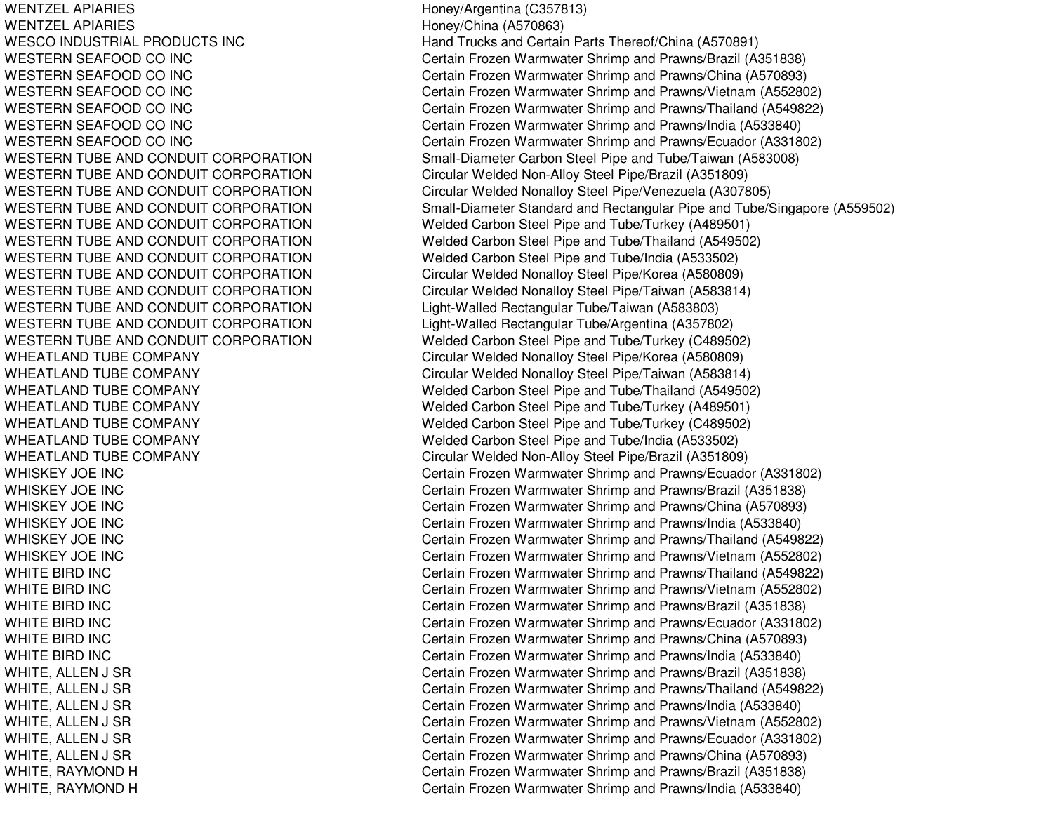WENTZEL APIARIESWENTZEL APIARIES**WESCO INDUSTRIAL PRODUCTS INC** WESTERN SEAFOOD COWESTERN SEAFOOD COWESTERN SEAFOOD COWESTERN SEAFOOD COWESTERN SEAFOOD COWESTERN SEAFOOD COWESTERN TUBE AND CONDUIT CORPORATION WESTERN TUBE AND CONDUIT CORPORATION WESTERN TUBE AND CONDUIT CORPORATION WESTERN TUBE AND CONDUIT CORPORATION WESTERN TUBE AND CONDUIT CORPORATION WESTERN TUBE AND CONDUIT CORPORATION WESTERN TUBE AND CONDUIT CORPORATION WESTERN TUBE AND CONDUIT CORPORATION WESTERN TUBE AND CONDUIT CORPORATION WESTERN TUBE AND CONDUIT CORPORATION WESTERN TUBE AND CONDUIT CORPORATION WESTERN TUBE AND CONDUIT CORPORATION WHEATLAND TUBE COMPANY WHEATLAND TUBE COMPANY WHEATLAND TUBE COMPANY WHEATLAND TUBE COMPANY WHEATLAND TUBE COMPANY WHEATLAND TUBE COMPANY WHEATLAND TUBE COMPANY WHISKEY JOE INCWHISKEY JOE INCWHISKEY JOE INCWHISKEY JOE INCWHISKEY JOE INCWHISKEY JOE INCWHITE BIRDWHITE BIRDWHITE BIRDWHITE BIRDWHITE BIRDWHITE BIRD

 Honey/Argentina (C357813) Honey/China (A570863) Hand Trucks and Certain Parts Thereof/China (A570891) Certain Frozen Warmwater Shrimp and Prawns/Brazil (A351838) Certain Frozen Warmwater Shrimp and Prawns/China (A570893) Certain Frozen Warmwater Shrimp and Prawns/Vietnam (A552802) Certain Frozen Warmwater Shrimp and Prawns/Thailand (A549822) Certain Frozen Warmwater Shrimp and Prawns/India (A533840) Certain Frozen Warmwater Shrimp and Prawns/Ecuador (A331802) Small-Diameter Carbon Steel Pipe and Tube/Taiwan (A583008) Circular Welded Non-Alloy Steel Pipe/Brazil (A351809) Circular Welded Nonalloy Steel Pipe/Venezuela (A307805) Small-Diameter Standard and Rectangular Pipe and Tube/Singapore (A559502) Welded Carbon Steel Pipe and Tube/Turkey (A489501) Welded Carbon Steel Pipe and Tube/Thailand (A549502) Welded Carbon Steel Pipe and Tube/India (A533502) Circular Welded Nonalloy Steel Pipe/Korea (A580809) Circular Welded Nonalloy Steel Pipe/Taiwan (A583814) Light-Walled Rectangular Tube/Taiwan (A583803) Light-Walled Rectangular Tube/Argentina (A357802) Welded Carbon Steel Pipe and Tube/Turkey (C489502) Circular Welded Nonalloy Steel Pipe/Korea (A580809) Circular Welded Nonalloy Steel Pipe/Taiwan (A583814) Welded Carbon Steel Pipe and Tube/Thailand (A549502) Welded Carbon Steel Pipe and Tube/Turkey (A489501) Welded Carbon Steel Pipe and Tube/Turkey (C489502) Welded Carbon Steel Pipe and Tube/India (A533502) Circular Welded Non-Alloy Steel Pipe/Brazil (A351809) Certain Frozen Warmwater Shrimp and Prawns/Ecuador (A331802) Certain Frozen Warmwater Shrimp and Prawns/Brazil (A351838) Certain Frozen Warmwater Shrimp and Prawns/China (A570893) Certain Frozen Warmwater Shrimp and Prawns/India (A533840) Certain Frozen Warmwater Shrimp and Prawns/Thailand (A549822) Certain Frozen Warmwater Shrimp and Prawns/Vietnam (A552802) Certain Frozen Warmwater Shrimp and Prawns/Thailand (A549822) Certain Frozen Warmwater Shrimp and Prawns/Vietnam (A552802) Certain Frozen Warmwater Shrimp and Prawns/Brazil (A351838) Certain Frozen Warmwater Shrimp and Prawns/Ecuador (A331802) Certain Frozen Warmwater Shrimp and Prawns/China (A570893) Certain Frozen Warmwater Shrimp and Prawns/India (A533840) WHITE, ALLEN J SR Certain Frozen Warmwater Shrimp and Prawns/Brazil (A351838) WHITE, ALLEN J SR Certain Frozen Warmwater Shrimp and Prawns/Thailand (A549822) WHITE, ALLEN J SR CHERTAIN STREET STATES Certain Frozen Warmwater Shrimp and Prawns/India (A533840) WHITE, ALLEN J SR Certain Frozen Warmwater Shrimp and Prawns/Vietnam (A552802) WHITE, ALLEN J SR Certain Frozen Warmwater Shrimp and Prawns/Ecuador (A331802) WHITE, ALLEN J SR Certain Frozen Warmwater Shrimp and Prawns/China (A570893) WHITE, RAYMOND H **Certain Frozen Warmwater Shrimp and Prawns/Brazil (A351838)** WHITE, RAYMOND H **Certain Frozen Warmwater Shrimp and Prawns**/India (A533840)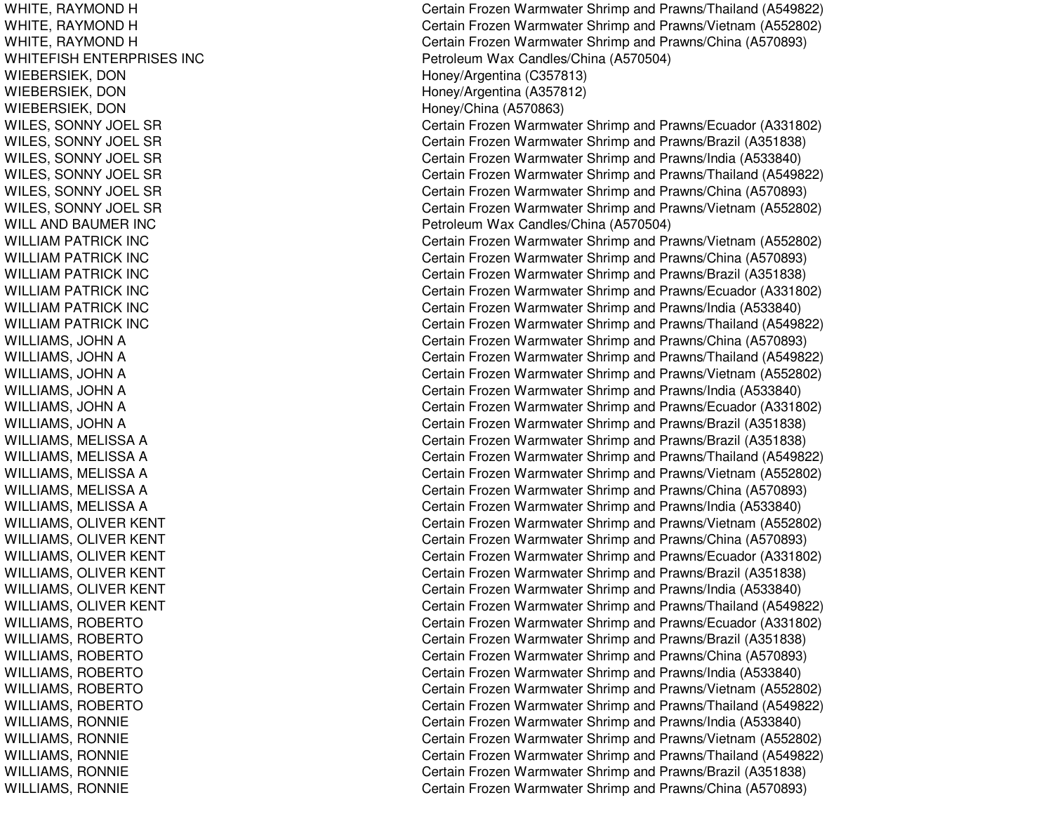WHITE, RAYMOND H WHITE, RAYMOND H WHITE, RAYMOND H WHITEFISH ENTERPRISES INC WIEBERSIEK, D ONWIEBERSIEK, DON WIEBERSIEK, DON WILES, S ONNY JOELSRWILES, SONNY JOEL SR WILES, SONNY JOEL SR WILES, S ONNY JOELSRWILES, SONNY JOEL SR WILES, S ONNY JOELSRWILL AND BAUMER INC WILLIAM PATRICK INC WILLIAMPATRICK INCWIL LIAMPAT RICK INCWILLIAMPATRICK INCWILLIAMPATRICK INCWILLIAM PATRICK INC WILLIAMS, JOHN A WILLIAMS, JOHN A WILLIAMS, JOHN A WILLIAMS, JOHN A WILLIAMS, JOHN A WILLIAMS, JOHN A WILLIAMS, M ELISSAAWIL LIAMS, M ELISSAAWILLIAMS, MELISSA A WILLIAMS, M ELISSAAWILLIAMS, MELISSA A WILLIAMS, OLIVER KENT WILLIAMS, OLIVER KENT WILLIAMS, OLIVER KENT WILLIAMS, OLIVER KENT WILLIAMS, O LIVERKENTWILLIAMS, OLIVER KENT WILLIAMS, ROBERTO WILLIAMS, ROBERTO WILLIAMS, ROBERTO WILLIAMS, R OBERTOWIL LIAMS, R OBERT OWILLIAMS, R OBERTOWILLIAMS, RONNIE WIL LIA MS, R ONNIE WILLIAMS, RONNIE WILLIAMS, R ONNIEWILLIAMS, RONNIE

Certain Frozen Warmwater Shrimp and Prawns/Thailand (A549822) Certain Frozen Warmwater Shrimp and Prawns/Vietnam (A552802) Certain Frozen Warmwater Shrimp and Prawns/China (A570893) P etroleum Wa x C andles/China (A 5 7 0 5 0 4) H one y/Arg entina (C 3 5 7 813) Hone y/Arg entina (A 3 5 7 812) H one y/China (A 5 7 0 8 6 3) Certain Frozen Warmwater Shrimp and Prawns/Ecuador (A331802) Certain Frozen Warmwater Shrimp and Prawns/Brazil (A351838) Certain Frozen Warmwater Shrimp and Prawns/India (A533840) Certain Frozen Warmwater Shrimp and Prawns/Thailand (A549822) Certain Frozen Warmwater Shrimp and Prawns/China (A570893) Certain Frozen Warmwater Shrimp and Prawns/Vietnam (A552802) Petroleum Wax Candles/China (A570504) Certain Frozen Warmwater Shrimp and Prawns/Vietnam (A552802) Certain Frozen Warmwater Shrimp and Prawns/China (A570893) Certain Frozen Warmwater Shrimp and Prawns/Brazil (A351838) Certain Frozen Warmwater Shrimp and Prawns/Ecuador (A331802) Certain Frozen Warmwater Shrimp and Prawns/India (A533840) Certain Frozen Warmwater Shrimp and Prawns/Thailand (A549822) Certain Frozen Warmwater Shrimp and Prawns/China (A570893) Certain Frozen Warmwater Shrimp and Prawns/Thailand (A549822) Certain Frozen Warmwater Shrimp and Prawns/Vietnam (A552802) Certain Frozen Warmwater Shrimp and Prawns/India (A533840) Certain Frozen Warmwater Shrimp and Prawns/Ecuador (A331802) Certain Frozen Warmwater Shrimp and Prawns/Brazil (A351838) Certain Frozen Warmwater Shrimp and Prawns/Brazil (A351838) Certain Frozen Warmwater Shrimp and Prawns/Thailand (A549822) Certain Frozen Warmwater Shrimp and Prawns/Vietnam (A552802) Certain Frozen Warmwater Shrimp and Prawns/China (A570893) Certain Frozen Warmwater Shrimp and Prawns/India (A533840) Certain Frozen Warmwater Shrimp and Prawns/Vietnam (A552802) Certain Frozen Warmwater Shrimp and Prawns/China (A570893) Certain Frozen Warmwater Shrimp and Prawns/Ecuador (A331802) C ertain Frozen W arm w ater Shrim p and Pra wns/Brazil (A 3 518 3 8) Certain Frozen Warmwater Shrimp and Prawns/India (A533840) Certain Frozen Warmwater Shrimp and Prawns/Thailand (A549822) Certain Frozen Warmwater Shrimp and Prawns/Ecuador (A331802) Certain Frozen Warmwater Shrimp and Prawns/Brazil (A351838) Certain Frozen Warmwater Shrimp and Prawns/China (A570893) Certain Frozen Warmwater Shrimp and Prawns/India (A533840) Certain Frozen Warmwater Shrimp and Prawns/Vietnam (A552802) Certain Frozen Warmwater Shrimp and Prawns/Thailand (A549822) Certain Frozen Warmwater Shrimp and Prawns/India (A533840) Certain Frozen Warmwater Shrimp and Prawns/Vietnam (A552802) Certain Frozen Warmwater Shrimp and Prawns/Thailand (A549822) Certain Frozen Warmwater Shrimp and Prawns/Brazil (A351838) Certain Frozen Warmwater Shrimp and Prawns/China (A570893)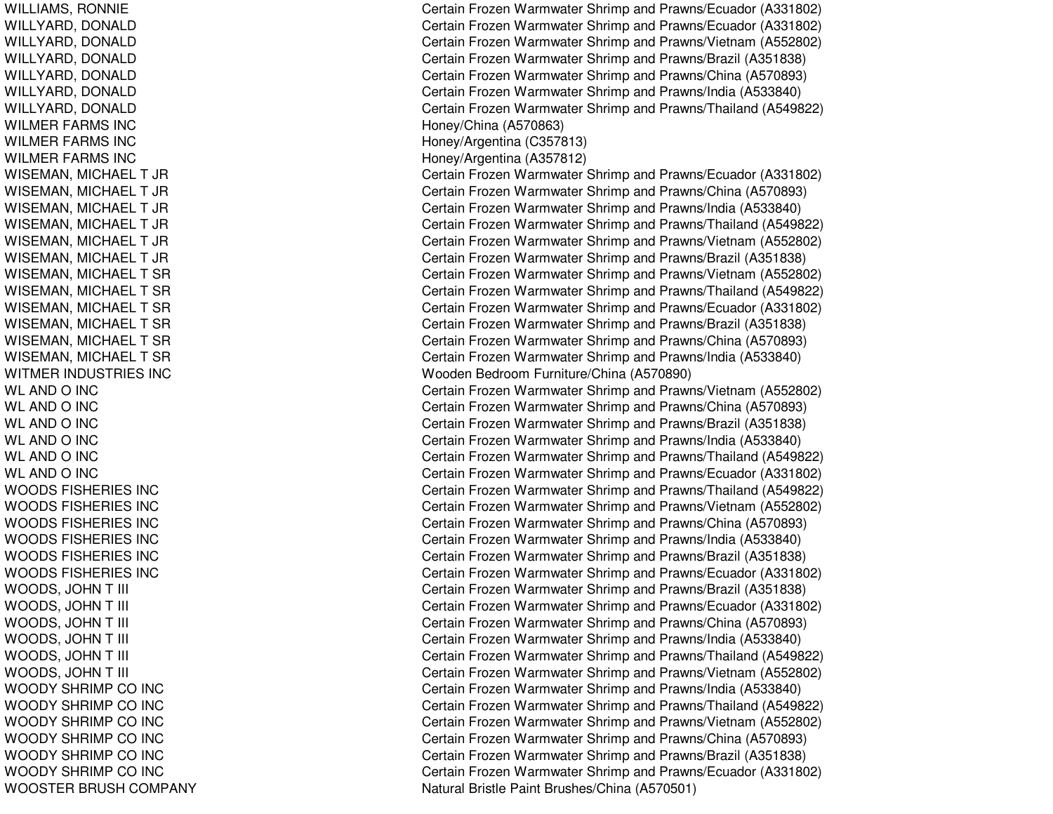WILLIAMS, R ONNIEWILLYARD, D ONALDWIL L YARD, D ONAL DWILLYARD, DONALD WILLYARD, D ONALDWILLYARD, DONALD WILLYARD, D ONALDWILMER FARMS INC WILMER FARMS INC WILMER FARMS INC WISEMAN, MIC HAELT JRWISEMAN, MICHAEL T JR WISEMAN, MIC HAELT JRWISEMAN, MIC HAEL T JRWISEMAN, MICHAEL T JR WISEMAN, MICHAEL T JR WISEMAN, MICHAEL T SR WISEMAN, MICHAEL T SR WISEMAN, MIC HAELTSRWISEMAN, MICHAEL T SR WISEMAN, MICHAEL T SR WISEMAN, MIC HAELTSRWITMER IN DUSTRIES INCWLANDO IN CWL ANDO IN CWL AND O INC WLANDO IN CWLANDO IN CWLANDO IN CWOODS FISHERIES INC WOODS FIS HE RIE S INCWOODS FISHERIES INC WOODS FISHERIES INC WOODS FISHERIES INC WOODS FISHERIES INC WOODS, JO HNT III CWOODS, JOHN T III CWOODS, JOHN T III CWOODS, JOHN T III CWOODS, JOHN T III CWOODS, JO HNT III CWOODY SHRIMP CO INC WOODY SHRIMP CO INC WOODY SHRIMP CO INC WOODY S HRIMP CO IN CWOODY SHRIMP CO INC WOODY SHRIMP CO INC WOOSTER BRUSH COMPANY

Certain Frozen Warmwater Shrimp and Prawns/Ecuador (A331802) Certain Frozen Warmwater Shrimp and Prawns/Ecuador (A331802) Certain Frozen Warmwater Shrimp and Prawns/Vietnam (A552802) Certain Frozen Warmwater Shrimp and Prawns/Brazil (A351838) Certain Frozen Warmwater Shrimp and Prawns/China (A570893) Certain Frozen Warmwater Shrimp and Prawns/India (A533840) Certain Frozen Warmwater Shrimp and Prawns/Thailand (A549822) Honey/China (A 570863) H one y/Arg entina (C 3 5 7 813) H one y/Arg entina (A 3 5 7 812) Certain Frozen Warmwater Shrimp and Prawns/Ecuador (A331802) Certain Frozen Warmwater Shrimp and Prawns/China (A570893) Certain Frozen Warmwater Shrimp and Prawns/India (A533840) Certain Frozen Warmwater Shrimp and Prawns/Thailand (A549822) Certain Frozen Warmwater Shrimp and Prawns/Vietnam (A552802) Certain Frozen Warmwater Shrimp and Prawns/Brazil (A351838) Certain Frozen Warmwater Shrimp and Prawns/Vietnam (A552802) Certain Frozen Warmwater Shrimp and Prawns/Thailand (A549822) Certain Frozen Warmwater Shrimp and Prawns/Ecuador (A331802) Certain Frozen Warmwater Shrimp and Prawns/Brazil (A351838) Certain Frozen Warmwater Shrimp and Prawns/China (A570893) Certain Frozen Warmwater Shrimp and Prawns/India (A533840) Wooden Bedroom Furniture/China (A570890) Certain Frozen Warmwater Shrimp and Prawns/Vietnam (A552802) Certain Frozen Warmwater Shrimp and Prawns/China (A570893) Certain Frozen Warmwater Shrimp and Prawns/Brazil (A351838) Certain Frozen Warmwater Shrimp and Prawns/India (A533840) Certain Frozen Warmwater Shrimp and Prawns/Thailand (A549822) Certain Frozen Warmwater Shrimp and Prawns/Ecuador (A331802) Certain Frozen Warmwater Shrimp and Prawns/Thailand (A549822) Certain Frozen Warmwater Shrimp and Prawns/Vietnam (A552802) Certain Frozen Warmwater Shrimp and Prawns/China (A570893) Certain Frozen Warmwater Shrimp and Prawns/India (A533840) Certain Frozen Warmwater Shrimp and Prawns/Brazil (A351838) Certain Frozen Warmwater Shrimp and Prawns/Ecuador (A331802) ertain Frozen Warmwater Shrimp and Prawns/Brazil (A351838) Certain Frozen Warmwater Shrimp and Prawns/Ecuador (A331802) Certain Frozen Warmwater Shrimp and Prawns/China (A570893) Certain Frozen Warmwater Shrimp and Prawns/India (A533840) Certain Frozen Warmwater Shrimp and Prawns/Thailand (A549822) Certain Frozen Warmwater Shrimp and Prawns/Vietnam (A552802) Certain Frozen Warmwater Shrimp and Prawns/India (A533840) Certain Frozen Warmwater Shrimp and Prawns/Thailand (A549822) Certain Frozen Warmwater Shrimp and Prawns/Vietnam (A552802) Certain Frozen Warmwater Shrimp and Prawns/China (A570893) C ertain Frozen W arm w ater Shrim p and Pra wns/Brazil (A 3 518 3 8) Certain Frozen Warmwater Shrimp and Prawns/Ecuador (A331802) Natural Bristle Paint Brushes/China (A570501)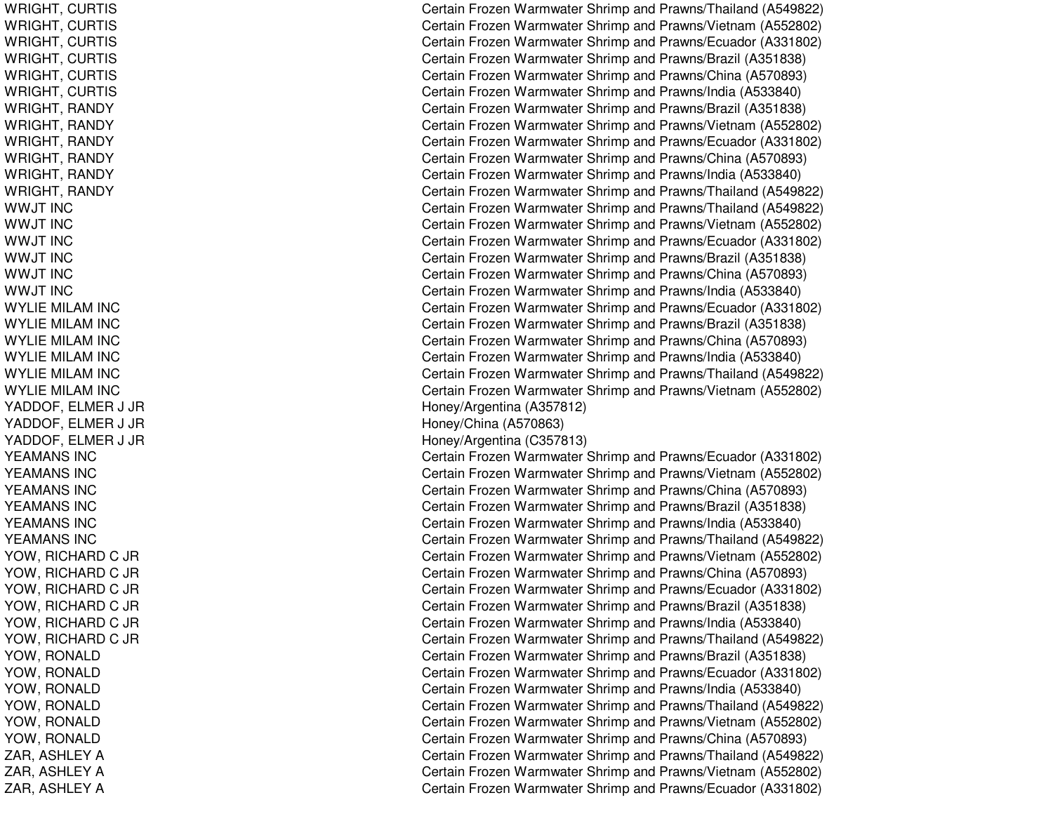WRIGHT, C URTISWRIGHT, C URTISWRIGHT, C URTISWRIGHT, CURTIS WRIGHT, CURTIS WRIGHT, C URTIS WRIGHT, RANDY WRIGHT, R ANDYWRIGHT, RANDY WRIGHT, RANDY WRIGHT, R ANDYWRIGHT, RANDY WWJT INCWWJT INCWWJT IN C WWJT INCWWJT INCWWJT INCWYLIE MILAM INC WY LIE MIL A M IN CWYLIE MILAM INC WYLIE MILAM INC WYLIE MILAM INC WYLIE MILAM INC YADDOF, E L MER J JR Y A D D O F, E L ME R J JR YADDOF, E LMER J JR YEAMANS INCYEAMANS INCYEAMANS INCY E A MA NS INCYEAMANS INC YEAMANS INCYOW, RICHARD C JR YOW, RICHARD C JR YOW, RICHARD C JR YOW, RICHARD C JR YOW, RICHARD C JR YOW, RICHARD C JR YOW, RONALD YOW, R ONALDYOW, R ONAL DYOW, R ONALDYOW, RONALD Y OW, R ONA L DZAR, ASHLEY A ZAR, ASHLEY A ZAR, ASHLEY A

Certain Frozen Warmwater Shrimp and Prawns/Thailand (A549822) Certain Frozen Warmwater Shrimp and Prawns/Vietnam (A552802) Certain Frozen Warmwater Shrimp and Prawns/Ecuador (A331802) Certain Frozen Warmwater Shrimp and Prawns/Brazil (A351838) Certain Frozen Warmwater Shrimp and Prawns/China (A570893) Certain Frozen Warmwater Shrimp and Prawns/India (A533840) Certain Frozen Warmwater Shrimp and Prawns/Brazil (A351838) Certain Frozen Warmwater Shrimp and Prawns/Vietnam (A552802) Certain Frozen Warmwater Shrimp and Prawns/Ecuador (A331802) Certain Frozen Warmwater Shrimp and Prawns/China (A570893) Certain Frozen Warmwater Shrimp and Prawns/India (A533840) Certain Frozen Warmwater Shrimp and Prawns/Thailand (A549822) Certain Frozen Warmwater Shrimp and Prawns/Thailand (A549822) Certain Frozen Warmwater Shrimp and Prawns/Vietnam (A552802) Certain Frozen Warmwater Shrimp and Prawns/Ecuador (A331802) Certain Frozen Warmwater Shrimp and Prawns/Brazil (A351838) Certain Frozen Warmwater Shrimp and Prawns/China (A570893) Certain Frozen Warmwater Shrimp and Prawns/India (A533840) Certain Frozen Warmwater Shrimp and Prawns/Ecuador (A331802) Certain Frozen Warmwater Shrimp and Prawns/Brazil (A351838) Certain Frozen Warmwater Shrimp and Prawns/China (A570893) Certain Frozen Warmwater Shrimp and Prawns/India (A533840) Certain Frozen Warmwater Shrimp and Prawns/Thailand (A549822) Certain Frozen Warmwater Shrimp and Prawns/Vietnam (A552802) Hone y/Arg entina (A 3 5 7 812) Honey/China (A570863) H one y/Arg entina (C 3 5 7 813) Certain Frozen Warmwater Shrimp and Prawns/Ecuador (A331802) Certain Frozen Warmwater Shrimp and Prawns/Vietnam (A552802) Certain Frozen Warmwater Shrimp and Prawns/China (A570893) Certain Frozen Warmwater Shrimp and Prawns/Brazil (A351838) Certain Frozen Warmwater Shrimp and Prawns/India (A533840) Certain Frozen Warmwater Shrimp and Prawns/Thailand (A549822) Certain Frozen Warmwater Shrimp and Prawns/Vietnam (A552802) Certain Frozen Warmwater Shrimp and Prawns/China (A570893) Certain Frozen Warmwater Shrimp and Prawns/Ecuador (A331802) Certain Frozen Warmwater Shrimp and Prawns/Brazil (A351838) Certain Frozen Warmwater Shrimp and Prawns/India (A533840) Certain Frozen Warmwater Shrimp and Prawns/Thailand (A549822) Certain Frozen Warmwater Shrimp and Prawns/Brazil (A351838) Certain Frozen Warmwater Shrimp and Prawns/Ecuador (A331802) Certain Frozen Warmwater Shrimp and Prawns/India (A533840) Certain Frozen Warmwater Shrimp and Prawns/Thailand (A549822) Certain Frozen Warmwater Shrimp and Prawns/Vietnam (A552802) Certain Frozen Warmwater Shrimp and Prawns/China (A570893) Certain Frozen Warmwater Shrimp and Prawns/Thailand (A549822) Certain Frozen Warmwater Shrimp and Prawns/Vietnam (A552802) Certain Frozen Warmwater Shrimp and Prawns/Ecuador (A331802)